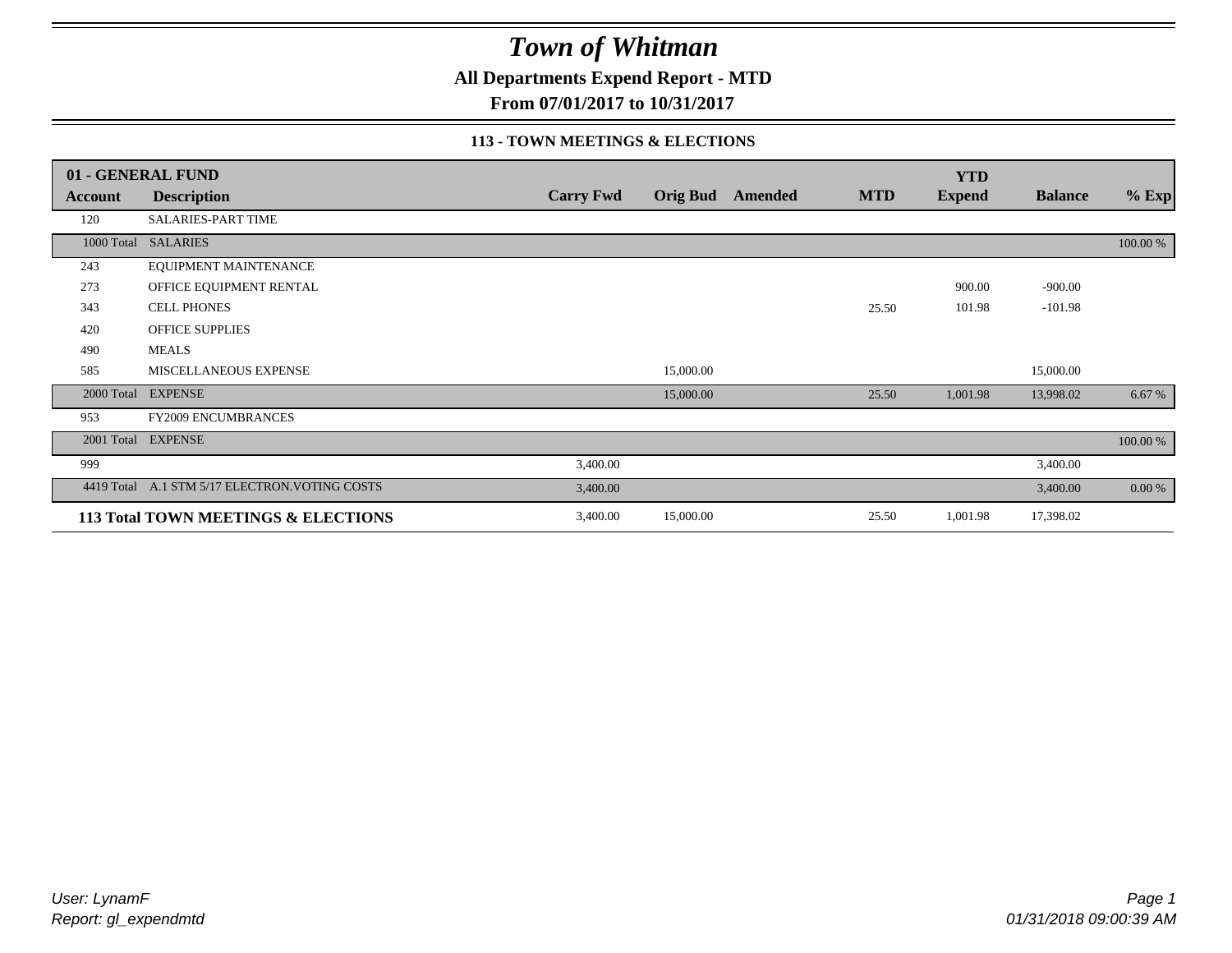**All Departments Expend Report - MTD**

**From 07/01/2017 to 10/31/2017**

#### **113 - TOWN MEETINGS & ELECTIONS**

|            | 01 - GENERAL FUND                              |                  |                 |         |            | <b>YTD</b>    |                |             |
|------------|------------------------------------------------|------------------|-----------------|---------|------------|---------------|----------------|-------------|
| Account    | <b>Description</b>                             | <b>Carry Fwd</b> | <b>Orig Bud</b> | Amended | <b>MTD</b> | <b>Expend</b> | <b>Balance</b> | $%$ Exp     |
| 120        | <b>SALARIES-PART TIME</b>                      |                  |                 |         |            |               |                |             |
| 1000 Total | <b>SALARIES</b>                                |                  |                 |         |            |               |                | 100.00 %    |
| 243        | EQUIPMENT MAINTENANCE                          |                  |                 |         |            |               |                |             |
| 273        | OFFICE EQUIPMENT RENTAL                        |                  |                 |         |            | 900.00        | $-900.00$      |             |
| 343        | <b>CELL PHONES</b>                             |                  |                 |         | 25.50      | 101.98        | $-101.98$      |             |
| 420        | OFFICE SUPPLIES                                |                  |                 |         |            |               |                |             |
| 490        | <b>MEALS</b>                                   |                  |                 |         |            |               |                |             |
| 585        | MISCELLANEOUS EXPENSE                          |                  | 15,000.00       |         |            |               | 15,000.00      |             |
|            | 2000 Total EXPENSE                             |                  | 15,000.00       |         | 25.50      | 1,001.98      | 13,998.02      | 6.67 %      |
| 953        | <b>FY2009 ENCUMBRANCES</b>                     |                  |                 |         |            |               |                |             |
| 2001 Total | <b>EXPENSE</b>                                 |                  |                 |         |            |               |                | $100.00~\%$ |
| 999        |                                                | 3,400.00         |                 |         |            |               | 3,400.00       |             |
|            | 4419 Total A.1 STM 5/17 ELECTRON. VOTING COSTS | 3,400.00         |                 |         |            |               | 3,400.00       | 0.00 %      |
|            | 113 Total TOWN MEETINGS & ELECTIONS            | 3,400.00         | 15,000.00       |         | 25.50      | 1,001.98      | 17,398.02      |             |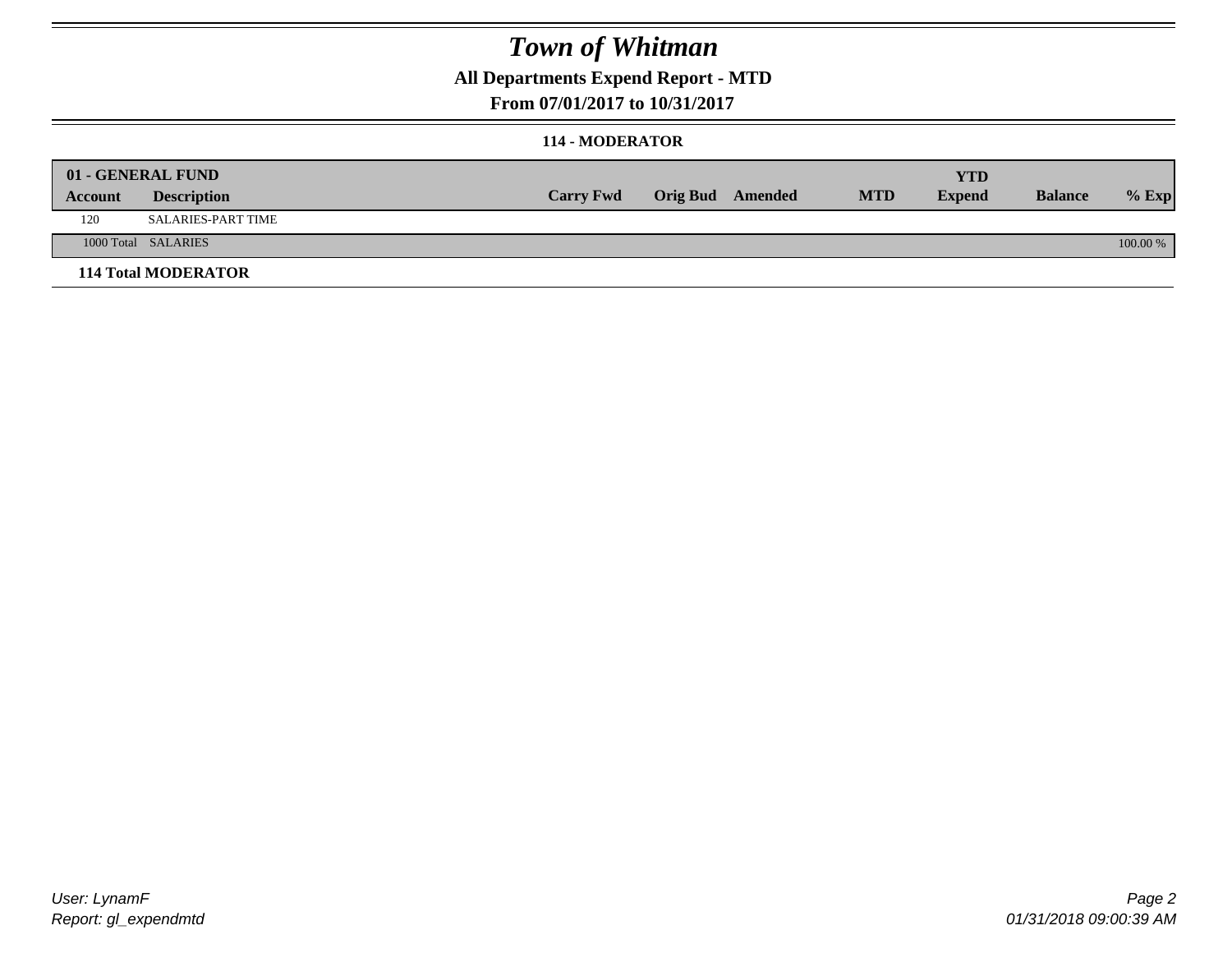### **All Departments Expend Report - MTD**

#### **From 07/01/2017 to 10/31/2017**

#### **114 - MODERATOR**

|         | 01 - GENERAL FUND          |                  |                         |            | YTD           |                |            |
|---------|----------------------------|------------------|-------------------------|------------|---------------|----------------|------------|
| Account | <b>Description</b>         | <b>Carry Fwd</b> | <b>Orig Bud</b> Amended | <b>MTD</b> | <b>Expend</b> | <b>Balance</b> | $%$ Exp    |
| 120     | SALARIES-PART TIME         |                  |                         |            |               |                |            |
|         | 1000 Total SALARIES        |                  |                         |            |               |                | $100.00\%$ |
|         | <b>114 Total MODERATOR</b> |                  |                         |            |               |                |            |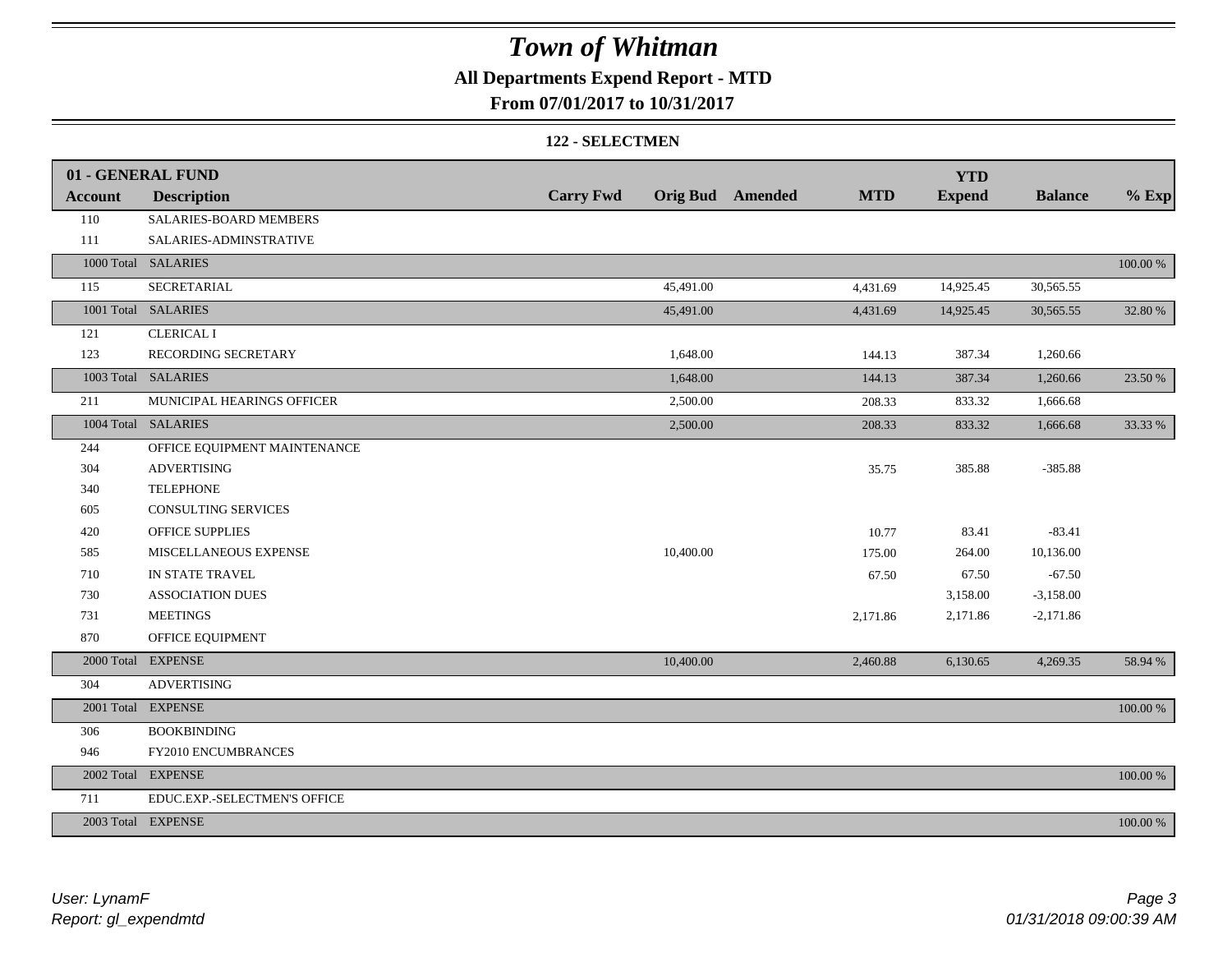### **All Departments Expend Report - MTD**

#### **From 07/01/2017 to 10/31/2017**

#### **122 - SELECTMEN**

|                | 01 - GENERAL FUND            |                  |           |                         |            | <b>YTD</b>    |                |             |
|----------------|------------------------------|------------------|-----------|-------------------------|------------|---------------|----------------|-------------|
| <b>Account</b> | <b>Description</b>           | <b>Carry Fwd</b> |           | <b>Orig Bud</b> Amended | <b>MTD</b> | <b>Expend</b> | <b>Balance</b> | $%$ Exp     |
| 110            | SALARIES-BOARD MEMBERS       |                  |           |                         |            |               |                |             |
| 111            | SALARIES-ADMINSTRATIVE       |                  |           |                         |            |               |                |             |
|                | 1000 Total SALARIES          |                  |           |                         |            |               |                | $100.00~\%$ |
| 115            | SECRETARIAL                  |                  | 45,491.00 |                         | 4,431.69   | 14,925.45     | 30,565.55      |             |
|                | 1001 Total SALARIES          |                  | 45,491.00 |                         | 4,431.69   | 14,925.45     | 30,565.55      | 32.80 %     |
| 121            | <b>CLERICAL I</b>            |                  |           |                         |            |               |                |             |
| 123            | RECORDING SECRETARY          |                  | 1,648.00  |                         | 144.13     | 387.34        | 1,260.66       |             |
|                | 1003 Total SALARIES          |                  | 1,648.00  |                         | 144.13     | 387.34        | 1,260.66       | 23.50 %     |
| 211            | MUNICIPAL HEARINGS OFFICER   |                  | 2,500.00  |                         | 208.33     | 833.32        | 1,666.68       |             |
|                | 1004 Total SALARIES          |                  | 2,500.00  |                         | 208.33     | 833.32        | 1,666.68       | 33.33 %     |
| 244            | OFFICE EQUIPMENT MAINTENANCE |                  |           |                         |            |               |                |             |
| 304            | <b>ADVERTISING</b>           |                  |           |                         | 35.75      | 385.88        | $-385.88$      |             |
| 340            | <b>TELEPHONE</b>             |                  |           |                         |            |               |                |             |
| 605            | <b>CONSULTING SERVICES</b>   |                  |           |                         |            |               |                |             |
| 420            | OFFICE SUPPLIES              |                  |           |                         | 10.77      | 83.41         | $-83.41$       |             |
| 585            | MISCELLANEOUS EXPENSE        |                  | 10,400.00 |                         | 175.00     | 264.00        | 10,136.00      |             |
| 710            | IN STATE TRAVEL              |                  |           |                         | 67.50      | 67.50         | $-67.50$       |             |
| 730            | <b>ASSOCIATION DUES</b>      |                  |           |                         |            | 3,158.00      | $-3,158.00$    |             |
| 731            | <b>MEETINGS</b>              |                  |           |                         | 2,171.86   | 2,171.86      | $-2,171.86$    |             |
| 870            | OFFICE EQUIPMENT             |                  |           |                         |            |               |                |             |
|                | 2000 Total EXPENSE           |                  | 10,400.00 |                         | 2,460.88   | 6,130.65      | 4,269.35       | 58.94 %     |
| 304            | <b>ADVERTISING</b>           |                  |           |                         |            |               |                |             |
|                | 2001 Total EXPENSE           |                  |           |                         |            |               |                | $100.00~\%$ |
| 306            | <b>BOOKBINDING</b>           |                  |           |                         |            |               |                |             |
| 946            | FY2010 ENCUMBRANCES          |                  |           |                         |            |               |                |             |
|                | 2002 Total EXPENSE           |                  |           |                         |            |               |                | 100.00 %    |
| 711            | EDUC.EXP.-SELECTMEN'S OFFICE |                  |           |                         |            |               |                |             |
|                | 2003 Total EXPENSE           |                  |           |                         |            |               |                | 100.00 %    |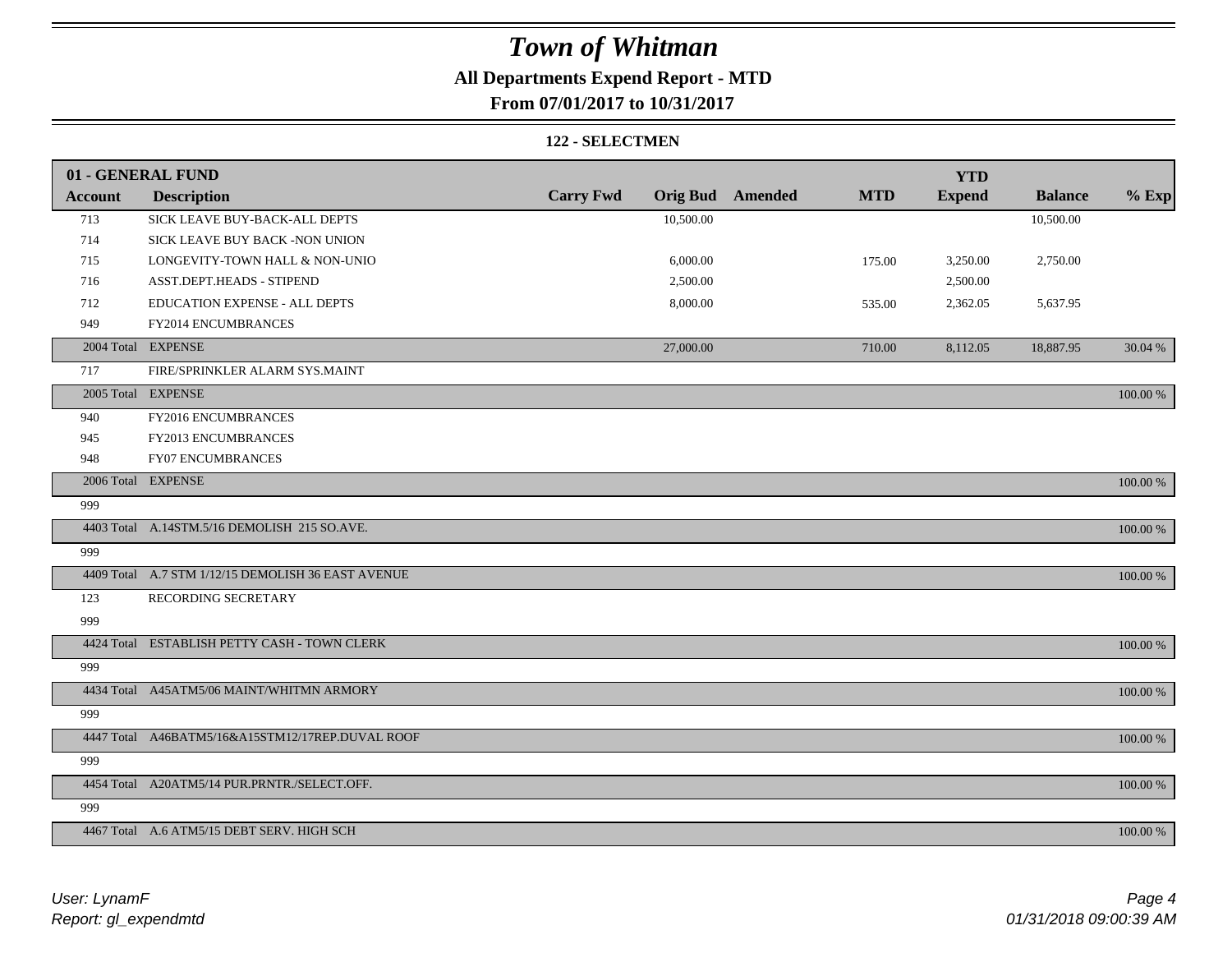### **All Departments Expend Report - MTD**

### **From 07/01/2017 to 10/31/2017**

#### **122 - SELECTMEN**

|                | 01 - GENERAL FUND                                  |                  |           |                         |            | <b>YTD</b>    |                |             |
|----------------|----------------------------------------------------|------------------|-----------|-------------------------|------------|---------------|----------------|-------------|
| <b>Account</b> | <b>Description</b>                                 | <b>Carry Fwd</b> |           | <b>Orig Bud</b> Amended | <b>MTD</b> | <b>Expend</b> | <b>Balance</b> | $%$ Exp     |
| 713            | SICK LEAVE BUY-BACK-ALL DEPTS                      |                  | 10,500.00 |                         |            |               | 10,500.00      |             |
| 714            | SICK LEAVE BUY BACK -NON UNION                     |                  |           |                         |            |               |                |             |
| 715            | LONGEVITY-TOWN HALL & NON-UNIO                     |                  | 6,000.00  |                         | 175.00     | 3,250.00      | 2,750.00       |             |
| 716            | ASST.DEPT.HEADS - STIPEND                          |                  | 2,500.00  |                         |            | 2,500.00      |                |             |
| 712            | EDUCATION EXPENSE - ALL DEPTS                      |                  | 8,000.00  |                         | 535.00     | 2,362.05      | 5,637.95       |             |
| 949            | FY2014 ENCUMBRANCES                                |                  |           |                         |            |               |                |             |
|                | 2004 Total EXPENSE                                 |                  | 27,000.00 |                         | 710.00     | 8,112.05      | 18,887.95      | 30.04 %     |
| 717            | FIRE/SPRINKLER ALARM SYS.MAINT                     |                  |           |                         |            |               |                |             |
|                | 2005 Total EXPENSE                                 |                  |           |                         |            |               |                | 100.00 %    |
| 940            | FY2016 ENCUMBRANCES                                |                  |           |                         |            |               |                |             |
| 945            | FY2013 ENCUMBRANCES                                |                  |           |                         |            |               |                |             |
| 948            | <b>FY07 ENCUMBRANCES</b>                           |                  |           |                         |            |               |                |             |
|                | 2006 Total EXPENSE                                 |                  |           |                         |            |               |                | 100.00 %    |
| 999            |                                                    |                  |           |                         |            |               |                |             |
|                | 4403 Total A.14STM.5/16 DEMOLISH 215 SO.AVE.       |                  |           |                         |            |               |                | 100.00 %    |
| 999            |                                                    |                  |           |                         |            |               |                |             |
|                | 4409 Total A.7 STM 1/12/15 DEMOLISH 36 EAST AVENUE |                  |           |                         |            |               |                | $100.00~\%$ |
| 123            | RECORDING SECRETARY                                |                  |           |                         |            |               |                |             |
| 999            |                                                    |                  |           |                         |            |               |                |             |
|                | 4424 Total ESTABLISH PETTY CASH - TOWN CLERK       |                  |           |                         |            |               |                | 100.00 %    |
| 999            |                                                    |                  |           |                         |            |               |                |             |
|                | 4434 Total A45ATM5/06 MAINT/WHITMN ARMORY          |                  |           |                         |            |               |                | 100.00 %    |
| 999            |                                                    |                  |           |                         |            |               |                |             |
|                | 4447 Total A46BATM5/16&A15STM12/17REP.DUVAL ROOF   |                  |           |                         |            |               |                | 100.00 %    |
| 999            |                                                    |                  |           |                         |            |               |                |             |
|                | 4454 Total A20ATM5/14 PUR.PRNTR./SELECT.OFF.       |                  |           |                         |            |               |                | 100.00 %    |
| 999            |                                                    |                  |           |                         |            |               |                |             |
|                | 4467 Total A.6 ATM5/15 DEBT SERV. HIGH SCH         |                  |           |                         |            |               |                | 100.00 %    |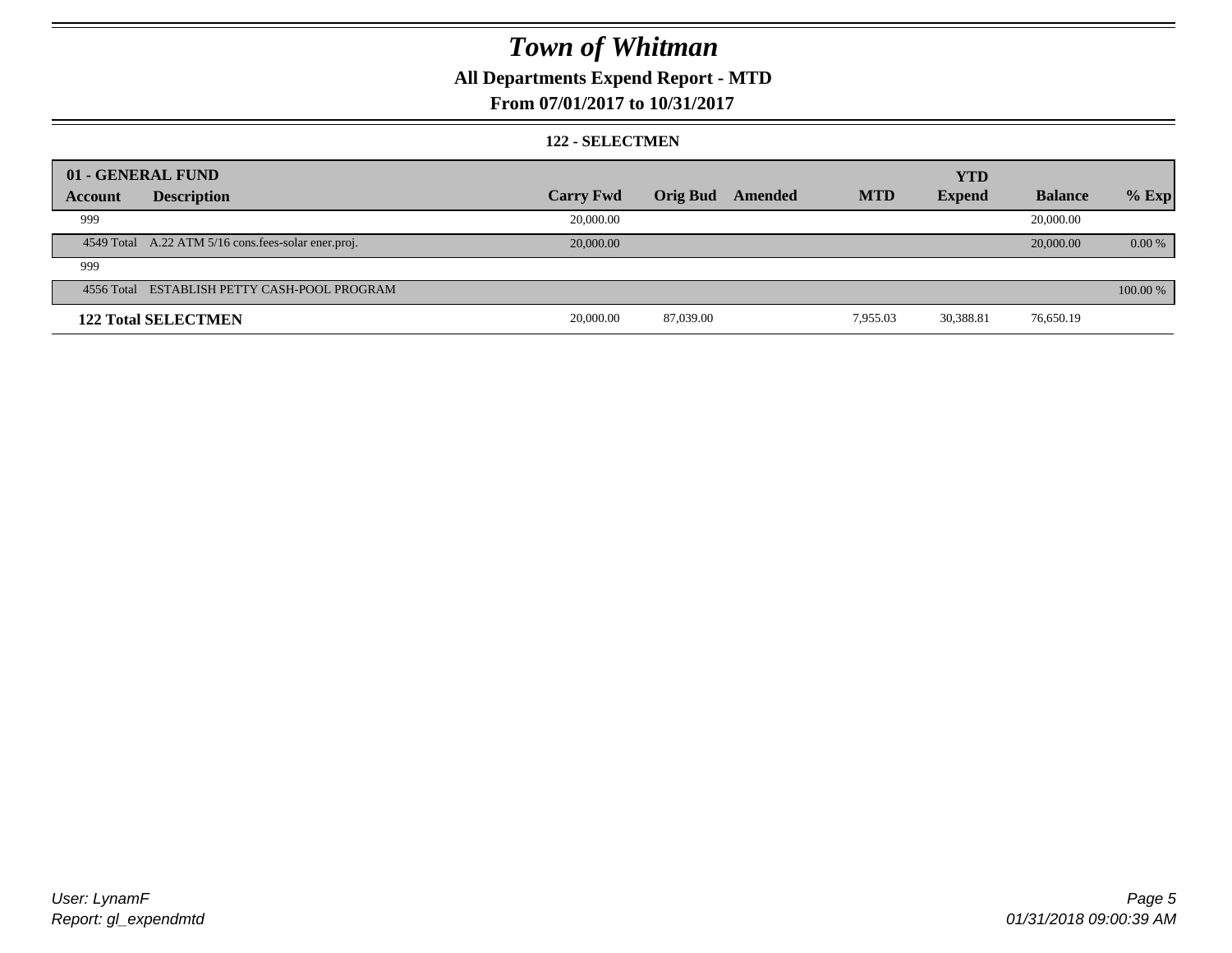### **All Departments Expend Report - MTD**

#### **From 07/01/2017 to 10/31/2017**

#### **122 - SELECTMEN**

|         | 01 - GENERAL FUND                                     |                  |                 |         |            | <b>YTD</b>    |                |          |
|---------|-------------------------------------------------------|------------------|-----------------|---------|------------|---------------|----------------|----------|
| Account | <b>Description</b>                                    | <b>Carry Fwd</b> | <b>Orig Bud</b> | Amended | <b>MTD</b> | <b>Expend</b> | <b>Balance</b> | $%$ Exp  |
| 999     |                                                       | 20,000.00        |                 |         |            |               | 20,000.00      |          |
|         | 4549 Total A.22 ATM 5/16 cons. fees-solar ener. proj. | 20,000.00        |                 |         |            |               | 20,000.00      | 0.00 %   |
| 999     |                                                       |                  |                 |         |            |               |                |          |
|         | 4556 Total ESTABLISH PETTY CASH-POOL PROGRAM          |                  |                 |         |            |               |                | 100.00 % |
|         | <b>122 Total SELECTMEN</b>                            | 20,000.00        | 87,039.00       |         | 7,955.03   | 30,388.81     | 76,650.19      |          |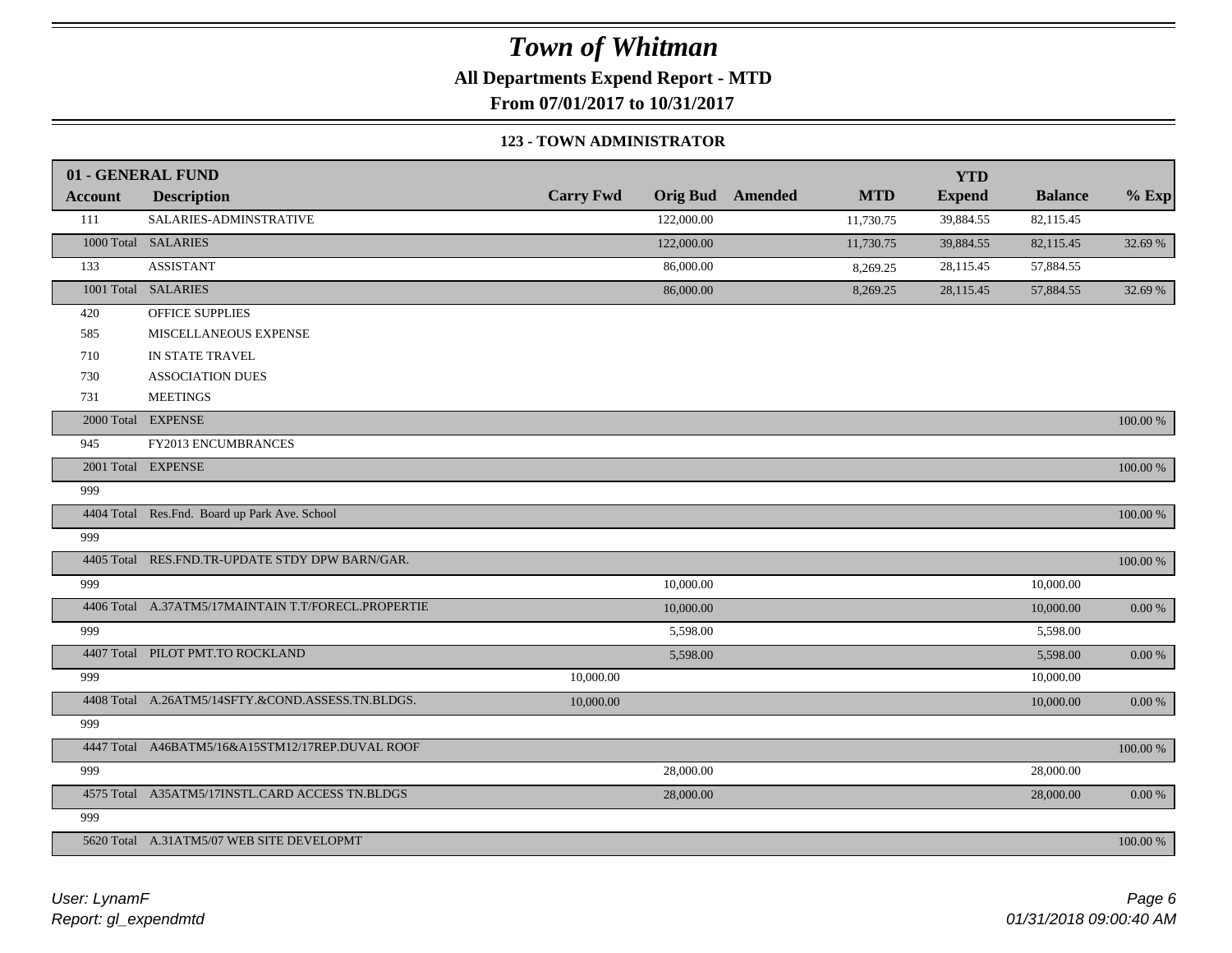**All Departments Expend Report - MTD**

**From 07/01/2017 to 10/31/2017**

#### **123 - TOWN ADMINISTRATOR**

|                | 01 - GENERAL FUND                                   |                  |            |                         |            | <b>YTD</b>    |                |             |
|----------------|-----------------------------------------------------|------------------|------------|-------------------------|------------|---------------|----------------|-------------|
| <b>Account</b> | <b>Description</b>                                  | <b>Carry Fwd</b> |            | <b>Orig Bud</b> Amended | <b>MTD</b> | <b>Expend</b> | <b>Balance</b> | $%$ Exp     |
| 111            | SALARIES-ADMINSTRATIVE                              |                  | 122,000.00 |                         | 11,730.75  | 39,884.55     | 82,115.45      |             |
|                | 1000 Total SALARIES                                 |                  | 122,000.00 |                         | 11,730.75  | 39,884.55     | 82,115.45      | 32.69 %     |
| 133            | <b>ASSISTANT</b>                                    |                  | 86,000.00  |                         | 8,269.25   | 28,115.45     | 57,884.55      |             |
|                | 1001 Total SALARIES                                 |                  | 86,000.00  |                         | 8,269.25   | 28,115.45     | 57,884.55      | 32.69 %     |
| 420            | OFFICE SUPPLIES                                     |                  |            |                         |            |               |                |             |
| 585            | MISCELLANEOUS EXPENSE                               |                  |            |                         |            |               |                |             |
| 710            | IN STATE TRAVEL                                     |                  |            |                         |            |               |                |             |
| 730            | <b>ASSOCIATION DUES</b>                             |                  |            |                         |            |               |                |             |
| 731            | <b>MEETINGS</b>                                     |                  |            |                         |            |               |                |             |
|                | 2000 Total EXPENSE                                  |                  |            |                         |            |               |                | 100.00 %    |
| 945            | FY2013 ENCUMBRANCES                                 |                  |            |                         |            |               |                |             |
|                | 2001 Total EXPENSE                                  |                  |            |                         |            |               |                | $100.00~\%$ |
| 999            |                                                     |                  |            |                         |            |               |                |             |
|                | 4404 Total Res.Fnd. Board up Park Ave. School       |                  |            |                         |            |               |                | 100.00 %    |
| 999            |                                                     |                  |            |                         |            |               |                |             |
|                | 4405 Total RES.FND.TR-UPDATE STDY DPW BARN/GAR.     |                  |            |                         |            |               |                | $100.00~\%$ |
| 999            |                                                     |                  | 10,000.00  |                         |            |               | 10,000.00      |             |
|                | 4406 Total A.37ATM5/17MAINTAIN T.T/FORECL.PROPERTIE |                  | 10,000.00  |                         |            |               | 10,000.00      | $0.00~\%$   |
| 999            |                                                     |                  | 5,598.00   |                         |            |               | 5,598.00       |             |
|                | 4407 Total PILOT PMT.TO ROCKLAND                    |                  | 5,598.00   |                         |            |               | 5,598.00       | $0.00~\%$   |
| 999            |                                                     | 10,000.00        |            |                         |            |               | 10,000.00      |             |
|                | 4408 Total A.26ATM5/14SFTY.&COND.ASSESS.TN.BLDGS.   | 10,000.00        |            |                         |            |               | 10,000.00      | $0.00~\%$   |
| 999            |                                                     |                  |            |                         |            |               |                |             |
|                | 4447 Total A46BATM5/16&A15STM12/17REP.DUVAL ROOF    |                  |            |                         |            |               |                | 100.00 %    |
| 999            |                                                     |                  | 28,000.00  |                         |            |               | 28,000.00      |             |
|                | 4575 Total A35ATM5/17INSTL.CARD ACCESS TN.BLDGS     |                  | 28,000.00  |                         |            |               | 28,000.00      | $0.00~\%$   |
| 999            |                                                     |                  |            |                         |            |               |                |             |
|                | 5620 Total A.31ATM5/07 WEB SITE DEVELOPMT           |                  |            |                         |            |               |                | 100.00 %    |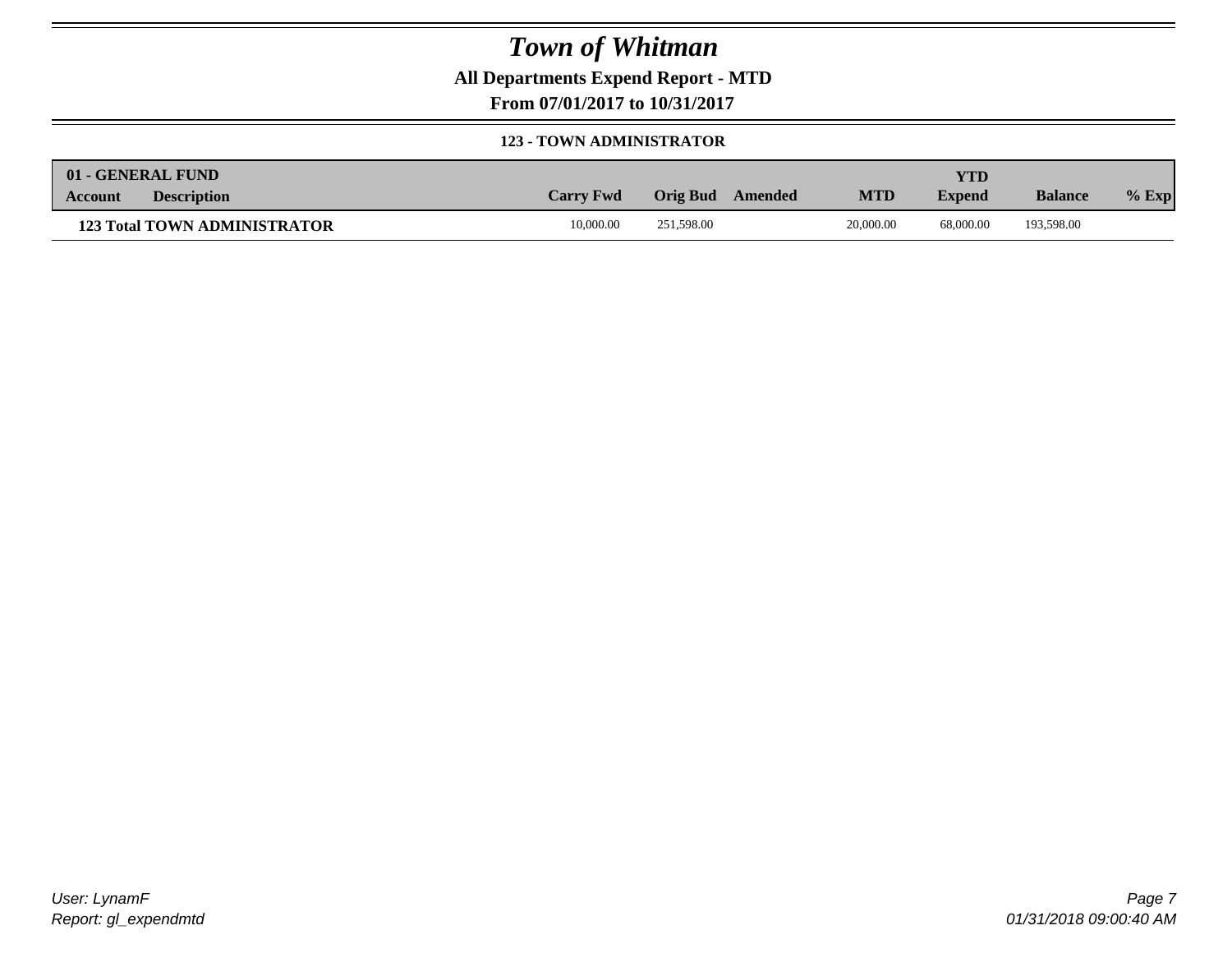**All Departments Expend Report - MTD**

**From 07/01/2017 to 10/31/2017**

#### **123 - TOWN ADMINISTRATOR**

| 01 - GENERAL FUND                    |                  |                     |            | YTD           |                |         |
|--------------------------------------|------------------|---------------------|------------|---------------|----------------|---------|
| <b>Description</b><br><b>Account</b> | <b>Carry Fwd</b> | Orig Bud<br>Amended | <b>MTD</b> | <b>Expend</b> | <b>Balance</b> | $%$ Exp |
| <b>123 Total TOWN ADMINISTRATOR</b>  | 10,000.00        | 251,598.00          | 20,000.00  | 68,000.00     | 193,598.00     |         |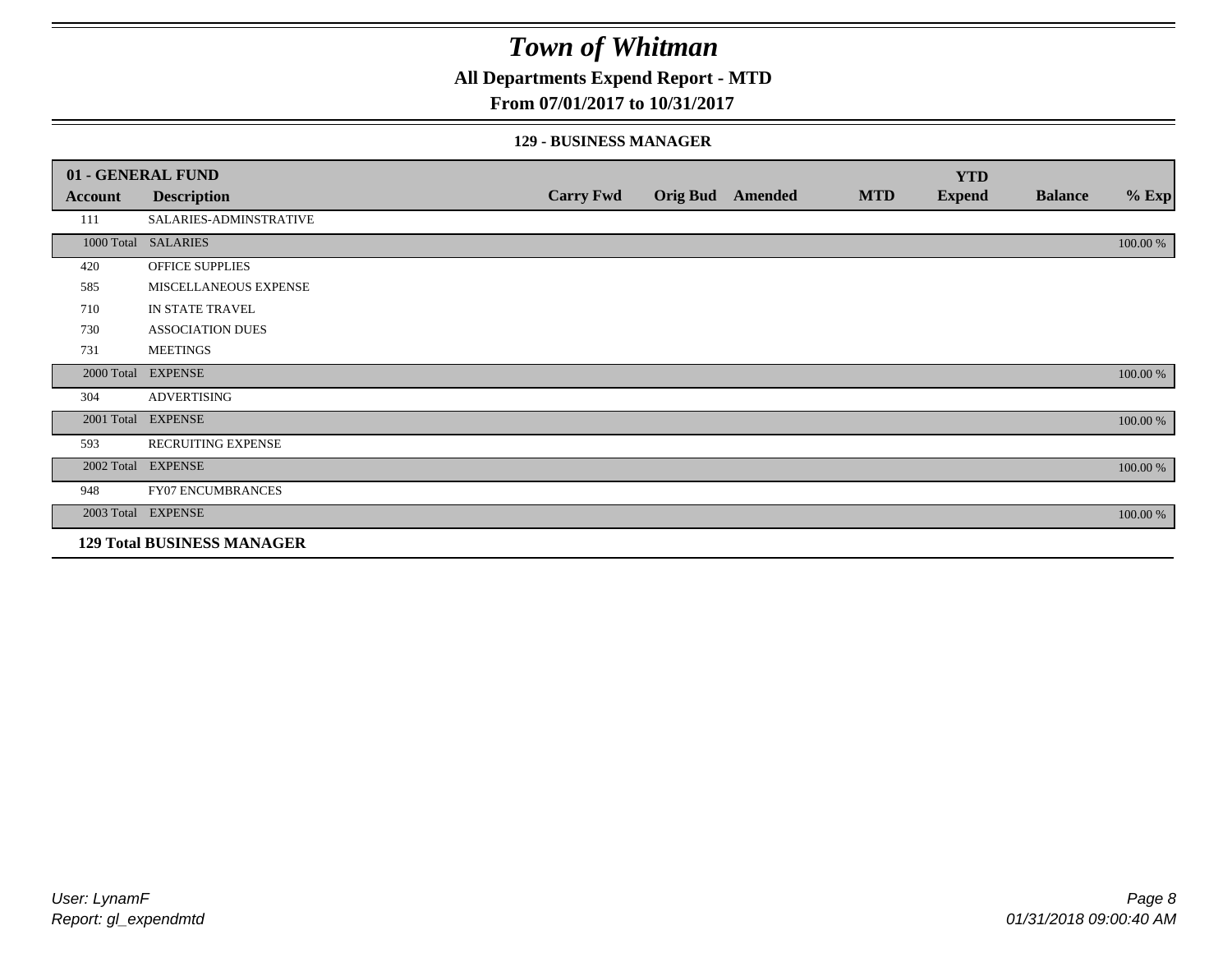#### **All Departments Expend Report - MTD**

#### **From 07/01/2017 to 10/31/2017**

#### **129 - BUSINESS MANAGER**

|            | 01 - GENERAL FUND                 |                  |                 |         |            | <b>YTD</b>    |                |          |
|------------|-----------------------------------|------------------|-----------------|---------|------------|---------------|----------------|----------|
| Account    | <b>Description</b>                | <b>Carry Fwd</b> | <b>Orig Bud</b> | Amended | <b>MTD</b> | <b>Expend</b> | <b>Balance</b> | $%$ Exp  |
| 111        | SALARIES-ADMINSTRATIVE            |                  |                 |         |            |               |                |          |
|            | 1000 Total SALARIES               |                  |                 |         |            |               |                | 100.00 % |
| 420        | OFFICE SUPPLIES                   |                  |                 |         |            |               |                |          |
| 585        | MISCELLANEOUS EXPENSE             |                  |                 |         |            |               |                |          |
| 710        | IN STATE TRAVEL                   |                  |                 |         |            |               |                |          |
| 730        | <b>ASSOCIATION DUES</b>           |                  |                 |         |            |               |                |          |
| 731        | <b>MEETINGS</b>                   |                  |                 |         |            |               |                |          |
| 2000 Total | <b>EXPENSE</b>                    |                  |                 |         |            |               |                | 100.00 % |
| 304        | <b>ADVERTISING</b>                |                  |                 |         |            |               |                |          |
| 2001 Total | <b>EXPENSE</b>                    |                  |                 |         |            |               |                | 100.00 % |
| 593        | <b>RECRUITING EXPENSE</b>         |                  |                 |         |            |               |                |          |
|            | 2002 Total EXPENSE                |                  |                 |         |            |               |                | 100.00 % |
| 948        | <b>FY07 ENCUMBRANCES</b>          |                  |                 |         |            |               |                |          |
|            | 2003 Total EXPENSE                |                  |                 |         |            |               |                | 100.00 % |
|            | <b>129 Total BUSINESS MANAGER</b> |                  |                 |         |            |               |                |          |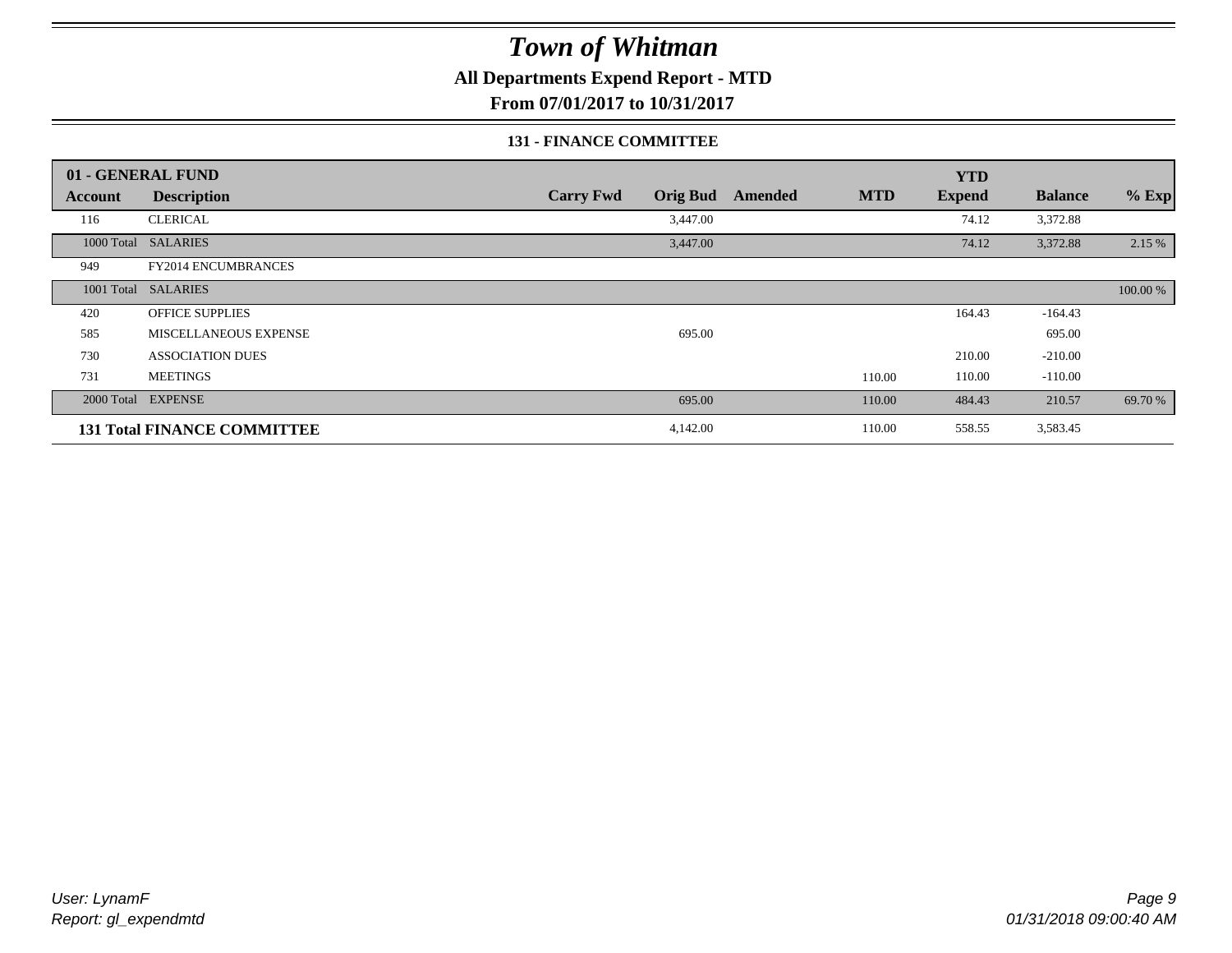**All Departments Expend Report - MTD**

**From 07/01/2017 to 10/31/2017**

#### **131 - FINANCE COMMITTEE**

|         | 01 - GENERAL FUND                  |                                     |                       | <b>YTD</b>       |                |          |
|---------|------------------------------------|-------------------------------------|-----------------------|------------------|----------------|----------|
| Account | <b>Description</b>                 | <b>Orig Bud</b><br><b>Carry Fwd</b> | <b>MTD</b><br>Amended | <b>Expend</b>    | <b>Balance</b> | $%$ Exp  |
| 116     | <b>CLERICAL</b>                    | 3,447.00                            |                       | 74.12            | 3,372.88       |          |
|         | 1000 Total SALARIES                | 3,447.00                            |                       | 74.12            | 3,372.88       | 2.15 %   |
| 949     | FY2014 ENCUMBRANCES                |                                     |                       |                  |                |          |
|         | 1001 Total SALARIES                |                                     |                       |                  |                | 100.00 % |
| 420     | <b>OFFICE SUPPLIES</b>             |                                     |                       | 164.43           | $-164.43$      |          |
| 585     | MISCELLANEOUS EXPENSE              | 695.00                              |                       |                  | 695.00         |          |
| 730     | <b>ASSOCIATION DUES</b>            |                                     |                       | 210.00           | $-210.00$      |          |
| 731     | <b>MEETINGS</b>                    |                                     |                       | 110.00<br>110.00 | $-110.00$      |          |
|         | 2000 Total EXPENSE                 | 695.00                              |                       | 110.00<br>484.43 | 210.57         | 69.70 %  |
|         | <b>131 Total FINANCE COMMITTEE</b> | 4,142.00                            |                       | 110.00<br>558.55 | 3,583.45       |          |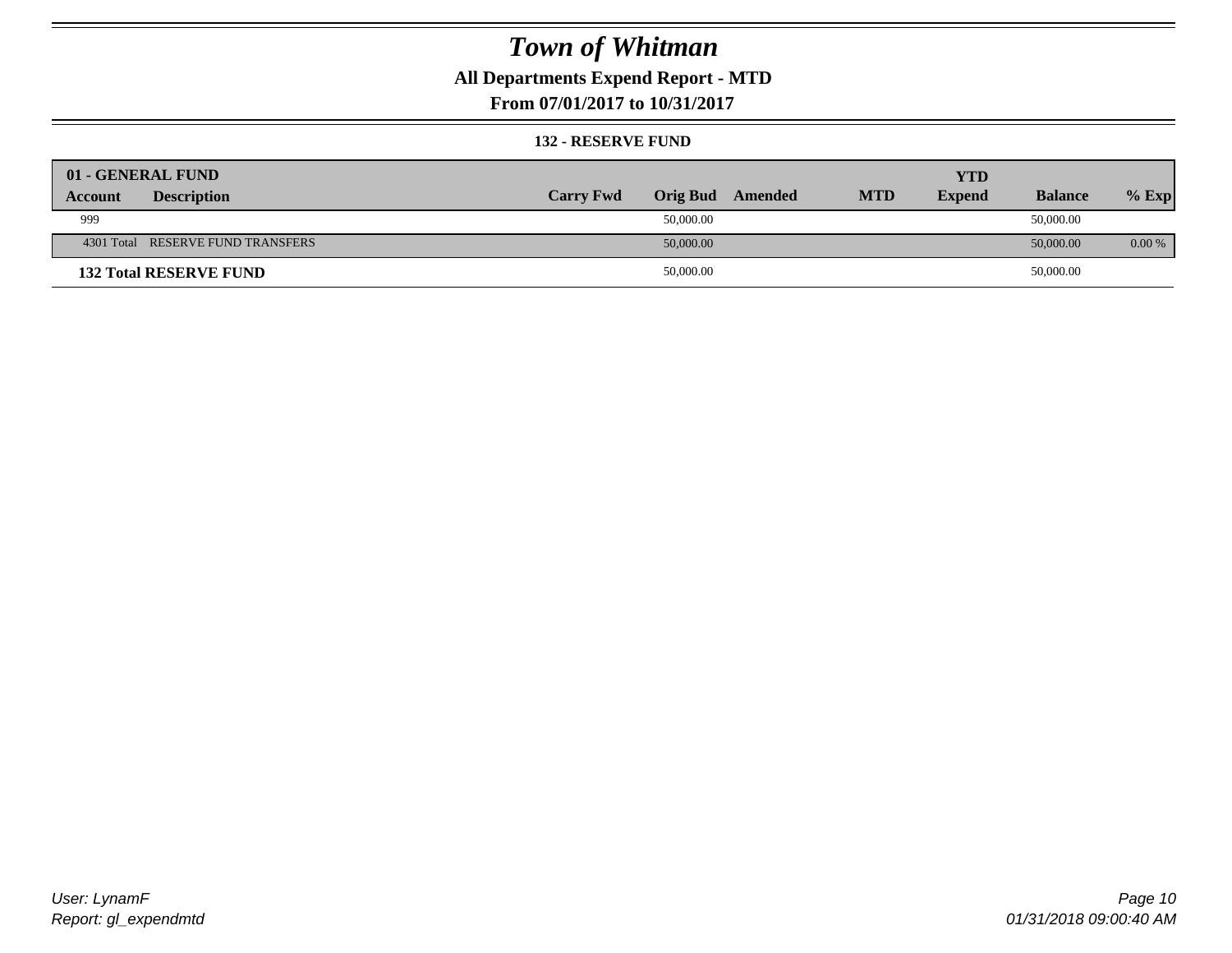### **All Departments Expend Report - MTD**

**From 07/01/2017 to 10/31/2017**

#### **132 - RESERVE FUND**

| 01 - GENERAL FUND                 |                  |                 |         |            | <b>YTD</b>    |                |          |
|-----------------------------------|------------------|-----------------|---------|------------|---------------|----------------|----------|
| <b>Description</b><br>Account     | <b>Carry Fwd</b> | <b>Orig Bud</b> | Amended | <b>MTD</b> | <b>Expend</b> | <b>Balance</b> | $%$ Exp  |
| 999                               |                  | 50,000.00       |         |            |               | 50,000.00      |          |
| 4301 Total RESERVE FUND TRANSFERS |                  | 50,000.00       |         |            |               | 50,000.00      | $0.00\%$ |
| <b>132 Total RESERVE FUND</b>     |                  | 50,000.00       |         |            |               | 50,000.00      |          |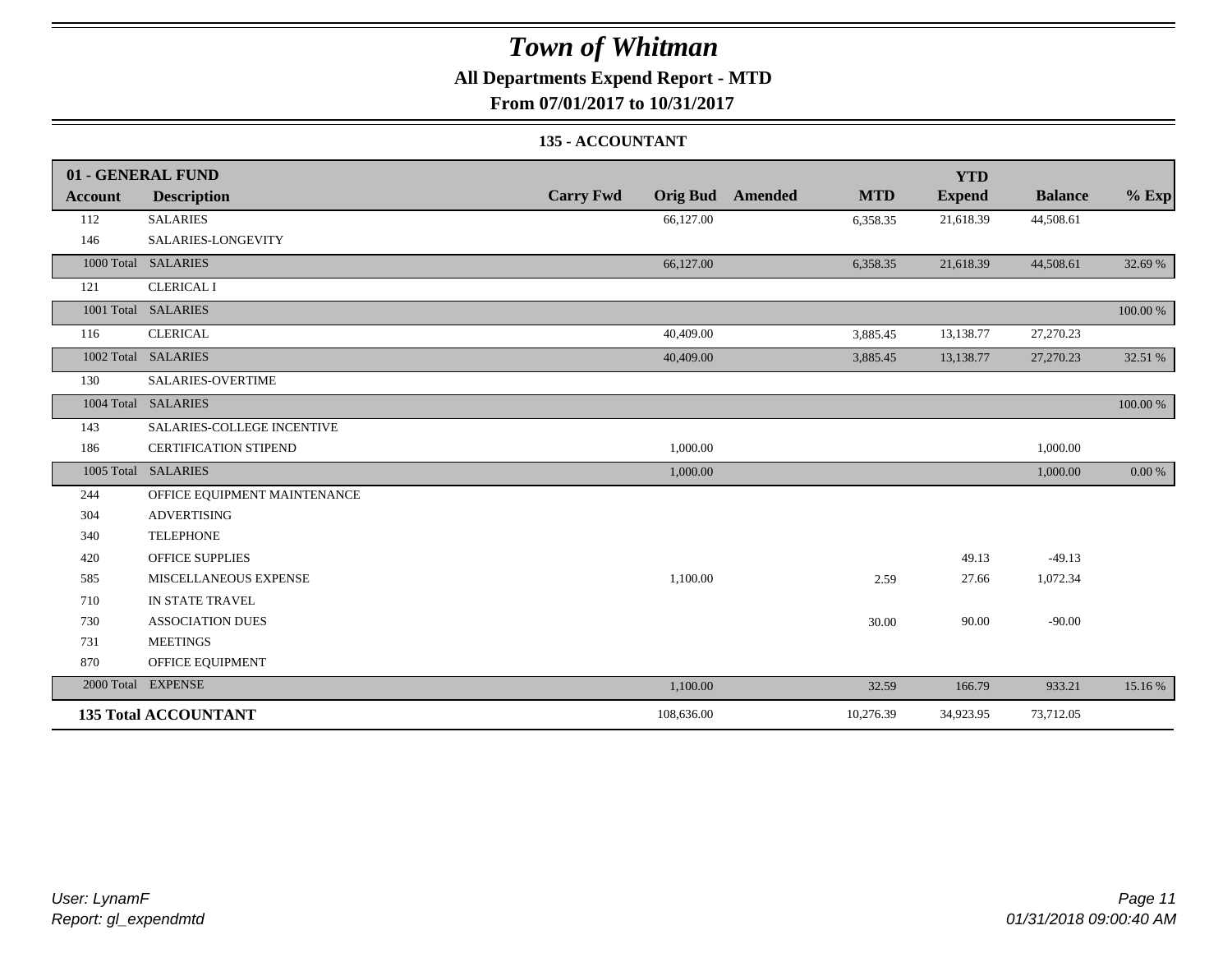### **All Departments Expend Report - MTD**

**From 07/01/2017 to 10/31/2017**

#### **135 - ACCOUNTANT**

|         | 01 - GENERAL FUND            |                                     |                       | <b>YTD</b>    |                |          |
|---------|------------------------------|-------------------------------------|-----------------------|---------------|----------------|----------|
| Account | <b>Description</b>           | <b>Carry Fwd</b><br><b>Orig Bud</b> | <b>MTD</b><br>Amended | <b>Expend</b> | <b>Balance</b> | $%$ Exp  |
| 112     | <b>SALARIES</b>              | 66,127.00                           | 6,358.35              | 21,618.39     | 44,508.61      |          |
| 146     | SALARIES-LONGEVITY           |                                     |                       |               |                |          |
|         | 1000 Total SALARIES          | 66,127.00                           | 6,358.35              | 21,618.39     | 44,508.61      | 32.69 %  |
| 121     | <b>CLERICAL I</b>            |                                     |                       |               |                |          |
|         | 1001 Total SALARIES          |                                     |                       |               |                | 100.00 % |
| 116     | <b>CLERICAL</b>              | 40,409.00                           | 3,885.45              | 13,138.77     | 27,270.23      |          |
|         | 1002 Total SALARIES          | 40,409.00                           | 3,885.45              | 13,138.77     | 27,270.23      | 32.51 %  |
| 130     | <b>SALARIES-OVERTIME</b>     |                                     |                       |               |                |          |
|         | 1004 Total SALARIES          |                                     |                       |               |                | 100.00 % |
| 143     | SALARIES-COLLEGE INCENTIVE   |                                     |                       |               |                |          |
| 186     | <b>CERTIFICATION STIPEND</b> | 1,000.00                            |                       |               | 1,000.00       |          |
|         | 1005 Total SALARIES          | 1,000.00                            |                       |               | 1,000.00       | 0.00 %   |
| 244     | OFFICE EQUIPMENT MAINTENANCE |                                     |                       |               |                |          |
| 304     | <b>ADVERTISING</b>           |                                     |                       |               |                |          |
| 340     | <b>TELEPHONE</b>             |                                     |                       |               |                |          |
| 420     | <b>OFFICE SUPPLIES</b>       |                                     |                       | 49.13         | $-49.13$       |          |
| 585     | MISCELLANEOUS EXPENSE        | 1,100.00                            | 2.59                  | 27.66         | 1,072.34       |          |
| 710     | IN STATE TRAVEL              |                                     |                       |               |                |          |
| 730     | <b>ASSOCIATION DUES</b>      |                                     | 30.00                 | 90.00         | $-90.00$       |          |
| 731     | <b>MEETINGS</b>              |                                     |                       |               |                |          |
| 870     | OFFICE EQUIPMENT             |                                     |                       |               |                |          |
|         | 2000 Total EXPENSE           | 1,100.00                            | 32.59                 | 166.79        | 933.21         | 15.16 %  |
|         | <b>135 Total ACCOUNTANT</b>  | 108,636.00                          | 10,276.39             | 34,923.95     | 73,712.05      |          |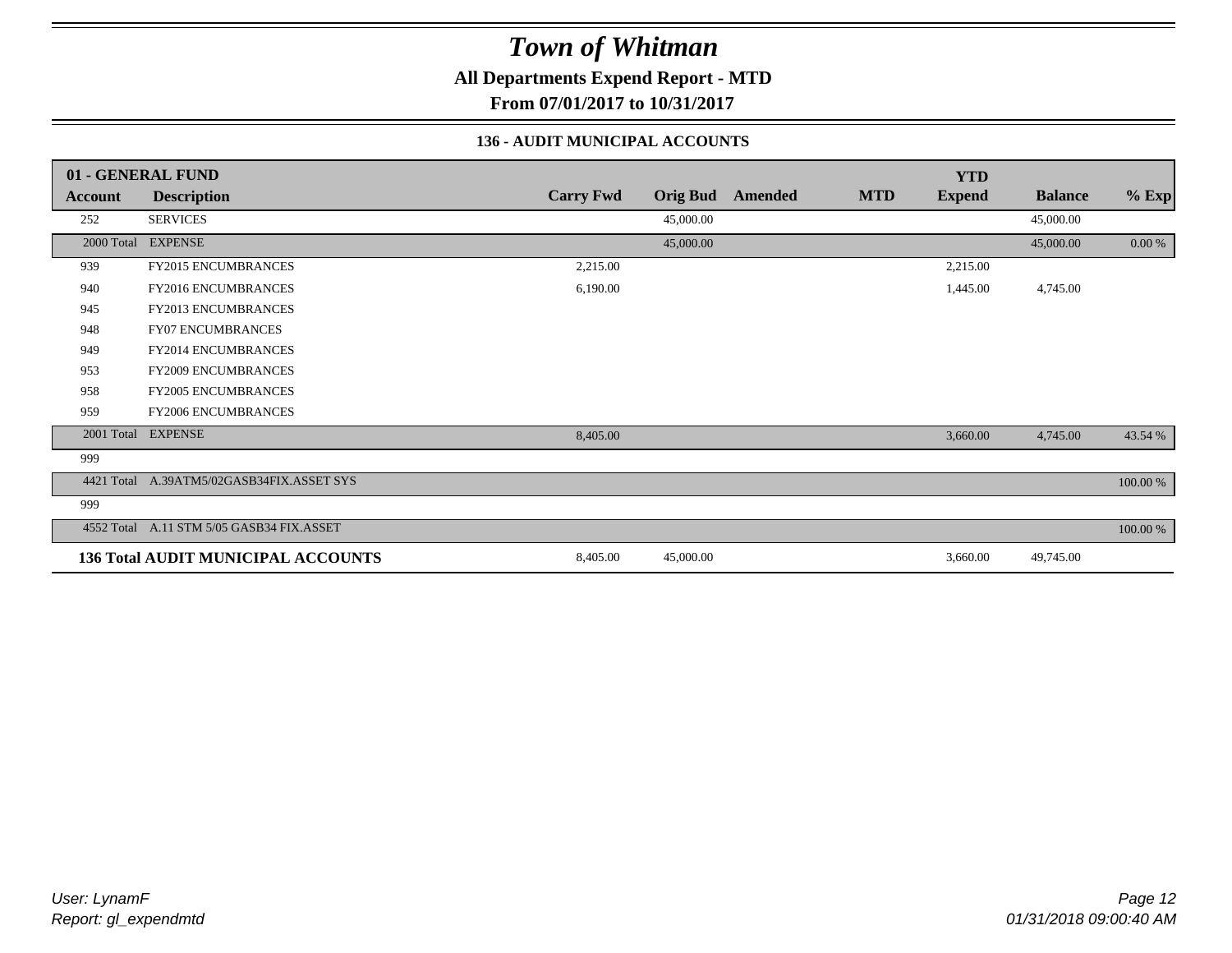**All Departments Expend Report - MTD**

**From 07/01/2017 to 10/31/2017**

#### **136 - AUDIT MUNICIPAL ACCOUNTS**

|            | 01 - GENERAL FUND                         |                  |                 |         |            | <b>YTD</b>    |                |            |
|------------|-------------------------------------------|------------------|-----------------|---------|------------|---------------|----------------|------------|
| Account    | <b>Description</b>                        | <b>Carry Fwd</b> | <b>Orig Bud</b> | Amended | <b>MTD</b> | <b>Expend</b> | <b>Balance</b> | $%$ Exp    |
| 252        | <b>SERVICES</b>                           |                  | 45,000.00       |         |            |               | 45,000.00      |            |
|            | 2000 Total EXPENSE                        |                  | 45,000.00       |         |            |               | 45,000.00      | $0.00\ \%$ |
| 939        | FY2015 ENCUMBRANCES                       | 2,215.00         |                 |         |            | 2,215.00      |                |            |
| 940        | <b>FY2016 ENCUMBRANCES</b>                | 6,190.00         |                 |         |            | 1,445.00      | 4,745.00       |            |
| 945        | <b>FY2013 ENCUMBRANCES</b>                |                  |                 |         |            |               |                |            |
| 948        | <b>FY07 ENCUMBRANCES</b>                  |                  |                 |         |            |               |                |            |
| 949        | <b>FY2014 ENCUMBRANCES</b>                |                  |                 |         |            |               |                |            |
| 953        | FY2009 ENCUMBRANCES                       |                  |                 |         |            |               |                |            |
| 958        | FY2005 ENCUMBRANCES                       |                  |                 |         |            |               |                |            |
| 959        | FY2006 ENCUMBRANCES                       |                  |                 |         |            |               |                |            |
|            | 2001 Total EXPENSE                        | 8,405.00         |                 |         |            | 3,660.00      | 4,745.00       | 43.54 %    |
| 999        |                                           |                  |                 |         |            |               |                |            |
| 4421 Total | A.39ATM5/02GASB34FIX.ASSET SYS            |                  |                 |         |            |               |                | 100.00 %   |
| 999        |                                           |                  |                 |         |            |               |                |            |
|            | 4552 Total A.11 STM 5/05 GASB34 FIX.ASSET |                  |                 |         |            |               |                | 100.00 %   |
|            | <b>136 Total AUDIT MUNICIPAL ACCOUNTS</b> | 8,405.00         | 45,000.00       |         |            | 3,660.00      | 49,745.00      |            |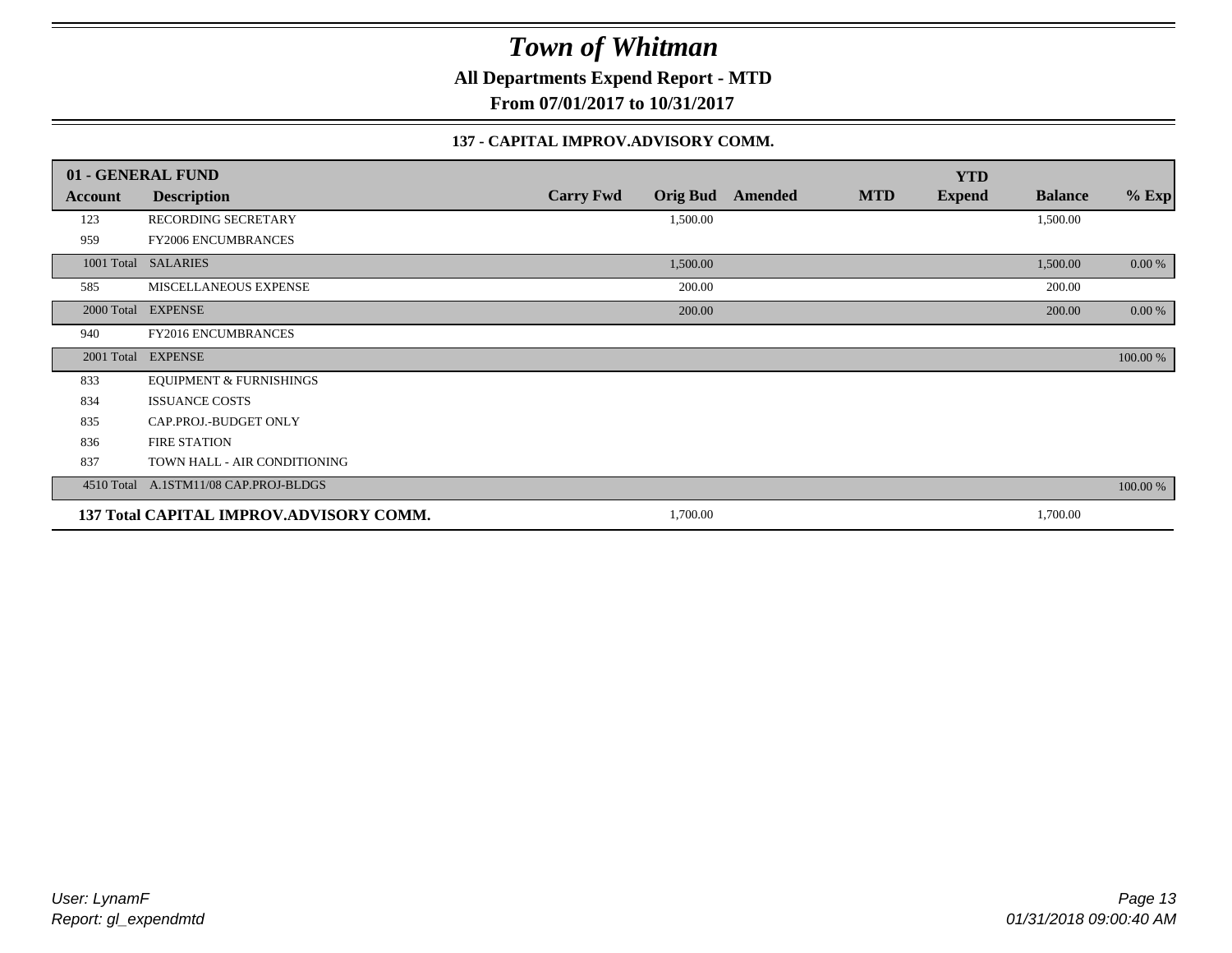**All Departments Expend Report - MTD**

**From 07/01/2017 to 10/31/2017**

#### **137 - CAPITAL IMPROV.ADVISORY COMM.**

|         | 01 - GENERAL FUND                       |                                     |         |            | <b>YTD</b>    |                |          |
|---------|-----------------------------------------|-------------------------------------|---------|------------|---------------|----------------|----------|
| Account | <b>Description</b>                      | <b>Carry Fwd</b><br><b>Orig Bud</b> | Amended | <b>MTD</b> | <b>Expend</b> | <b>Balance</b> | $%$ Exp  |
| 123     | RECORDING SECRETARY                     | 1,500.00                            |         |            |               | 1,500.00       |          |
| 959     | <b>FY2006 ENCUMBRANCES</b>              |                                     |         |            |               |                |          |
|         | 1001 Total SALARIES                     | 1,500.00                            |         |            |               | 1,500.00       | $0.00\%$ |
| 585     | MISCELLANEOUS EXPENSE                   | 200.00                              |         |            |               | 200.00         |          |
|         | 2000 Total EXPENSE                      | 200.00                              |         |            |               | 200.00         | $0.00\%$ |
| 940     | FY2016 ENCUMBRANCES                     |                                     |         |            |               |                |          |
|         | 2001 Total EXPENSE                      |                                     |         |            |               |                | 100.00 % |
| 833     | <b>EQUIPMENT &amp; FURNISHINGS</b>      |                                     |         |            |               |                |          |
| 834     | <b>ISSUANCE COSTS</b>                   |                                     |         |            |               |                |          |
| 835     | CAP.PROJ.-BUDGET ONLY                   |                                     |         |            |               |                |          |
| 836     | <b>FIRE STATION</b>                     |                                     |         |            |               |                |          |
| 837     | TOWN HALL - AIR CONDITIONING            |                                     |         |            |               |                |          |
|         | 4510 Total A.1STM11/08 CAP.PROJ-BLDGS   |                                     |         |            |               |                | 100.00 % |
|         | 137 Total CAPITAL IMPROV.ADVISORY COMM. | 1,700.00                            |         |            |               | 1,700.00       |          |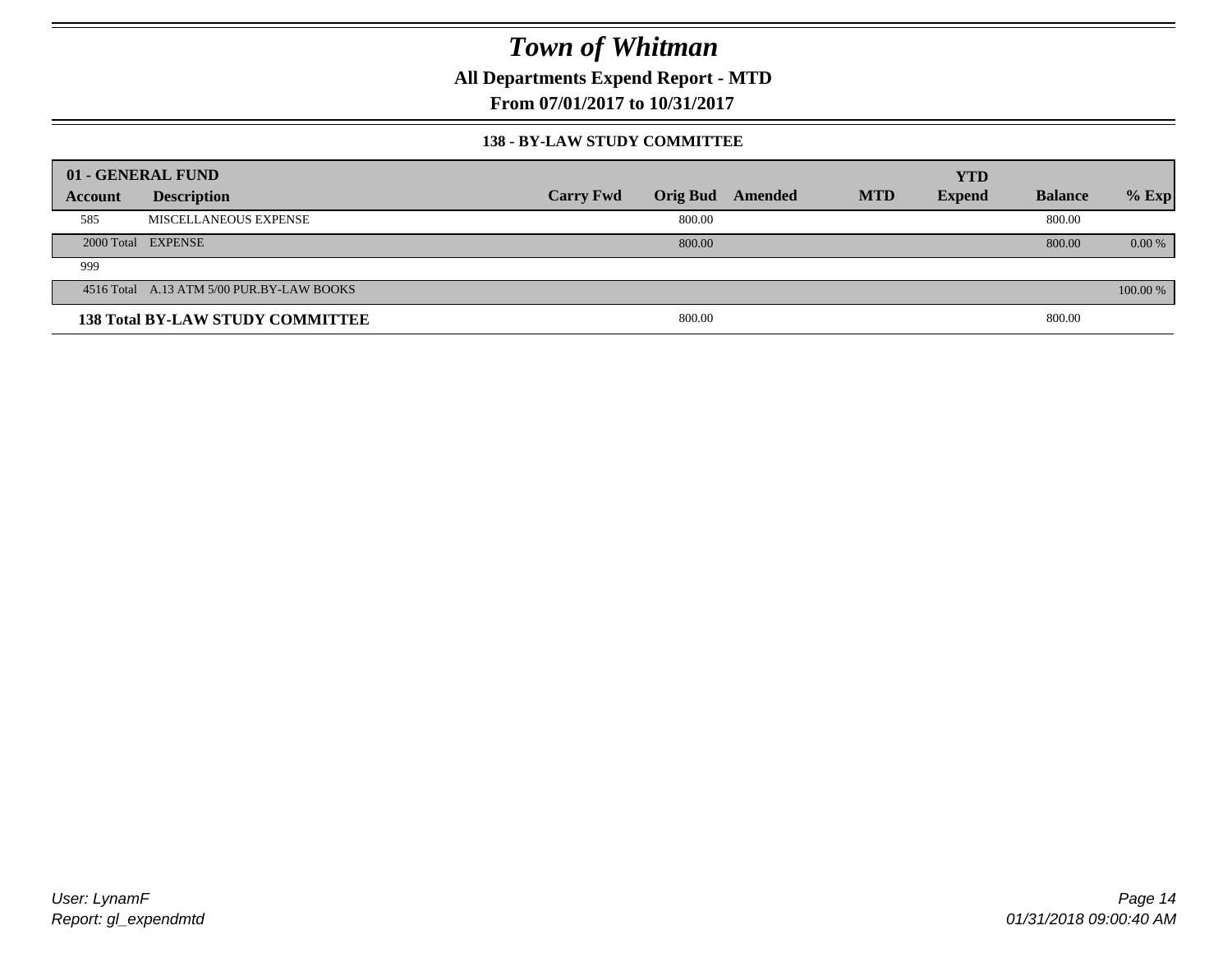**All Departments Expend Report - MTD**

**From 07/01/2017 to 10/31/2017**

#### **138 - BY-LAW STUDY COMMITTEE**

|         | 01 - GENERAL FUND                         |                  |        |                  |            | <b>YTD</b>    |                |          |
|---------|-------------------------------------------|------------------|--------|------------------|------------|---------------|----------------|----------|
| Account | <b>Description</b>                        | <b>Carry Fwd</b> |        | Orig Bud Amended | <b>MTD</b> | <b>Expend</b> | <b>Balance</b> | $%$ Exp  |
| 585     | MISCELLANEOUS EXPENSE                     |                  | 800.00 |                  |            |               | 800.00         |          |
|         | 2000 Total EXPENSE                        |                  | 800.00 |                  |            |               | 800.00         | $0.00\%$ |
| 999     |                                           |                  |        |                  |            |               |                |          |
|         | 4516 Total A.13 ATM 5/00 PUR.BY-LAW BOOKS |                  |        |                  |            |               |                | 100.00 % |
|         | <b>138 Total BY-LAW STUDY COMMITTEE</b>   |                  | 800.00 |                  |            |               | 800.00         |          |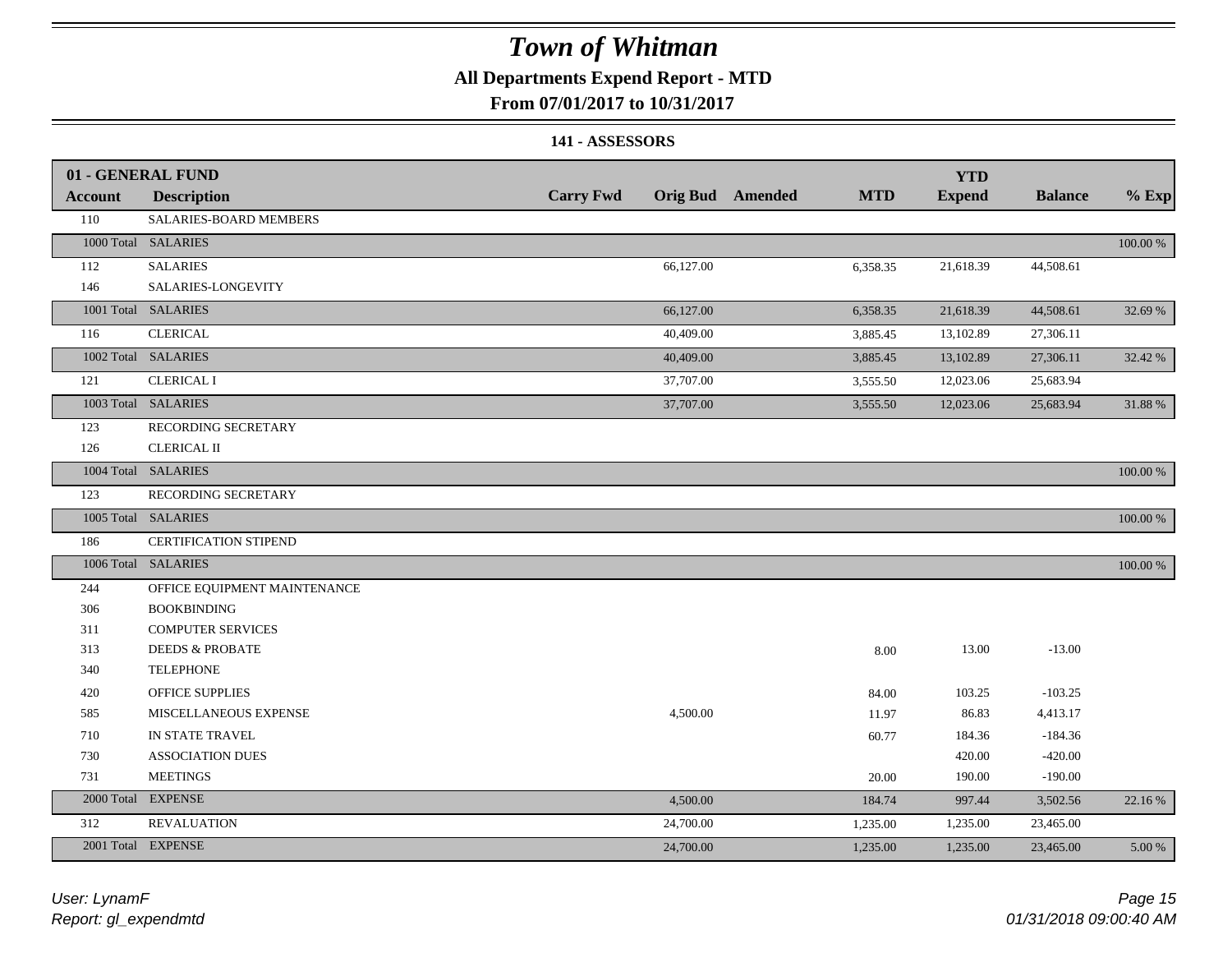#### **All Departments Expend Report - MTD**

#### **From 07/01/2017 to 10/31/2017**

#### **141 - ASSESSORS**

|                | 01 - GENERAL FUND            |                  |                         |            | <b>YTD</b>    |                |          |
|----------------|------------------------------|------------------|-------------------------|------------|---------------|----------------|----------|
| <b>Account</b> | <b>Description</b>           | <b>Carry Fwd</b> | <b>Orig Bud</b> Amended | <b>MTD</b> | <b>Expend</b> | <b>Balance</b> | $%$ Exp  |
| 110            | SALARIES-BOARD MEMBERS       |                  |                         |            |               |                |          |
|                | 1000 Total SALARIES          |                  |                         |            |               |                | 100.00 % |
| 112            | <b>SALARIES</b>              |                  | 66,127.00               | 6,358.35   | 21,618.39     | 44,508.61      |          |
| 146            | SALARIES-LONGEVITY           |                  |                         |            |               |                |          |
|                | 1001 Total SALARIES          |                  | 66,127.00               | 6,358.35   | 21,618.39     | 44,508.61      | 32.69 %  |
| 116            | <b>CLERICAL</b>              |                  | 40,409.00               | 3,885.45   | 13,102.89     | 27,306.11      |          |
|                | 1002 Total SALARIES          |                  | 40,409.00               | 3,885.45   | 13,102.89     | 27,306.11      | 32.42 %  |
| 121            | <b>CLERICAL I</b>            |                  | 37,707.00               | 3,555.50   | 12,023.06     | 25,683.94      |          |
|                | 1003 Total SALARIES          |                  | 37,707.00               | 3,555.50   | 12,023.06     | 25,683.94      | 31.88%   |
| 123            | RECORDING SECRETARY          |                  |                         |            |               |                |          |
| 126            | <b>CLERICAL II</b>           |                  |                         |            |               |                |          |
|                | 1004 Total SALARIES          |                  |                         |            |               |                | 100.00 % |
| 123            | RECORDING SECRETARY          |                  |                         |            |               |                |          |
|                | 1005 Total SALARIES          |                  |                         |            |               |                | 100.00 % |
| 186            | CERTIFICATION STIPEND        |                  |                         |            |               |                |          |
|                | 1006 Total SALARIES          |                  |                         |            |               |                | 100.00 % |
| 244            | OFFICE EQUIPMENT MAINTENANCE |                  |                         |            |               |                |          |
| 306            | <b>BOOKBINDING</b>           |                  |                         |            |               |                |          |
| 311            | <b>COMPUTER SERVICES</b>     |                  |                         |            |               |                |          |
| 313            | <b>DEEDS &amp; PROBATE</b>   |                  |                         | 8.00       | 13.00         | $-13.00$       |          |
| 340            | <b>TELEPHONE</b>             |                  |                         |            |               |                |          |
| 420            | OFFICE SUPPLIES              |                  |                         | 84.00      | 103.25        | $-103.25$      |          |
| 585            | MISCELLANEOUS EXPENSE        |                  | 4,500.00                | 11.97      | 86.83         | 4,413.17       |          |
| 710            | IN STATE TRAVEL              |                  |                         | 60.77      | 184.36        | $-184.36$      |          |
| 730            | <b>ASSOCIATION DUES</b>      |                  |                         |            | 420.00        | $-420.00$      |          |
| 731            | <b>MEETINGS</b>              |                  |                         | 20.00      | 190.00        | $-190.00$      |          |
| 2000 Total     | <b>EXPENSE</b>               |                  | 4,500.00                | 184.74     | 997.44        | 3,502.56       | 22.16 %  |
| 312            | <b>REVALUATION</b>           |                  | 24,700.00               | 1,235.00   | 1,235.00      | 23,465.00      |          |
|                | 2001 Total EXPENSE           |                  | 24,700.00               | 1,235.00   | 1,235.00      | 23,465.00      | 5.00 %   |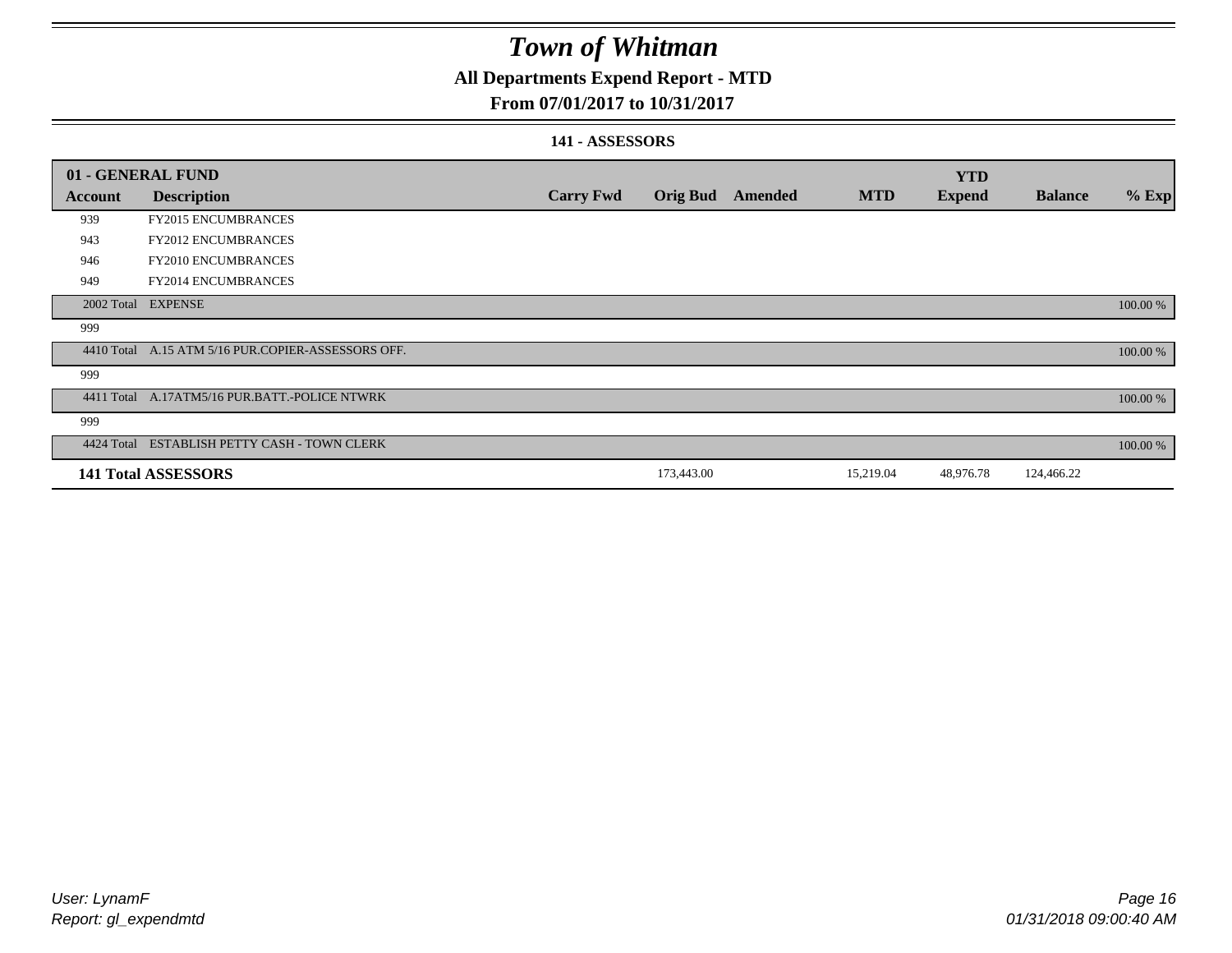### **All Departments Expend Report - MTD**

#### **From 07/01/2017 to 10/31/2017**

#### **141 - ASSESSORS**

| 01 - GENERAL FUND |                                                    |                  |                 |         |            | <b>YTD</b>    |                |          |
|-------------------|----------------------------------------------------|------------------|-----------------|---------|------------|---------------|----------------|----------|
| <b>Account</b>    | <b>Description</b>                                 | <b>Carry Fwd</b> | <b>Orig Bud</b> | Amended | <b>MTD</b> | <b>Expend</b> | <b>Balance</b> | $%$ Exp  |
| 939               | <b>FY2015 ENCUMBRANCES</b>                         |                  |                 |         |            |               |                |          |
| 943               | <b>FY2012 ENCUMBRANCES</b>                         |                  |                 |         |            |               |                |          |
| 946               | <b>FY2010 ENCUMBRANCES</b>                         |                  |                 |         |            |               |                |          |
| 949               | FY2014 ENCUMBRANCES                                |                  |                 |         |            |               |                |          |
|                   | 2002 Total EXPENSE                                 |                  |                 |         |            |               |                | 100.00 % |
| 999               |                                                    |                  |                 |         |            |               |                |          |
|                   | 4410 Total A.15 ATM 5/16 PUR.COPIER-ASSESSORS OFF. |                  |                 |         |            |               |                | 100.00 % |
| 999               |                                                    |                  |                 |         |            |               |                |          |
|                   | 4411 Total A.17ATM5/16 PUR.BATT.-POLICE NTWRK      |                  |                 |         |            |               |                | 100.00 % |
| 999               |                                                    |                  |                 |         |            |               |                |          |
|                   | 4424 Total ESTABLISH PETTY CASH - TOWN CLERK       |                  |                 |         |            |               |                | 100.00 % |
|                   | <b>141 Total ASSESSORS</b>                         |                  | 173,443.00      |         | 15,219.04  | 48,976.78     | 124,466.22     |          |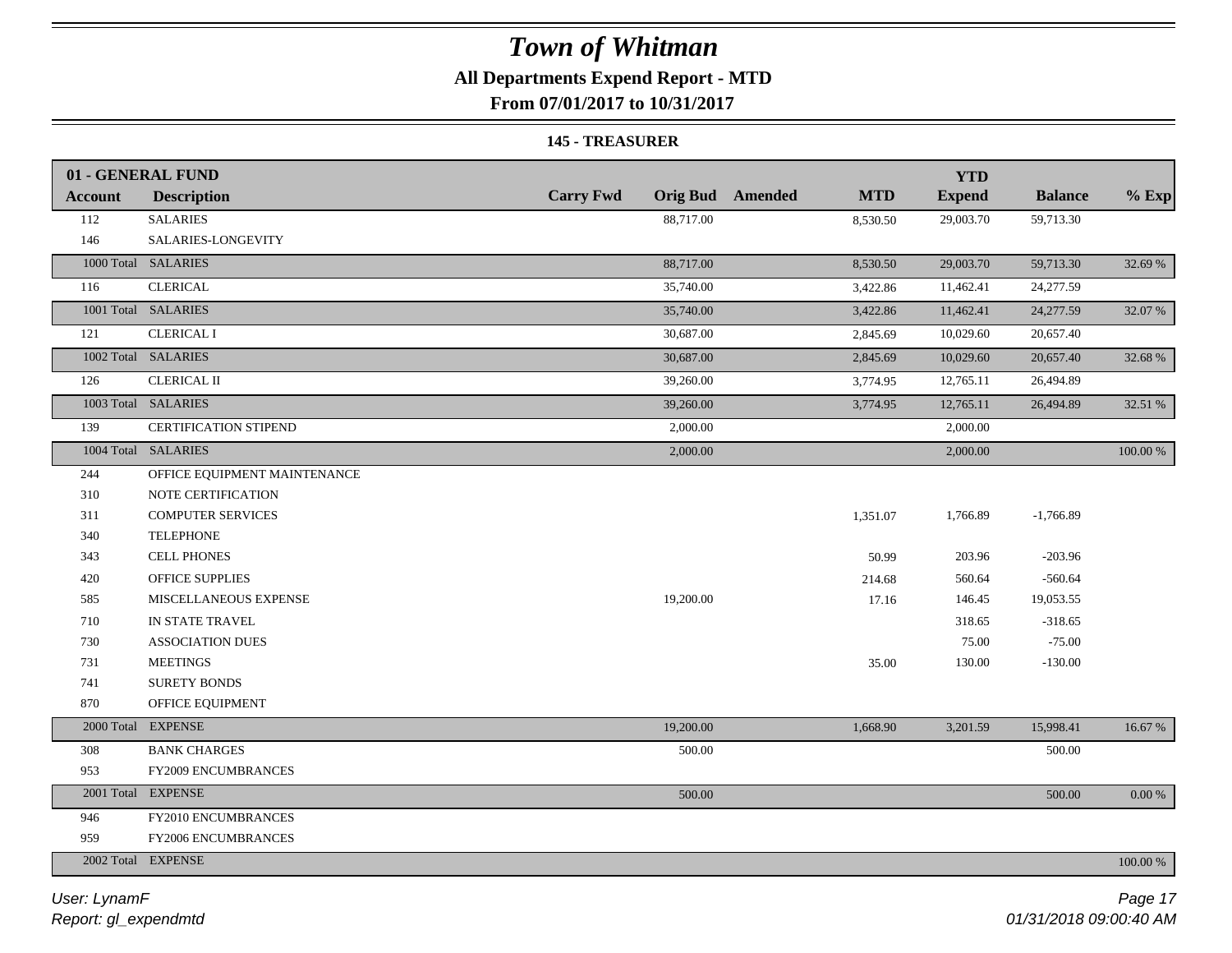### **All Departments Expend Report - MTD**

**From 07/01/2017 to 10/31/2017**

#### **145 - TREASURER**

|                | 01 - GENERAL FUND            |                  |                                       | <b>YTD</b>    |                |          |
|----------------|------------------------------|------------------|---------------------------------------|---------------|----------------|----------|
| <b>Account</b> | <b>Description</b>           | <b>Carry Fwd</b> | <b>Orig Bud</b> Amended<br><b>MTD</b> | <b>Expend</b> | <b>Balance</b> | $%$ Exp  |
| 112            | <b>SALARIES</b>              | 88,717.00        | 8,530.50                              | 29,003.70     | 59,713.30      |          |
| 146            | SALARIES-LONGEVITY           |                  |                                       |               |                |          |
|                | 1000 Total SALARIES          | 88,717.00        | 8,530.50                              | 29,003.70     | 59,713.30      | 32.69 %  |
| 116            | <b>CLERICAL</b>              | 35,740.00        | 3,422.86                              | 11,462.41     | 24,277.59      |          |
|                | 1001 Total SALARIES          | 35,740.00        | 3,422.86                              | 11,462.41     | 24,277.59      | 32.07 %  |
| 121            | <b>CLERICAL I</b>            | 30,687.00        | 2,845.69                              | 10,029.60     | 20,657.40      |          |
|                | 1002 Total SALARIES          | 30,687.00        | 2,845.69                              | 10,029.60     | 20,657.40      | 32.68 %  |
| 126            | <b>CLERICAL II</b>           | 39,260.00        | 3,774.95                              | 12,765.11     | 26,494.89      |          |
|                | 1003 Total SALARIES          | 39,260.00        | 3,774.95                              | 12,765.11     | 26,494.89      | 32.51 %  |
| 139            | <b>CERTIFICATION STIPEND</b> | 2,000.00         |                                       | 2,000.00      |                |          |
|                | 1004 Total SALARIES          | 2,000.00         |                                       | 2,000.00      |                | 100.00 % |
| 244            | OFFICE EQUIPMENT MAINTENANCE |                  |                                       |               |                |          |
| 310            | NOTE CERTIFICATION           |                  |                                       |               |                |          |
| 311            | <b>COMPUTER SERVICES</b>     |                  | 1,351.07                              | 1,766.89      | $-1,766.89$    |          |
| 340            | <b>TELEPHONE</b>             |                  |                                       |               |                |          |
| 343            | <b>CELL PHONES</b>           |                  | 50.99                                 | 203.96        | $-203.96$      |          |
| 420            | OFFICE SUPPLIES              |                  | 214.68                                | 560.64        | $-560.64$      |          |
| 585            | MISCELLANEOUS EXPENSE        | 19,200.00        | 17.16                                 | 146.45        | 19,053.55      |          |
| 710            | IN STATE TRAVEL              |                  |                                       | 318.65        | $-318.65$      |          |
| 730            | <b>ASSOCIATION DUES</b>      |                  |                                       | 75.00         | $-75.00$       |          |
| 731            | <b>MEETINGS</b>              |                  | 35.00                                 | 130.00        | $-130.00$      |          |
| 741            | <b>SURETY BONDS</b>          |                  |                                       |               |                |          |
| 870            | OFFICE EQUIPMENT             |                  |                                       |               |                |          |
|                | 2000 Total EXPENSE           | 19,200.00        | 1,668.90                              | 3,201.59      | 15,998.41      | 16.67 %  |
| 308            | <b>BANK CHARGES</b>          | 500.00           |                                       |               | 500.00         |          |
| 953            | FY2009 ENCUMBRANCES          |                  |                                       |               |                |          |
|                | 2001 Total EXPENSE           | 500.00           |                                       |               | 500.00         | 0.00 %   |
| 946            | FY2010 ENCUMBRANCES          |                  |                                       |               |                |          |
| 959            | FY2006 ENCUMBRANCES          |                  |                                       |               |                |          |
|                | 2002 Total EXPENSE           |                  |                                       |               |                | 100.00 % |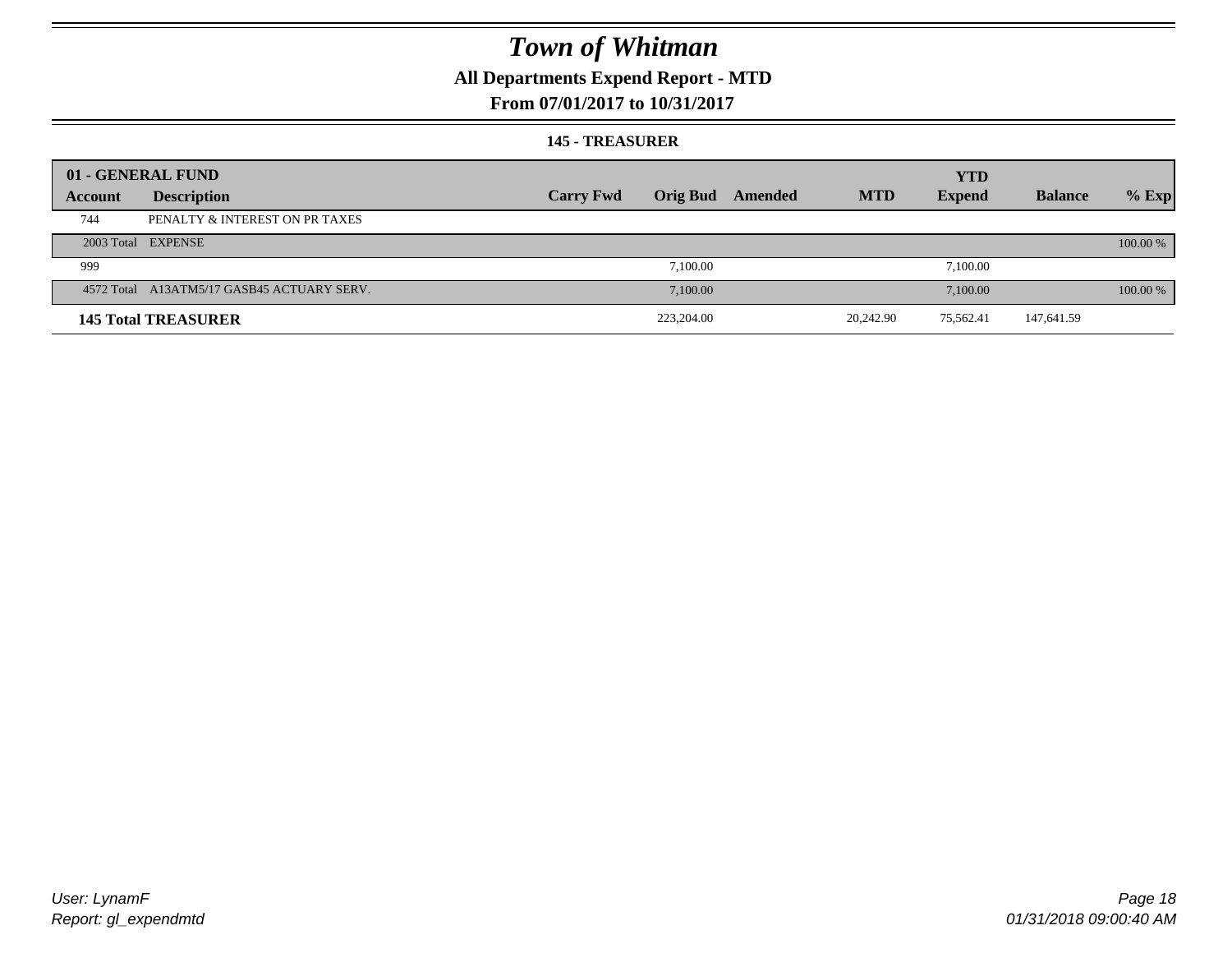### **All Departments Expend Report - MTD**

#### **From 07/01/2017 to 10/31/2017**

#### **145 - TREASURER**

|         | 01 - GENERAL FUND                          |                  |                 |         |            | <b>YTD</b>    |                |          |
|---------|--------------------------------------------|------------------|-----------------|---------|------------|---------------|----------------|----------|
| Account | <b>Description</b>                         | <b>Carry Fwd</b> | <b>Orig Bud</b> | Amended | <b>MTD</b> | <b>Expend</b> | <b>Balance</b> | $%$ Exp  |
| 744     | PENALTY & INTEREST ON PR TAXES             |                  |                 |         |            |               |                |          |
|         | 2003 Total EXPENSE                         |                  |                 |         |            |               |                | 100.00 % |
| 999     |                                            |                  | 7.100.00        |         |            | 7,100.00      |                |          |
|         | 4572 Total A13ATM5/17 GASB45 ACTUARY SERV. |                  | 7.100.00        |         |            | 7,100.00      |                | 100.00 % |
|         | <b>145 Total TREASURER</b>                 |                  | 223,204.00      |         | 20,242.90  | 75.562.41     | 147,641.59     |          |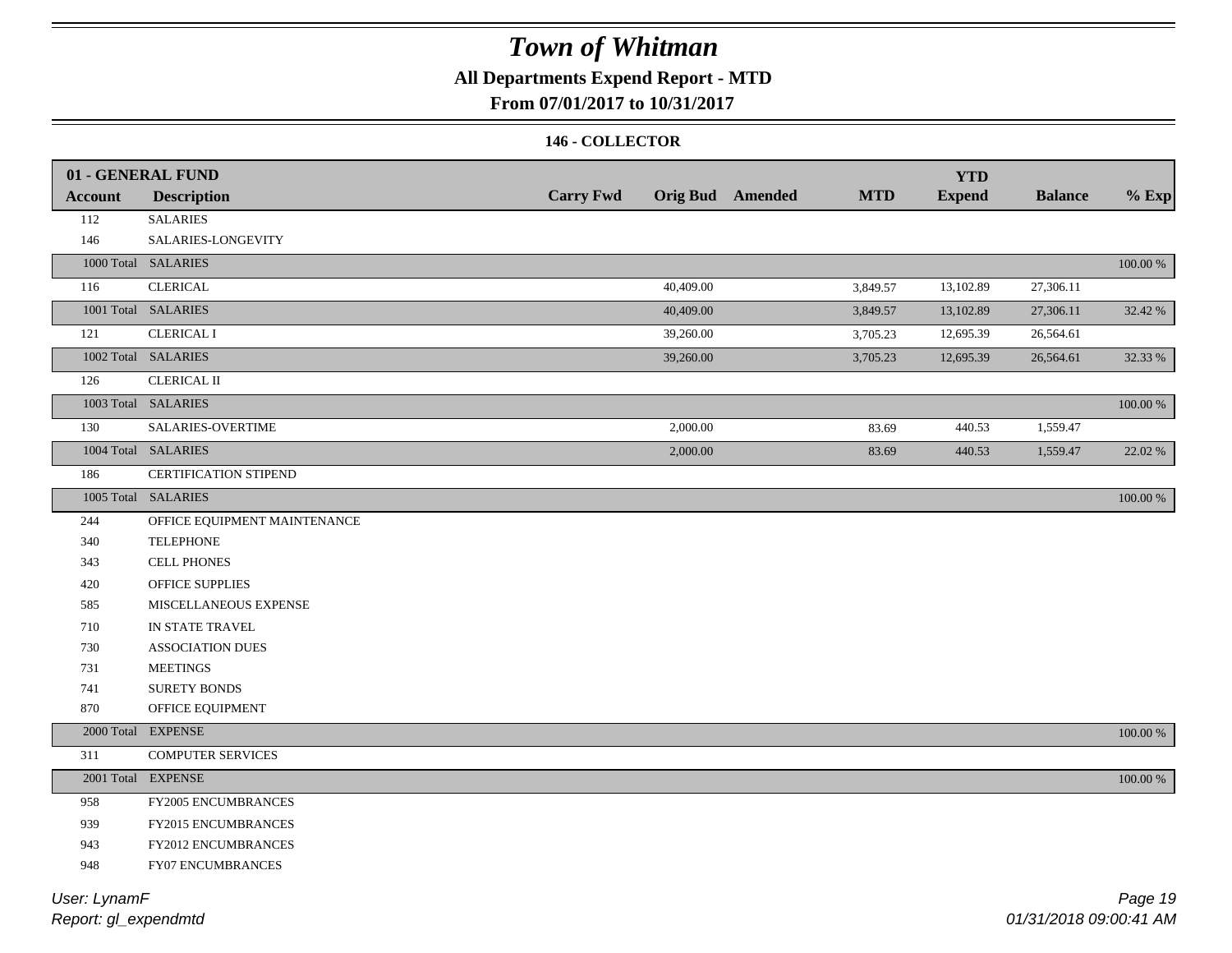### **All Departments Expend Report - MTD**

#### **From 07/01/2017 to 10/31/2017**

#### **146 - COLLECTOR**

| <b>Account</b> | 01 - GENERAL FUND<br><b>Description</b> | <b>Carry Fwd</b> |          | <b>Orig Bud</b> Amended | <b>MTD</b> | <b>YTD</b><br><b>Expend</b> | <b>Balance</b> | $%$ Exp     |
|----------------|-----------------------------------------|------------------|----------|-------------------------|------------|-----------------------------|----------------|-------------|
| 112            | <b>SALARIES</b>                         |                  |          |                         |            |                             |                |             |
| 146            | SALARIES-LONGEVITY                      |                  |          |                         |            |                             |                |             |
|                | 1000 Total SALARIES                     |                  |          |                         |            |                             |                | $100.00~\%$ |
| 116            | <b>CLERICAL</b>                         | 40,409.00        |          |                         |            | 13,102.89                   | 27,306.11      |             |
|                | 1001 Total SALARIES                     |                  |          |                         | 3,849.57   |                             |                |             |
|                |                                         | 40,409.00        |          |                         | 3,849.57   | 13,102.89                   | 27,306.11      | 32.42 %     |
| 121            | <b>CLERICAL I</b>                       | 39,260.00        |          |                         | 3,705.23   | 12,695.39                   | 26,564.61      |             |
|                | 1002 Total SALARIES                     | 39,260.00        |          |                         | 3,705.23   | 12,695.39                   | 26,564.61      | 32.33 %     |
| 126            | <b>CLERICAL II</b>                      |                  |          |                         |            |                             |                |             |
|                | 1003 Total SALARIES                     |                  |          |                         |            |                             |                | 100.00 %    |
| 130            | SALARIES-OVERTIME                       | 2,000.00         |          |                         | 83.69      | 440.53                      | 1,559.47       |             |
|                | 1004 Total SALARIES                     |                  | 2,000.00 |                         | 83.69      | 440.53                      | 1,559.47       | 22.02 %     |
| 186            | <b>CERTIFICATION STIPEND</b>            |                  |          |                         |            |                             |                |             |
|                | 1005 Total SALARIES                     |                  |          |                         |            |                             |                | 100.00 %    |
| 244            | OFFICE EQUIPMENT MAINTENANCE            |                  |          |                         |            |                             |                |             |
| 340            | <b>TELEPHONE</b>                        |                  |          |                         |            |                             |                |             |
| 343            | <b>CELL PHONES</b>                      |                  |          |                         |            |                             |                |             |
| 420            | OFFICE SUPPLIES                         |                  |          |                         |            |                             |                |             |
| 585            | MISCELLANEOUS EXPENSE                   |                  |          |                         |            |                             |                |             |
| 710            | IN STATE TRAVEL                         |                  |          |                         |            |                             |                |             |
| 730            | <b>ASSOCIATION DUES</b>                 |                  |          |                         |            |                             |                |             |
| 731            | <b>MEETINGS</b>                         |                  |          |                         |            |                             |                |             |
| 741            | <b>SURETY BONDS</b>                     |                  |          |                         |            |                             |                |             |
| 870            | OFFICE EQUIPMENT                        |                  |          |                         |            |                             |                |             |
|                | 2000 Total EXPENSE                      |                  |          |                         |            |                             |                | 100.00 %    |
| 311            | <b>COMPUTER SERVICES</b>                |                  |          |                         |            |                             |                |             |
|                | 2001 Total EXPENSE                      |                  |          |                         |            |                             |                | $100.00~\%$ |
| 958            | FY2005 ENCUMBRANCES                     |                  |          |                         |            |                             |                |             |
| 939            | FY2015 ENCUMBRANCES                     |                  |          |                         |            |                             |                |             |
| 943            | <b>FY2012 ENCUMBRANCES</b>              |                  |          |                         |            |                             |                |             |
| 948            | FY07 ENCUMBRANCES                       |                  |          |                         |            |                             |                |             |
|                |                                         |                  |          |                         |            |                             |                |             |

*Report: gl\_expendmtd User: LynamF*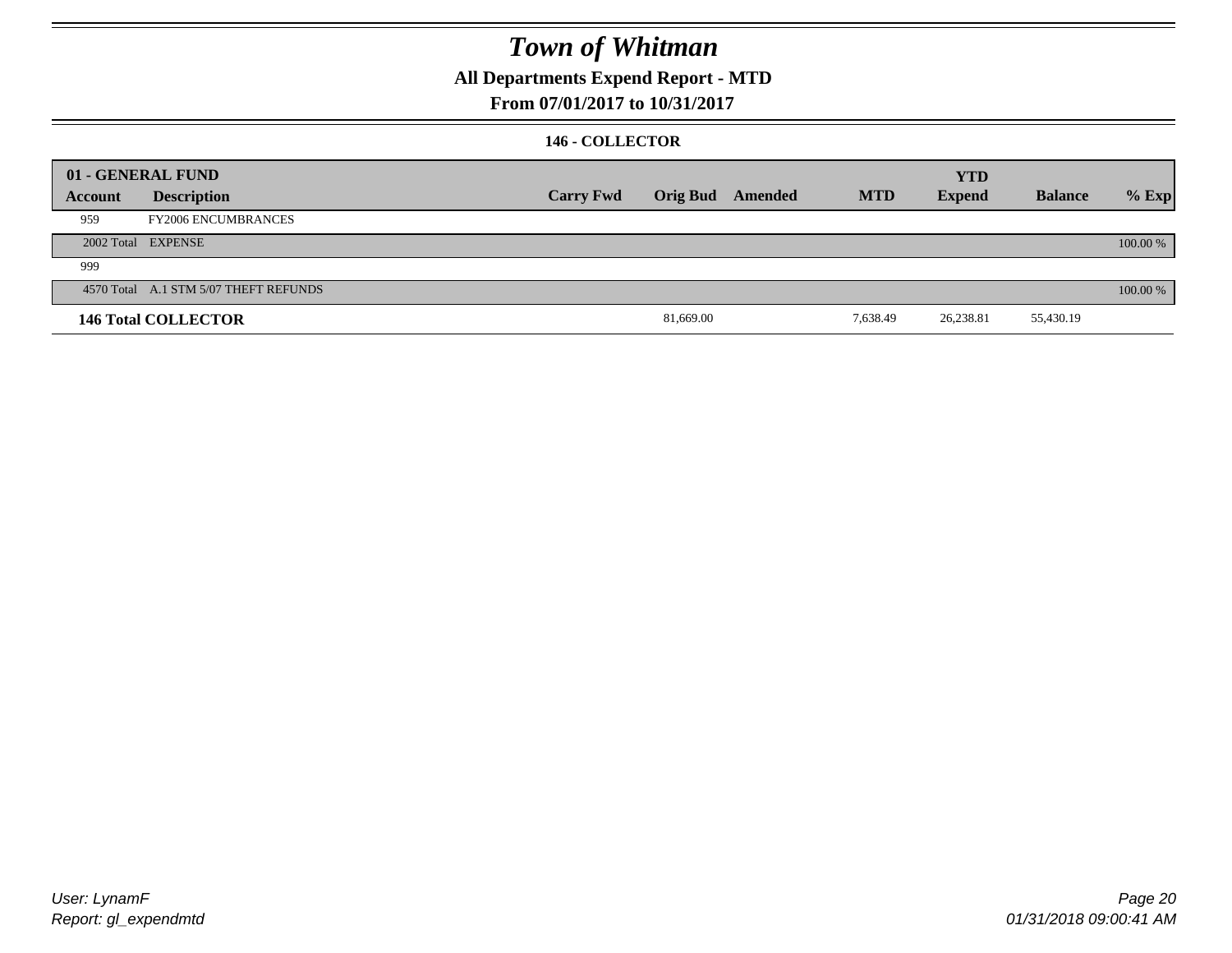### **All Departments Expend Report - MTD**

#### **From 07/01/2017 to 10/31/2017**

#### **146 - COLLECTOR**

|         | 01 - GENERAL FUND                     |                  |           |                         |            | <b>YTD</b>    |                |          |
|---------|---------------------------------------|------------------|-----------|-------------------------|------------|---------------|----------------|----------|
| Account | <b>Description</b>                    | <b>Carry Fwd</b> |           | <b>Orig Bud</b> Amended | <b>MTD</b> | <b>Expend</b> | <b>Balance</b> | $%$ Exp  |
| 959     | <b>FY2006 ENCUMBRANCES</b>            |                  |           |                         |            |               |                |          |
|         | 2002 Total EXPENSE                    |                  |           |                         |            |               |                | 100.00 % |
| 999     |                                       |                  |           |                         |            |               |                |          |
|         | 4570 Total A.1 STM 5/07 THEFT REFUNDS |                  |           |                         |            |               |                | 100.00 % |
|         | <b>146 Total COLLECTOR</b>            |                  | 81,669.00 |                         | 7,638.49   | 26,238.81     | 55,430.19      |          |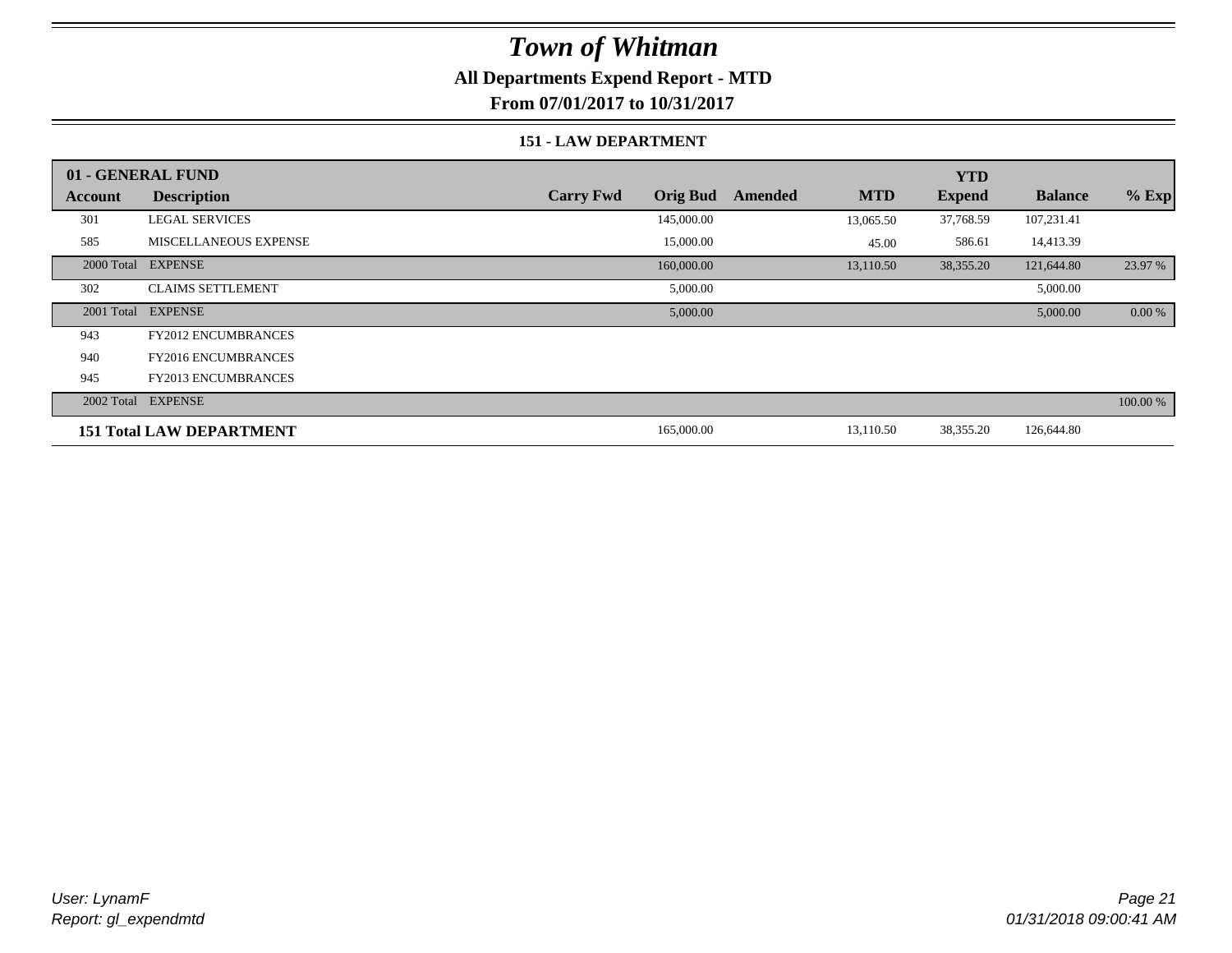#### **All Departments Expend Report - MTD**

**From 07/01/2017 to 10/31/2017**

#### **151 - LAW DEPARTMENT**

|         | 01 - GENERAL FUND               |                                     |                       | <b>YTD</b>    |                |           |
|---------|---------------------------------|-------------------------------------|-----------------------|---------------|----------------|-----------|
| Account | <b>Description</b>              | <b>Orig Bud</b><br><b>Carry Fwd</b> | <b>MTD</b><br>Amended | <b>Expend</b> | <b>Balance</b> | $%$ Exp   |
| 301     | <b>LEGAL SERVICES</b>           | 145,000.00                          | 13,065.50             | 37,768.59     | 107,231.41     |           |
| 585     | <b>MISCELLANEOUS EXPENSE</b>    | 15,000.00                           | 45.00                 | 586.61        | 14,413.39      |           |
|         | 2000 Total EXPENSE              | 160,000.00                          | 13,110.50             | 38,355.20     | 121,644.80     | 23.97 %   |
| 302     | <b>CLAIMS SETTLEMENT</b>        | 5,000.00                            |                       |               | 5,000.00       |           |
|         | 2001 Total EXPENSE              | 5,000.00                            |                       |               | 5,000.00       | $0.00 \%$ |
| 943     | <b>FY2012 ENCUMBRANCES</b>      |                                     |                       |               |                |           |
| 940     | <b>FY2016 ENCUMBRANCES</b>      |                                     |                       |               |                |           |
| 945     | <b>FY2013 ENCUMBRANCES</b>      |                                     |                       |               |                |           |
|         | 2002 Total EXPENSE              |                                     |                       |               |                | 100.00 %  |
|         | <b>151 Total LAW DEPARTMENT</b> | 165,000.00                          | 13,110.50             | 38,355.20     | 126,644.80     |           |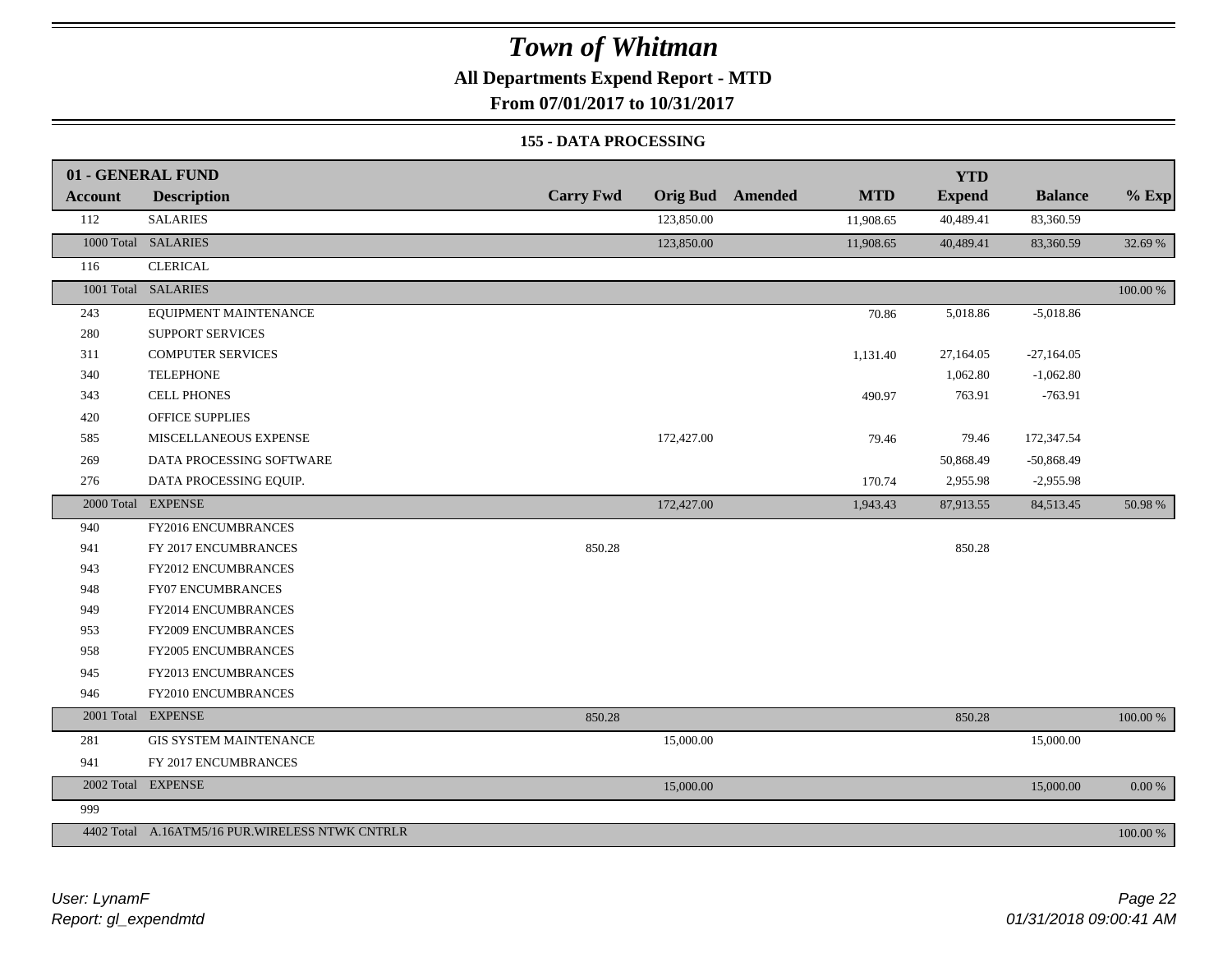#### **All Departments Expend Report - MTD**

**From 07/01/2017 to 10/31/2017**

#### **155 - DATA PROCESSING**

|                | 01 - GENERAL FUND                                |                  |            |                         |            | <b>YTD</b>    |                |             |
|----------------|--------------------------------------------------|------------------|------------|-------------------------|------------|---------------|----------------|-------------|
| <b>Account</b> | <b>Description</b>                               | <b>Carry Fwd</b> |            | <b>Orig Bud</b> Amended | <b>MTD</b> | <b>Expend</b> | <b>Balance</b> | $%$ Exp     |
| 112            | <b>SALARIES</b>                                  |                  | 123,850.00 |                         | 11,908.65  | 40,489.41     | 83,360.59      |             |
|                | 1000 Total SALARIES                              |                  | 123,850.00 |                         | 11,908.65  | 40,489.41     | 83,360.59      | 32.69 %     |
| 116            | <b>CLERICAL</b>                                  |                  |            |                         |            |               |                |             |
|                | 1001 Total SALARIES                              |                  |            |                         |            |               |                | $100.00~\%$ |
| 243            | EQUIPMENT MAINTENANCE                            |                  |            |                         | 70.86      | 5,018.86      | $-5,018.86$    |             |
| 280            | <b>SUPPORT SERVICES</b>                          |                  |            |                         |            |               |                |             |
| 311            | <b>COMPUTER SERVICES</b>                         |                  |            |                         | 1,131.40   | 27,164.05     | $-27,164.05$   |             |
| 340            | <b>TELEPHONE</b>                                 |                  |            |                         |            | 1,062.80      | $-1,062.80$    |             |
| 343            | <b>CELL PHONES</b>                               |                  |            |                         | 490.97     | 763.91        | $-763.91$      |             |
| 420            | <b>OFFICE SUPPLIES</b>                           |                  |            |                         |            |               |                |             |
| 585            | MISCELLANEOUS EXPENSE                            |                  | 172,427.00 |                         | 79.46      | 79.46         | 172,347.54     |             |
| 269            | DATA PROCESSING SOFTWARE                         |                  |            |                         |            | 50,868.49     | $-50,868.49$   |             |
| 276            | DATA PROCESSING EQUIP.                           |                  |            |                         | 170.74     | 2,955.98      | $-2,955.98$    |             |
|                | 2000 Total EXPENSE                               |                  | 172,427.00 |                         | 1,943.43   | 87,913.55     | 84,513.45      | 50.98 %     |
| 940            | FY2016 ENCUMBRANCES                              |                  |            |                         |            |               |                |             |
| 941            | FY 2017 ENCUMBRANCES                             | 850.28           |            |                         |            | 850.28        |                |             |
| 943            | <b>FY2012 ENCUMBRANCES</b>                       |                  |            |                         |            |               |                |             |
| 948            | <b>FY07 ENCUMBRANCES</b>                         |                  |            |                         |            |               |                |             |
| 949            | FY2014 ENCUMBRANCES                              |                  |            |                         |            |               |                |             |
| 953            | FY2009 ENCUMBRANCES                              |                  |            |                         |            |               |                |             |
| 958            | FY2005 ENCUMBRANCES                              |                  |            |                         |            |               |                |             |
| 945            | FY2013 ENCUMBRANCES                              |                  |            |                         |            |               |                |             |
| 946            | FY2010 ENCUMBRANCES                              |                  |            |                         |            |               |                |             |
|                | 2001 Total EXPENSE                               | 850.28           |            |                         |            | 850.28        |                | 100.00 %    |
| 281            | <b>GIS SYSTEM MAINTENANCE</b>                    |                  | 15,000.00  |                         |            |               | 15,000.00      |             |
| 941            | FY 2017 ENCUMBRANCES                             |                  |            |                         |            |               |                |             |
|                | 2002 Total EXPENSE                               |                  | 15,000.00  |                         |            |               | 15,000.00      | $0.00\,\%$  |
| 999            |                                                  |                  |            |                         |            |               |                |             |
|                | 4402 Total A.16ATM5/16 PUR. WIRELESS NTWK CNTRLR |                  |            |                         |            |               |                | $100.00~\%$ |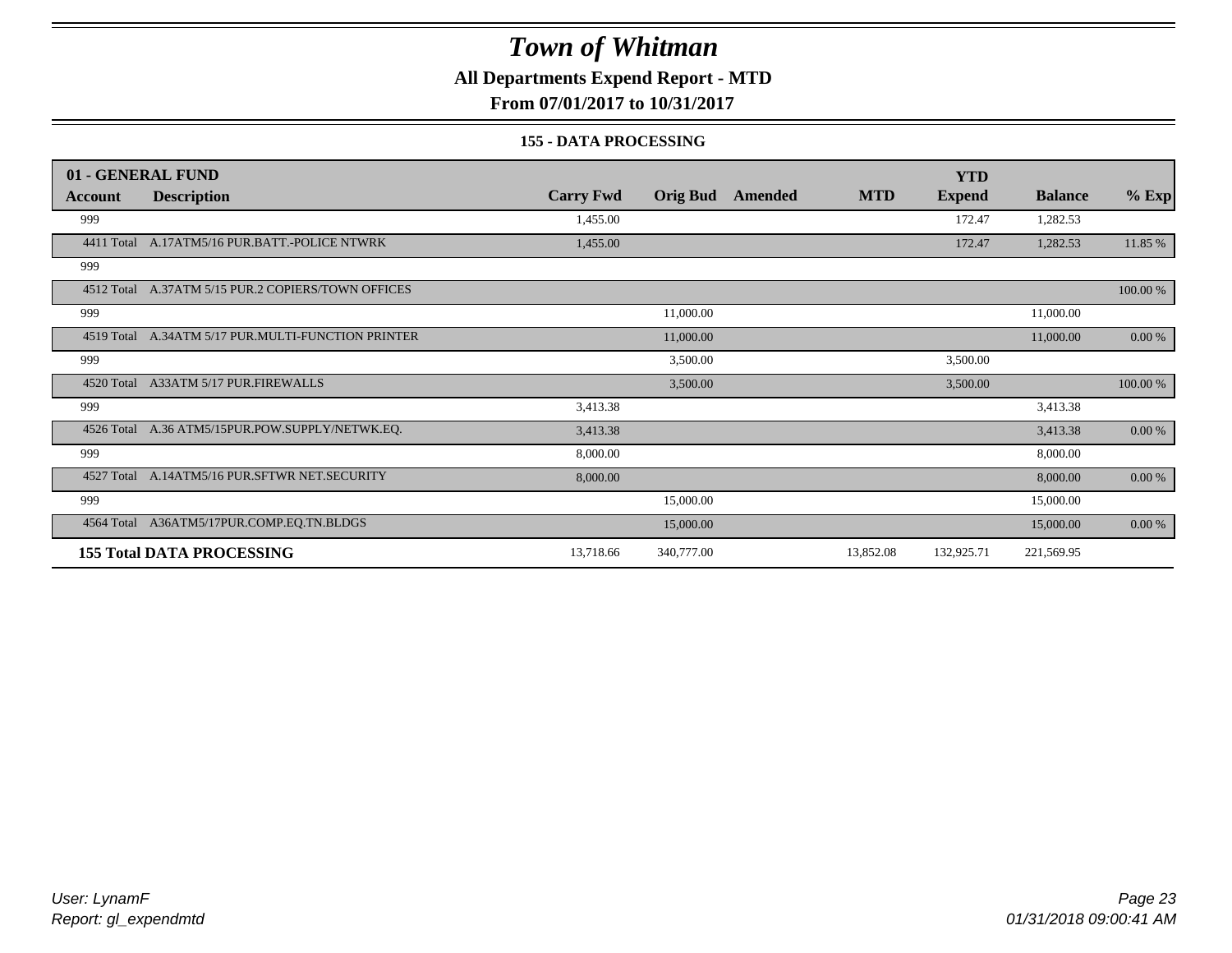#### **All Departments Expend Report - MTD**

**From 07/01/2017 to 10/31/2017**

#### **155 - DATA PROCESSING**

|                | 01 - GENERAL FUND                                  |                  |                 |         |            | <b>YTD</b>    |                |          |
|----------------|----------------------------------------------------|------------------|-----------------|---------|------------|---------------|----------------|----------|
| <b>Account</b> | <b>Description</b>                                 | <b>Carry Fwd</b> | <b>Orig Bud</b> | Amended | <b>MTD</b> | <b>Expend</b> | <b>Balance</b> | $%$ Exp  |
| 999            |                                                    | 1,455.00         |                 |         |            | 172.47        | 1,282.53       |          |
|                | 4411 Total A.17ATM5/16 PUR.BATT.-POLICE NTWRK      | 1,455.00         |                 |         |            | 172.47        | 1,282.53       | 11.85 %  |
| 999            |                                                    |                  |                 |         |            |               |                |          |
|                | 4512 Total A.37ATM 5/15 PUR.2 COPIERS/TOWN OFFICES |                  |                 |         |            |               |                | 100.00 % |
| 999            |                                                    |                  | 11,000.00       |         |            |               | 11,000.00      |          |
| 4519 Total     | A.34ATM 5/17 PUR.MULTI-FUNCTION PRINTER            |                  | 11,000.00       |         |            |               | 11,000.00      | 0.00 %   |
| 999            |                                                    |                  | 3,500.00        |         |            | 3,500.00      |                |          |
|                | 4520 Total A33ATM 5/17 PUR.FIREWALLS               |                  | 3,500.00        |         |            | 3,500.00      |                | 100.00 % |
| 999            |                                                    | 3,413.38         |                 |         |            |               | 3,413.38       |          |
|                | 4526 Total A.36 ATM5/15PUR.POW.SUPPLY/NETWK.EQ.    | 3,413.38         |                 |         |            |               | 3,413.38       | $0.00\%$ |
| 999            |                                                    | 8,000.00         |                 |         |            |               | 8,000.00       |          |
| 4527 Total     | A.14ATM5/16 PUR.SFTWR NET.SECURITY                 | 8,000.00         |                 |         |            |               | 8,000.00       | 0.00 %   |
| 999            |                                                    |                  | 15,000.00       |         |            |               | 15,000.00      |          |
| 4564 Total     | A36ATM5/17PUR.COMP.EQ.TN.BLDGS                     |                  | 15,000.00       |         |            |               | 15,000.00      | 0.00 %   |
|                | <b>155 Total DATA PROCESSING</b>                   | 13,718.66        | 340,777.00      |         | 13,852.08  | 132,925.71    | 221,569.95     |          |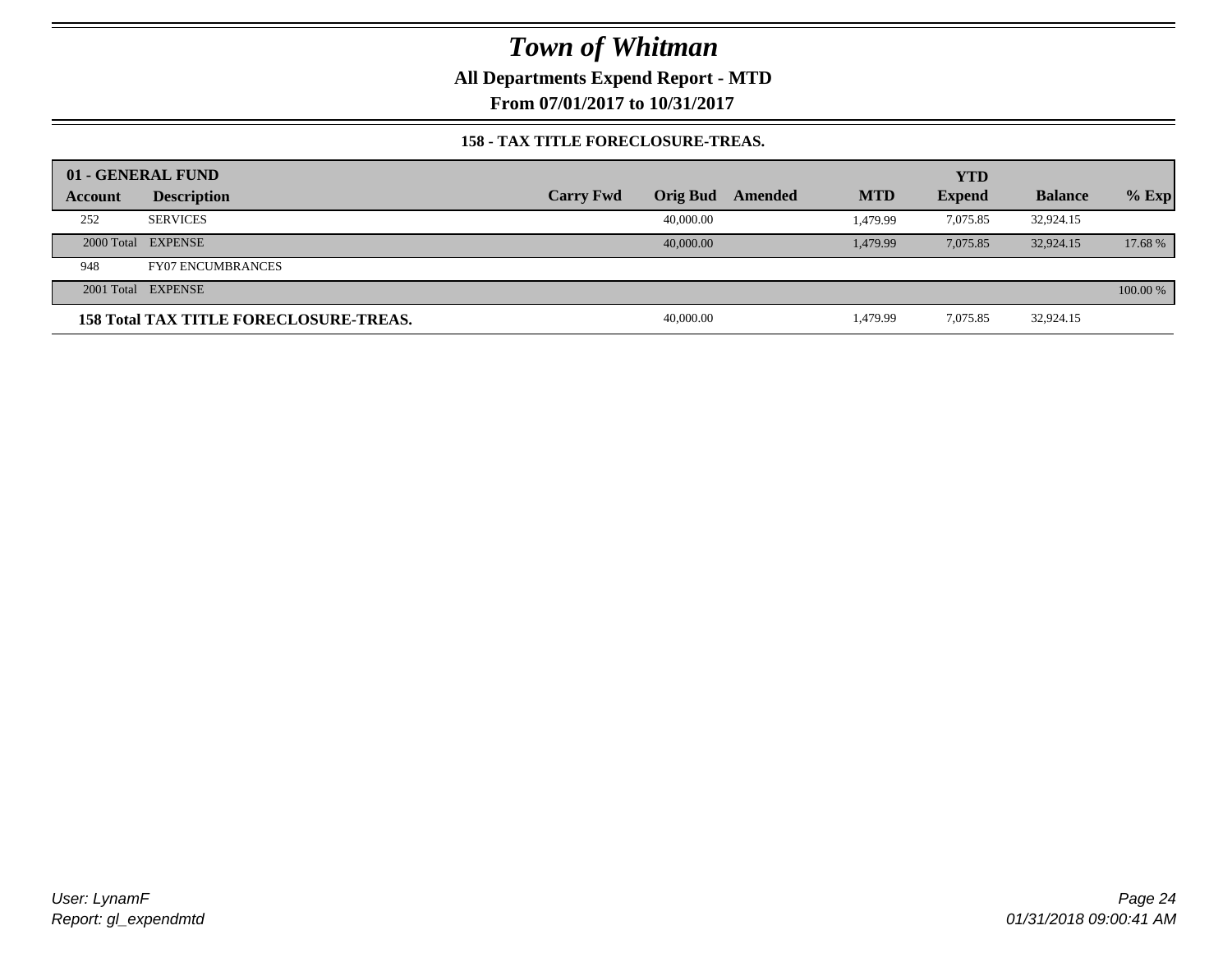**All Departments Expend Report - MTD**

**From 07/01/2017 to 10/31/2017**

#### **158 - TAX TITLE FORECLOSURE-TREAS.**

|         | 01 - GENERAL FUND                             |                  |           |         |            | <b>YTD</b>    |                |          |
|---------|-----------------------------------------------|------------------|-----------|---------|------------|---------------|----------------|----------|
| Account | <b>Description</b>                            | <b>Carry Fwd</b> | Orig Bud  | Amended | <b>MTD</b> | <b>Expend</b> | <b>Balance</b> | $%$ Exp  |
| 252     | <b>SERVICES</b>                               |                  | 40,000.00 |         | 1.479.99   | 7.075.85      | 32,924.15      |          |
|         | 2000 Total EXPENSE                            |                  | 40,000,00 |         | 1.479.99   | 7.075.85      | 32,924.15      | 17.68 %  |
| 948     | <b>FY07 ENCUMBRANCES</b>                      |                  |           |         |            |               |                |          |
|         | 2001 Total EXPENSE                            |                  |           |         |            |               |                | 100.00 % |
|         | <b>158 Total TAX TITLE FORECLOSURE-TREAS.</b> |                  | 40,000.00 |         | 1,479.99   | 7,075.85      | 32,924.15      |          |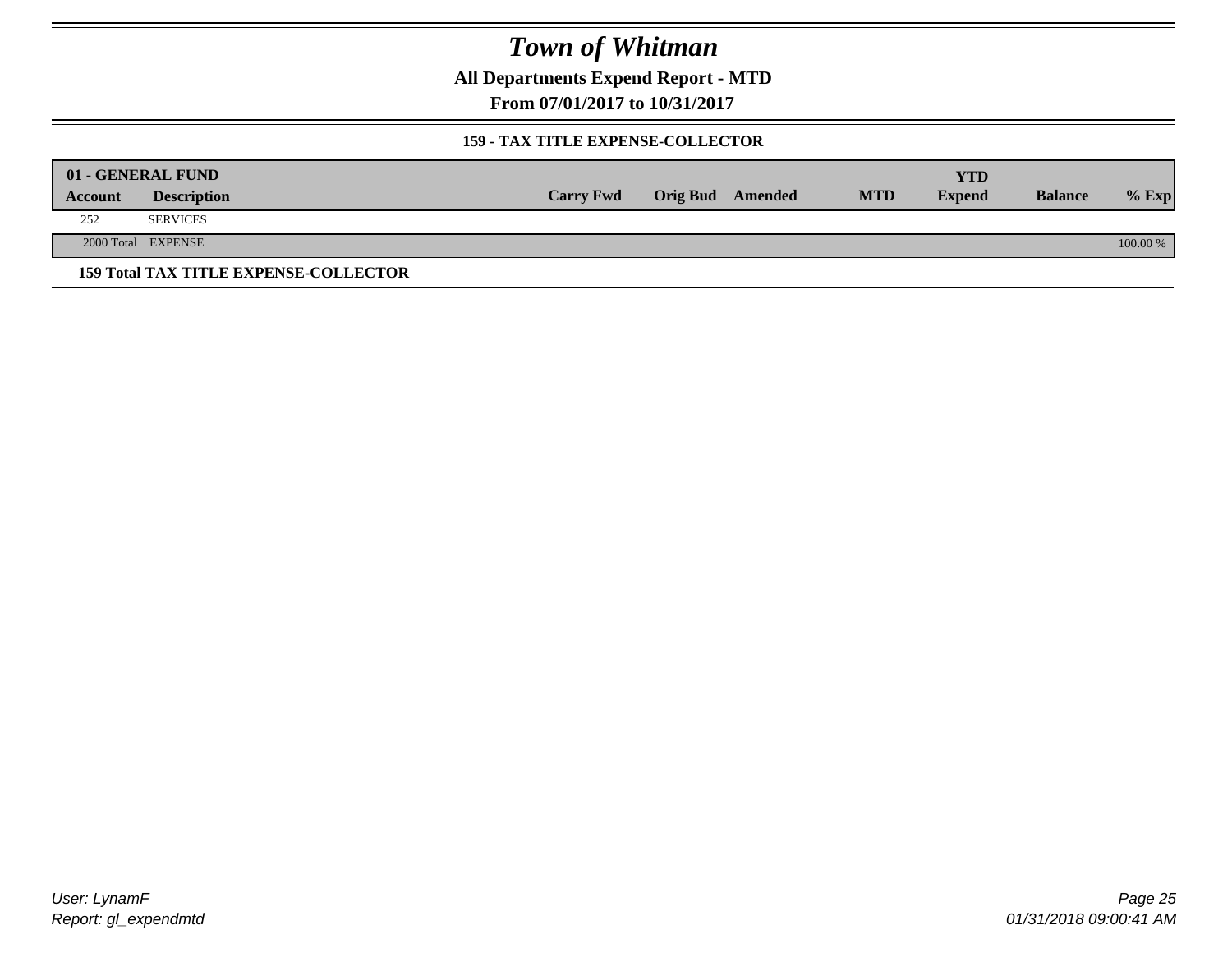**All Departments Expend Report - MTD**

**From 07/01/2017 to 10/31/2017**

#### **159 - TAX TITLE EXPENSE-COLLECTOR**

|         | 01 - GENERAL FUND                            |                  |                         |            | YTD           |                |          |
|---------|----------------------------------------------|------------------|-------------------------|------------|---------------|----------------|----------|
| Account | <b>Description</b>                           | <b>Carry Fwd</b> | <b>Orig Bud</b> Amended | <b>MTD</b> | <b>Expend</b> | <b>Balance</b> | $%$ Exp  |
| 252     | <b>SERVICES</b>                              |                  |                         |            |               |                |          |
|         | 2000 Total EXPENSE                           |                  |                         |            |               |                | 100.00 % |
|         | <b>159 Total TAX TITLE EXPENSE-COLLECTOR</b> |                  |                         |            |               |                |          |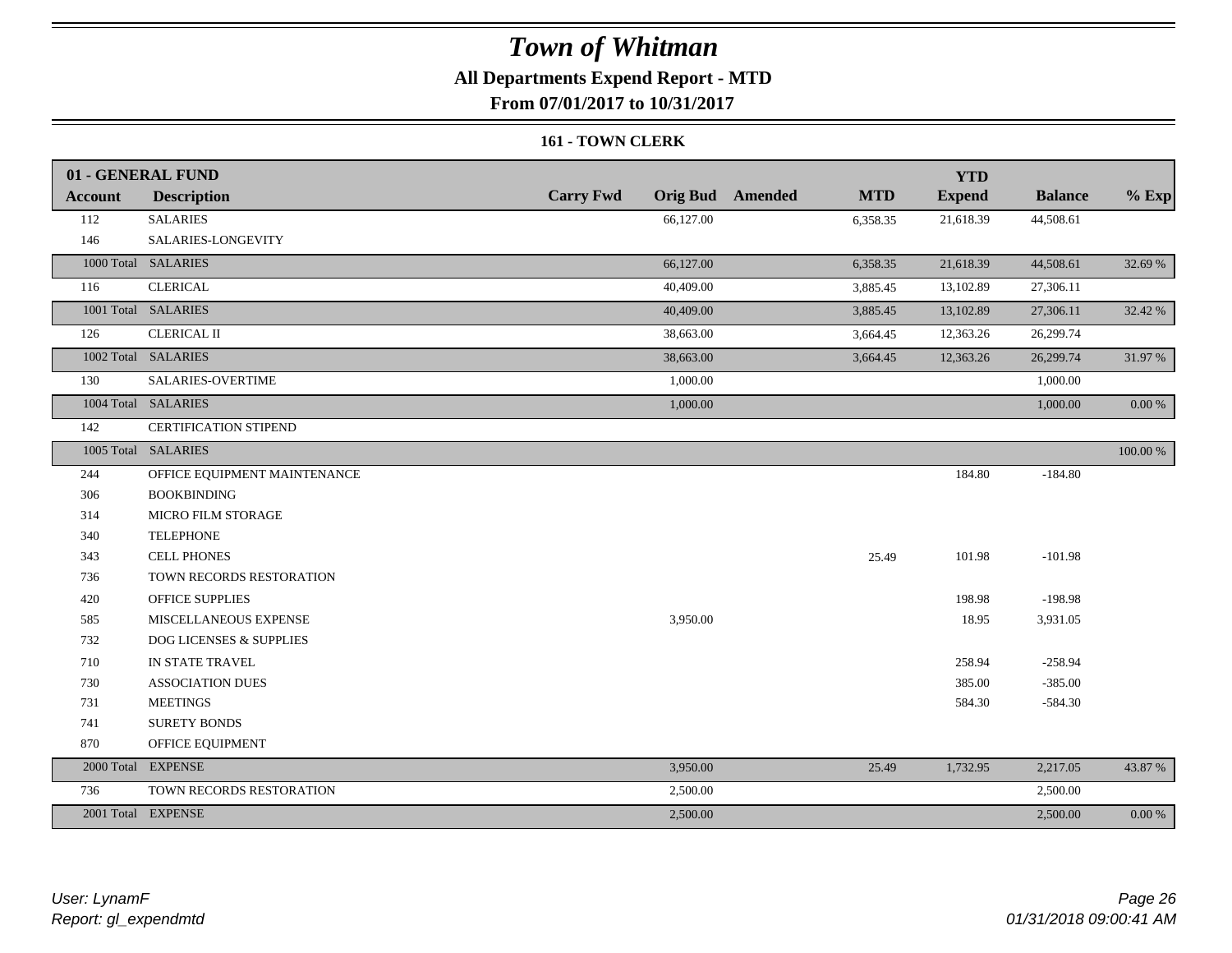### **All Departments Expend Report - MTD**

**From 07/01/2017 to 10/31/2017**

#### **161 - TOWN CLERK**

|                | 01 - GENERAL FUND                  |                  |                                       | <b>YTD</b>    |                |            |
|----------------|------------------------------------|------------------|---------------------------------------|---------------|----------------|------------|
| <b>Account</b> | <b>Description</b>                 | <b>Carry Fwd</b> | <b>Orig Bud</b> Amended<br><b>MTD</b> | <b>Expend</b> | <b>Balance</b> | $%$ Exp    |
| 112            | <b>SALARIES</b>                    | 66,127.00        | 6,358.35                              | 21,618.39     | 44,508.61      |            |
| 146            | SALARIES-LONGEVITY                 |                  |                                       |               |                |            |
|                | 1000 Total SALARIES                | 66,127.00        | 6,358.35                              | 21,618.39     | 44,508.61      | 32.69 %    |
| 116            | <b>CLERICAL</b>                    | 40,409.00        | 3,885.45                              | 13,102.89     | 27,306.11      |            |
|                | 1001 Total SALARIES                | 40,409.00        | 3,885.45                              | 13,102.89     | 27,306.11      | 32.42 %    |
| 126            | <b>CLERICAL II</b>                 | 38,663.00        | 3,664.45                              | 12,363.26     | 26,299.74      |            |
|                | 1002 Total SALARIES                | 38,663.00        | 3,664.45                              | 12,363.26     | 26,299.74      | 31.97 %    |
| 130            | SALARIES-OVERTIME                  | 1,000.00         |                                       |               | 1,000.00       |            |
|                | 1004 Total SALARIES                | 1,000.00         |                                       |               | 1,000.00       | $0.00\ \%$ |
| 142            | CERTIFICATION STIPEND              |                  |                                       |               |                |            |
|                | 1005 Total SALARIES                |                  |                                       |               |                | 100.00 %   |
| 244            | OFFICE EQUIPMENT MAINTENANCE       |                  |                                       | 184.80        | $-184.80$      |            |
| 306            | <b>BOOKBINDING</b>                 |                  |                                       |               |                |            |
| 314            | MICRO FILM STORAGE                 |                  |                                       |               |                |            |
| 340            | <b>TELEPHONE</b>                   |                  |                                       |               |                |            |
| 343            | <b>CELL PHONES</b>                 |                  | 25.49                                 | 101.98        | $-101.98$      |            |
| 736            | TOWN RECORDS RESTORATION           |                  |                                       |               |                |            |
| 420            | <b>OFFICE SUPPLIES</b>             |                  |                                       | 198.98        | $-198.98$      |            |
| 585            | MISCELLANEOUS EXPENSE              | 3,950.00         |                                       | 18.95         | 3,931.05       |            |
| 732            | <b>DOG LICENSES &amp; SUPPLIES</b> |                  |                                       |               |                |            |
| 710            | IN STATE TRAVEL                    |                  |                                       | 258.94        | $-258.94$      |            |
| 730            | <b>ASSOCIATION DUES</b>            |                  |                                       | 385.00        | $-385.00$      |            |
| 731            | <b>MEETINGS</b>                    |                  |                                       | 584.30        | $-584.30$      |            |
| 741            | <b>SURETY BONDS</b>                |                  |                                       |               |                |            |
| 870            | OFFICE EQUIPMENT                   |                  |                                       |               |                |            |
|                | 2000 Total EXPENSE                 | 3,950.00         | 25.49                                 | 1,732.95      | 2,217.05       | 43.87 %    |
| 736            | TOWN RECORDS RESTORATION           | 2,500.00         |                                       |               | 2,500.00       |            |
|                | 2001 Total EXPENSE                 | 2,500.00         |                                       |               | 2,500.00       | $0.00 \%$  |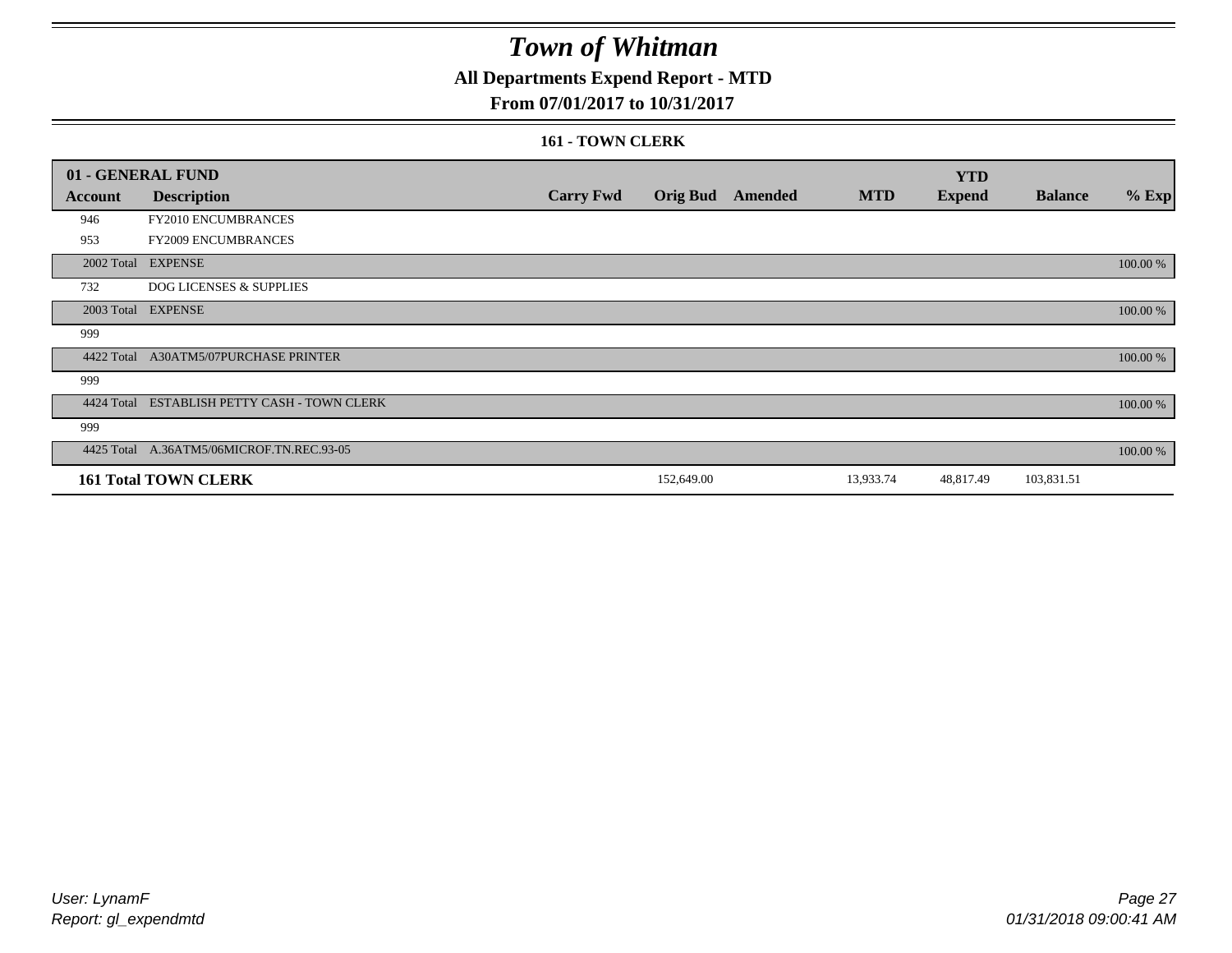### **All Departments Expend Report - MTD**

#### **From 07/01/2017 to 10/31/2017**

#### **161 - TOWN CLERK**

|            | 01 - GENERAL FUND                         |                  |                 |         |            | <b>YTD</b>    |                |          |
|------------|-------------------------------------------|------------------|-----------------|---------|------------|---------------|----------------|----------|
| Account    | <b>Description</b>                        | <b>Carry Fwd</b> | <b>Orig Bud</b> | Amended | <b>MTD</b> | <b>Expend</b> | <b>Balance</b> | $%$ Exp  |
| 946        | <b>FY2010 ENCUMBRANCES</b>                |                  |                 |         |            |               |                |          |
| 953        | FY2009 ENCUMBRANCES                       |                  |                 |         |            |               |                |          |
| 2002 Total | <b>EXPENSE</b>                            |                  |                 |         |            |               |                | 100.00 % |
| 732        | <b>DOG LICENSES &amp; SUPPLIES</b>        |                  |                 |         |            |               |                |          |
|            | 2003 Total EXPENSE                        |                  |                 |         |            |               |                | 100.00 % |
| 999        |                                           |                  |                 |         |            |               |                |          |
| 4422 Total | A30ATM5/07PURCHASE PRINTER                |                  |                 |         |            |               |                | 100.00 % |
| 999        |                                           |                  |                 |         |            |               |                |          |
| 4424 Total | ESTABLISH PETTY CASH - TOWN CLERK         |                  |                 |         |            |               |                | 100.00 % |
| 999        |                                           |                  |                 |         |            |               |                |          |
|            | 4425 Total A.36ATM5/06MICROF.TN.REC.93-05 |                  |                 |         |            |               |                | 100.00 % |
|            | <b>161 Total TOWN CLERK</b>               |                  | 152,649.00      |         | 13,933.74  | 48,817.49     | 103,831.51     |          |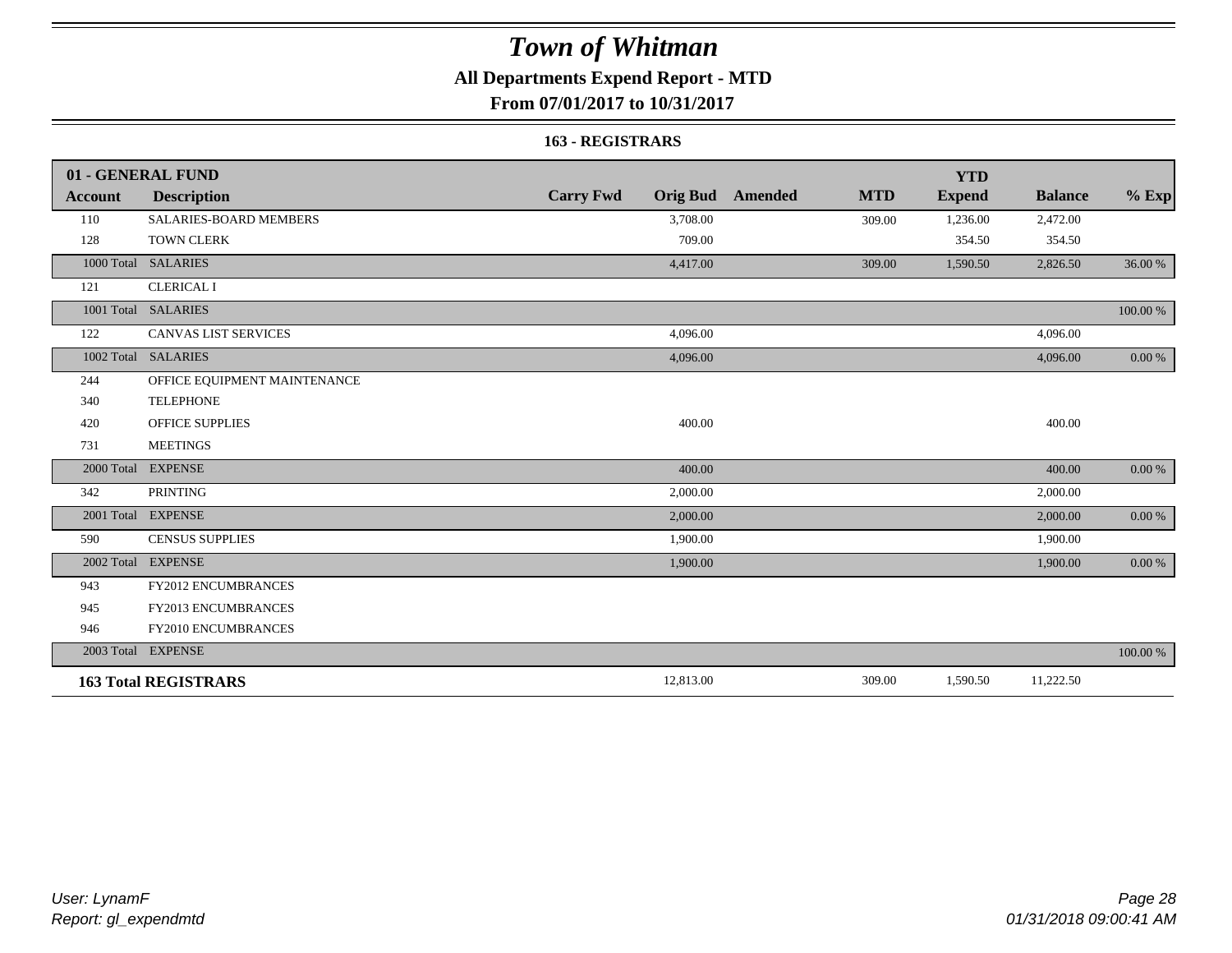### **All Departments Expend Report - MTD**

**From 07/01/2017 to 10/31/2017**

#### **163 - REGISTRARS**

|                | 01 - GENERAL FUND            |                                     |                              | <b>YTD</b>    |                |            |
|----------------|------------------------------|-------------------------------------|------------------------------|---------------|----------------|------------|
| <b>Account</b> | <b>Description</b>           | <b>Carry Fwd</b><br><b>Orig Bud</b> | <b>MTD</b><br><b>Amended</b> | <b>Expend</b> | <b>Balance</b> | $%$ Exp    |
| 110            | SALARIES-BOARD MEMBERS       | 3,708.00                            | 309.00                       | 1,236.00      | 2,472.00       |            |
| 128            | <b>TOWN CLERK</b>            | 709.00                              |                              | 354.50        | 354.50         |            |
| 1000 Total     | <b>SALARIES</b>              | 4,417.00                            | 309.00                       | 1,590.50      | 2,826.50       | 36.00 %    |
| 121            | <b>CLERICAL I</b>            |                                     |                              |               |                |            |
|                | 1001 Total SALARIES          |                                     |                              |               |                | 100.00 %   |
| 122            | <b>CANVAS LIST SERVICES</b>  | 4,096.00                            |                              |               | 4,096.00       |            |
| 1002 Total     | <b>SALARIES</b>              | 4,096.00                            |                              |               | 4,096.00       | 0.00 %     |
| 244            | OFFICE EQUIPMENT MAINTENANCE |                                     |                              |               |                |            |
| 340            | <b>TELEPHONE</b>             |                                     |                              |               |                |            |
| 420            | <b>OFFICE SUPPLIES</b>       | 400.00                              |                              |               | 400.00         |            |
| 731            | <b>MEETINGS</b>              |                                     |                              |               |                |            |
| 2000 Total     | <b>EXPENSE</b>               | 400.00                              |                              |               | 400.00         | 0.00 %     |
| 342            | <b>PRINTING</b>              | 2,000.00                            |                              |               | 2,000.00       |            |
|                | 2001 Total EXPENSE           | 2,000.00                            |                              |               | 2,000.00       | $0.00\ \%$ |
| 590            | <b>CENSUS SUPPLIES</b>       | 1,900.00                            |                              |               | 1,900.00       |            |
| 2002 Total     | <b>EXPENSE</b>               | 1,900.00                            |                              |               | 1,900.00       | 0.00 %     |
| 943            | FY2012 ENCUMBRANCES          |                                     |                              |               |                |            |
| 945            | FY2013 ENCUMBRANCES          |                                     |                              |               |                |            |
| 946            | FY2010 ENCUMBRANCES          |                                     |                              |               |                |            |
|                | 2003 Total EXPENSE           |                                     |                              |               |                | 100.00 %   |
|                | <b>163 Total REGISTRARS</b>  | 12,813.00                           | 309.00                       | 1,590.50      | 11,222.50      |            |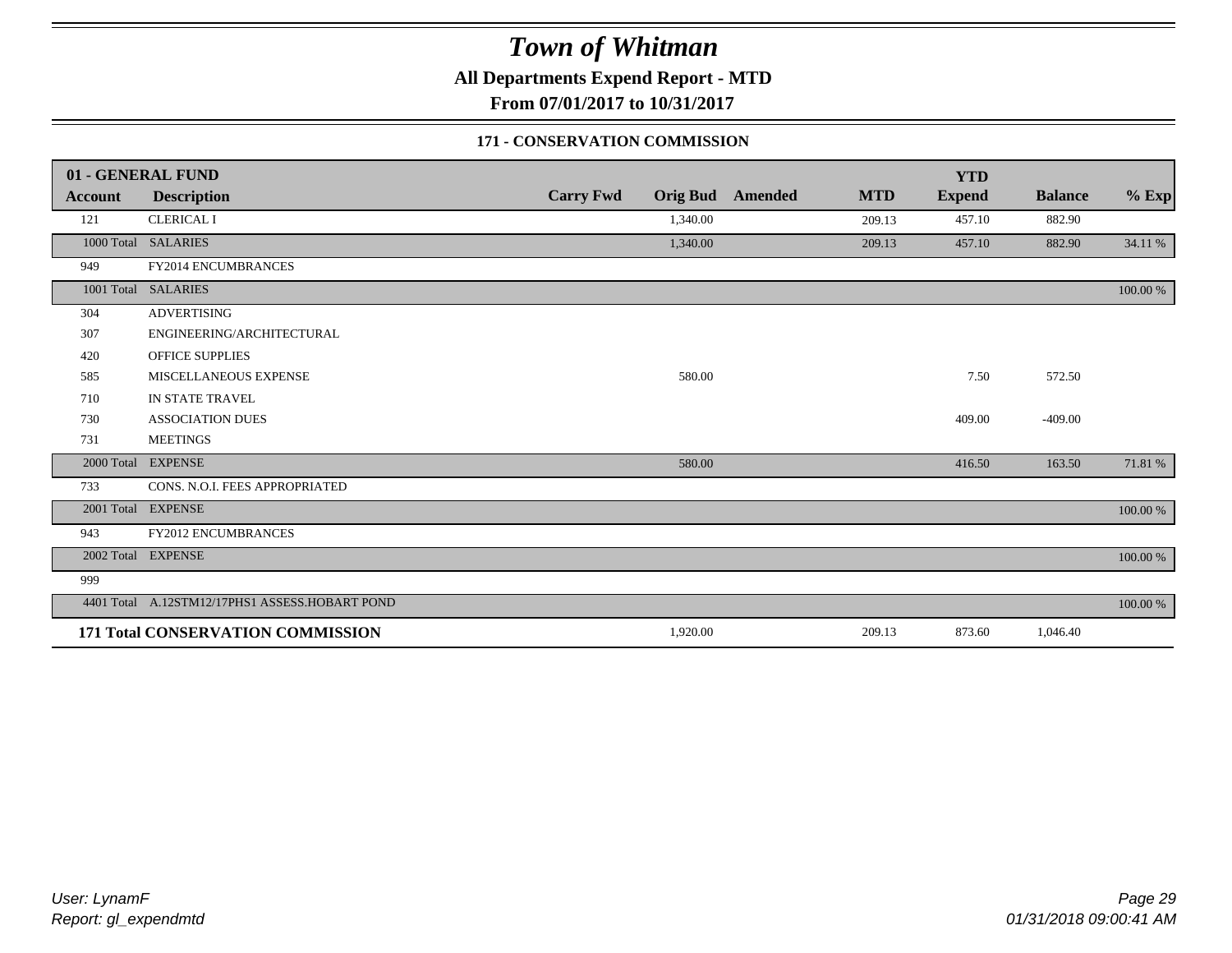**All Departments Expend Report - MTD**

**From 07/01/2017 to 10/31/2017**

#### **171 - CONSERVATION COMMISSION**

|            | 01 - GENERAL FUND                              |                  |                 |                |            | <b>YTD</b>    |                |             |
|------------|------------------------------------------------|------------------|-----------------|----------------|------------|---------------|----------------|-------------|
| Account    | <b>Description</b>                             | <b>Carry Fwd</b> | <b>Orig Bud</b> | <b>Amended</b> | <b>MTD</b> | <b>Expend</b> | <b>Balance</b> | $%$ Exp     |
| 121        | <b>CLERICAL I</b>                              |                  | 1,340.00        |                | 209.13     | 457.10        | 882.90         |             |
|            | 1000 Total SALARIES                            |                  | 1,340.00        |                | 209.13     | 457.10        | 882.90         | 34.11 %     |
| 949        | FY2014 ENCUMBRANCES                            |                  |                 |                |            |               |                |             |
|            | 1001 Total SALARIES                            |                  |                 |                |            |               |                | 100.00 %    |
| 304        | <b>ADVERTISING</b>                             |                  |                 |                |            |               |                |             |
| 307        | ENGINEERING/ARCHITECTURAL                      |                  |                 |                |            |               |                |             |
| 420        | <b>OFFICE SUPPLIES</b>                         |                  |                 |                |            |               |                |             |
| 585        | MISCELLANEOUS EXPENSE                          |                  | 580.00          |                |            | 7.50          | 572.50         |             |
| 710        | IN STATE TRAVEL                                |                  |                 |                |            |               |                |             |
| 730        | <b>ASSOCIATION DUES</b>                        |                  |                 |                |            | 409.00        | $-409.00$      |             |
| 731        | <b>MEETINGS</b>                                |                  |                 |                |            |               |                |             |
| 2000 Total | <b>EXPENSE</b>                                 |                  | 580.00          |                |            | 416.50        | 163.50         | 71.81 %     |
| 733        | CONS. N.O.I. FEES APPROPRIATED                 |                  |                 |                |            |               |                |             |
|            | 2001 Total EXPENSE                             |                  |                 |                |            |               |                | $100.00~\%$ |
| 943        | <b>FY2012 ENCUMBRANCES</b>                     |                  |                 |                |            |               |                |             |
|            | 2002 Total EXPENSE                             |                  |                 |                |            |               |                | 100.00 %    |
| 999        |                                                |                  |                 |                |            |               |                |             |
|            | 4401 Total A.12STM12/17PHS1 ASSESS.HOBART POND |                  |                 |                |            |               |                | 100.00 %    |
|            | 171 Total CONSERVATION COMMISSION              |                  | 1,920.00        |                | 209.13     | 873.60        | 1,046.40       |             |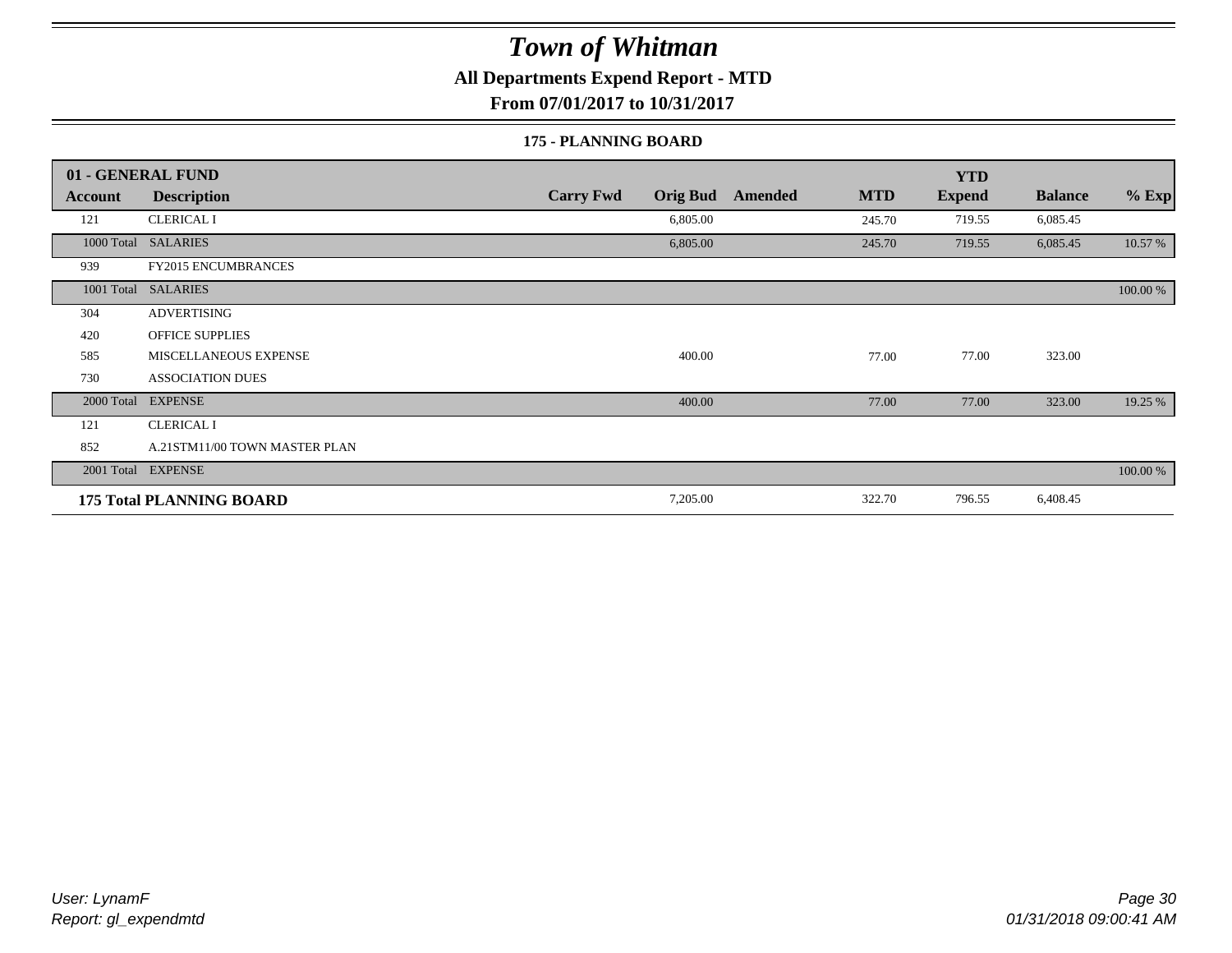#### **All Departments Expend Report - MTD**

**From 07/01/2017 to 10/31/2017**

#### **175 - PLANNING BOARD**

|            | 01 - GENERAL FUND               |                                     |                       | <b>YTD</b>    |                |          |
|------------|---------------------------------|-------------------------------------|-----------------------|---------------|----------------|----------|
| Account    | <b>Description</b>              | <b>Carry Fwd</b><br><b>Orig Bud</b> | <b>MTD</b><br>Amended | <b>Expend</b> | <b>Balance</b> | $%$ Exp  |
| 121        | <b>CLERICAL I</b>               | 6,805.00                            | 245.70                | 719.55        | 6,085.45       |          |
| 1000 Total | <b>SALARIES</b>                 | 6,805.00                            | 245.70                | 719.55        | 6,085.45       | 10.57 %  |
| 939        | <b>FY2015 ENCUMBRANCES</b>      |                                     |                       |               |                |          |
| 1001 Total | <b>SALARIES</b>                 |                                     |                       |               |                | 100.00 % |
| 304        | <b>ADVERTISING</b>              |                                     |                       |               |                |          |
| 420        | <b>OFFICE SUPPLIES</b>          |                                     |                       |               |                |          |
| 585        | MISCELLANEOUS EXPENSE           | 400.00                              | 77.00                 | 77.00         | 323.00         |          |
| 730        | <b>ASSOCIATION DUES</b>         |                                     |                       |               |                |          |
| 2000 Total | <b>EXPENSE</b>                  | 400.00                              | 77.00                 | 77.00         | 323.00         | 19.25 %  |
| 121        | <b>CLERICAL I</b>               |                                     |                       |               |                |          |
| 852        | A.21STM11/00 TOWN MASTER PLAN   |                                     |                       |               |                |          |
|            | 2001 Total EXPENSE              |                                     |                       |               |                | 100.00 % |
|            | <b>175 Total PLANNING BOARD</b> | 7,205.00                            | 322.70                | 796.55        | 6,408.45       |          |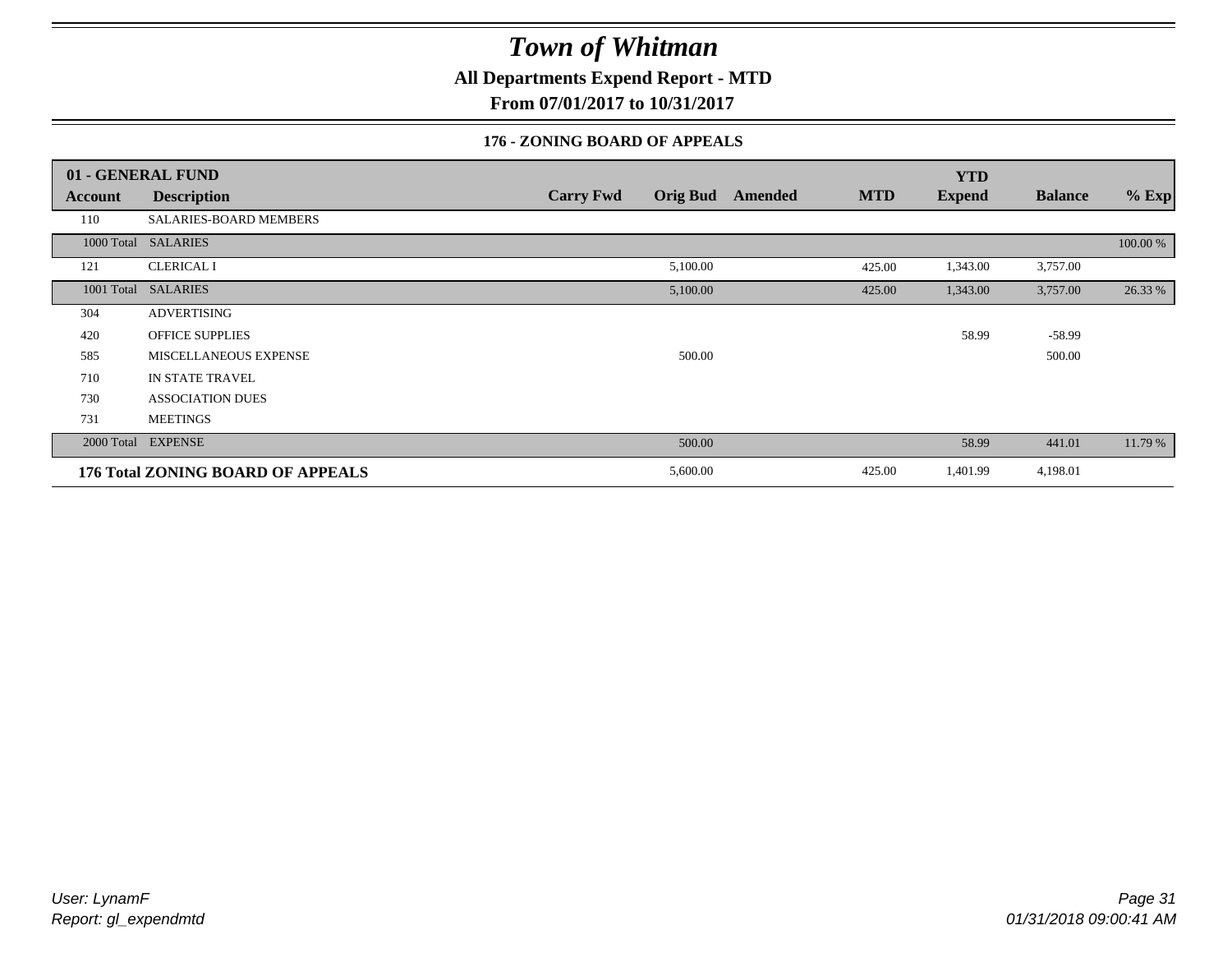**All Departments Expend Report - MTD**

**From 07/01/2017 to 10/31/2017**

#### **176 - ZONING BOARD OF APPEALS**

|            | 01 - GENERAL FUND                 |                                     |                       | <b>YTD</b>    |                |          |
|------------|-----------------------------------|-------------------------------------|-----------------------|---------------|----------------|----------|
| Account    | <b>Description</b>                | <b>Orig Bud</b><br><b>Carry Fwd</b> | <b>MTD</b><br>Amended | <b>Expend</b> | <b>Balance</b> | $%$ Exp  |
| 110        | SALARIES-BOARD MEMBERS            |                                     |                       |               |                |          |
| 1000 Total | <b>SALARIES</b>                   |                                     |                       |               |                | 100.00 % |
| 121        | <b>CLERICAL I</b>                 | 5,100.00                            | 425.00                | 1,343.00      | 3,757.00       |          |
| 1001 Total | <b>SALARIES</b>                   | 5,100.00                            | 425.00                | 1,343.00      | 3,757.00       | 26.33 %  |
| 304        | <b>ADVERTISING</b>                |                                     |                       |               |                |          |
| 420        | <b>OFFICE SUPPLIES</b>            |                                     |                       | 58.99         | $-58.99$       |          |
| 585        | MISCELLANEOUS EXPENSE             | 500.00                              |                       |               | 500.00         |          |
| 710        | IN STATE TRAVEL                   |                                     |                       |               |                |          |
| 730        | <b>ASSOCIATION DUES</b>           |                                     |                       |               |                |          |
| 731        | <b>MEETINGS</b>                   |                                     |                       |               |                |          |
| 2000 Total | <b>EXPENSE</b>                    | 500.00                              |                       | 58.99         | 441.01         | 11.79 %  |
|            | 176 Total ZONING BOARD OF APPEALS | 5,600.00                            | 425.00                | 1,401.99      | 4,198.01       |          |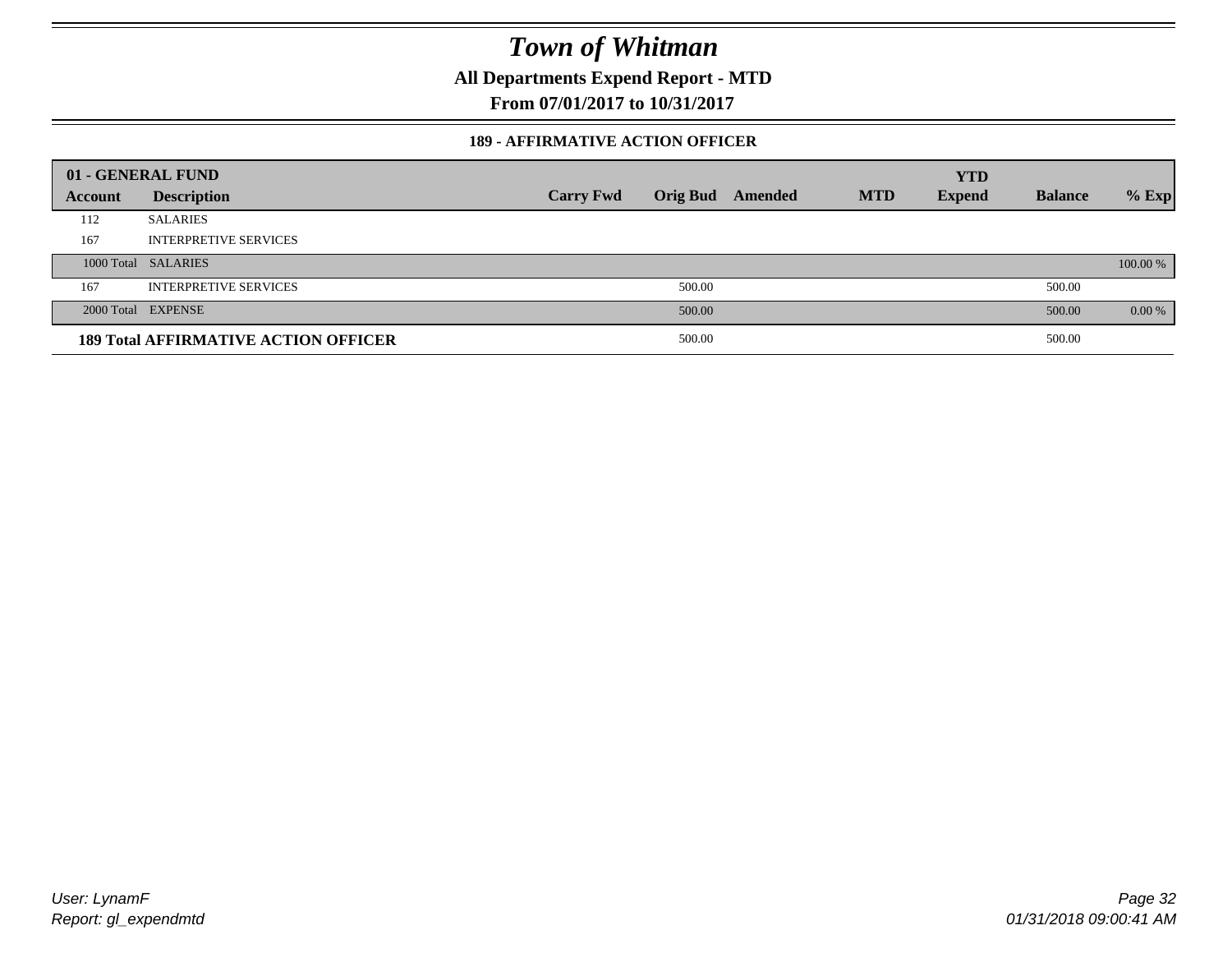**All Departments Expend Report - MTD**

**From 07/01/2017 to 10/31/2017**

#### **189 - AFFIRMATIVE ACTION OFFICER**

|         | 01 - GENERAL FUND                           |                  |        |                         |            | <b>YTD</b>    |                |          |
|---------|---------------------------------------------|------------------|--------|-------------------------|------------|---------------|----------------|----------|
| Account | <b>Description</b>                          | <b>Carry Fwd</b> |        | <b>Orig Bud</b> Amended | <b>MTD</b> | <b>Expend</b> | <b>Balance</b> | $%$ Exp  |
| 112     | <b>SALARIES</b>                             |                  |        |                         |            |               |                |          |
| 167     | <b>INTERPRETIVE SERVICES</b>                |                  |        |                         |            |               |                |          |
|         | 1000 Total SALARIES                         |                  |        |                         |            |               |                | 100.00 % |
| 167     | <b>INTERPRETIVE SERVICES</b>                |                  | 500.00 |                         |            |               | 500.00         |          |
|         | 2000 Total EXPENSE                          |                  | 500.00 |                         |            |               | 500.00         | 0.00 %   |
|         | <b>189 Total AFFIRMATIVE ACTION OFFICER</b> |                  | 500.00 |                         |            |               | 500.00         |          |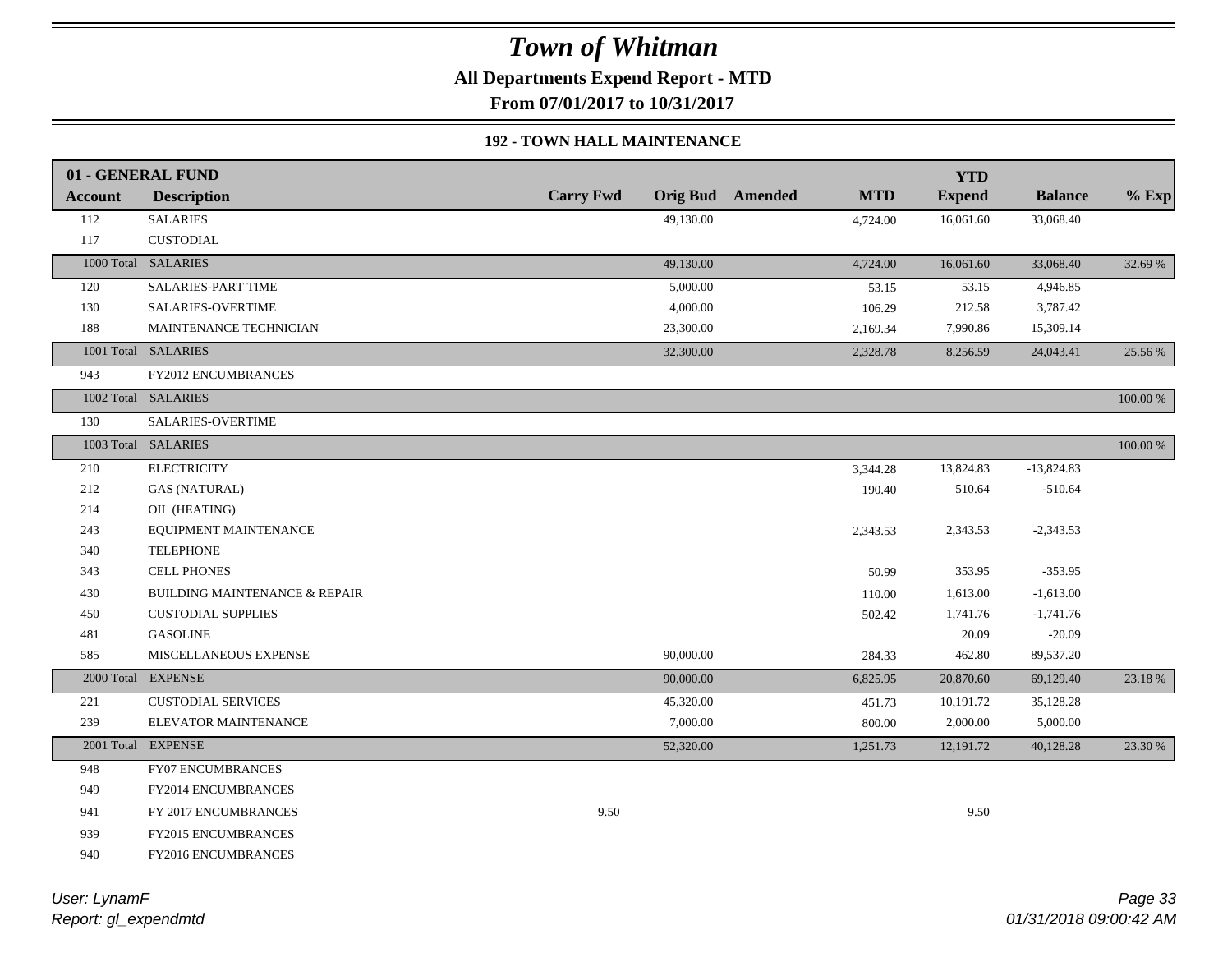**All Departments Expend Report - MTD**

**From 07/01/2017 to 10/31/2017**

#### **192 - TOWN HALL MAINTENANCE**

|                | 01 - GENERAL FUND                        |                  |           |                         |            | <b>YTD</b>    |                |             |
|----------------|------------------------------------------|------------------|-----------|-------------------------|------------|---------------|----------------|-------------|
| <b>Account</b> | <b>Description</b>                       | <b>Carry Fwd</b> |           | <b>Orig Bud</b> Amended | <b>MTD</b> | <b>Expend</b> | <b>Balance</b> | $%$ Exp     |
| 112            | <b>SALARIES</b>                          |                  | 49,130.00 |                         | 4,724.00   | 16,061.60     | 33,068.40      |             |
| 117            | <b>CUSTODIAL</b>                         |                  |           |                         |            |               |                |             |
|                | 1000 Total SALARIES                      |                  | 49,130.00 |                         | 4,724.00   | 16,061.60     | 33,068.40      | 32.69 %     |
| 120            | SALARIES-PART TIME                       |                  | 5,000.00  |                         | 53.15      | 53.15         | 4,946.85       |             |
| 130            | SALARIES-OVERTIME                        |                  | 4,000.00  |                         | 106.29     | 212.58        | 3,787.42       |             |
| 188            | MAINTENANCE TECHNICIAN                   |                  | 23,300.00 |                         | 2,169.34   | 7,990.86      | 15,309.14      |             |
|                | 1001 Total SALARIES                      |                  | 32,300.00 |                         | 2,328.78   | 8,256.59      | 24,043.41      | 25.56 %     |
| 943            | <b>FY2012 ENCUMBRANCES</b>               |                  |           |                         |            |               |                |             |
|                | 1002 Total SALARIES                      |                  |           |                         |            |               |                | 100.00 %    |
| 130            | SALARIES-OVERTIME                        |                  |           |                         |            |               |                |             |
|                | 1003 Total SALARIES                      |                  |           |                         |            |               |                | $100.00~\%$ |
| 210            | <b>ELECTRICITY</b>                       |                  |           |                         | 3,344.28   | 13,824.83     | $-13,824.83$   |             |
| 212            | <b>GAS (NATURAL)</b>                     |                  |           |                         | 190.40     | 510.64        | $-510.64$      |             |
| 214            | OIL (HEATING)                            |                  |           |                         |            |               |                |             |
| 243            | EQUIPMENT MAINTENANCE                    |                  |           |                         | 2,343.53   | 2,343.53      | $-2,343.53$    |             |
| 340            | <b>TELEPHONE</b>                         |                  |           |                         |            |               |                |             |
| 343            | <b>CELL PHONES</b>                       |                  |           |                         | 50.99      | 353.95        | $-353.95$      |             |
| 430            | <b>BUILDING MAINTENANCE &amp; REPAIR</b> |                  |           |                         | 110.00     | 1,613.00      | $-1,613.00$    |             |
| 450            | <b>CUSTODIAL SUPPLIES</b>                |                  |           |                         | 502.42     | 1,741.76      | $-1,741.76$    |             |
| 481            | <b>GASOLINE</b>                          |                  |           |                         |            | 20.09         | $-20.09$       |             |
| 585            | MISCELLANEOUS EXPENSE                    |                  | 90,000.00 |                         | 284.33     | 462.80        | 89,537.20      |             |
|                | 2000 Total EXPENSE                       |                  | 90,000.00 |                         | 6,825.95   | 20,870.60     | 69,129.40      | 23.18 %     |
| 221            | <b>CUSTODIAL SERVICES</b>                |                  | 45,320.00 |                         | 451.73     | 10,191.72     | 35,128.28      |             |
| 239            | ELEVATOR MAINTENANCE                     |                  | 7,000.00  |                         | 800.00     | 2,000.00      | 5,000.00       |             |
|                | 2001 Total EXPENSE                       |                  | 52,320.00 |                         | 1,251.73   | 12,191.72     | 40,128.28      | 23.30 %     |
| 948            | <b>FY07 ENCUMBRANCES</b>                 |                  |           |                         |            |               |                |             |
| 949            | <b>FY2014 ENCUMBRANCES</b>               |                  |           |                         |            |               |                |             |
| 941            | FY 2017 ENCUMBRANCES                     | 9.50             |           |                         |            | 9.50          |                |             |
| 939            | <b>FY2015 ENCUMBRANCES</b>               |                  |           |                         |            |               |                |             |
| 940            | FY2016 ENCUMBRANCES                      |                  |           |                         |            |               |                |             |
|                |                                          |                  |           |                         |            |               |                |             |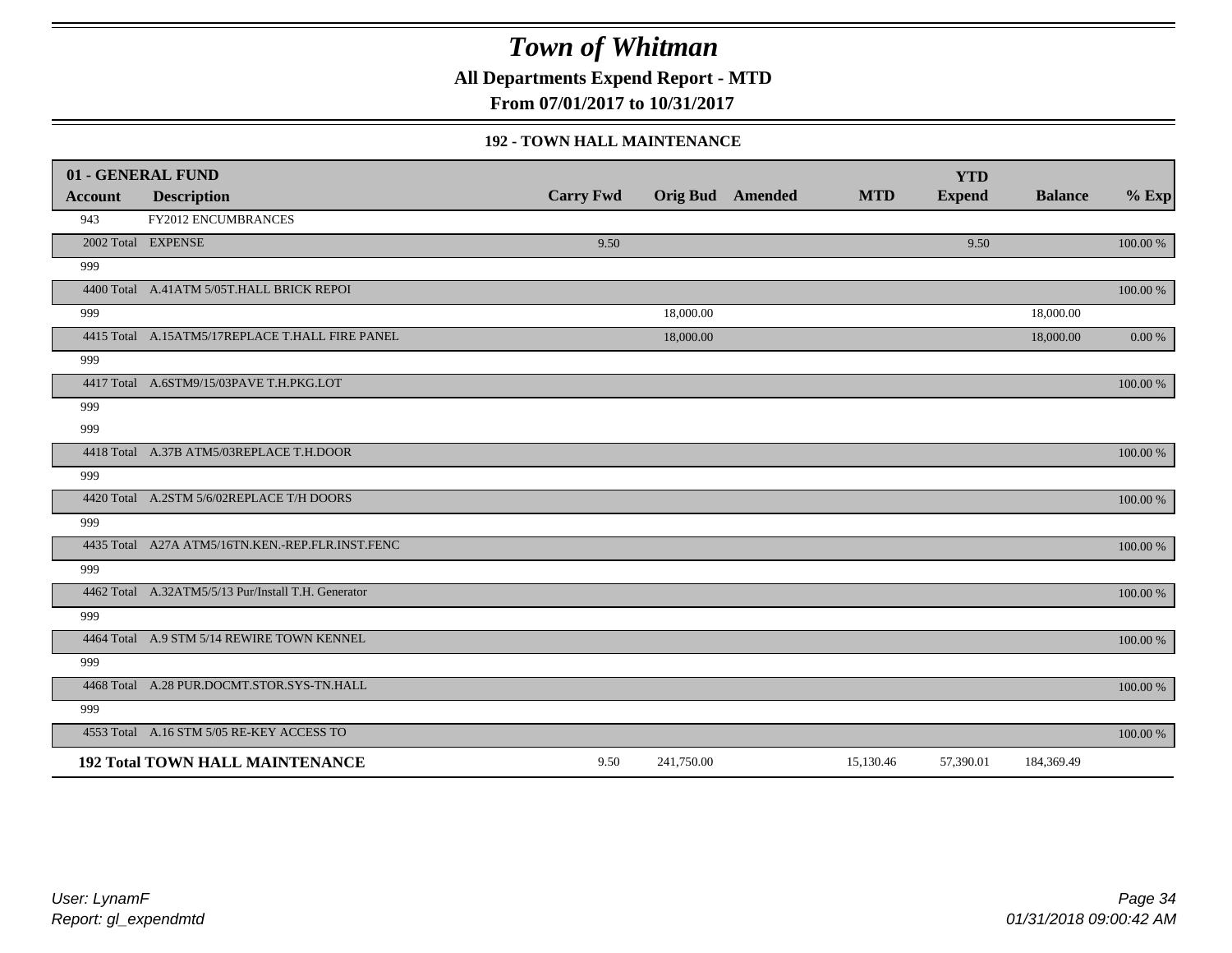**All Departments Expend Report - MTD**

**From 07/01/2017 to 10/31/2017**

#### **192 - TOWN HALL MAINTENANCE**

|                | 01 - GENERAL FUND                                   |                  |            |                         |            | <b>YTD</b>    |                |            |
|----------------|-----------------------------------------------------|------------------|------------|-------------------------|------------|---------------|----------------|------------|
| <b>Account</b> | <b>Description</b>                                  | <b>Carry Fwd</b> |            | <b>Orig Bud</b> Amended | <b>MTD</b> | <b>Expend</b> | <b>Balance</b> | $%$ Exp    |
| 943            | FY2012 ENCUMBRANCES                                 |                  |            |                         |            |               |                |            |
|                | 2002 Total EXPENSE                                  | 9.50             |            |                         |            | 9.50          |                | 100.00 %   |
| 999            |                                                     |                  |            |                         |            |               |                |            |
|                | 4400 Total A.41ATM 5/05T.HALL BRICK REPOI           |                  |            |                         |            |               |                | 100.00 %   |
| 999            |                                                     |                  | 18,000.00  |                         |            |               | 18,000.00      |            |
|                | 4415 Total A.15ATM5/17REPLACE T.HALL FIRE PANEL     |                  | 18,000.00  |                         |            |               | 18,000.00      | $0.00\ \%$ |
| 999            |                                                     |                  |            |                         |            |               |                |            |
|                | 4417 Total A.6STM9/15/03PAVE T.H.PKG.LOT            |                  |            |                         |            |               |                | 100.00 %   |
| 999            |                                                     |                  |            |                         |            |               |                |            |
| 999            |                                                     |                  |            |                         |            |               |                |            |
|                | 4418 Total A.37B ATM5/03REPLACE T.H.DOOR            |                  |            |                         |            |               |                | 100.00 %   |
| 999            |                                                     |                  |            |                         |            |               |                |            |
|                | 4420 Total A.2STM 5/6/02REPLACE T/H DOORS           |                  |            |                         |            |               |                | 100.00 %   |
| 999            |                                                     |                  |            |                         |            |               |                |            |
|                | 4435 Total A27A ATM5/16TN.KEN.-REP.FLR.INST.FENC    |                  |            |                         |            |               |                | 100.00 %   |
| 999            |                                                     |                  |            |                         |            |               |                |            |
|                | 4462 Total A.32ATM5/5/13 Pur/Install T.H. Generator |                  |            |                         |            |               |                | 100.00 %   |
| 999            |                                                     |                  |            |                         |            |               |                |            |
|                | 4464 Total A.9 STM 5/14 REWIRE TOWN KENNEL          |                  |            |                         |            |               |                | 100.00 %   |
| 999            |                                                     |                  |            |                         |            |               |                |            |
|                | 4468 Total A.28 PUR.DOCMT.STOR.SYS-TN.HALL          |                  |            |                         |            |               |                | 100.00 %   |
| 999            |                                                     |                  |            |                         |            |               |                |            |
|                | 4553 Total A.16 STM 5/05 RE-KEY ACCESS TO           |                  |            |                         |            |               |                | 100.00 %   |
|                | <b>192 Total TOWN HALL MAINTENANCE</b>              | 9.50             | 241,750.00 |                         | 15,130.46  | 57,390.01     | 184,369.49     |            |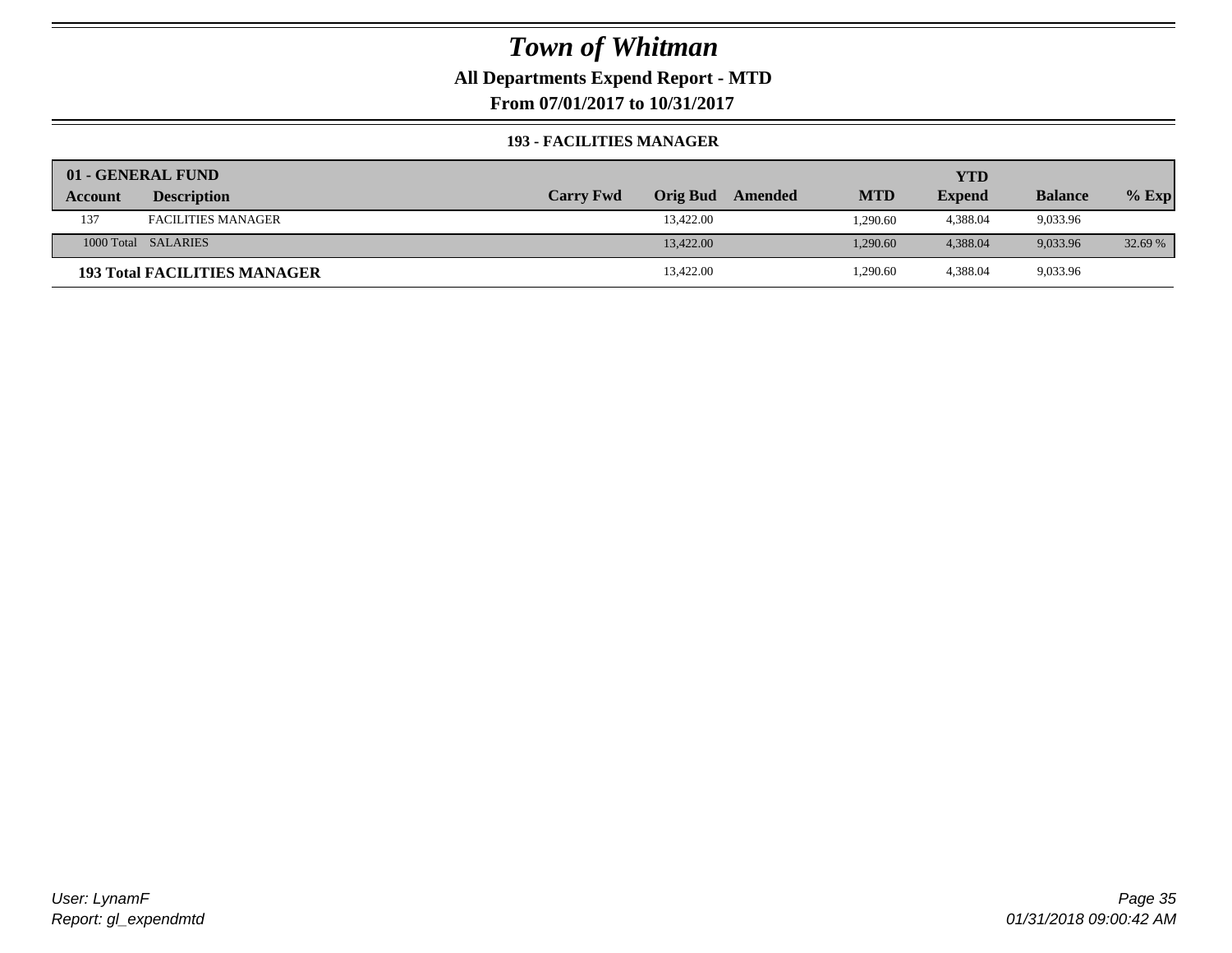#### **All Departments Expend Report - MTD**

**From 07/01/2017 to 10/31/2017**

#### **193 - FACILITIES MANAGER**

|         | 01 - GENERAL FUND                   |                  |                 |         |            | YTD           |                |         |
|---------|-------------------------------------|------------------|-----------------|---------|------------|---------------|----------------|---------|
| Account | <b>Description</b>                  | <b>Carry Fwd</b> | <b>Orig Bud</b> | Amended | <b>MTD</b> | <b>Expend</b> | <b>Balance</b> | $%$ Exp |
| 137     | <b>FACILITIES MANAGER</b>           |                  | 13,422.00       |         | 1,290.60   | 4,388.04      | 9,033.96       |         |
|         | 1000 Total SALARIES                 |                  | 13,422.00       |         | 1.290.60   | 4.388.04      | 9.033.96       | 32.69 % |
|         | <b>193 Total FACILITIES MANAGER</b> |                  | 13,422.00       |         | 1,290.60   | 4,388.04      | 9,033.96       |         |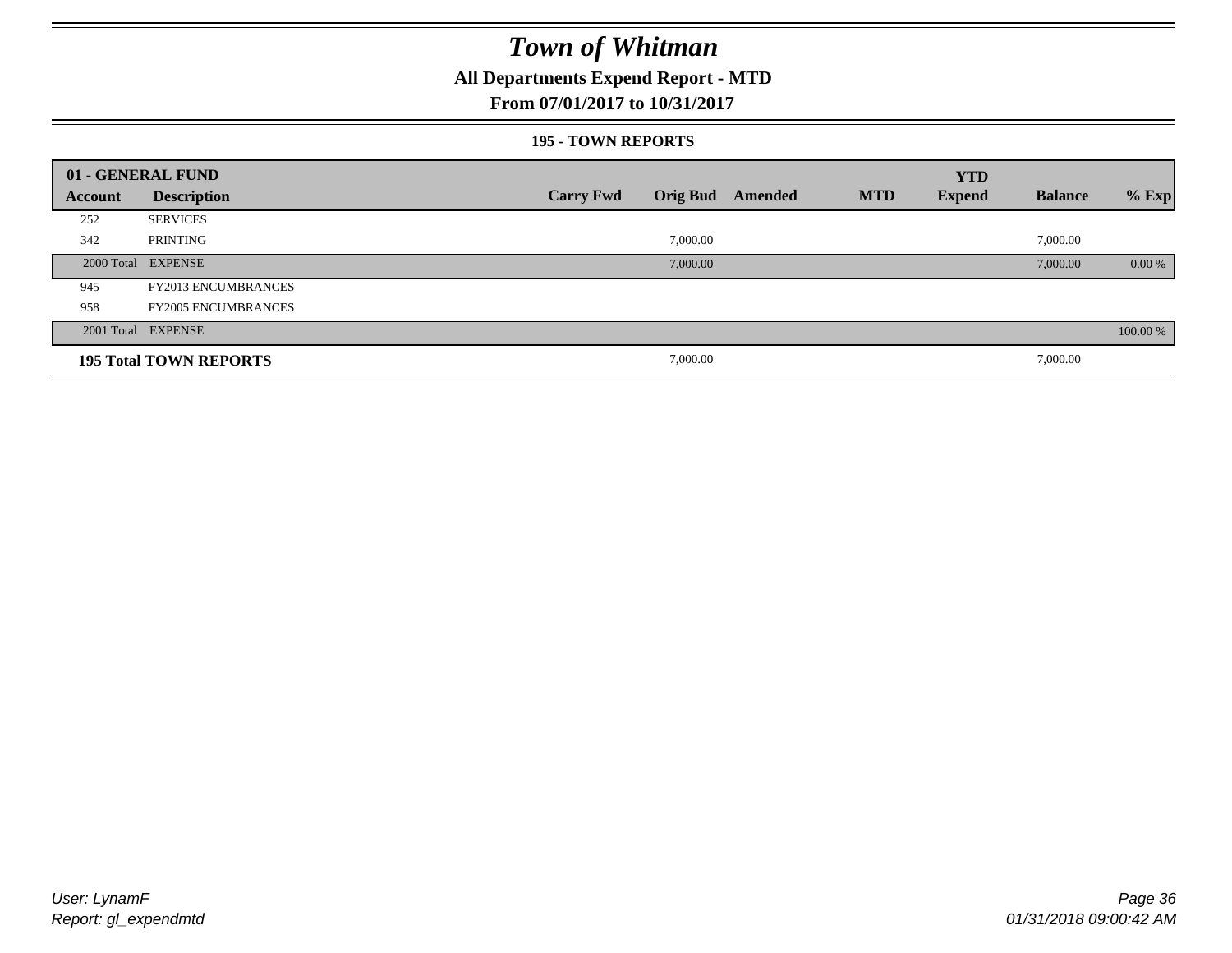### **All Departments Expend Report - MTD**

#### **From 07/01/2017 to 10/31/2017**

#### **195 - TOWN REPORTS**

|         | 01 - GENERAL FUND             |                  |          |                         |            | <b>YTD</b>    |                |          |
|---------|-------------------------------|------------------|----------|-------------------------|------------|---------------|----------------|----------|
| Account | <b>Description</b>            | <b>Carry Fwd</b> |          | <b>Orig Bud</b> Amended | <b>MTD</b> | <b>Expend</b> | <b>Balance</b> | $%$ Exp  |
| 252     | <b>SERVICES</b>               |                  |          |                         |            |               |                |          |
| 342     | PRINTING                      |                  | 7,000.00 |                         |            |               | 7,000.00       |          |
|         | 2000 Total EXPENSE            |                  | 7,000.00 |                         |            |               | 7,000.00       | $0.00\%$ |
| 945     | <b>FY2013 ENCUMBRANCES</b>    |                  |          |                         |            |               |                |          |
| 958     | <b>FY2005 ENCUMBRANCES</b>    |                  |          |                         |            |               |                |          |
|         | 2001 Total EXPENSE            |                  |          |                         |            |               |                | 100.00 % |
|         | <b>195 Total TOWN REPORTS</b> |                  | 7,000.00 |                         |            |               | 7,000.00       |          |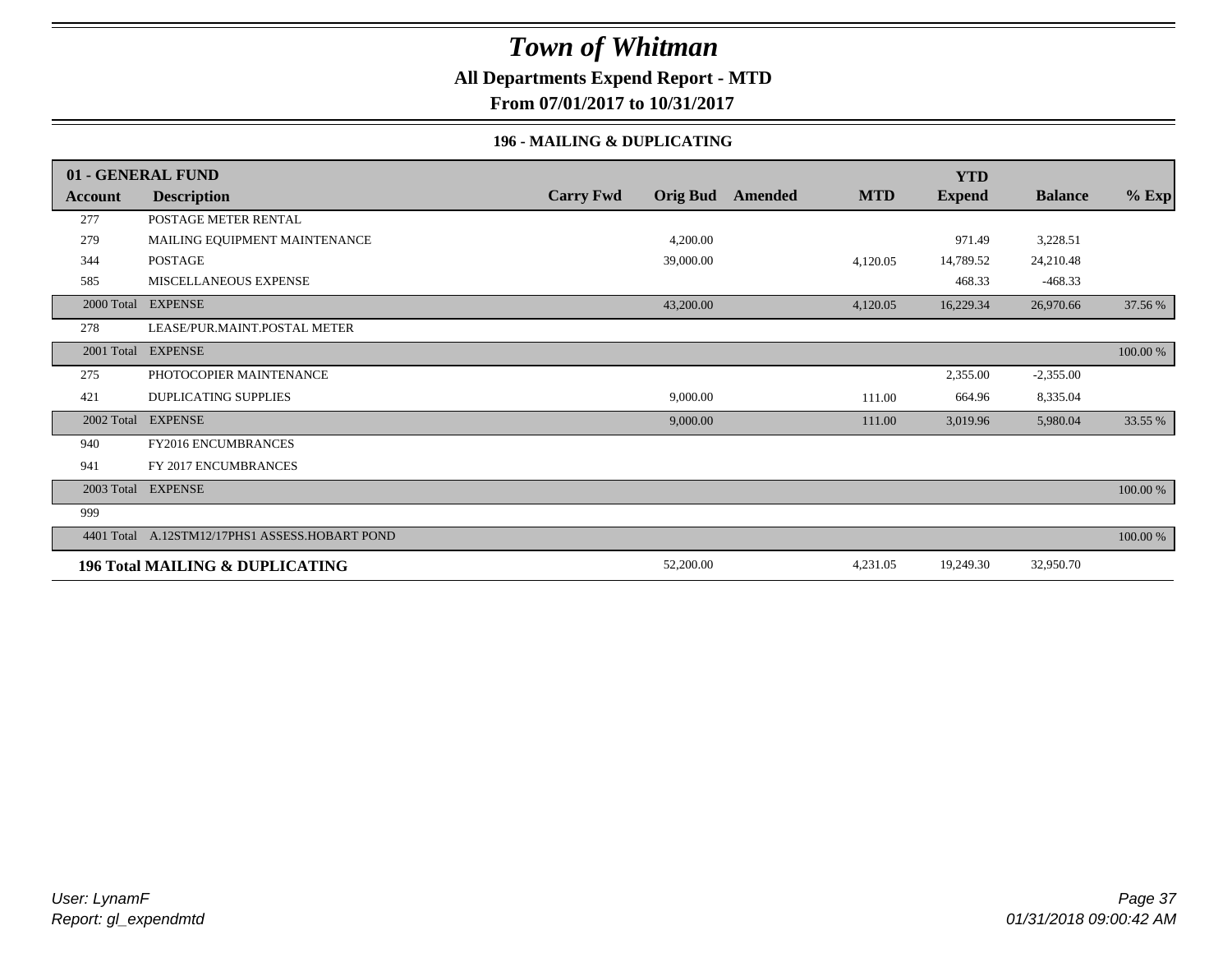### **All Departments Expend Report - MTD**

**From 07/01/2017 to 10/31/2017**

#### **196 - MAILING & DUPLICATING**

|            | 01 - GENERAL FUND                          |                  |                 |         |            | <b>YTD</b>    |                |          |
|------------|--------------------------------------------|------------------|-----------------|---------|------------|---------------|----------------|----------|
| Account    | <b>Description</b>                         | <b>Carry Fwd</b> | <b>Orig Bud</b> | Amended | <b>MTD</b> | <b>Expend</b> | <b>Balance</b> | $%$ Exp  |
| 277        | POSTAGE METER RENTAL                       |                  |                 |         |            |               |                |          |
| 279        | MAILING EQUIPMENT MAINTENANCE              |                  | 4,200.00        |         |            | 971.49        | 3,228.51       |          |
| 344        | <b>POSTAGE</b>                             |                  | 39,000.00       |         | 4,120.05   | 14,789.52     | 24,210.48      |          |
| 585        | MISCELLANEOUS EXPENSE                      |                  |                 |         |            | 468.33        | $-468.33$      |          |
| 2000 Total | <b>EXPENSE</b>                             |                  | 43,200.00       |         | 4,120.05   | 16,229.34     | 26,970.66      | 37.56 %  |
| 278        | LEASE/PUR.MAINT.POSTAL METER               |                  |                 |         |            |               |                |          |
| 2001 Total | <b>EXPENSE</b>                             |                  |                 |         |            |               |                | 100.00 % |
| 275        | PHOTOCOPIER MAINTENANCE                    |                  |                 |         |            | 2,355.00      | $-2,355.00$    |          |
| 421        | <b>DUPLICATING SUPPLIES</b>                |                  | 9,000.00        |         | 111.00     | 664.96        | 8,335.04       |          |
| 2002 Total | <b>EXPENSE</b>                             |                  | 9,000.00        |         | 111.00     | 3,019.96      | 5,980.04       | 33.55 %  |
| 940        | FY2016 ENCUMBRANCES                        |                  |                 |         |            |               |                |          |
| 941        | FY 2017 ENCUMBRANCES                       |                  |                 |         |            |               |                |          |
|            | 2003 Total EXPENSE                         |                  |                 |         |            |               |                | 100.00 % |
| 999        |                                            |                  |                 |         |            |               |                |          |
| 4401 Total | A.12STM12/17PHS1 ASSESS.HOBART POND        |                  |                 |         |            |               |                | 100.00 % |
|            | <b>196 Total MAILING &amp; DUPLICATING</b> |                  | 52,200.00       |         | 4,231.05   | 19,249.30     | 32,950.70      |          |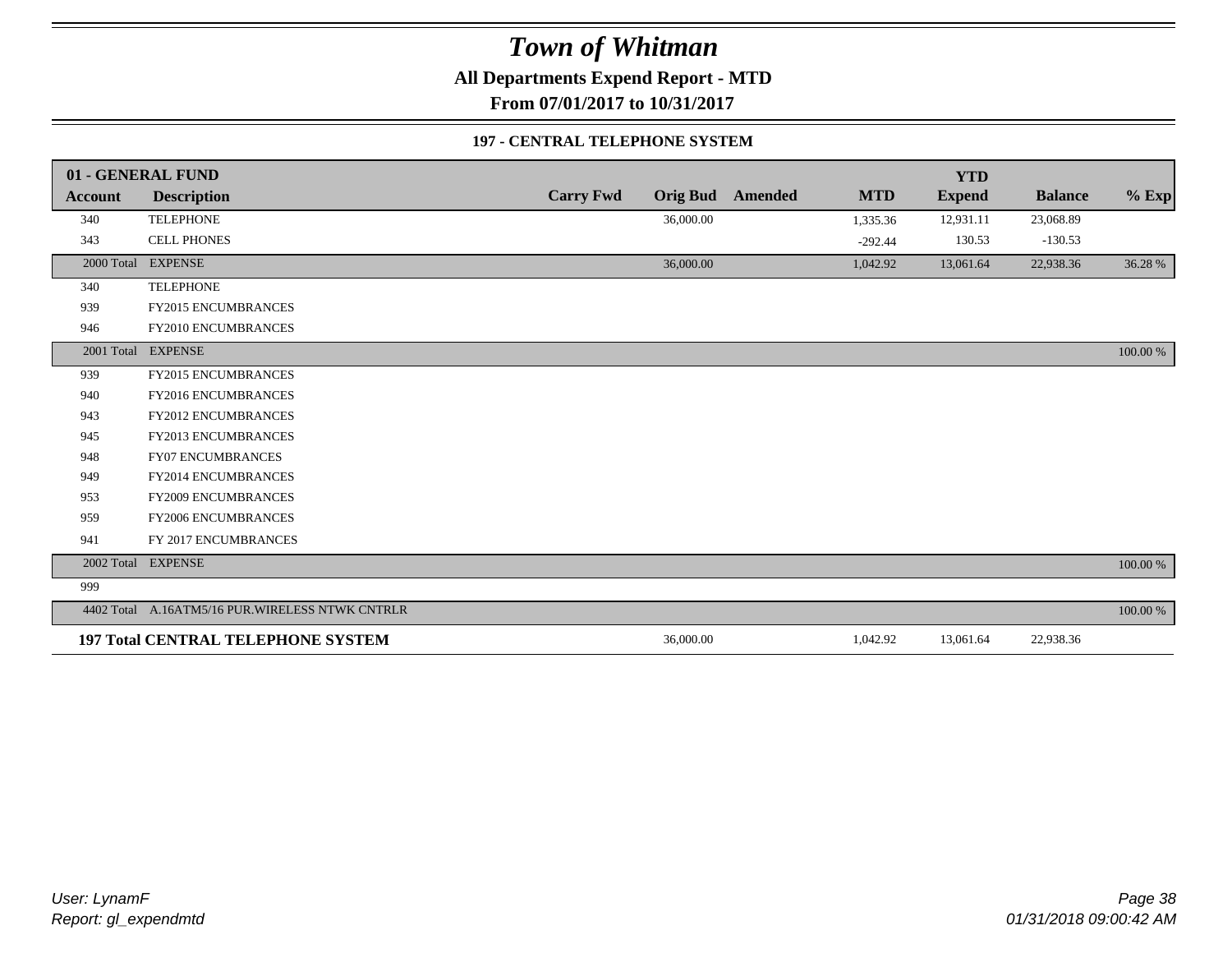**All Departments Expend Report - MTD**

**From 07/01/2017 to 10/31/2017**

#### **197 - CENTRAL TELEPHONE SYSTEM**

|                | 01 - GENERAL FUND                                |                  |                 |                |            | <b>YTD</b>    |                |             |
|----------------|--------------------------------------------------|------------------|-----------------|----------------|------------|---------------|----------------|-------------|
| <b>Account</b> | <b>Description</b>                               | <b>Carry Fwd</b> | <b>Orig Bud</b> | <b>Amended</b> | <b>MTD</b> | <b>Expend</b> | <b>Balance</b> | $%$ Exp     |
| 340            | <b>TELEPHONE</b>                                 |                  | 36,000.00       |                | 1,335.36   | 12,931.11     | 23,068.89      |             |
| 343            | <b>CELL PHONES</b>                               |                  |                 |                | $-292.44$  | 130.53        | $-130.53$      |             |
| 2000 Total     | <b>EXPENSE</b>                                   |                  | 36,000.00       |                | 1,042.92   | 13,061.64     | 22,938.36      | 36.28 %     |
| 340            | <b>TELEPHONE</b>                                 |                  |                 |                |            |               |                |             |
| 939            | <b>FY2015 ENCUMBRANCES</b>                       |                  |                 |                |            |               |                |             |
| 946            | FY2010 ENCUMBRANCES                              |                  |                 |                |            |               |                |             |
|                | 2001 Total EXPENSE                               |                  |                 |                |            |               |                | 100.00 %    |
| 939            | <b>FY2015 ENCUMBRANCES</b>                       |                  |                 |                |            |               |                |             |
| 940            | <b>FY2016 ENCUMBRANCES</b>                       |                  |                 |                |            |               |                |             |
| 943            | FY2012 ENCUMBRANCES                              |                  |                 |                |            |               |                |             |
| 945            | FY2013 ENCUMBRANCES                              |                  |                 |                |            |               |                |             |
| 948            | <b>FY07 ENCUMBRANCES</b>                         |                  |                 |                |            |               |                |             |
| 949            | FY2014 ENCUMBRANCES                              |                  |                 |                |            |               |                |             |
| 953            | <b>FY2009 ENCUMBRANCES</b>                       |                  |                 |                |            |               |                |             |
| 959            | FY2006 ENCUMBRANCES                              |                  |                 |                |            |               |                |             |
| 941            | FY 2017 ENCUMBRANCES                             |                  |                 |                |            |               |                |             |
| 2002 Total     | <b>EXPENSE</b>                                   |                  |                 |                |            |               |                | $100.00~\%$ |
| 999            |                                                  |                  |                 |                |            |               |                |             |
|                | 4402 Total A.16ATM5/16 PUR. WIRELESS NTWK CNTRLR |                  |                 |                |            |               |                | 100.00 %    |
|                | <b>197 Total CENTRAL TELEPHONE SYSTEM</b>        |                  | 36,000.00       |                | 1,042.92   | 13,061.64     | 22,938.36      |             |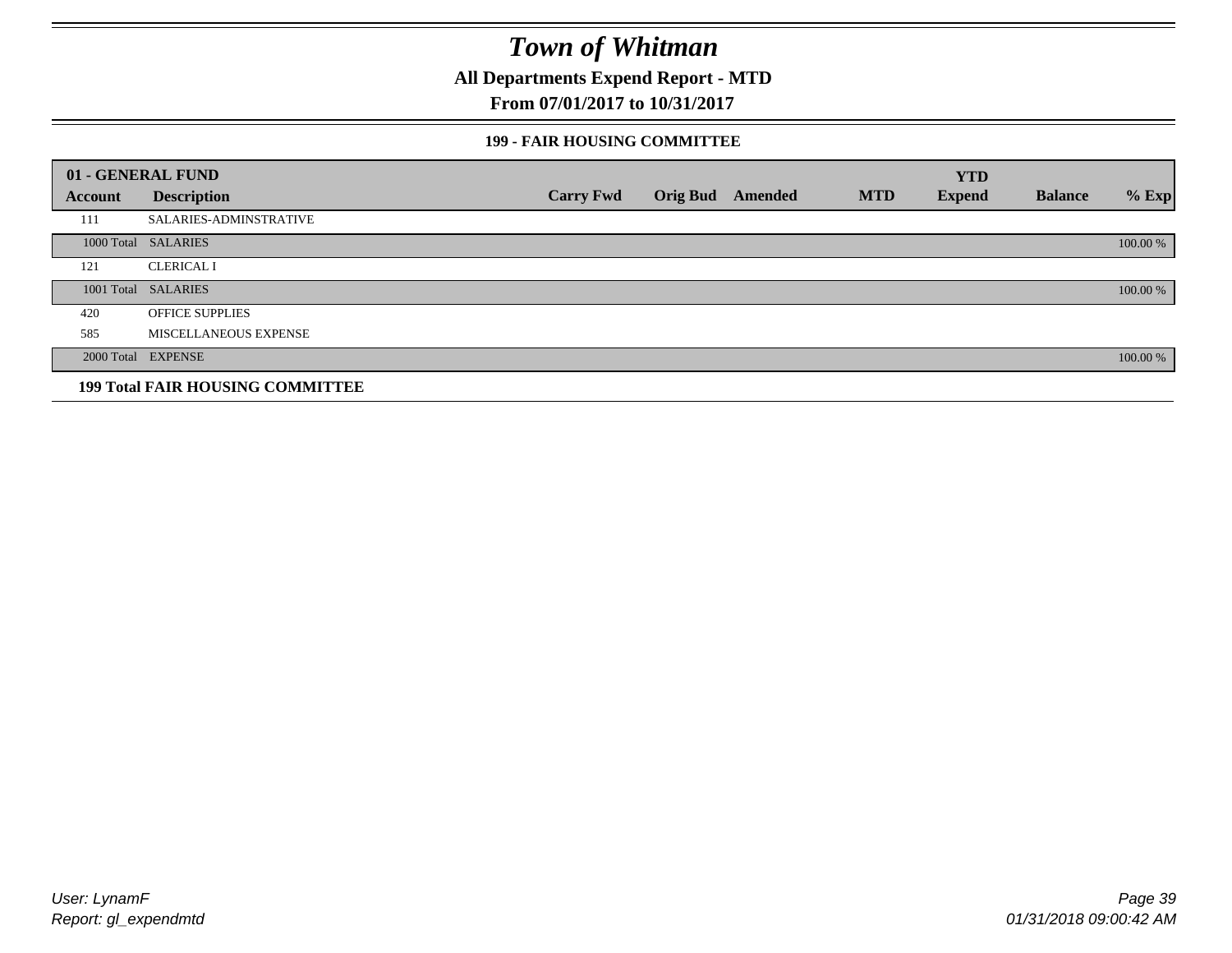**All Departments Expend Report - MTD**

**From 07/01/2017 to 10/31/2017**

#### **199 - FAIR HOUSING COMMITTEE**

|         | 01 - GENERAL FUND                       |                  |                         |            | <b>YTD</b>    |                |          |
|---------|-----------------------------------------|------------------|-------------------------|------------|---------------|----------------|----------|
| Account | <b>Description</b>                      | <b>Carry Fwd</b> | <b>Orig Bud</b> Amended | <b>MTD</b> | <b>Expend</b> | <b>Balance</b> | $%$ Exp  |
| 111     | SALARIES-ADMINSTRATIVE                  |                  |                         |            |               |                |          |
|         | 1000 Total SALARIES                     |                  |                         |            |               |                | 100.00 % |
| 121     | <b>CLERICAL I</b>                       |                  |                         |            |               |                |          |
|         | 1001 Total SALARIES                     |                  |                         |            |               |                | 100.00 % |
| 420     | <b>OFFICE SUPPLIES</b>                  |                  |                         |            |               |                |          |
| 585     | MISCELLANEOUS EXPENSE                   |                  |                         |            |               |                |          |
|         | 2000 Total EXPENSE                      |                  |                         |            |               |                | 100.00 % |
|         | <b>199 Total FAIR HOUSING COMMITTEE</b> |                  |                         |            |               |                |          |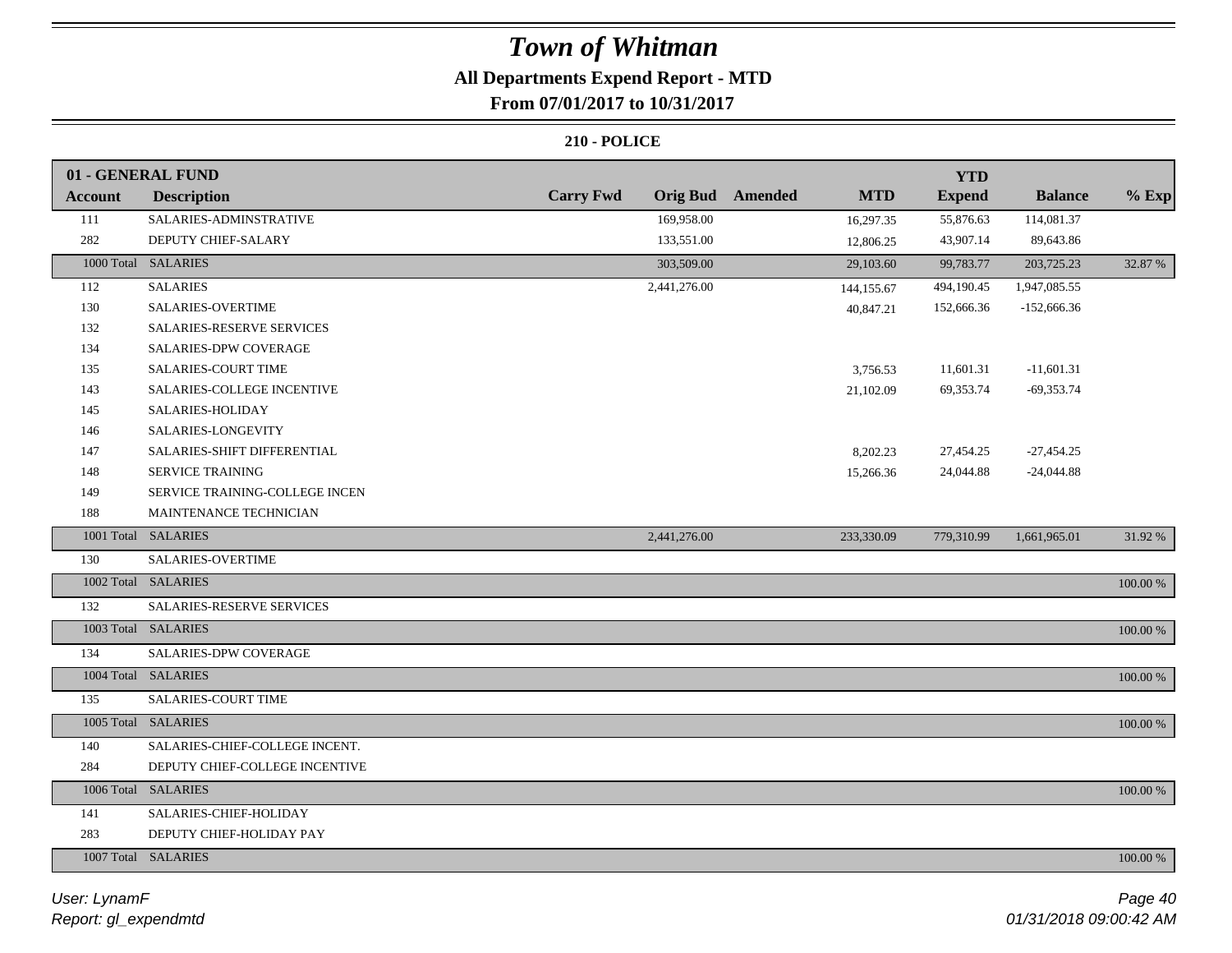## **All Departments Expend Report - MTD**

### **From 07/01/2017 to 10/31/2017**

|                | 01 - GENERAL FUND                |                  |              |                  |            | <b>YTD</b>    |                |          |
|----------------|----------------------------------|------------------|--------------|------------------|------------|---------------|----------------|----------|
| <b>Account</b> | <b>Description</b>               | <b>Carry Fwd</b> |              | Orig Bud Amended | <b>MTD</b> | <b>Expend</b> | <b>Balance</b> | $%$ Exp  |
| 111            | SALARIES-ADMINSTRATIVE           |                  | 169,958.00   |                  | 16,297.35  | 55,876.63     | 114,081.37     |          |
| 282            | DEPUTY CHIEF-SALARY              |                  | 133,551.00   |                  | 12,806.25  | 43,907.14     | 89,643.86      |          |
|                | 1000 Total SALARIES              |                  | 303,509.00   |                  | 29,103.60  | 99,783.77     | 203,725.23     | 32.87 %  |
| 112            | <b>SALARIES</b>                  |                  | 2,441,276.00 |                  | 144,155.67 | 494,190.45    | 1,947,085.55   |          |
| 130            | SALARIES-OVERTIME                |                  |              |                  | 40,847.21  | 152,666.36    | $-152,666.36$  |          |
| 132            | <b>SALARIES-RESERVE SERVICES</b> |                  |              |                  |            |               |                |          |
| 134            | <b>SALARIES-DPW COVERAGE</b>     |                  |              |                  |            |               |                |          |
| 135            | SALARIES-COURT TIME              |                  |              |                  | 3,756.53   | 11,601.31     | $-11,601.31$   |          |
| 143            | SALARIES-COLLEGE INCENTIVE       |                  |              |                  | 21,102.09  | 69,353.74     | $-69,353.74$   |          |
| 145            | SALARIES-HOLIDAY                 |                  |              |                  |            |               |                |          |
| 146            | SALARIES-LONGEVITY               |                  |              |                  |            |               |                |          |
| 147            | SALARIES-SHIFT DIFFERENTIAL      |                  |              |                  | 8,202.23   | 27,454.25     | $-27,454.25$   |          |
| 148            | SERVICE TRAINING                 |                  |              |                  | 15,266.36  | 24,044.88     | $-24,044.88$   |          |
| 149            | SERVICE TRAINING-COLLEGE INCEN   |                  |              |                  |            |               |                |          |
| 188            | MAINTENANCE TECHNICIAN           |                  |              |                  |            |               |                |          |
|                | 1001 Total SALARIES              |                  | 2,441,276.00 |                  | 233,330.09 | 779,310.99    | 1,661,965.01   | 31.92 %  |
| 130            | SALARIES-OVERTIME                |                  |              |                  |            |               |                |          |
|                | 1002 Total SALARIES              |                  |              |                  |            |               |                | 100.00 % |
| 132            | SALARIES-RESERVE SERVICES        |                  |              |                  |            |               |                |          |
|                | 1003 Total SALARIES              |                  |              |                  |            |               |                | 100.00 % |
| 134            | SALARIES-DPW COVERAGE            |                  |              |                  |            |               |                |          |
|                | 1004 Total SALARIES              |                  |              |                  |            |               |                | 100.00 % |
| 135            | SALARIES-COURT TIME              |                  |              |                  |            |               |                |          |
|                | 1005 Total SALARIES              |                  |              |                  |            |               |                | 100.00 % |
| 140            | SALARIES-CHIEF-COLLEGE INCENT.   |                  |              |                  |            |               |                |          |
| 284            | DEPUTY CHIEF-COLLEGE INCENTIVE   |                  |              |                  |            |               |                |          |
|                | 1006 Total SALARIES              |                  |              |                  |            |               |                | 100.00 % |
| 141            | SALARIES-CHIEF-HOLIDAY           |                  |              |                  |            |               |                |          |
| 283            | DEPUTY CHIEF-HOLIDAY PAY         |                  |              |                  |            |               |                |          |
|                | 1007 Total SALARIES              |                  |              |                  |            |               |                | 100.00 % |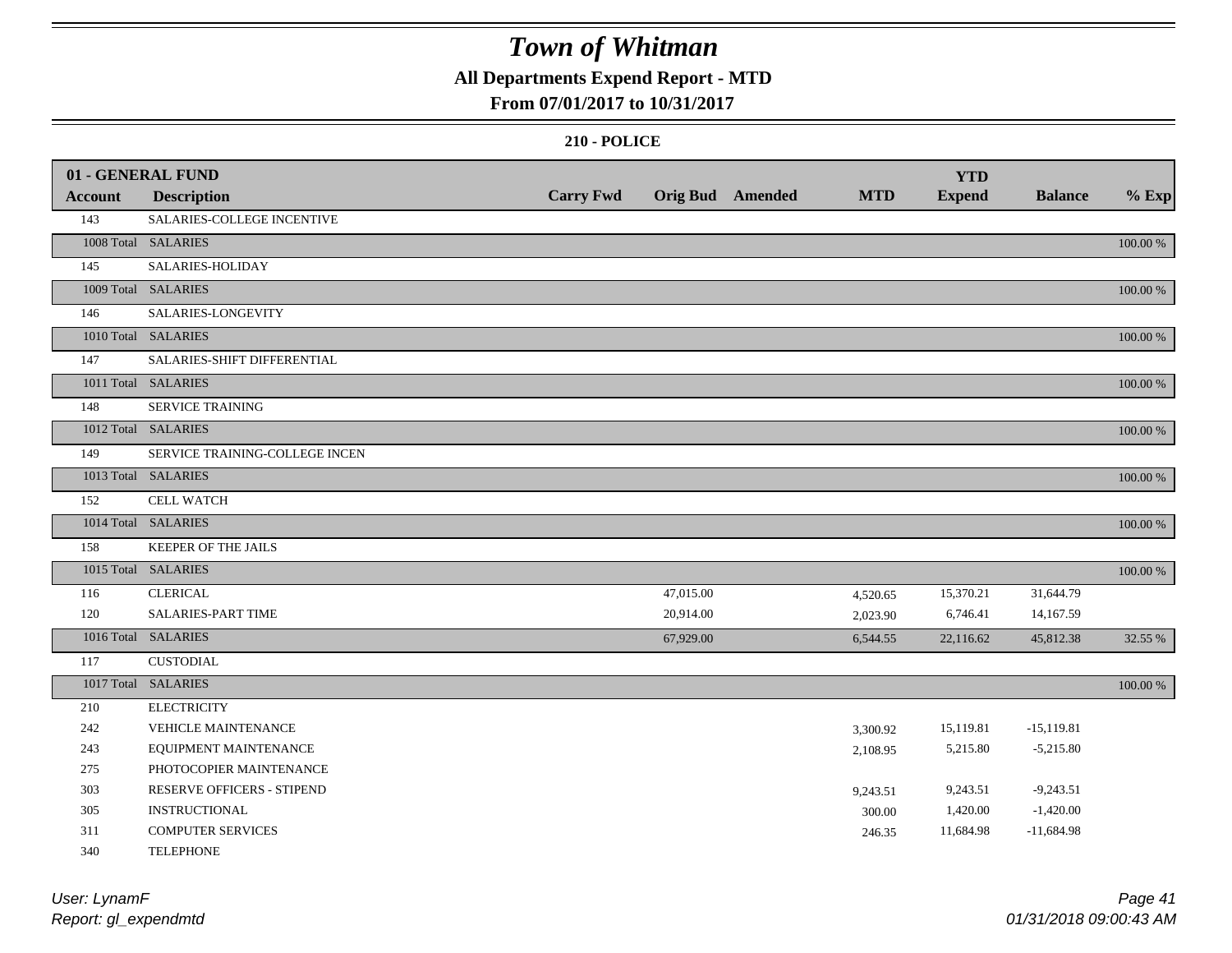## **All Departments Expend Report - MTD**

### **From 07/01/2017 to 10/31/2017**

#### **210 - POLICE**

|         | 01 - GENERAL FUND              |                  |           |                  |            | <b>YTD</b>    |                |          |
|---------|--------------------------------|------------------|-----------|------------------|------------|---------------|----------------|----------|
| Account | <b>Description</b>             | <b>Carry Fwd</b> |           | Orig Bud Amended | <b>MTD</b> | <b>Expend</b> | <b>Balance</b> | $%$ Exp  |
| 143     | SALARIES-COLLEGE INCENTIVE     |                  |           |                  |            |               |                |          |
|         | 1008 Total SALARIES            |                  |           |                  |            |               |                | 100.00 % |
| 145     | SALARIES-HOLIDAY               |                  |           |                  |            |               |                |          |
|         | 1009 Total SALARIES            |                  |           |                  |            |               |                | 100.00 % |
| 146     | SALARIES-LONGEVITY             |                  |           |                  |            |               |                |          |
|         | 1010 Total SALARIES            |                  |           |                  |            |               |                | 100.00 % |
| 147     | SALARIES-SHIFT DIFFERENTIAL    |                  |           |                  |            |               |                |          |
|         | 1011 Total SALARIES            |                  |           |                  |            |               |                | 100.00 % |
| 148     | <b>SERVICE TRAINING</b>        |                  |           |                  |            |               |                |          |
|         | 1012 Total SALARIES            |                  |           |                  |            |               |                | 100.00 % |
| 149     | SERVICE TRAINING-COLLEGE INCEN |                  |           |                  |            |               |                |          |
|         | 1013 Total SALARIES            |                  |           |                  |            |               |                | 100.00 % |
| 152     | <b>CELL WATCH</b>              |                  |           |                  |            |               |                |          |
|         | 1014 Total SALARIES            |                  |           |                  |            |               |                | 100.00 % |
| 158     | KEEPER OF THE JAILS            |                  |           |                  |            |               |                |          |
|         | 1015 Total SALARIES            |                  |           |                  |            |               |                | 100.00 % |
| 116     | <b>CLERICAL</b>                |                  | 47,015.00 |                  | 4,520.65   | 15,370.21     | 31,644.79      |          |
| 120     | <b>SALARIES-PART TIME</b>      |                  | 20,914.00 |                  | 2,023.90   | 6,746.41      | 14,167.59      |          |
|         | 1016 Total SALARIES            |                  | 67,929.00 |                  | 6,544.55   | 22,116.62     | 45,812.38      | 32.55 %  |
| 117     | <b>CUSTODIAL</b>               |                  |           |                  |            |               |                |          |
|         | 1017 Total SALARIES            |                  |           |                  |            |               |                | 100.00 % |
| 210     | <b>ELECTRICITY</b>             |                  |           |                  |            |               |                |          |
| 242     | <b>VEHICLE MAINTENANCE</b>     |                  |           |                  | 3,300.92   | 15,119.81     | $-15,119.81$   |          |
| 243     | EQUIPMENT MAINTENANCE          |                  |           |                  | 2,108.95   | 5,215.80      | $-5,215.80$    |          |
| 275     | PHOTOCOPIER MAINTENANCE        |                  |           |                  |            |               |                |          |
| 303     | RESERVE OFFICERS - STIPEND     |                  |           |                  | 9,243.51   | 9,243.51      | $-9,243.51$    |          |
| 305     | <b>INSTRUCTIONAL</b>           |                  |           |                  | 300.00     | 1,420.00      | $-1,420.00$    |          |
| 311     | <b>COMPUTER SERVICES</b>       |                  |           |                  | 246.35     | 11,684.98     | $-11,684.98$   |          |
| 340     | <b>TELEPHONE</b>               |                  |           |                  |            |               |                |          |

*Report: gl\_expendmtd User: LynamF*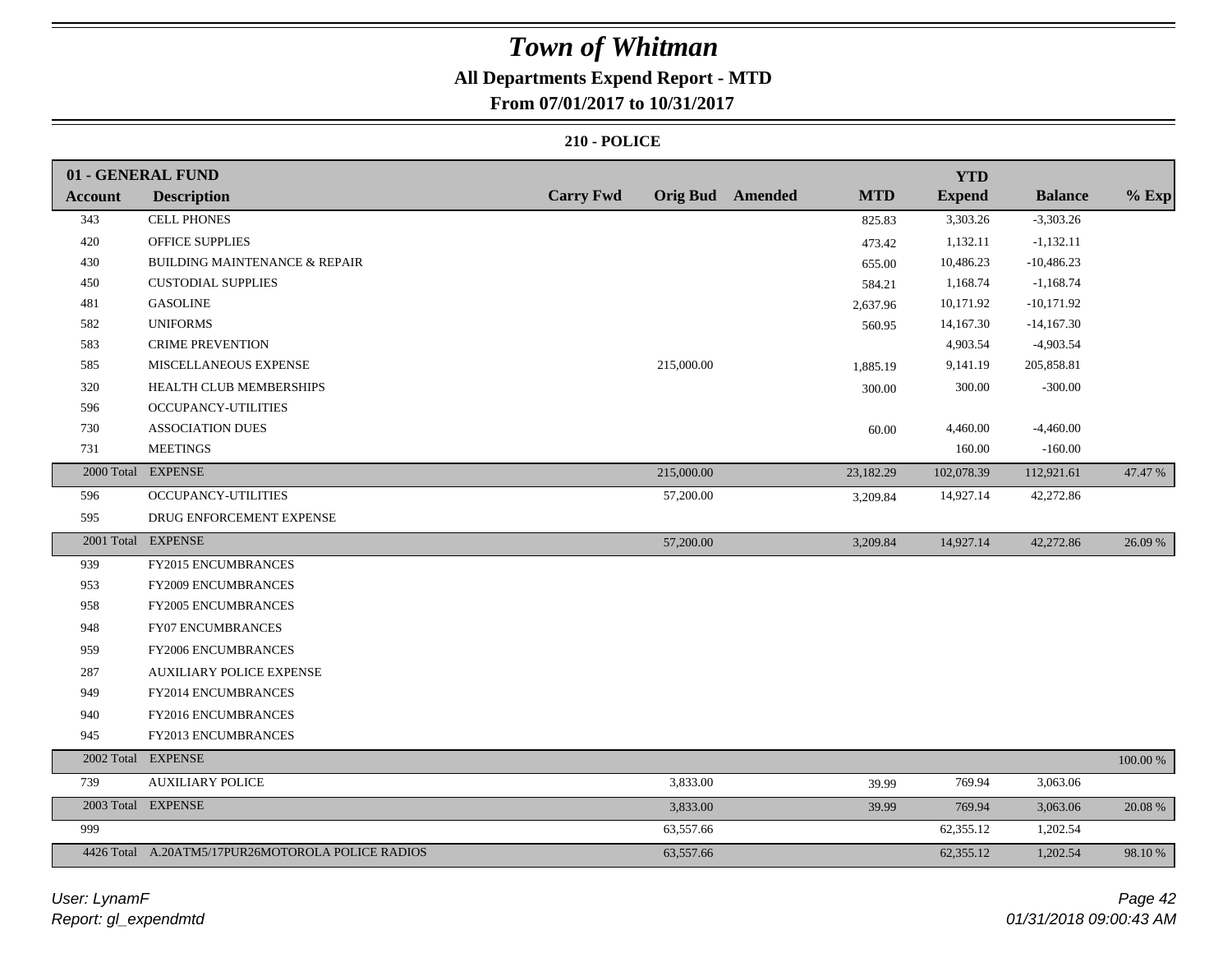## **All Departments Expend Report - MTD**

**From 07/01/2017 to 10/31/2017**

|                | 01 - GENERAL FUND                                 |                  |                         |            | <b>YTD</b>    |                |          |
|----------------|---------------------------------------------------|------------------|-------------------------|------------|---------------|----------------|----------|
| <b>Account</b> | <b>Description</b>                                | <b>Carry Fwd</b> | <b>Orig Bud</b> Amended | <b>MTD</b> | <b>Expend</b> | <b>Balance</b> | $%$ Exp  |
| 343            | <b>CELL PHONES</b>                                |                  |                         | 825.83     | 3,303.26      | $-3,303.26$    |          |
| 420            | <b>OFFICE SUPPLIES</b>                            |                  |                         | 473.42     | 1,132.11      | $-1,132.11$    |          |
| 430            | BUILDING MAINTENANCE & REPAIR                     |                  |                         | 655.00     | 10,486.23     | $-10,486.23$   |          |
| 450            | <b>CUSTODIAL SUPPLIES</b>                         |                  |                         | 584.21     | 1,168.74      | $-1,168.74$    |          |
| 481            | <b>GASOLINE</b>                                   |                  |                         | 2,637.96   | 10,171.92     | $-10,171.92$   |          |
| 582            | <b>UNIFORMS</b>                                   |                  |                         | 560.95     | 14,167.30     | $-14,167.30$   |          |
| 583            | <b>CRIME PREVENTION</b>                           |                  |                         |            | 4,903.54      | $-4,903.54$    |          |
| 585            | MISCELLANEOUS EXPENSE                             |                  | 215,000.00              | 1,885.19   | 9,141.19      | 205,858.81     |          |
| 320            | HEALTH CLUB MEMBERSHIPS                           |                  |                         | 300.00     | 300.00        | $-300.00$      |          |
| 596            | <b>OCCUPANCY-UTILITIES</b>                        |                  |                         |            |               |                |          |
| 730            | <b>ASSOCIATION DUES</b>                           |                  |                         | 60.00      | 4,460.00      | $-4,460.00$    |          |
| 731            | <b>MEETINGS</b>                                   |                  |                         |            | 160.00        | $-160.00$      |          |
|                | 2000 Total EXPENSE                                |                  | 215,000.00              | 23,182.29  | 102,078.39    | 112,921.61     | 47.47 %  |
| 596            | OCCUPANCY-UTILITIES                               |                  | 57,200.00               | 3,209.84   | 14,927.14     | 42,272.86      |          |
| 595            | DRUG ENFORCEMENT EXPENSE                          |                  |                         |            |               |                |          |
|                | 2001 Total EXPENSE                                |                  | 57,200.00               | 3,209.84   | 14,927.14     | 42,272.86      | 26.09 %  |
| 939            | FY2015 ENCUMBRANCES                               |                  |                         |            |               |                |          |
| 953            | <b>FY2009 ENCUMBRANCES</b>                        |                  |                         |            |               |                |          |
| 958            | FY2005 ENCUMBRANCES                               |                  |                         |            |               |                |          |
| 948            | <b>FY07 ENCUMBRANCES</b>                          |                  |                         |            |               |                |          |
| 959            | <b>FY2006 ENCUMBRANCES</b>                        |                  |                         |            |               |                |          |
| 287            | <b>AUXILIARY POLICE EXPENSE</b>                   |                  |                         |            |               |                |          |
| 949            | FY2014 ENCUMBRANCES                               |                  |                         |            |               |                |          |
| 940            | FY2016 ENCUMBRANCES                               |                  |                         |            |               |                |          |
| 945            | FY2013 ENCUMBRANCES                               |                  |                         |            |               |                |          |
|                | 2002 Total EXPENSE                                |                  |                         |            |               |                | 100.00 % |
| 739            | <b>AUXILIARY POLICE</b>                           |                  | 3,833.00                | 39.99      | 769.94        | 3,063.06       |          |
|                | 2003 Total EXPENSE                                |                  | 3,833.00                | 39.99      | 769.94        | 3,063.06       | 20.08 %  |
| 999            |                                                   |                  | 63,557.66               |            | 62,355.12     | 1,202.54       |          |
|                | 4426 Total A.20ATM5/17PUR26MOTOROLA POLICE RADIOS |                  | 63,557.66               |            | 62,355.12     | 1,202.54       | 98.10 %  |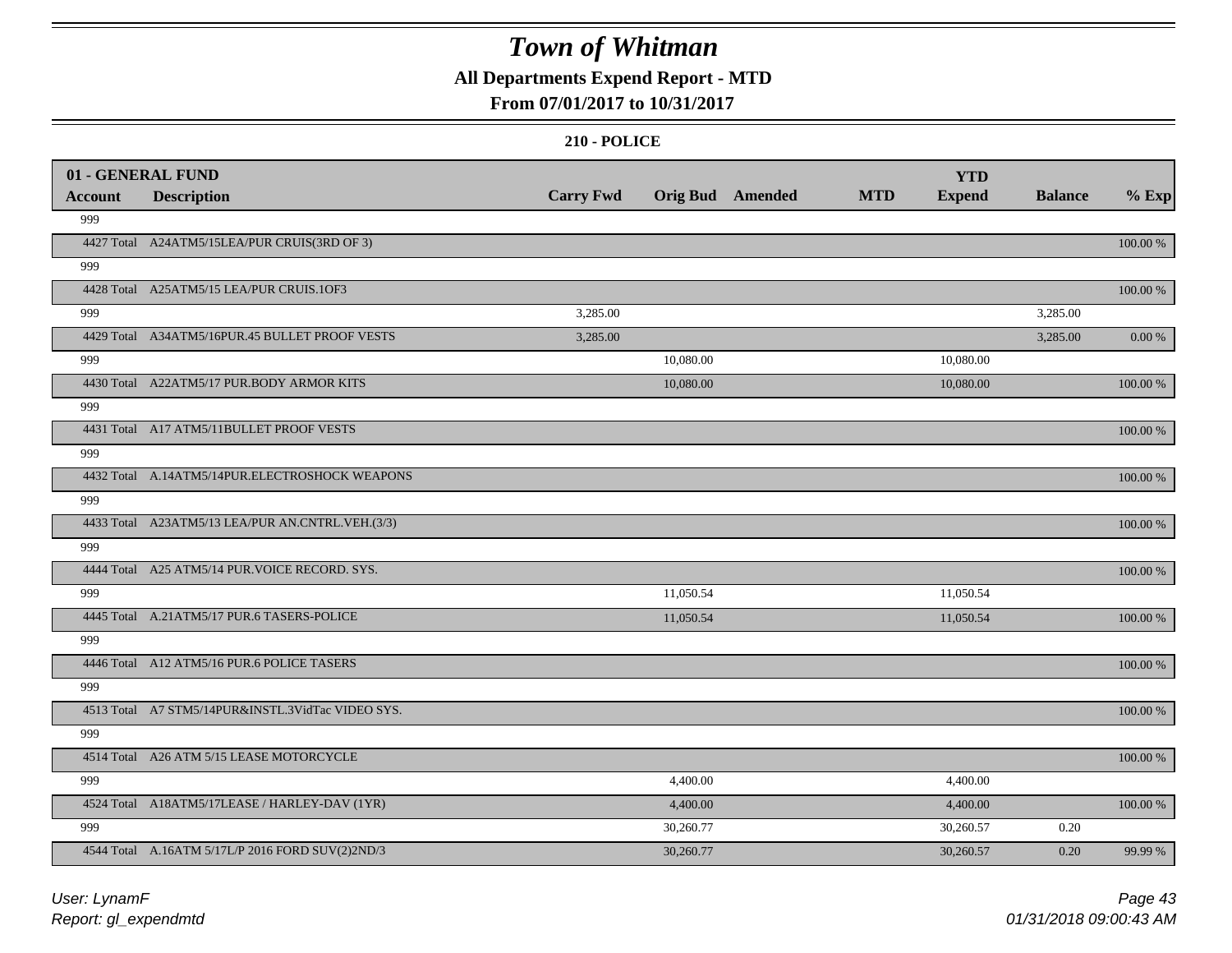## **All Departments Expend Report - MTD**

### **From 07/01/2017 to 10/31/2017**

|                       | 01 - GENERAL FUND                                 | <b>Carry Fwd</b> | <b>Orig Bud</b> Amended | <b>MTD</b> | <b>YTD</b>    | <b>Balance</b> |             |
|-----------------------|---------------------------------------------------|------------------|-------------------------|------------|---------------|----------------|-------------|
| <b>Account</b><br>999 | <b>Description</b>                                |                  |                         |            | <b>Expend</b> |                | $%$ Exp     |
|                       | 4427 Total A24ATM5/15LEA/PUR CRUIS(3RD OF 3)      |                  |                         |            |               |                | 100.00 %    |
| 999                   |                                                   |                  |                         |            |               |                |             |
|                       | 4428 Total A25ATM5/15 LEA/PUR CRUIS.10F3          |                  |                         |            |               |                |             |
| 999                   |                                                   | 3,285.00         |                         |            |               | 3,285.00       | 100.00 %    |
|                       | 4429 Total A34ATM5/16PUR.45 BULLET PROOF VESTS    | 3,285.00         |                         |            |               | 3,285.00       | $0.00 \%$   |
| 999                   |                                                   |                  | 10,080.00               |            | 10,080.00     |                |             |
|                       | 4430 Total A22ATM5/17 PUR.BODY ARMOR KITS         |                  |                         |            |               |                |             |
| 999                   |                                                   |                  | 10,080.00               |            | 10,080.00     |                | 100.00 %    |
|                       | 4431 Total A17 ATM5/11BULLET PROOF VESTS          |                  |                         |            |               |                |             |
| 999                   |                                                   |                  |                         |            |               |                | 100.00 %    |
|                       | 4432 Total A.14ATM5/14PUR.ELECTROSHOCK WEAPONS    |                  |                         |            |               |                |             |
|                       |                                                   |                  |                         |            |               |                | $100.00~\%$ |
| 999                   |                                                   |                  |                         |            |               |                |             |
|                       | 4433 Total A23ATM5/13 LEA/PUR AN.CNTRL.VEH.(3/3)  |                  |                         |            |               |                | 100.00 %    |
| 999                   |                                                   |                  |                         |            |               |                |             |
|                       | 4444 Total A25 ATM5/14 PUR. VOICE RECORD. SYS.    |                  |                         |            |               |                | 100.00 %    |
| 999                   |                                                   |                  | 11,050.54               |            | 11,050.54     |                |             |
|                       | 4445 Total A.21ATM5/17 PUR.6 TASERS-POLICE        |                  | 11,050.54               |            | 11,050.54     |                | 100.00 %    |
| 999                   |                                                   |                  |                         |            |               |                |             |
|                       | 4446 Total A12 ATM5/16 PUR.6 POLICE TASERS        |                  |                         |            |               |                | $100.00~\%$ |
| 999                   |                                                   |                  |                         |            |               |                |             |
|                       | 4513 Total A7 STM5/14PUR&INSTL.3VidTac VIDEO SYS. |                  |                         |            |               |                | 100.00 %    |
| 999                   |                                                   |                  |                         |            |               |                |             |
|                       | 4514 Total A26 ATM 5/15 LEASE MOTORCYCLE          |                  |                         |            |               |                | 100.00 %    |
| 999                   |                                                   |                  | 4,400.00                |            | 4,400.00      |                |             |
|                       | 4524 Total A18ATM5/17LEASE / HARLEY-DAV (1YR)     |                  | 4,400.00                |            | 4,400.00      |                | 100.00 %    |
| 999                   |                                                   |                  | 30,260.77               |            | 30,260.57     | 0.20           |             |
|                       | 4544 Total A.16ATM 5/17L/P 2016 FORD SUV(2)2ND/3  |                  | 30,260.77               |            | 30,260.57     | 0.20           | 99.99 %     |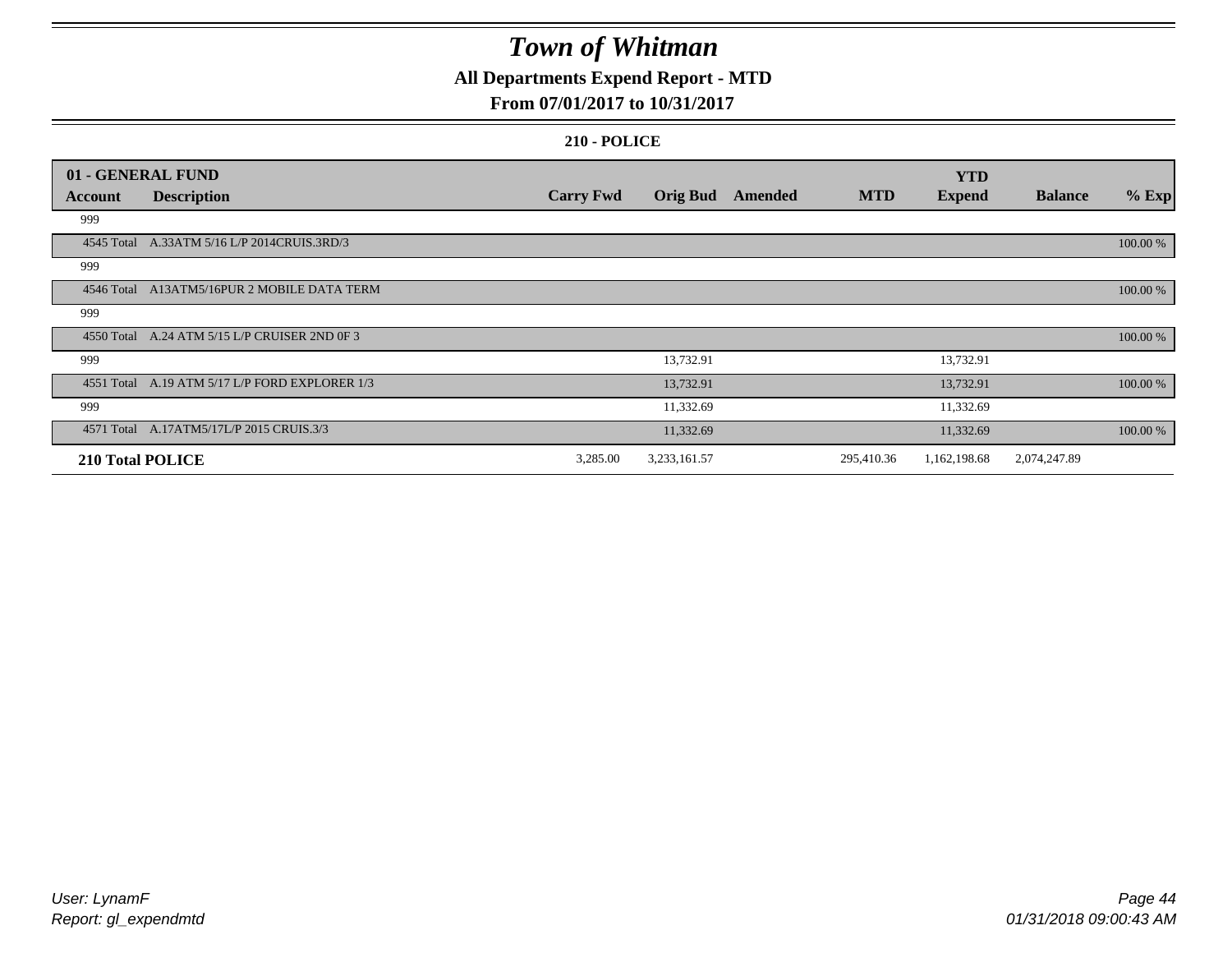## **All Departments Expend Report - MTD**

### **From 07/01/2017 to 10/31/2017**

|                  | 01 - GENERAL FUND                              |                  |                 |         |            | <b>YTD</b>    |                |          |
|------------------|------------------------------------------------|------------------|-----------------|---------|------------|---------------|----------------|----------|
| Account          | <b>Description</b>                             | <b>Carry Fwd</b> | <b>Orig Bud</b> | Amended | <b>MTD</b> | <b>Expend</b> | <b>Balance</b> | $%$ Exp  |
| 999              |                                                |                  |                 |         |            |               |                |          |
|                  | 4545 Total A.33ATM 5/16 L/P 2014CRUIS.3RD/3    |                  |                 |         |            |               |                | 100.00 % |
| 999              |                                                |                  |                 |         |            |               |                |          |
|                  | 4546 Total A13ATM5/16PUR 2 MOBILE DATA TERM    |                  |                 |         |            |               |                | 100.00 % |
| 999              |                                                |                  |                 |         |            |               |                |          |
|                  | 4550 Total A.24 ATM 5/15 L/P CRUISER 2ND 0F 3  |                  |                 |         |            |               |                | 100.00 % |
| 999              |                                                |                  | 13,732.91       |         |            | 13,732.91     |                |          |
|                  | 4551 Total A.19 ATM 5/17 L/P FORD EXPLORER 1/3 |                  | 13,732.91       |         |            | 13,732.91     |                | 100.00 % |
| 999              |                                                |                  | 11,332.69       |         |            | 11,332.69     |                |          |
|                  | 4571 Total A.17ATM5/17L/P 2015 CRUIS.3/3       |                  | 11,332.69       |         |            | 11,332.69     |                | 100.00 % |
| 210 Total POLICE |                                                | 3,285.00         | 3,233,161.57    |         | 295,410.36 | 1,162,198.68  | 2,074,247.89   |          |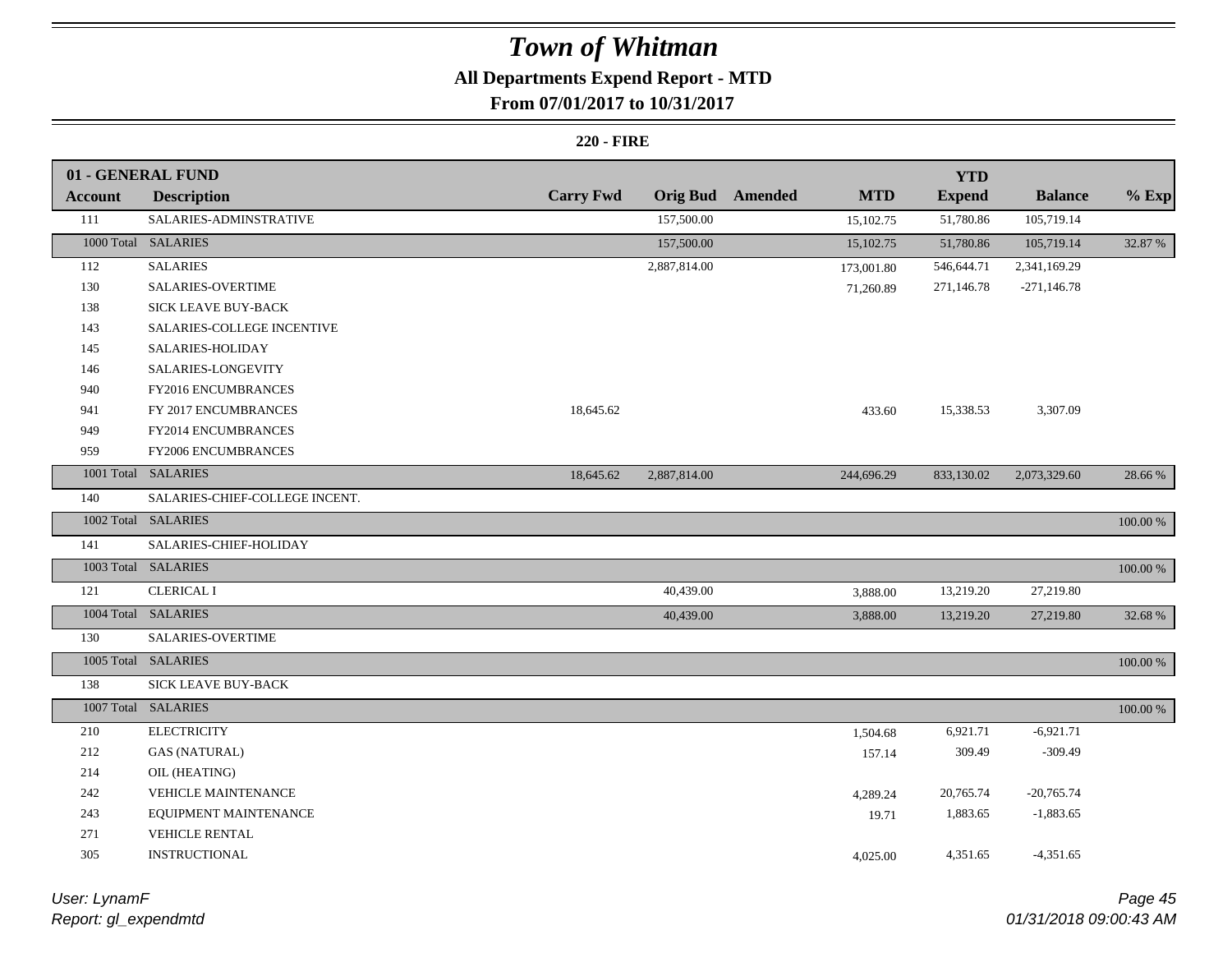## **All Departments Expend Report - MTD**

### **From 07/01/2017 to 10/31/2017**

#### **220 - FIRE**

|                | 01 - GENERAL FUND              |                  |                 |         |            | <b>YTD</b>    |                |             |
|----------------|--------------------------------|------------------|-----------------|---------|------------|---------------|----------------|-------------|
| <b>Account</b> | <b>Description</b>             | <b>Carry Fwd</b> | <b>Orig Bud</b> | Amended | <b>MTD</b> | <b>Expend</b> | <b>Balance</b> | $%$ Exp     |
| 111            | SALARIES-ADMINSTRATIVE         |                  | 157,500.00      |         | 15,102.75  | 51,780.86     | 105,719.14     |             |
|                | 1000 Total SALARIES            |                  | 157,500.00      |         | 15,102.75  | 51,780.86     | 105,719.14     | 32.87 %     |
| 112            | <b>SALARIES</b>                |                  | 2,887,814.00    |         | 173,001.80 | 546,644.71    | 2,341,169.29   |             |
| 130            | SALARIES-OVERTIME              |                  |                 |         | 71,260.89  | 271,146.78    | $-271,146.78$  |             |
| 138            | SICK LEAVE BUY-BACK            |                  |                 |         |            |               |                |             |
| 143            | SALARIES-COLLEGE INCENTIVE     |                  |                 |         |            |               |                |             |
| 145            | SALARIES-HOLIDAY               |                  |                 |         |            |               |                |             |
| 146            | SALARIES-LONGEVITY             |                  |                 |         |            |               |                |             |
| 940            | FY2016 ENCUMBRANCES            |                  |                 |         |            |               |                |             |
| 941            | FY 2017 ENCUMBRANCES           | 18,645.62        |                 |         | 433.60     | 15,338.53     | 3,307.09       |             |
| 949            | FY2014 ENCUMBRANCES            |                  |                 |         |            |               |                |             |
| 959            | FY2006 ENCUMBRANCES            |                  |                 |         |            |               |                |             |
|                | 1001 Total SALARIES            | 18,645.62        | 2,887,814.00    |         | 244,696.29 | 833,130.02    | 2,073,329.60   | 28.66 %     |
| 140            | SALARIES-CHIEF-COLLEGE INCENT. |                  |                 |         |            |               |                |             |
|                | 1002 Total SALARIES            |                  |                 |         |            |               |                | 100.00 %    |
| 141            | SALARIES-CHIEF-HOLIDAY         |                  |                 |         |            |               |                |             |
|                | 1003 Total SALARIES            |                  |                 |         |            |               |                | 100.00 %    |
| 121            | <b>CLERICAL I</b>              |                  | 40,439.00       |         | 3,888.00   | 13,219.20     | 27,219.80      |             |
|                | 1004 Total SALARIES            |                  | 40,439.00       |         | 3,888.00   | 13,219.20     | 27,219.80      | 32.68 %     |
| 130            | SALARIES-OVERTIME              |                  |                 |         |            |               |                |             |
|                | 1005 Total SALARIES            |                  |                 |         |            |               |                | 100.00 %    |
| 138            | SICK LEAVE BUY-BACK            |                  |                 |         |            |               |                |             |
|                | 1007 Total SALARIES            |                  |                 |         |            |               |                | $100.00~\%$ |
| 210            | <b>ELECTRICITY</b>             |                  |                 |         | 1,504.68   | 6,921.71      | $-6,921.71$    |             |
| 212            | <b>GAS (NATURAL)</b>           |                  |                 |         | 157.14     | 309.49        | $-309.49$      |             |
| 214            | OIL (HEATING)                  |                  |                 |         |            |               |                |             |
| 242            | VEHICLE MAINTENANCE            |                  |                 |         | 4,289.24   | 20,765.74     | $-20,765.74$   |             |
| 243            | EQUIPMENT MAINTENANCE          |                  |                 |         | 19.71      | 1,883.65      | $-1,883.65$    |             |
| 271            | VEHICLE RENTAL                 |                  |                 |         |            |               |                |             |
| 305            | INSTRUCTIONAL                  |                  |                 |         | 4,025.00   | 4,351.65      | $-4,351.65$    |             |
|                |                                |                  |                 |         |            |               |                |             |

*Report: gl\_expendmtd User: LynamF*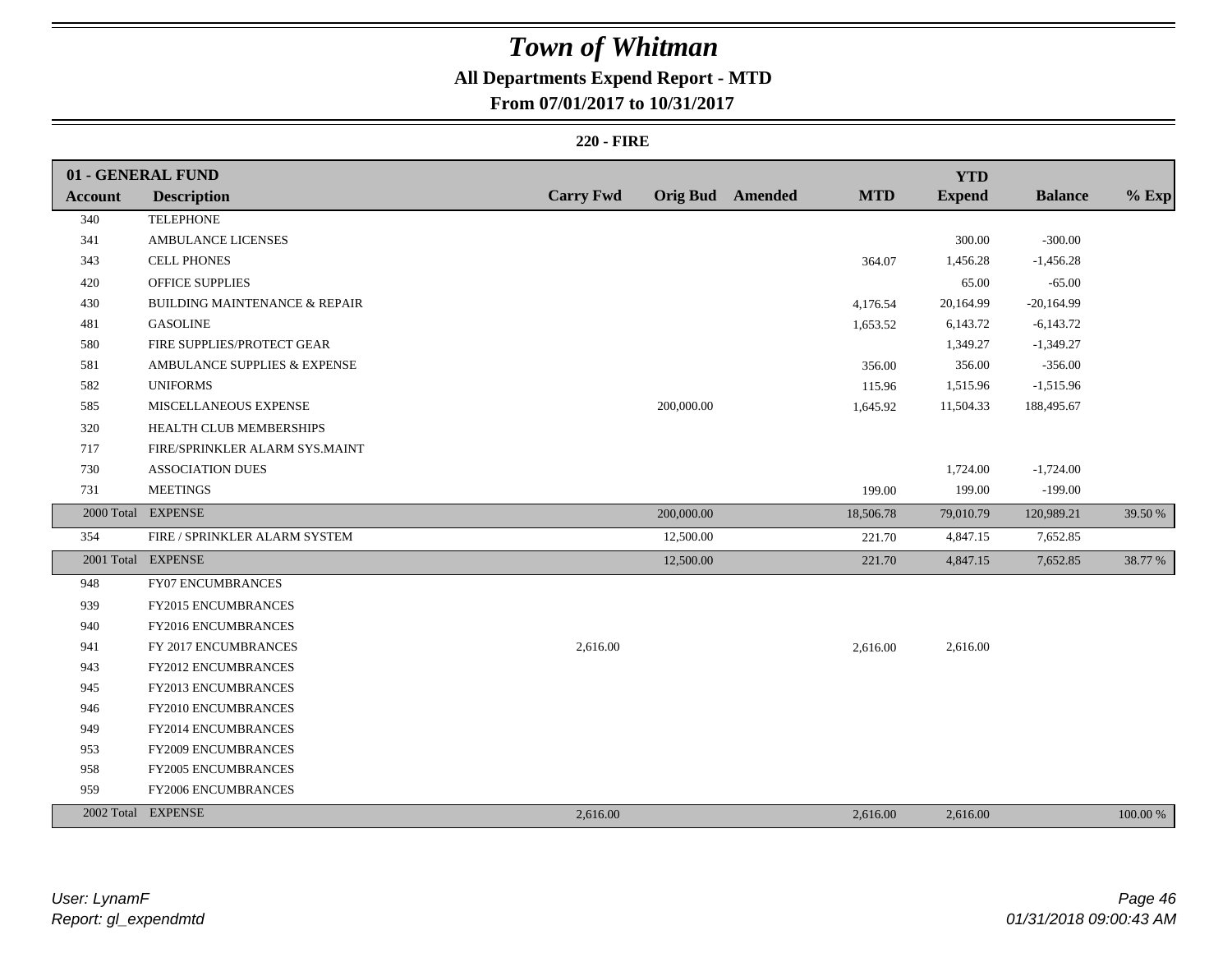## **All Departments Expend Report - MTD**

**From 07/01/2017 to 10/31/2017**

#### **220 - FIRE**

|                | 01 - GENERAL FUND                        |                  |            |                         |            | <b>YTD</b>    |                |          |
|----------------|------------------------------------------|------------------|------------|-------------------------|------------|---------------|----------------|----------|
| <b>Account</b> | <b>Description</b>                       | <b>Carry Fwd</b> |            | <b>Orig Bud</b> Amended | <b>MTD</b> | <b>Expend</b> | <b>Balance</b> | $%$ Exp  |
| 340            | <b>TELEPHONE</b>                         |                  |            |                         |            |               |                |          |
| 341            | <b>AMBULANCE LICENSES</b>                |                  |            |                         |            | 300.00        | $-300.00$      |          |
| 343            | <b>CELL PHONES</b>                       |                  |            |                         | 364.07     | 1,456.28      | $-1,456.28$    |          |
| 420            | OFFICE SUPPLIES                          |                  |            |                         |            | 65.00         | $-65.00$       |          |
| 430            | <b>BUILDING MAINTENANCE &amp; REPAIR</b> |                  |            |                         | 4,176.54   | 20,164.99     | $-20,164.99$   |          |
| 481            | <b>GASOLINE</b>                          |                  |            |                         | 1,653.52   | 6,143.72      | $-6,143.72$    |          |
| 580            | FIRE SUPPLIES/PROTECT GEAR               |                  |            |                         |            | 1,349.27      | $-1,349.27$    |          |
| 581            | AMBULANCE SUPPLIES & EXPENSE             |                  |            |                         | 356.00     | 356.00        | $-356.00$      |          |
| 582            | <b>UNIFORMS</b>                          |                  |            |                         | 115.96     | 1,515.96      | $-1,515.96$    |          |
| 585            | MISCELLANEOUS EXPENSE                    |                  | 200,000.00 |                         | 1,645.92   | 11,504.33     | 188,495.67     |          |
| 320            | HEALTH CLUB MEMBERSHIPS                  |                  |            |                         |            |               |                |          |
| 717            | FIRE/SPRINKLER ALARM SYS.MAINT           |                  |            |                         |            |               |                |          |
| 730            | <b>ASSOCIATION DUES</b>                  |                  |            |                         |            | 1,724.00      | $-1,724.00$    |          |
| 731            | <b>MEETINGS</b>                          |                  |            |                         | 199.00     | 199.00        | $-199.00$      |          |
|                | 2000 Total EXPENSE                       |                  | 200,000.00 |                         | 18,506.78  | 79,010.79     | 120,989.21     | 39.50 %  |
| 354            | FIRE / SPRINKLER ALARM SYSTEM            |                  | 12,500.00  |                         | 221.70     | 4,847.15      | 7,652.85       |          |
|                | 2001 Total EXPENSE                       |                  | 12,500.00  |                         | 221.70     | 4,847.15      | 7,652.85       | 38.77 %  |
| 948            | <b>FY07 ENCUMBRANCES</b>                 |                  |            |                         |            |               |                |          |
| 939            | FY2015 ENCUMBRANCES                      |                  |            |                         |            |               |                |          |
| 940            | FY2016 ENCUMBRANCES                      |                  |            |                         |            |               |                |          |
| 941            | FY 2017 ENCUMBRANCES                     | 2,616.00         |            |                         | 2,616.00   | 2,616.00      |                |          |
| 943            | <b>FY2012 ENCUMBRANCES</b>               |                  |            |                         |            |               |                |          |
| 945            | FY2013 ENCUMBRANCES                      |                  |            |                         |            |               |                |          |
| 946            | FY2010 ENCUMBRANCES                      |                  |            |                         |            |               |                |          |
| 949            | FY2014 ENCUMBRANCES                      |                  |            |                         |            |               |                |          |
| 953            | FY2009 ENCUMBRANCES                      |                  |            |                         |            |               |                |          |
| 958            | <b>FY2005 ENCUMBRANCES</b>               |                  |            |                         |            |               |                |          |
| 959            | FY2006 ENCUMBRANCES                      |                  |            |                         |            |               |                |          |
|                | 2002 Total EXPENSE                       | 2,616.00         |            |                         | 2,616.00   | 2,616.00      |                | 100.00 % |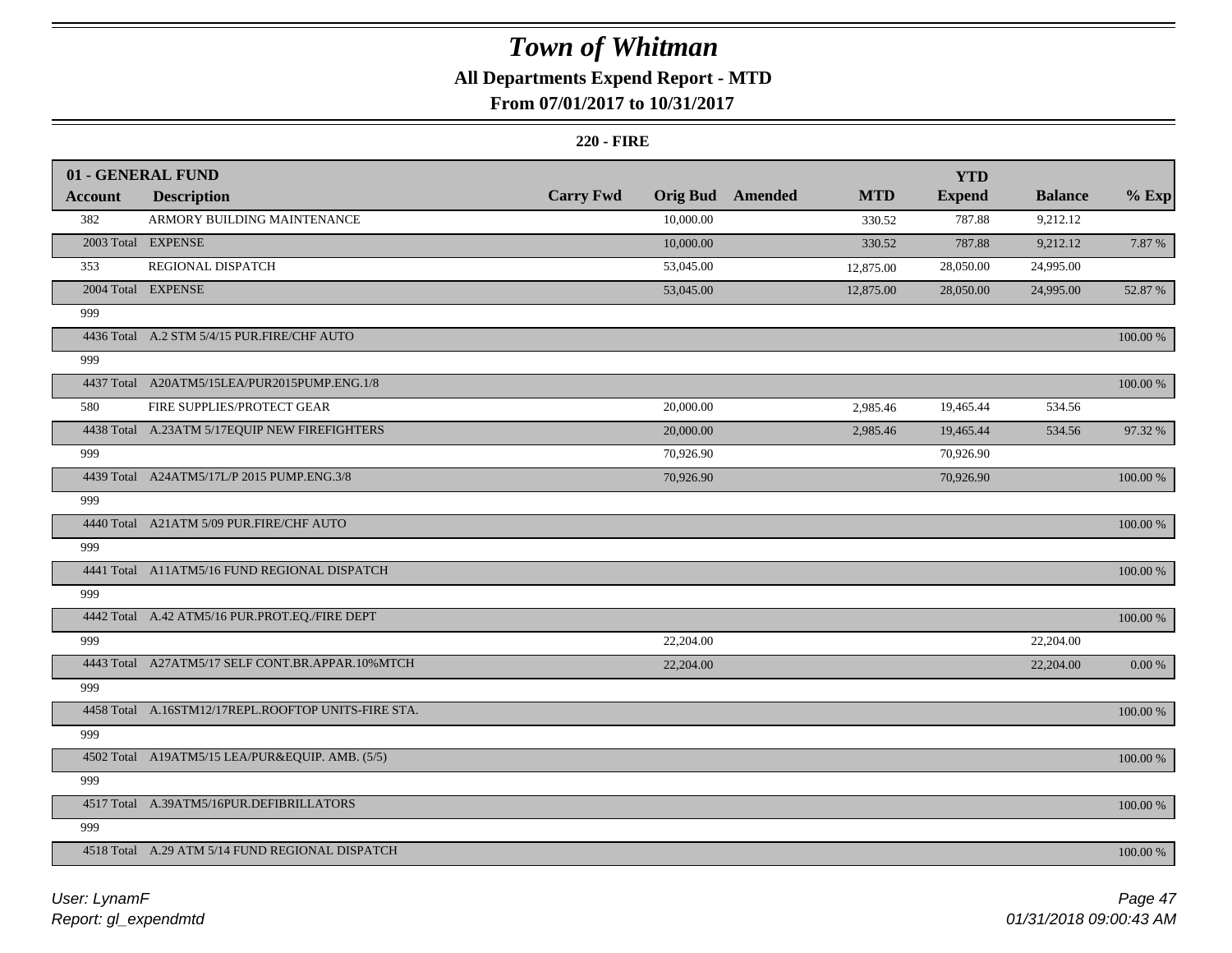## **All Departments Expend Report - MTD**

### **From 07/01/2017 to 10/31/2017**

#### **220 - FIRE**

|                | 01 - GENERAL FUND                                   |                  |                 |                |            | <b>YTD</b>    |                |          |
|----------------|-----------------------------------------------------|------------------|-----------------|----------------|------------|---------------|----------------|----------|
| <b>Account</b> | <b>Description</b>                                  | <b>Carry Fwd</b> | <b>Orig Bud</b> | <b>Amended</b> | <b>MTD</b> | <b>Expend</b> | <b>Balance</b> | $%$ Exp  |
| 382            | ARMORY BUILDING MAINTENANCE                         |                  | 10,000.00       |                | 330.52     | 787.88        | 9,212.12       |          |
|                | 2003 Total EXPENSE                                  |                  | 10,000.00       |                | 330.52     | 787.88        | 9,212.12       | 7.87 %   |
| 353            | REGIONAL DISPATCH                                   |                  | 53,045.00       |                | 12,875.00  | 28,050.00     | 24,995.00      |          |
|                | 2004 Total EXPENSE                                  |                  | 53,045.00       |                | 12,875.00  | 28,050.00     | 24,995.00      | 52.87 %  |
| 999            |                                                     |                  |                 |                |            |               |                |          |
|                | 4436 Total A.2 STM 5/4/15 PUR.FIRE/CHF AUTO         |                  |                 |                |            |               |                | 100.00 % |
| 999            |                                                     |                  |                 |                |            |               |                |          |
|                | 4437 Total A20ATM5/15LEA/PUR2015PUMP.ENG.1/8        |                  |                 |                |            |               |                | 100.00 % |
| 580            | FIRE SUPPLIES/PROTECT GEAR                          |                  | 20,000.00       |                | 2,985.46   | 19,465.44     | 534.56         |          |
|                | 4438 Total A.23ATM 5/17EQUIP NEW FIREFIGHTERS       |                  | 20,000.00       |                | 2,985.46   | 19,465.44     | 534.56         | 97.32 %  |
| 999            |                                                     |                  | 70,926.90       |                |            | 70,926.90     |                |          |
|                | 4439 Total A24ATM5/17L/P 2015 PUMP.ENG.3/8          |                  | 70,926.90       |                |            | 70,926.90     |                | 100.00 % |
| 999            |                                                     |                  |                 |                |            |               |                |          |
|                | 4440 Total A21ATM 5/09 PUR.FIRE/CHF AUTO            |                  |                 |                |            |               |                | 100.00 % |
| 999            |                                                     |                  |                 |                |            |               |                |          |
|                | 4441 Total A11ATM5/16 FUND REGIONAL DISPATCH        |                  |                 |                |            |               |                | 100.00 % |
| 999            |                                                     |                  |                 |                |            |               |                |          |
|                | 4442 Total A.42 ATM5/16 PUR.PROT.EQ./FIRE DEPT      |                  |                 |                |            |               |                | 100.00 % |
| 999            |                                                     |                  | 22,204.00       |                |            |               | 22,204.00      |          |
|                | 4443 Total A27ATM5/17 SELF CONT.BR.APPAR.10%MTCH    |                  | 22,204.00       |                |            |               | 22,204.00      | 0.00 %   |
| 999            |                                                     |                  |                 |                |            |               |                |          |
|                | 4458 Total A.16STM12/17REPL.ROOFTOP UNITS-FIRE STA. |                  |                 |                |            |               |                | 100.00 % |
| 999            |                                                     |                  |                 |                |            |               |                |          |
|                | 4502 Total A19ATM5/15 LEA/PUR&EQUIP. AMB. (5/5)     |                  |                 |                |            |               |                | 100.00 % |
| 999            |                                                     |                  |                 |                |            |               |                |          |
|                | 4517 Total A.39ATM5/16PUR.DEFIBRILLATORS            |                  |                 |                |            |               |                | 100.00 % |
| 999            |                                                     |                  |                 |                |            |               |                |          |
|                | 4518 Total A.29 ATM 5/14 FUND REGIONAL DISPATCH     |                  |                 |                |            |               |                | 100.00 % |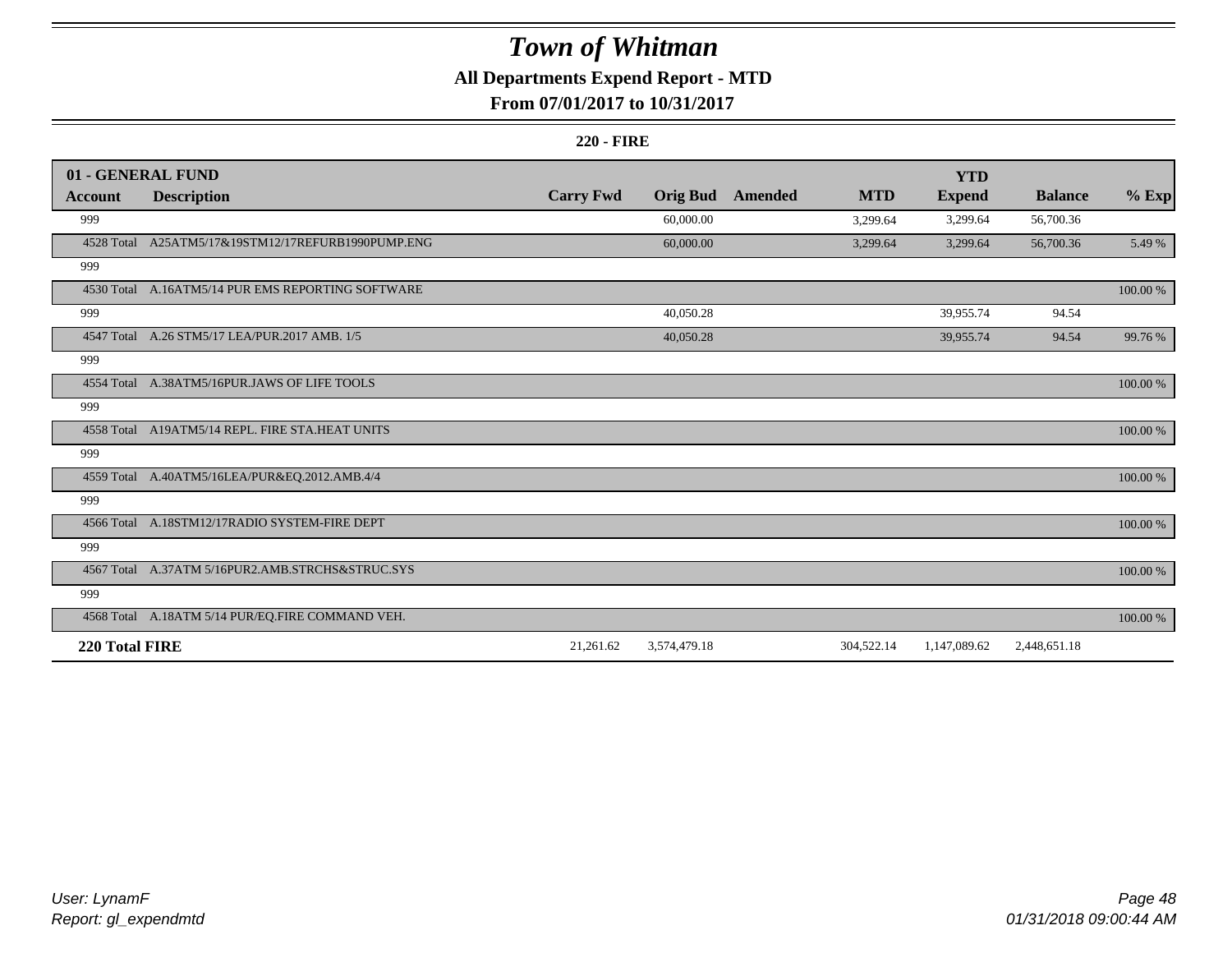## **All Departments Expend Report - MTD**

### **From 07/01/2017 to 10/31/2017**

#### **220 - FIRE**

|                | 01 - GENERAL FUND                                  |                  |                 |                |            | <b>YTD</b>    |                |          |
|----------------|----------------------------------------------------|------------------|-----------------|----------------|------------|---------------|----------------|----------|
| <b>Account</b> | <b>Description</b>                                 | <b>Carry Fwd</b> | <b>Orig Bud</b> | <b>Amended</b> | <b>MTD</b> | <b>Expend</b> | <b>Balance</b> | $%$ Exp  |
| 999            |                                                    |                  | 60,000.00       |                | 3,299.64   | 3,299.64      | 56,700.36      |          |
|                | 4528 Total A25ATM5/17&19STM12/17REFURB1990PUMP.ENG |                  | 60,000.00       |                | 3,299.64   | 3,299.64      | 56,700.36      | 5.49 %   |
| 999            |                                                    |                  |                 |                |            |               |                |          |
|                | 4530 Total A.16ATM5/14 PUR EMS REPORTING SOFTWARE  |                  |                 |                |            |               |                | 100.00 % |
| 999            |                                                    |                  | 40,050.28       |                |            | 39,955.74     | 94.54          |          |
| 4547 Total     | A.26 STM5/17 LEA/PUR.2017 AMB. 1/5                 |                  | 40,050.28       |                |            | 39,955.74     | 94.54          | 99.76 %  |
| 999            |                                                    |                  |                 |                |            |               |                |          |
|                | 4554 Total A.38ATM5/16PUR.JAWS OF LIFE TOOLS       |                  |                 |                |            |               |                | 100.00 % |
| 999            |                                                    |                  |                 |                |            |               |                |          |
|                | 4558 Total A19ATM5/14 REPL. FIRE STA.HEAT UNITS    |                  |                 |                |            |               |                | 100.00 % |
| 999            |                                                    |                  |                 |                |            |               |                |          |
|                | 4559 Total A.40ATM5/16LEA/PUR&EQ.2012.AMB.4/4      |                  |                 |                |            |               |                | 100.00 % |
| 999            |                                                    |                  |                 |                |            |               |                |          |
|                | 4566 Total A.18STM12/17RADIO SYSTEM-FIRE DEPT      |                  |                 |                |            |               |                | 100.00 % |
| 999            |                                                    |                  |                 |                |            |               |                |          |
|                | 4567 Total A.37ATM 5/16PUR2.AMB.STRCHS&STRUC.SYS   |                  |                 |                |            |               |                | 100.00 % |
| 999            |                                                    |                  |                 |                |            |               |                |          |
|                | 4568 Total A.18ATM 5/14 PUR/EQ.FIRE COMMAND VEH.   |                  |                 |                |            |               |                | 100.00 % |
| 220 Total FIRE |                                                    | 21,261.62        | 3,574,479.18    |                | 304,522.14 | 1,147,089.62  | 2,448,651.18   |          |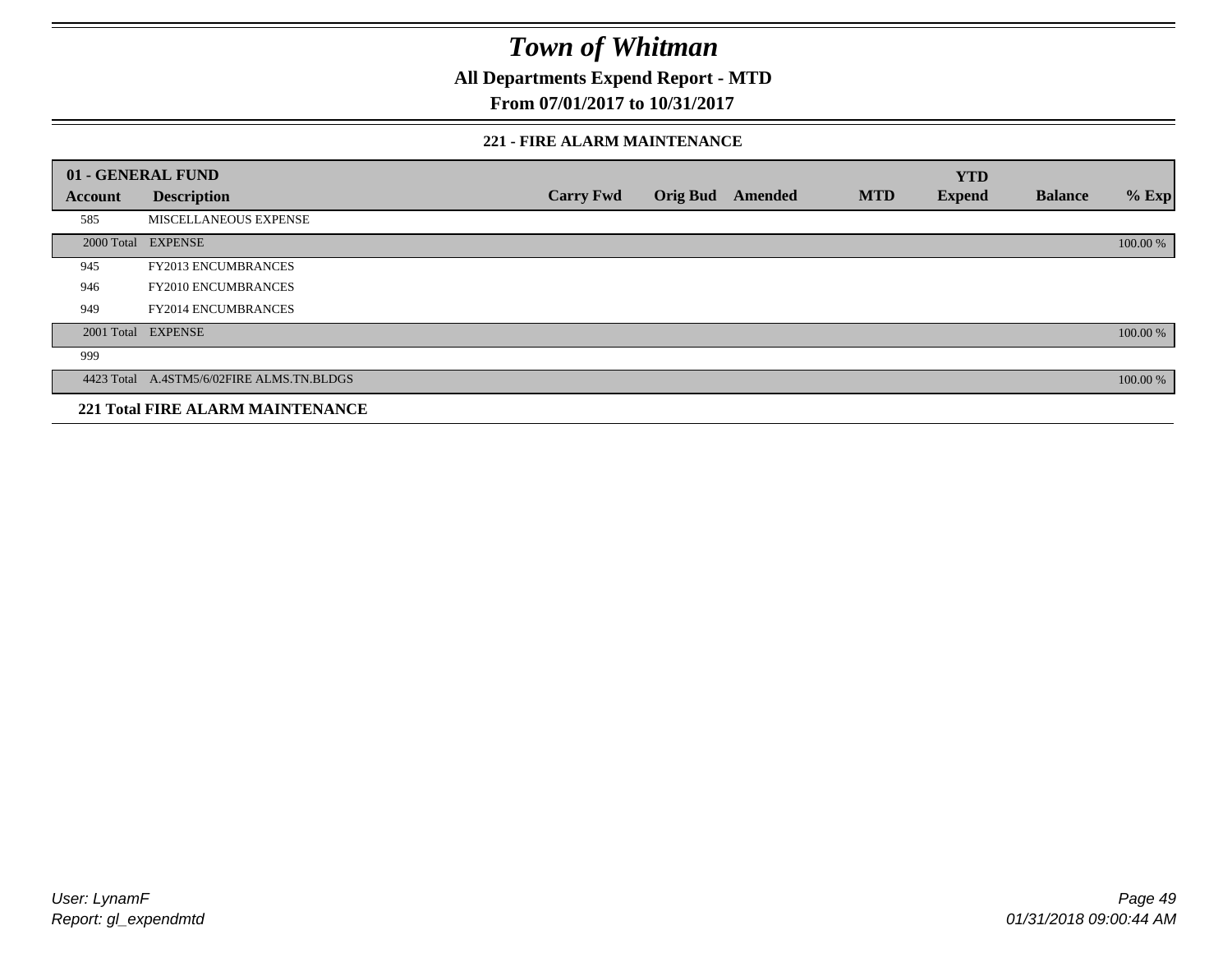**All Departments Expend Report - MTD**

**From 07/01/2017 to 10/31/2017**

#### **221 - FIRE ALARM MAINTENANCE**

|         | 01 - GENERAL FUND                         |                  |                 |         |            | <b>YTD</b>    |                |          |
|---------|-------------------------------------------|------------------|-----------------|---------|------------|---------------|----------------|----------|
| Account | <b>Description</b>                        | <b>Carry Fwd</b> | <b>Orig Bud</b> | Amended | <b>MTD</b> | <b>Expend</b> | <b>Balance</b> | $%$ Exp  |
| 585     | MISCELLANEOUS EXPENSE                     |                  |                 |         |            |               |                |          |
|         | 2000 Total EXPENSE                        |                  |                 |         |            |               |                | 100.00 % |
| 945     | <b>FY2013 ENCUMBRANCES</b>                |                  |                 |         |            |               |                |          |
| 946     | <b>FY2010 ENCUMBRANCES</b>                |                  |                 |         |            |               |                |          |
| 949     | <b>FY2014 ENCUMBRANCES</b>                |                  |                 |         |            |               |                |          |
|         | 2001 Total EXPENSE                        |                  |                 |         |            |               |                | 100.00 % |
| 999     |                                           |                  |                 |         |            |               |                |          |
|         | 4423 Total A.4STM5/6/02FIRE ALMS.TN.BLDGS |                  |                 |         |            |               |                | 100.00 % |
|         | <b>221 Total FIRE ALARM MAINTENANCE</b>   |                  |                 |         |            |               |                |          |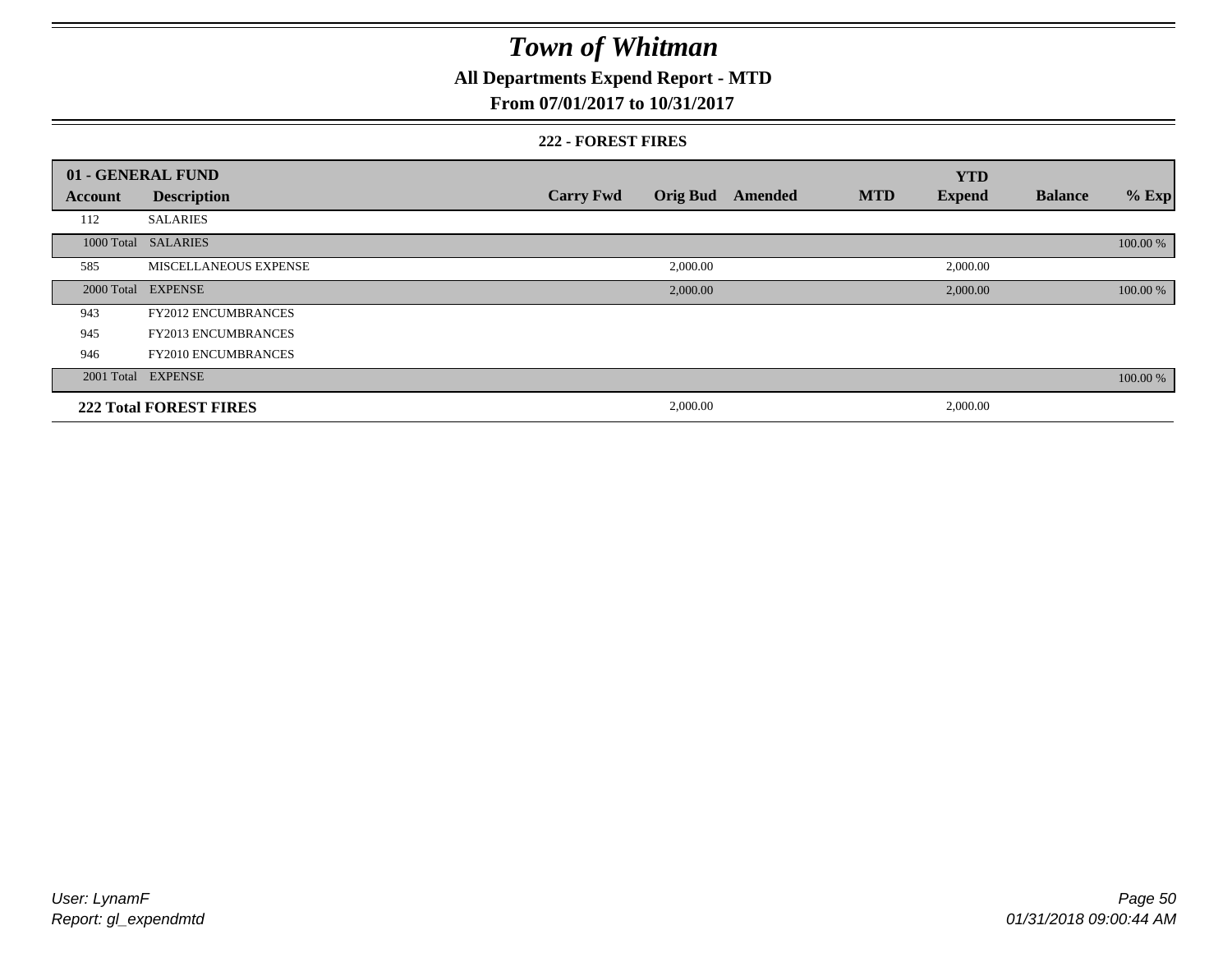## **All Departments Expend Report - MTD**

#### **From 07/01/2017 to 10/31/2017**

#### **222 - FOREST FIRES**

|                | 01 - GENERAL FUND             |                  |                 |         |            | <b>YTD</b>    |                |          |
|----------------|-------------------------------|------------------|-----------------|---------|------------|---------------|----------------|----------|
| <b>Account</b> | <b>Description</b>            | <b>Carry Fwd</b> | <b>Orig Bud</b> | Amended | <b>MTD</b> | <b>Expend</b> | <b>Balance</b> | $%$ Exp  |
| 112            | <b>SALARIES</b>               |                  |                 |         |            |               |                |          |
| 1000 Total     | <b>SALARIES</b>               |                  |                 |         |            |               |                | 100.00 % |
| 585            | MISCELLANEOUS EXPENSE         |                  | 2,000.00        |         |            | 2,000.00      |                |          |
| 2000 Total     | <b>EXPENSE</b>                |                  | 2,000.00        |         |            | 2,000.00      |                | 100.00 % |
| 943            | <b>FY2012 ENCUMBRANCES</b>    |                  |                 |         |            |               |                |          |
| 945            | <b>FY2013 ENCUMBRANCES</b>    |                  |                 |         |            |               |                |          |
| 946            | <b>FY2010 ENCUMBRANCES</b>    |                  |                 |         |            |               |                |          |
|                | 2001 Total EXPENSE            |                  |                 |         |            |               |                | 100.00 % |
|                | <b>222 Total FOREST FIRES</b> |                  | 2,000.00        |         |            | 2,000.00      |                |          |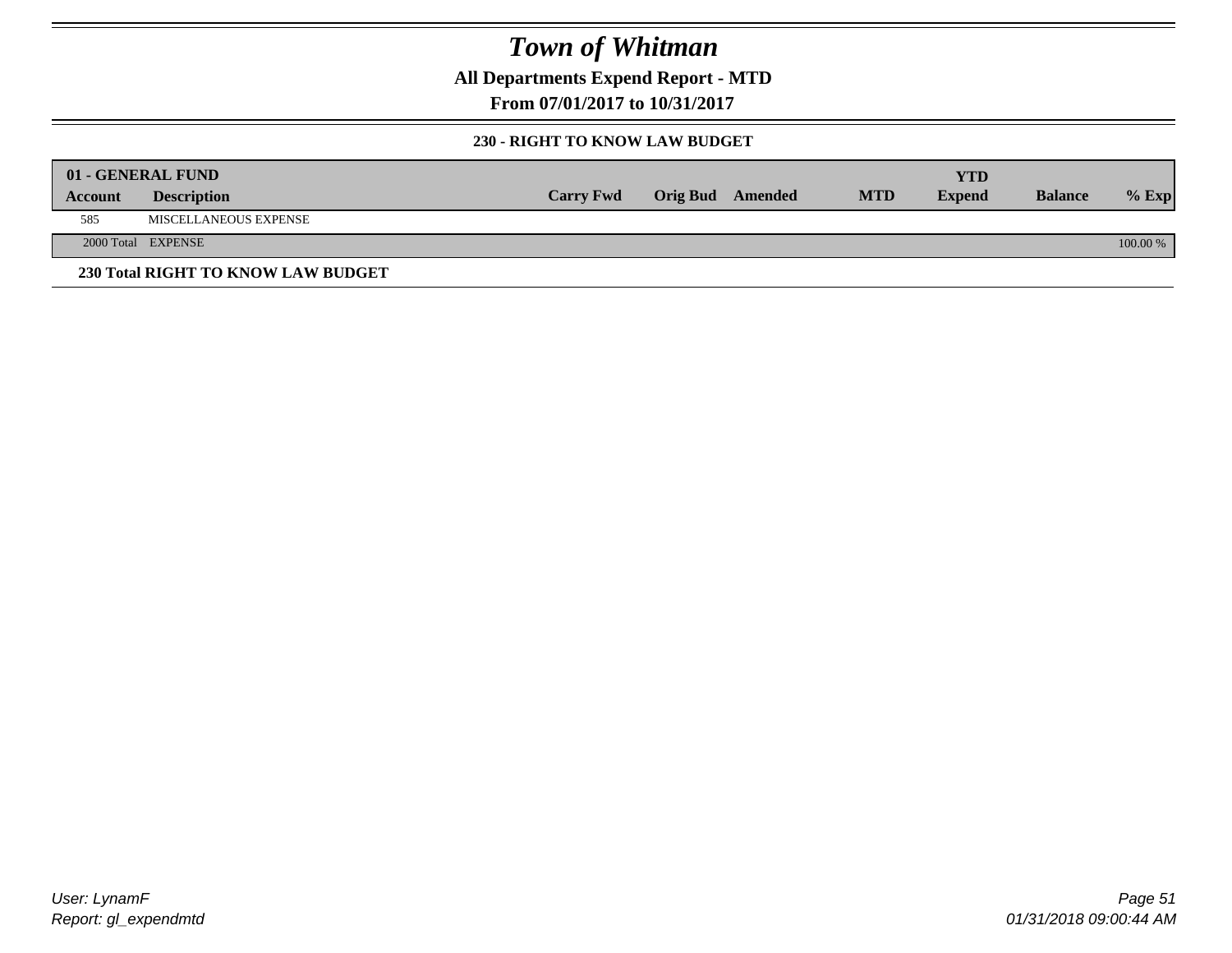**All Departments Expend Report - MTD**

**From 07/01/2017 to 10/31/2017**

#### **230 - RIGHT TO KNOW LAW BUDGET**

|         | 01 - GENERAL FUND                  |                  |                         |            | YTD           |                |            |
|---------|------------------------------------|------------------|-------------------------|------------|---------------|----------------|------------|
| Account | <b>Description</b>                 | <b>Carry Fwd</b> | <b>Orig Bud</b> Amended | <b>MTD</b> | <b>Expend</b> | <b>Balance</b> | $%$ Exp    |
| 585     | MISCELLANEOUS EXPENSE              |                  |                         |            |               |                |            |
|         | 2000 Total EXPENSE                 |                  |                         |            |               |                | $100.00\%$ |
|         | 230 Total RIGHT TO KNOW LAW BUDGET |                  |                         |            |               |                |            |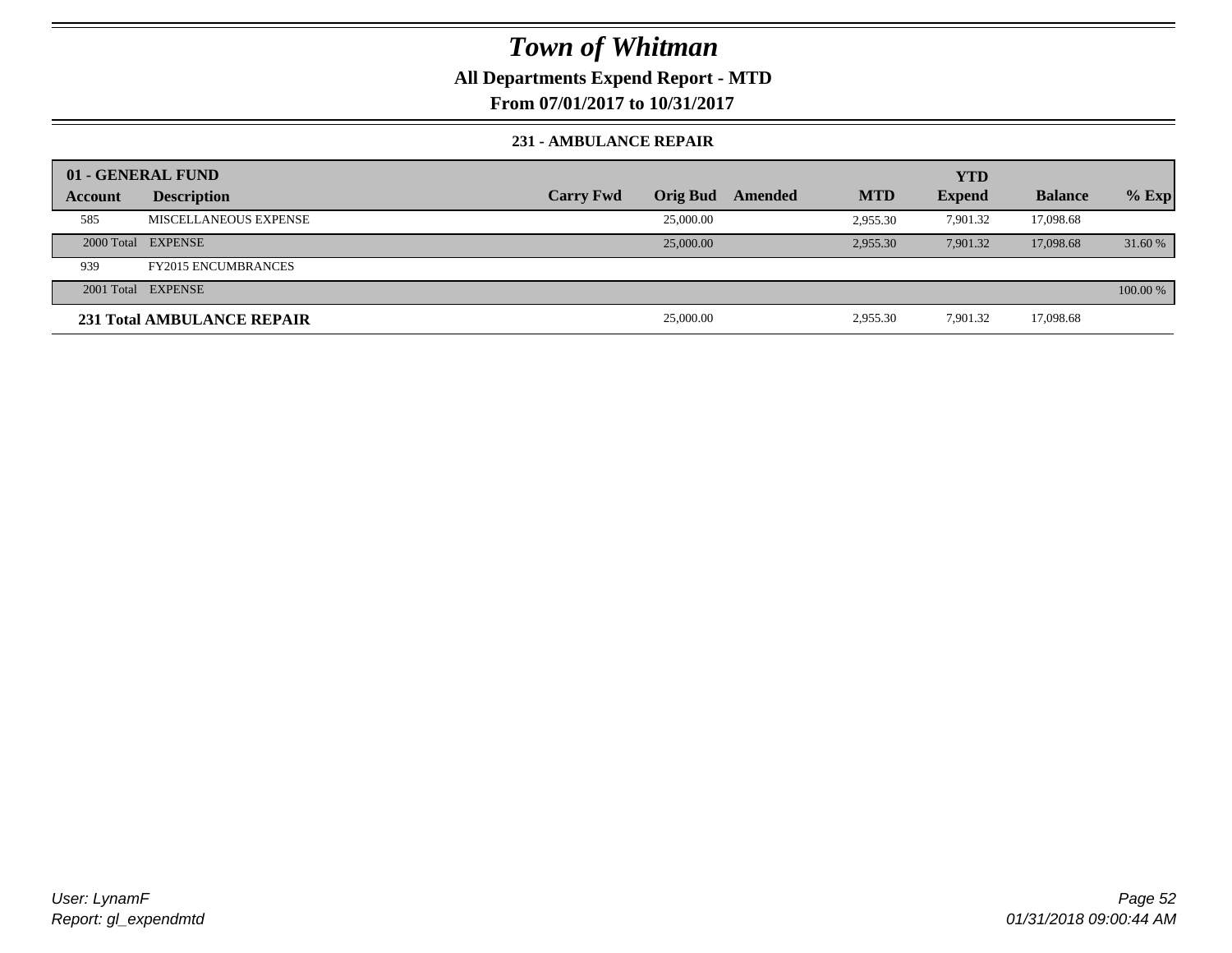### **All Departments Expend Report - MTD**

**From 07/01/2017 to 10/31/2017**

#### **231 - AMBULANCE REPAIR**

|         | 01 - GENERAL FUND          |                  |                 |         |            | YTD           |                |          |
|---------|----------------------------|------------------|-----------------|---------|------------|---------------|----------------|----------|
| Account | <b>Description</b>         | <b>Carry Fwd</b> | <b>Orig Bud</b> | Amended | <b>MTD</b> | <b>Expend</b> | <b>Balance</b> | $%$ Exp  |
| 585     | MISCELLANEOUS EXPENSE      |                  | 25,000.00       |         | 2.955.30   | 7.901.32      | 17,098.68      |          |
|         | 2000 Total EXPENSE         |                  | 25,000.00       |         | 2.955.30   | 7.901.32      | 17,098.68      | 31.60 %  |
| 939     | <b>FY2015 ENCUMBRANCES</b> |                  |                 |         |            |               |                |          |
|         | 2001 Total EXPENSE         |                  |                 |         |            |               |                | 100.00 % |
|         | 231 Total AMBULANCE REPAIR |                  | 25,000.00       |         | 2,955.30   | 7,901.32      | 17,098.68      |          |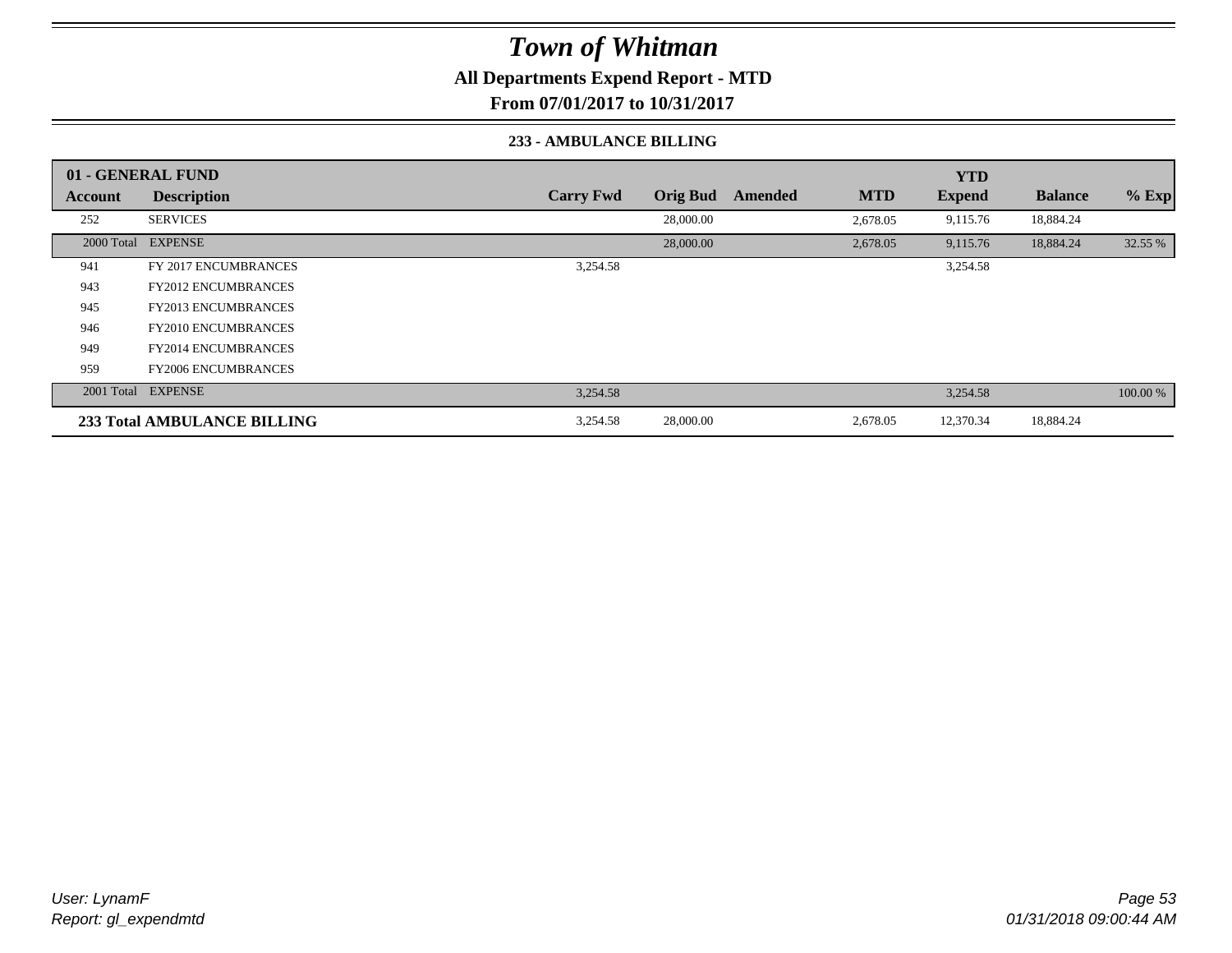**All Departments Expend Report - MTD**

**From 07/01/2017 to 10/31/2017**

#### **233 - AMBULANCE BILLING**

|         | 01 - GENERAL FUND           |                  |                 |         |            | <b>YTD</b>    |                |          |
|---------|-----------------------------|------------------|-----------------|---------|------------|---------------|----------------|----------|
| Account | <b>Description</b>          | <b>Carry Fwd</b> | <b>Orig Bud</b> | Amended | <b>MTD</b> | <b>Expend</b> | <b>Balance</b> | $%$ Exp  |
| 252     | <b>SERVICES</b>             |                  | 28,000.00       |         | 2,678.05   | 9,115.76      | 18,884.24      |          |
|         | 2000 Total EXPENSE          |                  | 28,000.00       |         | 2,678.05   | 9,115.76      | 18,884.24      | 32.55 %  |
| 941     | FY 2017 ENCUMBRANCES        | 3,254.58         |                 |         |            | 3,254.58      |                |          |
| 943     | <b>FY2012 ENCUMBRANCES</b>  |                  |                 |         |            |               |                |          |
| 945     | <b>FY2013 ENCUMBRANCES</b>  |                  |                 |         |            |               |                |          |
| 946     | <b>FY2010 ENCUMBRANCES</b>  |                  |                 |         |            |               |                |          |
| 949     | <b>FY2014 ENCUMBRANCES</b>  |                  |                 |         |            |               |                |          |
| 959     | <b>FY2006 ENCUMBRANCES</b>  |                  |                 |         |            |               |                |          |
|         | 2001 Total EXPENSE          | 3,254.58         |                 |         |            | 3,254.58      |                | 100.00 % |
|         | 233 Total AMBULANCE BILLING | 3,254.58         | 28,000.00       |         | 2,678.05   | 12,370.34     | 18,884.24      |          |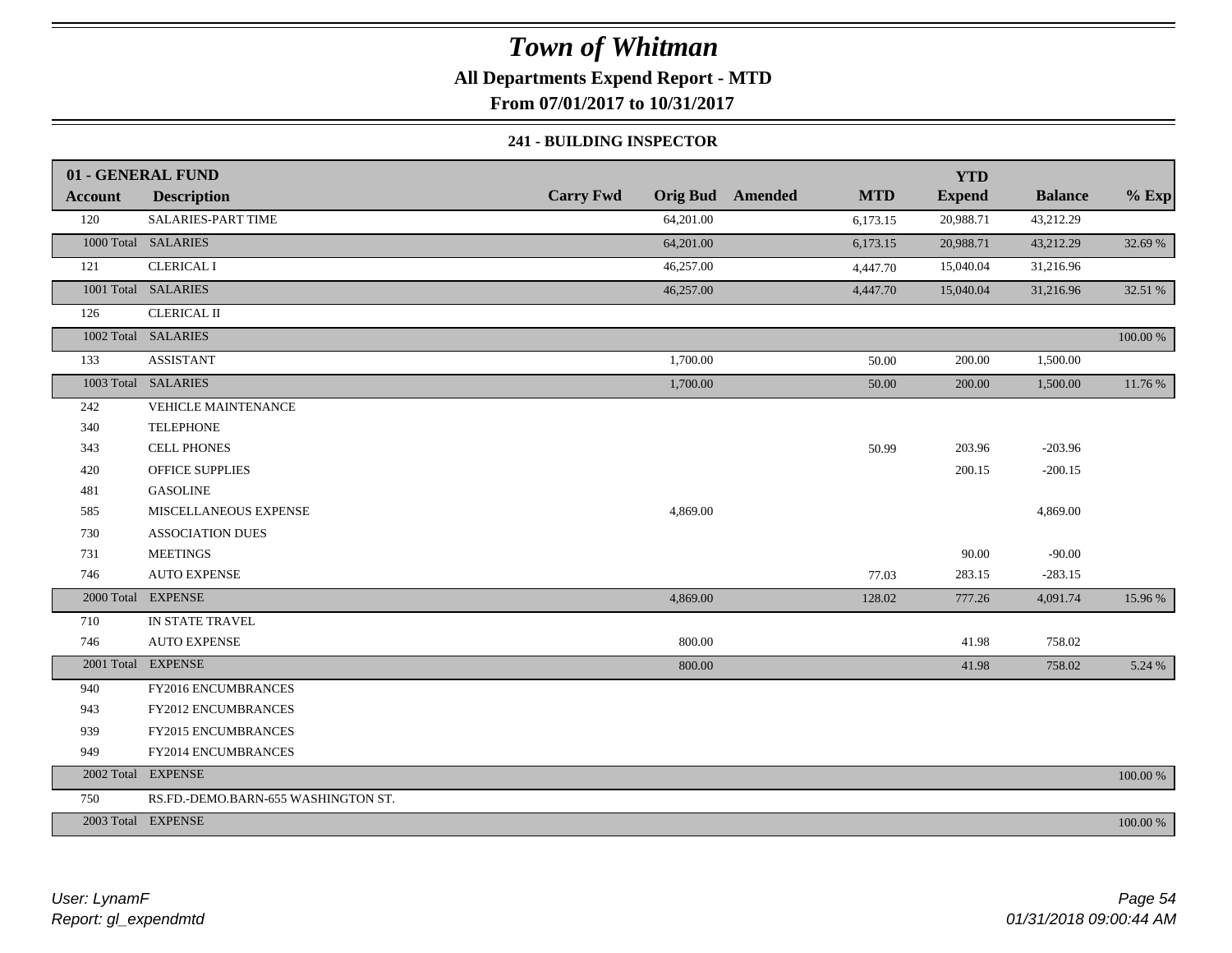## **All Departments Expend Report - MTD**

**From 07/01/2017 to 10/31/2017**

#### **241 - BUILDING INSPECTOR**

|                | 01 - GENERAL FUND                   |                  |                                       | <b>YTD</b>    |                |          |
|----------------|-------------------------------------|------------------|---------------------------------------|---------------|----------------|----------|
| <b>Account</b> | <b>Description</b>                  | <b>Carry Fwd</b> | <b>Orig Bud</b> Amended<br><b>MTD</b> | <b>Expend</b> | <b>Balance</b> | $%$ Exp  |
| 120            | SALARIES-PART TIME                  | 64,201.00        | 6,173.15                              | 20,988.71     | 43,212.29      |          |
|                | 1000 Total SALARIES                 | 64,201.00        | 6,173.15                              | 20,988.71     | 43,212.29      | 32.69 %  |
| 121            | <b>CLERICAL I</b>                   | 46,257.00        | 4,447.70                              | 15,040.04     | 31,216.96      |          |
|                | 1001 Total SALARIES                 | 46,257.00        | 4,447.70                              | 15,040.04     | 31,216.96      | 32.51 %  |
| 126            | <b>CLERICAL II</b>                  |                  |                                       |               |                |          |
|                | 1002 Total SALARIES                 |                  |                                       |               |                | 100.00 % |
| 133            | <b>ASSISTANT</b>                    | 1,700.00         | 50.00                                 | 200.00        | 1,500.00       |          |
|                | 1003 Total SALARIES                 | 1,700.00         | 50.00                                 | 200.00        | 1,500.00       | 11.76 %  |
| 242            | VEHICLE MAINTENANCE                 |                  |                                       |               |                |          |
| 340            | <b>TELEPHONE</b>                    |                  |                                       |               |                |          |
| 343            | <b>CELL PHONES</b>                  |                  | 50.99                                 | 203.96        | $-203.96$      |          |
| 420            | <b>OFFICE SUPPLIES</b>              |                  |                                       | 200.15        | $-200.15$      |          |
| 481            | <b>GASOLINE</b>                     |                  |                                       |               |                |          |
| 585            | MISCELLANEOUS EXPENSE               | 4,869.00         |                                       |               | 4,869.00       |          |
| 730            | <b>ASSOCIATION DUES</b>             |                  |                                       |               |                |          |
| 731            | <b>MEETINGS</b>                     |                  |                                       | 90.00         | $-90.00$       |          |
| 746            | <b>AUTO EXPENSE</b>                 |                  | 77.03                                 | 283.15        | $-283.15$      |          |
|                | 2000 Total EXPENSE                  | 4,869.00         | 128.02                                | 777.26        | 4,091.74       | 15.96 %  |
| 710            | IN STATE TRAVEL                     |                  |                                       |               |                |          |
| 746            | <b>AUTO EXPENSE</b>                 | 800.00           |                                       | 41.98         | 758.02         |          |
|                | 2001 Total EXPENSE                  | 800.00           |                                       | 41.98         | 758.02         | 5.24 %   |
| 940            | FY2016 ENCUMBRANCES                 |                  |                                       |               |                |          |
| 943            | FY2012 ENCUMBRANCES                 |                  |                                       |               |                |          |
| 939            | FY2015 ENCUMBRANCES                 |                  |                                       |               |                |          |
| 949            | FY2014 ENCUMBRANCES                 |                  |                                       |               |                |          |
|                | 2002 Total EXPENSE                  |                  |                                       |               |                | 100.00 % |
| 750            | RS.FD.-DEMO.BARN-655 WASHINGTON ST. |                  |                                       |               |                |          |
|                | 2003 Total EXPENSE                  |                  |                                       |               |                | 100.00 % |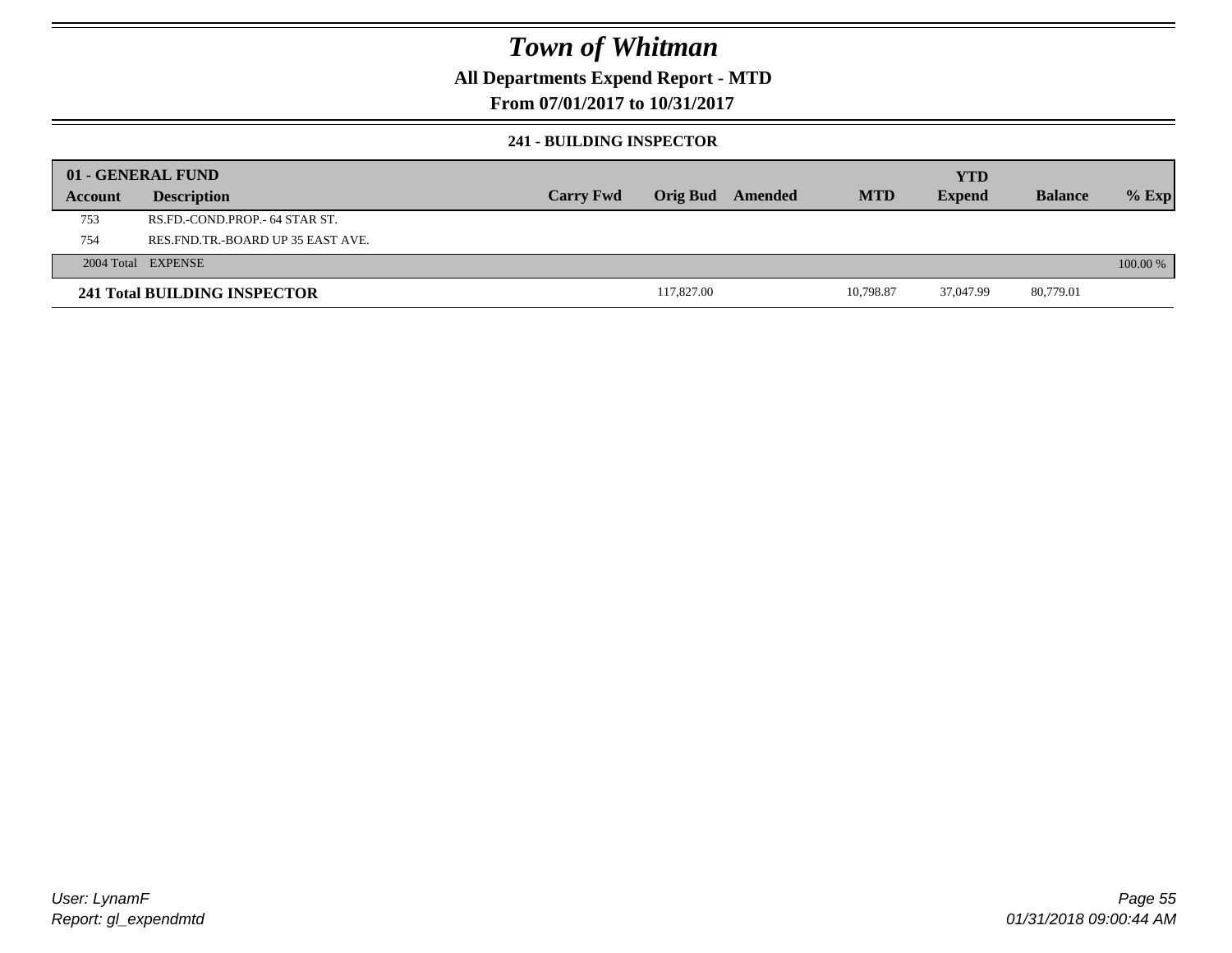### **All Departments Expend Report - MTD**

### **From 07/01/2017 to 10/31/2017**

#### **241 - BUILDING INSPECTOR**

|         | 01 - GENERAL FUND                     |                  |            |         |            | <b>YTD</b>    |                |            |
|---------|---------------------------------------|------------------|------------|---------|------------|---------------|----------------|------------|
| Account | <b>Description</b>                    | <b>Carry Fwd</b> | Orig Bud   | Amended | <b>MTD</b> | <b>Expend</b> | <b>Balance</b> | $%$ Exp    |
| 753     | RS.FD.-COND.PROP.- 64 STAR ST.        |                  |            |         |            |               |                |            |
| 754     | RES. FND. TR. - BOARD UP 35 EAST AVE. |                  |            |         |            |               |                |            |
|         | 2004 Total EXPENSE                    |                  |            |         |            |               |                | $100.00\%$ |
|         | 241 Total BUILDING INSPECTOR          |                  | 117,827.00 |         | 10.798.87  | 37.047.99     | 80,779.01      |            |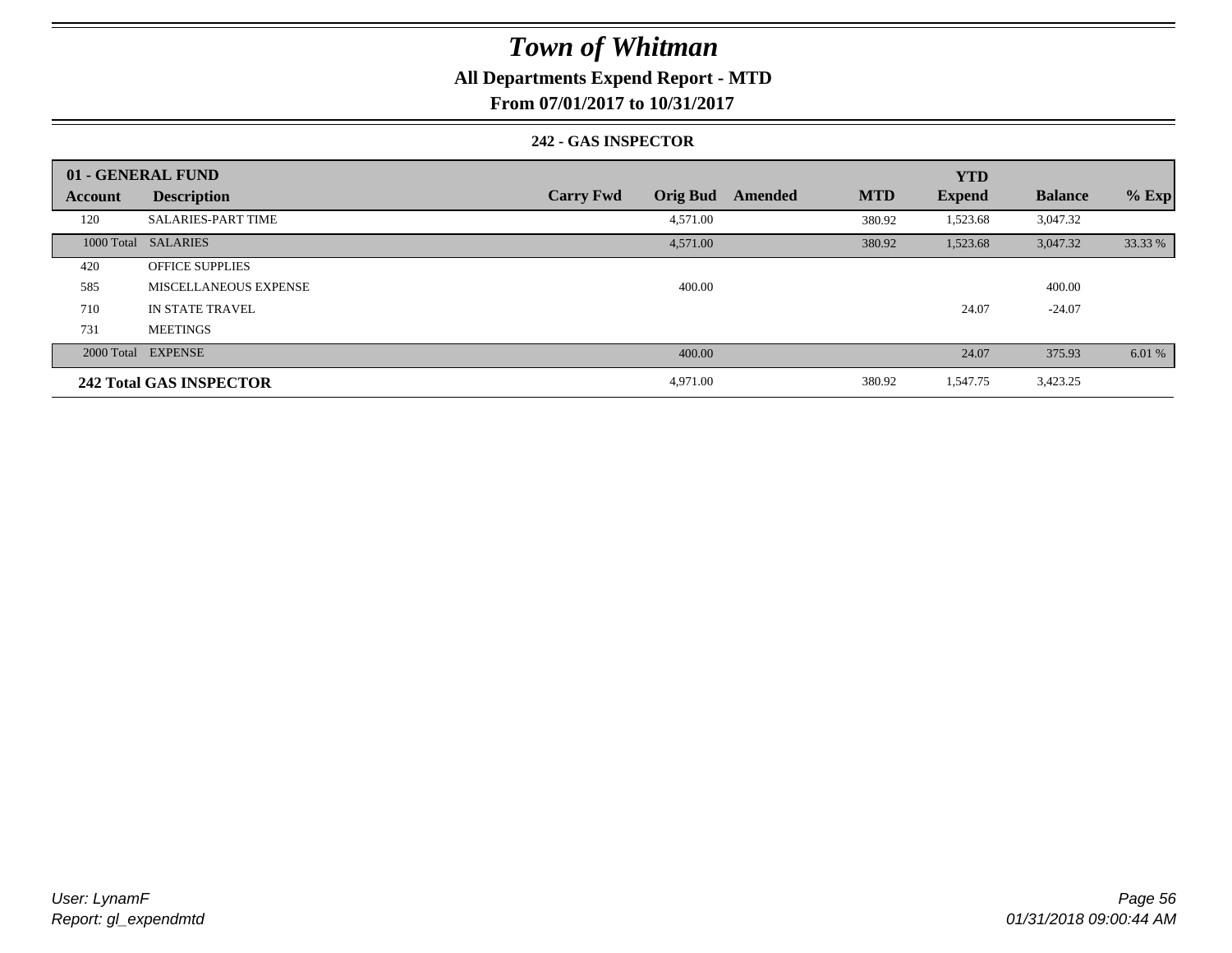### **All Departments Expend Report - MTD**

**From 07/01/2017 to 10/31/2017**

#### **242 - GAS INSPECTOR**

|                | 01 - GENERAL FUND              |                                     |                       | <b>YTD</b>    |                |         |
|----------------|--------------------------------|-------------------------------------|-----------------------|---------------|----------------|---------|
| <b>Account</b> | <b>Description</b>             | <b>Orig Bud</b><br><b>Carry Fwd</b> | <b>MTD</b><br>Amended | <b>Expend</b> | <b>Balance</b> | $%$ Exp |
| 120            | <b>SALARIES-PART TIME</b>      | 4,571.00                            | 380.92                | 1,523.68      | 3,047.32       |         |
|                | 1000 Total SALARIES            | 4,571.00                            | 380.92                | 1,523.68      | 3,047.32       | 33.33 % |
| 420            | <b>OFFICE SUPPLIES</b>         |                                     |                       |               |                |         |
| 585            | MISCELLANEOUS EXPENSE          | 400.00                              |                       |               | 400.00         |         |
| 710            | <b>IN STATE TRAVEL</b>         |                                     |                       | 24.07         | $-24.07$       |         |
| 731            | <b>MEETINGS</b>                |                                     |                       |               |                |         |
|                | 2000 Total EXPENSE             | 400.00                              |                       | 24.07         | 375.93         | 6.01 %  |
|                | <b>242 Total GAS INSPECTOR</b> | 4,971.00                            | 380.92                | 1,547.75      | 3,423.25       |         |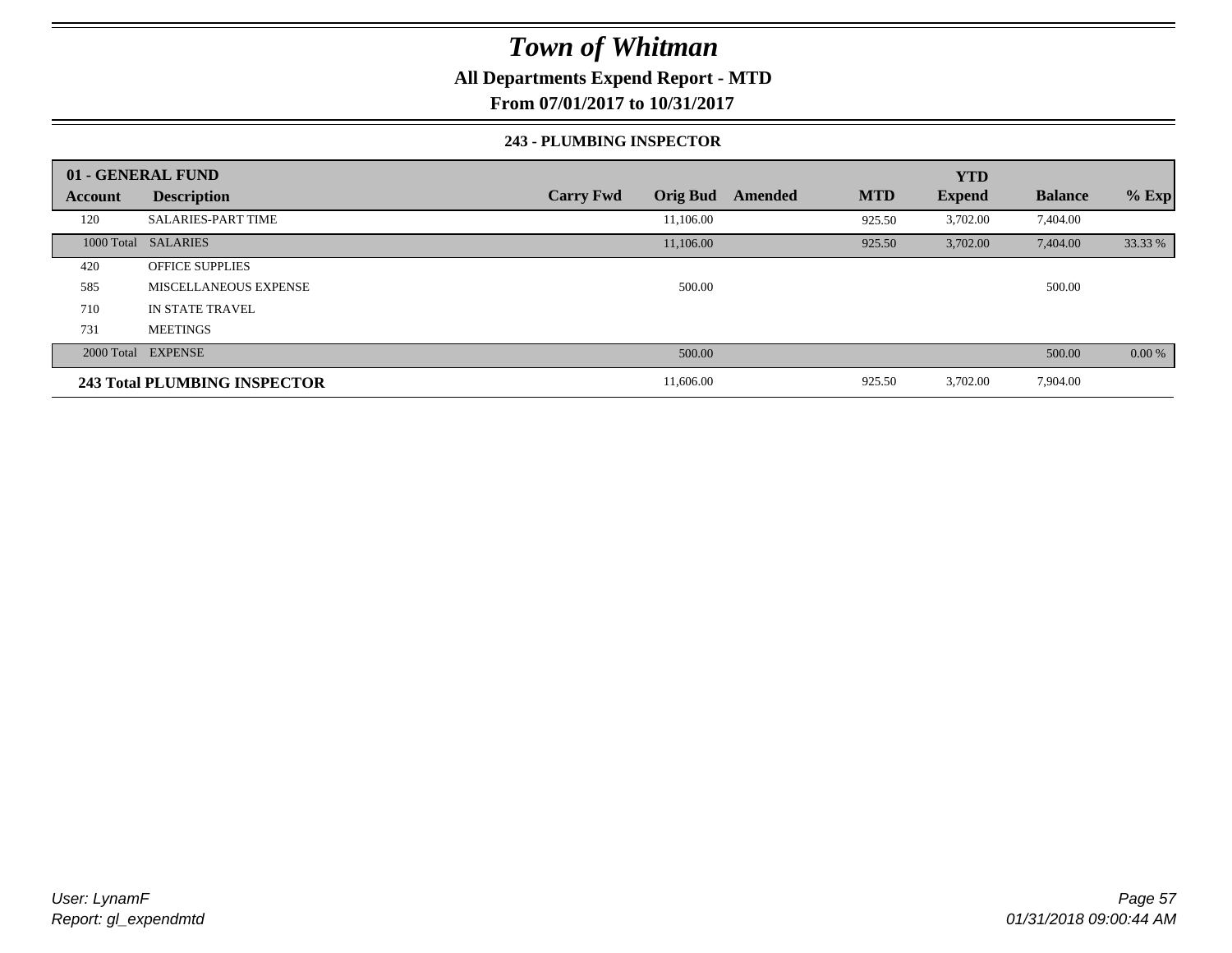### **All Departments Expend Report - MTD**

**From 07/01/2017 to 10/31/2017**

#### **243 - PLUMBING INSPECTOR**

|         | 01 - GENERAL FUND            |                                     |                       | <b>YTD</b>    |                |          |
|---------|------------------------------|-------------------------------------|-----------------------|---------------|----------------|----------|
| Account | <b>Description</b>           | <b>Orig Bud</b><br><b>Carry Fwd</b> | <b>MTD</b><br>Amended | <b>Expend</b> | <b>Balance</b> | $%$ Exp  |
| 120     | <b>SALARIES-PART TIME</b>    | 11,106.00                           | 925.50                | 3,702.00      | 7,404.00       |          |
|         | 1000 Total SALARIES          | 11,106.00                           | 925.50                | 3,702.00      | 7,404.00       | 33.33 %  |
| 420     | <b>OFFICE SUPPLIES</b>       |                                     |                       |               |                |          |
| 585     | MISCELLANEOUS EXPENSE        | 500.00                              |                       |               | 500.00         |          |
| 710     | IN STATE TRAVEL              |                                     |                       |               |                |          |
| 731     | <b>MEETINGS</b>              |                                     |                       |               |                |          |
|         | 2000 Total EXPENSE           | 500.00                              |                       |               | 500.00         | $0.00\%$ |
|         | 243 Total PLUMBING INSPECTOR | 11,606.00                           | 925.50                | 3,702.00      | 7,904.00       |          |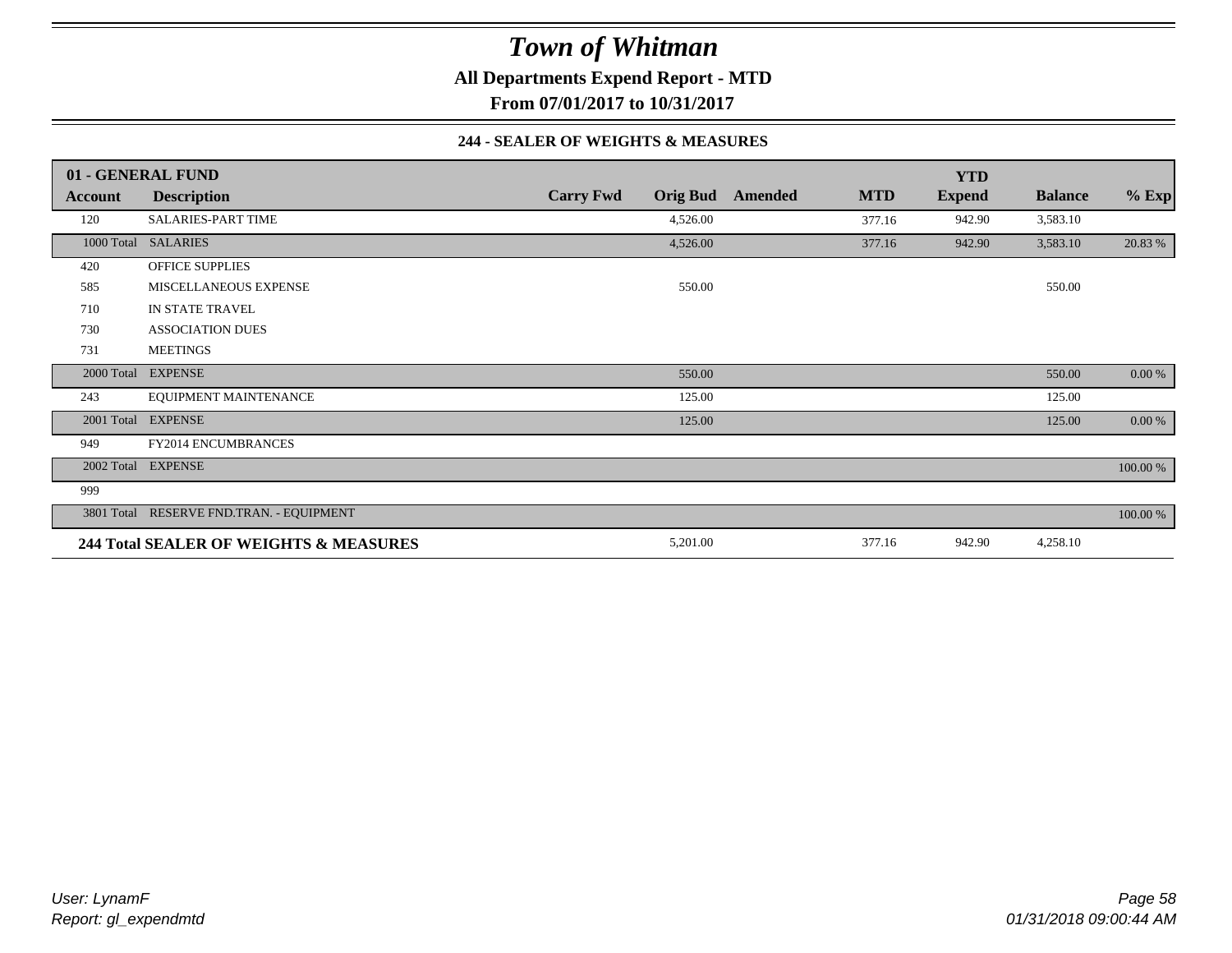**All Departments Expend Report - MTD**

**From 07/01/2017 to 10/31/2017**

#### **244 - SEALER OF WEIGHTS & MEASURES**

|            | 01 - GENERAL FUND                        |                  |                 |         |            | <b>YTD</b>    |                |          |
|------------|------------------------------------------|------------------|-----------------|---------|------------|---------------|----------------|----------|
| Account    | <b>Description</b>                       | <b>Carry Fwd</b> | <b>Orig Bud</b> | Amended | <b>MTD</b> | <b>Expend</b> | <b>Balance</b> | $%$ Exp  |
| 120        | <b>SALARIES-PART TIME</b>                |                  | 4,526.00        |         | 377.16     | 942.90        | 3,583.10       |          |
|            | 1000 Total SALARIES                      |                  | 4,526.00        |         | 377.16     | 942.90        | 3,583.10       | 20.83 %  |
| 420        | <b>OFFICE SUPPLIES</b>                   |                  |                 |         |            |               |                |          |
| 585        | MISCELLANEOUS EXPENSE                    |                  | 550.00          |         |            |               | 550.00         |          |
| 710        | IN STATE TRAVEL                          |                  |                 |         |            |               |                |          |
| 730        | <b>ASSOCIATION DUES</b>                  |                  |                 |         |            |               |                |          |
| 731        | <b>MEETINGS</b>                          |                  |                 |         |            |               |                |          |
| 2000 Total | <b>EXPENSE</b>                           |                  | 550.00          |         |            |               | 550.00         | 0.00 %   |
| 243        | EQUIPMENT MAINTENANCE                    |                  | 125.00          |         |            |               | 125.00         |          |
| 2001 Total | <b>EXPENSE</b>                           |                  | 125.00          |         |            |               | 125.00         | 0.00 %   |
| 949        | <b>FY2014 ENCUMBRANCES</b>               |                  |                 |         |            |               |                |          |
|            | 2002 Total EXPENSE                       |                  |                 |         |            |               |                | 100.00 % |
| 999        |                                          |                  |                 |         |            |               |                |          |
|            | 3801 Total RESERVE FND.TRAN. - EQUIPMENT |                  |                 |         |            |               |                | 100.00 % |
|            | 244 Total SEALER OF WEIGHTS & MEASURES   |                  | 5,201.00        |         | 377.16     | 942.90        | 4,258.10       |          |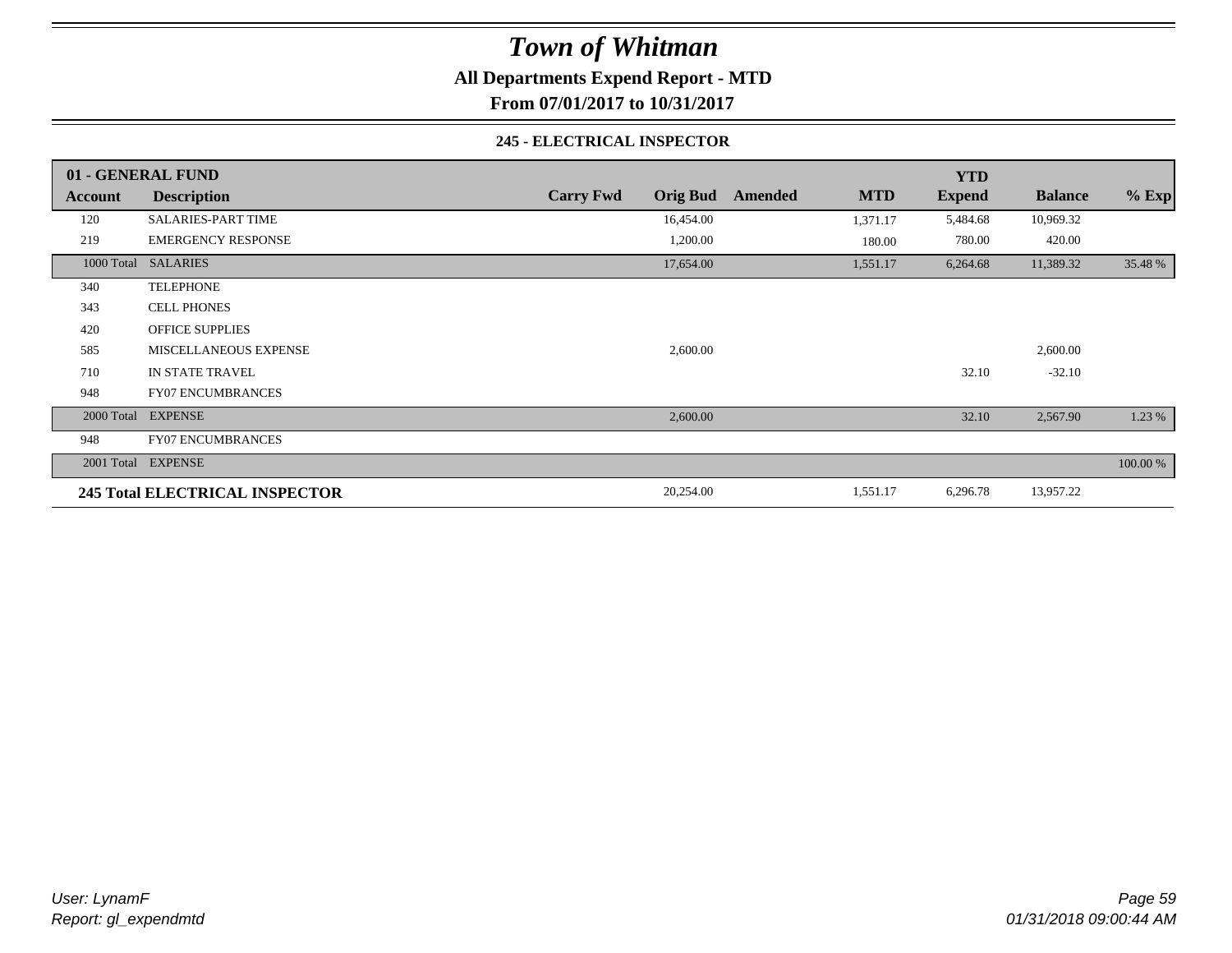**All Departments Expend Report - MTD**

**From 07/01/2017 to 10/31/2017**

#### **245 - ELECTRICAL INSPECTOR**

|         | 01 - GENERAL FUND                     |                                     |                       | <b>YTD</b>    |                |          |
|---------|---------------------------------------|-------------------------------------|-----------------------|---------------|----------------|----------|
| Account | <b>Description</b>                    | <b>Orig Bud</b><br><b>Carry Fwd</b> | <b>MTD</b><br>Amended | <b>Expend</b> | <b>Balance</b> | $%$ Exp  |
| 120     | <b>SALARIES-PART TIME</b>             | 16,454.00                           | 1,371.17              | 5,484.68      | 10,969.32      |          |
| 219     | <b>EMERGENCY RESPONSE</b>             | 1,200.00                            | 180.00                | 780.00        | 420.00         |          |
|         | 1000 Total SALARIES                   | 17,654.00                           | 1,551.17              | 6,264.68      | 11,389.32      | 35.48 %  |
| 340     | <b>TELEPHONE</b>                      |                                     |                       |               |                |          |
| 343     | <b>CELL PHONES</b>                    |                                     |                       |               |                |          |
| 420     | <b>OFFICE SUPPLIES</b>                |                                     |                       |               |                |          |
| 585     | MISCELLANEOUS EXPENSE                 | 2,600.00                            |                       |               | 2,600.00       |          |
| 710     | IN STATE TRAVEL                       |                                     |                       | 32.10         | $-32.10$       |          |
| 948     | <b>FY07 ENCUMBRANCES</b>              |                                     |                       |               |                |          |
|         | 2000 Total EXPENSE                    | 2,600.00                            |                       | 32.10         | 2,567.90       | 1.23 %   |
| 948     | <b>FY07 ENCUMBRANCES</b>              |                                     |                       |               |                |          |
|         | 2001 Total EXPENSE                    |                                     |                       |               |                | 100.00 % |
|         | <b>245 Total ELECTRICAL INSPECTOR</b> | 20,254.00                           | 1,551.17              | 6,296.78      | 13,957.22      |          |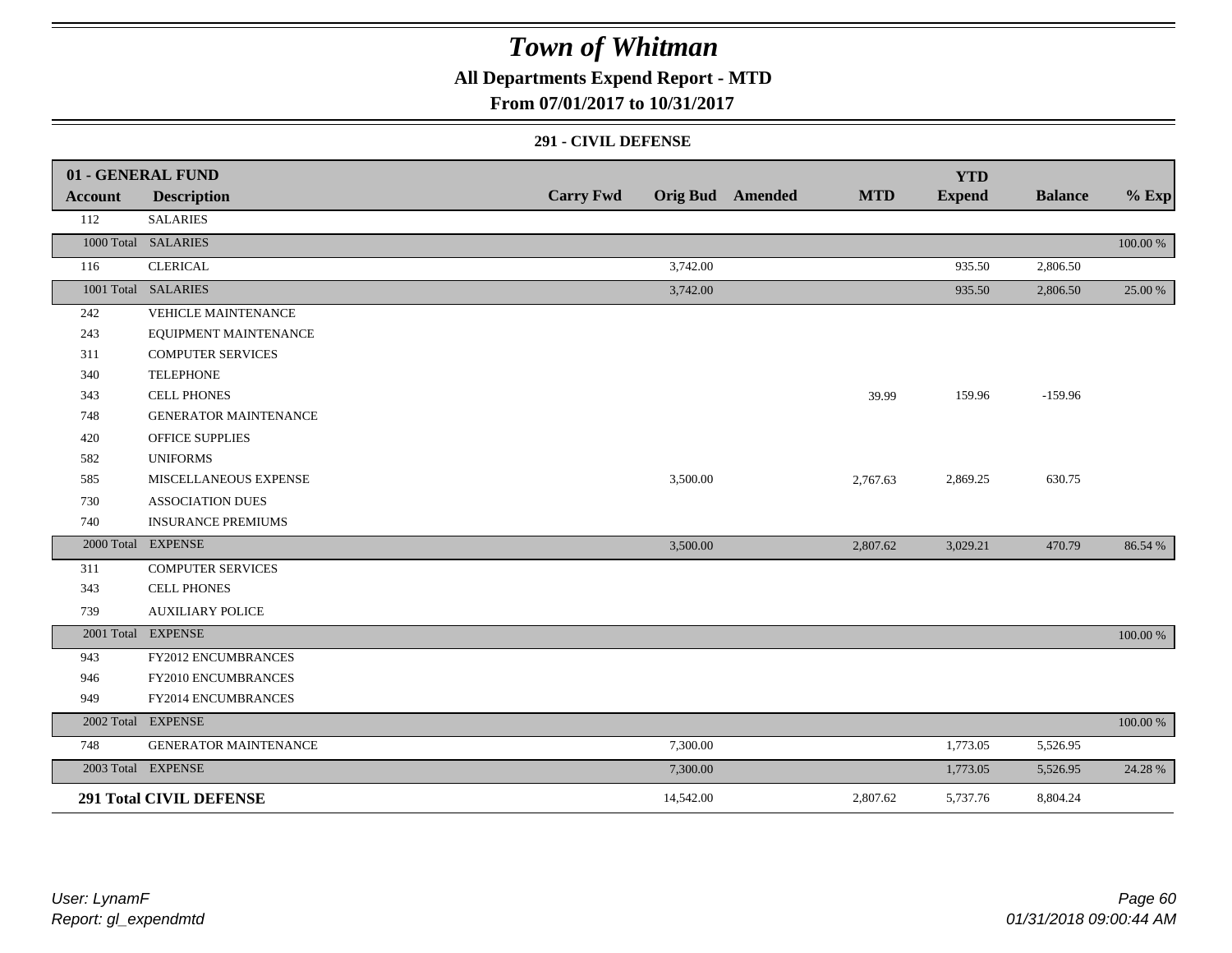## **All Departments Expend Report - MTD**

### **From 07/01/2017 to 10/31/2017**

#### **291 - CIVIL DEFENSE**

|                | 01 - GENERAL FUND              |                  |           |                         |            | <b>YTD</b>    |                |          |
|----------------|--------------------------------|------------------|-----------|-------------------------|------------|---------------|----------------|----------|
| <b>Account</b> | <b>Description</b>             | <b>Carry Fwd</b> |           | <b>Orig Bud</b> Amended | <b>MTD</b> | <b>Expend</b> | <b>Balance</b> | $%$ Exp  |
| 112            | <b>SALARIES</b>                |                  |           |                         |            |               |                |          |
|                | 1000 Total SALARIES            |                  |           |                         |            |               |                | 100.00 % |
| 116            | <b>CLERICAL</b>                |                  | 3,742.00  |                         |            | 935.50        | 2,806.50       |          |
|                | 1001 Total SALARIES            |                  | 3,742.00  |                         |            | 935.50        | 2,806.50       | 25.00 %  |
| 242            | VEHICLE MAINTENANCE            |                  |           |                         |            |               |                |          |
| 243            | EQUIPMENT MAINTENANCE          |                  |           |                         |            |               |                |          |
| 311            | <b>COMPUTER SERVICES</b>       |                  |           |                         |            |               |                |          |
| 340            | <b>TELEPHONE</b>               |                  |           |                         |            |               |                |          |
| 343            | <b>CELL PHONES</b>             |                  |           |                         | 39.99      | 159.96        | $-159.96$      |          |
| 748            | <b>GENERATOR MAINTENANCE</b>   |                  |           |                         |            |               |                |          |
| 420            | <b>OFFICE SUPPLIES</b>         |                  |           |                         |            |               |                |          |
| 582            | <b>UNIFORMS</b>                |                  |           |                         |            |               |                |          |
| 585            | MISCELLANEOUS EXPENSE          |                  | 3,500.00  |                         | 2,767.63   | 2,869.25      | 630.75         |          |
| 730            | <b>ASSOCIATION DUES</b>        |                  |           |                         |            |               |                |          |
| 740            | <b>INSURANCE PREMIUMS</b>      |                  |           |                         |            |               |                |          |
|                | 2000 Total EXPENSE             |                  | 3,500.00  |                         | 2,807.62   | 3,029.21      | 470.79         | 86.54 %  |
| 311            | <b>COMPUTER SERVICES</b>       |                  |           |                         |            |               |                |          |
| 343            | <b>CELL PHONES</b>             |                  |           |                         |            |               |                |          |
| 739            | <b>AUXILIARY POLICE</b>        |                  |           |                         |            |               |                |          |
|                | 2001 Total EXPENSE             |                  |           |                         |            |               |                | 100.00 % |
| 943            | FY2012 ENCUMBRANCES            |                  |           |                         |            |               |                |          |
| 946            | FY2010 ENCUMBRANCES            |                  |           |                         |            |               |                |          |
| 949            | FY2014 ENCUMBRANCES            |                  |           |                         |            |               |                |          |
|                | 2002 Total EXPENSE             |                  |           |                         |            |               |                | 100.00 % |
| 748            | GENERATOR MAINTENANCE          |                  | 7,300.00  |                         |            | 1,773.05      | 5,526.95       |          |
|                | 2003 Total EXPENSE             |                  | 7,300.00  |                         |            | 1,773.05      | 5,526.95       | 24.28 %  |
|                | <b>291 Total CIVIL DEFENSE</b> |                  | 14,542.00 |                         | 2,807.62   | 5,737.76      | 8,804.24       |          |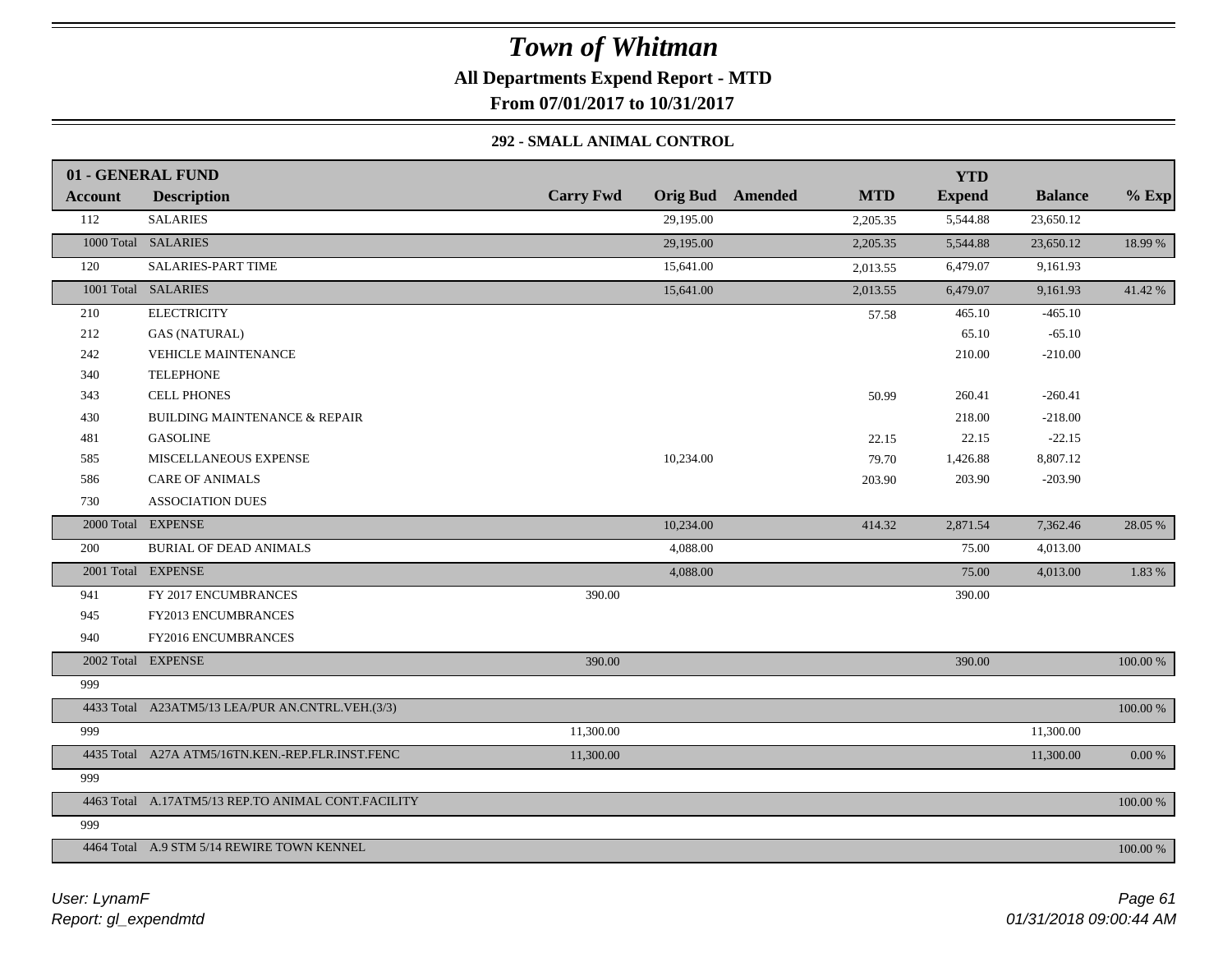**All Departments Expend Report - MTD**

**From 07/01/2017 to 10/31/2017**

### **292 - SMALL ANIMAL CONTROL**

|                | 01 - GENERAL FUND                                  |                  |                                       | <b>YTD</b>    |                |           |
|----------------|----------------------------------------------------|------------------|---------------------------------------|---------------|----------------|-----------|
| <b>Account</b> | <b>Description</b>                                 | <b>Carry Fwd</b> | <b>Orig Bud</b> Amended<br><b>MTD</b> | <b>Expend</b> | <b>Balance</b> | $%$ Exp   |
| 112            | <b>SALARIES</b>                                    | 29,195.00        | 2,205.35                              | 5,544.88      | 23,650.12      |           |
|                | 1000 Total SALARIES                                | 29,195.00        | 2,205.35                              | 5,544.88      | 23,650.12      | 18.99 %   |
| 120            | SALARIES-PART TIME                                 | 15,641.00        | 2,013.55                              | 6,479.07      | 9,161.93       |           |
|                | 1001 Total SALARIES                                | 15,641.00        | 2,013.55                              | 6,479.07      | 9,161.93       | 41.42 %   |
| 210            | <b>ELECTRICITY</b>                                 |                  | 57.58                                 | 465.10        | $-465.10$      |           |
| 212            | <b>GAS (NATURAL)</b>                               |                  |                                       | 65.10         | $-65.10$       |           |
| 242            | <b>VEHICLE MAINTENANCE</b>                         |                  |                                       | 210.00        | $-210.00$      |           |
| 340            | <b>TELEPHONE</b>                                   |                  |                                       |               |                |           |
| 343            | <b>CELL PHONES</b>                                 |                  | 50.99                                 | 260.41        | $-260.41$      |           |
| 430            | <b>BUILDING MAINTENANCE &amp; REPAIR</b>           |                  |                                       | 218.00        | $-218.00$      |           |
| 481            | <b>GASOLINE</b>                                    |                  | 22.15                                 | 22.15         | $-22.15$       |           |
| 585            | MISCELLANEOUS EXPENSE                              | 10,234.00        | 79.70                                 | 1,426.88      | 8,807.12       |           |
| 586            | <b>CARE OF ANIMALS</b>                             |                  | 203.90                                | 203.90        | $-203.90$      |           |
| 730            | <b>ASSOCIATION DUES</b>                            |                  |                                       |               |                |           |
|                | 2000 Total EXPENSE                                 | 10,234.00        | 414.32                                | 2,871.54      | 7,362.46       | 28.05 %   |
| 200            | <b>BURIAL OF DEAD ANIMALS</b>                      | 4,088.00         |                                       | 75.00         | 4,013.00       |           |
|                | 2001 Total EXPENSE                                 | 4,088.00         |                                       | 75.00         | 4,013.00       | 1.83 %    |
| 941            | FY 2017 ENCUMBRANCES                               | 390.00           |                                       | 390.00        |                |           |
| 945            | FY2013 ENCUMBRANCES                                |                  |                                       |               |                |           |
| 940            | FY2016 ENCUMBRANCES                                |                  |                                       |               |                |           |
|                | 2002 Total EXPENSE                                 | 390.00           |                                       | 390.00        |                | 100.00 %  |
| 999            |                                                    |                  |                                       |               |                |           |
|                | 4433 Total A23ATM5/13 LEA/PUR AN.CNTRL.VEH.(3/3)   |                  |                                       |               |                | 100.00 %  |
| 999            |                                                    | 11,300.00        |                                       |               | 11,300.00      |           |
|                | 4435 Total A27A ATM5/16TN.KEN.-REP.FLR.INST.FENC   | 11,300.00        |                                       |               | 11,300.00      | $0.00 \%$ |
| 999            |                                                    |                  |                                       |               |                |           |
|                | 4463 Total A.17ATM5/13 REP.TO ANIMAL CONT.FACILITY |                  |                                       |               |                | 100.00 %  |
| 999            |                                                    |                  |                                       |               |                |           |
|                | 4464 Total A.9 STM 5/14 REWIRE TOWN KENNEL         |                  |                                       |               |                | 100.00 %  |
|                |                                                    |                  |                                       |               |                |           |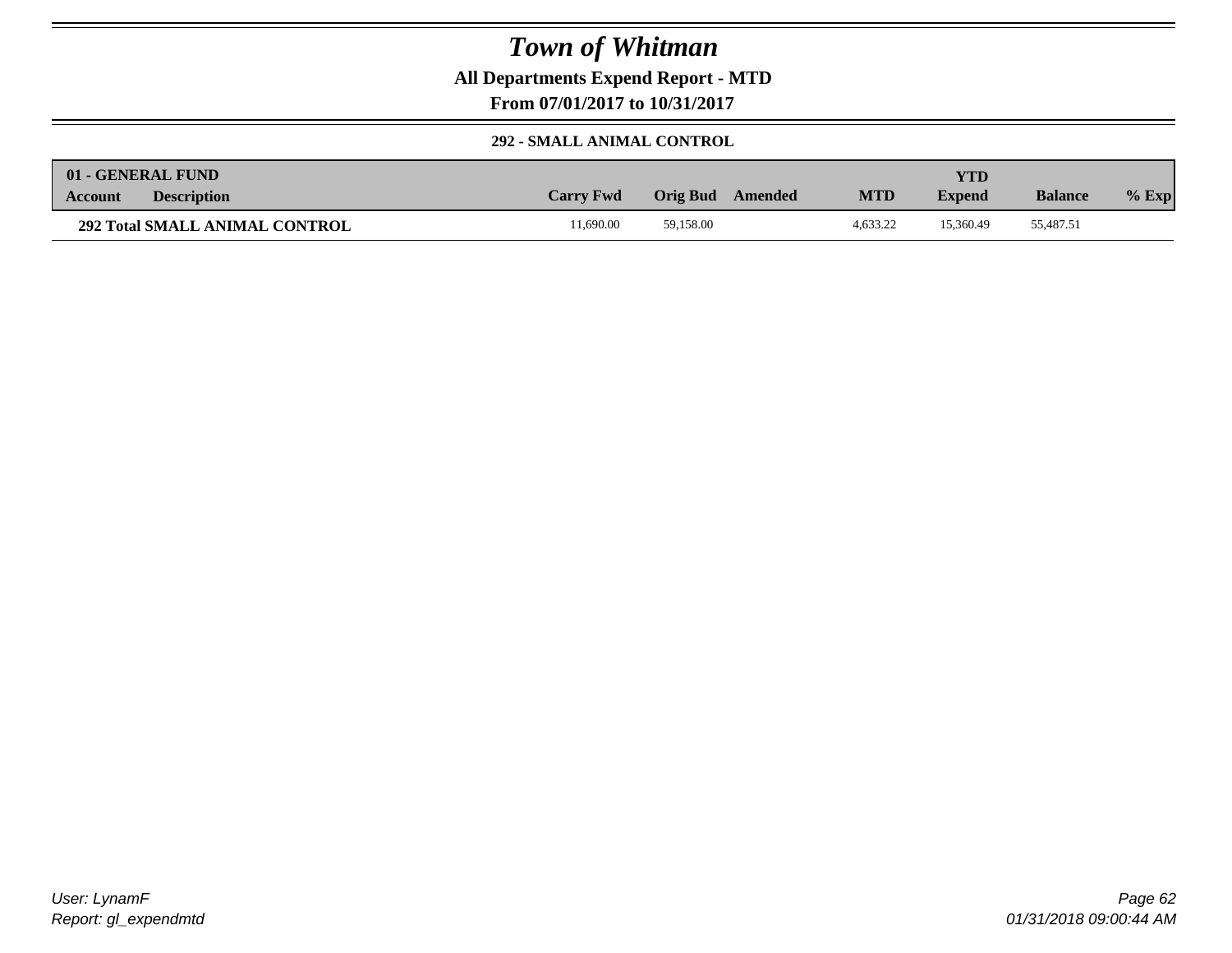**All Departments Expend Report - MTD**

**From 07/01/2017 to 10/31/2017**

#### **292 - SMALL ANIMAL CONTROL**

| 01 - GENERAL FUND                     |                  |                     |            | YTD           |                |         |
|---------------------------------------|------------------|---------------------|------------|---------------|----------------|---------|
| <b>Description</b><br><b>Account</b>  | <b>Carry Fwd</b> | Orig Bud<br>Amended | <b>MTD</b> | <b>Expend</b> | <b>Balance</b> | $%$ Exp |
| <b>292 Total SMALL ANIMAL CONTROL</b> | 1.690.00         | 59.158.00           | 4.633.22   | 15.360.49     | 55,487.51      |         |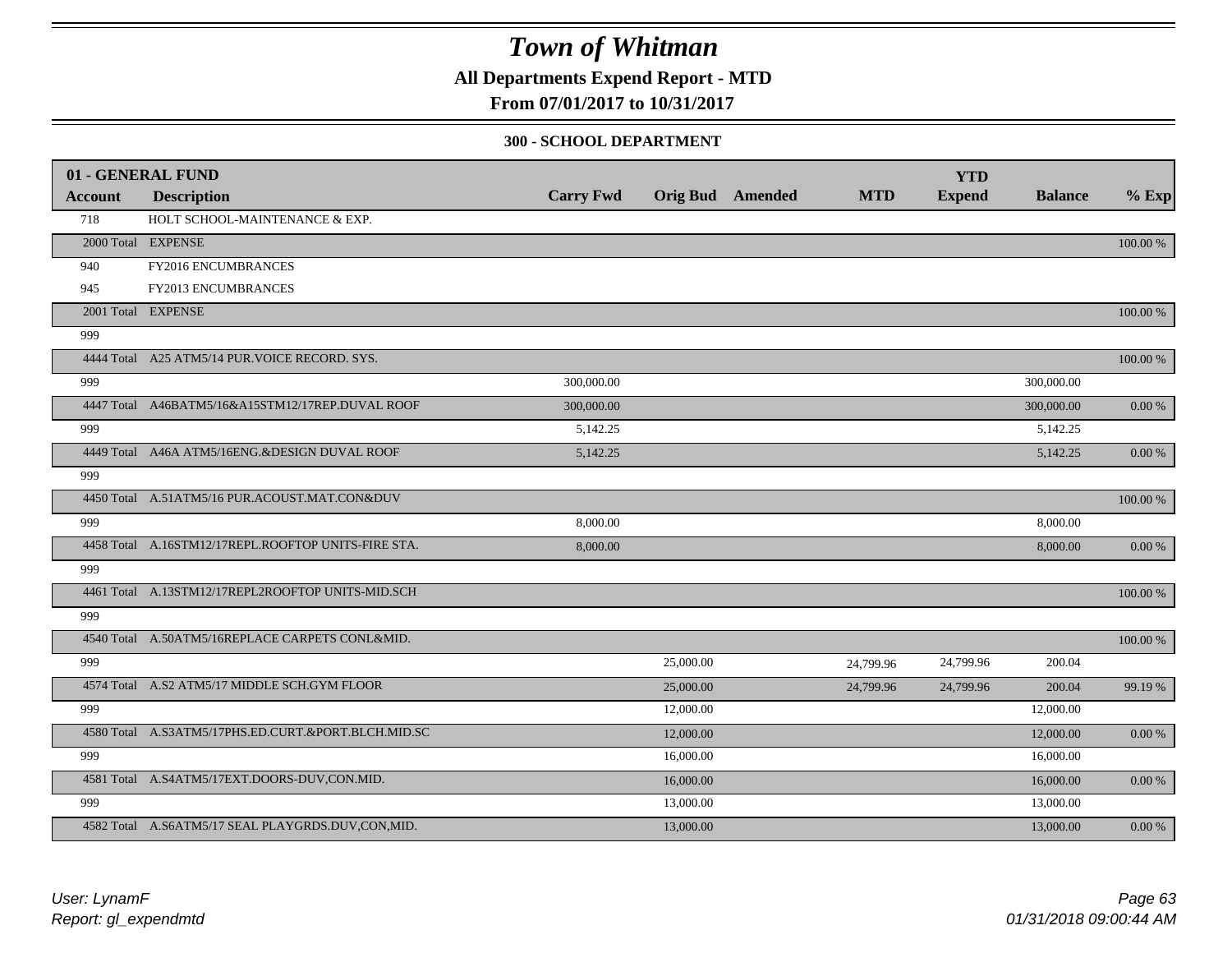**All Departments Expend Report - MTD**

**From 07/01/2017 to 10/31/2017**

#### **300 - SCHOOL DEPARTMENT**

|                | 01 - GENERAL FUND                                   |                  |           |                         |            | <b>YTD</b>    |                |          |
|----------------|-----------------------------------------------------|------------------|-----------|-------------------------|------------|---------------|----------------|----------|
| <b>Account</b> | <b>Description</b>                                  | <b>Carry Fwd</b> |           | <b>Orig Bud</b> Amended | <b>MTD</b> | <b>Expend</b> | <b>Balance</b> | $%$ Exp  |
| 718            | HOLT SCHOOL-MAINTENANCE & EXP.                      |                  |           |                         |            |               |                |          |
|                | 2000 Total EXPENSE                                  |                  |           |                         |            |               |                | 100.00 % |
| 940            | FY2016 ENCUMBRANCES                                 |                  |           |                         |            |               |                |          |
| 945            | FY2013 ENCUMBRANCES                                 |                  |           |                         |            |               |                |          |
|                | 2001 Total EXPENSE                                  |                  |           |                         |            |               |                | 100.00 % |
| 999            |                                                     |                  |           |                         |            |               |                |          |
|                | 4444 Total A25 ATM5/14 PUR. VOICE RECORD. SYS.      |                  |           |                         |            |               |                | 100.00 % |
| 999            |                                                     | 300,000.00       |           |                         |            |               | 300,000.00     |          |
|                | 4447 Total A46BATM5/16&A15STM12/17REP.DUVAL ROOF    | 300,000.00       |           |                         |            |               | 300,000.00     | 0.00 %   |
| 999            |                                                     | 5,142.25         |           |                         |            |               | 5,142.25       |          |
|                | 4449 Total A46A ATM5/16ENG.&DESIGN DUVAL ROOF       | 5,142.25         |           |                         |            |               | 5,142.25       | 0.00%    |
| 999            |                                                     |                  |           |                         |            |               |                |          |
|                | 4450 Total A.51ATM5/16 PUR.ACOUST.MAT.CON&DUV       |                  |           |                         |            |               |                | 100.00 % |
| 999            |                                                     | 8,000.00         |           |                         |            |               | 8,000.00       |          |
|                | 4458 Total A.16STM12/17REPL.ROOFTOP UNITS-FIRE STA. | 8,000.00         |           |                         |            |               | 8,000.00       | 0.00 %   |
| 999            |                                                     |                  |           |                         |            |               |                |          |
|                | 4461 Total A.13STM12/17REPL2ROOFTOP UNITS-MID.SCH   |                  |           |                         |            |               |                | 100.00 % |
| 999            |                                                     |                  |           |                         |            |               |                |          |
|                | 4540 Total A.50ATM5/16REPLACE CARPETS CONL&MID.     |                  |           |                         |            |               |                | 100.00 % |
| 999            |                                                     |                  | 25,000.00 |                         | 24,799.96  | 24,799.96     | 200.04         |          |
|                | 4574 Total A.S2 ATM5/17 MIDDLE SCH.GYM FLOOR        |                  | 25,000.00 |                         | 24,799.96  | 24,799.96     | 200.04         | 99.19 %  |
| 999            |                                                     |                  | 12,000.00 |                         |            |               | 12,000.00      |          |
|                | 4580 Total A.S3ATM5/17PHS.ED.CURT.&PORT.BLCH.MID.SC |                  | 12,000.00 |                         |            |               | 12,000.00      | 0.00 %   |
| 999            |                                                     |                  | 16,000.00 |                         |            |               | 16,000.00      |          |
|                | 4581 Total A.S4ATM5/17EXT.DOORS-DUV,CON.MID.        |                  | 16,000.00 |                         |            |               | 16,000.00      | 0.00%    |
| 999            |                                                     |                  | 13,000.00 |                         |            |               | 13,000.00      |          |
|                | 4582 Total A.S6ATM5/17 SEAL PLAYGRDS.DUV,CON,MID.   |                  | 13,000.00 |                         |            |               | 13,000.00      | 0.00 %   |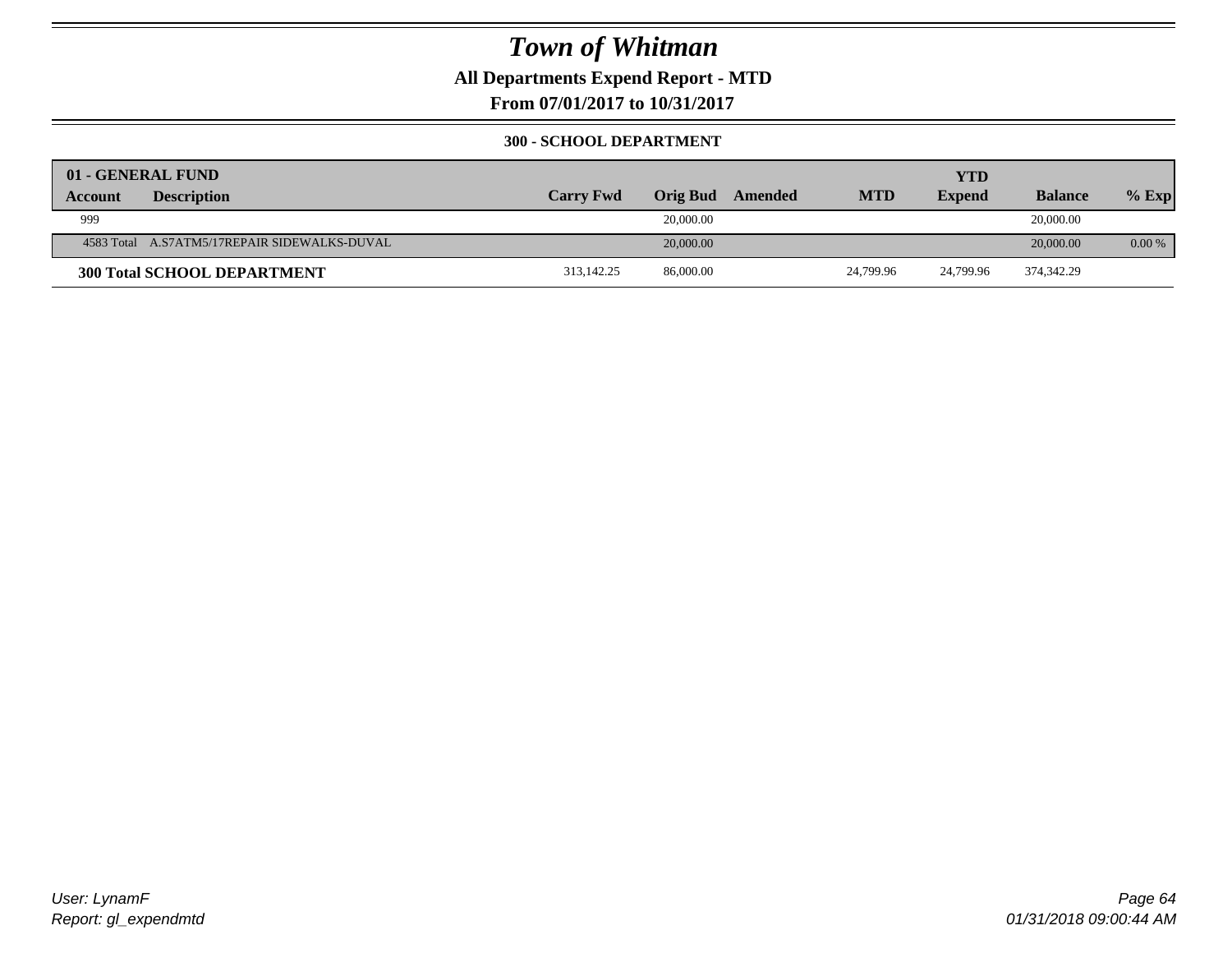**All Departments Expend Report - MTD**

**From 07/01/2017 to 10/31/2017**

#### **300 - SCHOOL DEPARTMENT**

| 01 - GENERAL FUND |                                              |                  |                 |         |            | <b>YTD</b>    |                |          |
|-------------------|----------------------------------------------|------------------|-----------------|---------|------------|---------------|----------------|----------|
| <b>Account</b>    | <b>Description</b>                           | <b>Carry Fwd</b> | <b>Orig Bud</b> | Amended | <b>MTD</b> | <b>Expend</b> | <b>Balance</b> | $%$ Exp  |
| 999               |                                              |                  | 20,000.00       |         |            |               | 20,000.00      |          |
|                   | 4583 Total A.S7ATM5/17REPAIR SIDEWALKS-DUVAL |                  | 20,000.00       |         |            |               | 20,000.00      | $0.00\%$ |
|                   | <b>300 Total SCHOOL DEPARTMENT</b>           | 313,142.25       | 86,000.00       |         | 24,799.96  | 24.799.96     | 374,342.29     |          |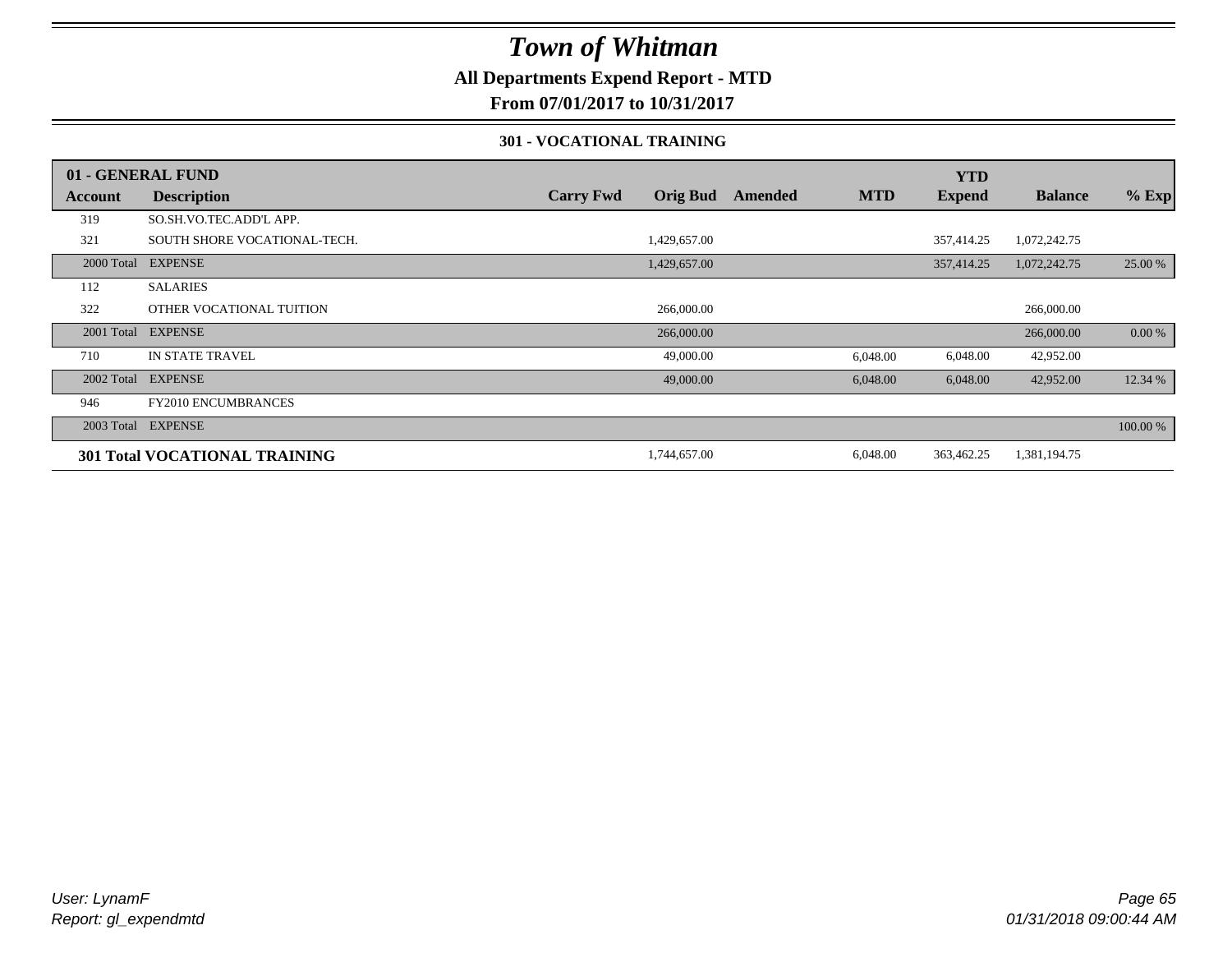### **All Departments Expend Report - MTD**

**From 07/01/2017 to 10/31/2017**

#### **301 - VOCATIONAL TRAINING**

|            | 01 - GENERAL FUND                    |                  |                 |         |            | <b>YTD</b>    |                |          |
|------------|--------------------------------------|------------------|-----------------|---------|------------|---------------|----------------|----------|
| Account    | <b>Description</b>                   | <b>Carry Fwd</b> | <b>Orig Bud</b> | Amended | <b>MTD</b> | <b>Expend</b> | <b>Balance</b> | $%$ Exp  |
| 319        | SO.SH.VO.TEC.ADD'L APP.              |                  |                 |         |            |               |                |          |
| 321        | SOUTH SHORE VOCATIONAL-TECH.         |                  | 1,429,657.00    |         |            | 357,414.25    | 1,072,242.75   |          |
| 2000 Total | <b>EXPENSE</b>                       |                  | 1,429,657.00    |         |            | 357,414.25    | 1,072,242.75   | 25.00 %  |
| 112        | <b>SALARIES</b>                      |                  |                 |         |            |               |                |          |
| 322        | OTHER VOCATIONAL TUITION             |                  | 266,000.00      |         |            |               | 266,000.00     |          |
| 2001 Total | <b>EXPENSE</b>                       |                  | 266,000.00      |         |            |               | 266,000.00     | 0.00 %   |
| 710        | <b>IN STATE TRAVEL</b>               |                  | 49,000.00       |         | 6,048.00   | 6,048.00      | 42,952.00      |          |
| 2002 Total | <b>EXPENSE</b>                       |                  | 49,000.00       |         | 6,048.00   | 6,048.00      | 42,952.00      | 12.34 %  |
| 946        | <b>FY2010 ENCUMBRANCES</b>           |                  |                 |         |            |               |                |          |
| 2003 Total | <b>EXPENSE</b>                       |                  |                 |         |            |               |                | 100.00 % |
|            | <b>301 Total VOCATIONAL TRAINING</b> |                  | 1,744,657.00    |         | 6,048.00   | 363,462.25    | 1,381,194.75   |          |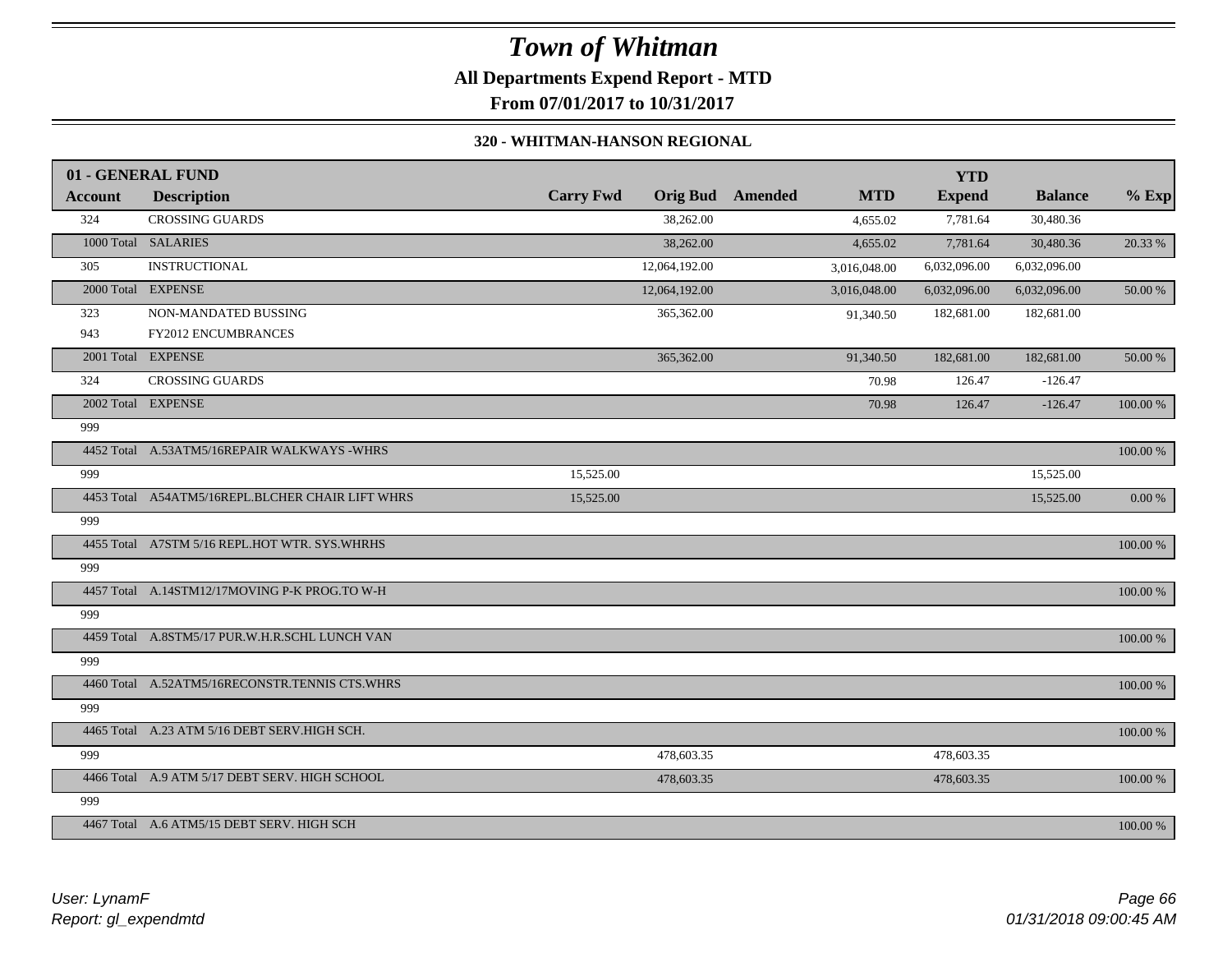# *Town of Whitman* **All Departments Expend Report - MTD**

**From 07/01/2017 to 10/31/2017**

#### **320 - WHITMAN-HANSON REGIONAL**

|         | 01 - GENERAL FUND                                |                  |               |                         |              | <b>YTD</b>    |                |             |
|---------|--------------------------------------------------|------------------|---------------|-------------------------|--------------|---------------|----------------|-------------|
| Account | <b>Description</b>                               | <b>Carry Fwd</b> |               | <b>Orig Bud</b> Amended | <b>MTD</b>   | <b>Expend</b> | <b>Balance</b> | $%$ Exp     |
| 324     | <b>CROSSING GUARDS</b>                           |                  | 38,262.00     |                         | 4,655.02     | 7,781.64      | 30,480.36      |             |
|         | 1000 Total SALARIES                              |                  | 38,262.00     |                         | 4,655.02     | 7,781.64      | 30,480.36      | 20.33 %     |
| 305     | <b>INSTRUCTIONAL</b>                             |                  | 12,064,192.00 |                         | 3,016,048.00 | 6,032,096.00  | 6,032,096.00   |             |
|         | 2000 Total EXPENSE                               |                  | 12,064,192.00 |                         | 3,016,048.00 | 6,032,096.00  | 6,032,096.00   | 50.00 %     |
| 323     | NON-MANDATED BUSSING                             |                  | 365,362.00    |                         | 91,340.50    | 182,681.00    | 182,681.00     |             |
| 943     | <b>FY2012 ENCUMBRANCES</b>                       |                  |               |                         |              |               |                |             |
|         | 2001 Total EXPENSE                               |                  | 365,362.00    |                         | 91,340.50    | 182,681.00    | 182,681.00     | 50.00 %     |
| 324     | <b>CROSSING GUARDS</b>                           |                  |               |                         | 70.98        | 126.47        | $-126.47$      |             |
|         | 2002 Total EXPENSE                               |                  |               |                         | 70.98        | 126.47        | $-126.47$      | 100.00 %    |
| 999     |                                                  |                  |               |                         |              |               |                |             |
|         | 4452 Total A.53ATM5/16REPAIR WALKWAYS -WHRS      |                  |               |                         |              |               |                | 100.00 %    |
| 999     |                                                  | 15,525.00        |               |                         |              |               | 15,525.00      |             |
|         | 4453 Total A54ATM5/16REPL.BLCHER CHAIR LIFT WHRS | 15,525.00        |               |                         |              |               | 15,525.00      | $0.00\ \%$  |
| 999     |                                                  |                  |               |                         |              |               |                |             |
|         | 4455 Total A7STM 5/16 REPL.HOT WTR. SYS.WHRHS    |                  |               |                         |              |               |                | 100.00 %    |
| 999     |                                                  |                  |               |                         |              |               |                |             |
|         | 4457 Total A.14STM12/17MOVING P-K PROG.TO W-H    |                  |               |                         |              |               |                | 100.00 %    |
| 999     |                                                  |                  |               |                         |              |               |                |             |
|         | 4459 Total A.8STM5/17 PUR.W.H.R.SCHL LUNCH VAN   |                  |               |                         |              |               |                | 100.00 %    |
| 999     |                                                  |                  |               |                         |              |               |                |             |
|         | 4460 Total A.52ATM5/16RECONSTR.TENNIS CTS.WHRS   |                  |               |                         |              |               |                | 100.00 %    |
| 999     |                                                  |                  |               |                         |              |               |                |             |
|         | 4465 Total A.23 ATM 5/16 DEBT SERV.HIGH SCH.     |                  |               |                         |              |               |                | $100.00~\%$ |
| 999     |                                                  |                  | 478,603.35    |                         |              | 478,603.35    |                |             |
|         | 4466 Total A.9 ATM 5/17 DEBT SERV. HIGH SCHOOL   |                  | 478,603.35    |                         |              | 478,603.35    |                | 100.00 %    |
| 999     |                                                  |                  |               |                         |              |               |                |             |
|         | 4467 Total A.6 ATM5/15 DEBT SERV, HIGH SCH       |                  |               |                         |              |               |                | 100.00 %    |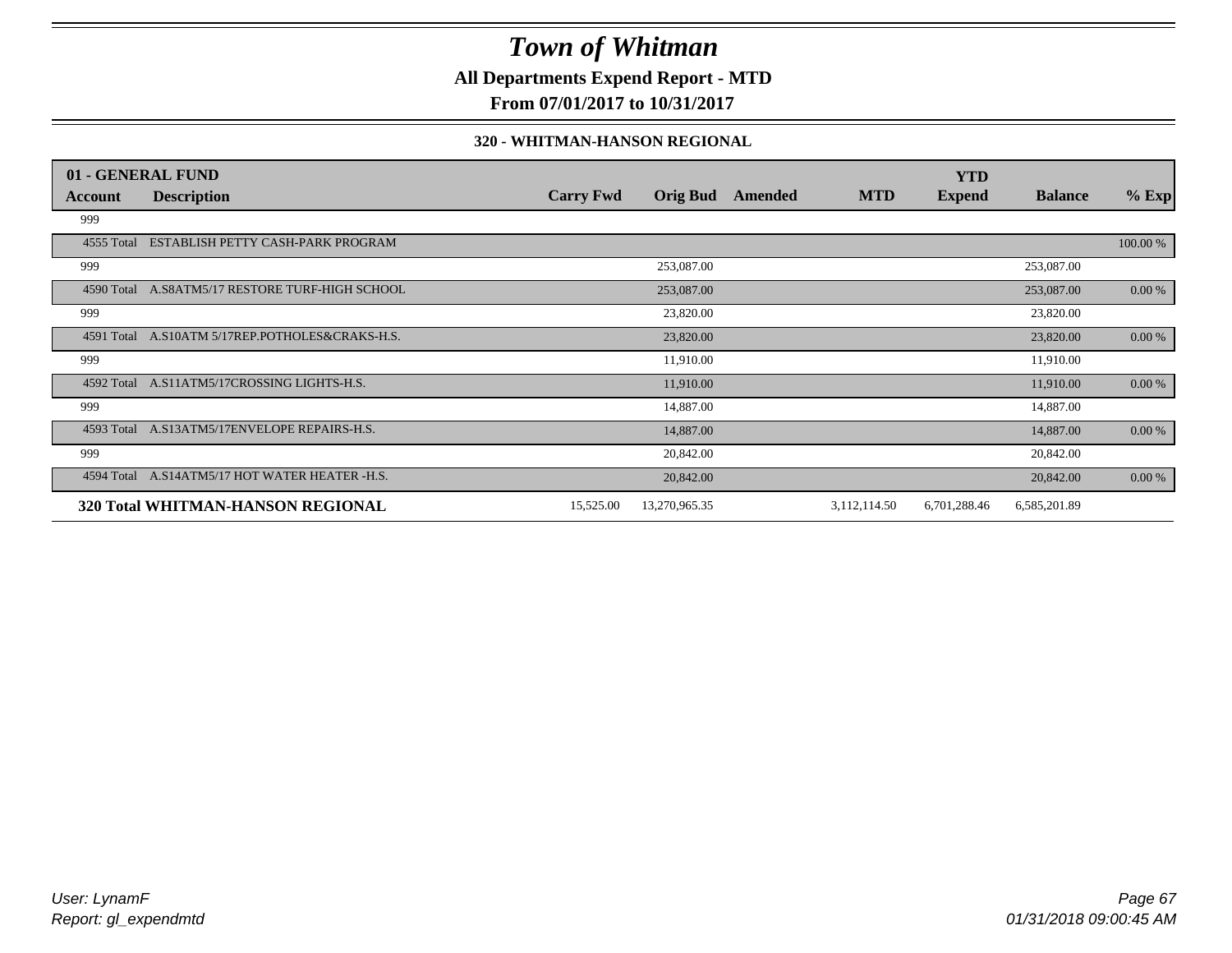### **All Departments Expend Report - MTD**

**From 07/01/2017 to 10/31/2017**

#### **320 - WHITMAN-HANSON REGIONAL**

|            | 01 - GENERAL FUND                               |                  |                 |         |              | <b>YTD</b>    |                |           |
|------------|-------------------------------------------------|------------------|-----------------|---------|--------------|---------------|----------------|-----------|
| Account    | <b>Description</b>                              | <b>Carry Fwd</b> | <b>Orig Bud</b> | Amended | <b>MTD</b>   | <b>Expend</b> | <b>Balance</b> | $%$ Exp   |
| 999        |                                                 |                  |                 |         |              |               |                |           |
| 4555 Total | ESTABLISH PETTY CASH-PARK PROGRAM               |                  |                 |         |              |               |                | 100.00 %  |
| 999        |                                                 |                  | 253,087.00      |         |              |               | 253,087.00     |           |
|            | 4590 Total A.S8ATM5/17 RESTORE TURF-HIGH SCHOOL |                  | 253,087.00      |         |              |               | 253,087.00     | 0.00 %    |
| 999        |                                                 |                  | 23,820.00       |         |              |               | 23,820.00      |           |
| 4591 Total | A.S10ATM 5/17REP.POTHOLES&CRAKS-H.S.            |                  | 23,820.00       |         |              |               | 23,820.00      | $0.00 \%$ |
| 999        |                                                 |                  | 11,910.00       |         |              |               | 11,910.00      |           |
| 4592 Total | A.S11ATM5/17CROSSING LIGHTS-H.S.                |                  | 11,910.00       |         |              |               | 11,910.00      | 0.00 %    |
| 999        |                                                 |                  | 14,887.00       |         |              |               | 14,887.00      |           |
|            | 4593 Total A.S13ATM5/17ENVELOPE REPAIRS-H.S.    |                  | 14,887.00       |         |              |               | 14,887.00      | $0.00 \%$ |
| 999        |                                                 |                  | 20,842.00       |         |              |               | 20,842.00      |           |
|            | 4594 Total A.S14ATM5/17 HOT WATER HEATER -H.S.  |                  | 20,842.00       |         |              |               | 20,842.00      | 0.00 %    |
|            | 320 Total WHITMAN-HANSON REGIONAL               | 15,525.00        | 13,270,965.35   |         | 3,112,114.50 | 6,701,288.46  | 6,585,201.89   |           |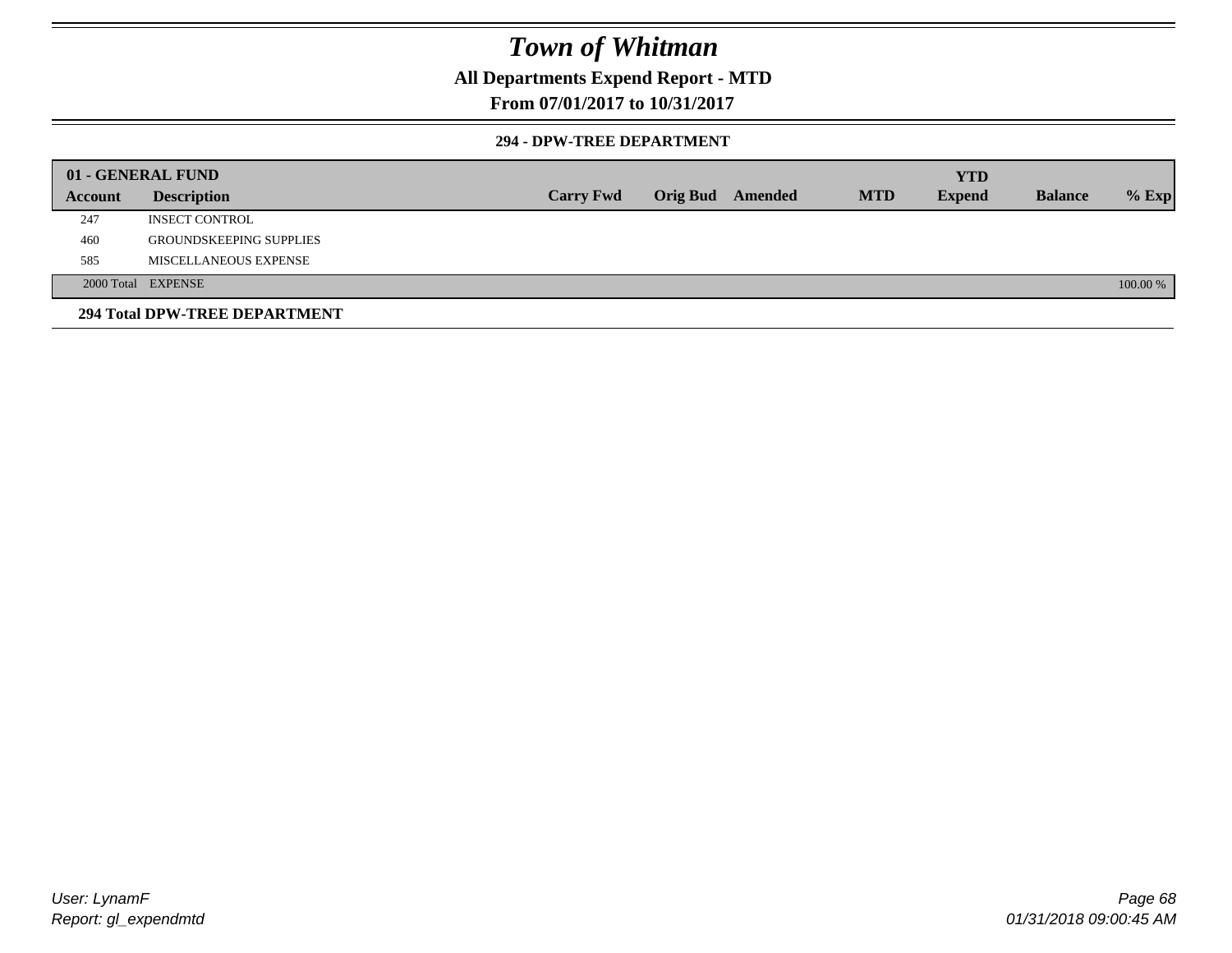### **All Departments Expend Report - MTD**

### **From 07/01/2017 to 10/31/2017**

#### **294 - DPW-TREE DEPARTMENT**

|         | 01 - GENERAL FUND              |                  |                  |            | <b>YTD</b>    |                |          |
|---------|--------------------------------|------------------|------------------|------------|---------------|----------------|----------|
| Account | <b>Description</b>             | <b>Carry Fwd</b> | Orig Bud Amended | <b>MTD</b> | <b>Expend</b> | <b>Balance</b> | $%$ Exp  |
| 247     | <b>INSECT CONTROL</b>          |                  |                  |            |               |                |          |
| 460     | <b>GROUNDSKEEPING SUPPLIES</b> |                  |                  |            |               |                |          |
| 585     | MISCELLANEOUS EXPENSE          |                  |                  |            |               |                |          |
|         | 2000 Total EXPENSE             |                  |                  |            |               |                | 100.00 % |
|         | 294 Total DPW-TREE DEPARTMENT  |                  |                  |            |               |                |          |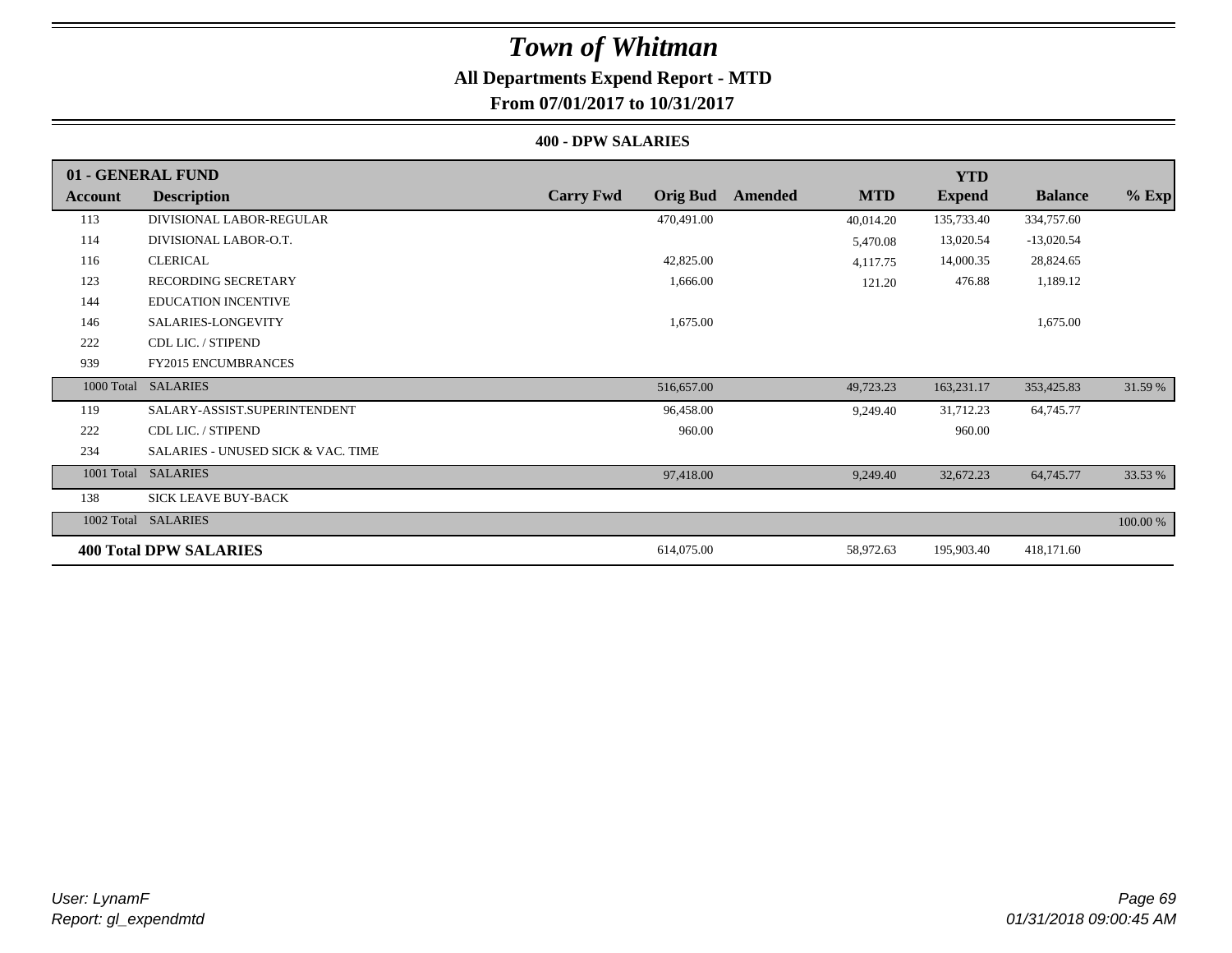## **All Departments Expend Report - MTD**

**From 07/01/2017 to 10/31/2017**

#### **400 - DPW SALARIES**

|                | 01 - GENERAL FUND                  |                                     |                       | <b>YTD</b>    |                |          |
|----------------|------------------------------------|-------------------------------------|-----------------------|---------------|----------------|----------|
| <b>Account</b> | <b>Description</b>                 | <b>Carry Fwd</b><br><b>Orig Bud</b> | <b>MTD</b><br>Amended | <b>Expend</b> | <b>Balance</b> | $%$ Exp  |
| 113            | DIVISIONAL LABOR-REGULAR           | 470,491.00                          | 40,014.20             | 135,733.40    | 334,757.60     |          |
| 114            | DIVISIONAL LABOR-O.T.              |                                     | 5,470.08              | 13,020.54     | $-13,020.54$   |          |
| 116            | <b>CLERICAL</b>                    | 42,825.00                           | 4,117.75              | 14,000.35     | 28,824.65      |          |
| 123            | RECORDING SECRETARY                | 1,666.00                            | 121.20                | 476.88        | 1,189.12       |          |
| 144            | <b>EDUCATION INCENTIVE</b>         |                                     |                       |               |                |          |
| 146            | SALARIES-LONGEVITY                 | 1,675.00                            |                       |               | 1,675.00       |          |
| 222            | CDL LIC. / STIPEND                 |                                     |                       |               |                |          |
| 939            | <b>FY2015 ENCUMBRANCES</b>         |                                     |                       |               |                |          |
| 1000 Total     | <b>SALARIES</b>                    | 516,657.00                          | 49,723.23             | 163,231.17    | 353,425.83     | 31.59 %  |
| 119            | SALARY-ASSIST.SUPERINTENDENT       | 96,458.00                           | 9,249.40              | 31,712.23     | 64,745.77      |          |
| 222            | CDL LIC. / STIPEND                 | 960.00                              |                       | 960.00        |                |          |
| 234            | SALARIES - UNUSED SICK & VAC. TIME |                                     |                       |               |                |          |
| 1001 Total     | <b>SALARIES</b>                    | 97,418.00                           | 9,249.40              | 32,672.23     | 64,745.77      | 33.53 %  |
| 138            | SICK LEAVE BUY-BACK                |                                     |                       |               |                |          |
| 1002 Total     | <b>SALARIES</b>                    |                                     |                       |               |                | 100.00 % |
|                | <b>400 Total DPW SALARIES</b>      | 614,075.00                          | 58,972.63             | 195,903.40    | 418,171.60     |          |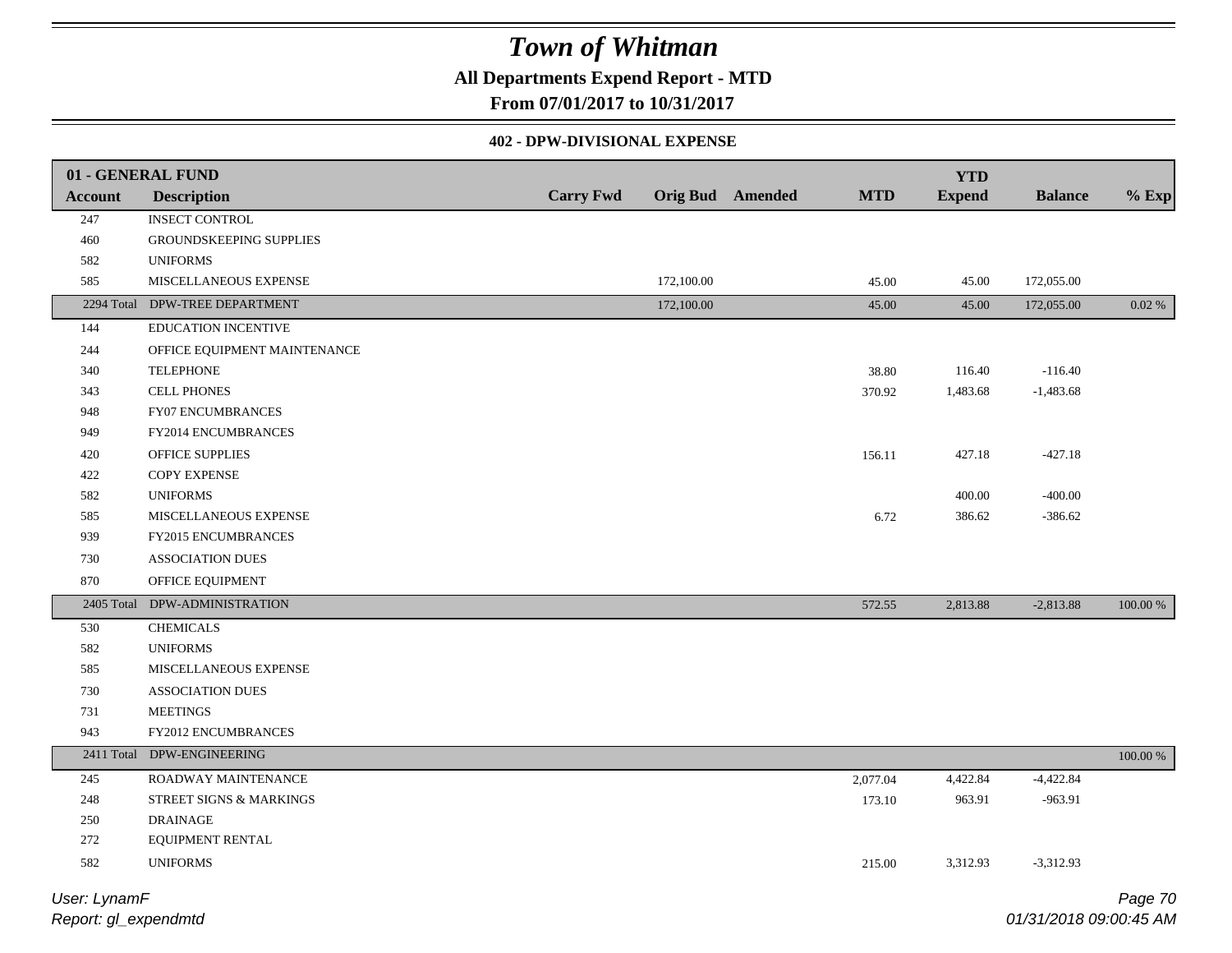### **All Departments Expend Report - MTD**

**From 07/01/2017 to 10/31/2017**

#### **402 - DPW-DIVISIONAL EXPENSE**

|                | 01 - GENERAL FUND              |                  |            |                         |            | <b>YTD</b>    |                |          |
|----------------|--------------------------------|------------------|------------|-------------------------|------------|---------------|----------------|----------|
| <b>Account</b> | <b>Description</b>             | <b>Carry Fwd</b> |            | <b>Orig Bud</b> Amended | <b>MTD</b> | <b>Expend</b> | <b>Balance</b> | $%$ Exp  |
| 247            | <b>INSECT CONTROL</b>          |                  |            |                         |            |               |                |          |
| 460            | GROUNDSKEEPING SUPPLIES        |                  |            |                         |            |               |                |          |
| 582            | <b>UNIFORMS</b>                |                  |            |                         |            |               |                |          |
| 585            | MISCELLANEOUS EXPENSE          |                  | 172,100.00 |                         | 45.00      | 45.00         | 172,055.00     |          |
|                | 2294 Total DPW-TREE DEPARTMENT |                  | 172,100.00 |                         | 45.00      | 45.00         | 172,055.00     | 0.02 %   |
| 144            | EDUCATION INCENTIVE            |                  |            |                         |            |               |                |          |
| 244            | OFFICE EQUIPMENT MAINTENANCE   |                  |            |                         |            |               |                |          |
| 340            | <b>TELEPHONE</b>               |                  |            |                         | 38.80      | 116.40        | $-116.40$      |          |
| 343            | <b>CELL PHONES</b>             |                  |            |                         | 370.92     | 1,483.68      | $-1,483.68$    |          |
| 948            | FY07 ENCUMBRANCES              |                  |            |                         |            |               |                |          |
| 949            | FY2014 ENCUMBRANCES            |                  |            |                         |            |               |                |          |
| 420            | OFFICE SUPPLIES                |                  |            |                         | 156.11     | 427.18        | $-427.18$      |          |
| 422            | COPY EXPENSE                   |                  |            |                         |            |               |                |          |
| 582            | <b>UNIFORMS</b>                |                  |            |                         |            | 400.00        | $-400.00$      |          |
| 585            | MISCELLANEOUS EXPENSE          |                  |            |                         | 6.72       | 386.62        | $-386.62$      |          |
| 939            | FY2015 ENCUMBRANCES            |                  |            |                         |            |               |                |          |
| 730            | <b>ASSOCIATION DUES</b>        |                  |            |                         |            |               |                |          |
| 870            | OFFICE EQUIPMENT               |                  |            |                         |            |               |                |          |
|                | 2405 Total DPW-ADMINISTRATION  |                  |            |                         | 572.55     | 2,813.88      | $-2,813.88$    | 100.00 % |
| 530            | <b>CHEMICALS</b>               |                  |            |                         |            |               |                |          |
| 582            | <b>UNIFORMS</b>                |                  |            |                         |            |               |                |          |
| 585            | MISCELLANEOUS EXPENSE          |                  |            |                         |            |               |                |          |
| 730            | <b>ASSOCIATION DUES</b>        |                  |            |                         |            |               |                |          |
| 731            | <b>MEETINGS</b>                |                  |            |                         |            |               |                |          |
| 943            | FY2012 ENCUMBRANCES            |                  |            |                         |            |               |                |          |
|                | 2411 Total DPW-ENGINEERING     |                  |            |                         |            |               |                | 100.00 % |
| 245            | ROADWAY MAINTENANCE            |                  |            |                         | 2,077.04   | 4,422.84      | $-4,422.84$    |          |
| 248            | STREET SIGNS & MARKINGS        |                  |            |                         | 173.10     | 963.91        | -963.91        |          |
| 250            | <b>DRAINAGE</b>                |                  |            |                         |            |               |                |          |
| 272            | EQUIPMENT RENTAL               |                  |            |                         |            |               |                |          |
| 582            | <b>UNIFORMS</b>                |                  |            |                         | 215.00     | 3,312.93      | $-3,312.93$    |          |
|                |                                |                  |            |                         |            |               |                |          |

*Report: gl\_expendmtd User: LynamF*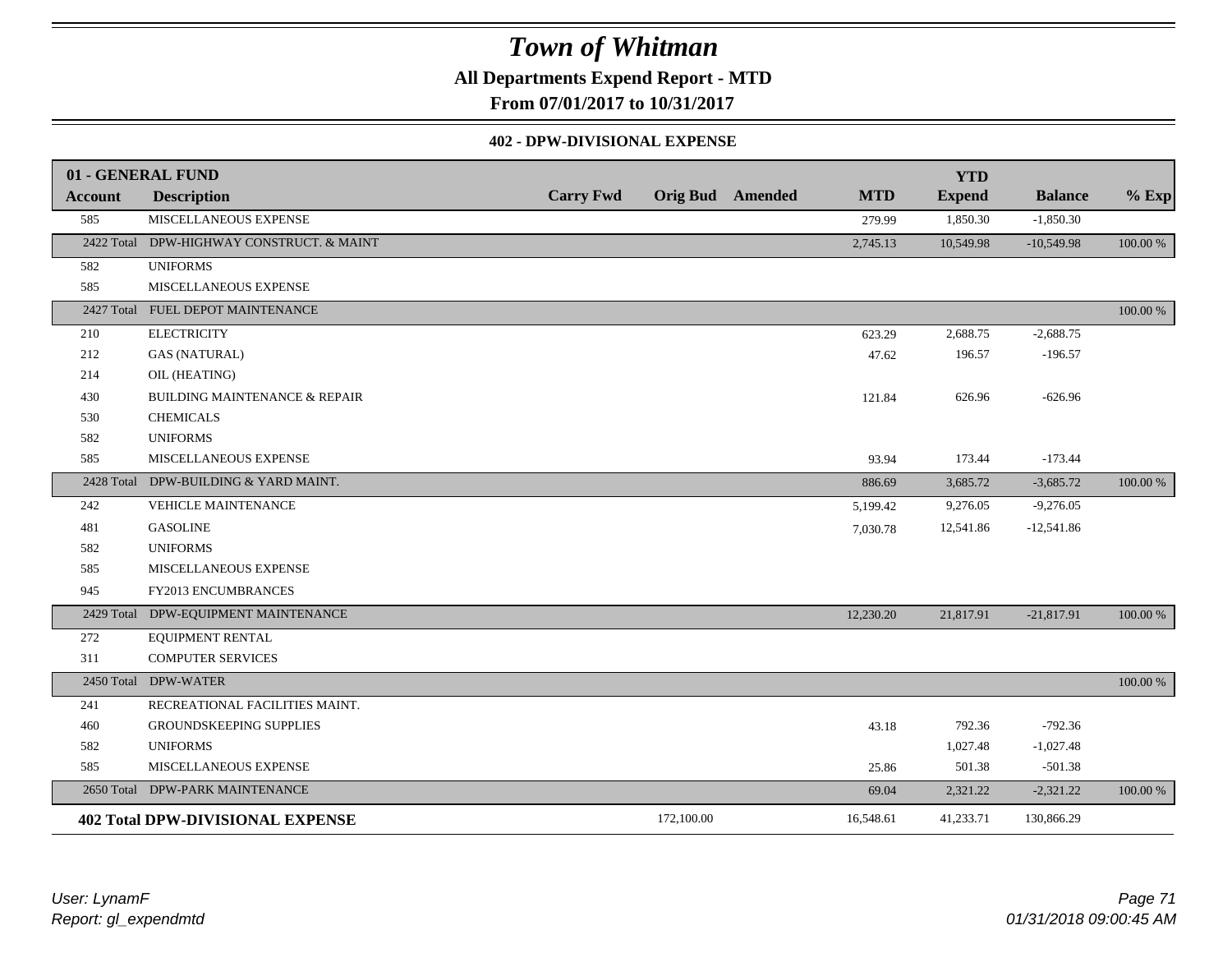**All Departments Expend Report - MTD**

**From 07/01/2017 to 10/31/2017**

#### **402 - DPW-DIVISIONAL EXPENSE**

|                | 01 - GENERAL FUND                         |                  |            |                         |            | <b>YTD</b>    |                |          |
|----------------|-------------------------------------------|------------------|------------|-------------------------|------------|---------------|----------------|----------|
| <b>Account</b> | <b>Description</b>                        | <b>Carry Fwd</b> |            | <b>Orig Bud</b> Amended | <b>MTD</b> | <b>Expend</b> | <b>Balance</b> | $%$ Exp  |
| 585            | MISCELLANEOUS EXPENSE                     |                  |            |                         | 279.99     | 1,850.30      | $-1,850.30$    |          |
|                | 2422 Total DPW-HIGHWAY CONSTRUCT. & MAINT |                  |            |                         | 2,745.13   | 10,549.98     | $-10,549.98$   | 100.00 % |
| 582            | <b>UNIFORMS</b>                           |                  |            |                         |            |               |                |          |
| 585            | MISCELLANEOUS EXPENSE                     |                  |            |                         |            |               |                |          |
|                | 2427 Total FUEL DEPOT MAINTENANCE         |                  |            |                         |            |               |                | 100.00 % |
| 210            | <b>ELECTRICITY</b>                        |                  |            |                         | 623.29     | 2,688.75      | $-2,688.75$    |          |
| 212            | <b>GAS (NATURAL)</b>                      |                  |            |                         | 47.62      | 196.57        | $-196.57$      |          |
| 214            | OIL (HEATING)                             |                  |            |                         |            |               |                |          |
| 430            | <b>BUILDING MAINTENANCE &amp; REPAIR</b>  |                  |            |                         | 121.84     | 626.96        | $-626.96$      |          |
| 530            | <b>CHEMICALS</b>                          |                  |            |                         |            |               |                |          |
| 582            | <b>UNIFORMS</b>                           |                  |            |                         |            |               |                |          |
| 585            | MISCELLANEOUS EXPENSE                     |                  |            |                         | 93.94      | 173.44        | $-173.44$      |          |
| 2428 Total     | DPW-BUILDING & YARD MAINT.                |                  |            |                         | 886.69     | 3,685.72      | $-3,685.72$    | 100.00 % |
| 242            | VEHICLE MAINTENANCE                       |                  |            |                         | 5,199.42   | 9,276.05      | $-9,276.05$    |          |
| 481            | <b>GASOLINE</b>                           |                  |            |                         | 7,030.78   | 12,541.86     | $-12,541.86$   |          |
| 582            | <b>UNIFORMS</b>                           |                  |            |                         |            |               |                |          |
| 585            | MISCELLANEOUS EXPENSE                     |                  |            |                         |            |               |                |          |
| 945            | FY2013 ENCUMBRANCES                       |                  |            |                         |            |               |                |          |
|                | 2429 Total DPW-EQUIPMENT MAINTENANCE      |                  |            |                         | 12,230.20  | 21,817.91     | $-21,817.91$   | 100.00 % |
| 272            | EQUIPMENT RENTAL                          |                  |            |                         |            |               |                |          |
| 311            | COMPUTER SERVICES                         |                  |            |                         |            |               |                |          |
|                | 2450 Total DPW-WATER                      |                  |            |                         |            |               |                | 100.00 % |
| 241            | RECREATIONAL FACILITIES MAINT.            |                  |            |                         |            |               |                |          |
| 460            | <b>GROUNDSKEEPING SUPPLIES</b>            |                  |            |                         | 43.18      | 792.36        | $-792.36$      |          |
| 582            | <b>UNIFORMS</b>                           |                  |            |                         |            | 1,027.48      | $-1,027.48$    |          |
| 585            | MISCELLANEOUS EXPENSE                     |                  |            |                         | 25.86      | 501.38        | $-501.38$      |          |
|                | 2650 Total DPW-PARK MAINTENANCE           |                  |            |                         | 69.04      | 2,321.22      | $-2,321.22$    | 100.00 % |
|                | <b>402 Total DPW-DIVISIONAL EXPENSE</b>   |                  | 172,100.00 |                         | 16,548.61  | 41,233.71     | 130,866.29     |          |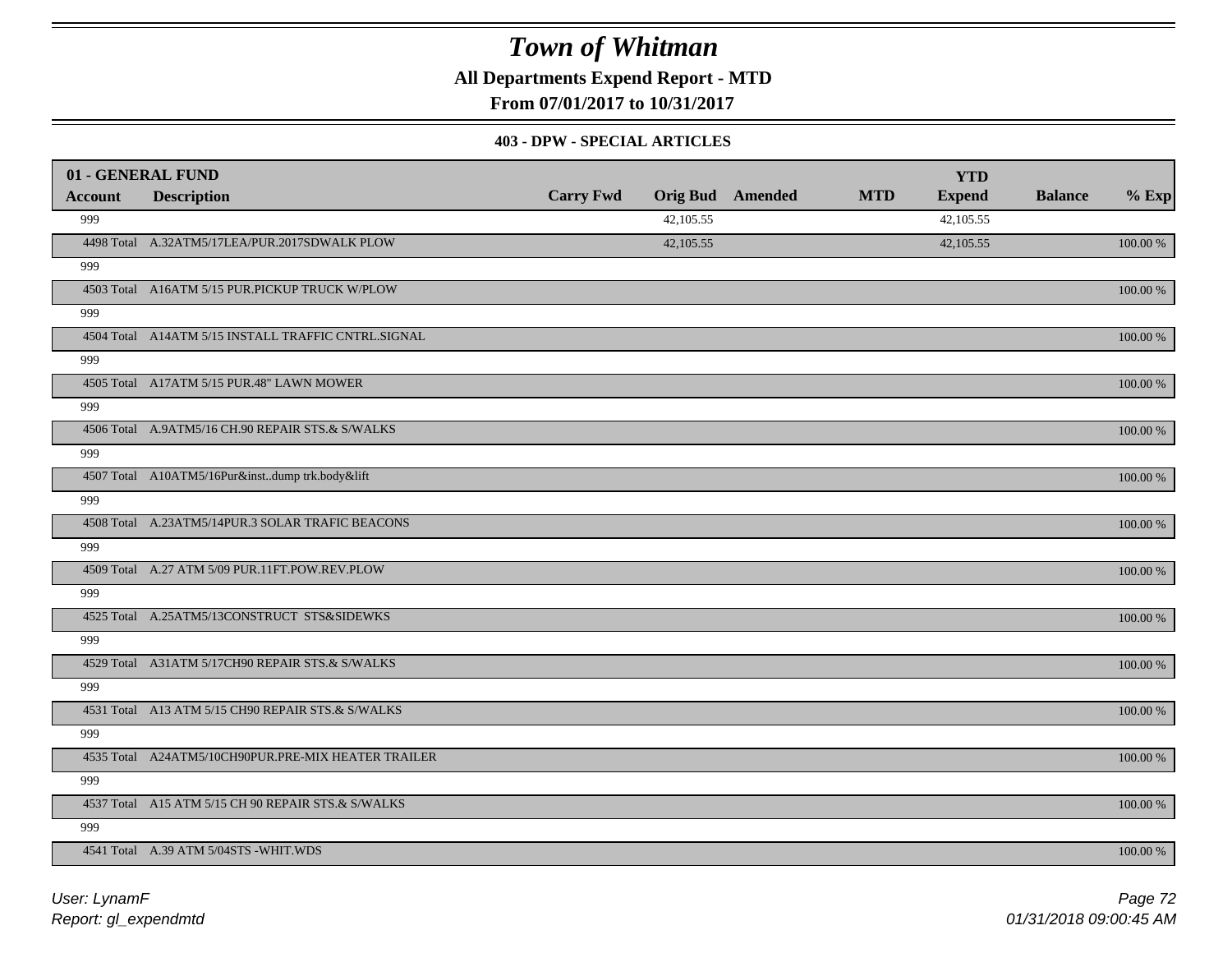**All Departments Expend Report - MTD**

**From 07/01/2017 to 10/31/2017**

#### **403 - DPW - SPECIAL ARTICLES**

| 01 - GENERAL FUND |                                                     |                  |           |                         |            | <b>YTD</b>    |                |             |
|-------------------|-----------------------------------------------------|------------------|-----------|-------------------------|------------|---------------|----------------|-------------|
| <b>Account</b>    | <b>Description</b>                                  | <b>Carry Fwd</b> |           | <b>Orig Bud</b> Amended | <b>MTD</b> | <b>Expend</b> | <b>Balance</b> | $%$ Exp     |
| 999               |                                                     |                  | 42,105.55 |                         |            | 42,105.55     |                |             |
|                   | 4498 Total A.32ATM5/17LEA/PUR.2017SDWALK PLOW       |                  | 42,105.55 |                         |            | 42,105.55     |                | 100.00 %    |
| 999               |                                                     |                  |           |                         |            |               |                |             |
|                   | 4503 Total A16ATM 5/15 PUR.PICKUP TRUCK W/PLOW      |                  |           |                         |            |               |                | 100.00 %    |
| 999               |                                                     |                  |           |                         |            |               |                |             |
|                   | 4504 Total A14ATM 5/15 INSTALL TRAFFIC CNTRL.SIGNAL |                  |           |                         |            |               |                | 100.00 %    |
| 999               |                                                     |                  |           |                         |            |               |                |             |
|                   | 4505 Total A17ATM 5/15 PUR.48" LAWN MOWER           |                  |           |                         |            |               |                | 100.00 %    |
| 999               |                                                     |                  |           |                         |            |               |                |             |
|                   | 4506 Total A.9ATM5/16 CH.90 REPAIR STS.& S/WALKS    |                  |           |                         |            |               |                | 100.00 %    |
| 999               |                                                     |                  |           |                         |            |               |                |             |
|                   | 4507 Total A10ATM5/16Pur&instdump trk.body&lift     |                  |           |                         |            |               |                | 100.00 %    |
| 999               |                                                     |                  |           |                         |            |               |                |             |
|                   | 4508 Total A.23ATM5/14PUR.3 SOLAR TRAFIC BEACONS    |                  |           |                         |            |               |                | 100.00 %    |
| 999               |                                                     |                  |           |                         |            |               |                |             |
|                   | 4509 Total A.27 ATM 5/09 PUR.11FT.POW.REV.PLOW      |                  |           |                         |            |               |                | 100.00 %    |
| 999               |                                                     |                  |           |                         |            |               |                |             |
|                   | 4525 Total A.25ATM5/13CONSTRUCT STS&SIDEWKS         |                  |           |                         |            |               |                | 100.00 %    |
| 999               |                                                     |                  |           |                         |            |               |                |             |
|                   | 4529 Total A31ATM 5/17CH90 REPAIR STS.& S/WALKS     |                  |           |                         |            |               |                | 100.00 %    |
| 999               |                                                     |                  |           |                         |            |               |                |             |
|                   | 4531 Total A13 ATM 5/15 CH90 REPAIR STS.& S/WALKS   |                  |           |                         |            |               |                | 100.00 %    |
| 999               |                                                     |                  |           |                         |            |               |                |             |
|                   | 4535 Total A24ATM5/10CH90PUR.PRE-MIX HEATER TRAILER |                  |           |                         |            |               |                | $100.00~\%$ |
| 999               |                                                     |                  |           |                         |            |               |                |             |
|                   | 4537 Total A15 ATM 5/15 CH 90 REPAIR STS.& S/WALKS  |                  |           |                         |            |               |                | 100.00 %    |
| 999               |                                                     |                  |           |                         |            |               |                |             |
|                   | 4541 Total A.39 ATM 5/04STS - WHIT.WDS              |                  |           |                         |            |               |                | 100.00 %    |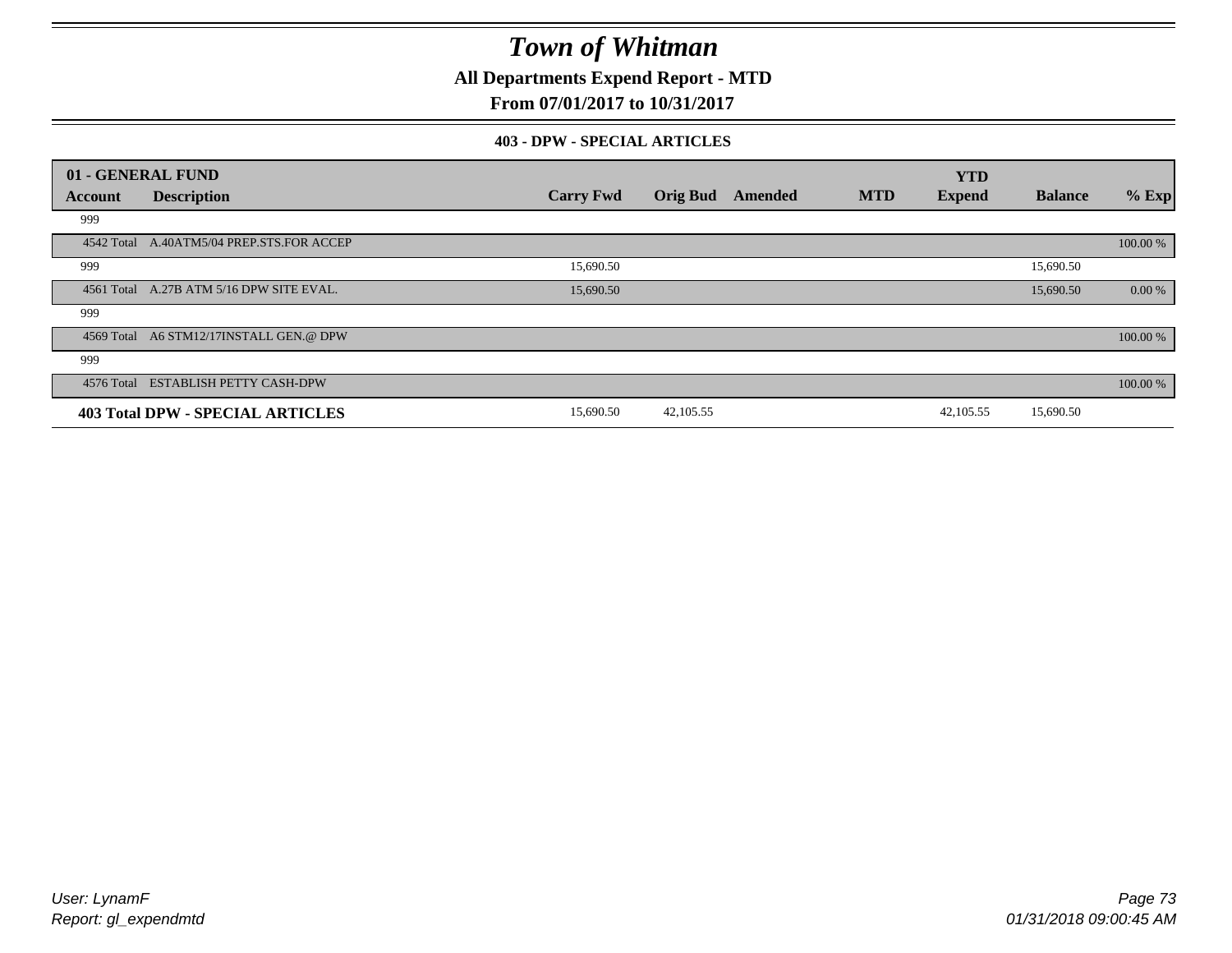**All Departments Expend Report - MTD**

**From 07/01/2017 to 10/31/2017**

#### **403 - DPW - SPECIAL ARTICLES**

|            | 01 - GENERAL FUND                         |                  |                 |         |            | <b>YTD</b>    |                |          |
|------------|-------------------------------------------|------------------|-----------------|---------|------------|---------------|----------------|----------|
| Account    | <b>Description</b>                        | <b>Carry Fwd</b> | <b>Orig Bud</b> | Amended | <b>MTD</b> | <b>Expend</b> | <b>Balance</b> | $%$ Exp  |
| 999        |                                           |                  |                 |         |            |               |                |          |
|            | 4542 Total A.40ATM5/04 PREP.STS.FOR ACCEP |                  |                 |         |            |               |                | 100.00 % |
| 999        |                                           | 15,690.50        |                 |         |            |               | 15,690.50      |          |
|            | 4561 Total A.27B ATM 5/16 DPW SITE EVAL.  | 15,690.50        |                 |         |            |               | 15,690.50      | 0.00 %   |
| 999        |                                           |                  |                 |         |            |               |                |          |
|            | 4569 Total A6 STM12/17INSTALL GEN.@ DPW   |                  |                 |         |            |               |                | 100.00 % |
| 999        |                                           |                  |                 |         |            |               |                |          |
| 4576 Total | <b>ESTABLISH PETTY CASH-DPW</b>           |                  |                 |         |            |               |                | 100.00 % |
|            | <b>403 Total DPW - SPECIAL ARTICLES</b>   | 15,690.50        | 42,105.55       |         |            | 42,105.55     | 15,690.50      |          |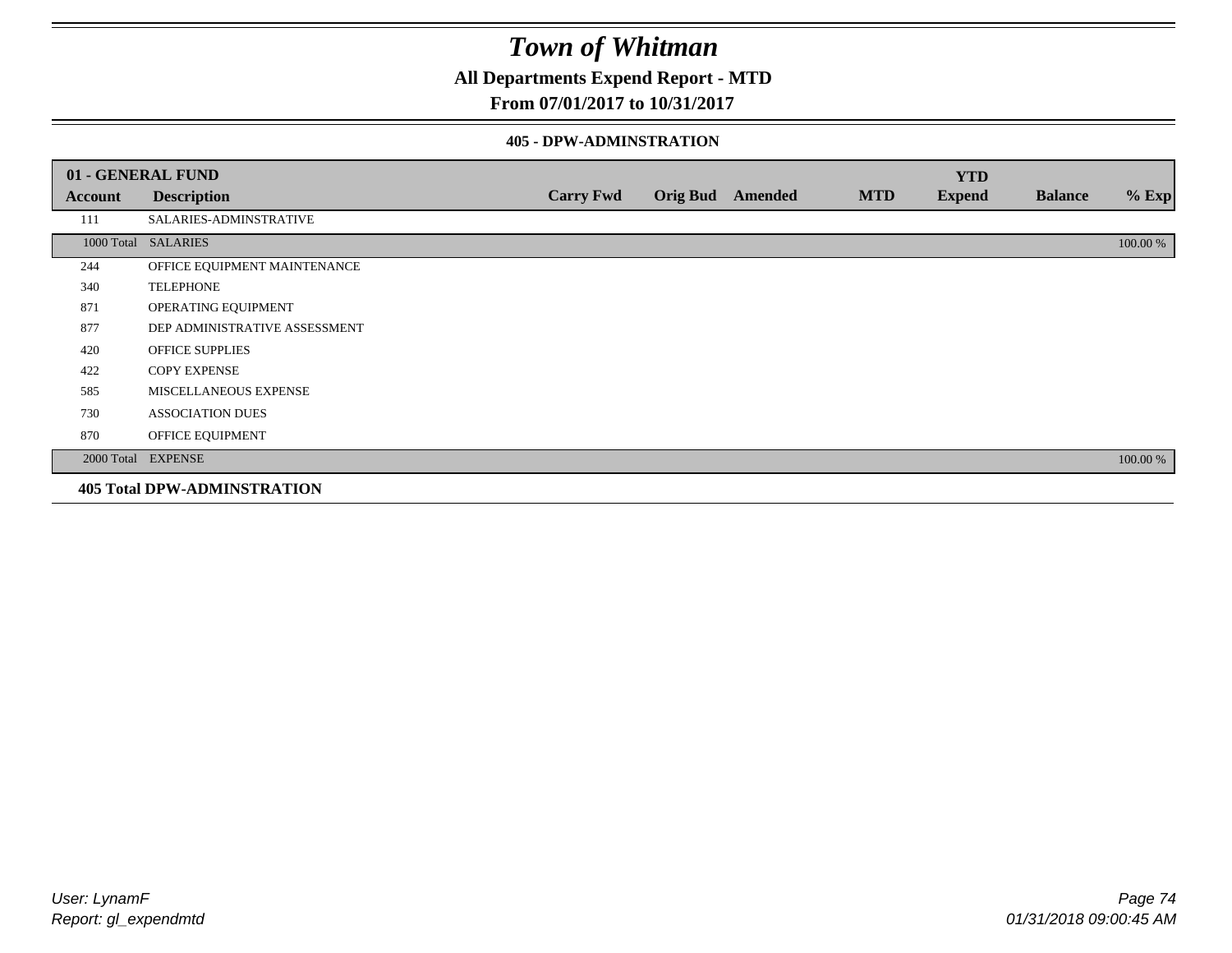### **All Departments Expend Report - MTD**

### **From 07/01/2017 to 10/31/2017**

#### **405 - DPW-ADMINSTRATION**

|         | 01 - GENERAL FUND                  |                  |                  |            | <b>YTD</b>    |                |          |
|---------|------------------------------------|------------------|------------------|------------|---------------|----------------|----------|
| Account | <b>Description</b>                 | <b>Carry Fwd</b> | Orig Bud Amended | <b>MTD</b> | <b>Expend</b> | <b>Balance</b> | $%$ Exp  |
| 111     | SALARIES-ADMINSTRATIVE             |                  |                  |            |               |                |          |
|         | 1000 Total SALARIES                |                  |                  |            |               |                | 100.00 % |
| 244     | OFFICE EQUIPMENT MAINTENANCE       |                  |                  |            |               |                |          |
| 340     | <b>TELEPHONE</b>                   |                  |                  |            |               |                |          |
| 871     | OPERATING EQUIPMENT                |                  |                  |            |               |                |          |
| 877     | DEP ADMINISTRATIVE ASSESSMENT      |                  |                  |            |               |                |          |
| 420     | <b>OFFICE SUPPLIES</b>             |                  |                  |            |               |                |          |
| 422     | <b>COPY EXPENSE</b>                |                  |                  |            |               |                |          |
| 585     | MISCELLANEOUS EXPENSE              |                  |                  |            |               |                |          |
| 730     | <b>ASSOCIATION DUES</b>            |                  |                  |            |               |                |          |
| 870     | OFFICE EQUIPMENT                   |                  |                  |            |               |                |          |
|         | 2000 Total EXPENSE                 |                  |                  |            |               |                | 100.00 % |
|         | <b>405 Total DPW-ADMINSTRATION</b> |                  |                  |            |               |                |          |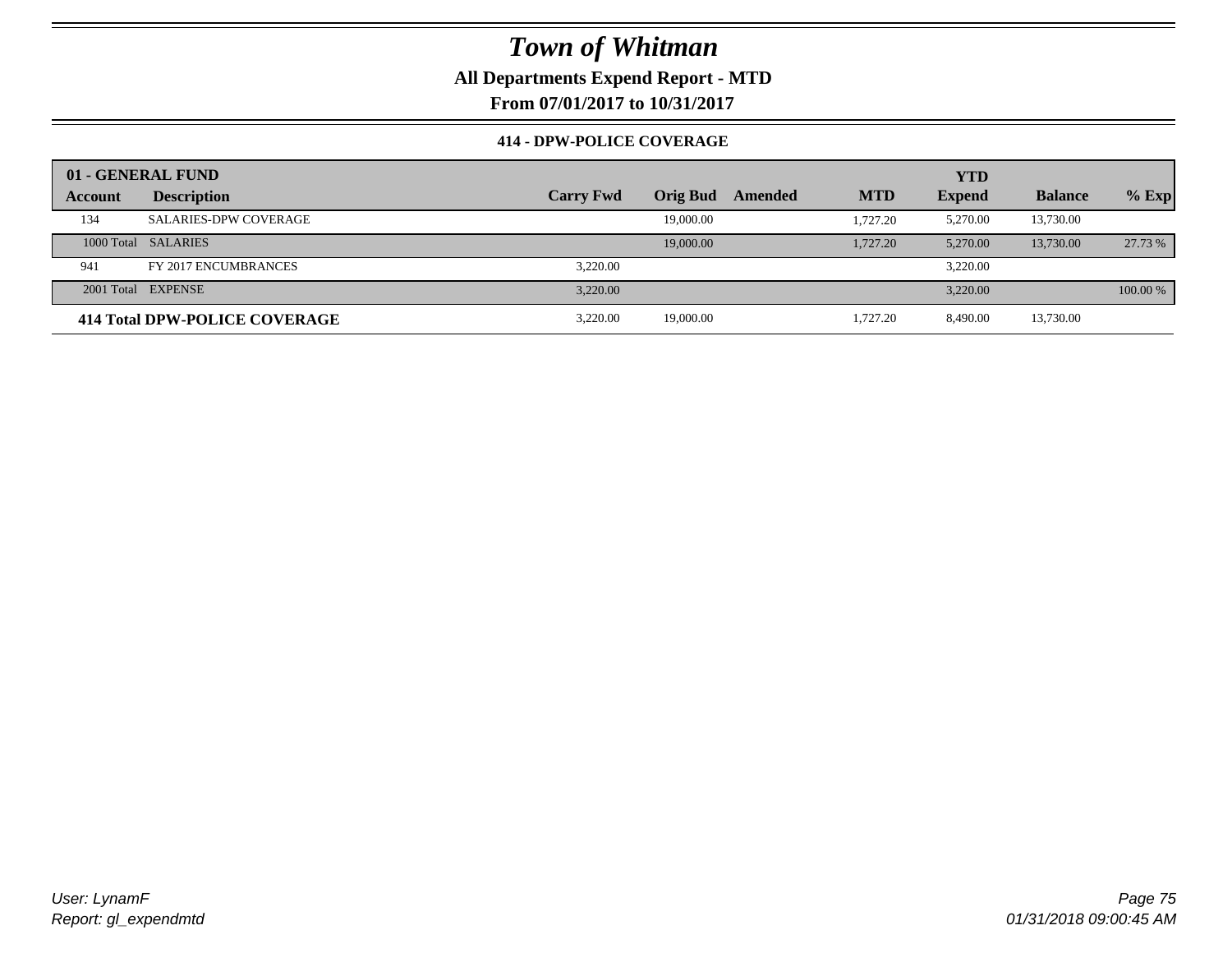**All Departments Expend Report - MTD**

**From 07/01/2017 to 10/31/2017**

### **414 - DPW-POLICE COVERAGE**

|         | 01 - GENERAL FUND             |                  |                 |         |            | <b>YTD</b>    |                |          |
|---------|-------------------------------|------------------|-----------------|---------|------------|---------------|----------------|----------|
| Account | <b>Description</b>            | <b>Carry Fwd</b> | <b>Orig Bud</b> | Amended | <b>MTD</b> | <b>Expend</b> | <b>Balance</b> | $%$ Exp  |
| 134     | <b>SALARIES-DPW COVERAGE</b>  |                  | 19,000.00       |         | 1.727.20   | 5,270.00      | 13,730.00      |          |
|         | 1000 Total SALARIES           |                  | 19,000.00       |         | 1,727.20   | 5,270.00      | 13,730.00      | 27.73 %  |
| 941     | FY 2017 ENCUMBRANCES          | 3.220.00         |                 |         |            | 3.220.00      |                |          |
|         | 2001 Total EXPENSE            | 3.220.00         |                 |         |            | 3.220.00      |                | 100.00 % |
|         | 414 Total DPW-POLICE COVERAGE | 3.220.00         | 19,000.00       |         | 1.727.20   | 8.490.00      | 13,730.00      |          |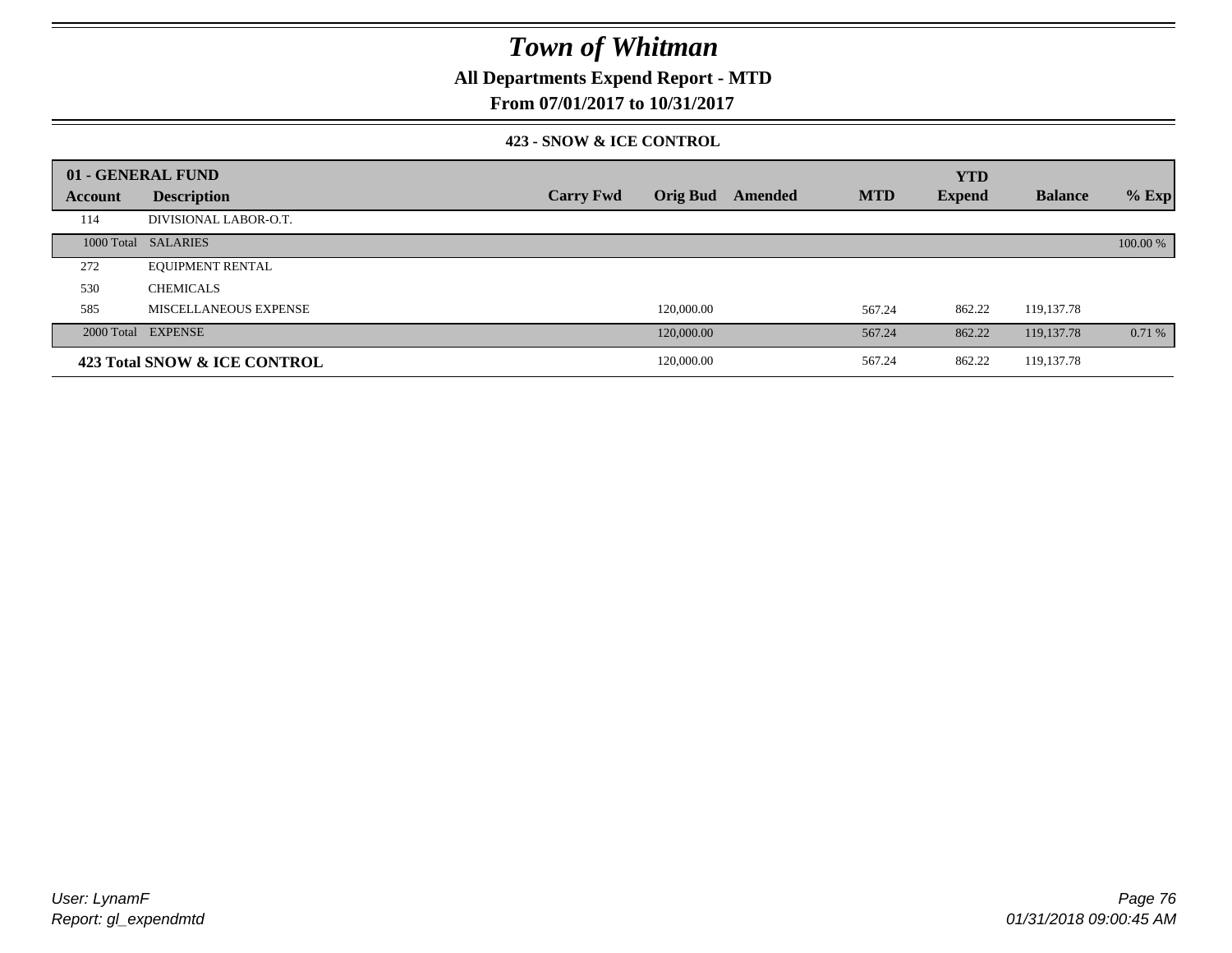**All Departments Expend Report - MTD**

**From 07/01/2017 to 10/31/2017**

#### **423 - SNOW & ICE CONTROL**

|         | 01 - GENERAL FUND            |                  |                            |            | <b>YTD</b>    |                |          |
|---------|------------------------------|------------------|----------------------------|------------|---------------|----------------|----------|
| Account | <b>Description</b>           | <b>Carry Fwd</b> | <b>Orig Bud</b><br>Amended | <b>MTD</b> | <b>Expend</b> | <b>Balance</b> | $%$ Exp  |
| 114     | DIVISIONAL LABOR-O.T.        |                  |                            |            |               |                |          |
|         | 1000 Total SALARIES          |                  |                            |            |               |                | 100.00 % |
| 272     | <b>EQUIPMENT RENTAL</b>      |                  |                            |            |               |                |          |
| 530     | <b>CHEMICALS</b>             |                  |                            |            |               |                |          |
| 585     | MISCELLANEOUS EXPENSE        |                  | 120,000.00                 | 567.24     | 862.22        | 119,137.78     |          |
|         | 2000 Total EXPENSE           |                  | 120,000.00                 | 567.24     | 862.22        | 119, 137, 78   | 0.71%    |
|         | 423 Total SNOW & ICE CONTROL |                  | 120,000.00                 | 567.24     | 862.22        | 119, 137. 78   |          |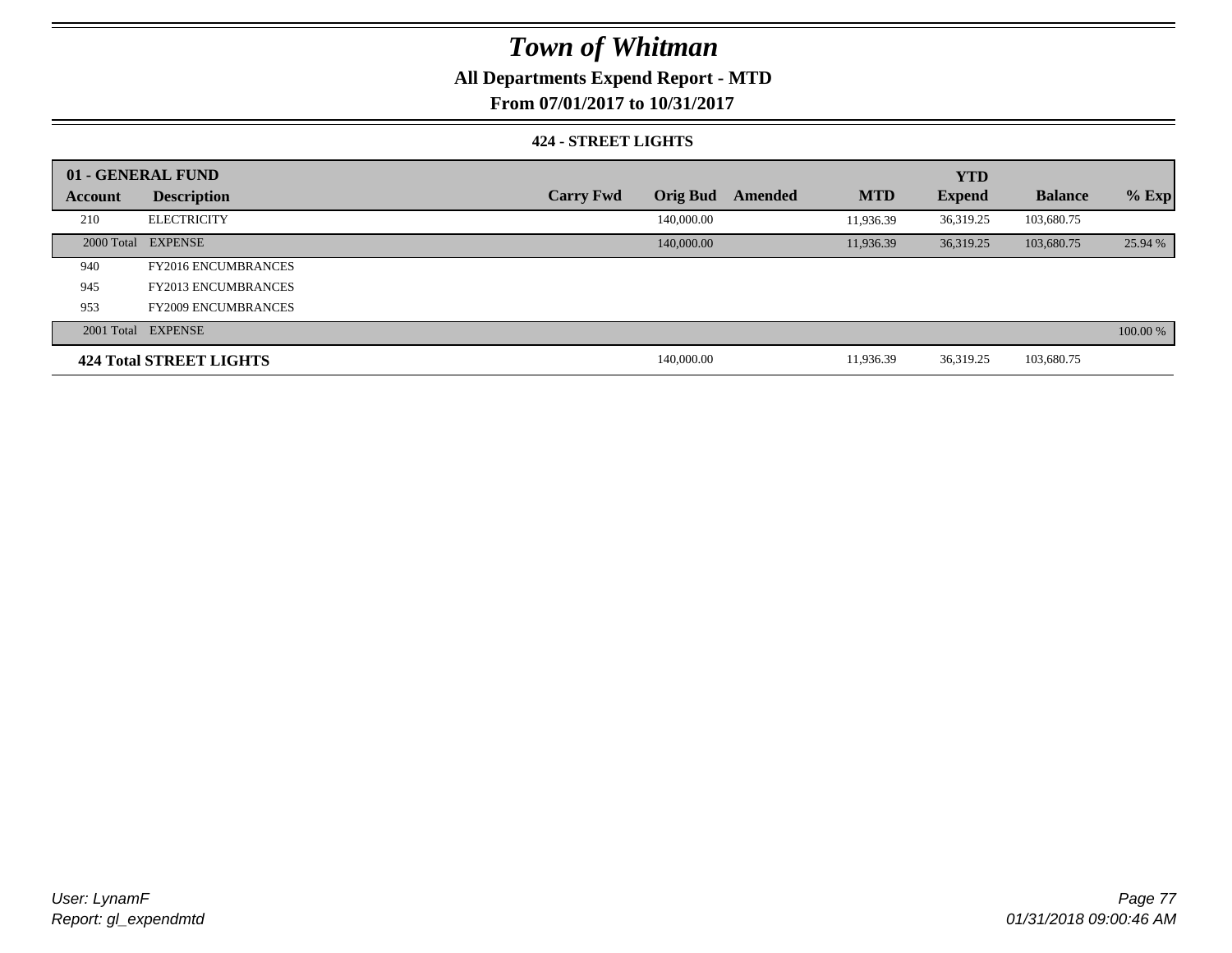### **All Departments Expend Report - MTD**

**From 07/01/2017 to 10/31/2017**

#### **424 - STREET LIGHTS**

|         | 01 - GENERAL FUND              |                  |                 |         |            | <b>YTD</b>    |                |          |
|---------|--------------------------------|------------------|-----------------|---------|------------|---------------|----------------|----------|
| Account | <b>Description</b>             | <b>Carry Fwd</b> | <b>Orig Bud</b> | Amended | <b>MTD</b> | <b>Expend</b> | <b>Balance</b> | $%$ Exp  |
| 210     | <b>ELECTRICITY</b>             |                  | 140,000.00      |         | 11,936.39  | 36,319.25     | 103,680.75     |          |
|         | 2000 Total EXPENSE             |                  | 140,000.00      |         | 11,936.39  | 36.319.25     | 103,680.75     | 25.94 %  |
| 940     | <b>FY2016 ENCUMBRANCES</b>     |                  |                 |         |            |               |                |          |
| 945     | <b>FY2013 ENCUMBRANCES</b>     |                  |                 |         |            |               |                |          |
| 953     | <b>FY2009 ENCUMBRANCES</b>     |                  |                 |         |            |               |                |          |
|         | 2001 Total EXPENSE             |                  |                 |         |            |               |                | 100.00 % |
|         | <b>424 Total STREET LIGHTS</b> |                  | 140,000.00      |         | 11,936.39  | 36,319.25     | 103,680.75     |          |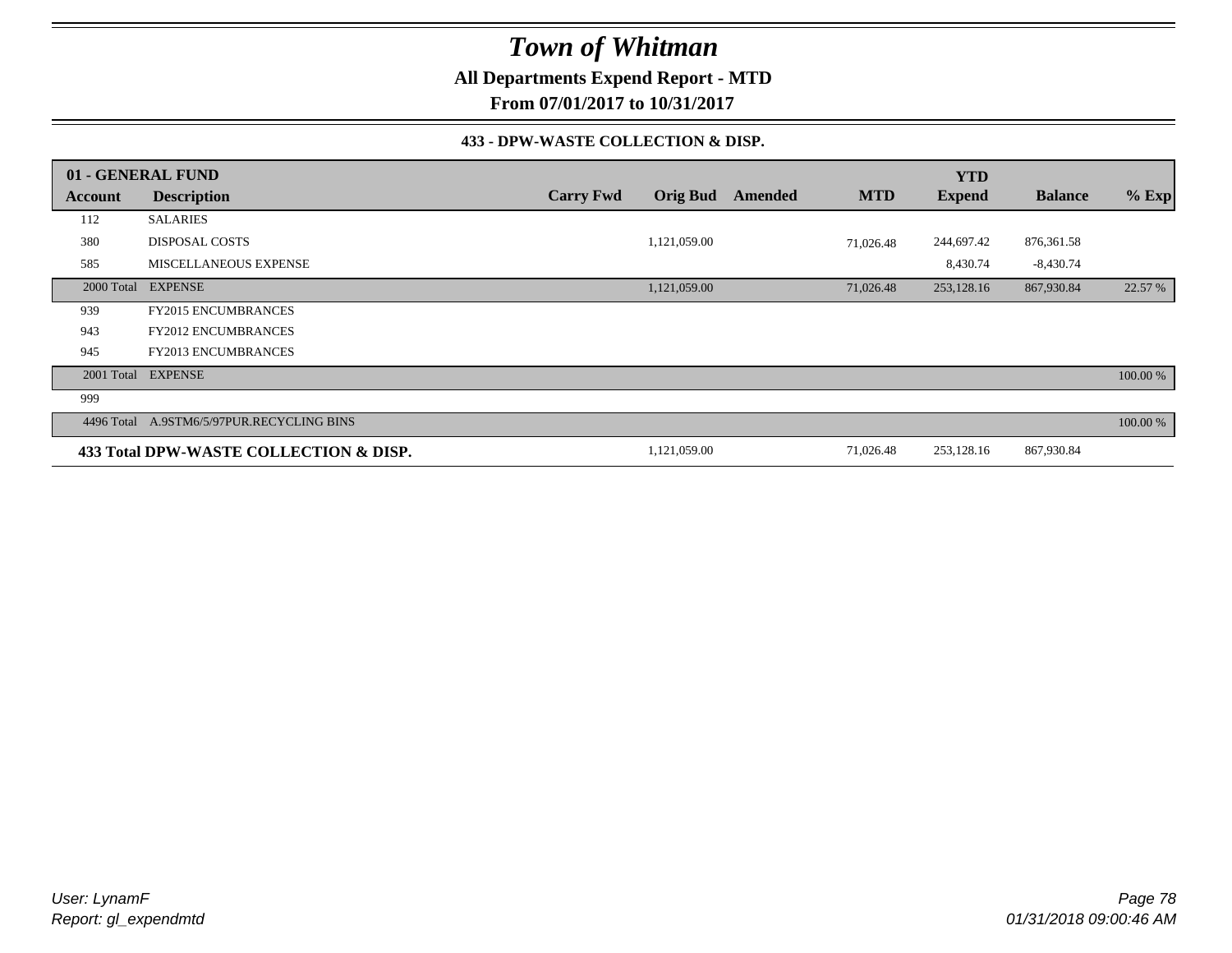**All Departments Expend Report - MTD**

**From 07/01/2017 to 10/31/2017**

#### **433 - DPW-WASTE COLLECTION & DISP.**

|                | 01 - GENERAL FUND                      |                  |                 |         |            | <b>YTD</b>    |                |          |
|----------------|----------------------------------------|------------------|-----------------|---------|------------|---------------|----------------|----------|
| <b>Account</b> | <b>Description</b>                     | <b>Carry Fwd</b> | <b>Orig Bud</b> | Amended | <b>MTD</b> | <b>Expend</b> | <b>Balance</b> | $%$ Exp  |
| 112            | <b>SALARIES</b>                        |                  |                 |         |            |               |                |          |
| 380            | <b>DISPOSAL COSTS</b>                  |                  | 1,121,059.00    |         | 71,026.48  | 244,697.42    | 876,361.58     |          |
| 585            | <b>MISCELLANEOUS EXPENSE</b>           |                  |                 |         |            | 8,430.74      | $-8,430.74$    |          |
| 2000 Total     | <b>EXPENSE</b>                         |                  | 1,121,059.00    |         | 71,026.48  | 253,128.16    | 867,930.84     | 22.57 %  |
| 939            | <b>FY2015 ENCUMBRANCES</b>             |                  |                 |         |            |               |                |          |
| 943            | <b>FY2012 ENCUMBRANCES</b>             |                  |                 |         |            |               |                |          |
| 945            | FY2013 ENCUMBRANCES                    |                  |                 |         |            |               |                |          |
| 2001 Total     | <b>EXPENSE</b>                         |                  |                 |         |            |               |                | 100.00 % |
| 999            |                                        |                  |                 |         |            |               |                |          |
| 4496 Total     | A.9STM6/5/97PUR.RECYCLING BINS         |                  |                 |         |            |               |                | 100.00 % |
|                | 433 Total DPW-WASTE COLLECTION & DISP. |                  | 1,121,059.00    |         | 71,026.48  | 253,128.16    | 867,930.84     |          |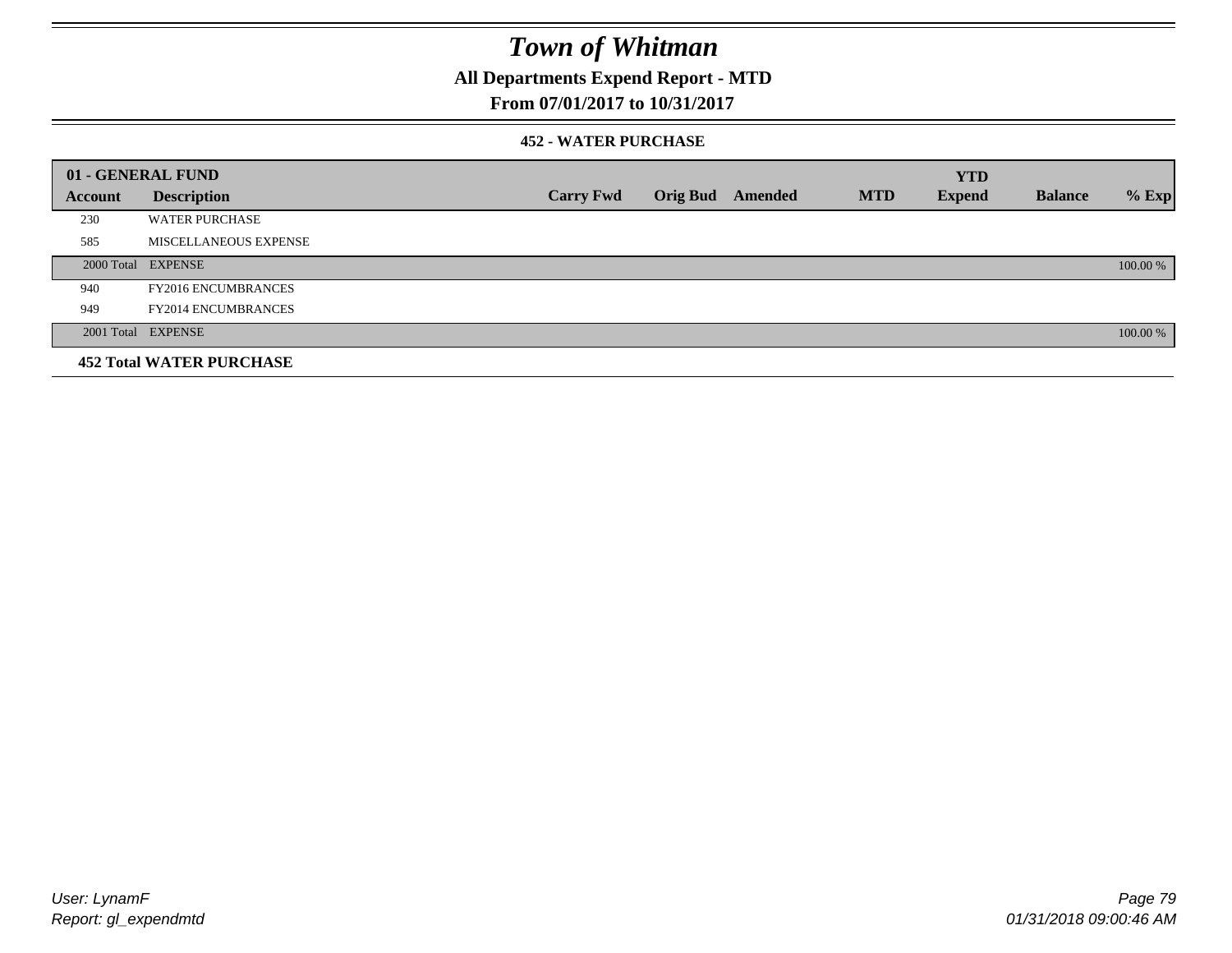### **All Departments Expend Report - MTD**

### **From 07/01/2017 to 10/31/2017**

#### **452 - WATER PURCHASE**

|         | 01 - GENERAL FUND               |                  |                 |         |            | <b>YTD</b>    |                |          |
|---------|---------------------------------|------------------|-----------------|---------|------------|---------------|----------------|----------|
| Account | <b>Description</b>              | <b>Carry Fwd</b> | <b>Orig Bud</b> | Amended | <b>MTD</b> | <b>Expend</b> | <b>Balance</b> | $%$ Exp  |
| 230     | <b>WATER PURCHASE</b>           |                  |                 |         |            |               |                |          |
| 585     | <b>MISCELLANEOUS EXPENSE</b>    |                  |                 |         |            |               |                |          |
|         | 2000 Total EXPENSE              |                  |                 |         |            |               |                | 100.00 % |
| 940     | <b>FY2016 ENCUMBRANCES</b>      |                  |                 |         |            |               |                |          |
| 949     | <b>FY2014 ENCUMBRANCES</b>      |                  |                 |         |            |               |                |          |
|         | 2001 Total EXPENSE              |                  |                 |         |            |               |                | 100.00 % |
|         | <b>452 Total WATER PURCHASE</b> |                  |                 |         |            |               |                |          |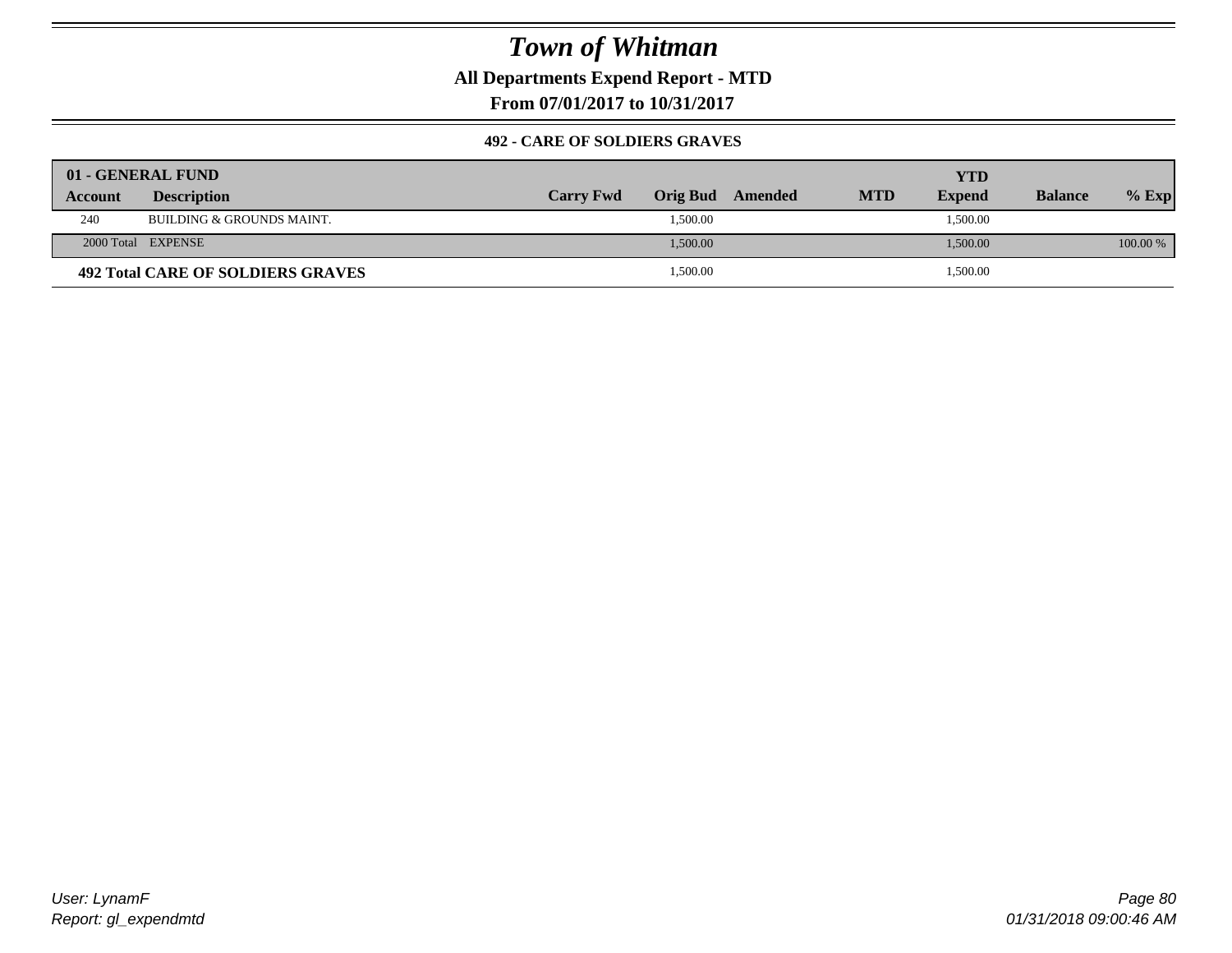**All Departments Expend Report - MTD**

**From 07/01/2017 to 10/31/2017**

#### **492 - CARE OF SOLDIERS GRAVES**

|                | 01 - GENERAL FUND                    |                  |          |         |            |               |                |          |
|----------------|--------------------------------------|------------------|----------|---------|------------|---------------|----------------|----------|
| <b>Account</b> | <b>Description</b>                   | <b>Carry Fwd</b> | Orig Bud | Amended | <b>MTD</b> | <b>Expend</b> | <b>Balance</b> | $%$ Exp  |
| 240            | <b>BUILDING &amp; GROUNDS MAINT.</b> |                  | 1,500.00 |         |            | 1,500.00      |                |          |
|                | 2000 Total EXPENSE                   |                  | 1,500.00 |         |            | 1,500.00      |                | 100.00 % |
|                | 492 Total CARE OF SOLDIERS GRAVES    |                  | 1,500.00 |         |            | 1,500.00      |                |          |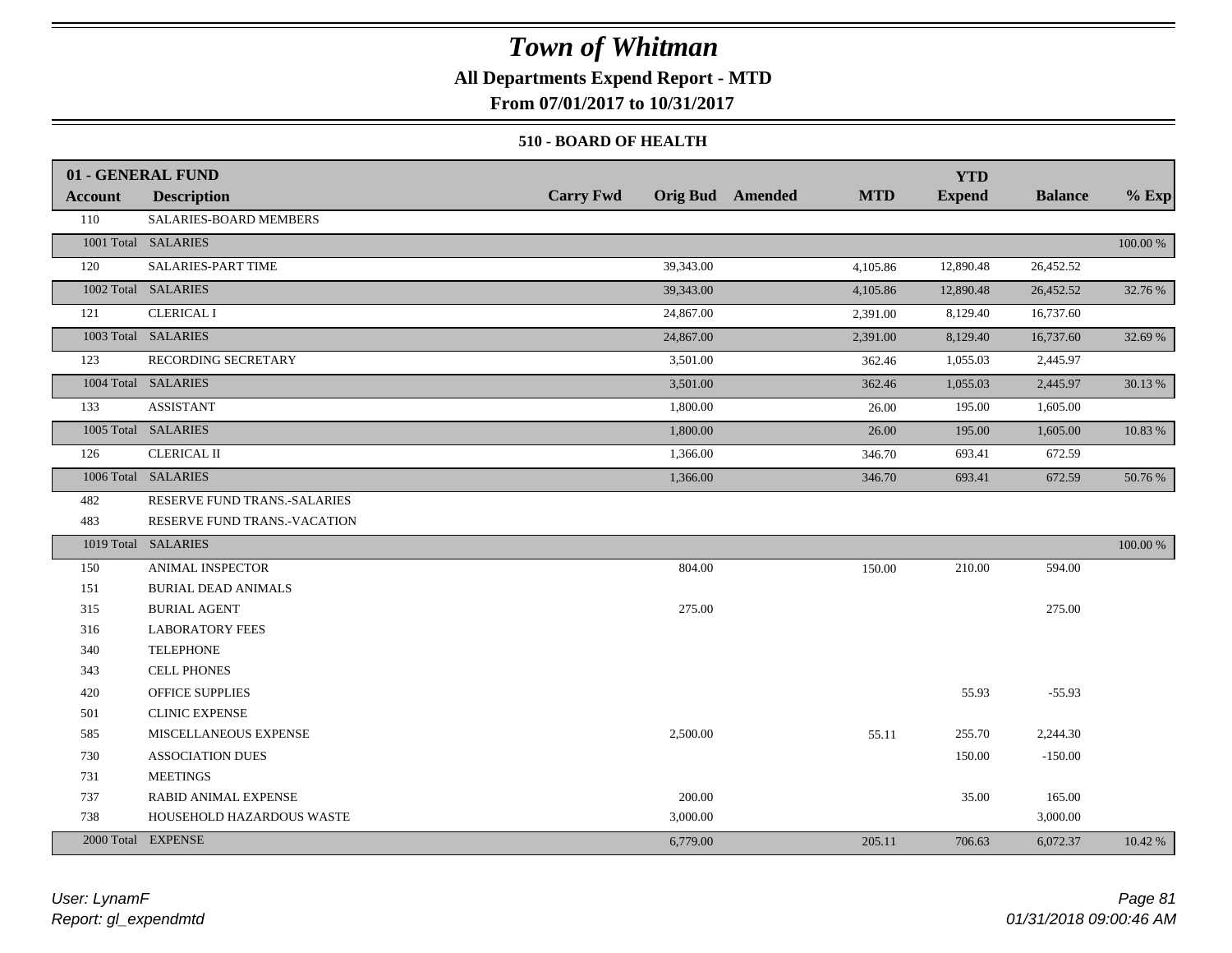### **All Departments Expend Report - MTD**

**From 07/01/2017 to 10/31/2017**

#### **510 - BOARD OF HEALTH**

|                | 01 - GENERAL FUND            |                  |                                       | <b>YTD</b>    |                |             |
|----------------|------------------------------|------------------|---------------------------------------|---------------|----------------|-------------|
| <b>Account</b> | <b>Description</b>           | <b>Carry Fwd</b> | <b>MTD</b><br><b>Orig Bud</b> Amended | <b>Expend</b> | <b>Balance</b> | $%$ Exp     |
| 110            | SALARIES-BOARD MEMBERS       |                  |                                       |               |                |             |
|                | 1001 Total SALARIES          |                  |                                       |               |                | 100.00 %    |
| 120            | SALARIES-PART TIME           | 39,343.00        | 4,105.86                              | 12,890.48     | 26,452.52      |             |
|                | 1002 Total SALARIES          | 39,343.00        | 4,105.86                              | 12,890.48     | 26,452.52      | 32.76 %     |
| 121            | <b>CLERICAL I</b>            | 24,867.00        | 2,391.00                              | 8,129.40      | 16,737.60      |             |
|                | 1003 Total SALARIES          | 24,867.00        | 2,391.00                              | 8,129.40      | 16,737.60      | 32.69 %     |
| 123            | RECORDING SECRETARY          | 3,501.00         | 362.46                                | 1,055.03      | 2,445.97       |             |
|                | 1004 Total SALARIES          | 3,501.00         | 362.46                                | 1,055.03      | 2,445.97       | 30.13 %     |
| 133            | <b>ASSISTANT</b>             | 1,800.00         | 26.00                                 | 195.00        | 1,605.00       |             |
|                | 1005 Total SALARIES          | 1,800.00         | 26.00                                 | 195.00        | 1,605.00       | 10.83 %     |
| 126            | <b>CLERICAL II</b>           | 1,366.00         | 346.70                                | 693.41        | 672.59         |             |
|                | 1006 Total SALARIES          | 1,366.00         | 346.70                                | 693.41        | 672.59         | 50.76 %     |
| 482            | RESERVE FUND TRANS.-SALARIES |                  |                                       |               |                |             |
| 483            | RESERVE FUND TRANS.-VACATION |                  |                                       |               |                |             |
|                | 1019 Total SALARIES          |                  |                                       |               |                | $100.00~\%$ |
| 150            | <b>ANIMAL INSPECTOR</b>      | 804.00           | 150.00                                | 210.00        | 594.00         |             |
| 151            | <b>BURIAL DEAD ANIMALS</b>   |                  |                                       |               |                |             |
| 315            | <b>BURIAL AGENT</b>          | 275.00           |                                       |               | 275.00         |             |
| 316            | <b>LABORATORY FEES</b>       |                  |                                       |               |                |             |
| 340            | <b>TELEPHONE</b>             |                  |                                       |               |                |             |
| 343            | <b>CELL PHONES</b>           |                  |                                       |               |                |             |
| 420            | OFFICE SUPPLIES              |                  |                                       | 55.93         | $-55.93$       |             |
| 501            | <b>CLINIC EXPENSE</b>        |                  |                                       |               |                |             |
| 585            | MISCELLANEOUS EXPENSE        | 2,500.00         | 55.11                                 | 255.70        | 2,244.30       |             |
| 730            | <b>ASSOCIATION DUES</b>      |                  |                                       | 150.00        | $-150.00$      |             |
| 731            | <b>MEETINGS</b>              |                  |                                       |               |                |             |
| 737            | RABID ANIMAL EXPENSE         | 200.00           |                                       | 35.00         | 165.00         |             |
| 738            | HOUSEHOLD HAZARDOUS WASTE    | 3,000.00         |                                       |               | 3,000.00       |             |
|                | 2000 Total EXPENSE           | 6,779.00         | 205.11                                | 706.63        | 6,072.37       | 10.42 %     |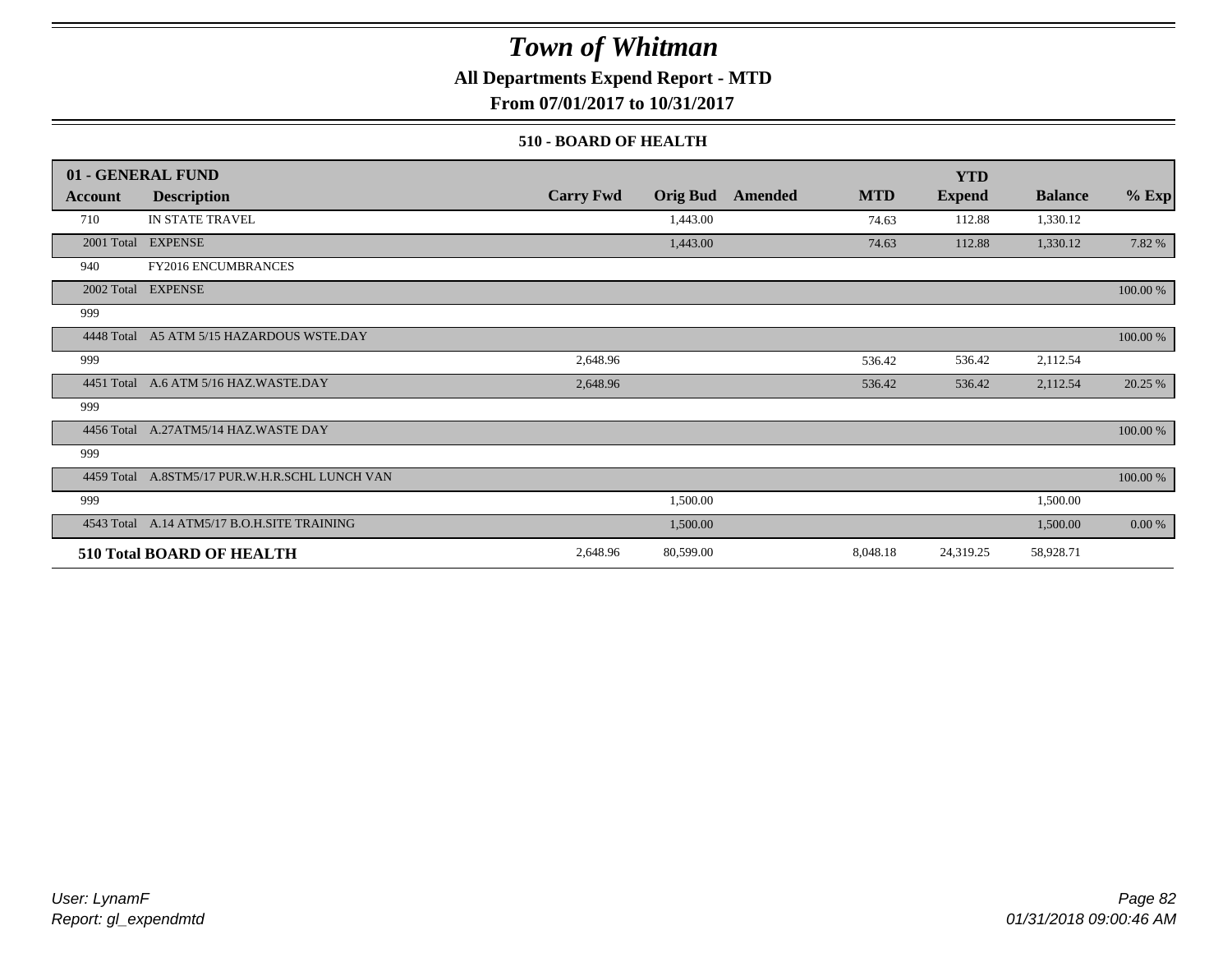### **All Departments Expend Report - MTD**

**From 07/01/2017 to 10/31/2017**

#### **510 - BOARD OF HEALTH**

|            | 01 - GENERAL FUND                           |                  |                 |         |            | <b>YTD</b>    |                |           |
|------------|---------------------------------------------|------------------|-----------------|---------|------------|---------------|----------------|-----------|
| Account    | <b>Description</b>                          | <b>Carry Fwd</b> | <b>Orig Bud</b> | Amended | <b>MTD</b> | <b>Expend</b> | <b>Balance</b> | $%$ Exp   |
| 710        | IN STATE TRAVEL                             |                  | 1,443.00        |         | 74.63      | 112.88        | 1,330.12       |           |
|            | 2001 Total EXPENSE                          |                  | 1,443.00        |         | 74.63      | 112.88        | 1,330.12       | 7.82 %    |
| 940        | FY2016 ENCUMBRANCES                         |                  |                 |         |            |               |                |           |
|            | 2002 Total EXPENSE                          |                  |                 |         |            |               |                | 100.00 %  |
| 999        |                                             |                  |                 |         |            |               |                |           |
| 4448 Total | A5 ATM 5/15 HAZARDOUS WSTE.DAY              |                  |                 |         |            |               |                | 100.00 %  |
| 999        |                                             | 2,648.96         |                 |         | 536.42     | 536.42        | 2,112.54       |           |
|            | 4451 Total A.6 ATM 5/16 HAZ.WASTE.DAY       | 2,648.96         |                 |         | 536.42     | 536.42        | 2,112.54       | 20.25 %   |
| 999        |                                             |                  |                 |         |            |               |                |           |
|            | 4456 Total A.27ATM5/14 HAZ.WASTE DAY        |                  |                 |         |            |               |                | 100.00 %  |
| 999        |                                             |                  |                 |         |            |               |                |           |
| 4459 Total | A.8STM5/17 PUR.W.H.R.SCHL LUNCH VAN         |                  |                 |         |            |               |                | 100.00 %  |
| 999        |                                             |                  | 1,500.00        |         |            |               | 1,500.00       |           |
|            | 4543 Total A.14 ATM5/17 B.O.H.SITE TRAINING |                  | 1,500.00        |         |            |               | 1,500.00       | $0.00 \%$ |
|            | <b>510 Total BOARD OF HEALTH</b>            | 2,648.96         | 80,599.00       |         | 8,048.18   | 24,319.25     | 58,928.71      |           |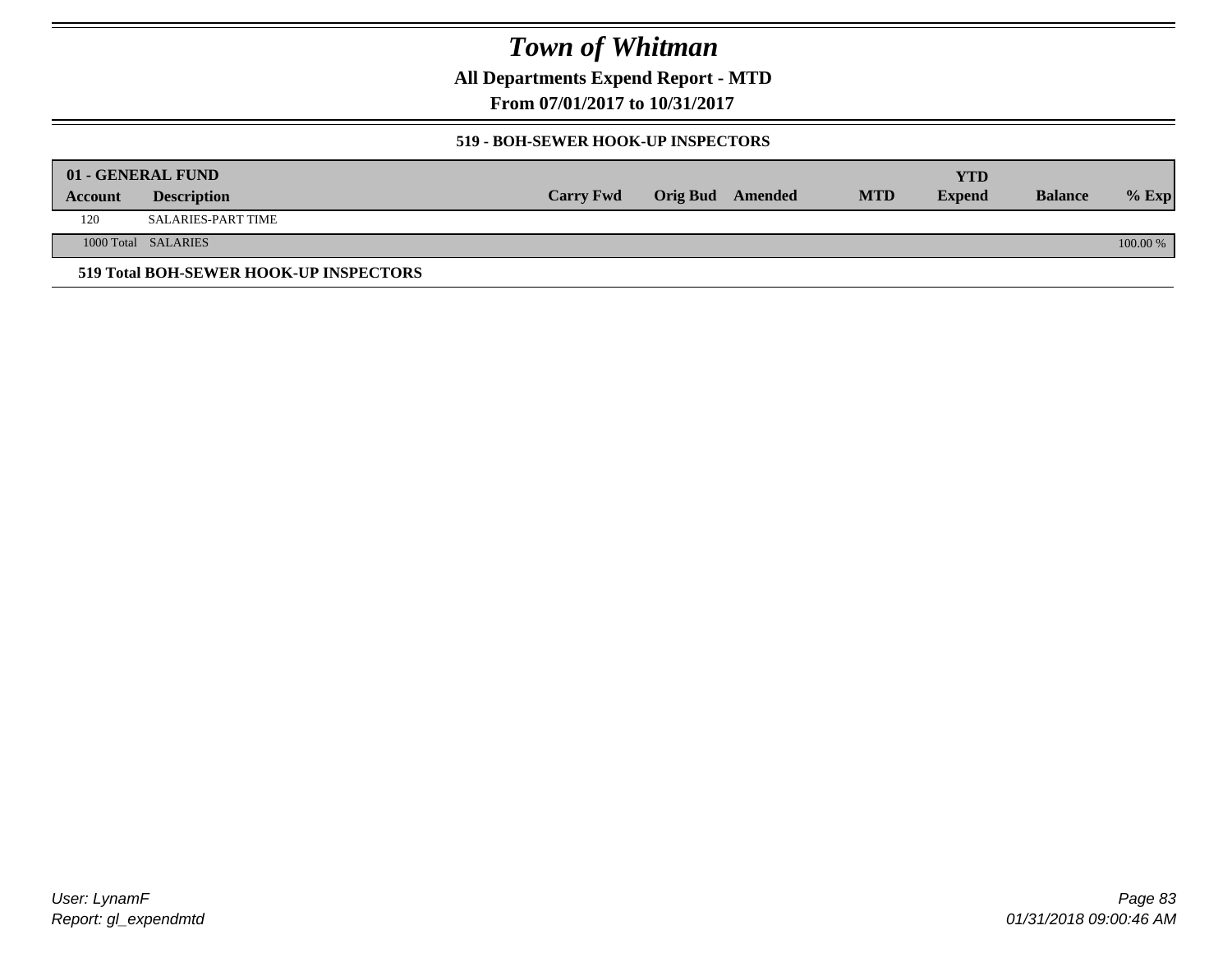**All Departments Expend Report - MTD**

**From 07/01/2017 to 10/31/2017**

#### **519 - BOH-SEWER HOOK-UP INSPECTORS**

|         | 01 - GENERAL FUND                      |                  |                  |            | YTD           |                |          |
|---------|----------------------------------------|------------------|------------------|------------|---------------|----------------|----------|
| Account | <b>Description</b>                     | <b>Carry Fwd</b> | Orig Bud Amended | <b>MTD</b> | <b>Expend</b> | <b>Balance</b> | $%$ Exp  |
| 120     | SALARIES-PART TIME                     |                  |                  |            |               |                |          |
|         | 1000 Total SALARIES                    |                  |                  |            |               |                | 100.00 % |
|         | 519 Total BOH-SEWER HOOK-UP INSPECTORS |                  |                  |            |               |                |          |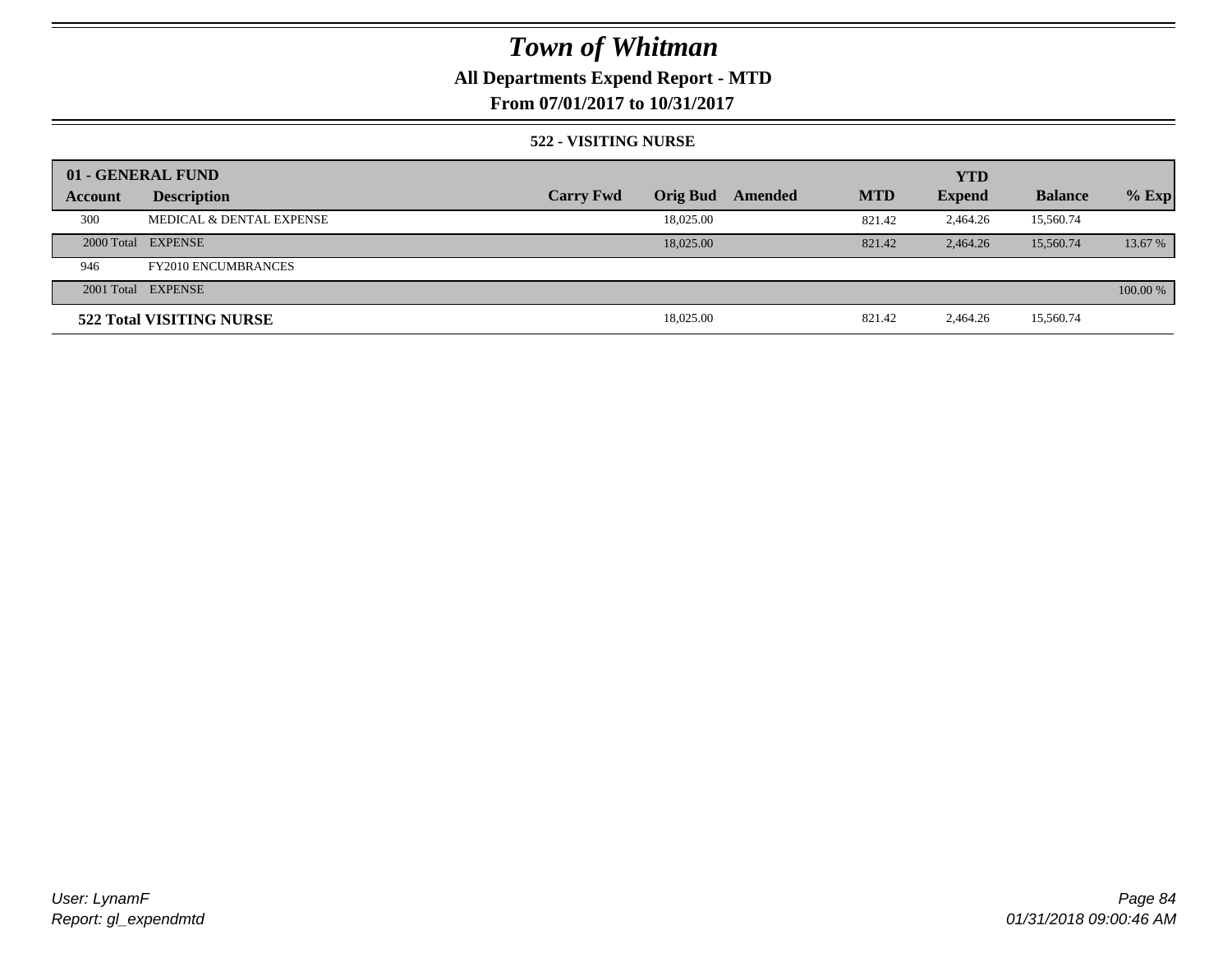## **All Departments Expend Report - MTD**

**From 07/01/2017 to 10/31/2017**

#### **522 - VISITING NURSE**

|         | 01 - GENERAL FUND          |                  |                 |         |            | <b>YTD</b>    |                |          |
|---------|----------------------------|------------------|-----------------|---------|------------|---------------|----------------|----------|
| Account | <b>Description</b>         | <b>Carry Fwd</b> | <b>Orig Bud</b> | Amended | <b>MTD</b> | <b>Expend</b> | <b>Balance</b> | $%$ Exp  |
| 300     | MEDICAL & DENTAL EXPENSE   |                  | 18,025.00       |         | 821.42     | 2.464.26      | 15,560.74      |          |
|         | 2000 Total EXPENSE         |                  | 18,025,00       |         | 821.42     | 2.464.26      | 15,560.74      | 13.67 %  |
| 946     | <b>FY2010 ENCUMBRANCES</b> |                  |                 |         |            |               |                |          |
|         | 2001 Total EXPENSE         |                  |                 |         |            |               |                | 100.00 % |
|         | 522 Total VISITING NURSE   |                  | 18,025.00       |         | 821.42     | 2,464.26      | 15,560.74      |          |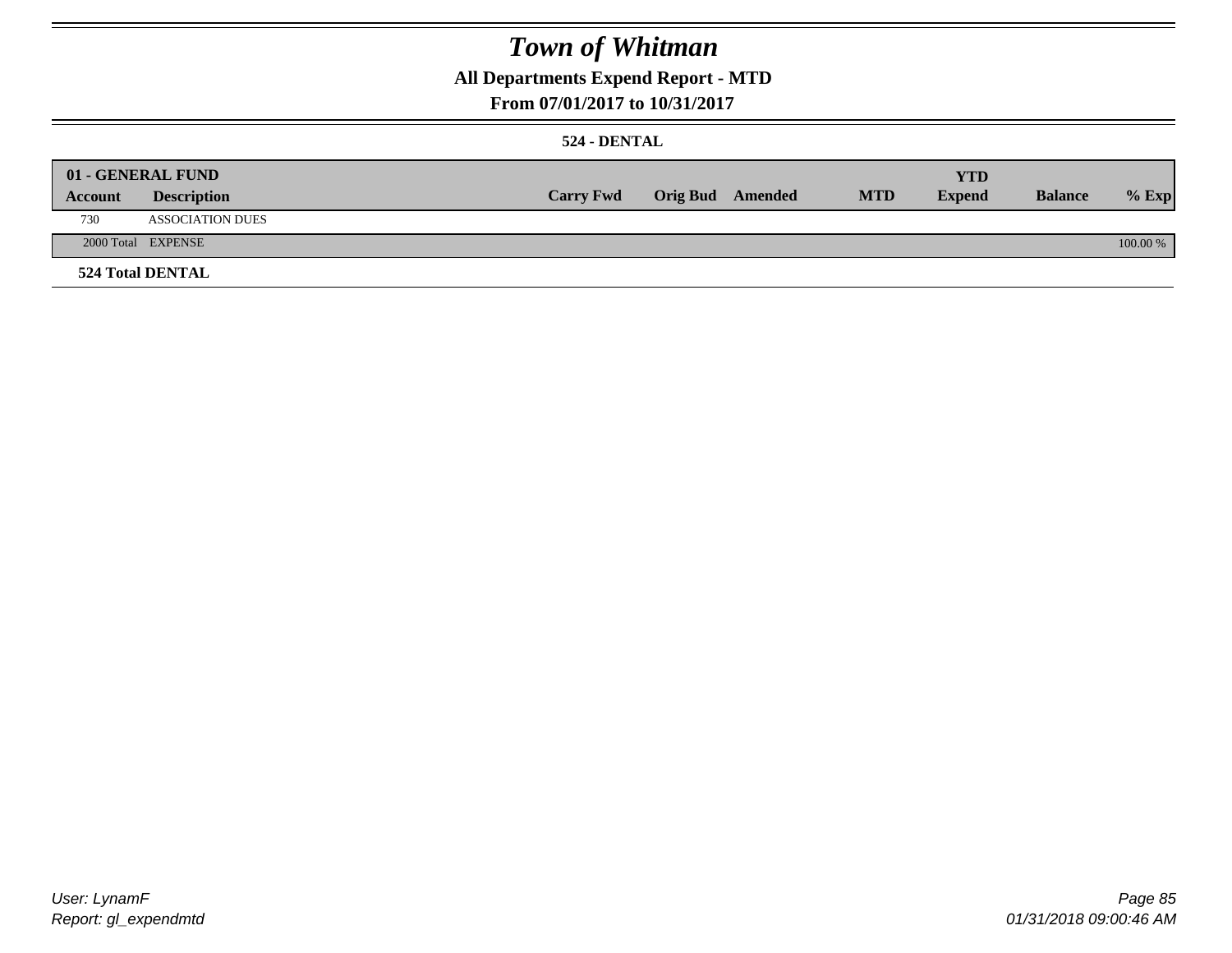## **All Departments Expend Report - MTD**

### **From 07/01/2017 to 10/31/2017**

#### **524 - DENTAL**

|         | 01 - GENERAL FUND       |                  |                  |            | <b>YTD</b>    |                |          |
|---------|-------------------------|------------------|------------------|------------|---------------|----------------|----------|
| Account | <b>Description</b>      | <b>Carry Fwd</b> | Orig Bud Amended | <b>MTD</b> | <b>Expend</b> | <b>Balance</b> | $%$ Exp  |
| 730     | <b>ASSOCIATION DUES</b> |                  |                  |            |               |                |          |
|         | 2000 Total EXPENSE      |                  |                  |            |               |                | 100.00 % |
|         | <b>524 Total DENTAL</b> |                  |                  |            |               |                |          |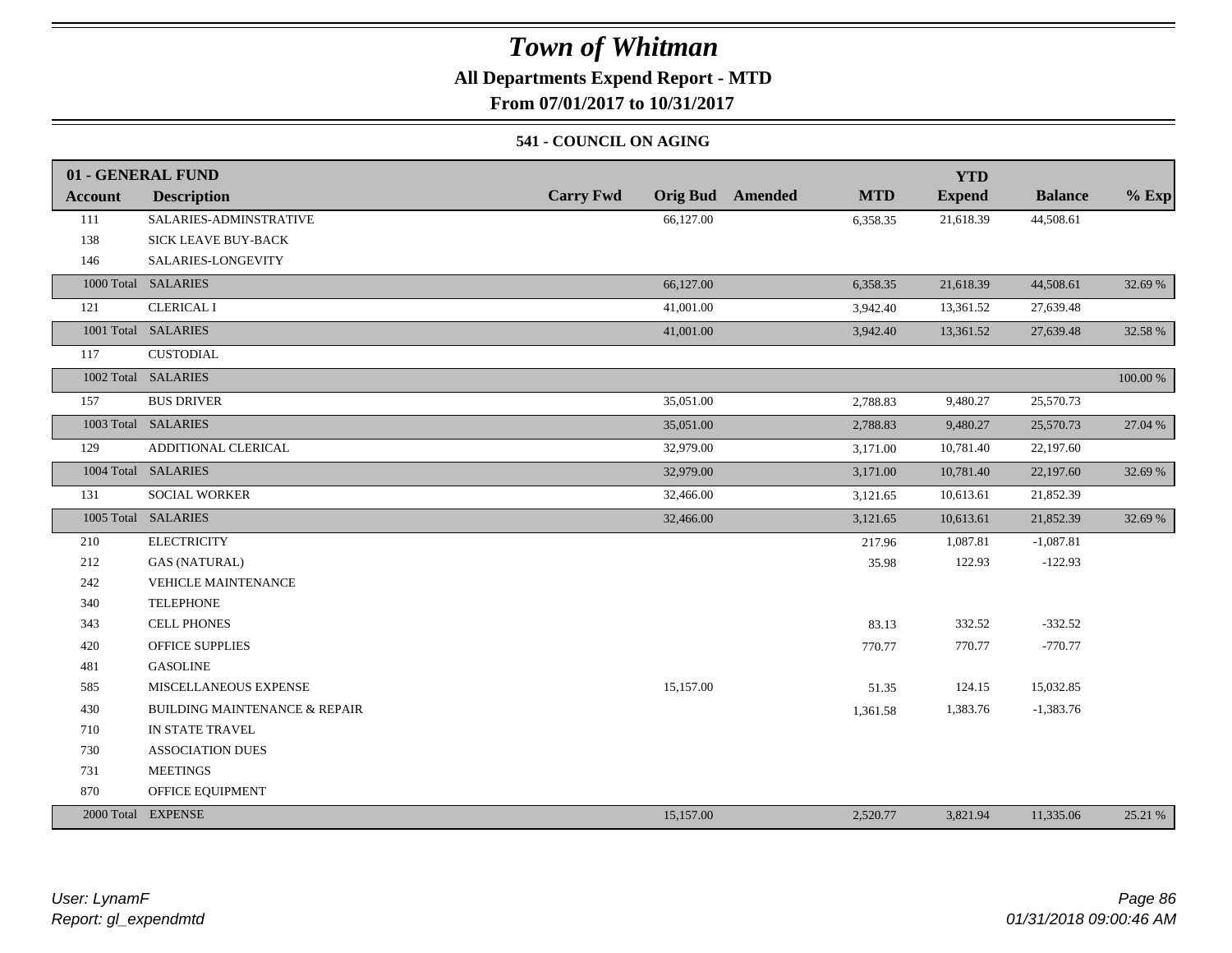### **All Departments Expend Report - MTD**

**From 07/01/2017 to 10/31/2017**

#### **541 - COUNCIL ON AGING**

|                | 01 - GENERAL FUND                        |                                     |                       | <b>YTD</b>    |                |          |
|----------------|------------------------------------------|-------------------------------------|-----------------------|---------------|----------------|----------|
| <b>Account</b> | <b>Description</b>                       | <b>Carry Fwd</b><br><b>Orig Bud</b> | Amended<br><b>MTD</b> | <b>Expend</b> | <b>Balance</b> | $%$ Exp  |
| 111            | SALARIES-ADMINSTRATIVE                   | 66,127.00                           | 6,358.35              | 21,618.39     | 44,508.61      |          |
| 138            | <b>SICK LEAVE BUY-BACK</b>               |                                     |                       |               |                |          |
| 146            | SALARIES-LONGEVITY                       |                                     |                       |               |                |          |
|                | 1000 Total SALARIES                      | 66,127.00                           | 6,358.35              | 21,618.39     | 44,508.61      | 32.69 %  |
| 121            | <b>CLERICAL I</b>                        | 41,001.00                           | 3,942.40              | 13,361.52     | 27,639.48      |          |
|                | 1001 Total SALARIES                      | 41,001.00                           | 3,942.40              | 13,361.52     | 27,639.48      | 32.58 %  |
| 117            | <b>CUSTODIAL</b>                         |                                     |                       |               |                |          |
|                | 1002 Total SALARIES                      |                                     |                       |               |                | 100.00 % |
| 157            | <b>BUS DRIVER</b>                        | 35,051.00                           | 2,788.83              | 9,480.27      | 25,570.73      |          |
|                | 1003 Total SALARIES                      | 35,051.00                           | 2,788.83              | 9,480.27      | 25,570.73      | 27.04 %  |
| 129            | ADDITIONAL CLERICAL                      | 32,979.00                           | 3,171.00              | 10,781.40     | 22,197.60      |          |
|                | 1004 Total SALARIES                      | 32,979.00                           | 3,171.00              | 10,781.40     | 22,197.60      | 32.69 %  |
| 131            | <b>SOCIAL WORKER</b>                     | 32,466.00                           | 3,121.65              | 10,613.61     | 21,852.39      |          |
|                | 1005 Total SALARIES                      | 32,466.00                           | 3,121.65              | 10,613.61     | 21,852.39      | 32.69 %  |
| 210            | <b>ELECTRICITY</b>                       |                                     | 217.96                | 1,087.81      | $-1,087.81$    |          |
| 212            | <b>GAS (NATURAL)</b>                     |                                     | 35.98                 | 122.93        | $-122.93$      |          |
| 242            | <b>VEHICLE MAINTENANCE</b>               |                                     |                       |               |                |          |
| 340            | <b>TELEPHONE</b>                         |                                     |                       |               |                |          |
| 343            | <b>CELL PHONES</b>                       |                                     | 83.13                 | 332.52        | $-332.52$      |          |
| 420            | <b>OFFICE SUPPLIES</b>                   |                                     | 770.77                | 770.77        | $-770.77$      |          |
| 481            | <b>GASOLINE</b>                          |                                     |                       |               |                |          |
| 585            | MISCELLANEOUS EXPENSE                    | 15,157.00                           | 51.35                 | 124.15        | 15,032.85      |          |
| 430            | <b>BUILDING MAINTENANCE &amp; REPAIR</b> |                                     | 1,361.58              | 1,383.76      | $-1,383.76$    |          |
| 710            | IN STATE TRAVEL                          |                                     |                       |               |                |          |
| 730            | <b>ASSOCIATION DUES</b>                  |                                     |                       |               |                |          |
| 731            | <b>MEETINGS</b>                          |                                     |                       |               |                |          |
| 870            | OFFICE EQUIPMENT                         |                                     |                       |               |                |          |
|                | 2000 Total EXPENSE                       | 15,157.00                           | 2,520.77              | 3,821.94      | 11,335.06      | 25.21 %  |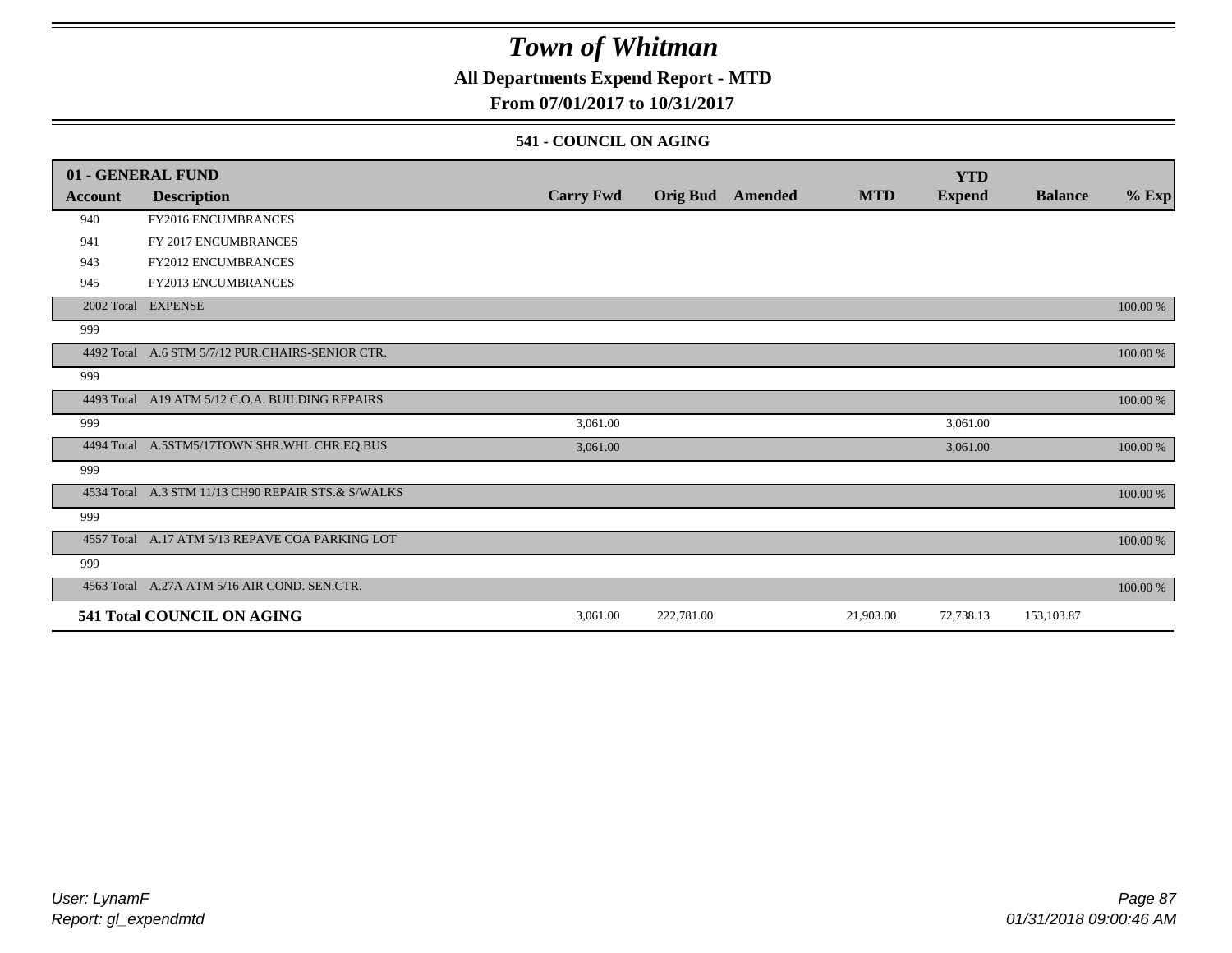### **All Departments Expend Report - MTD**

### **From 07/01/2017 to 10/31/2017**

#### **541 - COUNCIL ON AGING**

|         | 01 - GENERAL FUND                                  |                  |                 |         |            | <b>YTD</b>    |                |          |
|---------|----------------------------------------------------|------------------|-----------------|---------|------------|---------------|----------------|----------|
| Account | <b>Description</b>                                 | <b>Carry Fwd</b> | <b>Orig Bud</b> | Amended | <b>MTD</b> | <b>Expend</b> | <b>Balance</b> | $%$ Exp  |
| 940     | FY2016 ENCUMBRANCES                                |                  |                 |         |            |               |                |          |
| 941     | FY 2017 ENCUMBRANCES                               |                  |                 |         |            |               |                |          |
| 943     | FY2012 ENCUMBRANCES                                |                  |                 |         |            |               |                |          |
| 945     | FY2013 ENCUMBRANCES                                |                  |                 |         |            |               |                |          |
|         | 2002 Total EXPENSE                                 |                  |                 |         |            |               |                | 100.00 % |
| 999     |                                                    |                  |                 |         |            |               |                |          |
|         | 4492 Total A.6 STM 5/7/12 PUR.CHAIRS-SENIOR CTR.   |                  |                 |         |            |               |                | 100.00 % |
| 999     |                                                    |                  |                 |         |            |               |                |          |
|         | 4493 Total A19 ATM 5/12 C.O.A. BUILDING REPAIRS    |                  |                 |         |            |               |                | 100.00 % |
| 999     |                                                    | 3,061.00         |                 |         |            | 3,061.00      |                |          |
|         | 4494 Total A.5STM5/17TOWN SHR.WHL CHR.EQ.BUS       | 3,061.00         |                 |         |            | 3,061.00      |                | 100.00 % |
| 999     |                                                    |                  |                 |         |            |               |                |          |
|         | 4534 Total A.3 STM 11/13 CH90 REPAIR STS.& S/WALKS |                  |                 |         |            |               |                | 100.00 % |
| 999     |                                                    |                  |                 |         |            |               |                |          |
|         | 4557 Total A.17 ATM 5/13 REPAVE COA PARKING LOT    |                  |                 |         |            |               |                | 100.00 % |
| 999     |                                                    |                  |                 |         |            |               |                |          |
|         | 4563 Total A.27A ATM 5/16 AIR COND. SEN.CTR.       |                  |                 |         |            |               |                | 100.00 % |
|         | 541 Total COUNCIL ON AGING                         | 3,061.00         | 222,781.00      |         | 21,903.00  | 72,738.13     | 153,103.87     |          |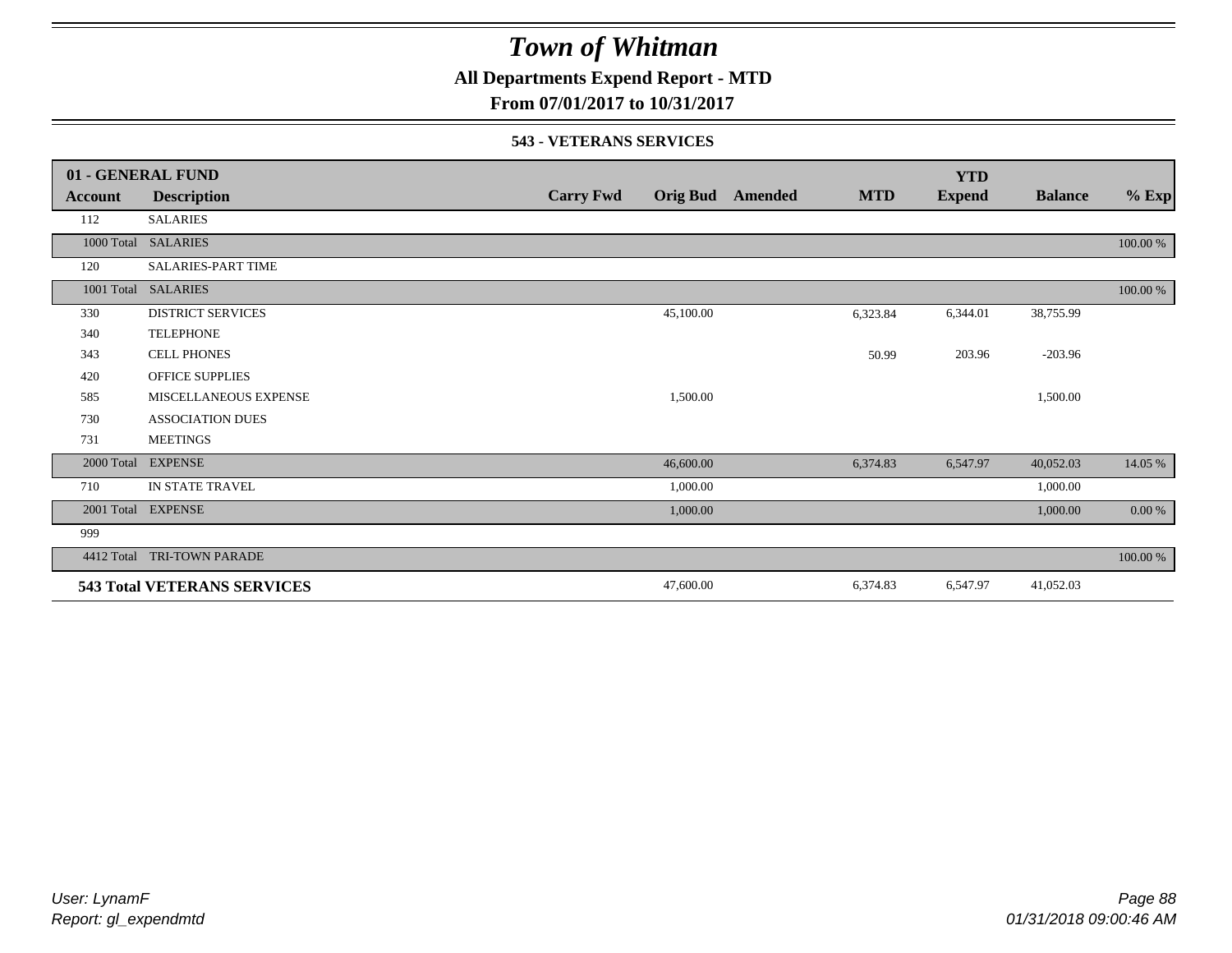**All Departments Expend Report - MTD**

**From 07/01/2017 to 10/31/2017**

#### **543 - VETERANS SERVICES**

|            | 01 - GENERAL FUND                  |                  |                 |         |            | <b>YTD</b>    |                |          |
|------------|------------------------------------|------------------|-----------------|---------|------------|---------------|----------------|----------|
| Account    | <b>Description</b>                 | <b>Carry Fwd</b> | <b>Orig Bud</b> | Amended | <b>MTD</b> | <b>Expend</b> | <b>Balance</b> | $%$ Exp  |
| 112        | <b>SALARIES</b>                    |                  |                 |         |            |               |                |          |
| 1000 Total | <b>SALARIES</b>                    |                  |                 |         |            |               |                | 100.00 % |
| 120        | <b>SALARIES-PART TIME</b>          |                  |                 |         |            |               |                |          |
| 1001 Total | <b>SALARIES</b>                    |                  |                 |         |            |               |                | 100.00 % |
| 330        | <b>DISTRICT SERVICES</b>           |                  | 45,100.00       |         | 6,323.84   | 6,344.01      | 38,755.99      |          |
| 340        | <b>TELEPHONE</b>                   |                  |                 |         |            |               |                |          |
| 343        | <b>CELL PHONES</b>                 |                  |                 |         | 50.99      | 203.96        | $-203.96$      |          |
| 420        | <b>OFFICE SUPPLIES</b>             |                  |                 |         |            |               |                |          |
| 585        | MISCELLANEOUS EXPENSE              |                  | 1,500.00        |         |            |               | 1,500.00       |          |
| 730        | <b>ASSOCIATION DUES</b>            |                  |                 |         |            |               |                |          |
| 731        | <b>MEETINGS</b>                    |                  |                 |         |            |               |                |          |
| 2000 Total | <b>EXPENSE</b>                     |                  | 46,600.00       |         | 6,374.83   | 6,547.97      | 40,052.03      | 14.05 %  |
| 710        | IN STATE TRAVEL                    |                  | 1,000.00        |         |            |               | 1,000.00       |          |
| 2001 Total | <b>EXPENSE</b>                     |                  | 1,000.00        |         |            |               | 1,000.00       | 0.00 %   |
| 999        |                                    |                  |                 |         |            |               |                |          |
| 4412 Total | <b>TRI-TOWN PARADE</b>             |                  |                 |         |            |               |                | 100.00 % |
|            | <b>543 Total VETERANS SERVICES</b> |                  | 47,600.00       |         | 6,374.83   | 6,547.97      | 41,052.03      |          |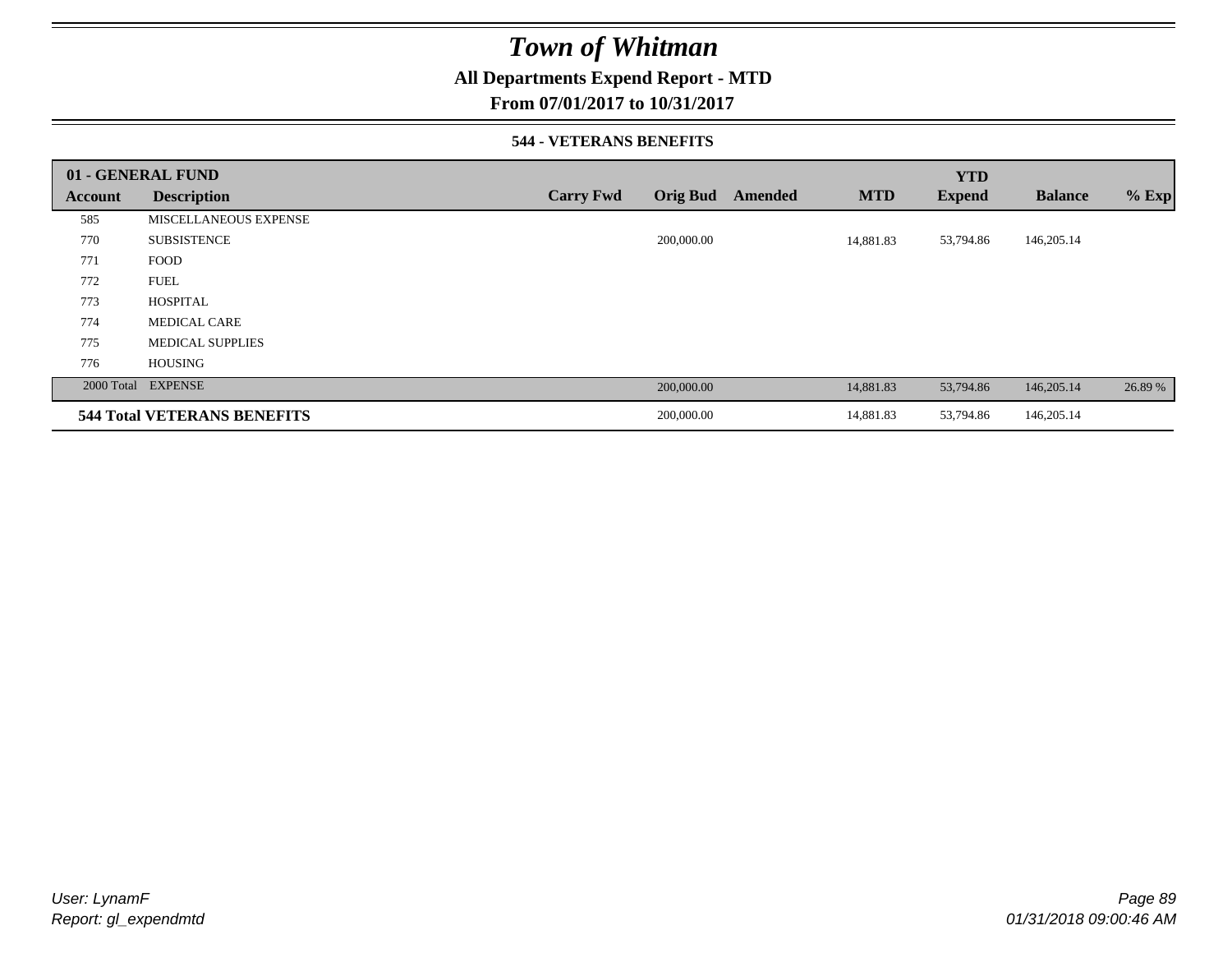### **All Departments Expend Report - MTD**

### **From 07/01/2017 to 10/31/2017**

#### **544 - VETERANS BENEFITS**

|         | 01 - GENERAL FUND                  |                  |                            |            | <b>YTD</b>    |                |         |
|---------|------------------------------------|------------------|----------------------------|------------|---------------|----------------|---------|
| Account | <b>Description</b>                 | <b>Carry Fwd</b> | <b>Orig Bud</b><br>Amended | <b>MTD</b> | <b>Expend</b> | <b>Balance</b> | $%$ Exp |
| 585     | <b>MISCELLANEOUS EXPENSE</b>       |                  |                            |            |               |                |         |
| 770     | <b>SUBSISTENCE</b>                 |                  | 200,000.00                 | 14,881.83  | 53,794.86     | 146,205.14     |         |
| 771     | <b>FOOD</b>                        |                  |                            |            |               |                |         |
| 772     | <b>FUEL</b>                        |                  |                            |            |               |                |         |
| 773     | <b>HOSPITAL</b>                    |                  |                            |            |               |                |         |
| 774     | <b>MEDICAL CARE</b>                |                  |                            |            |               |                |         |
| 775     | <b>MEDICAL SUPPLIES</b>            |                  |                            |            |               |                |         |
| 776     | <b>HOUSING</b>                     |                  |                            |            |               |                |         |
|         | 2000 Total EXPENSE                 |                  | 200,000.00                 | 14,881.83  | 53,794.86     | 146,205.14     | 26.89 % |
|         | <b>544 Total VETERANS BENEFITS</b> |                  | 200,000.00                 | 14,881.83  | 53,794.86     | 146,205.14     |         |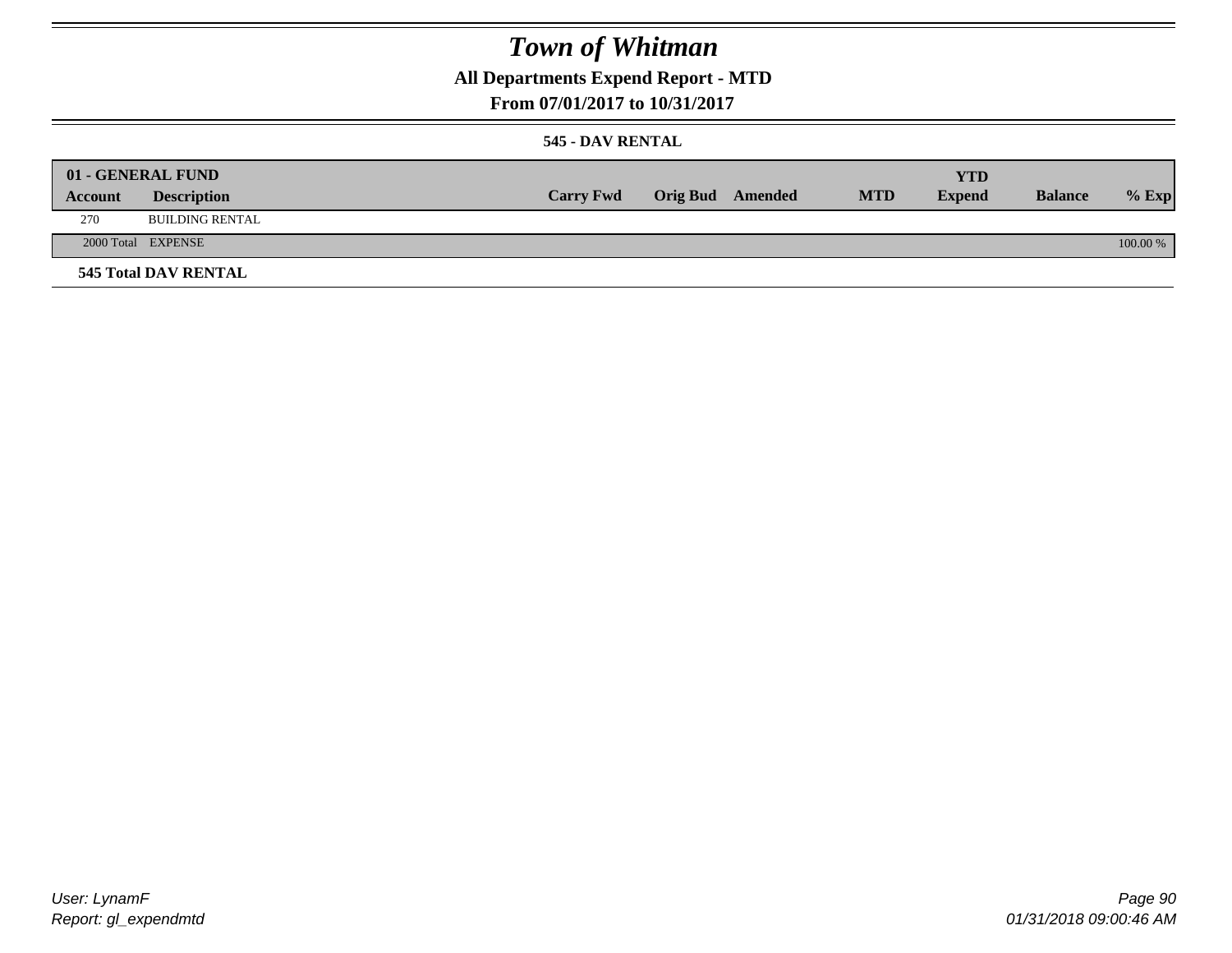## **All Departments Expend Report - MTD**

### **From 07/01/2017 to 10/31/2017**

#### **545 - DAV RENTAL**

|         | 01 - GENERAL FUND           |                  |                         |            | YTD           |                |            |
|---------|-----------------------------|------------------|-------------------------|------------|---------------|----------------|------------|
| Account | <b>Description</b>          | <b>Carry Fwd</b> | <b>Orig Bud</b> Amended | <b>MTD</b> | <b>Expend</b> | <b>Balance</b> | $%$ Exp    |
| 270     | <b>BUILDING RENTAL</b>      |                  |                         |            |               |                |            |
|         | 2000 Total EXPENSE          |                  |                         |            |               |                | $100.00\%$ |
|         | <b>545 Total DAV RENTAL</b> |                  |                         |            |               |                |            |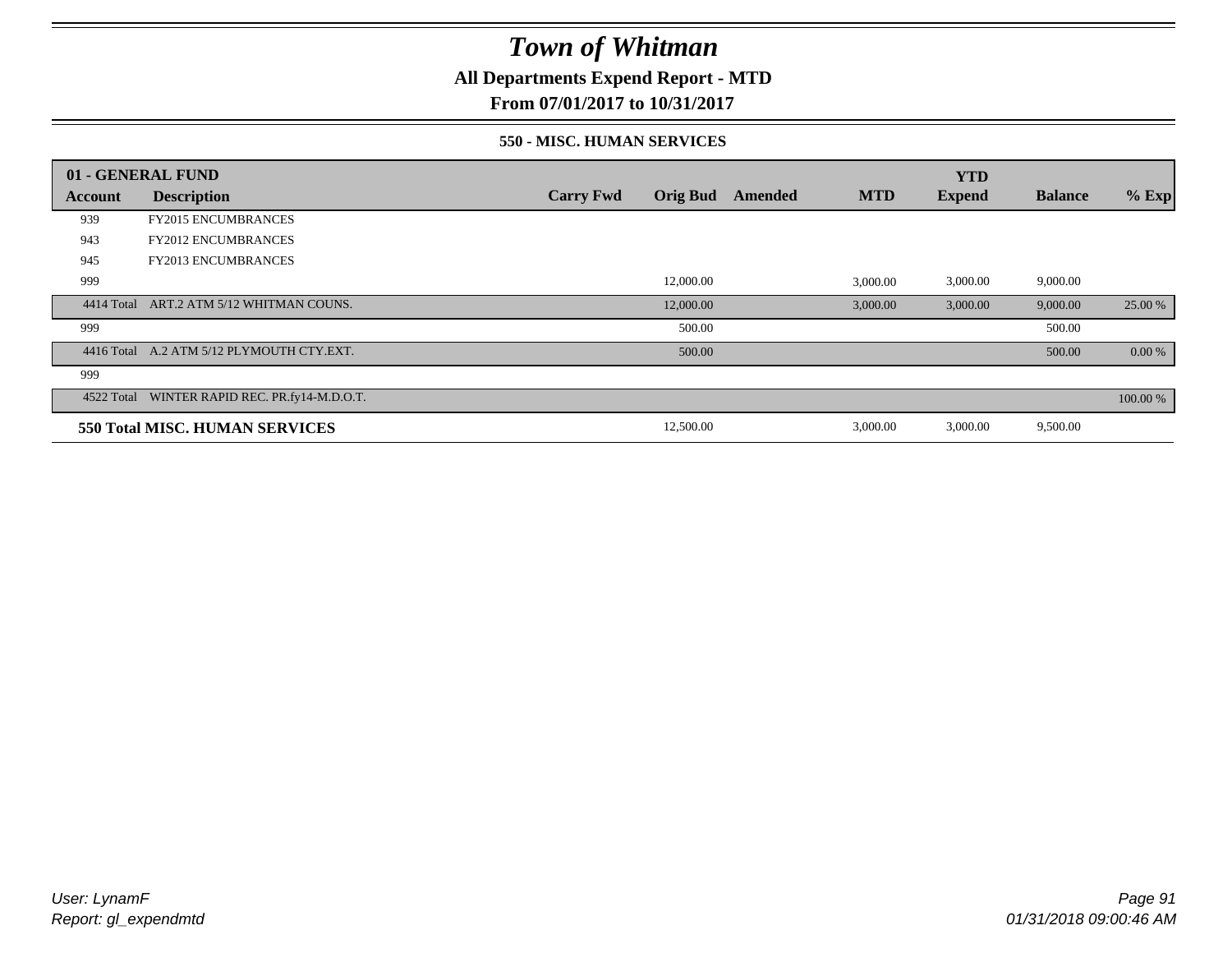**All Departments Expend Report - MTD**

**From 07/01/2017 to 10/31/2017**

#### **550 - MISC. HUMAN SERVICES**

|            | 01 - GENERAL FUND                             |                  |                 |         |            | <b>YTD</b>    |                |          |
|------------|-----------------------------------------------|------------------|-----------------|---------|------------|---------------|----------------|----------|
| Account    | <b>Description</b>                            | <b>Carry Fwd</b> | <b>Orig Bud</b> | Amended | <b>MTD</b> | <b>Expend</b> | <b>Balance</b> | $%$ Exp  |
| 939        | <b>FY2015 ENCUMBRANCES</b>                    |                  |                 |         |            |               |                |          |
| 943        | <b>FY2012 ENCUMBRANCES</b>                    |                  |                 |         |            |               |                |          |
| 945        | <b>FY2013 ENCUMBRANCES</b>                    |                  |                 |         |            |               |                |          |
| 999        |                                               |                  | 12,000.00       |         | 3,000.00   | 3,000.00      | 9,000.00       |          |
| 4414 Total | ART.2 ATM 5/12 WHITMAN COUNS.                 |                  | 12,000.00       |         | 3,000.00   | 3,000.00      | 9,000.00       | 25.00 %  |
| 999        |                                               |                  | 500.00          |         |            |               | 500.00         |          |
|            | 4416 Total A.2 ATM 5/12 PLYMOUTH CTY.EXT.     |                  | 500.00          |         |            |               | 500.00         | 0.00 %   |
| 999        |                                               |                  |                 |         |            |               |                |          |
|            | 4522 Total WINTER RAPID REC. PR.fy14-M.D.O.T. |                  |                 |         |            |               |                | 100.00 % |
|            | <b>550 Total MISC. HUMAN SERVICES</b>         |                  | 12,500.00       |         | 3,000.00   | 3,000.00      | 9,500.00       |          |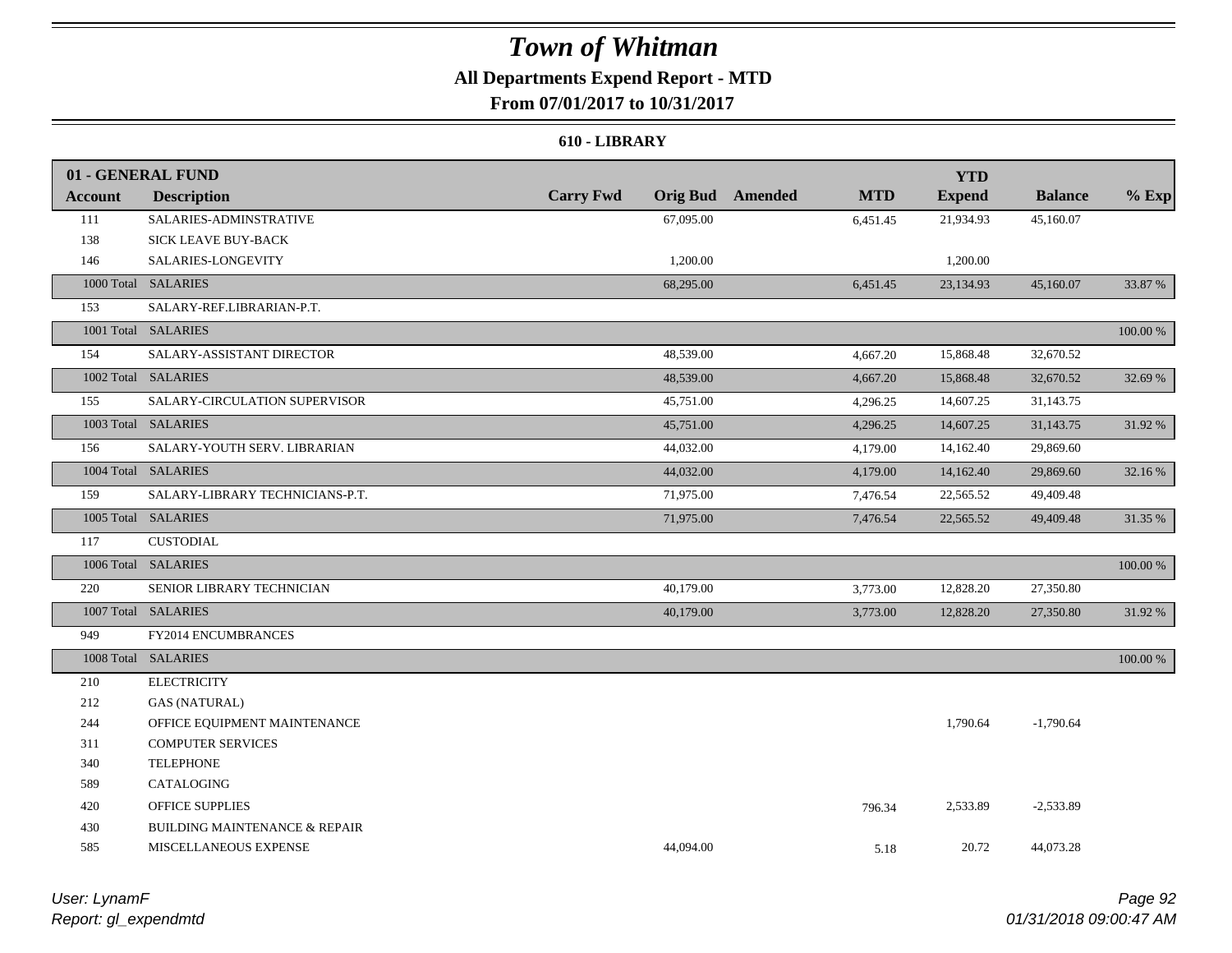## **All Departments Expend Report - MTD**

**From 07/01/2017 to 10/31/2017**

#### **610 - LIBRARY**

|                | 01 - GENERAL FUND                        |                  |                                       | <b>YTD</b>    |                |          |
|----------------|------------------------------------------|------------------|---------------------------------------|---------------|----------------|----------|
| <b>Account</b> | <b>Description</b>                       | <b>Carry Fwd</b> | <b>Orig Bud</b> Amended<br><b>MTD</b> | <b>Expend</b> | <b>Balance</b> | $%$ Exp  |
| 111            | SALARIES-ADMINSTRATIVE                   | 67,095.00        | 6,451.45                              | 21,934.93     | 45,160.07      |          |
| 138            | SICK LEAVE BUY-BACK                      |                  |                                       |               |                |          |
| 146            | SALARIES-LONGEVITY                       | 1,200.00         |                                       | 1,200.00      |                |          |
|                | 1000 Total SALARIES                      | 68,295.00        | 6,451.45                              | 23,134.93     | 45,160.07      | 33.87 %  |
| 153            | SALARY-REF.LIBRARIAN-P.T.                |                  |                                       |               |                |          |
|                | 1001 Total SALARIES                      |                  |                                       |               |                | 100.00 % |
| 154            | SALARY-ASSISTANT DIRECTOR                | 48,539.00        | 4,667.20                              | 15,868.48     | 32,670.52      |          |
|                | 1002 Total SALARIES                      | 48,539.00        | 4,667.20                              | 15,868.48     | 32,670.52      | 32.69 %  |
| 155            | SALARY-CIRCULATION SUPERVISOR            | 45,751.00        | 4,296.25                              | 14,607.25     | 31,143.75      |          |
|                | 1003 Total SALARIES                      | 45,751.00        | 4,296.25                              | 14,607.25     | 31,143.75      | 31.92 %  |
| 156            | SALARY-YOUTH SERV. LIBRARIAN             | 44,032.00        | 4,179.00                              | 14,162.40     | 29,869.60      |          |
|                | 1004 Total SALARIES                      | 44,032.00        | 4,179.00                              | 14,162.40     | 29,869.60      | 32.16%   |
| 159            | SALARY-LIBRARY TECHNICIANS-P.T.          | 71,975.00        | 7,476.54                              | 22,565.52     | 49,409.48      |          |
|                | 1005 Total SALARIES                      | 71,975.00        | 7,476.54                              | 22,565.52     | 49,409.48      | 31.35 %  |
| 117            | <b>CUSTODIAL</b>                         |                  |                                       |               |                |          |
|                | 1006 Total SALARIES                      |                  |                                       |               |                | 100.00 % |
| 220            | SENIOR LIBRARY TECHNICIAN                | 40,179.00        | 3,773.00                              | 12,828.20     | 27,350.80      |          |
|                | 1007 Total SALARIES                      | 40,179.00        | 3,773.00                              | 12,828.20     | 27,350.80      | 31.92 %  |
| 949            | FY2014 ENCUMBRANCES                      |                  |                                       |               |                |          |
|                | 1008 Total SALARIES                      |                  |                                       |               |                | 100.00 % |
| 210            | <b>ELECTRICITY</b>                       |                  |                                       |               |                |          |
| 212            | <b>GAS (NATURAL)</b>                     |                  |                                       |               |                |          |
| 244            | OFFICE EQUIPMENT MAINTENANCE             |                  |                                       | 1,790.64      | $-1,790.64$    |          |
| 311            | <b>COMPUTER SERVICES</b>                 |                  |                                       |               |                |          |
| 340            | <b>TELEPHONE</b>                         |                  |                                       |               |                |          |
| 589            | CATALOGING                               |                  |                                       |               |                |          |
| 420            | <b>OFFICE SUPPLIES</b>                   |                  | 796.34                                | 2,533.89      | $-2,533.89$    |          |
| 430            | <b>BUILDING MAINTENANCE &amp; REPAIR</b> |                  |                                       |               |                |          |
| 585            | MISCELLANEOUS EXPENSE                    | 44,094.00        |                                       | 20.72<br>5.18 | 44,073.28      |          |

*Report: gl\_expendmtd User: LynamF*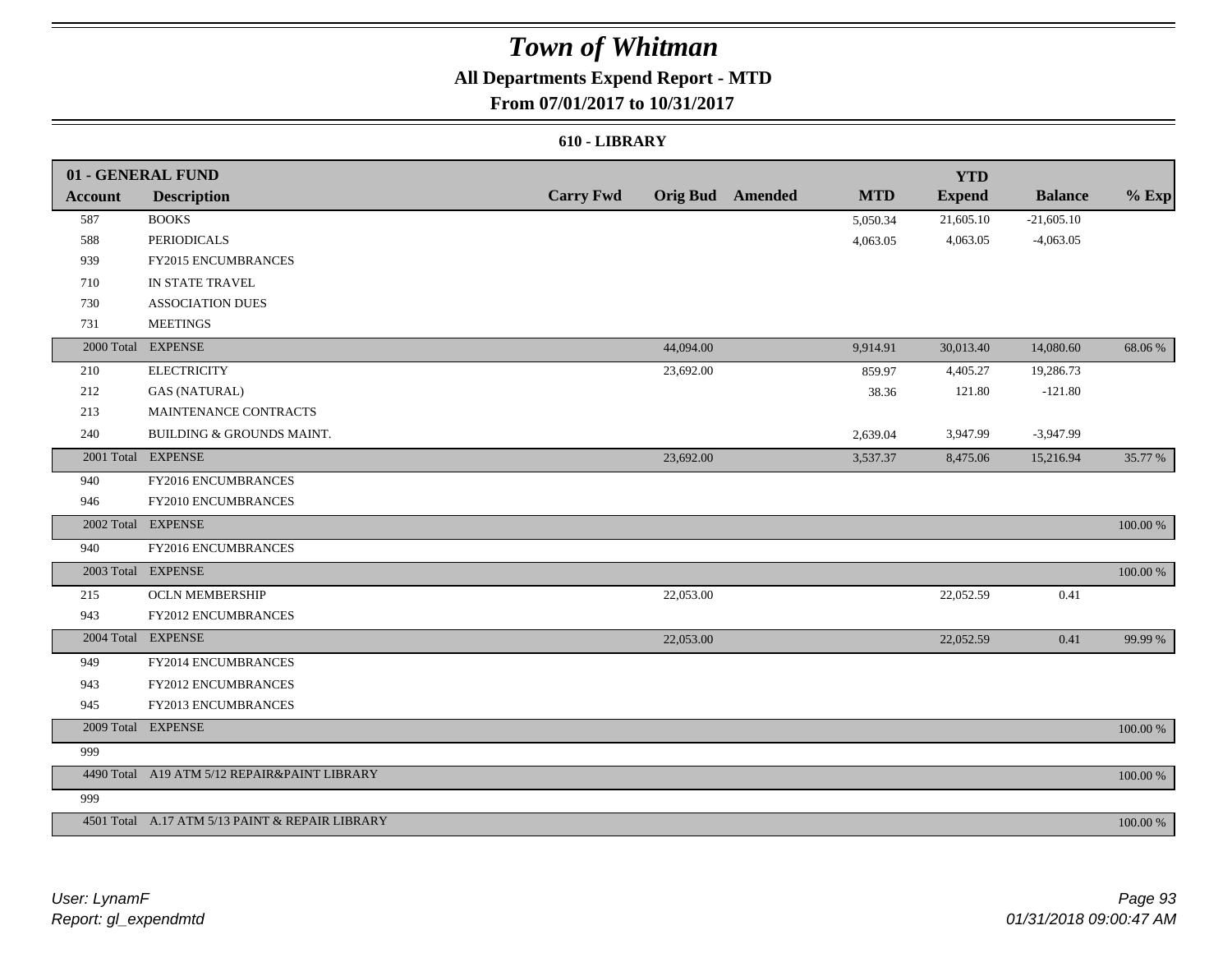## **All Departments Expend Report - MTD**

### **From 07/01/2017 to 10/31/2017**

#### **610 - LIBRARY**

|                | 01 - GENERAL FUND                               |                  |           |                         |            | <b>YTD</b>    |                |          |
|----------------|-------------------------------------------------|------------------|-----------|-------------------------|------------|---------------|----------------|----------|
| <b>Account</b> | <b>Description</b>                              | <b>Carry Fwd</b> |           | <b>Orig Bud</b> Amended | <b>MTD</b> | <b>Expend</b> | <b>Balance</b> | $%$ Exp  |
| 587            | <b>BOOKS</b>                                    |                  |           |                         | 5,050.34   | 21,605.10     | $-21,605.10$   |          |
| 588            | PERIODICALS                                     |                  |           |                         | 4,063.05   | 4,063.05      | $-4,063.05$    |          |
| 939            | <b>FY2015 ENCUMBRANCES</b>                      |                  |           |                         |            |               |                |          |
| 710            | IN STATE TRAVEL                                 |                  |           |                         |            |               |                |          |
| 730            | <b>ASSOCIATION DUES</b>                         |                  |           |                         |            |               |                |          |
| 731            | <b>MEETINGS</b>                                 |                  |           |                         |            |               |                |          |
|                | 2000 Total EXPENSE                              |                  | 44,094.00 |                         | 9,914.91   | 30,013.40     | 14,080.60      | 68.06%   |
| 210            | <b>ELECTRICITY</b>                              |                  | 23,692.00 |                         | 859.97     | 4,405.27      | 19,286.73      |          |
| 212            | <b>GAS (NATURAL)</b>                            |                  |           |                         | 38.36      | 121.80        | $-121.80$      |          |
| 213            | MAINTENANCE CONTRACTS                           |                  |           |                         |            |               |                |          |
| 240            | BUILDING & GROUNDS MAINT.                       |                  |           |                         | 2,639.04   | 3,947.99      | $-3,947.99$    |          |
|                | 2001 Total EXPENSE                              |                  | 23,692.00 |                         | 3,537.37   | 8,475.06      | 15,216.94      | 35.77 %  |
| 940            | FY2016 ENCUMBRANCES                             |                  |           |                         |            |               |                |          |
| 946            | FY2010 ENCUMBRANCES                             |                  |           |                         |            |               |                |          |
|                | 2002 Total EXPENSE                              |                  |           |                         |            |               |                | 100.00 % |
| 940            | FY2016 ENCUMBRANCES                             |                  |           |                         |            |               |                |          |
|                | 2003 Total EXPENSE                              |                  |           |                         |            |               |                | 100.00 % |
| 215            | <b>OCLN MEMBERSHIP</b>                          |                  | 22,053.00 |                         |            | 22,052.59     | 0.41           |          |
| 943            | <b>FY2012 ENCUMBRANCES</b>                      |                  |           |                         |            |               |                |          |
|                | 2004 Total EXPENSE                              |                  | 22,053.00 |                         |            | 22,052.59     | 0.41           | 99.99 %  |
| 949            | FY2014 ENCUMBRANCES                             |                  |           |                         |            |               |                |          |
| 943            | FY2012 ENCUMBRANCES                             |                  |           |                         |            |               |                |          |
| 945            | FY2013 ENCUMBRANCES                             |                  |           |                         |            |               |                |          |
|                | 2009 Total EXPENSE                              |                  |           |                         |            |               |                | 100.00 % |
| 999            |                                                 |                  |           |                         |            |               |                |          |
|                | 4490 Total A19 ATM 5/12 REPAIR&PAINT LIBRARY    |                  |           |                         |            |               |                | 100.00 % |
| 999            |                                                 |                  |           |                         |            |               |                |          |
|                | 4501 Total A.17 ATM 5/13 PAINT & REPAIR LIBRARY |                  |           |                         |            |               |                | 100.00 % |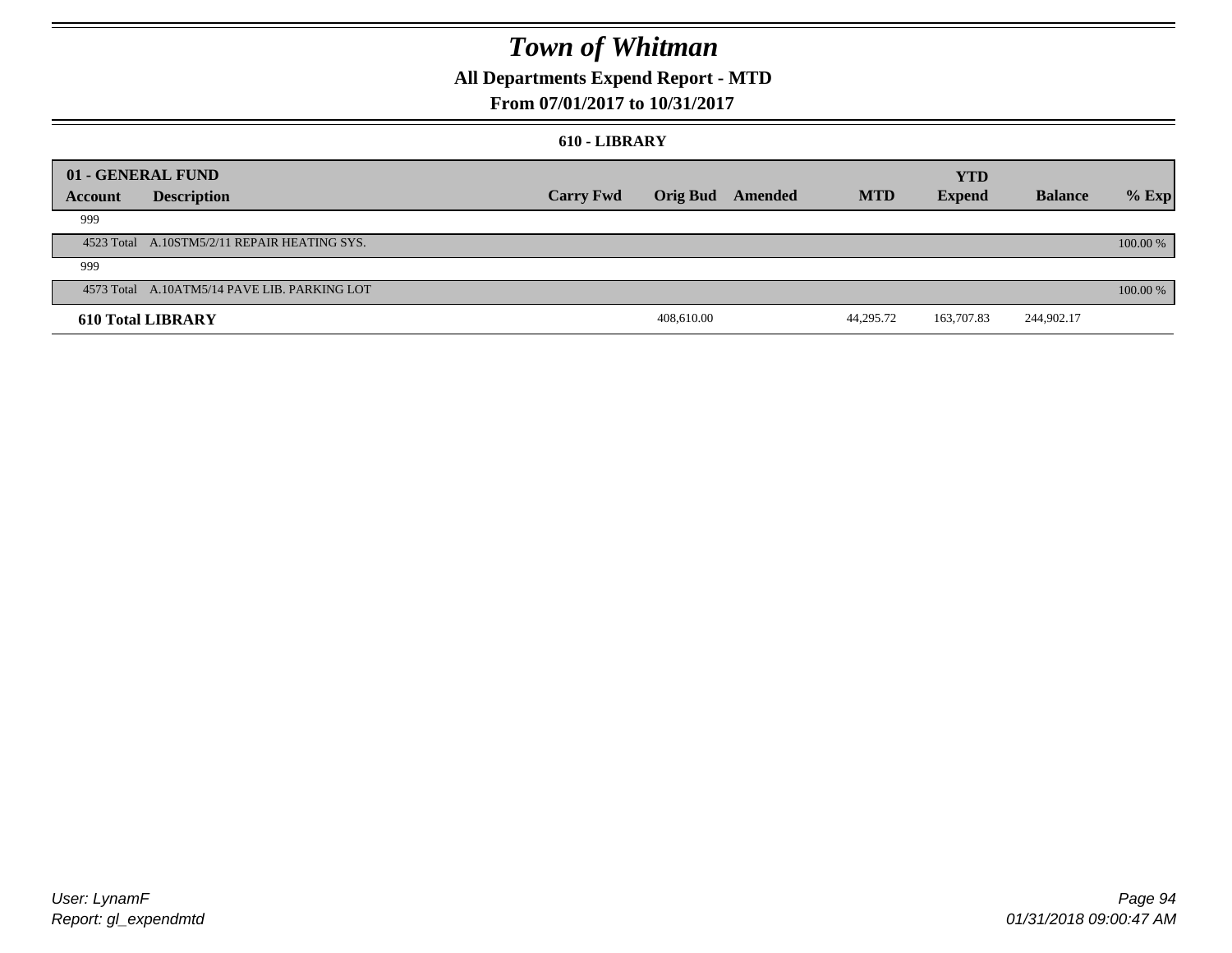## **All Departments Expend Report - MTD**

### **From 07/01/2017 to 10/31/2017**

#### **610 - LIBRARY**

|         | 01 - GENERAL FUND                            |                  |            |                  |            | <b>YTD</b>    |                |          |
|---------|----------------------------------------------|------------------|------------|------------------|------------|---------------|----------------|----------|
| Account | <b>Description</b>                           | <b>Carry Fwd</b> |            | Orig Bud Amended | <b>MTD</b> | <b>Expend</b> | <b>Balance</b> | $%$ Exp  |
| 999     |                                              |                  |            |                  |            |               |                |          |
|         | 4523 Total A.10STM5/2/11 REPAIR HEATING SYS. |                  |            |                  |            |               |                | 100.00 % |
| 999     |                                              |                  |            |                  |            |               |                |          |
|         | 4573 Total A.10ATM5/14 PAVE LIB. PARKING LOT |                  |            |                  |            |               |                | 100.00 % |
|         | <b>610 Total LIBRARY</b>                     |                  | 408,610.00 |                  | 44,295.72  | 163,707.83    | 244,902.17     |          |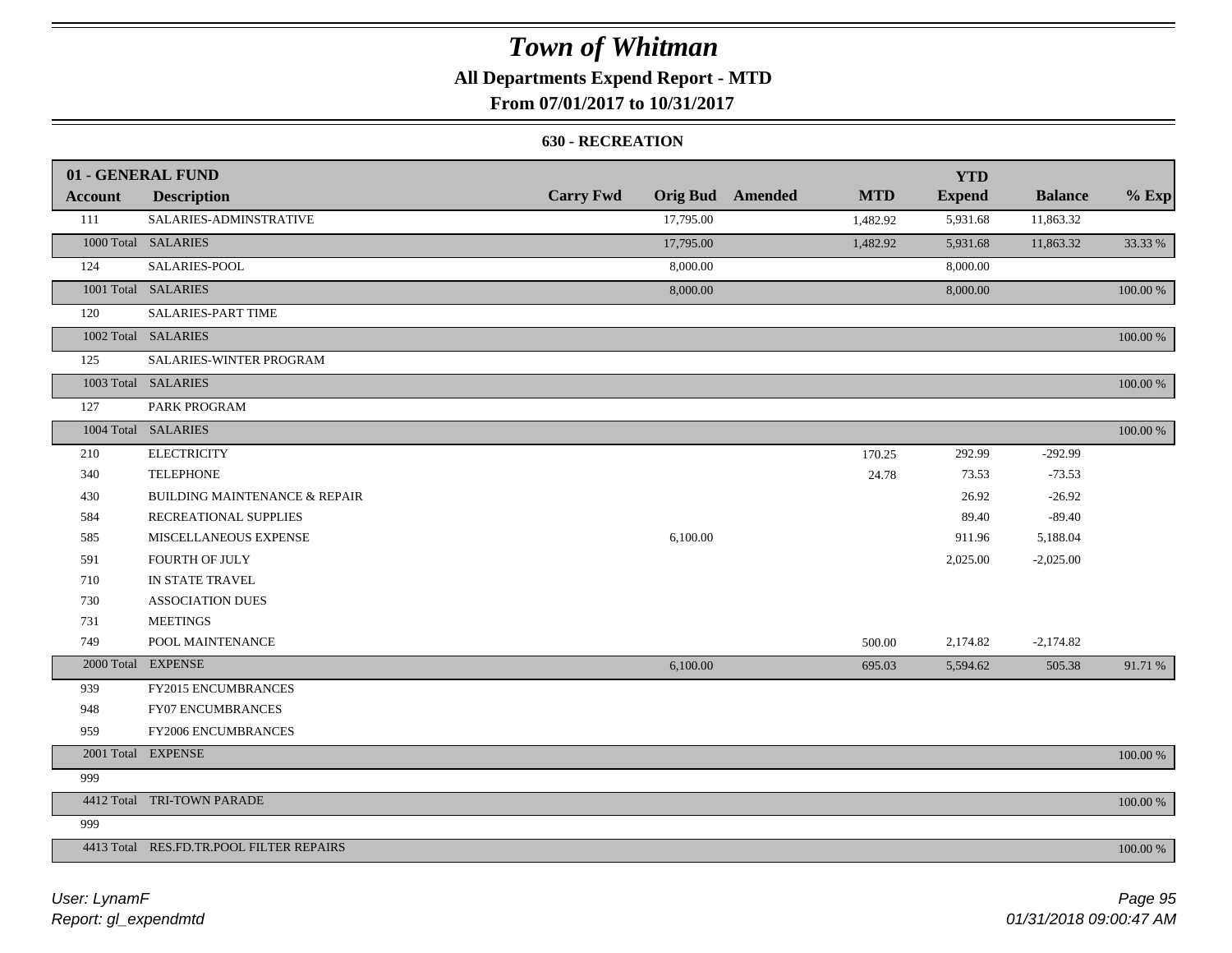### **All Departments Expend Report - MTD**

### **From 07/01/2017 to 10/31/2017**

#### **630 - RECREATION**

|         | 01 - GENERAL FUND                        |                  |           |                         |            | <b>YTD</b>    |                |             |
|---------|------------------------------------------|------------------|-----------|-------------------------|------------|---------------|----------------|-------------|
| Account | <b>Description</b>                       | <b>Carry Fwd</b> |           | <b>Orig Bud</b> Amended | <b>MTD</b> | <b>Expend</b> | <b>Balance</b> | $%$ Exp     |
| 111     | SALARIES-ADMINSTRATIVE                   |                  | 17,795.00 |                         | 1,482.92   | 5,931.68      | 11,863.32      |             |
|         | 1000 Total SALARIES                      |                  | 17,795.00 |                         | 1,482.92   | 5,931.68      | 11,863.32      | 33.33 %     |
| 124     | SALARIES-POOL                            |                  | 8,000.00  |                         |            | 8,000.00      |                |             |
|         | 1001 Total SALARIES                      |                  | 8,000.00  |                         |            | 8,000.00      |                | 100.00 %    |
| 120     | SALARIES-PART TIME                       |                  |           |                         |            |               |                |             |
|         | 1002 Total SALARIES                      |                  |           |                         |            |               |                | 100.00 %    |
| 125     | SALARIES-WINTER PROGRAM                  |                  |           |                         |            |               |                |             |
|         | 1003 Total SALARIES                      |                  |           |                         |            |               |                | 100.00 %    |
| 127     | PARK PROGRAM                             |                  |           |                         |            |               |                |             |
|         | 1004 Total SALARIES                      |                  |           |                         |            |               |                | 100.00 %    |
| 210     | <b>ELECTRICITY</b>                       |                  |           |                         | 170.25     | 292.99        | $-292.99$      |             |
| 340     | <b>TELEPHONE</b>                         |                  |           |                         | 24.78      | 73.53         | $-73.53$       |             |
| 430     | <b>BUILDING MAINTENANCE &amp; REPAIR</b> |                  |           |                         |            | 26.92         | $-26.92$       |             |
| 584     | RECREATIONAL SUPPLIES                    |                  |           |                         |            | 89.40         | $-89.40$       |             |
| 585     | MISCELLANEOUS EXPENSE                    |                  | 6,100.00  |                         |            | 911.96        | 5,188.04       |             |
| 591     | <b>FOURTH OF JULY</b>                    |                  |           |                         |            | 2,025.00      | $-2,025.00$    |             |
| 710     | IN STATE TRAVEL                          |                  |           |                         |            |               |                |             |
| 730     | <b>ASSOCIATION DUES</b>                  |                  |           |                         |            |               |                |             |
| 731     | <b>MEETINGS</b>                          |                  |           |                         |            |               |                |             |
| 749     | POOL MAINTENANCE                         |                  |           |                         | 500.00     | 2,174.82      | $-2,174.82$    |             |
|         | 2000 Total EXPENSE                       |                  | 6,100.00  |                         | 695.03     | 5,594.62      | 505.38         | 91.71 %     |
| 939     | FY2015 ENCUMBRANCES                      |                  |           |                         |            |               |                |             |
| 948     | <b>FY07 ENCUMBRANCES</b>                 |                  |           |                         |            |               |                |             |
| 959     | FY2006 ENCUMBRANCES                      |                  |           |                         |            |               |                |             |
|         | 2001 Total EXPENSE                       |                  |           |                         |            |               |                | $100.00~\%$ |
| 999     |                                          |                  |           |                         |            |               |                |             |
|         | 4412 Total TRI-TOWN PARADE               |                  |           |                         |            |               |                | 100.00 %    |
| 999     |                                          |                  |           |                         |            |               |                |             |
|         | 4413 Total RES.FD.TR.POOL FILTER REPAIRS |                  |           |                         |            |               |                | 100.00 %    |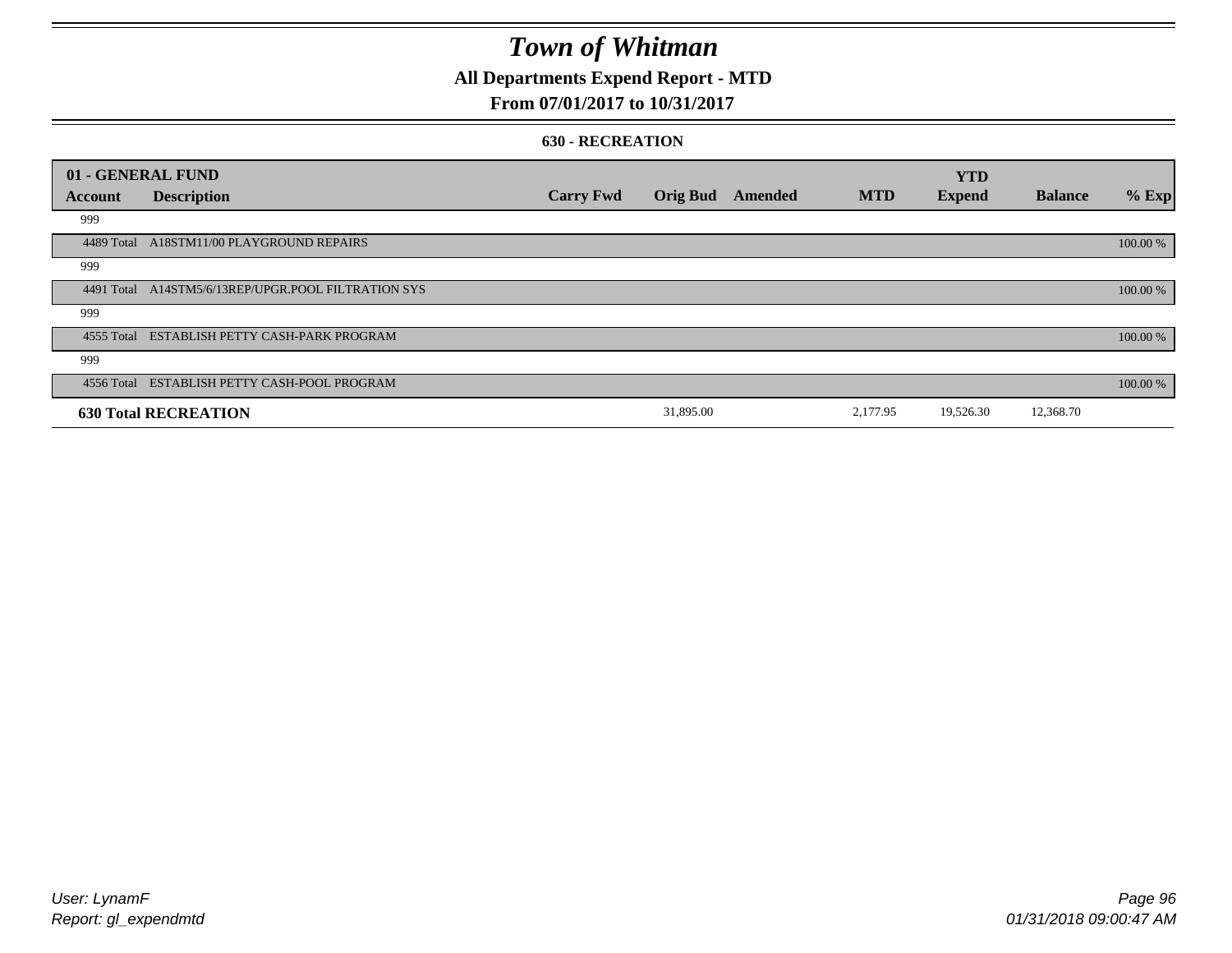## **All Departments Expend Report - MTD**

### **From 07/01/2017 to 10/31/2017**

#### **630 - RECREATION**

| 01 - GENERAL FUND |                                                     |                  |                 |         |            | <b>YTD</b>    |                |          |
|-------------------|-----------------------------------------------------|------------------|-----------------|---------|------------|---------------|----------------|----------|
| Account           | <b>Description</b>                                  | <b>Carry Fwd</b> | <b>Orig Bud</b> | Amended | <b>MTD</b> | <b>Expend</b> | <b>Balance</b> | $%$ Exp  |
| 999               |                                                     |                  |                 |         |            |               |                |          |
| 4489 Total        | A18STM11/00 PLAYGROUND REPAIRS                      |                  |                 |         |            |               |                | 100.00 % |
| 999               |                                                     |                  |                 |         |            |               |                |          |
|                   | 4491 Total A14STM5/6/13REP/UPGR.POOL FILTRATION SYS |                  |                 |         |            |               |                | 100.00 % |
| 999               |                                                     |                  |                 |         |            |               |                |          |
|                   | 4555 Total ESTABLISH PETTY CASH-PARK PROGRAM        |                  |                 |         |            |               |                | 100.00 % |
| 999               |                                                     |                  |                 |         |            |               |                |          |
|                   | 4556 Total ESTABLISH PETTY CASH-POOL PROGRAM        |                  |                 |         |            |               |                | 100.00 % |
|                   | <b>630 Total RECREATION</b>                         |                  | 31,895.00       |         | 2,177.95   | 19,526.30     | 12,368.70      |          |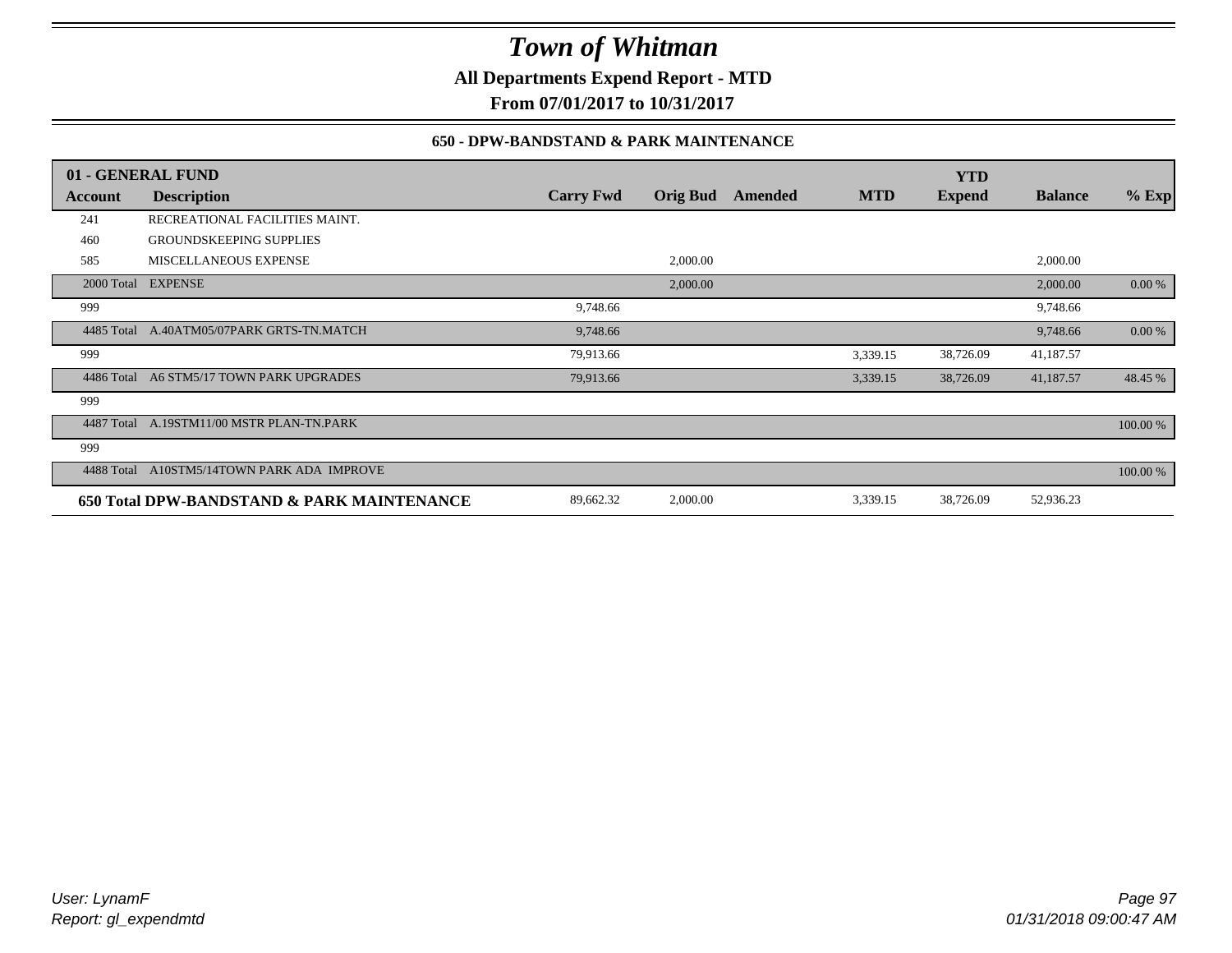**All Departments Expend Report - MTD**

**From 07/01/2017 to 10/31/2017**

### **650 - DPW-BANDSTAND & PARK MAINTENANCE**

|            | 01 - GENERAL FUND                          |                  |                 |         |            | <b>YTD</b>    |                |          |
|------------|--------------------------------------------|------------------|-----------------|---------|------------|---------------|----------------|----------|
| Account    | <b>Description</b>                         | <b>Carry Fwd</b> | <b>Orig Bud</b> | Amended | <b>MTD</b> | <b>Expend</b> | <b>Balance</b> | $%$ Exp  |
| 241        | RECREATIONAL FACILITIES MAINT.             |                  |                 |         |            |               |                |          |
| 460        | <b>GROUNDSKEEPING SUPPLIES</b>             |                  |                 |         |            |               |                |          |
| 585        | MISCELLANEOUS EXPENSE                      |                  | 2,000.00        |         |            |               | 2,000.00       |          |
|            | 2000 Total EXPENSE                         |                  | 2,000.00        |         |            |               | 2,000.00       | 0.00 %   |
| 999        |                                            | 9,748.66         |                 |         |            |               | 9,748.66       |          |
| 4485 Total | A.40ATM05/07PARK GRTS-TN.MATCH             | 9,748.66         |                 |         |            |               | 9,748.66       | 0.00 %   |
| 999        |                                            | 79,913.66        |                 |         | 3,339.15   | 38,726.09     | 41,187.57      |          |
| 4486 Total | A6 STM5/17 TOWN PARK UPGRADES              | 79,913.66        |                 |         | 3,339.15   | 38,726.09     | 41,187.57      | 48.45 %  |
| 999        |                                            |                  |                 |         |            |               |                |          |
| 4487 Total | A.19STM11/00 MSTR PLAN-TN.PARK             |                  |                 |         |            |               |                | 100.00 % |
| 999        |                                            |                  |                 |         |            |               |                |          |
| 4488 Total | A10STM5/14TOWN PARK ADA IMPROVE            |                  |                 |         |            |               |                | 100.00 % |
|            | 650 Total DPW-BANDSTAND & PARK MAINTENANCE | 89,662.32        | 2,000.00        |         | 3,339.15   | 38,726.09     | 52,936.23      |          |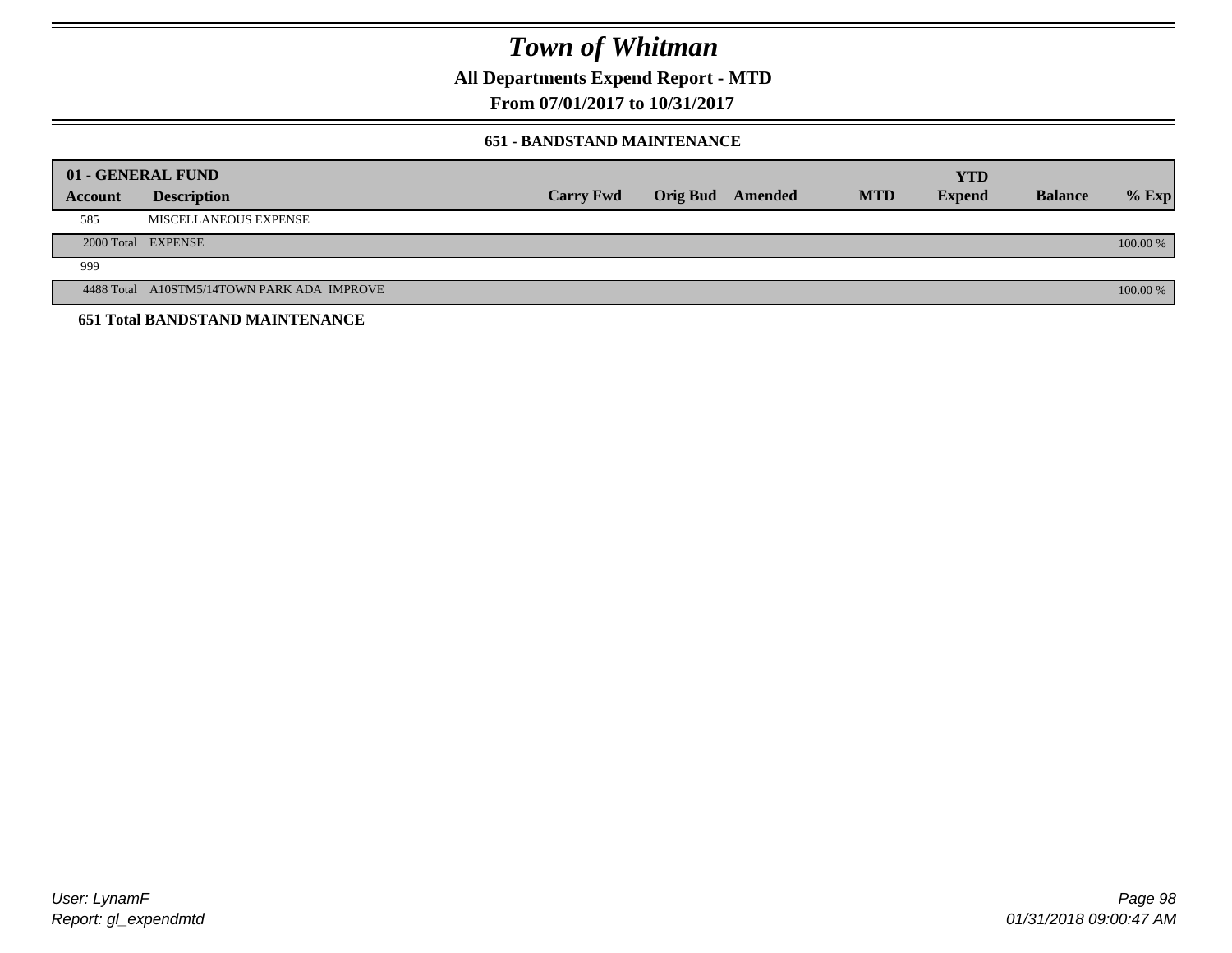**All Departments Expend Report - MTD**

**From 07/01/2017 to 10/31/2017**

#### **651 - BANDSTAND MAINTENANCE**

| 01 - GENERAL FUND |                                            |                  |                         |            | <b>YTD</b>    |                |          |
|-------------------|--------------------------------------------|------------------|-------------------------|------------|---------------|----------------|----------|
| <b>Account</b>    | <b>Description</b>                         | <b>Carry Fwd</b> | <b>Orig Bud</b> Amended | <b>MTD</b> | <b>Expend</b> | <b>Balance</b> | $%$ Exp  |
| 585               | MISCELLANEOUS EXPENSE                      |                  |                         |            |               |                |          |
|                   | 2000 Total EXPENSE                         |                  |                         |            |               |                | 100.00 % |
| 999               |                                            |                  |                         |            |               |                |          |
|                   | 4488 Total A10STM5/14TOWN PARK ADA IMPROVE |                  |                         |            |               |                | 100.00 % |
|                   | <b>651 Total BANDSTAND MAINTENANCE</b>     |                  |                         |            |               |                |          |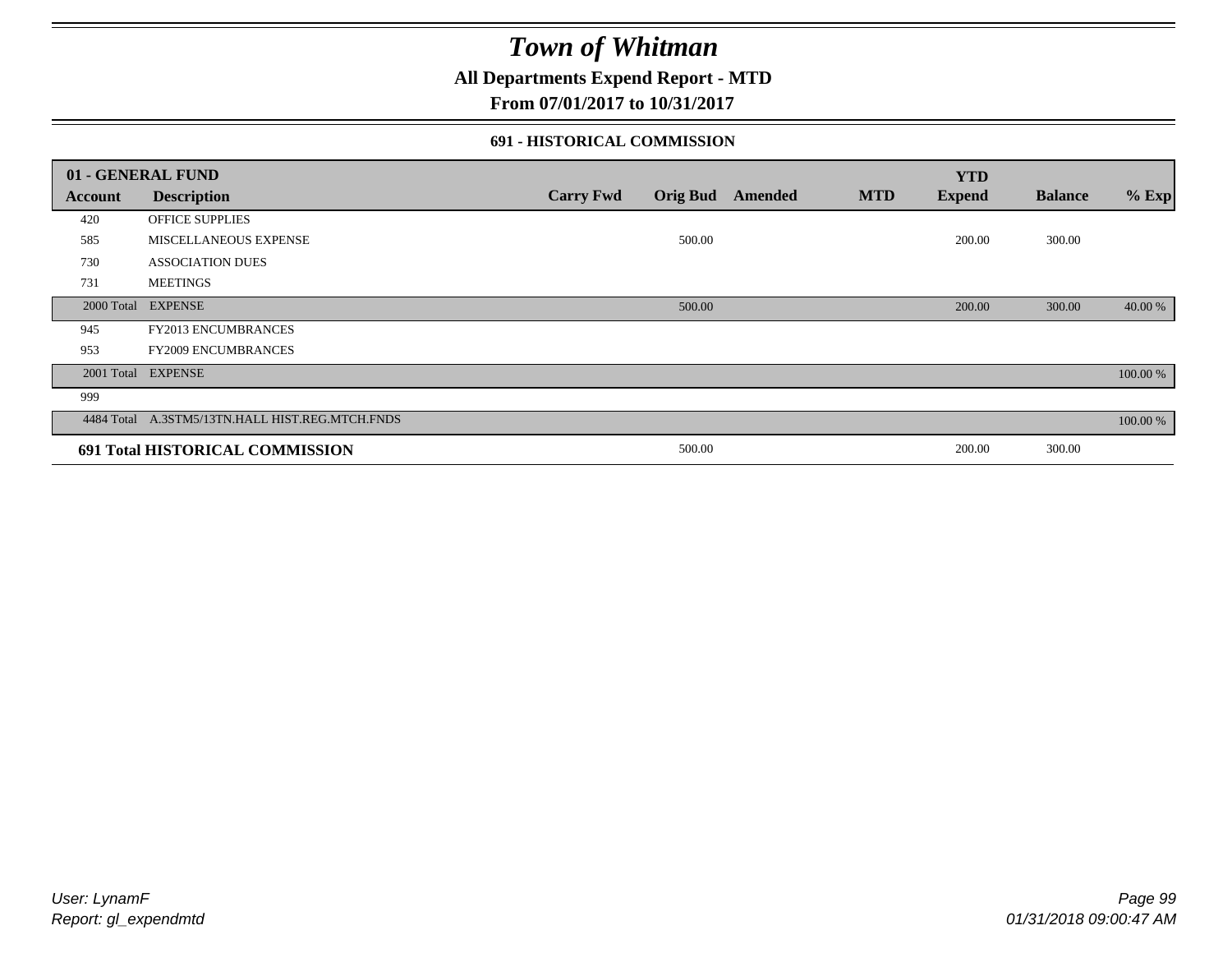### **All Departments Expend Report - MTD**

**From 07/01/2017 to 10/31/2017**

#### **691 - HISTORICAL COMMISSION**

|            | 01 - GENERAL FUND                               |                  |                 |         |            | <b>YTD</b>    |                |          |
|------------|-------------------------------------------------|------------------|-----------------|---------|------------|---------------|----------------|----------|
| Account    | <b>Description</b>                              | <b>Carry Fwd</b> | <b>Orig Bud</b> | Amended | <b>MTD</b> | <b>Expend</b> | <b>Balance</b> | $%$ Exp  |
| 420        | <b>OFFICE SUPPLIES</b>                          |                  |                 |         |            |               |                |          |
| 585        | MISCELLANEOUS EXPENSE                           |                  | 500.00          |         |            | 200.00        | 300.00         |          |
| 730        | <b>ASSOCIATION DUES</b>                         |                  |                 |         |            |               |                |          |
| 731        | <b>MEETINGS</b>                                 |                  |                 |         |            |               |                |          |
| 2000 Total | <b>EXPENSE</b>                                  |                  | 500.00          |         |            | 200.00        | 300.00         | 40.00 %  |
| 945        | <b>FY2013 ENCUMBRANCES</b>                      |                  |                 |         |            |               |                |          |
| 953        | <b>FY2009 ENCUMBRANCES</b>                      |                  |                 |         |            |               |                |          |
| 2001 Total | <b>EXPENSE</b>                                  |                  |                 |         |            |               |                | 100.00 % |
| 999        |                                                 |                  |                 |         |            |               |                |          |
|            | 4484 Total A.3STM5/13TN.HALL HIST.REG.MTCH.FNDS |                  |                 |         |            |               |                | 100.00 % |
|            | 691 Total HISTORICAL COMMISSION                 |                  | 500.00          |         |            | 200.00        | 300.00         |          |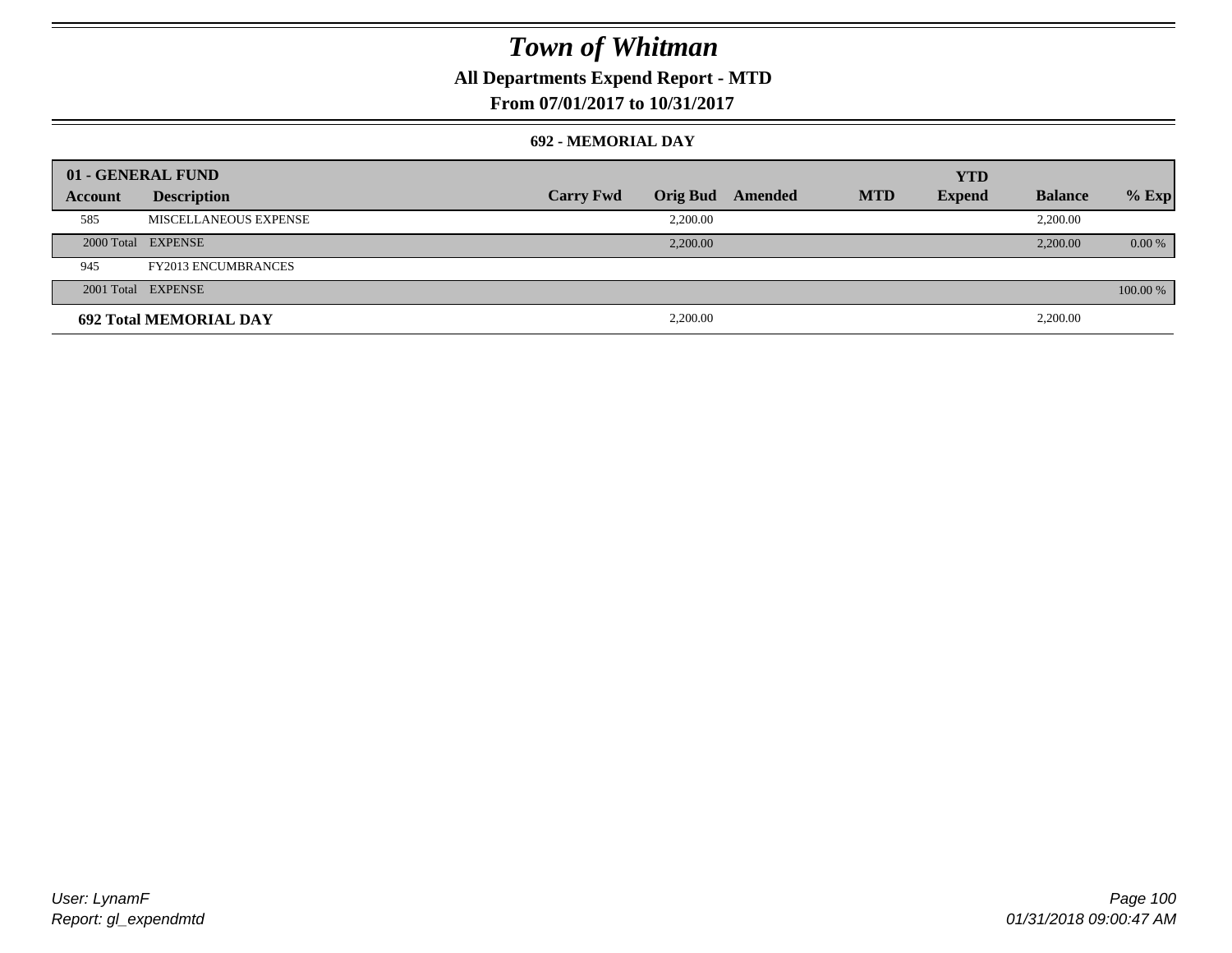### **All Departments Expend Report - MTD**

**From 07/01/2017 to 10/31/2017**

#### **692 - MEMORIAL DAY**

|         | 01 - GENERAL FUND             |                  |                 |         |            | <b>YTD</b>    |                |          |
|---------|-------------------------------|------------------|-----------------|---------|------------|---------------|----------------|----------|
| Account | <b>Description</b>            | <b>Carry Fwd</b> | <b>Orig Bud</b> | Amended | <b>MTD</b> | <b>Expend</b> | <b>Balance</b> | $%$ Exp  |
| 585     | MISCELLANEOUS EXPENSE         |                  | 2.200.00        |         |            |               | 2,200.00       |          |
|         | 2000 Total EXPENSE            |                  | 2,200.00        |         |            |               | 2,200.00       | 0.00 %   |
| 945     | <b>FY2013 ENCUMBRANCES</b>    |                  |                 |         |            |               |                |          |
|         | 2001 Total EXPENSE            |                  |                 |         |            |               |                | 100.00 % |
|         | <b>692 Total MEMORIAL DAY</b> |                  | 2,200.00        |         |            |               | 2,200.00       |          |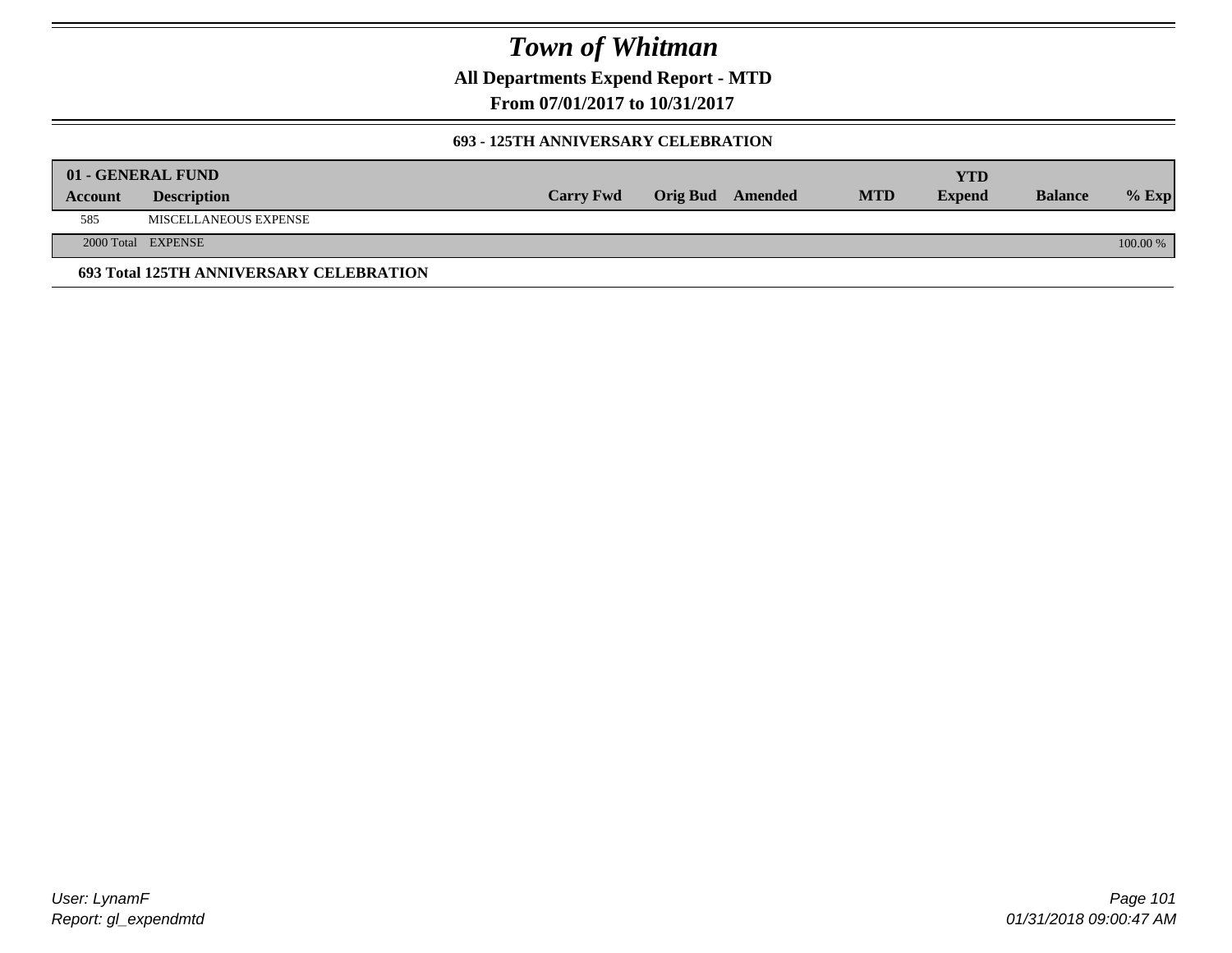**All Departments Expend Report - MTD**

**From 07/01/2017 to 10/31/2017**

#### **693 - 125TH ANNIVERSARY CELEBRATION**

|         | 01 - GENERAL FUND                       |                  |                         |            | YTD           |                |          |
|---------|-----------------------------------------|------------------|-------------------------|------------|---------------|----------------|----------|
| Account | <b>Description</b>                      | <b>Carry Fwd</b> | <b>Orig Bud</b> Amended | <b>MTD</b> | <b>Expend</b> | <b>Balance</b> | $%$ Exp  |
| 585     | MISCELLANEOUS EXPENSE                   |                  |                         |            |               |                |          |
|         | 2000 Total EXPENSE                      |                  |                         |            |               |                | 100.00 % |
|         | 693 Total 125TH ANNIVERSARY CELEBRATION |                  |                         |            |               |                |          |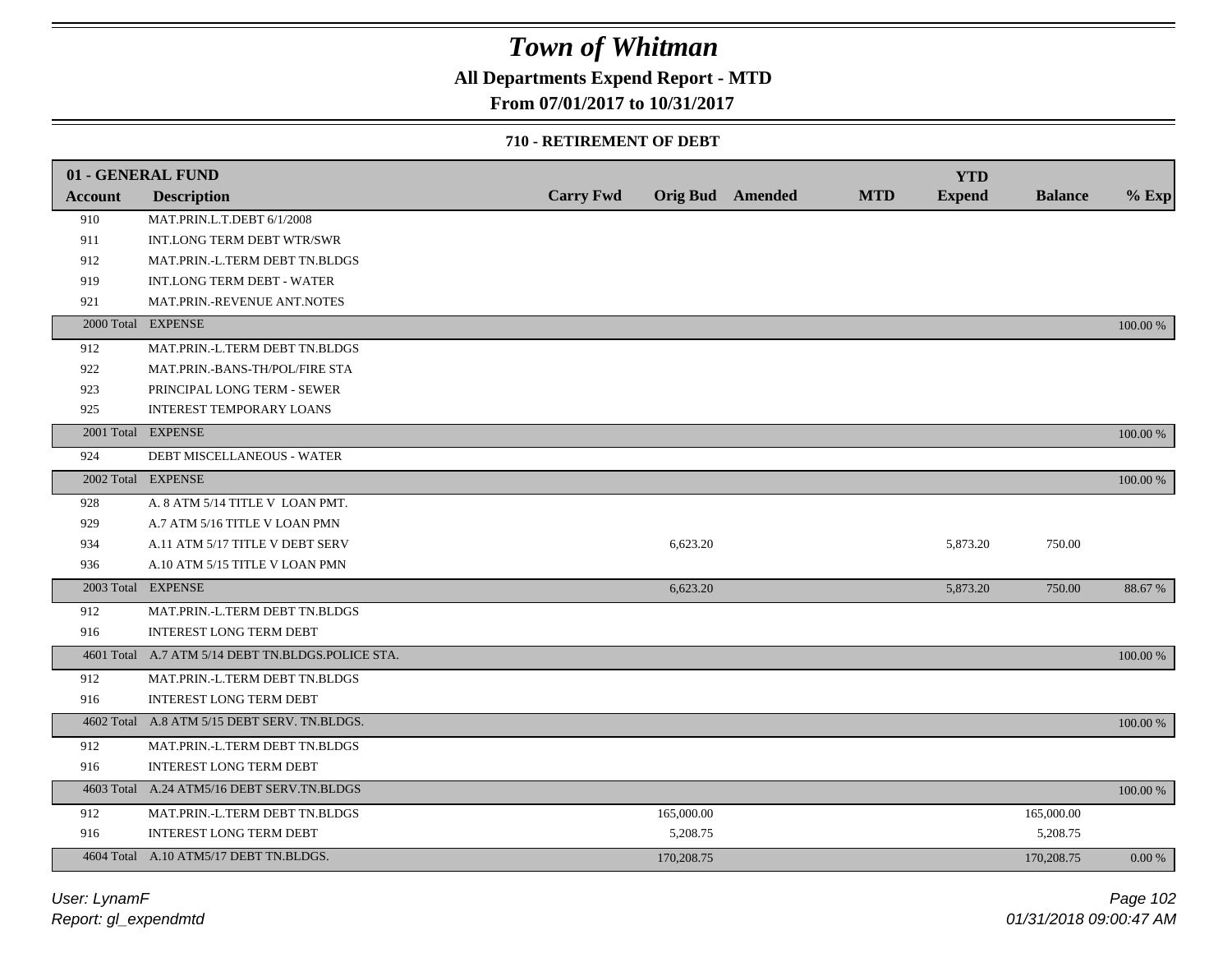### **All Departments Expend Report - MTD**

### **From 07/01/2017 to 10/31/2017**

#### **710 - RETIREMENT OF DEBT**

|                | 01 - GENERAL FUND                                 |                  |            |                  |            | <b>YTD</b>    |                |          |
|----------------|---------------------------------------------------|------------------|------------|------------------|------------|---------------|----------------|----------|
| <b>Account</b> | <b>Description</b>                                | <b>Carry Fwd</b> |            | Orig Bud Amended | <b>MTD</b> | <b>Expend</b> | <b>Balance</b> | $%$ Exp  |
| 910            | MAT.PRIN.L.T.DEBT 6/1/2008                        |                  |            |                  |            |               |                |          |
| 911            | INT.LONG TERM DEBT WTR/SWR                        |                  |            |                  |            |               |                |          |
| 912            | MAT.PRIN.-L.TERM DEBT TN.BLDGS                    |                  |            |                  |            |               |                |          |
| 919            | <b>INT.LONG TERM DEBT - WATER</b>                 |                  |            |                  |            |               |                |          |
| 921            | MAT.PRIN.-REVENUE ANT.NOTES                       |                  |            |                  |            |               |                |          |
|                | 2000 Total EXPENSE                                |                  |            |                  |            |               |                | 100.00 % |
| 912            | MAT.PRIN.-L.TERM DEBT TN.BLDGS                    |                  |            |                  |            |               |                |          |
| 922            | MAT.PRIN.-BANS-TH/POL/FIRE STA                    |                  |            |                  |            |               |                |          |
| 923            | PRINCIPAL LONG TERM - SEWER                       |                  |            |                  |            |               |                |          |
| 925            | <b>INTEREST TEMPORARY LOANS</b>                   |                  |            |                  |            |               |                |          |
|                | 2001 Total EXPENSE                                |                  |            |                  |            |               |                | 100.00 % |
| 924            | <b>DEBT MISCELLANEOUS - WATER</b>                 |                  |            |                  |            |               |                |          |
|                | 2002 Total EXPENSE                                |                  |            |                  |            |               |                | 100.00 % |
| 928            | A. 8 ATM 5/14 TITLE V LOAN PMT.                   |                  |            |                  |            |               |                |          |
| 929            | A.7 ATM 5/16 TITLE V LOAN PMN                     |                  |            |                  |            |               |                |          |
| 934            | A.11 ATM 5/17 TITLE V DEBT SERV                   |                  | 6,623.20   |                  |            | 5,873.20      | 750.00         |          |
| 936            | A.10 ATM 5/15 TITLE V LOAN PMN                    |                  |            |                  |            |               |                |          |
|                | 2003 Total EXPENSE                                |                  | 6,623.20   |                  |            | 5,873.20      | 750.00         | 88.67 %  |
| 912            | MAT.PRIN.-L.TERM DEBT TN.BLDGS                    |                  |            |                  |            |               |                |          |
| 916            | <b>INTEREST LONG TERM DEBT</b>                    |                  |            |                  |            |               |                |          |
|                | 4601 Total A.7 ATM 5/14 DEBT TN.BLDGS.POLICE STA. |                  |            |                  |            |               |                | 100.00 % |
| 912            | MAT.PRIN.-L.TERM DEBT TN.BLDGS                    |                  |            |                  |            |               |                |          |
| 916            | <b>INTEREST LONG TERM DEBT</b>                    |                  |            |                  |            |               |                |          |
|                | 4602 Total A.8 ATM 5/15 DEBT SERV. TN.BLDGS.      |                  |            |                  |            |               |                | 100.00 % |
| 912            | MAT.PRIN.-L.TERM DEBT TN.BLDGS                    |                  |            |                  |            |               |                |          |
| 916            | <b>INTEREST LONG TERM DEBT</b>                    |                  |            |                  |            |               |                |          |
|                | 4603 Total A.24 ATM5/16 DEBT SERV.TN.BLDGS        |                  |            |                  |            |               |                | 100.00 % |
| 912            | MAT.PRIN.-L.TERM DEBT TN.BLDGS                    |                  | 165,000.00 |                  |            |               | 165,000.00     |          |
| 916            | <b>INTEREST LONG TERM DEBT</b>                    |                  | 5,208.75   |                  |            |               | 5,208.75       |          |
|                | 4604 Total A.10 ATM5/17 DEBT TN.BLDGS.            |                  | 170,208.75 |                  |            |               | 170,208.75     | 0.00 %   |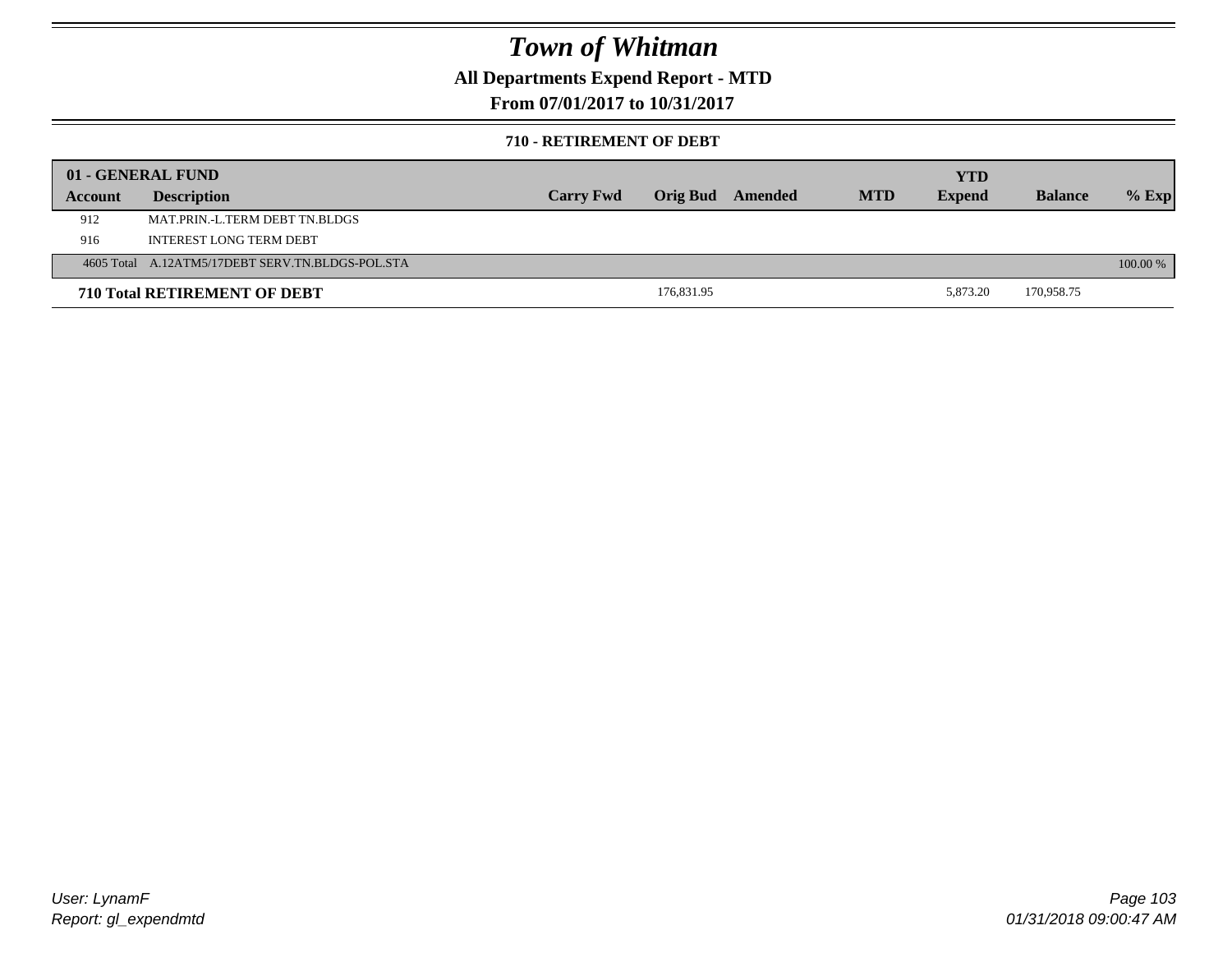### **All Departments Expend Report - MTD**

**From 07/01/2017 to 10/31/2017**

#### **710 - RETIREMENT OF DEBT**

|         | 01 - GENERAL FUND                                |                  |            |         |            | YTD           |                |          |
|---------|--------------------------------------------------|------------------|------------|---------|------------|---------------|----------------|----------|
| Account | <b>Description</b>                               | <b>Carry Fwd</b> | Orig Bud   | Amended | <b>MTD</b> | <b>Expend</b> | <b>Balance</b> | $%$ Exp  |
| 912     | MAT.PRIN.-L.TERM DEBT TN.BLDGS                   |                  |            |         |            |               |                |          |
| 916     | INTEREST LONG TERM DEBT                          |                  |            |         |            |               |                |          |
|         | 4605 Total A.12ATM5/17DEBT SERV.TN.BLDGS-POL.STA |                  |            |         |            |               |                | 100.00 % |
|         | <b>710 Total RETIREMENT OF DEBT</b>              |                  | 176,831.95 |         |            | 5.873.20      | 170,958.75     |          |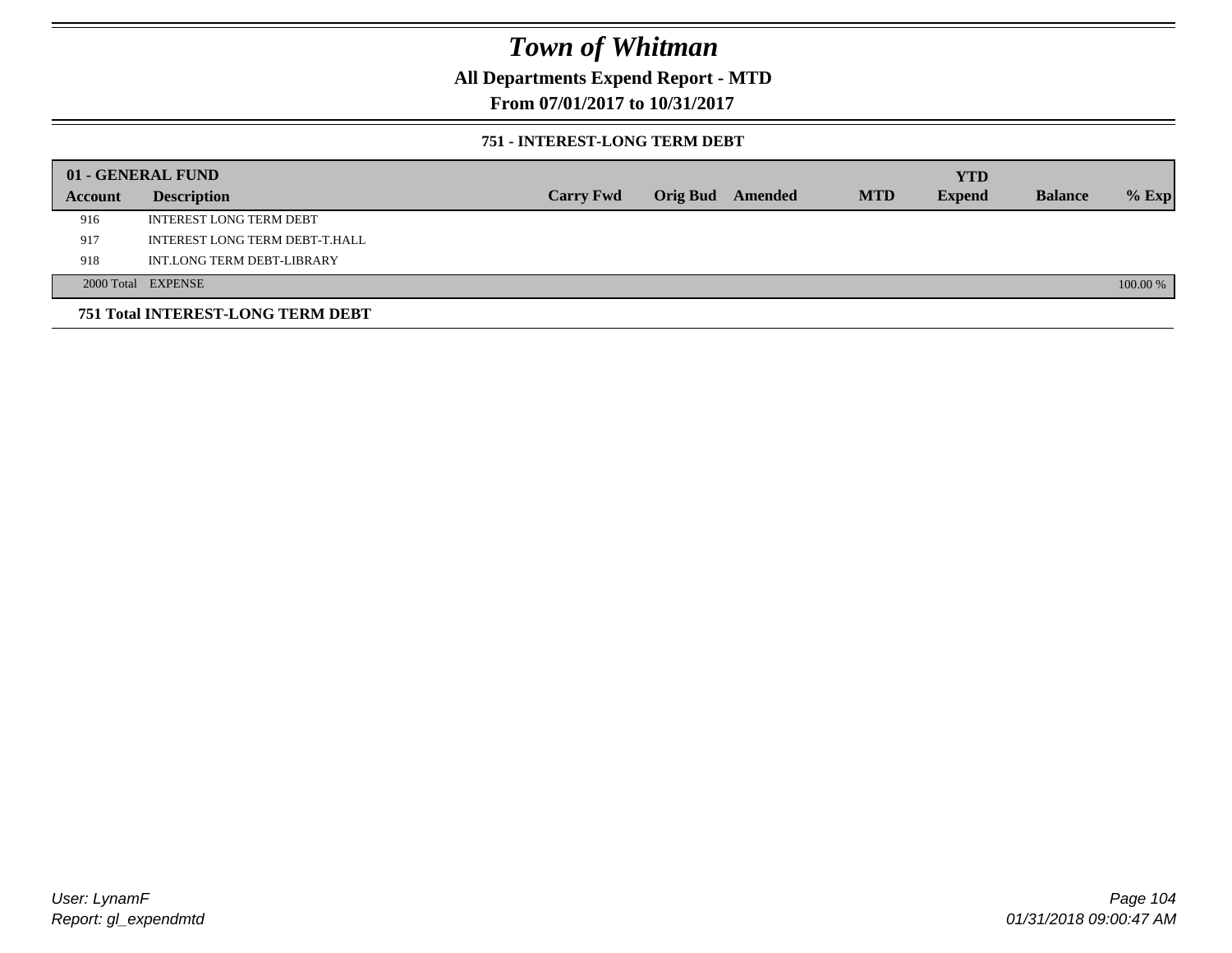**All Departments Expend Report - MTD**

**From 07/01/2017 to 10/31/2017**

#### **751 - INTEREST-LONG TERM DEBT**

|         | 01 - GENERAL FUND                 |                  |  |                  |            | <b>YTD</b>    |                |          |
|---------|-----------------------------------|------------------|--|------------------|------------|---------------|----------------|----------|
| Account | <b>Description</b>                | <b>Carry Fwd</b> |  | Orig Bud Amended | <b>MTD</b> | <b>Expend</b> | <b>Balance</b> | $%$ Exp  |
| 916     | <b>INTEREST LONG TERM DEBT</b>    |                  |  |                  |            |               |                |          |
| 917     | INTEREST LONG TERM DEBT-T.HALL    |                  |  |                  |            |               |                |          |
| 918     | INT.LONG TERM DEBT-LIBRARY        |                  |  |                  |            |               |                |          |
|         | 2000 Total EXPENSE                |                  |  |                  |            |               |                | 100.00 % |
|         | 751 Total INTEREST-LONG TERM DEBT |                  |  |                  |            |               |                |          |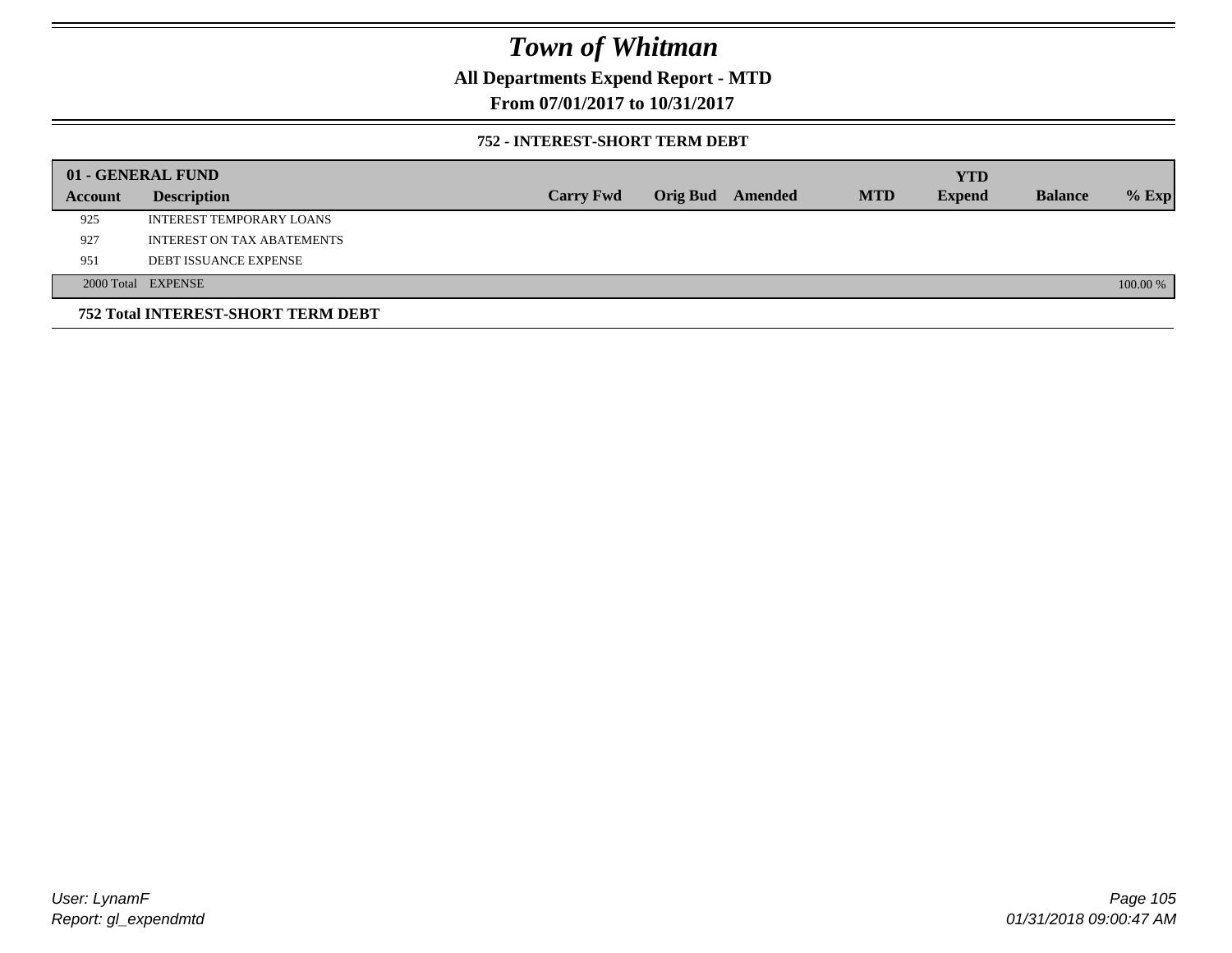### **All Departments Expend Report - MTD**

**From 07/01/2017 to 10/31/2017**

#### **752 - INTEREST-SHORT TERM DEBT**

|                | 01 - GENERAL FUND                  |                  |                 |         |            | <b>YTD</b>    |                |          |
|----------------|------------------------------------|------------------|-----------------|---------|------------|---------------|----------------|----------|
| <b>Account</b> | <b>Description</b>                 | <b>Carry Fwd</b> | <b>Orig Bud</b> | Amended | <b>MTD</b> | <b>Expend</b> | <b>Balance</b> | $%$ Exp  |
| 925            | INTEREST TEMPORARY LOANS           |                  |                 |         |            |               |                |          |
| 927            | <b>INTEREST ON TAX ABATEMENTS</b>  |                  |                 |         |            |               |                |          |
| 951            | <b>DEBT ISSUANCE EXPENSE</b>       |                  |                 |         |            |               |                |          |
|                | 2000 Total EXPENSE                 |                  |                 |         |            |               |                | 100.00 % |
|                | 752 Total INTEREST-SHORT TERM DEBT |                  |                 |         |            |               |                |          |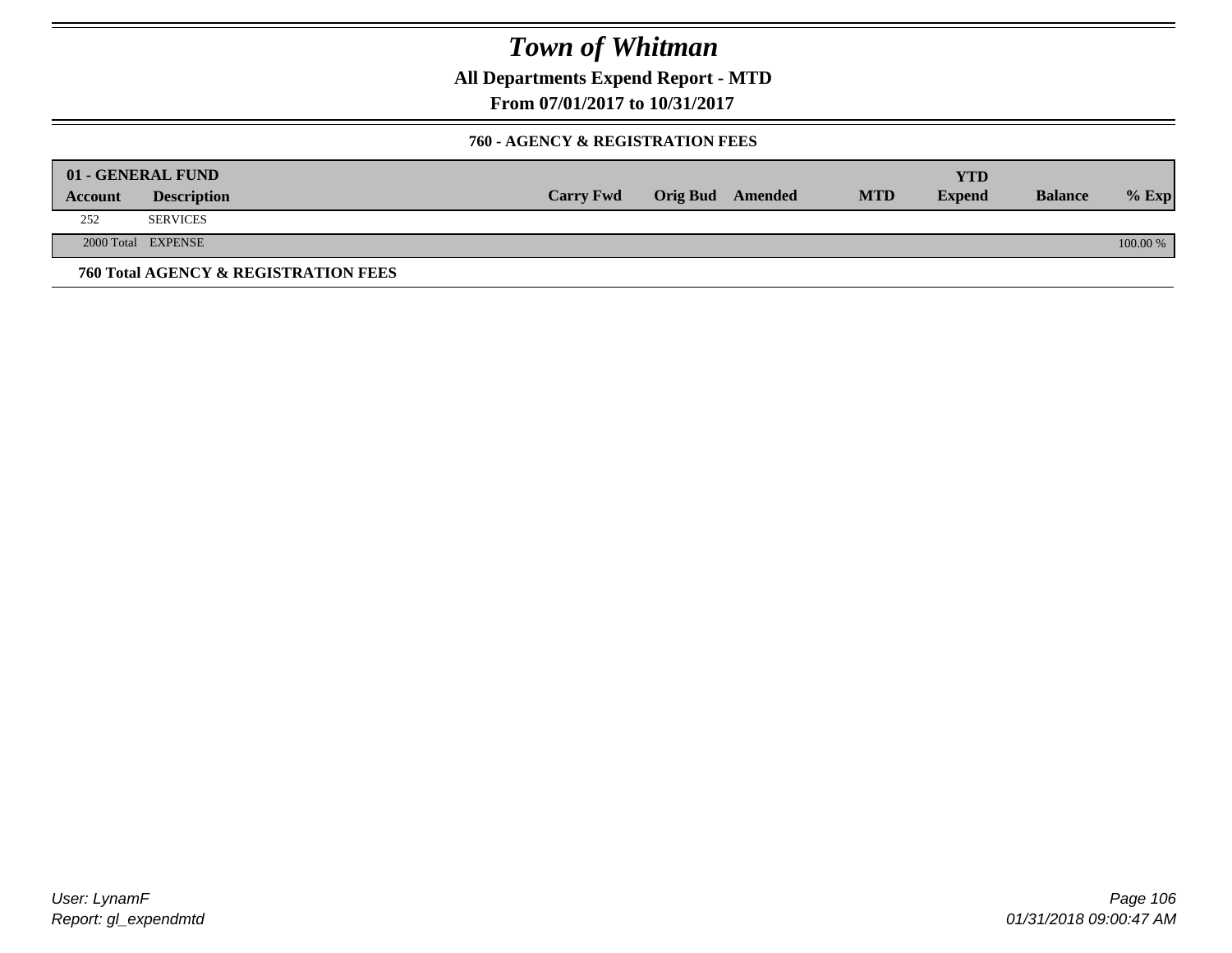**All Departments Expend Report - MTD**

**From 07/01/2017 to 10/31/2017**

#### **760 - AGENCY & REGISTRATION FEES**

|         | 01 - GENERAL FUND                    |                  |                         |            | YTD           |                |          |
|---------|--------------------------------------|------------------|-------------------------|------------|---------------|----------------|----------|
| Account | <b>Description</b>                   | <b>Carry Fwd</b> | <b>Orig Bud</b> Amended | <b>MTD</b> | <b>Expend</b> | <b>Balance</b> | $%$ Exp  |
| 252     | <b>SERVICES</b>                      |                  |                         |            |               |                |          |
|         | 2000 Total EXPENSE                   |                  |                         |            |               |                | 100.00 % |
|         | 760 Total AGENCY & REGISTRATION FEES |                  |                         |            |               |                |          |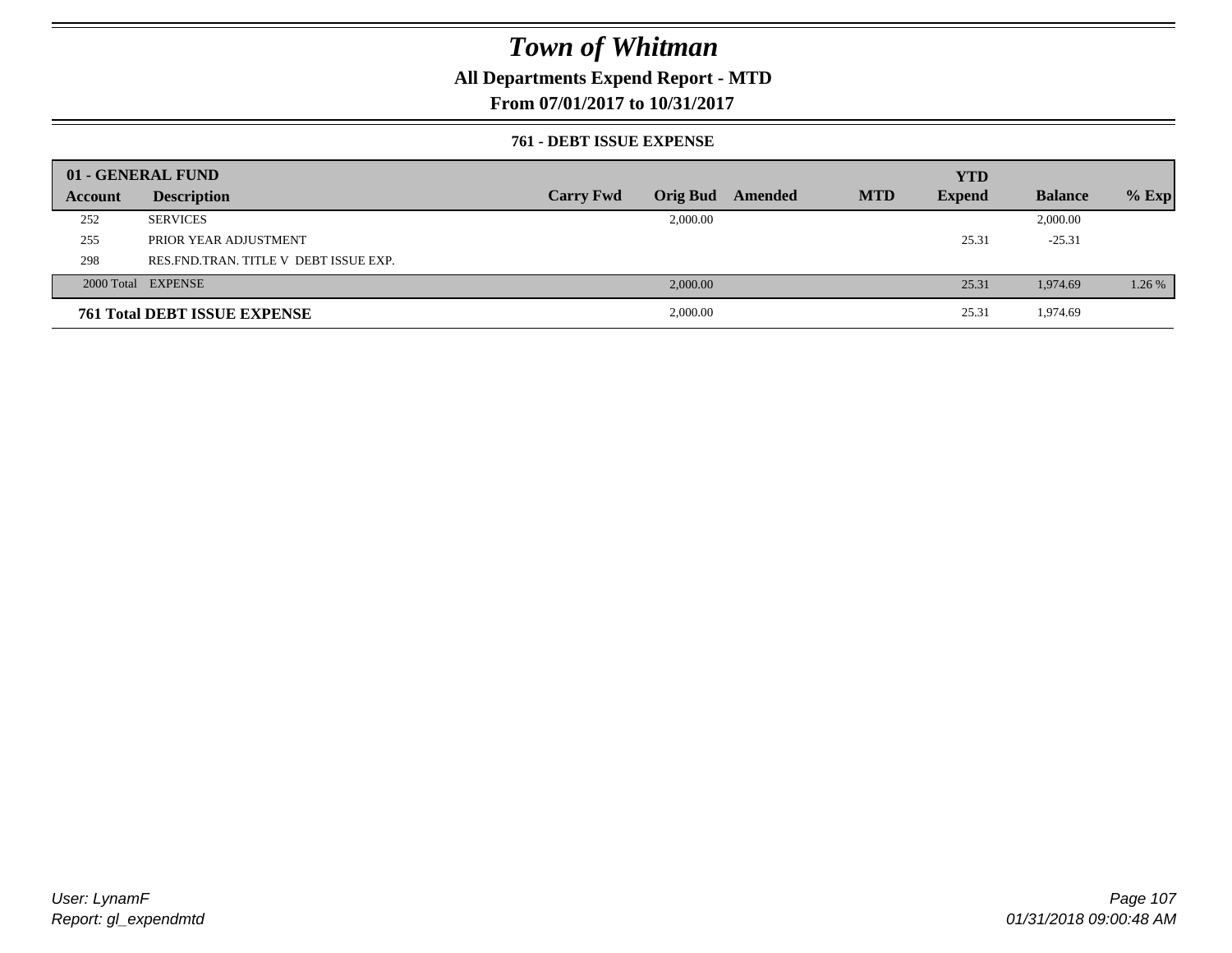### **All Departments Expend Report - MTD**

**From 07/01/2017 to 10/31/2017**

#### **761 - DEBT ISSUE EXPENSE**

|         | 01 - GENERAL FUND                       |                  |                 |         |            | <b>YTD</b>    |                |         |
|---------|-----------------------------------------|------------------|-----------------|---------|------------|---------------|----------------|---------|
| Account | <b>Description</b>                      | <b>Carry Fwd</b> | <b>Orig Bud</b> | Amended | <b>MTD</b> | <b>Expend</b> | <b>Balance</b> | $%$ Exp |
| 252     | <b>SERVICES</b>                         |                  | 2,000.00        |         |            |               | 2,000.00       |         |
| 255     | PRIOR YEAR ADJUSTMENT                   |                  |                 |         |            | 25.31         | $-25.31$       |         |
| 298     | RES. FND. TRAN. TITLE V DEBT ISSUE EXP. |                  |                 |         |            |               |                |         |
|         | 2000 Total EXPENSE                      |                  | 2,000.00        |         |            | 25.31         | 1,974.69       | 1.26 %  |
|         | <b>761 Total DEBT ISSUE EXPENSE</b>     |                  | 2,000.00        |         |            | 25.31         | 1,974.69       |         |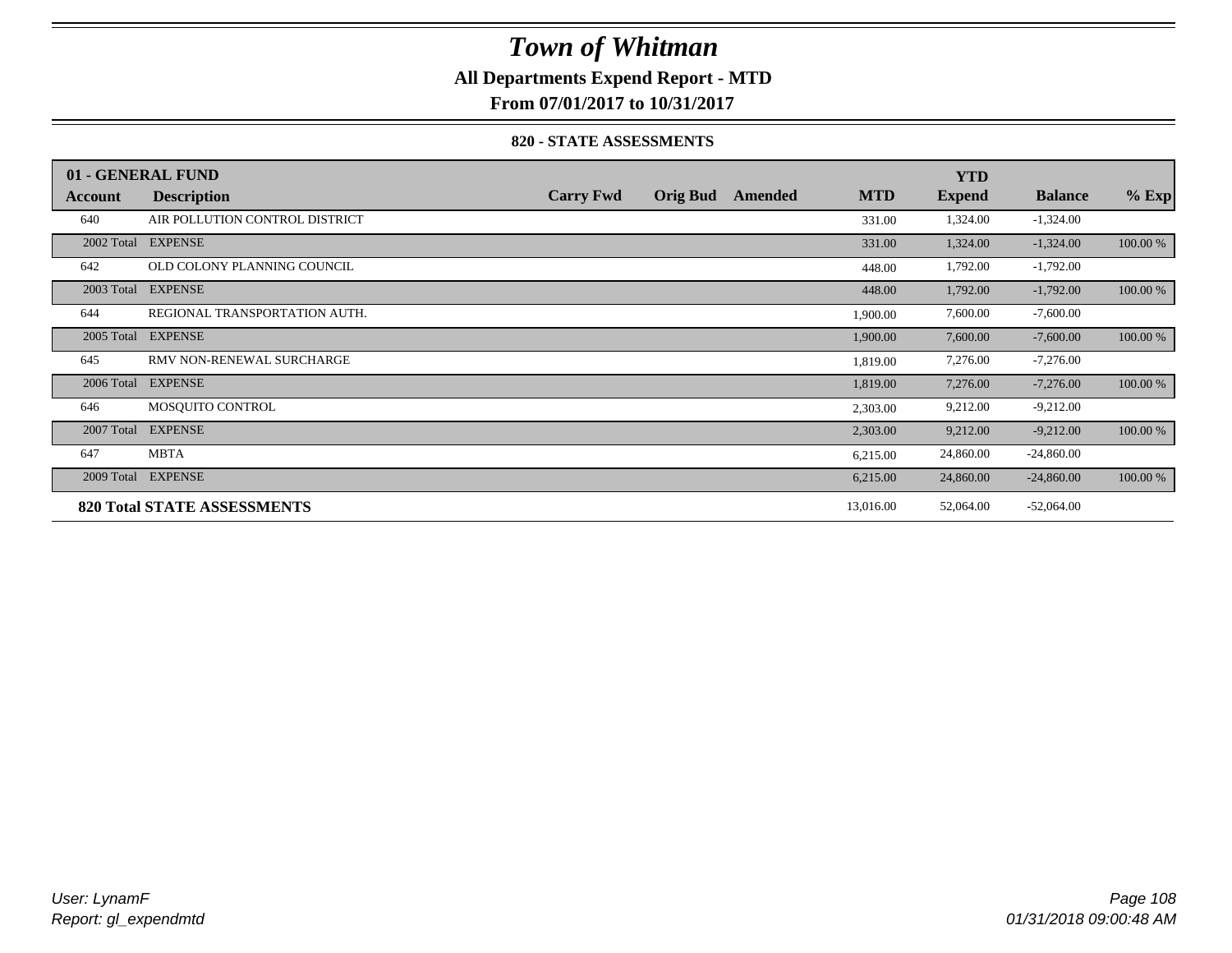### **All Departments Expend Report - MTD**

**From 07/01/2017 to 10/31/2017**

#### **820 - STATE ASSESSMENTS**

|            | 01 - GENERAL FUND                  |                  |                 |         |            | <b>YTD</b>    |                |          |
|------------|------------------------------------|------------------|-----------------|---------|------------|---------------|----------------|----------|
| Account    | <b>Description</b>                 | <b>Carry Fwd</b> | <b>Orig Bud</b> | Amended | <b>MTD</b> | <b>Expend</b> | <b>Balance</b> | $%$ Exp  |
| 640        | AIR POLLUTION CONTROL DISTRICT     |                  |                 |         | 331.00     | 1,324.00      | $-1,324.00$    |          |
|            | 2002 Total EXPENSE                 |                  |                 |         | 331.00     | 1,324.00      | $-1,324.00$    | 100.00 % |
| 642        | OLD COLONY PLANNING COUNCIL        |                  |                 |         | 448.00     | 1,792.00      | $-1,792.00$    |          |
| 2003 Total | <b>EXPENSE</b>                     |                  |                 |         | 448.00     | 1,792.00      | $-1,792.00$    | 100.00 % |
| 644        | REGIONAL TRANSPORTATION AUTH.      |                  |                 |         | 1,900.00   | 7,600.00      | $-7,600.00$    |          |
| 2005 Total | <b>EXPENSE</b>                     |                  |                 |         | 1,900.00   | 7,600.00      | $-7,600.00$    | 100.00 % |
| 645        | RMV NON-RENEWAL SURCHARGE          |                  |                 |         | 1,819.00   | 7,276.00      | $-7,276.00$    |          |
| 2006 Total | <b>EXPENSE</b>                     |                  |                 |         | 1,819.00   | 7,276.00      | $-7,276.00$    | 100.00 % |
| 646        | MOSOUITO CONTROL                   |                  |                 |         | 2,303.00   | 9,212.00      | $-9,212.00$    |          |
| 2007 Total | <b>EXPENSE</b>                     |                  |                 |         | 2,303.00   | 9,212.00      | $-9,212.00$    | 100.00 % |
| 647        | <b>MBTA</b>                        |                  |                 |         | 6,215.00   | 24,860.00     | $-24,860.00$   |          |
| 2009 Total | <b>EXPENSE</b>                     |                  |                 |         | 6,215.00   | 24,860.00     | $-24,860.00$   | 100.00 % |
|            | <b>820 Total STATE ASSESSMENTS</b> |                  |                 |         | 13,016.00  | 52,064.00     | $-52,064.00$   |          |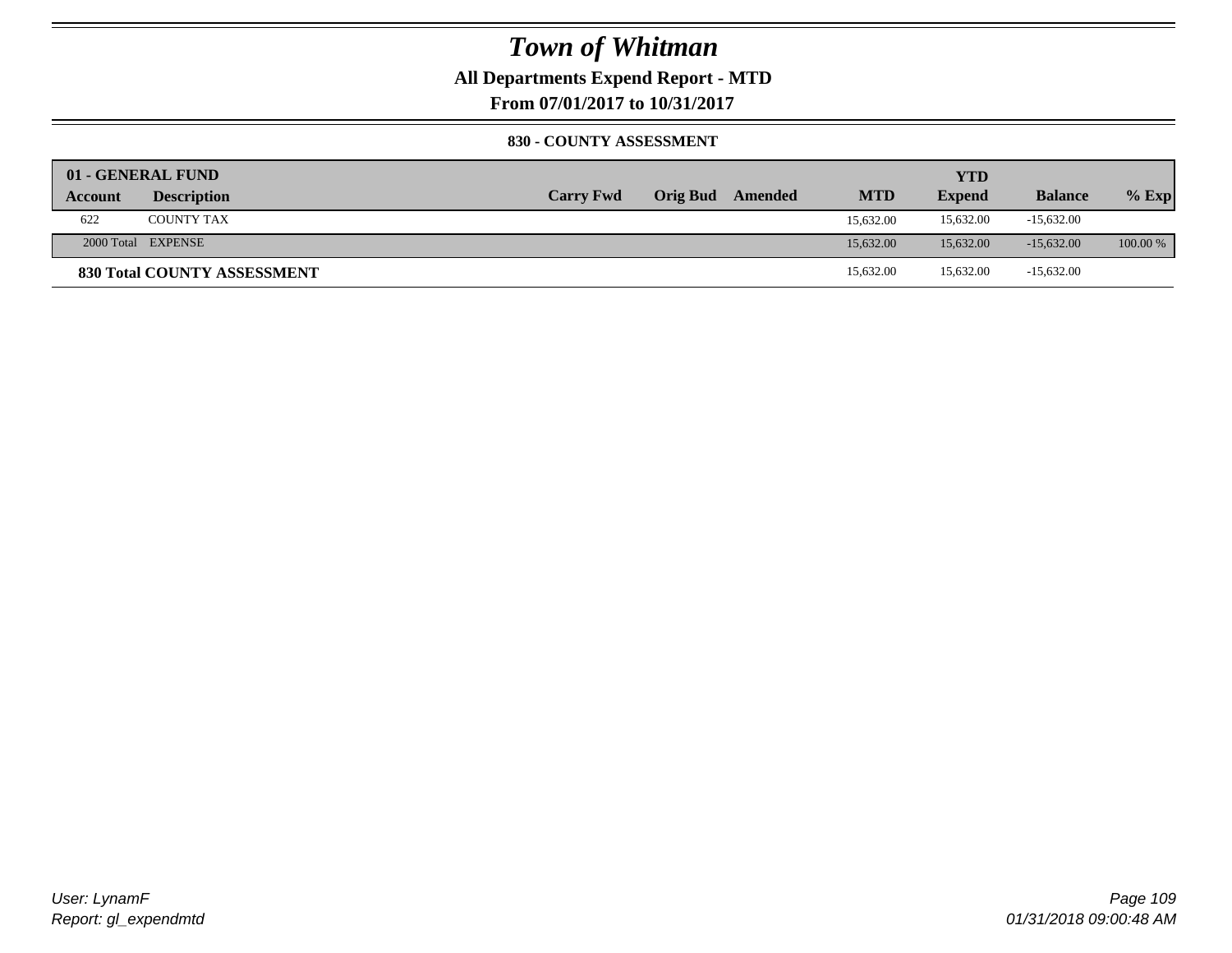### **All Departments Expend Report - MTD**

**From 07/01/2017 to 10/31/2017**

#### **830 - COUNTY ASSESSMENT**

|         | 01 - GENERAL FUND           |                  |                 |         |            | <b>YTD</b>    |                |            |
|---------|-----------------------------|------------------|-----------------|---------|------------|---------------|----------------|------------|
| Account | <b>Description</b>          | <b>Carry Fwd</b> | <b>Orig Bud</b> | Amended | <b>MTD</b> | <b>Expend</b> | <b>Balance</b> | $%$ Exp    |
| 622     | <b>COUNTY TAX</b>           |                  |                 |         | 15,632.00  | 15,632.00     | $-15,632.00$   |            |
|         | 2000 Total EXPENSE          |                  |                 |         | 15.632.00  | 15,632.00     | $-15.632.00$   | $100.00\%$ |
|         | 830 Total COUNTY ASSESSMENT |                  |                 |         | 15,632.00  | 15,632.00     | $-15,632.00$   |            |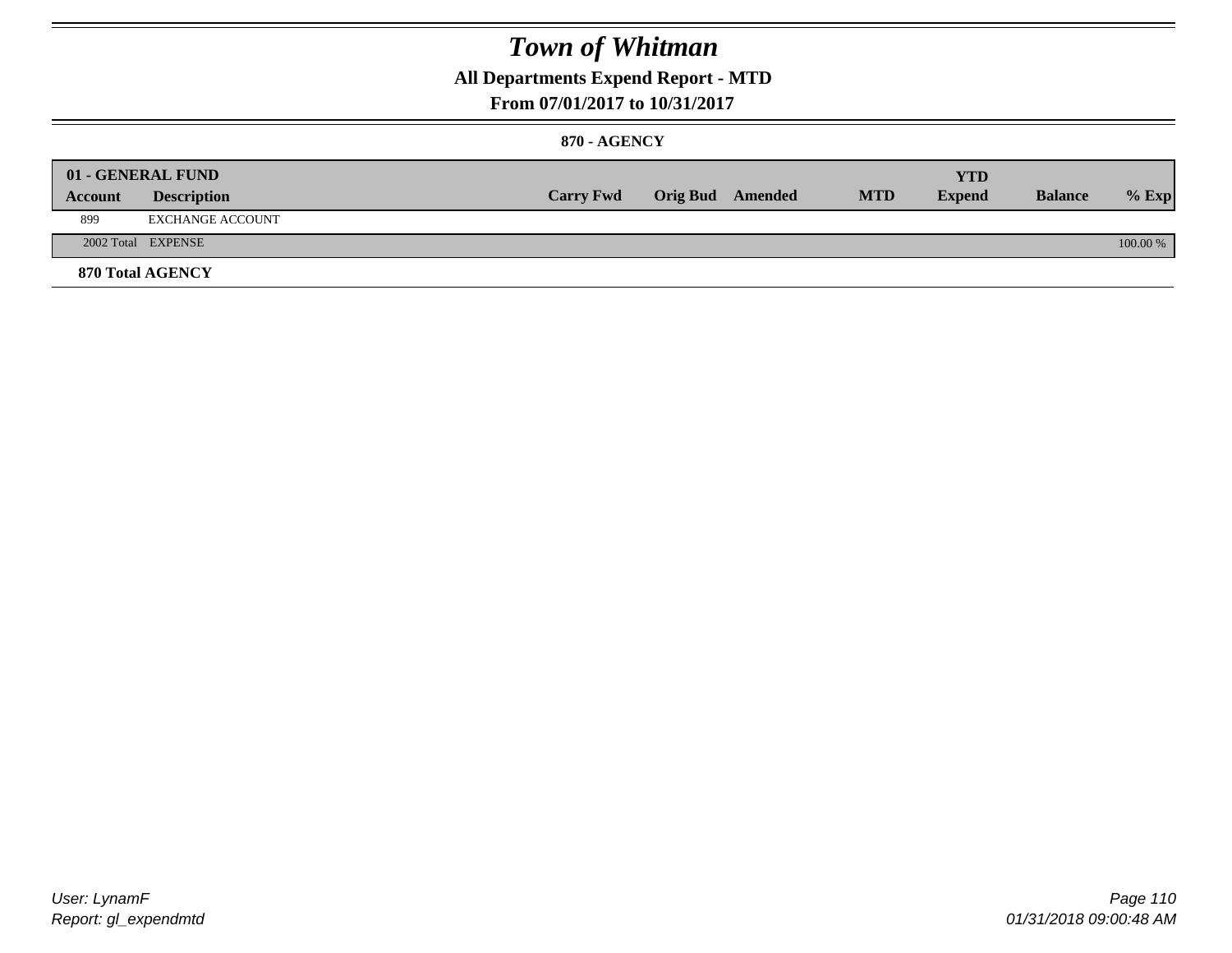### **All Departments Expend Report - MTD**

#### **From 07/01/2017 to 10/31/2017**

#### **870 - AGENCY**

| Account | 01 - GENERAL FUND<br><b>Description</b> | <b>Carry Fwd</b> | <b>Orig Bud</b> Amended | <b>MTD</b> | <b>YTD</b><br><b>Expend</b> | <b>Balance</b> | $%$ Exp  |
|---------|-----------------------------------------|------------------|-------------------------|------------|-----------------------------|----------------|----------|
| 899     | EXCHANGE ACCOUNT                        |                  |                         |            |                             |                |          |
|         | 2002 Total EXPENSE                      |                  |                         |            |                             |                | 100.00 % |
|         | <b>870 Total AGENCY</b>                 |                  |                         |            |                             |                |          |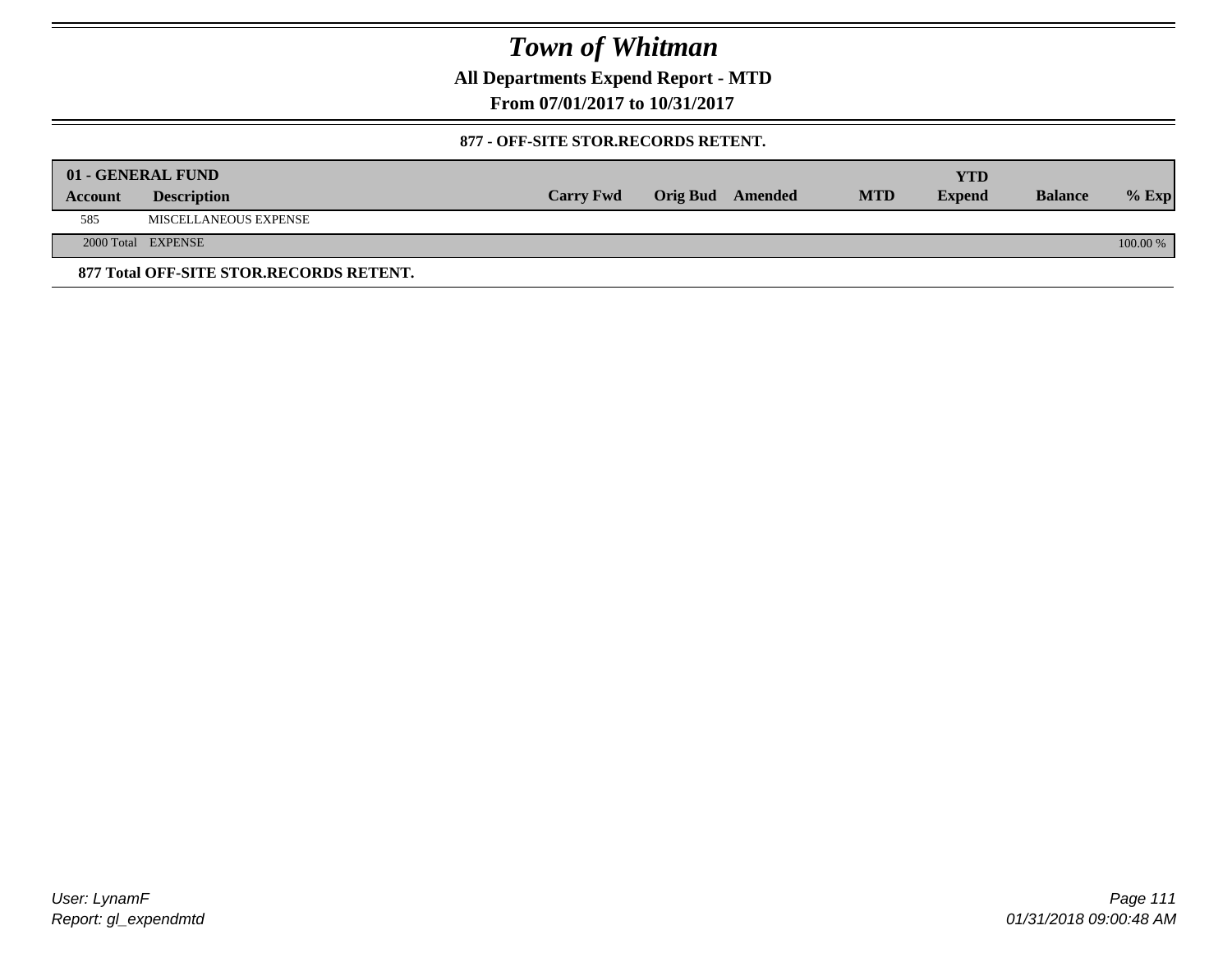**All Departments Expend Report - MTD**

**From 07/01/2017 to 10/31/2017**

#### **877 - OFF-SITE STOR.RECORDS RETENT.**

|         | 01 - GENERAL FUND                       |                  |                         |            | YTD           |                |          |
|---------|-----------------------------------------|------------------|-------------------------|------------|---------------|----------------|----------|
| Account | <b>Description</b>                      | <b>Carry Fwd</b> | <b>Orig Bud</b> Amended | <b>MTD</b> | <b>Expend</b> | <b>Balance</b> | $%$ Exp  |
| 585     | MISCELLANEOUS EXPENSE                   |                  |                         |            |               |                |          |
|         | 2000 Total EXPENSE                      |                  |                         |            |               |                | 100.00 % |
|         | 877 Total OFF-SITE STOR.RECORDS RETENT. |                  |                         |            |               |                |          |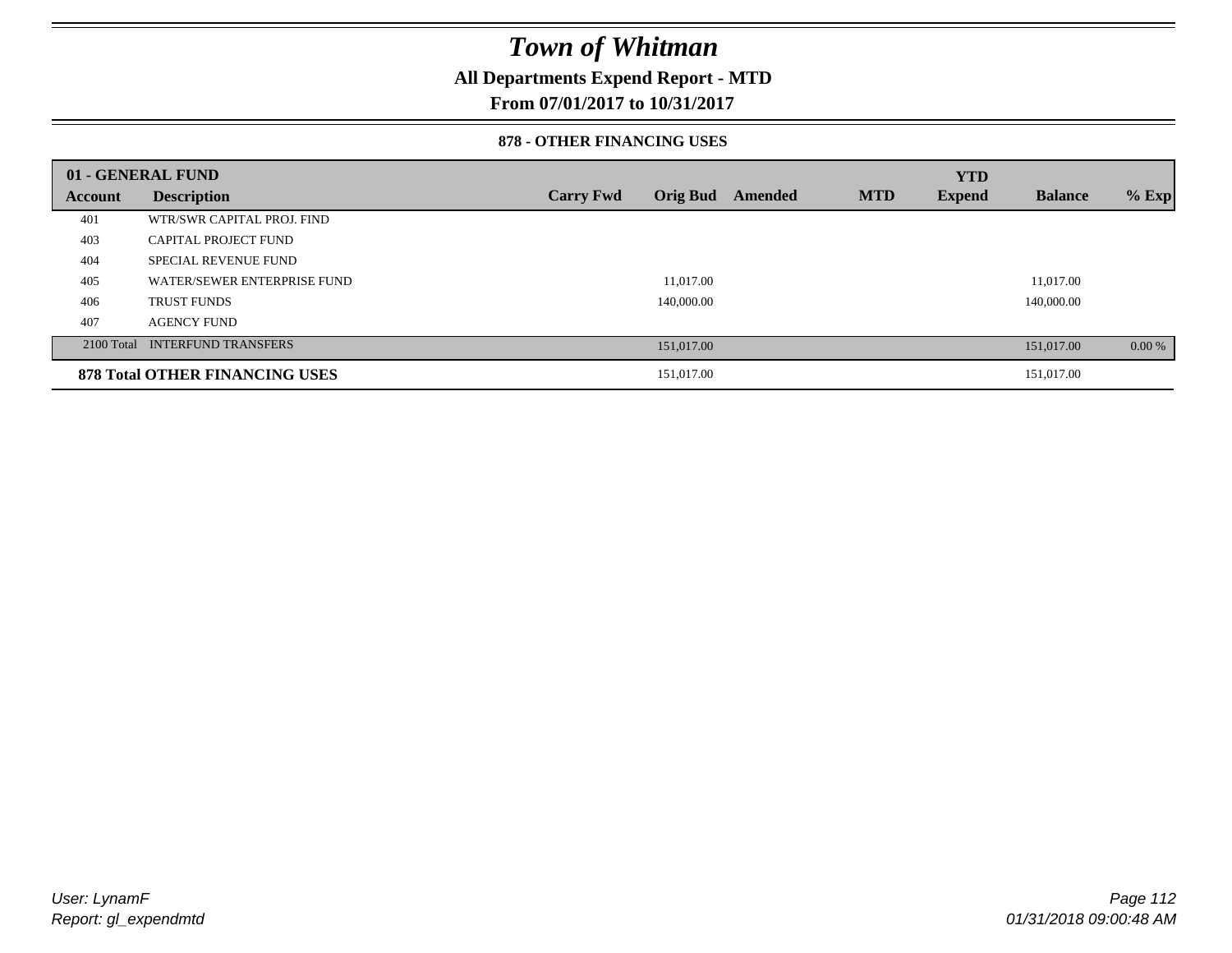### **All Departments Expend Report - MTD**

**From 07/01/2017 to 10/31/2017**

#### **878 - OTHER FINANCING USES**

|         | 01 - GENERAL FUND                     |                  |                 |         |            | <b>YTD</b>    |                |         |
|---------|---------------------------------------|------------------|-----------------|---------|------------|---------------|----------------|---------|
| Account | <b>Description</b>                    | <b>Carry Fwd</b> | <b>Orig Bud</b> | Amended | <b>MTD</b> | <b>Expend</b> | <b>Balance</b> | $%$ Exp |
| 401     | WTR/SWR CAPITAL PROJ. FIND            |                  |                 |         |            |               |                |         |
| 403     | <b>CAPITAL PROJECT FUND</b>           |                  |                 |         |            |               |                |         |
| 404     | <b>SPECIAL REVENUE FUND</b>           |                  |                 |         |            |               |                |         |
| 405     | WATER/SEWER ENTERPRISE FUND           |                  | 11.017.00       |         |            |               | 11.017.00      |         |
| 406     | <b>TRUST FUNDS</b>                    |                  | 140,000.00      |         |            |               | 140,000.00     |         |
| 407     | <b>AGENCY FUND</b>                    |                  |                 |         |            |               |                |         |
|         | 2100 Total INTERFUND TRANSFERS        |                  | 151,017.00      |         |            |               | 151,017.00     | 0.00 %  |
|         | <b>878 Total OTHER FINANCING USES</b> |                  | 151,017.00      |         |            |               | 151,017.00     |         |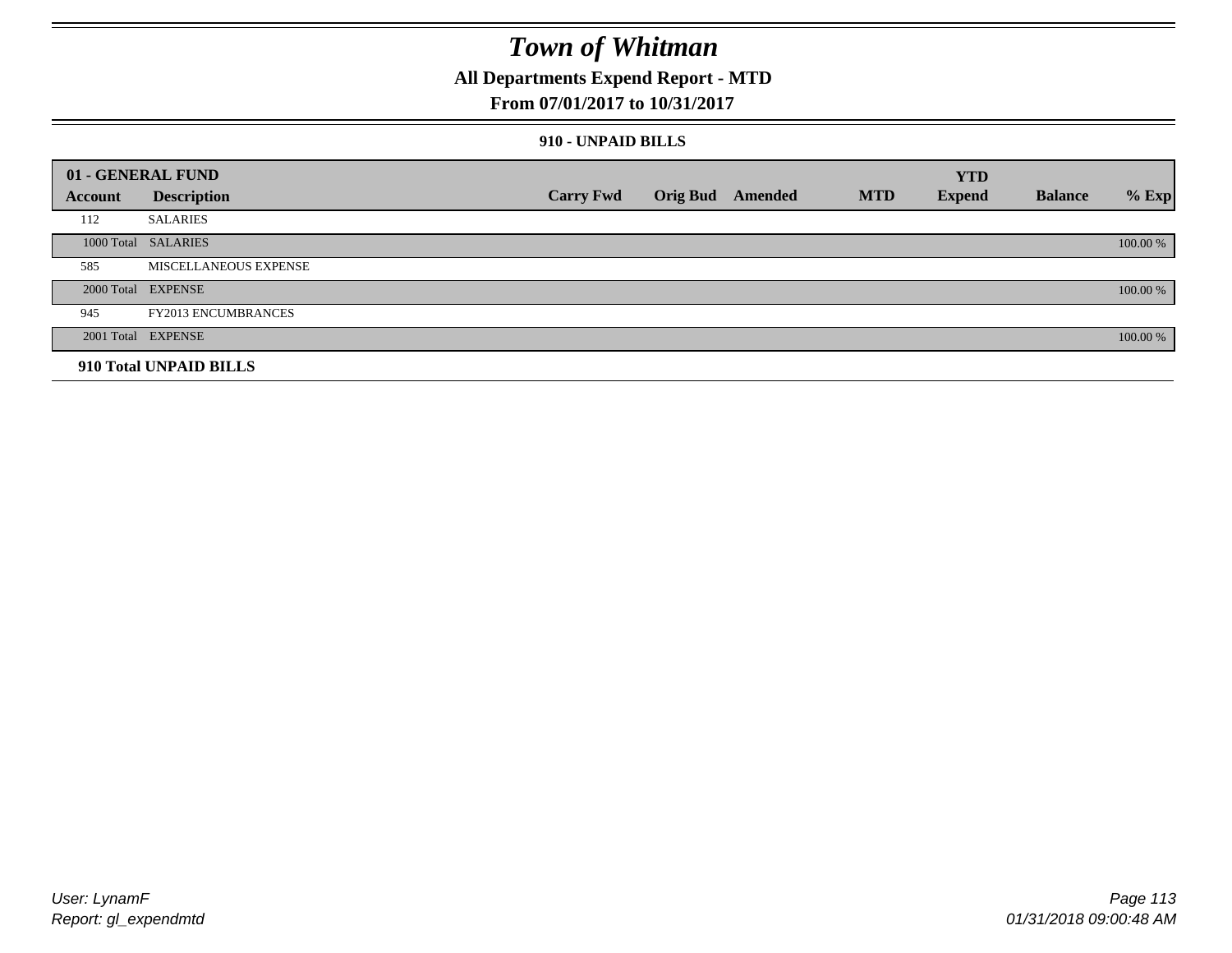### **All Departments Expend Report - MTD**

#### **From 07/01/2017 to 10/31/2017**

#### **910 - UNPAID BILLS**

|         | 01 - GENERAL FUND            |                  |                  |            | <b>YTD</b>    |                |          |
|---------|------------------------------|------------------|------------------|------------|---------------|----------------|----------|
| Account | <b>Description</b>           | <b>Carry Fwd</b> | Orig Bud Amended | <b>MTD</b> | <b>Expend</b> | <b>Balance</b> | $%$ Exp  |
| 112     | <b>SALARIES</b>              |                  |                  |            |               |                |          |
|         | 1000 Total SALARIES          |                  |                  |            |               |                | 100.00 % |
| 585     | <b>MISCELLANEOUS EXPENSE</b> |                  |                  |            |               |                |          |
|         | 2000 Total EXPENSE           |                  |                  |            |               |                | 100.00 % |
| 945     | <b>FY2013 ENCUMBRANCES</b>   |                  |                  |            |               |                |          |
|         | 2001 Total EXPENSE           |                  |                  |            |               |                | 100.00 % |
|         | 910 Total UNPAID BILLS       |                  |                  |            |               |                |          |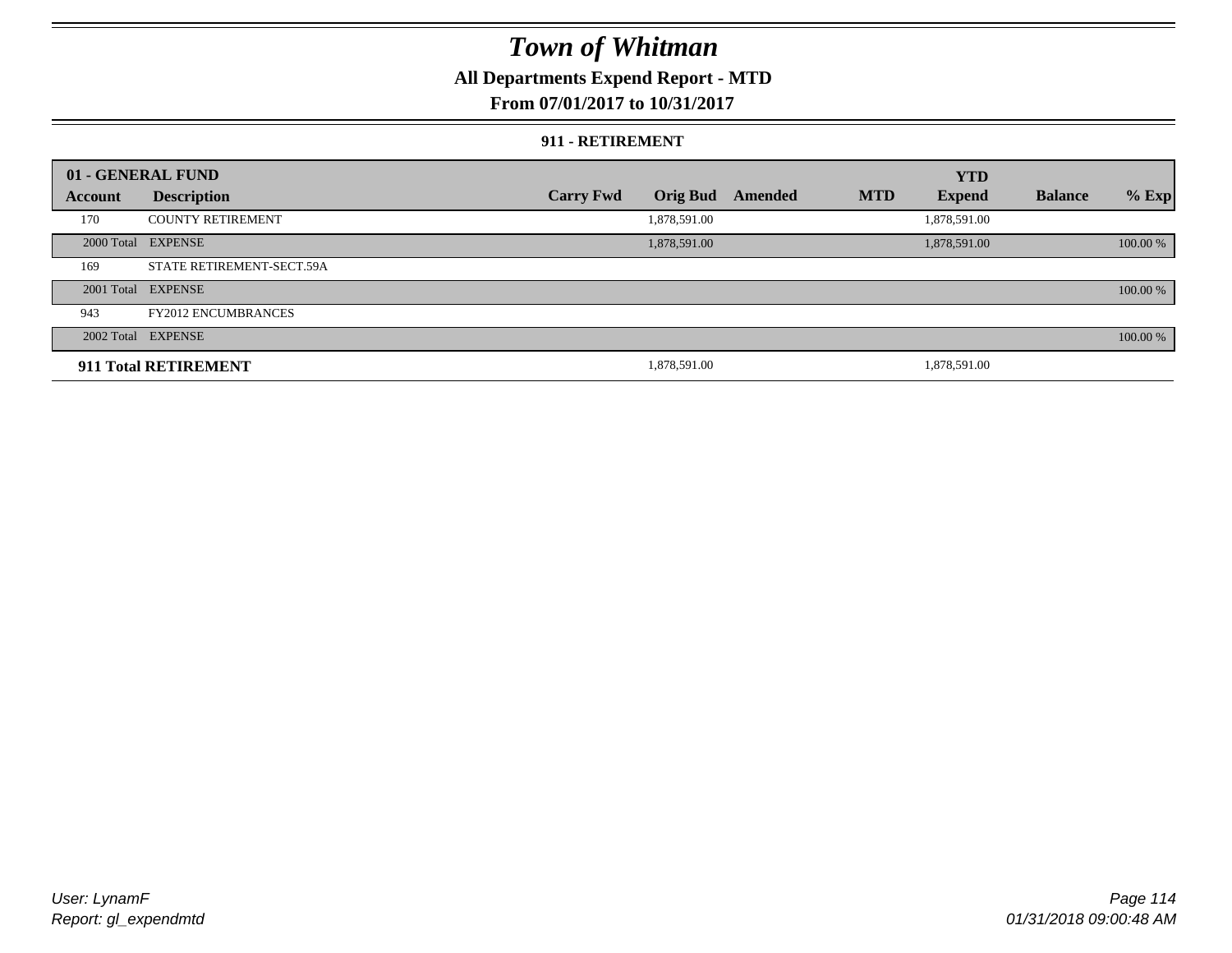### **All Departments Expend Report - MTD**

#### **From 07/01/2017 to 10/31/2017**

#### **911 - RETIREMENT**

|         | 01 - GENERAL FUND          |                  |                 |         |            | <b>YTD</b>    |                |          |
|---------|----------------------------|------------------|-----------------|---------|------------|---------------|----------------|----------|
| Account | <b>Description</b>         | <b>Carry Fwd</b> | <b>Orig Bud</b> | Amended | <b>MTD</b> | <b>Expend</b> | <b>Balance</b> | $%$ Exp  |
| 170     | <b>COUNTY RETIREMENT</b>   |                  | 1,878,591.00    |         |            | 1,878,591.00  |                |          |
|         | 2000 Total EXPENSE         |                  | 1,878,591.00    |         |            | 1,878,591.00  |                | 100.00 % |
| 169     | STATE RETIREMENT-SECT.59A  |                  |                 |         |            |               |                |          |
|         | 2001 Total EXPENSE         |                  |                 |         |            |               |                | 100.00 % |
| 943     | <b>FY2012 ENCUMBRANCES</b> |                  |                 |         |            |               |                |          |
|         | 2002 Total EXPENSE         |                  |                 |         |            |               |                | 100.00 % |
|         | 911 Total RETIREMENT       |                  | 1,878,591.00    |         |            | 1,878,591.00  |                |          |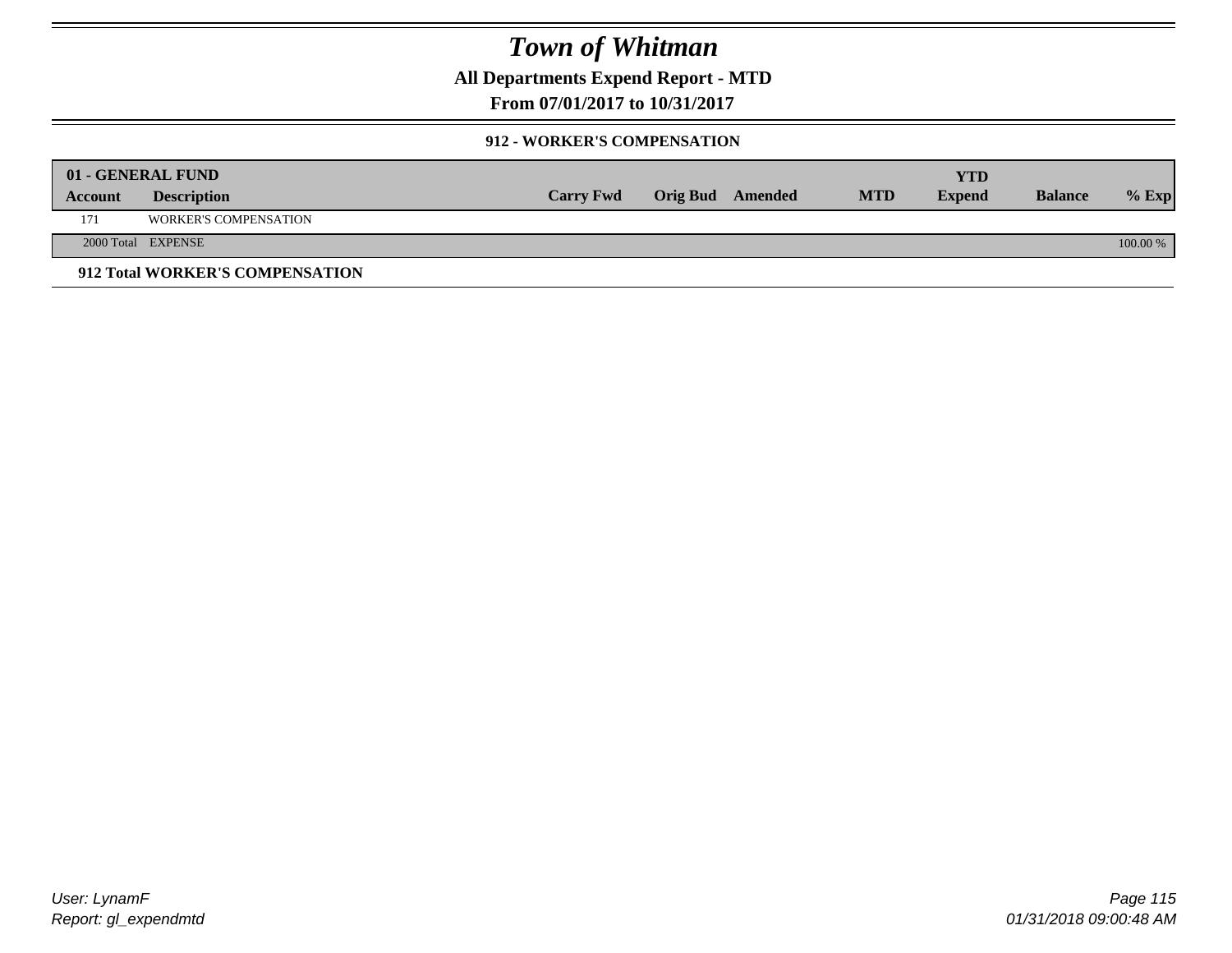**All Departments Expend Report - MTD**

**From 07/01/2017 to 10/31/2017**

#### **912 - WORKER'S COMPENSATION**

|         | 01 - GENERAL FUND               |                  |                  |            | <b>YTD</b>    |                |          |
|---------|---------------------------------|------------------|------------------|------------|---------------|----------------|----------|
| Account | <b>Description</b>              | <b>Carry Fwd</b> | Orig Bud Amended | <b>MTD</b> | <b>Expend</b> | <b>Balance</b> | $%$ Exp  |
| 171     | <b>WORKER'S COMPENSATION</b>    |                  |                  |            |               |                |          |
|         | 2000 Total EXPENSE              |                  |                  |            |               |                | 100.00 % |
|         | 912 Total WORKER'S COMPENSATION |                  |                  |            |               |                |          |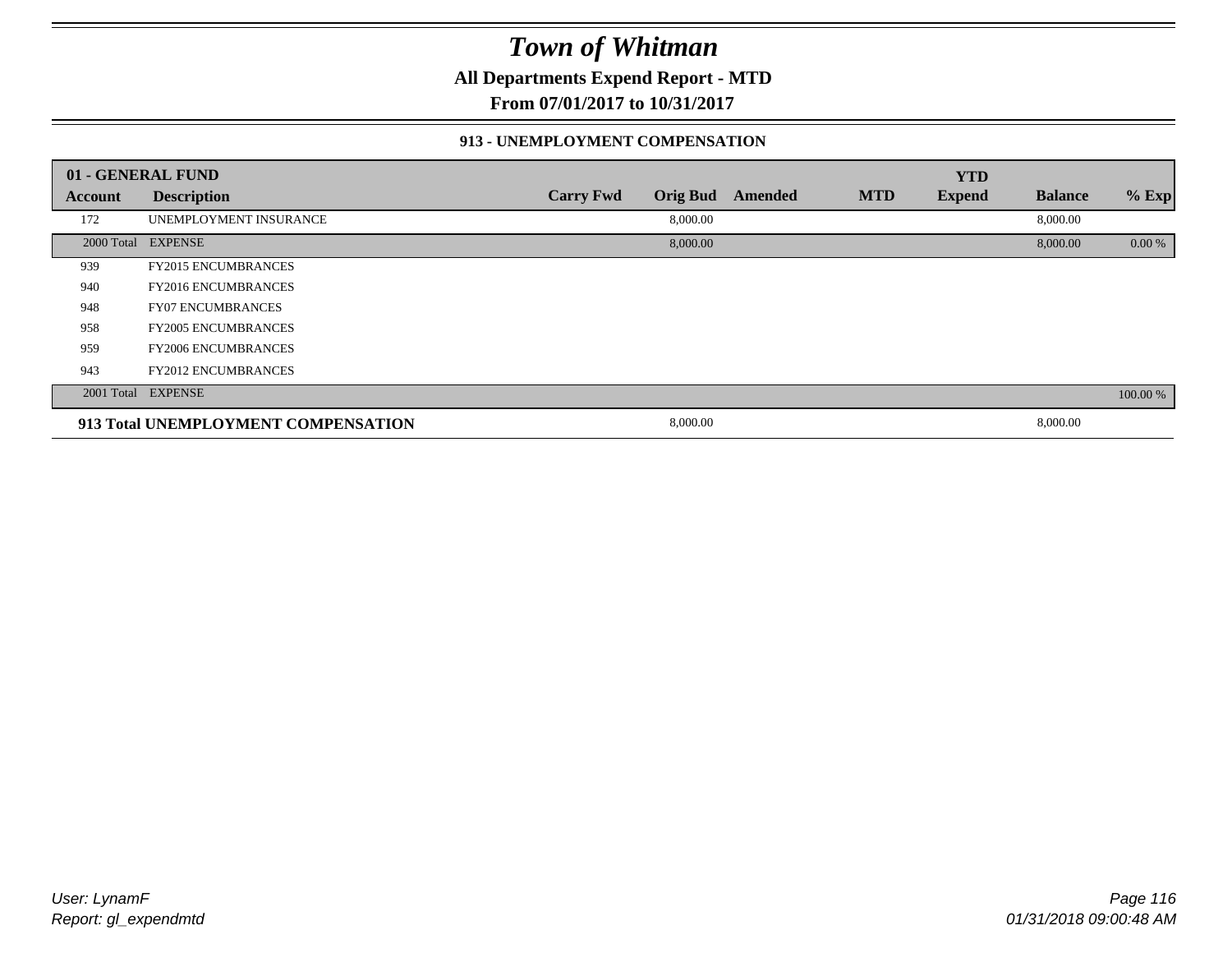**All Departments Expend Report - MTD**

**From 07/01/2017 to 10/31/2017**

#### **913 - UNEMPLOYMENT COMPENSATION**

|         | 01 - GENERAL FUND                   |                  |                 |         |            | <b>YTD</b>    |                |          |
|---------|-------------------------------------|------------------|-----------------|---------|------------|---------------|----------------|----------|
| Account | <b>Description</b>                  | <b>Carry Fwd</b> | <b>Orig Bud</b> | Amended | <b>MTD</b> | <b>Expend</b> | <b>Balance</b> | % Exp    |
| 172     | UNEMPLOYMENT INSURANCE              |                  | 8,000.00        |         |            |               | 8,000.00       |          |
|         | 2000 Total EXPENSE                  |                  | 8,000.00        |         |            |               | 8,000.00       | 0.00 %   |
| 939     | <b>FY2015 ENCUMBRANCES</b>          |                  |                 |         |            |               |                |          |
| 940     | <b>FY2016 ENCUMBRANCES</b>          |                  |                 |         |            |               |                |          |
| 948     | <b>FY07 ENCUMBRANCES</b>            |                  |                 |         |            |               |                |          |
| 958     | <b>FY2005 ENCUMBRANCES</b>          |                  |                 |         |            |               |                |          |
| 959     | <b>FY2006 ENCUMBRANCES</b>          |                  |                 |         |            |               |                |          |
| 943     | <b>FY2012 ENCUMBRANCES</b>          |                  |                 |         |            |               |                |          |
|         | 2001 Total EXPENSE                  |                  |                 |         |            |               |                | 100.00 % |
|         | 913 Total UNEMPLOYMENT COMPENSATION |                  | 8,000.00        |         |            |               | 8,000.00       |          |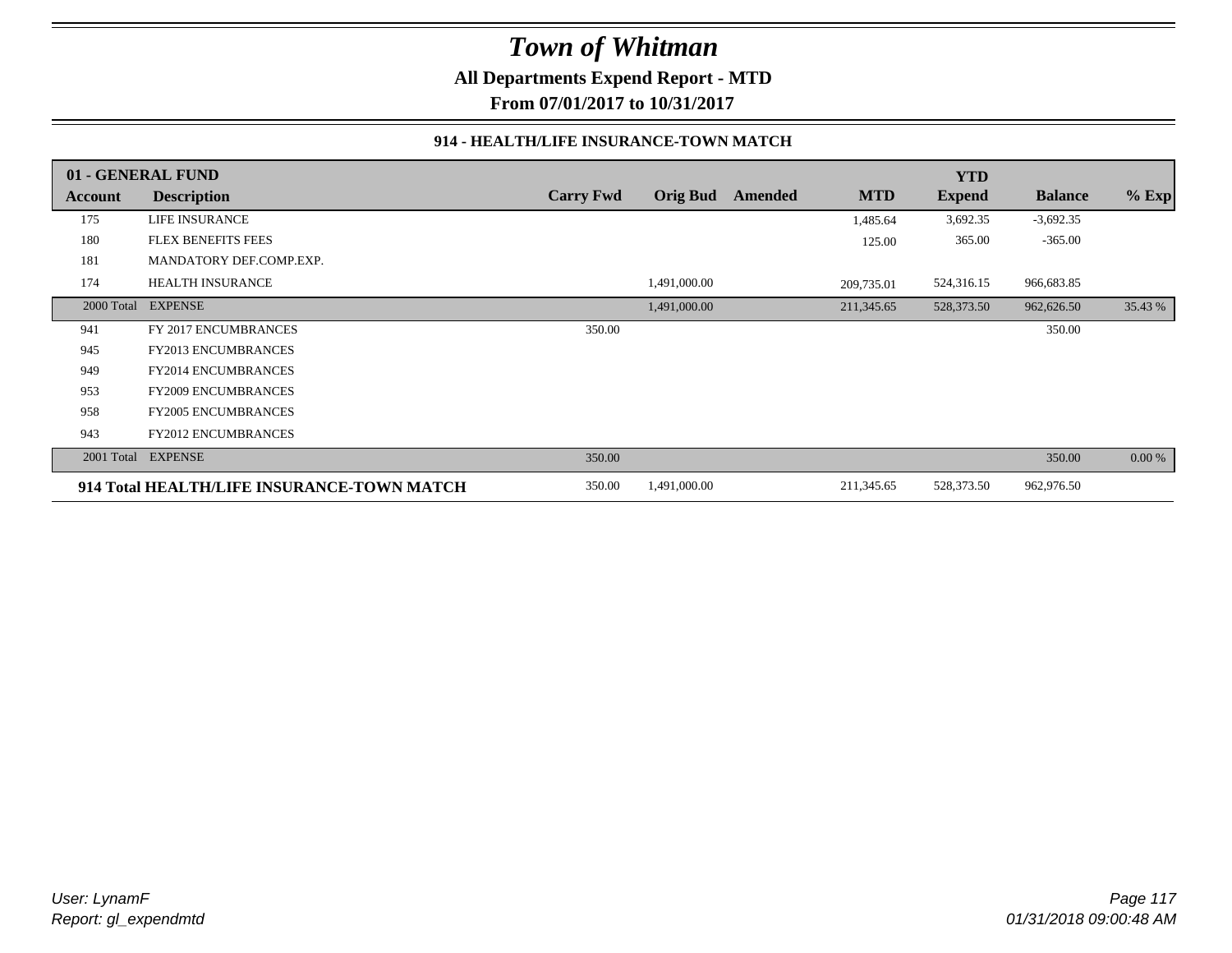**All Departments Expend Report - MTD**

**From 07/01/2017 to 10/31/2017**

#### **914 - HEALTH/LIFE INSURANCE-TOWN MATCH**

|            | 01 - GENERAL FUND                          |                  |                 |         |            | <b>YTD</b>    |                |         |
|------------|--------------------------------------------|------------------|-----------------|---------|------------|---------------|----------------|---------|
| Account    | <b>Description</b>                         | <b>Carry Fwd</b> | <b>Orig Bud</b> | Amended | <b>MTD</b> | <b>Expend</b> | <b>Balance</b> | $%$ Exp |
| 175        | LIFE INSURANCE                             |                  |                 |         | 1,485.64   | 3,692.35      | $-3,692.35$    |         |
| 180        | <b>FLEX BENEFITS FEES</b>                  |                  |                 |         | 125.00     | 365.00        | $-365.00$      |         |
| 181        | MANDATORY DEF.COMP.EXP.                    |                  |                 |         |            |               |                |         |
| 174        | <b>HEALTH INSURANCE</b>                    |                  | 1,491,000.00    |         | 209,735.01 | 524,316.15    | 966,683.85     |         |
| 2000 Total | <b>EXPENSE</b>                             |                  | 1,491,000.00    |         | 211,345.65 | 528,373.50    | 962,626.50     | 35.43 % |
| 941        | FY 2017 ENCUMBRANCES                       | 350.00           |                 |         |            |               | 350.00         |         |
| 945        | FY2013 ENCUMBRANCES                        |                  |                 |         |            |               |                |         |
| 949        | <b>FY2014 ENCUMBRANCES</b>                 |                  |                 |         |            |               |                |         |
| 953        | FY2009 ENCUMBRANCES                        |                  |                 |         |            |               |                |         |
| 958        | <b>FY2005 ENCUMBRANCES</b>                 |                  |                 |         |            |               |                |         |
| 943        | <b>FY2012 ENCUMBRANCES</b>                 |                  |                 |         |            |               |                |         |
| 2001 Total | <b>EXPENSE</b>                             | 350.00           |                 |         |            |               | 350.00         | 0.00 %  |
|            | 914 Total HEALTH/LIFE INSURANCE-TOWN MATCH | 350.00           | 1,491,000.00    |         | 211,345.65 | 528,373.50    | 962,976.50     |         |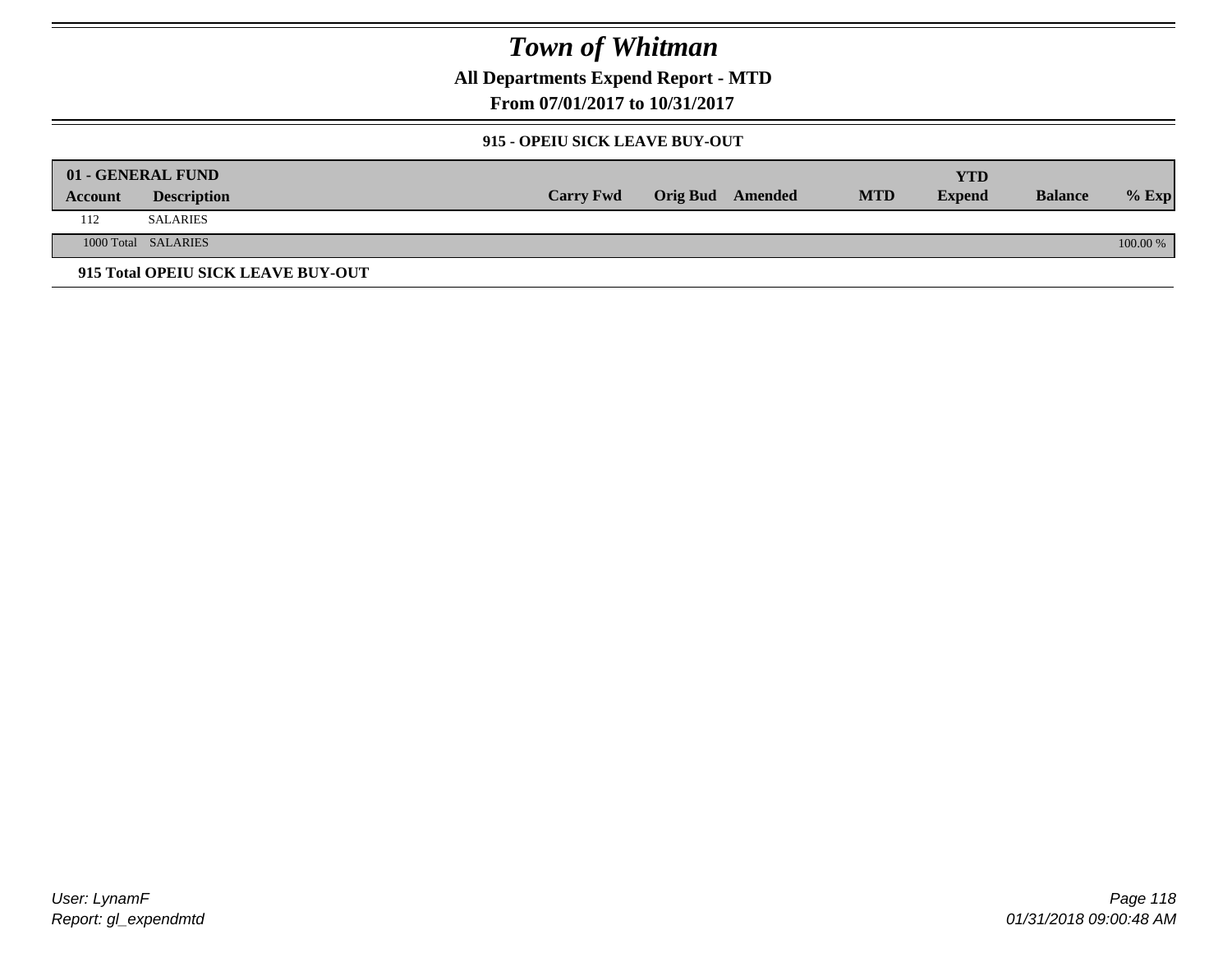**All Departments Expend Report - MTD**

**From 07/01/2017 to 10/31/2017**

#### **915 - OPEIU SICK LEAVE BUY-OUT**

|         | 01 - GENERAL FUND                  |                  |                  |            | YTD           |                |            |
|---------|------------------------------------|------------------|------------------|------------|---------------|----------------|------------|
| Account | <b>Description</b>                 | <b>Carry Fwd</b> | Orig Bud Amended | <b>MTD</b> | <b>Expend</b> | <b>Balance</b> | $%$ Exp    |
| 112     | <b>SALARIES</b>                    |                  |                  |            |               |                |            |
|         | 1000 Total SALARIES                |                  |                  |            |               |                | $100.00\%$ |
|         | 915 Total OPEIU SICK LEAVE BUY-OUT |                  |                  |            |               |                |            |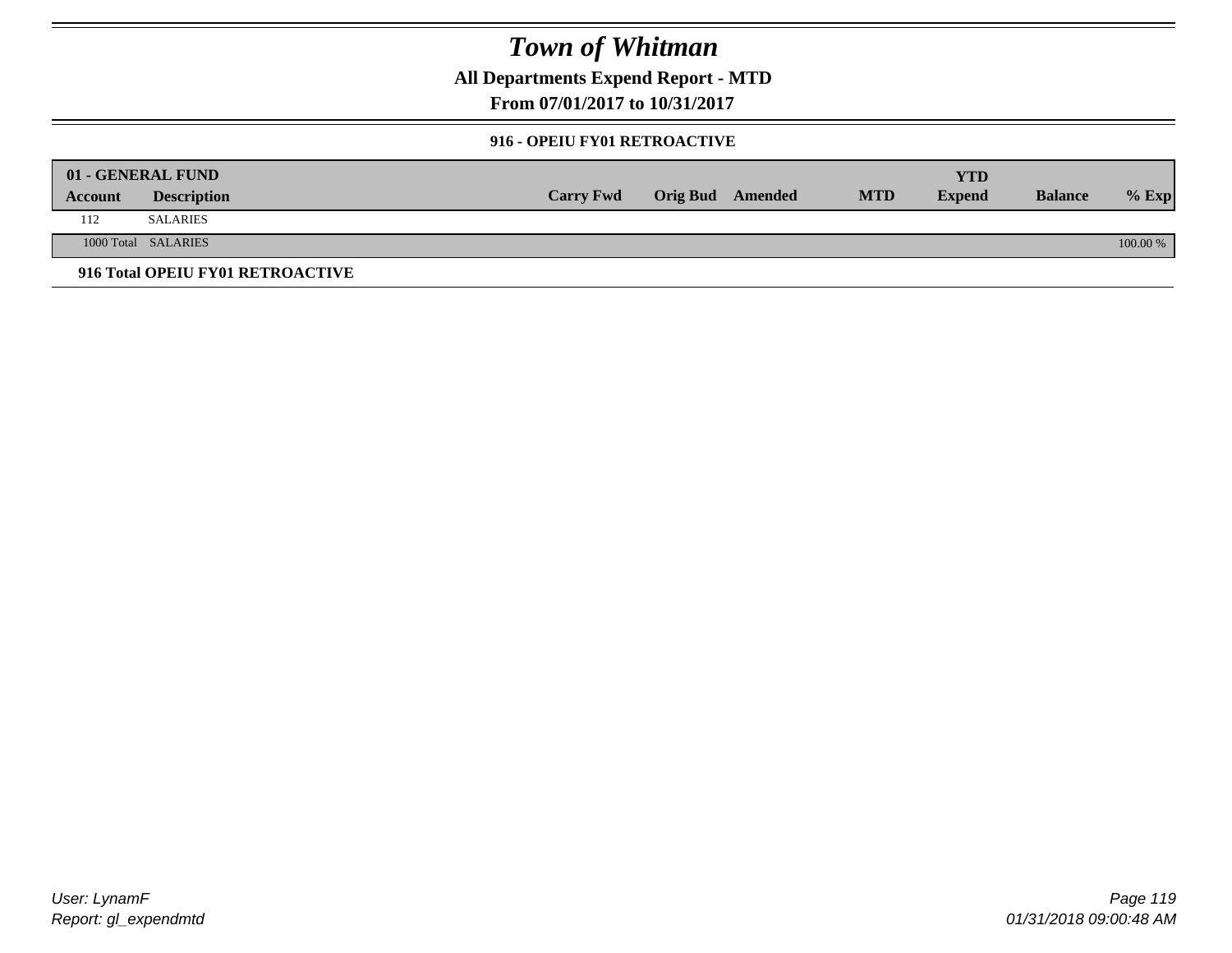**All Departments Expend Report - MTD**

**From 07/01/2017 to 10/31/2017**

#### **916 - OPEIU FY01 RETROACTIVE**

|         | 01 - GENERAL FUND                |                  |                         |            | YTD           |                |          |
|---------|----------------------------------|------------------|-------------------------|------------|---------------|----------------|----------|
| Account | <b>Description</b>               | <b>Carry Fwd</b> | <b>Orig Bud</b> Amended | <b>MTD</b> | <b>Expend</b> | <b>Balance</b> | $%$ Exp  |
| 112     | <b>SALARIES</b>                  |                  |                         |            |               |                |          |
|         | 1000 Total SALARIES              |                  |                         |            |               |                | 100.00 % |
|         | 916 Total OPEIU FY01 RETROACTIVE |                  |                         |            |               |                |          |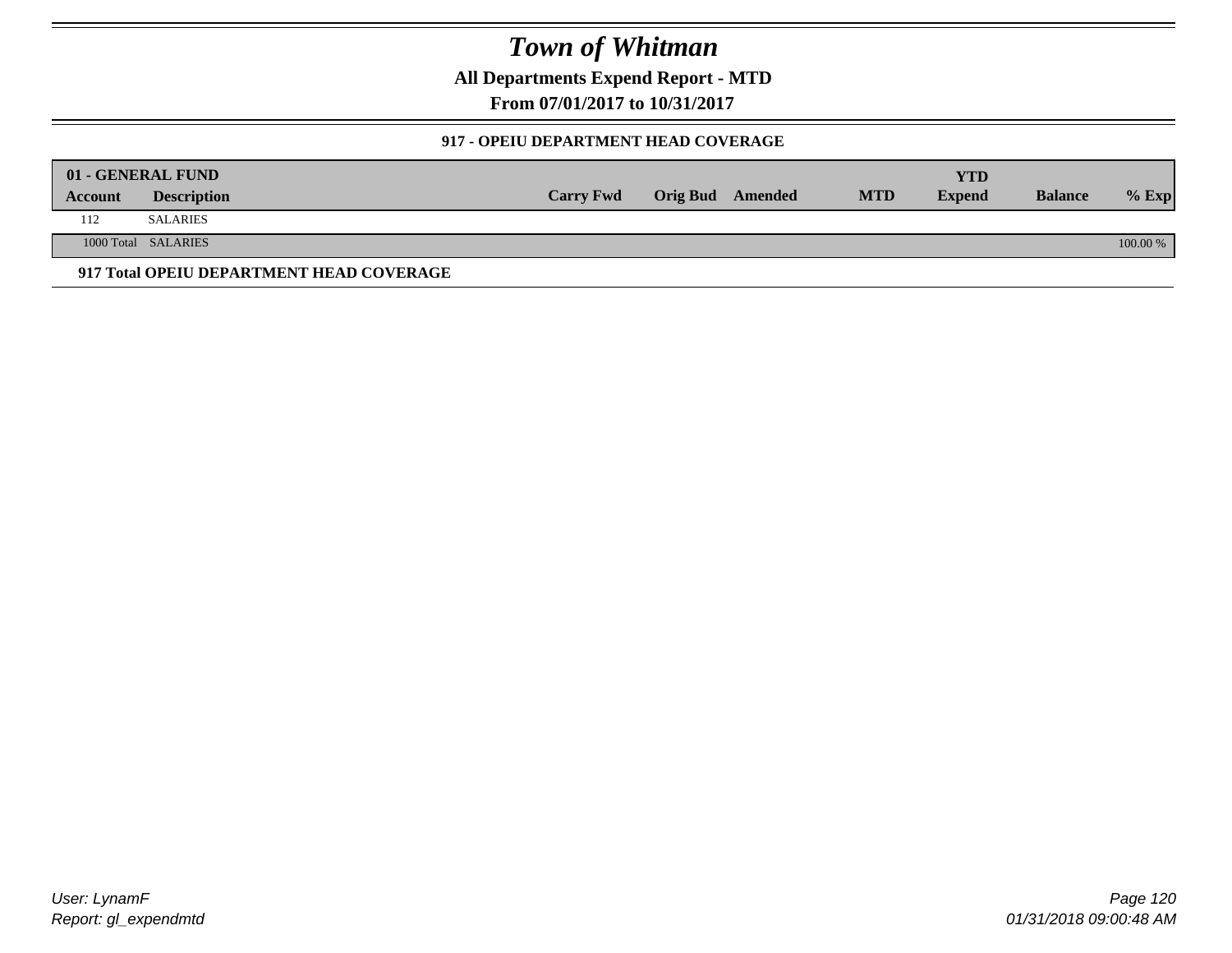**All Departments Expend Report - MTD**

**From 07/01/2017 to 10/31/2017**

#### **917 - OPEIU DEPARTMENT HEAD COVERAGE**

|         | 01 - GENERAL FUND                        |                  |                         |            | YTD           |                |          |
|---------|------------------------------------------|------------------|-------------------------|------------|---------------|----------------|----------|
| Account | <b>Description</b>                       | <b>Carry Fwd</b> | <b>Orig Bud</b> Amended | <b>MTD</b> | <b>Expend</b> | <b>Balance</b> | $%$ Exp  |
| 112     | <b>SALARIES</b>                          |                  |                         |            |               |                |          |
|         | 1000 Total SALARIES                      |                  |                         |            |               |                | 100.00 % |
|         | 917 Total OPEIU DEPARTMENT HEAD COVERAGE |                  |                         |            |               |                |          |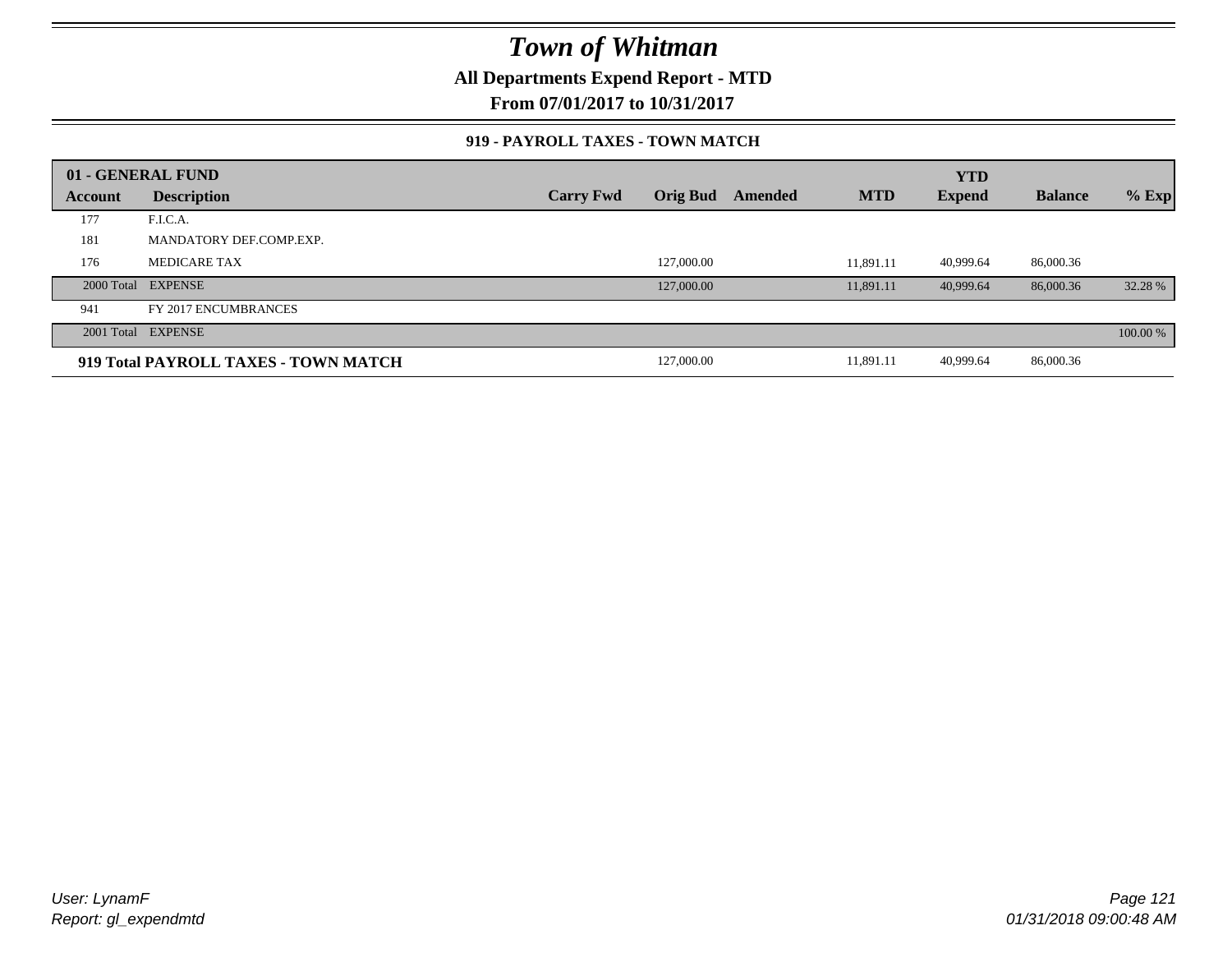**All Departments Expend Report - MTD**

**From 07/01/2017 to 10/31/2017**

#### **919 - PAYROLL TAXES - TOWN MATCH**

|         | 01 - GENERAL FUND                    |                  |                 |         |            | <b>YTD</b>    |                |          |
|---------|--------------------------------------|------------------|-----------------|---------|------------|---------------|----------------|----------|
| Account | <b>Description</b>                   | <b>Carry Fwd</b> | <b>Orig Bud</b> | Amended | <b>MTD</b> | <b>Expend</b> | <b>Balance</b> | $%$ Exp  |
| 177     | F.I.C.A.                             |                  |                 |         |            |               |                |          |
| 181     | MANDATORY DEF.COMP.EXP.              |                  |                 |         |            |               |                |          |
| 176     | <b>MEDICARE TAX</b>                  |                  | 127,000.00      |         | 11.891.11  | 40,999.64     | 86,000.36      |          |
|         | 2000 Total EXPENSE                   |                  | 127,000.00      |         | 11.891.11  | 40.999.64     | 86,000.36      | 32.28 %  |
| 941     | FY 2017 ENCUMBRANCES                 |                  |                 |         |            |               |                |          |
|         | 2001 Total EXPENSE                   |                  |                 |         |            |               |                | 100.00 % |
|         | 919 Total PAYROLL TAXES - TOWN MATCH |                  | 127,000.00      |         | 11,891.11  | 40,999.64     | 86,000.36      |          |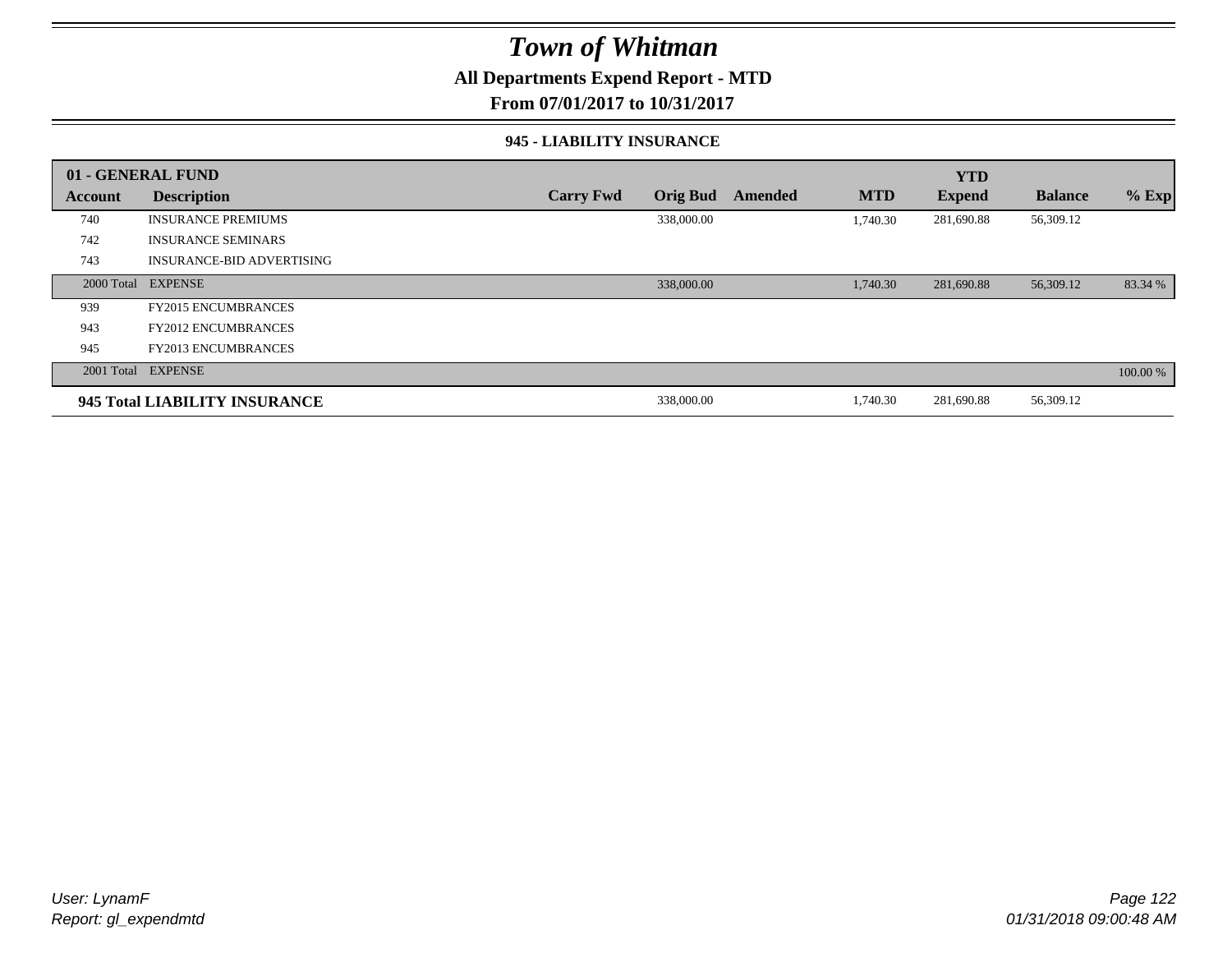### **All Departments Expend Report - MTD**

**From 07/01/2017 to 10/31/2017**

#### **945 - LIABILITY INSURANCE**

|                | 01 - GENERAL FUND                |                  |                 |         |            | <b>YTD</b>    |                |          |
|----------------|----------------------------------|------------------|-----------------|---------|------------|---------------|----------------|----------|
| <b>Account</b> | <b>Description</b>               | <b>Carry Fwd</b> | <b>Orig Bud</b> | Amended | <b>MTD</b> | <b>Expend</b> | <b>Balance</b> | $%$ Exp  |
| 740            | <b>INSURANCE PREMIUMS</b>        |                  | 338,000.00      |         | 1.740.30   | 281,690.88    | 56,309.12      |          |
| 742            | <b>INSURANCE SEMINARS</b>        |                  |                 |         |            |               |                |          |
| 743            | <b>INSURANCE-BID ADVERTISING</b> |                  |                 |         |            |               |                |          |
|                | 2000 Total EXPENSE               |                  | 338,000.00      |         | 1,740.30   | 281,690.88    | 56,309.12      | 83.34 %  |
| 939            | <b>FY2015 ENCUMBRANCES</b>       |                  |                 |         |            |               |                |          |
| 943            | <b>FY2012 ENCUMBRANCES</b>       |                  |                 |         |            |               |                |          |
| 945            | <b>FY2013 ENCUMBRANCES</b>       |                  |                 |         |            |               |                |          |
|                | 2001 Total EXPENSE               |                  |                 |         |            |               |                | 100.00 % |
|                | 945 Total LIABILITY INSURANCE    |                  | 338,000.00      |         | 1,740.30   | 281,690.88    | 56,309.12      |          |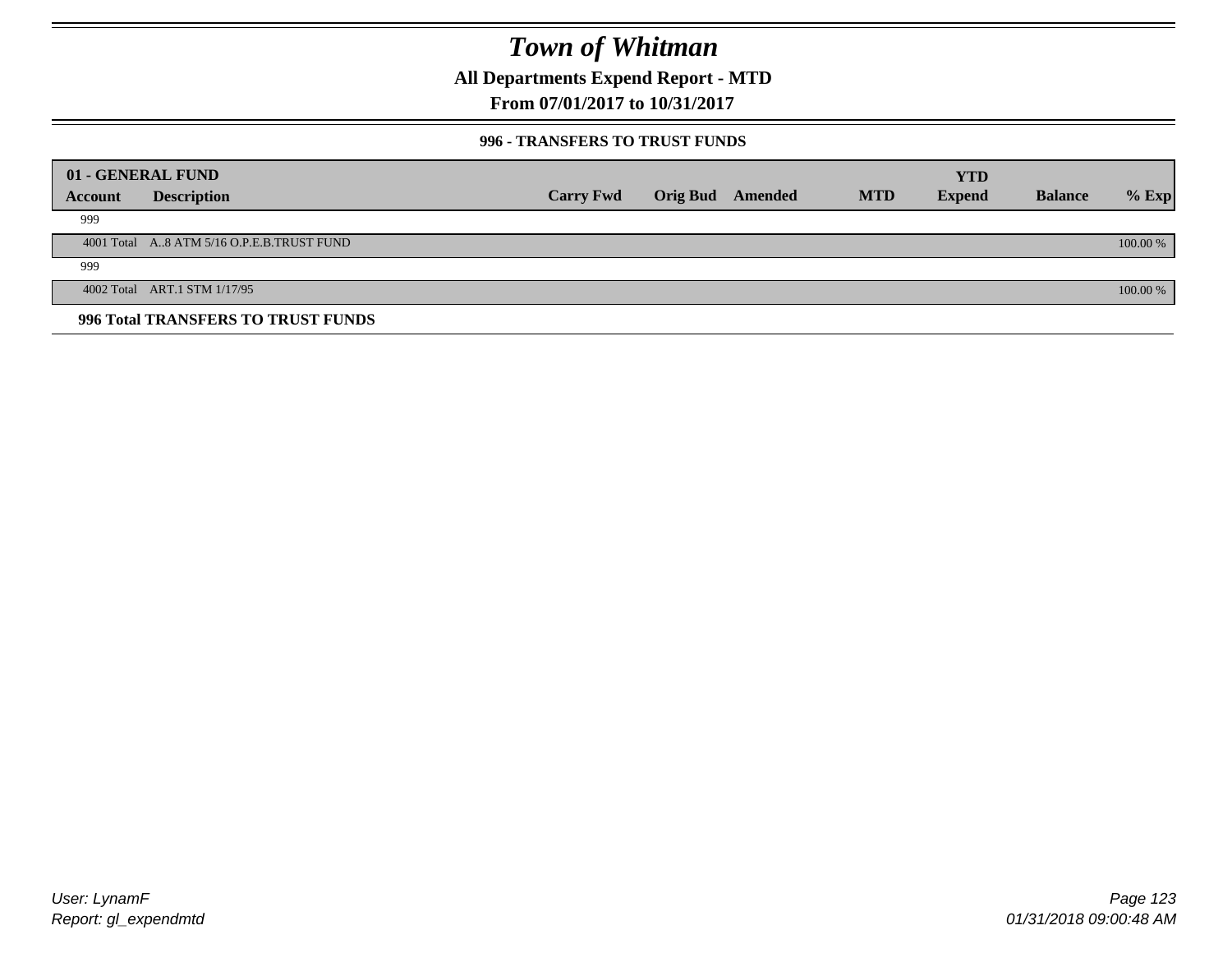**All Departments Expend Report - MTD**

**From 07/01/2017 to 10/31/2017**

#### **996 - TRANSFERS TO TRUST FUNDS**

|         | 01 - GENERAL FUND                         |                  |                 |         |            | <b>YTD</b>    |                |            |
|---------|-------------------------------------------|------------------|-----------------|---------|------------|---------------|----------------|------------|
|         |                                           |                  |                 |         |            |               |                |            |
| Account | <b>Description</b>                        | <b>Carry Fwd</b> | <b>Orig Bud</b> | Amended | <b>MTD</b> | <b>Expend</b> | <b>Balance</b> | $%$ Exp    |
| 999     |                                           |                  |                 |         |            |               |                |            |
|         | 4001 Total A8 ATM 5/16 O.P.E.B.TRUST FUND |                  |                 |         |            |               |                | $100.00\%$ |
| 999     |                                           |                  |                 |         |            |               |                |            |
|         | 4002 Total ART.1 STM 1/17/95              |                  |                 |         |            |               |                | 100.00 %   |
|         | 996 Total TRANSFERS TO TRUST FUNDS        |                  |                 |         |            |               |                |            |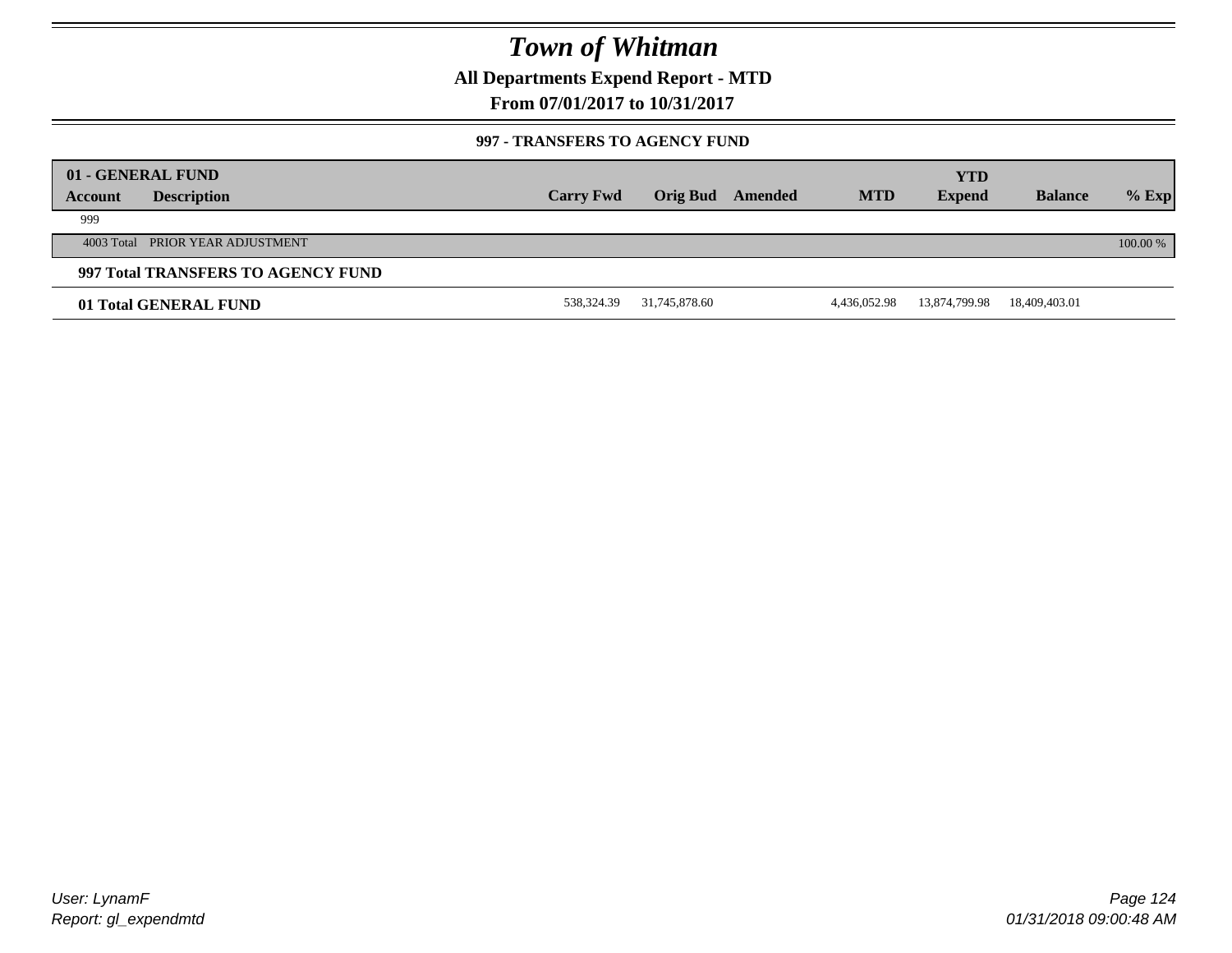**All Departments Expend Report - MTD**

**From 07/01/2017 to 10/31/2017**

#### **997 - TRANSFERS TO AGENCY FUND**

|         | 01 - GENERAL FUND                  |                  |                 |         |              | <b>YTD</b>    |                |            |
|---------|------------------------------------|------------------|-----------------|---------|--------------|---------------|----------------|------------|
| Account | <b>Description</b>                 | <b>Carry Fwd</b> | <b>Orig Bud</b> | Amended | <b>MTD</b>   | <b>Expend</b> | <b>Balance</b> | $%$ Exp    |
| 999     |                                    |                  |                 |         |              |               |                |            |
|         | 4003 Total PRIOR YEAR ADJUSTMENT   |                  |                 |         |              |               |                | $100.00\%$ |
|         | 997 Total TRANSFERS TO AGENCY FUND |                  |                 |         |              |               |                |            |
|         | 01 Total GENERAL FUND              | 538,324.39       | 31,745,878.60   |         | 4,436,052.98 | 13,874,799.98 | 18,409,403.01  |            |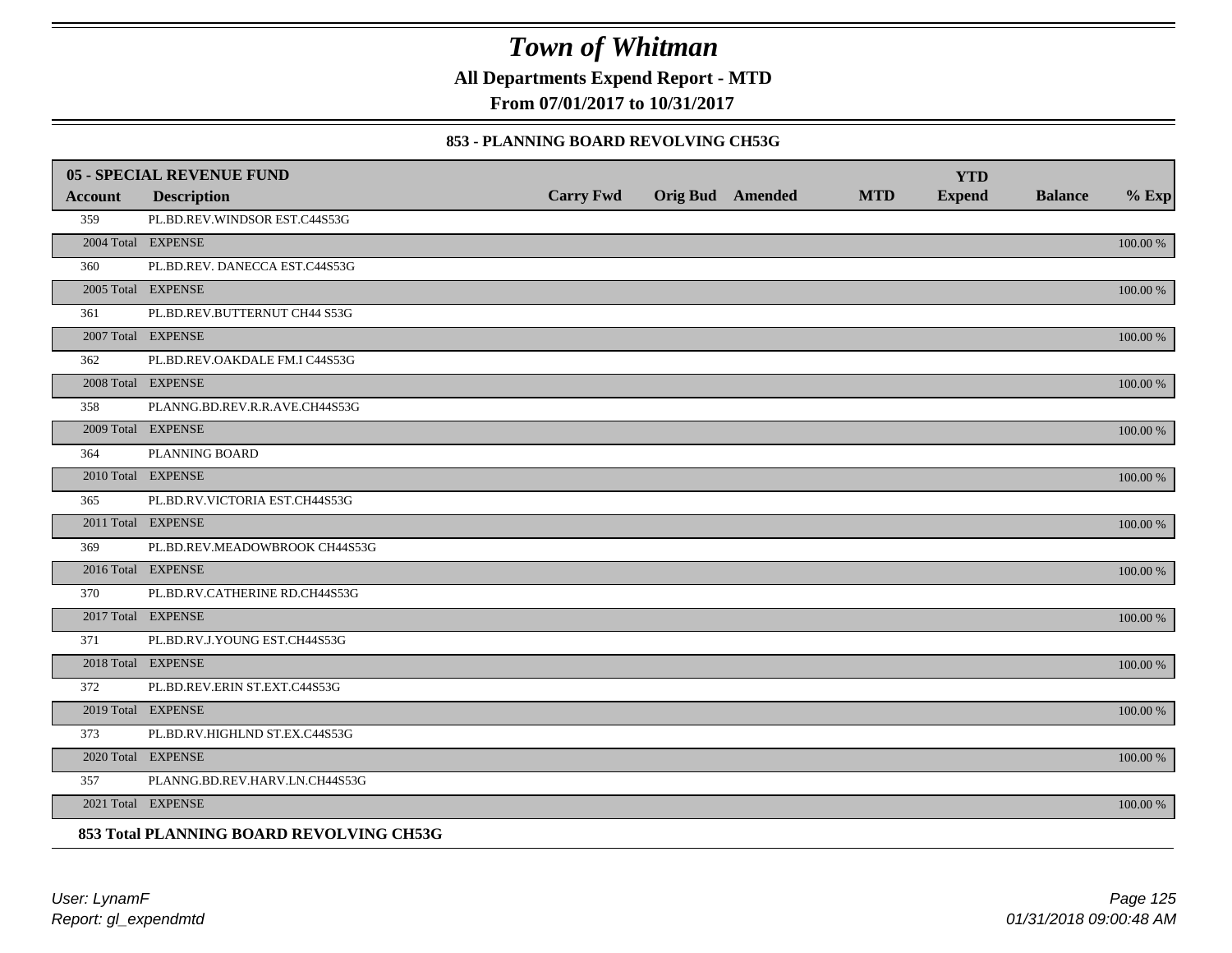**All Departments Expend Report - MTD**

**From 07/01/2017 to 10/31/2017**

#### **853 - PLANNING BOARD REVOLVING CH53G**

|         | <b>05 - SPECIAL REVENUE FUND</b>         |                  |                  |            | <b>YTD</b>    |                |             |
|---------|------------------------------------------|------------------|------------------|------------|---------------|----------------|-------------|
| Account | <b>Description</b>                       | <b>Carry Fwd</b> | Orig Bud Amended | <b>MTD</b> | <b>Expend</b> | <b>Balance</b> | $%$ Exp     |
| 359     | PL.BD.REV.WINDSOR EST.C44S53G            |                  |                  |            |               |                |             |
|         | 2004 Total EXPENSE                       |                  |                  |            |               |                | 100.00 %    |
| 360     | PL.BD.REV. DANECCA EST.C44S53G           |                  |                  |            |               |                |             |
|         | 2005 Total EXPENSE                       |                  |                  |            |               |                | 100.00 %    |
| 361     | PL.BD.REV.BUTTERNUT CH44 S53G            |                  |                  |            |               |                |             |
|         | 2007 Total EXPENSE                       |                  |                  |            |               |                | 100.00 %    |
| 362     | PL.BD.REV.OAKDALE FM.I C44S53G           |                  |                  |            |               |                |             |
|         | 2008 Total EXPENSE                       |                  |                  |            |               |                | $100.00~\%$ |
| 358     | PLANNG.BD.REV.R.R.AVE.CH44S53G           |                  |                  |            |               |                |             |
|         | 2009 Total EXPENSE                       |                  |                  |            |               |                | 100.00 %    |
| 364     | PLANNING BOARD                           |                  |                  |            |               |                |             |
|         | 2010 Total EXPENSE                       |                  |                  |            |               |                | $100.00~\%$ |
| 365     | PL.BD.RV.VICTORIA EST.CH44S53G           |                  |                  |            |               |                |             |
|         | 2011 Total EXPENSE                       |                  |                  |            |               |                | 100.00 %    |
| 369     | PL.BD.REV.MEADOWBROOK CH44S53G           |                  |                  |            |               |                |             |
|         | 2016 Total EXPENSE                       |                  |                  |            |               |                | 100.00 %    |
| 370     | PL.BD.RV.CATHERINE RD.CH44S53G           |                  |                  |            |               |                |             |
|         | 2017 Total EXPENSE                       |                  |                  |            |               |                | 100.00 %    |
| 371     | PL.BD.RV.J.YOUNG EST.CH44S53G            |                  |                  |            |               |                |             |
|         | 2018 Total EXPENSE                       |                  |                  |            |               |                | $100.00~\%$ |
| 372     | PL.BD.REV.ERIN ST.EXT.C44S53G            |                  |                  |            |               |                |             |
|         | 2019 Total EXPENSE                       |                  |                  |            |               |                | 100.00 %    |
| 373     | PL.BD.RV.HIGHLND ST.EX.C44S53G           |                  |                  |            |               |                |             |
|         | 2020 Total EXPENSE                       |                  |                  |            |               |                | 100.00 %    |
| 357     | PLANNG.BD.REV.HARV.LN.CH44S53G           |                  |                  |            |               |                |             |
|         | 2021 Total EXPENSE                       |                  |                  |            |               |                | 100.00 %    |
|         | 853 Total PLANNING BOARD REVOLVING CH53G |                  |                  |            |               |                |             |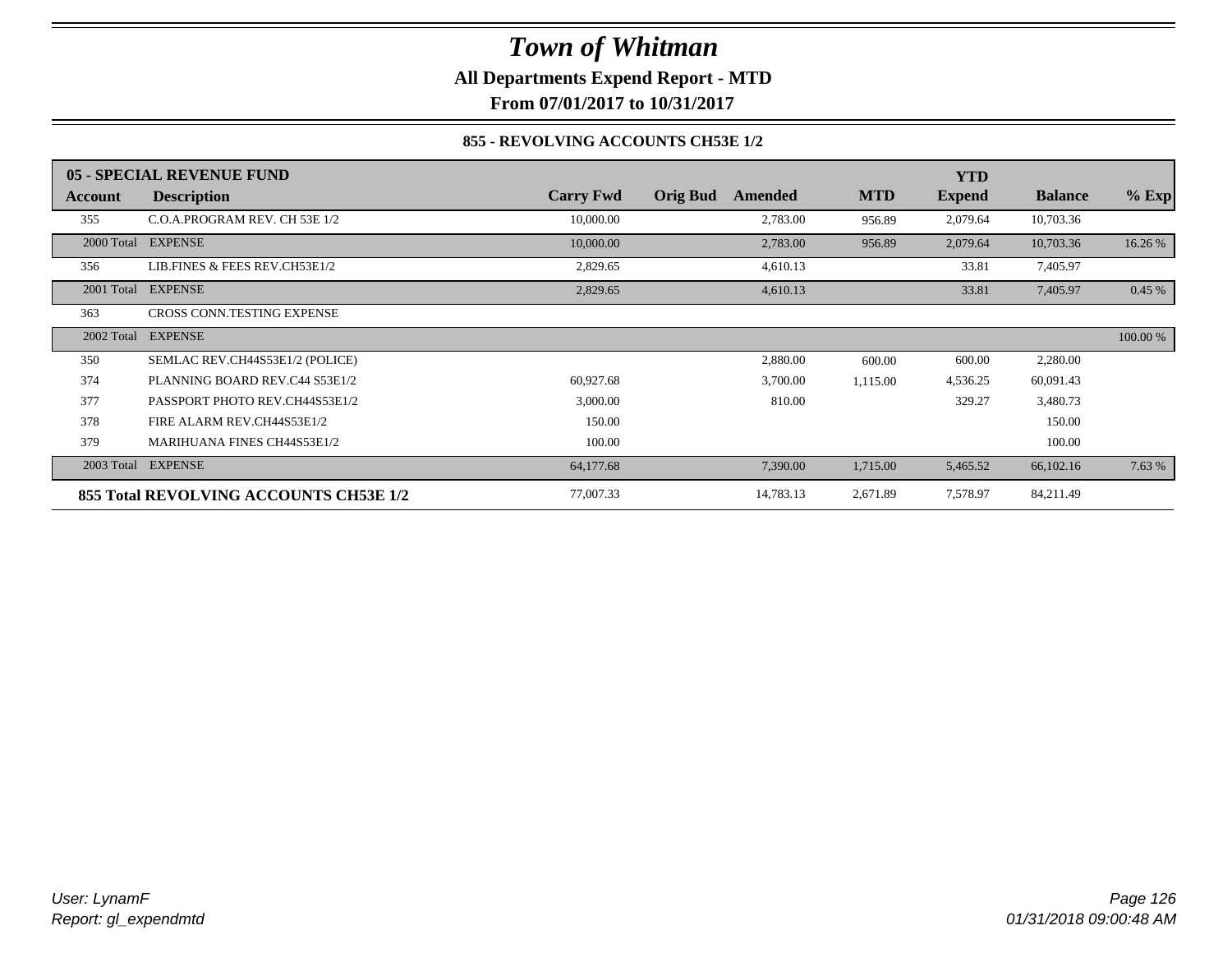**All Departments Expend Report - MTD**

**From 07/01/2017 to 10/31/2017**

#### **855 - REVOLVING ACCOUNTS CH53E 1/2**

|            | 05 - SPECIAL REVENUE FUND              |                  |                            |            | <b>YTD</b>    |                |          |
|------------|----------------------------------------|------------------|----------------------------|------------|---------------|----------------|----------|
| Account    | <b>Description</b>                     | <b>Carry Fwd</b> | <b>Orig Bud</b><br>Amended | <b>MTD</b> | <b>Expend</b> | <b>Balance</b> | $%$ Exp  |
| 355        | C.O.A.PROGRAM REV. CH 53E 1/2          | 10,000.00        | 2,783.00                   | 956.89     | 2,079.64      | 10,703.36      |          |
| 2000 Total | <b>EXPENSE</b>                         | 10,000.00        | 2,783.00                   | 956.89     | 2,079.64      | 10,703.36      | 16.26 %  |
| 356        | LIB.FINES & FEES REV.CH53E1/2          | 2,829.65         | 4,610.13                   |            | 33.81         | 7,405.97       |          |
| 2001 Total | <b>EXPENSE</b>                         | 2,829.65         | 4,610.13                   |            | 33.81         | 7,405.97       | 0.45%    |
| 363        | <b>CROSS CONN.TESTING EXPENSE</b>      |                  |                            |            |               |                |          |
| 2002 Total | <b>EXPENSE</b>                         |                  |                            |            |               |                | 100.00 % |
| 350        | SEMLAC REV.CH44S53E1/2 (POLICE)        |                  | 2,880.00                   | 600.00     | 600.00        | 2,280.00       |          |
| 374        | PLANNING BOARD REV.C44 S53E1/2         | 60,927.68        | 3,700.00                   | 1,115.00   | 4,536.25      | 60,091.43      |          |
| 377        | PASSPORT PHOTO REV.CH44S53E1/2         | 3,000.00         | 810.00                     |            | 329.27        | 3,480.73       |          |
| 378        | FIRE ALARM REV.CH44S53E1/2             | 150.00           |                            |            |               | 150.00         |          |
| 379        | <b>MARIHUANA FINES CH44S53E1/2</b>     | 100.00           |                            |            |               | 100.00         |          |
| 2003 Total | <b>EXPENSE</b>                         | 64,177.68        | 7,390.00                   | 1,715.00   | 5,465.52      | 66,102.16      | 7.63 %   |
|            | 855 Total REVOLVING ACCOUNTS CH53E 1/2 | 77,007.33        | 14,783.13                  | 2,671.89   | 7,578.97      | 84,211.49      |          |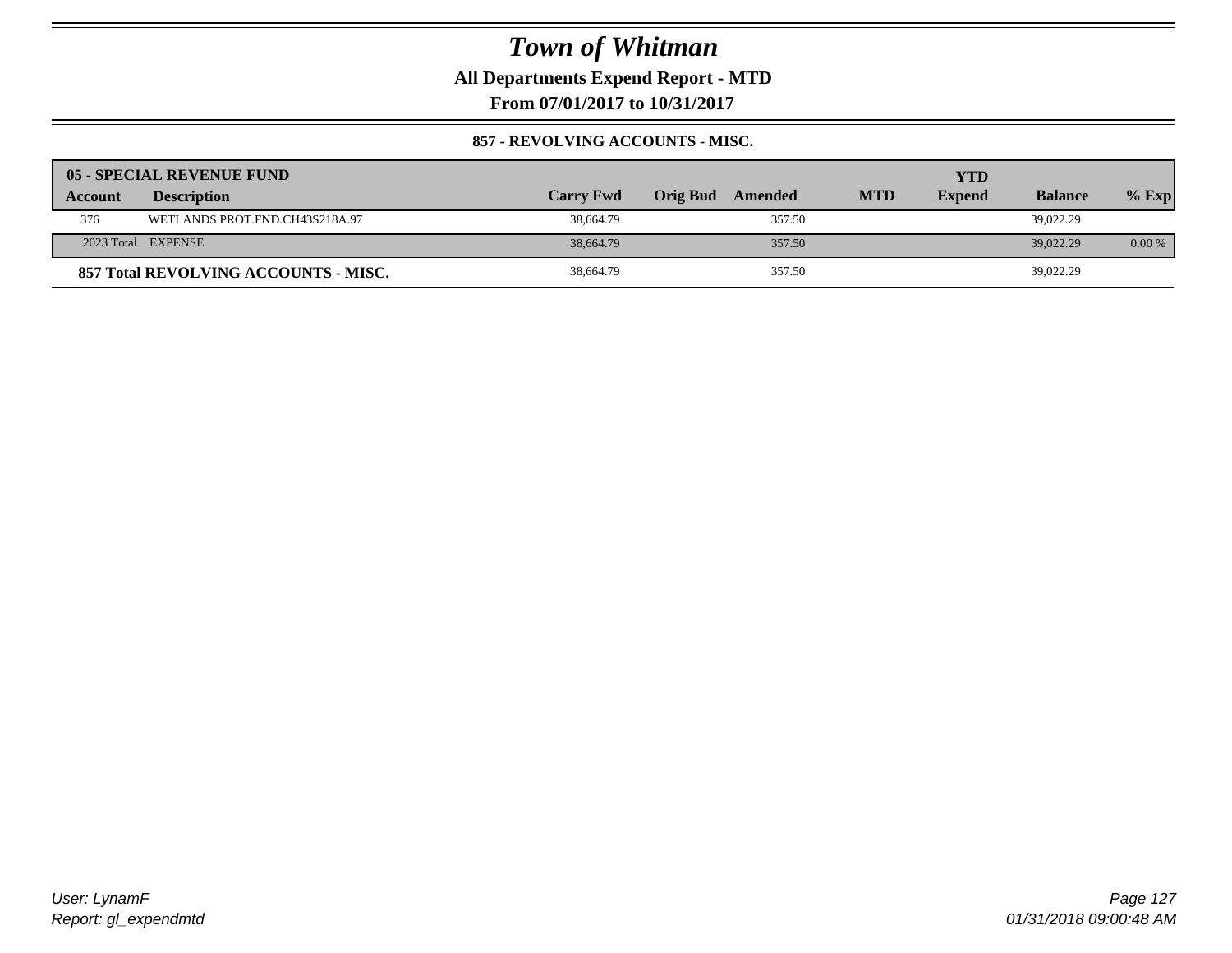**All Departments Expend Report - MTD**

**From 07/01/2017 to 10/31/2017**

#### **857 - REVOLVING ACCOUNTS - MISC.**

|         | 05 - SPECIAL REVENUE FUND            |                  |                            |            | YTD           |                |          |
|---------|--------------------------------------|------------------|----------------------------|------------|---------------|----------------|----------|
| Account | <b>Description</b>                   | <b>Carry Fwd</b> | <b>Orig Bud</b><br>Amended | <b>MTD</b> | <b>Expend</b> | <b>Balance</b> | $%$ Exp  |
| 376     | WETLANDS PROT.FND.CH43S218A.97       | 38,664.79        | 357.50                     |            |               | 39,022.29      |          |
|         | 2023 Total EXPENSE                   | 38,664.79        | 357.50                     |            |               | 39,022.29      | $0.00\%$ |
|         | 857 Total REVOLVING ACCOUNTS - MISC. | 38,664.79        | 357.50                     |            |               | 39,022.29      |          |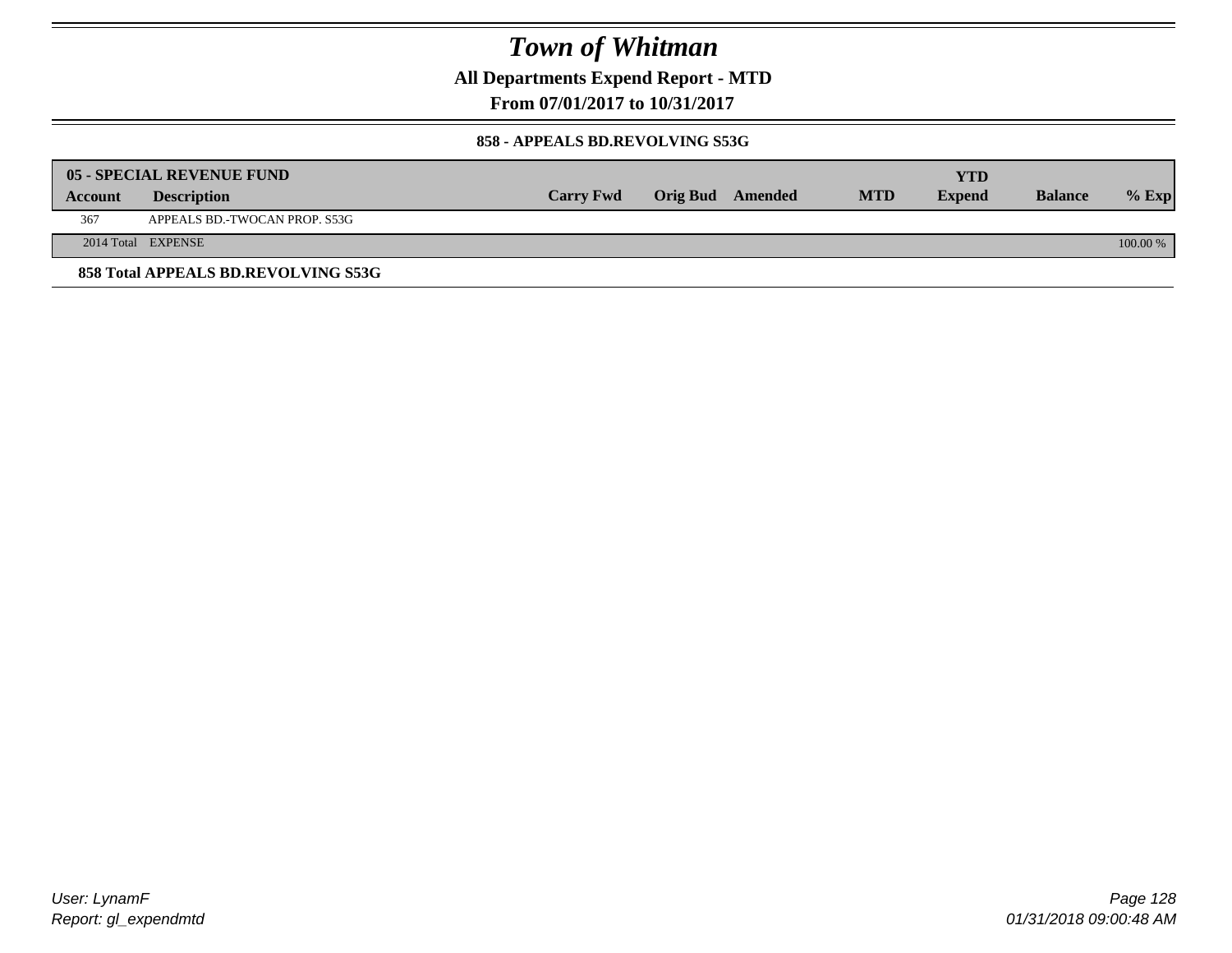**All Departments Expend Report - MTD**

**From 07/01/2017 to 10/31/2017**

#### **858 - APPEALS BD.REVOLVING S53G**

|         | 05 - SPECIAL REVENUE FUND           |                  |                  |            | YTD           |                |            |
|---------|-------------------------------------|------------------|------------------|------------|---------------|----------------|------------|
| Account | <b>Description</b>                  | <b>Carry Fwd</b> | Orig Bud Amended | <b>MTD</b> | <b>Expend</b> | <b>Balance</b> | $\%$ Exp   |
| 367     | APPEALS BD.-TWOCAN PROP. S53G       |                  |                  |            |               |                |            |
|         | 2014 Total EXPENSE                  |                  |                  |            |               |                | $100.00\%$ |
|         | 858 Total APPEALS BD.REVOLVING S53G |                  |                  |            |               |                |            |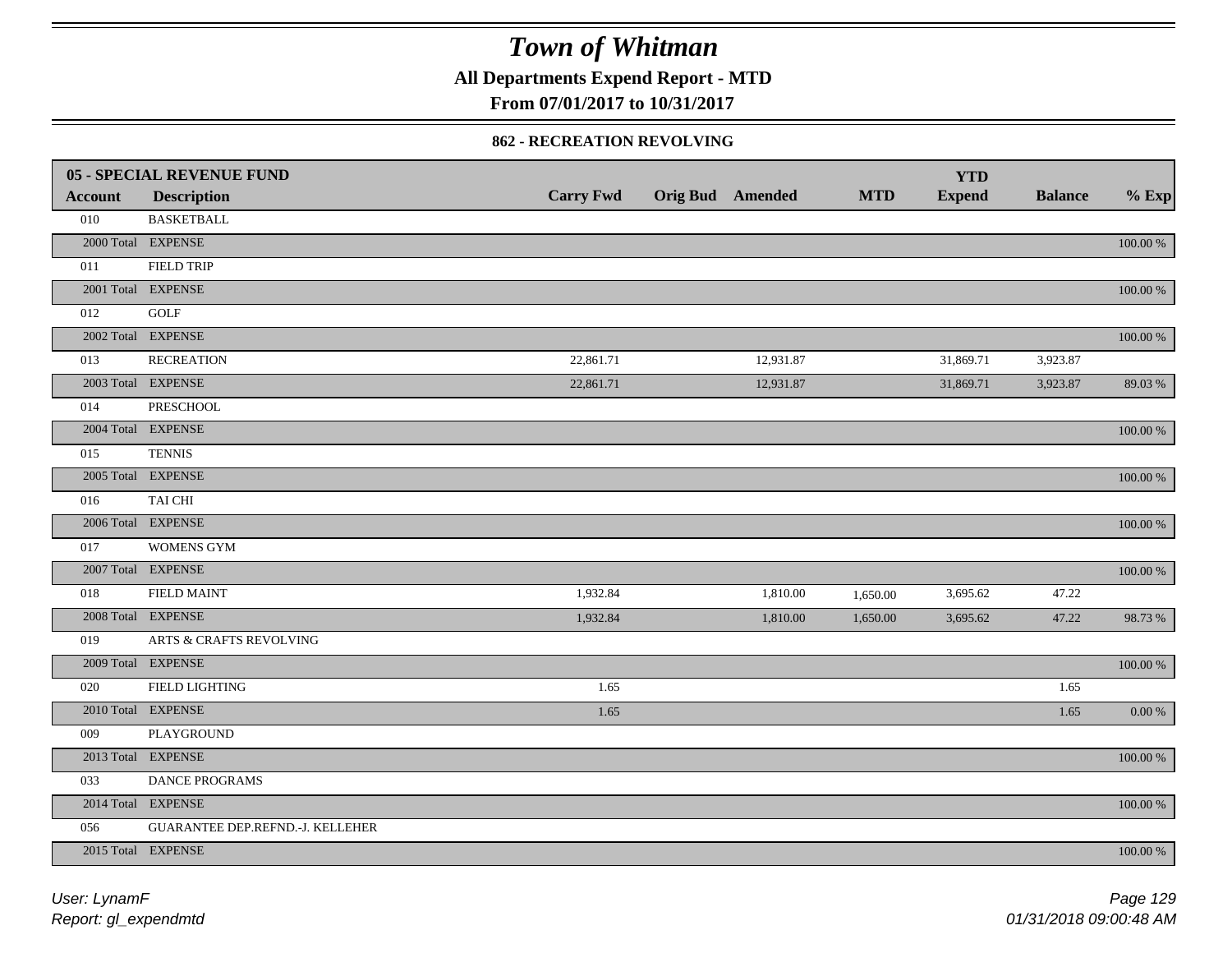**All Departments Expend Report - MTD**

**From 07/01/2017 to 10/31/2017**

#### **862 - RECREATION REVOLVING**

|                | <b>05 - SPECIAL REVENUE FUND</b>   |                  |                  |            | <b>YTD</b>    |                |             |
|----------------|------------------------------------|------------------|------------------|------------|---------------|----------------|-------------|
| <b>Account</b> | <b>Description</b>                 | <b>Carry Fwd</b> | Orig Bud Amended | <b>MTD</b> | <b>Expend</b> | <b>Balance</b> | $%$ Exp     |
| 010            | <b>BASKETBALL</b>                  |                  |                  |            |               |                |             |
|                | 2000 Total EXPENSE                 |                  |                  |            |               |                | $100.00~\%$ |
| 011            | <b>FIELD TRIP</b>                  |                  |                  |            |               |                |             |
|                | 2001 Total EXPENSE                 |                  |                  |            |               |                | 100.00 %    |
| 012            | GOLF                               |                  |                  |            |               |                |             |
|                | 2002 Total EXPENSE                 |                  |                  |            |               |                | 100.00 %    |
| 013            | <b>RECREATION</b>                  | 22,861.71        | 12,931.87        |            | 31,869.71     | 3,923.87       |             |
|                | 2003 Total EXPENSE                 | 22,861.71        | 12,931.87        |            | 31,869.71     | 3,923.87       | 89.03%      |
| 014            | <b>PRESCHOOL</b>                   |                  |                  |            |               |                |             |
|                | 2004 Total EXPENSE                 |                  |                  |            |               |                | 100.00 %    |
| 015            | <b>TENNIS</b>                      |                  |                  |            |               |                |             |
|                | 2005 Total EXPENSE                 |                  |                  |            |               |                | 100.00 %    |
| 016            | TAI CHI                            |                  |                  |            |               |                |             |
|                | 2006 Total EXPENSE                 |                  |                  |            |               |                | 100.00 %    |
| 017            | <b>WOMENS GYM</b>                  |                  |                  |            |               |                |             |
|                | 2007 Total EXPENSE                 |                  |                  |            |               |                | $100.00~\%$ |
| 018            | <b>FIELD MAINT</b>                 | 1,932.84         | 1,810.00         | 1,650.00   | 3,695.62      | 47.22          |             |
|                | 2008 Total EXPENSE                 | 1,932.84         | 1,810.00         | 1,650.00   | 3,695.62      | 47.22          | 98.73%      |
| 019            | <b>ARTS &amp; CRAFTS REVOLVING</b> |                  |                  |            |               |                |             |
|                | 2009 Total EXPENSE                 |                  |                  |            |               |                | $100.00~\%$ |
| 020            | FIELD LIGHTING                     | 1.65             |                  |            |               | 1.65           |             |
|                | 2010 Total EXPENSE                 | 1.65             |                  |            |               | 1.65           | $0.00\,\%$  |
| 009            | PLAYGROUND                         |                  |                  |            |               |                |             |
|                | 2013 Total EXPENSE                 |                  |                  |            |               |                | $100.00~\%$ |
| 033            | DANCE PROGRAMS                     |                  |                  |            |               |                |             |
|                | 2014 Total EXPENSE                 |                  |                  |            |               |                | 100.00 %    |
| 056            | GUARANTEE DEP.REFND.-J. KELLEHER   |                  |                  |            |               |                |             |
|                | 2015 Total EXPENSE                 |                  |                  |            |               |                | 100.00 %    |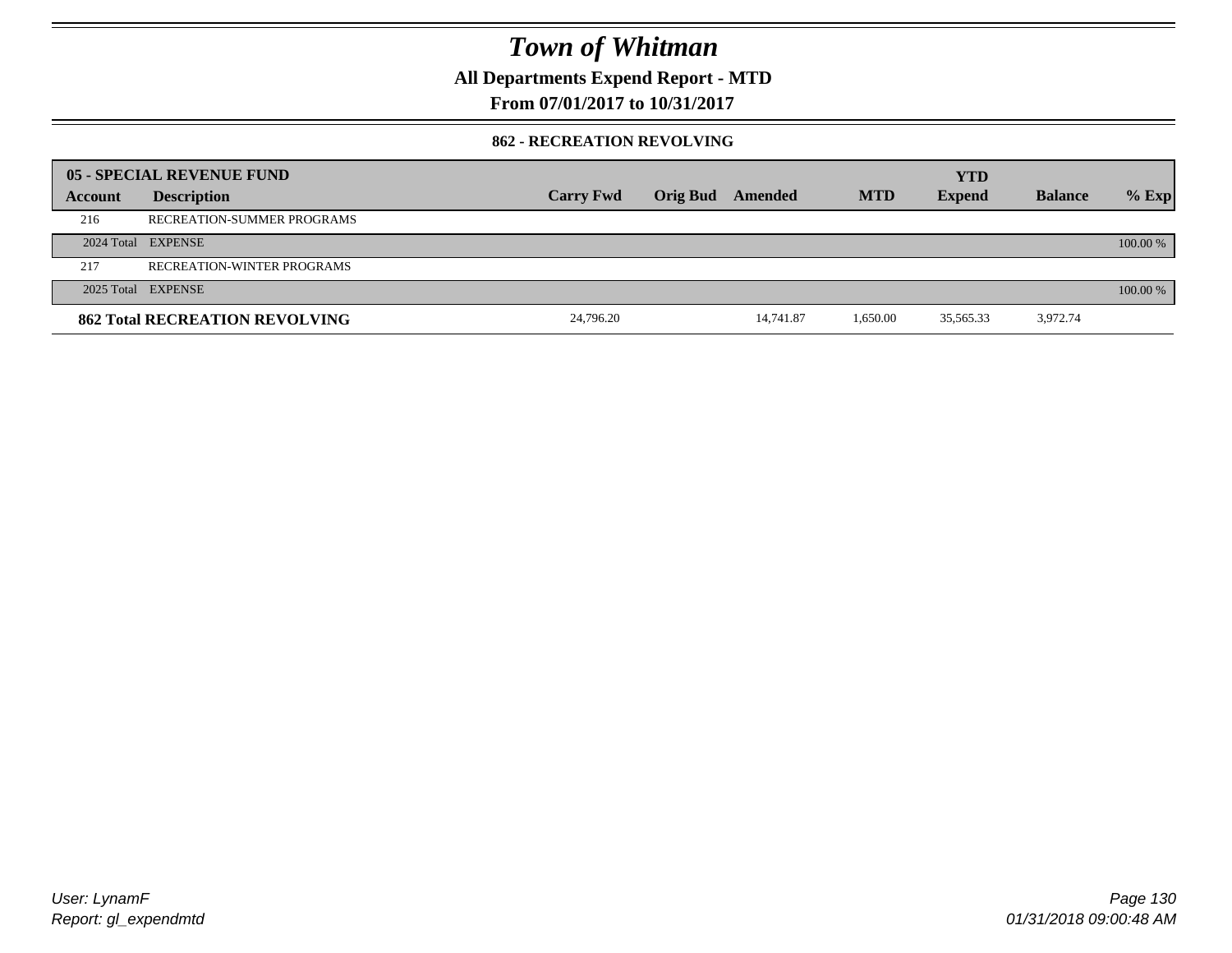**All Departments Expend Report - MTD**

**From 07/01/2017 to 10/31/2017**

#### **862 - RECREATION REVOLVING**

|         | 05 - SPECIAL REVENUE FUND             |                  |                 |           |            | <b>YTD</b>    |                |            |
|---------|---------------------------------------|------------------|-----------------|-----------|------------|---------------|----------------|------------|
| Account | <b>Description</b>                    | <b>Carry Fwd</b> | <b>Orig Bud</b> | Amended   | <b>MTD</b> | <b>Expend</b> | <b>Balance</b> | $%$ Exp    |
| 216     | RECREATION-SUMMER PROGRAMS            |                  |                 |           |            |               |                |            |
|         | 2024 Total EXPENSE                    |                  |                 |           |            |               |                | $100.00\%$ |
| 217     | RECREATION-WINTER PROGRAMS            |                  |                 |           |            |               |                |            |
|         | 2025 Total EXPENSE                    |                  |                 |           |            |               |                | 100.00 %   |
|         | <b>862 Total RECREATION REVOLVING</b> | 24,796.20        |                 | 14.741.87 | 1,650.00   | 35,565.33     | 3,972.74       |            |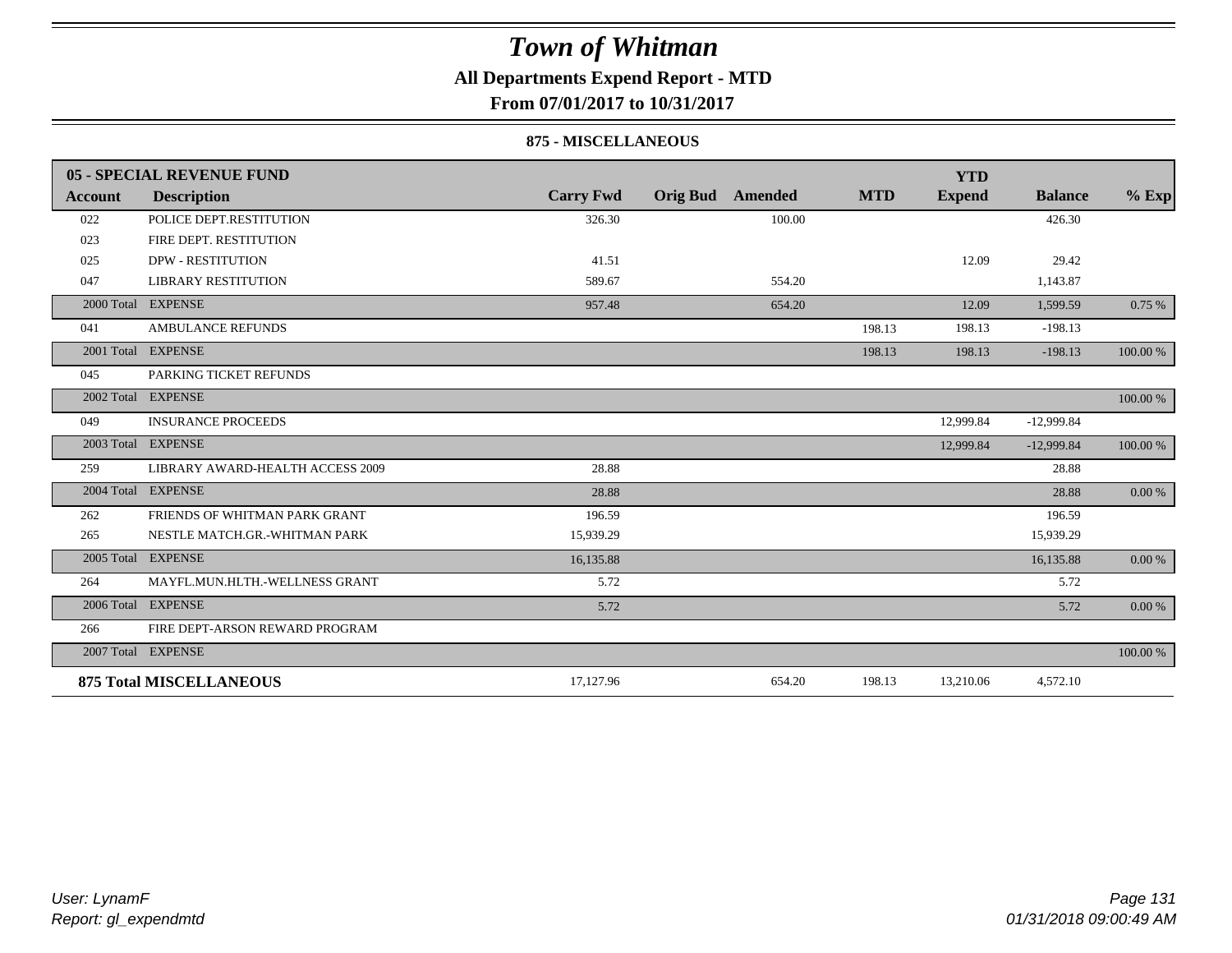### **All Departments Expend Report - MTD**

**From 07/01/2017 to 10/31/2017**

#### **875 - MISCELLANEOUS**

|            | 05 - SPECIAL REVENUE FUND        |                  |                            |            | <b>YTD</b>    |                |            |
|------------|----------------------------------|------------------|----------------------------|------------|---------------|----------------|------------|
| Account    | <b>Description</b>               | <b>Carry Fwd</b> | <b>Orig Bud</b><br>Amended | <b>MTD</b> | <b>Expend</b> | <b>Balance</b> | $%$ Exp    |
| 022        | POLICE DEPT.RESTITUTION          | 326.30           | 100.00                     |            |               | 426.30         |            |
| 023        | FIRE DEPT. RESTITUTION           |                  |                            |            |               |                |            |
| 025        | <b>DPW - RESTITUTION</b>         | 41.51            |                            |            | 12.09         | 29.42          |            |
| 047        | <b>LIBRARY RESTITUTION</b>       | 589.67           | 554.20                     |            |               | 1,143.87       |            |
|            | 2000 Total EXPENSE               | 957.48           | 654.20                     |            | 12.09         | 1,599.59       | 0.75%      |
| 041        | <b>AMBULANCE REFUNDS</b>         |                  |                            | 198.13     | 198.13        | $-198.13$      |            |
| 2001 Total | <b>EXPENSE</b>                   |                  |                            | 198.13     | 198.13        | $-198.13$      | 100.00 %   |
| 045        | PARKING TICKET REFUNDS           |                  |                            |            |               |                |            |
|            | 2002 Total EXPENSE               |                  |                            |            |               |                | 100.00 %   |
| 049        | <b>INSURANCE PROCEEDS</b>        |                  |                            |            | 12,999.84     | $-12,999.84$   |            |
|            | 2003 Total EXPENSE               |                  |                            |            | 12,999.84     | $-12,999.84$   | 100.00 %   |
| 259        | LIBRARY AWARD-HEALTH ACCESS 2009 | 28.88            |                            |            |               | 28.88          |            |
|            | 2004 Total EXPENSE               | 28.88            |                            |            |               | 28.88          | 0.00 %     |
| 262        | FRIENDS OF WHITMAN PARK GRANT    | 196.59           |                            |            |               | 196.59         |            |
| 265        | NESTLE MATCH.GR.-WHITMAN PARK    | 15,939.29        |                            |            |               | 15,939.29      |            |
|            | 2005 Total EXPENSE               | 16,135.88        |                            |            |               | 16,135.88      | 0.00 %     |
| 264        | MAYFL.MUN.HLTH.-WELLNESS GRANT   | 5.72             |                            |            |               | 5.72           |            |
|            | 2006 Total EXPENSE               | 5.72             |                            |            |               | 5.72           | $0.00\ \%$ |
| 266        | FIRE DEPT-ARSON REWARD PROGRAM   |                  |                            |            |               |                |            |
|            | 2007 Total EXPENSE               |                  |                            |            |               |                | 100.00 %   |
|            | <b>875 Total MISCELLANEOUS</b>   | 17,127.96        | 654.20                     | 198.13     | 13,210.06     | 4,572.10       |            |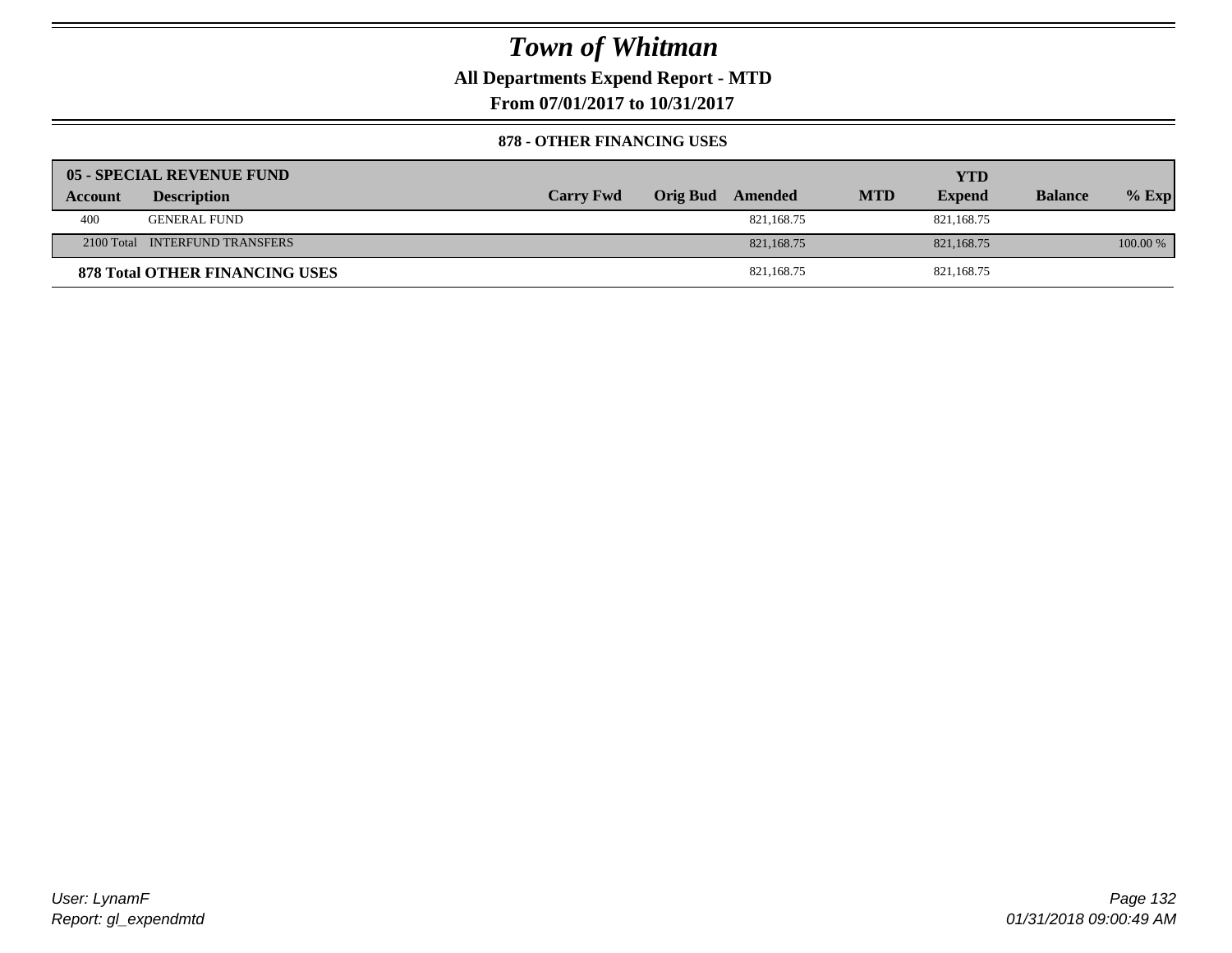**All Departments Expend Report - MTD**

**From 07/01/2017 to 10/31/2017**

#### **878 - OTHER FINANCING USES**

|         | 05 - SPECIAL REVENUE FUND             |                  |                  |            | YTD           |                |          |
|---------|---------------------------------------|------------------|------------------|------------|---------------|----------------|----------|
| Account | <b>Description</b>                    | <b>Carry Fwd</b> | Orig Bud Amended | <b>MTD</b> | <b>Expend</b> | <b>Balance</b> | $%$ Exp  |
| 400     | <b>GENERAL FUND</b>                   |                  | 821,168.75       |            | 821.168.75    |                |          |
|         | 2100 Total INTERFUND TRANSFERS        |                  | 821, 168, 75     |            | 821,168.75    |                | 100.00 % |
|         | <b>878 Total OTHER FINANCING USES</b> |                  | 821,168.75       |            | 821,168.75    |                |          |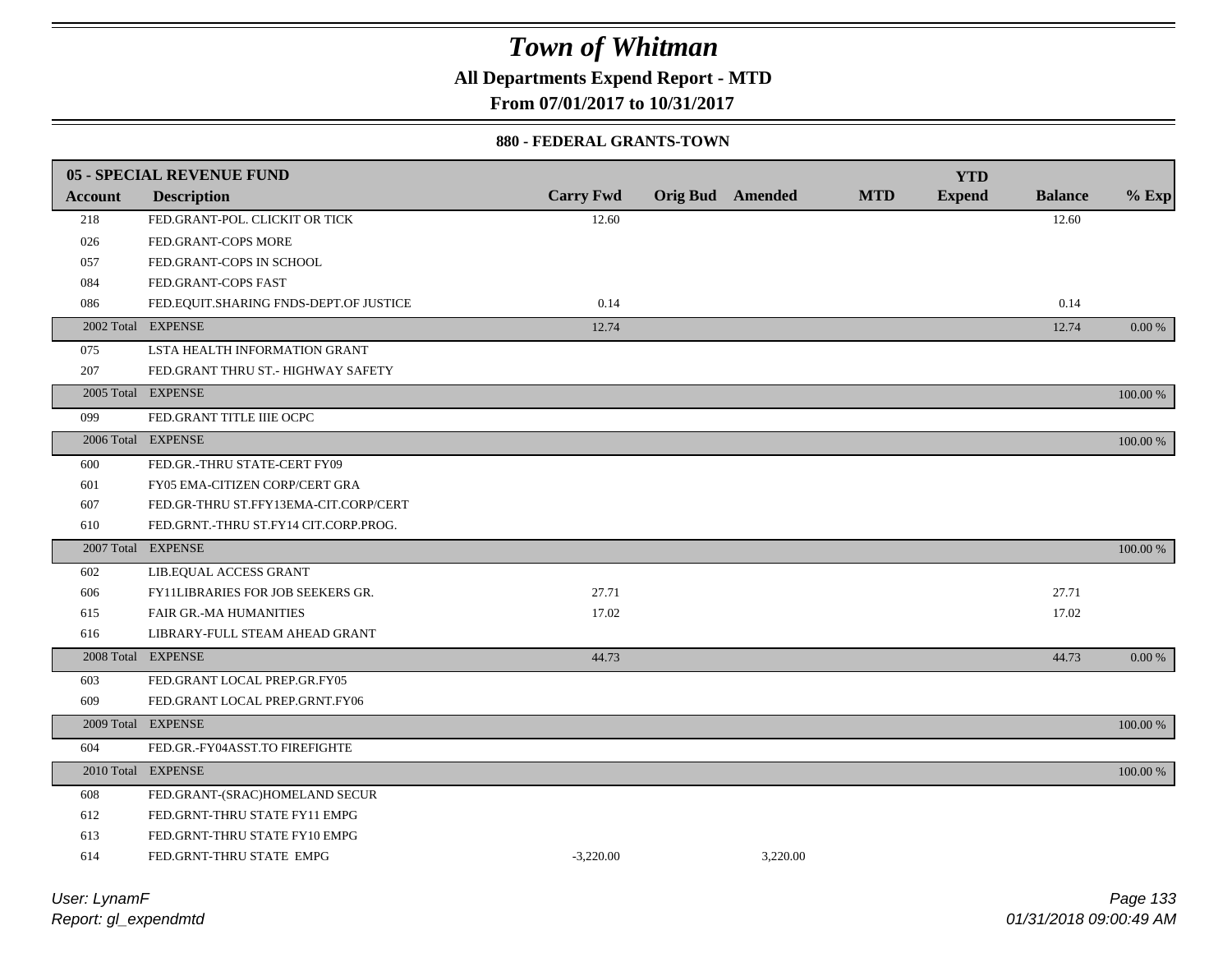**All Departments Expend Report - MTD**

**From 07/01/2017 to 10/31/2017**

#### **880 - FEDERAL GRANTS-TOWN**

|                | 05 - SPECIAL REVENUE FUND              |                  |                         |            | <b>YTD</b>    |                |          |
|----------------|----------------------------------------|------------------|-------------------------|------------|---------------|----------------|----------|
| <b>Account</b> | <b>Description</b>                     | <b>Carry Fwd</b> | <b>Orig Bud</b> Amended | <b>MTD</b> | <b>Expend</b> | <b>Balance</b> | $%$ Exp  |
| 218            | FED.GRANT-POL. CLICKIT OR TICK         | 12.60            |                         |            |               | 12.60          |          |
| 026            | FED.GRANT-COPS MORE                    |                  |                         |            |               |                |          |
| 057            | FED.GRANT-COPS IN SCHOOL               |                  |                         |            |               |                |          |
| 084            | FED.GRANT-COPS FAST                    |                  |                         |            |               |                |          |
| 086            | FED.EQUIT.SHARING FNDS-DEPT.OF JUSTICE | 0.14             |                         |            |               | 0.14           |          |
|                | 2002 Total EXPENSE                     | 12.74            |                         |            |               | 12.74          | 0.00 %   |
| 075            | LSTA HEALTH INFORMATION GRANT          |                  |                         |            |               |                |          |
| 207            | FED.GRANT THRU ST.- HIGHWAY SAFETY     |                  |                         |            |               |                |          |
|                | 2005 Total EXPENSE                     |                  |                         |            |               |                | 100.00 % |
| 099            | FED.GRANT TITLE IIIE OCPC              |                  |                         |            |               |                |          |
|                | 2006 Total EXPENSE                     |                  |                         |            |               |                | 100.00 % |
| 600            | FED.GR.-THRU STATE-CERT FY09           |                  |                         |            |               |                |          |
| 601            | FY05 EMA-CITIZEN CORP/CERT GRA         |                  |                         |            |               |                |          |
| 607            | FED.GR-THRU ST.FFY13EMA-CIT.CORP/CERT  |                  |                         |            |               |                |          |
| 610            | FED.GRNT.-THRU ST.FY14 CIT.CORP.PROG.  |                  |                         |            |               |                |          |
|                | 2007 Total EXPENSE                     |                  |                         |            |               |                | 100.00 % |
| 602            | LIB.EQUAL ACCESS GRANT                 |                  |                         |            |               |                |          |
| 606            | FY11LIBRARIES FOR JOB SEEKERS GR.      | 27.71            |                         |            |               | 27.71          |          |
| 615            | <b>FAIR GR.-MA HUMANITIES</b>          | 17.02            |                         |            |               | 17.02          |          |
| 616            | LIBRARY-FULL STEAM AHEAD GRANT         |                  |                         |            |               |                |          |
|                | 2008 Total EXPENSE                     | 44.73            |                         |            |               | 44.73          | 0.00 %   |
| 603            | FED.GRANT LOCAL PREP.GR.FY05           |                  |                         |            |               |                |          |
| 609            | FED.GRANT LOCAL PREP.GRNT.FY06         |                  |                         |            |               |                |          |
|                | 2009 Total EXPENSE                     |                  |                         |            |               |                | 100.00 % |
| 604            | FED.GR.-FY04ASST.TO FIREFIGHTE         |                  |                         |            |               |                |          |
|                | 2010 Total EXPENSE                     |                  |                         |            |               |                | 100.00 % |
| 608            | FED.GRANT-(SRAC)HOMELAND SECUR         |                  |                         |            |               |                |          |
| 612            | FED.GRNT-THRU STATE FY11 EMPG          |                  |                         |            |               |                |          |
| 613            | FED.GRNT-THRU STATE FY10 EMPG          |                  |                         |            |               |                |          |
| 614            | FED.GRNT-THRU STATE EMPG               | $-3.220.00$      | 3.220.00                |            |               |                |          |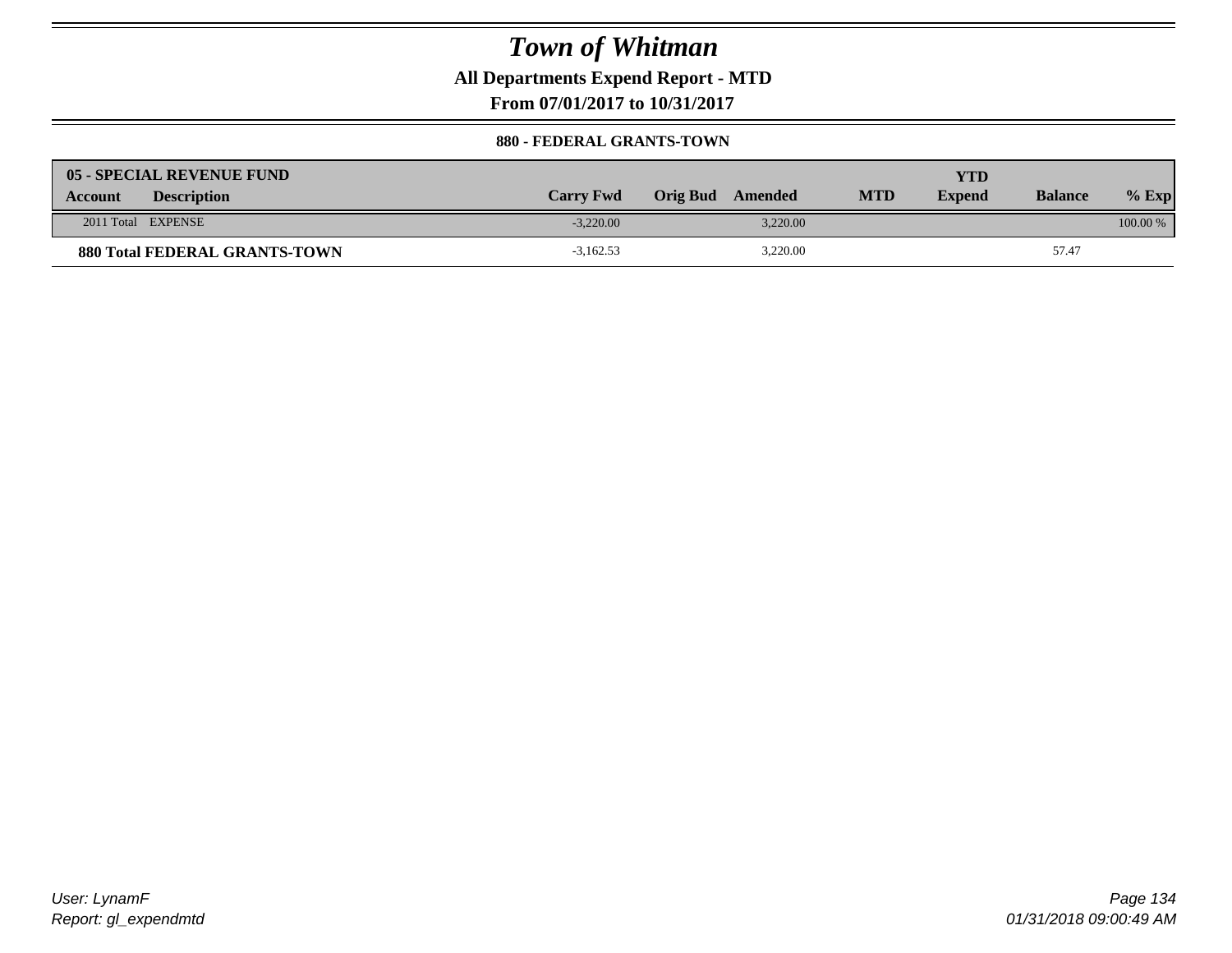**All Departments Expend Report - MTD**

**From 07/01/2017 to 10/31/2017**

#### **880 - FEDERAL GRANTS-TOWN**

| 05 - SPECIAL REVENUE FUND            |                  |                     |            | YTD           |                |            |
|--------------------------------------|------------------|---------------------|------------|---------------|----------------|------------|
| <b>Description</b><br><b>Account</b> | <b>Carry Fwd</b> | Orig Bud<br>Amended | <b>MTD</b> | <b>Expend</b> | <b>Balance</b> | $%$ Exp    |
| 2011 Total EXPENSE                   | $-3.220.00$      | 3.220.00            |            |               |                | $100.00\%$ |
| <b>880 Total FEDERAL GRANTS-TOWN</b> | $-3,162.53$      | 3,220.00            |            |               | 57.47          |            |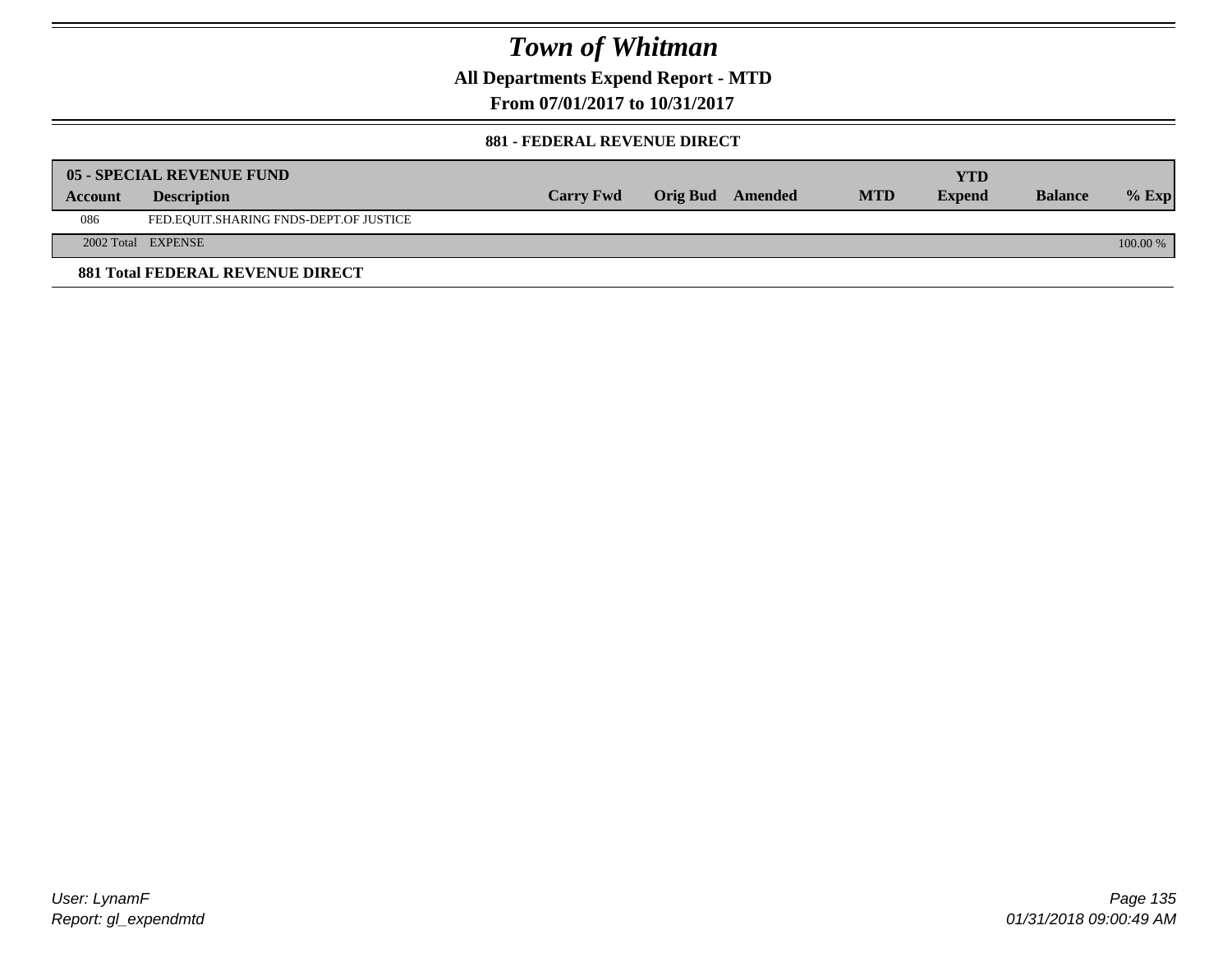**All Departments Expend Report - MTD**

**From 07/01/2017 to 10/31/2017**

#### **881 - FEDERAL REVENUE DIRECT**

|         | <b>05 - SPECIAL REVENUE FUND</b>        |                  |                  |            | YTD           |                |          |
|---------|-----------------------------------------|------------------|------------------|------------|---------------|----------------|----------|
| Account | <b>Description</b>                      | <b>Carry Fwd</b> | Orig Bud Amended | <b>MTD</b> | <b>Expend</b> | <b>Balance</b> | $%$ Exp  |
| 086     | FED.EQUIT.SHARING FNDS-DEPT.OF JUSTICE  |                  |                  |            |               |                |          |
|         | 2002 Total EXPENSE                      |                  |                  |            |               |                | 100.00 % |
|         | <b>881 Total FEDERAL REVENUE DIRECT</b> |                  |                  |            |               |                |          |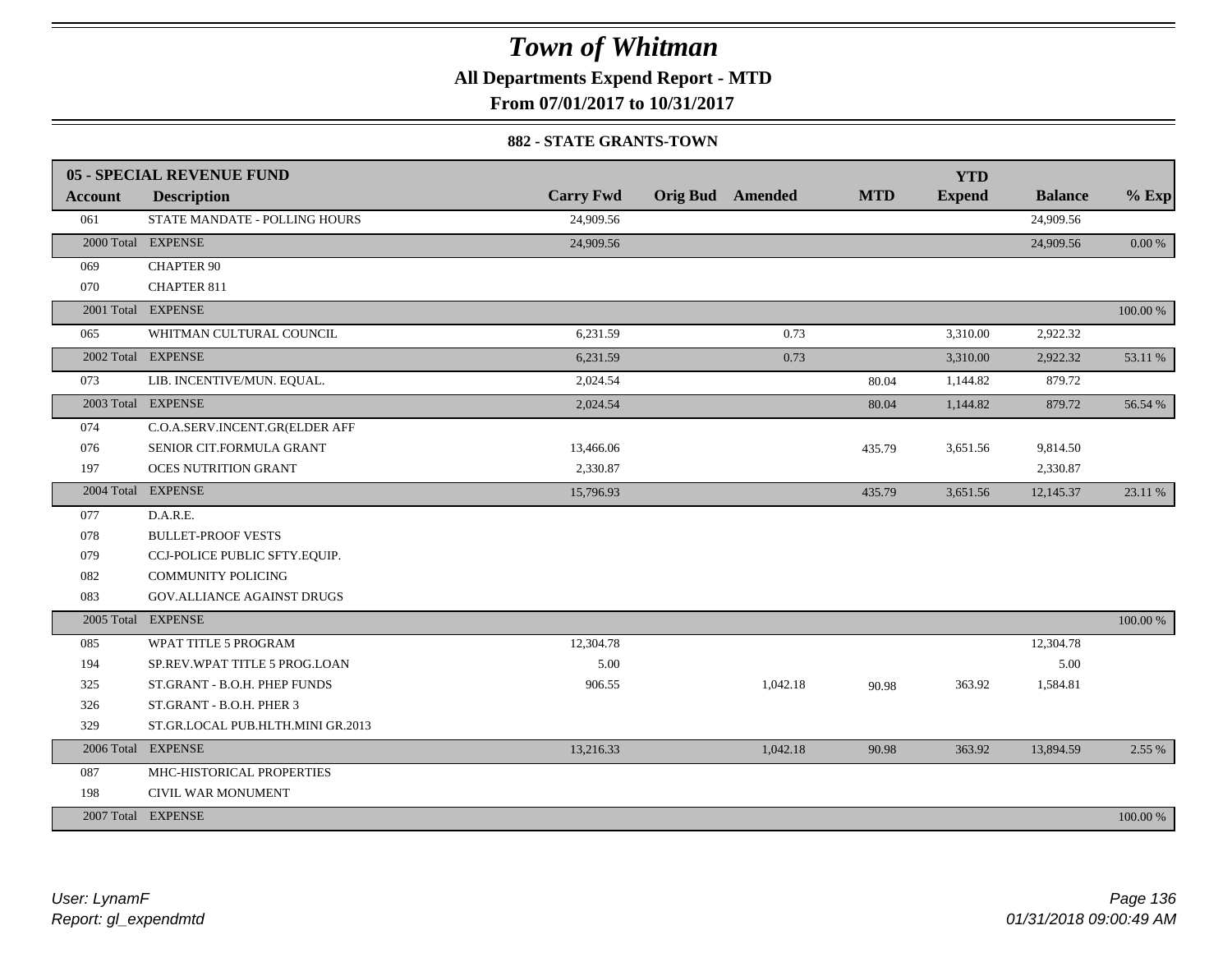**All Departments Expend Report - MTD**

**From 07/01/2017 to 10/31/2017**

#### **882 - STATE GRANTS-TOWN**

|                | 05 - SPECIAL REVENUE FUND         |                  |                         |            | <b>YTD</b>    |                |           |
|----------------|-----------------------------------|------------------|-------------------------|------------|---------------|----------------|-----------|
| <b>Account</b> | <b>Description</b>                | <b>Carry Fwd</b> | <b>Orig Bud</b> Amended | <b>MTD</b> | <b>Expend</b> | <b>Balance</b> | $%$ Exp   |
| 061            | STATE MANDATE - POLLING HOURS     | 24,909.56        |                         |            |               | 24,909.56      |           |
|                | 2000 Total EXPENSE                | 24,909.56        |                         |            |               | 24,909.56      | $0.00 \%$ |
| 069            | <b>CHAPTER 90</b>                 |                  |                         |            |               |                |           |
| 070            | <b>CHAPTER 811</b>                |                  |                         |            |               |                |           |
|                | 2001 Total EXPENSE                |                  |                         |            |               |                | 100.00 %  |
| 065            | WHITMAN CULTURAL COUNCIL          | 6,231.59         | 0.73                    |            | 3,310.00      | 2,922.32       |           |
|                | 2002 Total EXPENSE                | 6,231.59         | 0.73                    |            | 3,310.00      | 2,922.32       | 53.11 %   |
| 073            | LIB. INCENTIVE/MUN. EQUAL.        | 2,024.54         |                         | 80.04      | 1,144.82      | 879.72         |           |
|                | 2003 Total EXPENSE                | 2,024.54         |                         | 80.04      | 1,144.82      | 879.72         | 56.54 %   |
| 074            | C.O.A.SERV.INCENT.GR(ELDER AFF    |                  |                         |            |               |                |           |
| 076            | SENIOR CIT.FORMULA GRANT          | 13,466.06        |                         | 435.79     | 3,651.56      | 9,814.50       |           |
| 197            | <b>OCES NUTRITION GRANT</b>       | 2,330.87         |                         |            |               | 2,330.87       |           |
|                | 2004 Total EXPENSE                | 15,796.93        |                         | 435.79     | 3,651.56      | 12,145.37      | 23.11 %   |
| 077            | D.A.R.E.                          |                  |                         |            |               |                |           |
| 078            | <b>BULLET-PROOF VESTS</b>         |                  |                         |            |               |                |           |
| 079            | CCJ-POLICE PUBLIC SFTY.EQUIP.     |                  |                         |            |               |                |           |
| 082            | <b>COMMUNITY POLICING</b>         |                  |                         |            |               |                |           |
| 083            | GOV.ALLIANCE AGAINST DRUGS        |                  |                         |            |               |                |           |
|                | 2005 Total EXPENSE                |                  |                         |            |               |                | 100.00 %  |
| 085            | WPAT TITLE 5 PROGRAM              | 12,304.78        |                         |            |               | 12,304.78      |           |
| 194            | SP.REV.WPAT TITLE 5 PROG.LOAN     | 5.00             |                         |            |               | 5.00           |           |
| 325            | ST.GRANT - B.O.H. PHEP FUNDS      | 906.55           | 1,042.18                | 90.98      | 363.92        | 1,584.81       |           |
| 326            | ST.GRANT - B.O.H. PHER 3          |                  |                         |            |               |                |           |
| 329            | ST.GR.LOCAL PUB.HLTH.MINI GR.2013 |                  |                         |            |               |                |           |
|                | 2006 Total EXPENSE                | 13,216.33        | 1,042.18                | 90.98      | 363.92        | 13,894.59      | 2.55 %    |
| 087            | MHC-HISTORICAL PROPERTIES         |                  |                         |            |               |                |           |
| 198            | CIVIL WAR MONUMENT                |                  |                         |            |               |                |           |
|                | 2007 Total EXPENSE                |                  |                         |            |               |                | 100.00 %  |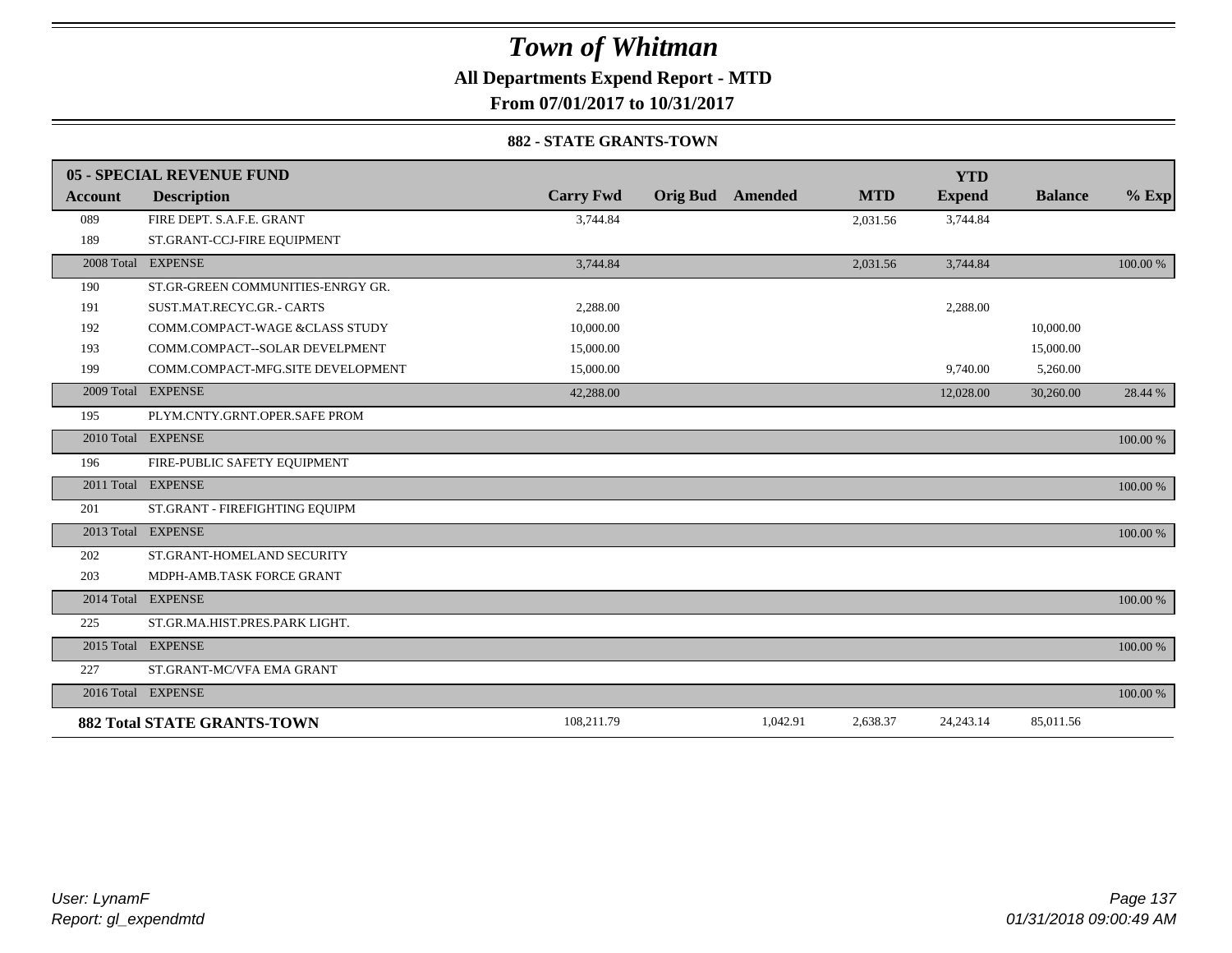**All Departments Expend Report - MTD**

**From 07/01/2017 to 10/31/2017**

#### **882 - STATE GRANTS-TOWN**

|                | 05 - SPECIAL REVENUE FUND          |                  |                 |          |            | <b>YTD</b>    |                |          |
|----------------|------------------------------------|------------------|-----------------|----------|------------|---------------|----------------|----------|
| <b>Account</b> | <b>Description</b>                 | <b>Carry Fwd</b> | <b>Orig Bud</b> | Amended  | <b>MTD</b> | <b>Expend</b> | <b>Balance</b> | $%$ Exp  |
| 089            | FIRE DEPT. S.A.F.E. GRANT          | 3,744.84         |                 |          | 2,031.56   | 3,744.84      |                |          |
| 189            | ST.GRANT-CCJ-FIRE EQUIPMENT        |                  |                 |          |            |               |                |          |
|                | 2008 Total EXPENSE                 | 3,744.84         |                 |          | 2,031.56   | 3,744.84      |                | 100.00 % |
| 190            | ST.GR-GREEN COMMUNITIES-ENRGY GR.  |                  |                 |          |            |               |                |          |
| 191            | SUST.MAT.RECYC.GR.- CARTS          | 2.288.00         |                 |          |            | 2,288.00      |                |          |
| 192            | COMM.COMPACT-WAGE &CLASS STUDY     | 10,000.00        |                 |          |            |               | 10,000.00      |          |
| 193            | COMM.COMPACT--SOLAR DEVELPMENT     | 15,000.00        |                 |          |            |               | 15,000.00      |          |
| 199            | COMM.COMPACT-MFG.SITE DEVELOPMENT  | 15,000.00        |                 |          |            | 9,740.00      | 5,260.00       |          |
| 2009 Total     | <b>EXPENSE</b>                     | 42,288.00        |                 |          |            | 12,028.00     | 30,260.00      | 28.44 %  |
| 195            | PLYM.CNTY.GRNT.OPER.SAFE PROM      |                  |                 |          |            |               |                |          |
|                | 2010 Total EXPENSE                 |                  |                 |          |            |               |                | 100.00 % |
| 196            | FIRE-PUBLIC SAFETY EQUIPMENT       |                  |                 |          |            |               |                |          |
|                | 2011 Total EXPENSE                 |                  |                 |          |            |               |                | 100.00 % |
| 201            | ST.GRANT - FIREFIGHTING EQUIPM     |                  |                 |          |            |               |                |          |
|                | 2013 Total EXPENSE                 |                  |                 |          |            |               |                | 100.00 % |
| 202            | ST.GRANT-HOMELAND SECURITY         |                  |                 |          |            |               |                |          |
| 203            | MDPH-AMB.TASK FORCE GRANT          |                  |                 |          |            |               |                |          |
|                | 2014 Total EXPENSE                 |                  |                 |          |            |               |                | 100.00 % |
| 225            | ST.GR.MA.HIST.PRES.PARK LIGHT.     |                  |                 |          |            |               |                |          |
|                | 2015 Total EXPENSE                 |                  |                 |          |            |               |                | 100.00 % |
| 227            | ST.GRANT-MC/VFA EMA GRANT          |                  |                 |          |            |               |                |          |
|                | 2016 Total EXPENSE                 |                  |                 |          |            |               |                | 100.00 % |
|                | <b>882 Total STATE GRANTS-TOWN</b> | 108,211.79       |                 | 1,042.91 | 2,638.37   | 24, 243. 14   | 85,011.56      |          |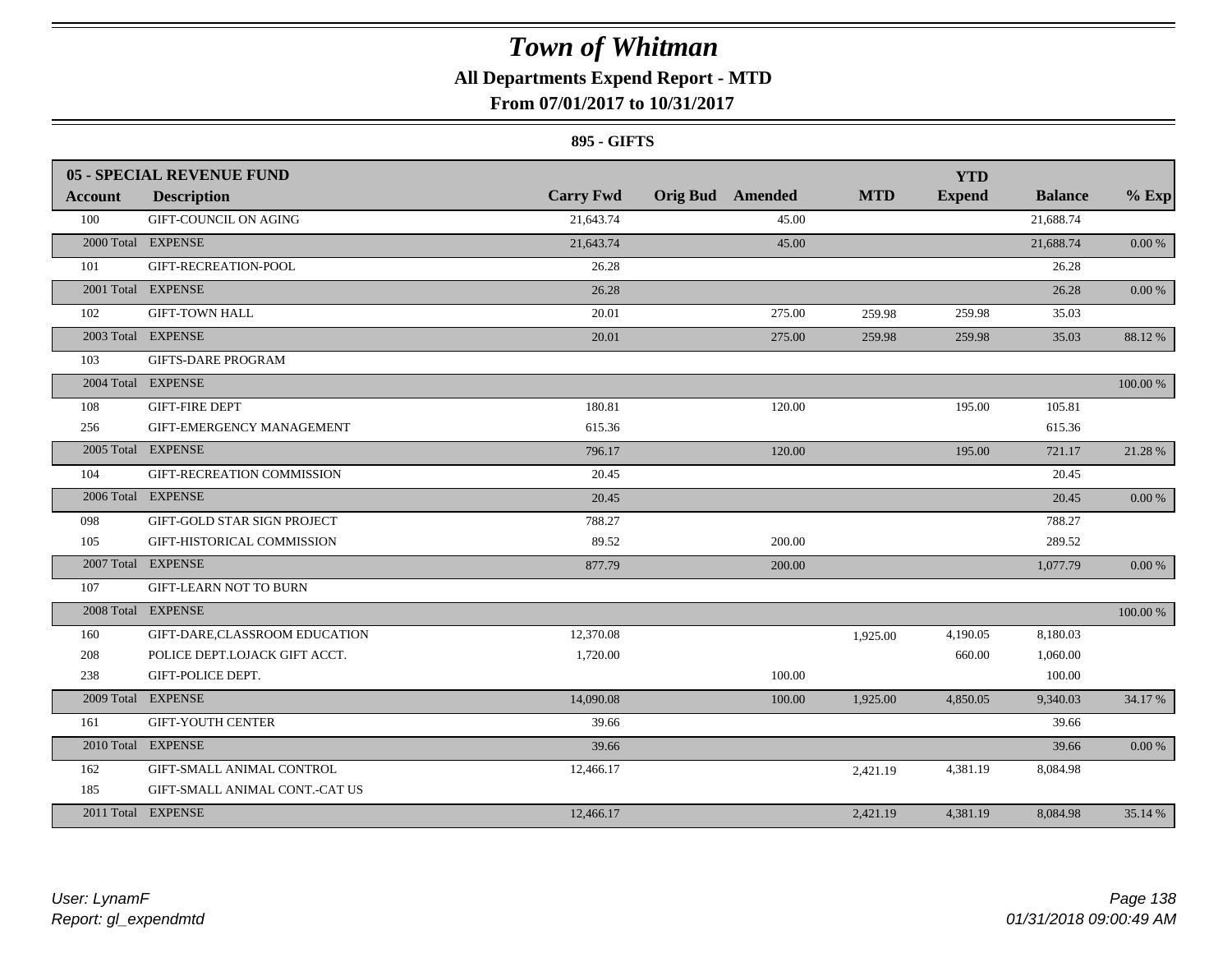### **All Departments Expend Report - MTD**

### **From 07/01/2017 to 10/31/2017**

#### **895 - GIFTS**

|                | <b>05 - SPECIAL REVENUE FUND</b> |                  |                         |            | <b>YTD</b>    |                |            |
|----------------|----------------------------------|------------------|-------------------------|------------|---------------|----------------|------------|
| <b>Account</b> | <b>Description</b>               | <b>Carry Fwd</b> | <b>Orig Bud</b> Amended | <b>MTD</b> | <b>Expend</b> | <b>Balance</b> | $%$ Exp    |
| 100            | <b>GIFT-COUNCIL ON AGING</b>     | 21,643.74        | 45.00                   |            |               | 21,688.74      |            |
|                | 2000 Total EXPENSE               | 21,643.74        | 45.00                   |            |               | 21,688.74      | $0.00\ \%$ |
| 101            | GIFT-RECREATION-POOL             | 26.28            |                         |            |               | 26.28          |            |
|                | 2001 Total EXPENSE               | 26.28            |                         |            |               | 26.28          | $0.00\,\%$ |
| 102            | <b>GIFT-TOWN HALL</b>            | 20.01            | 275.00                  | 259.98     | 259.98        | 35.03          |            |
|                | 2003 Total EXPENSE               | 20.01            | 275.00                  | 259.98     | 259.98        | 35.03          | 88.12%     |
| 103            | <b>GIFTS-DARE PROGRAM</b>        |                  |                         |            |               |                |            |
|                | 2004 Total EXPENSE               |                  |                         |            |               |                | 100.00 %   |
| 108            | <b>GIFT-FIRE DEPT</b>            | 180.81           | 120.00                  |            | 195.00        | 105.81         |            |
| 256            | GIFT-EMERGENCY MANAGEMENT        | 615.36           |                         |            |               | 615.36         |            |
|                | 2005 Total EXPENSE               | 796.17           | 120.00                  |            | 195.00        | 721.17         | 21.28 %    |
| 104            | GIFT-RECREATION COMMISSION       | 20.45            |                         |            |               | 20.45          |            |
|                | 2006 Total EXPENSE               | 20.45            |                         |            |               | 20.45          | 0.00 %     |
| 098            | GIFT-GOLD STAR SIGN PROJECT      | 788.27           |                         |            |               | 788.27         |            |
| 105            | GIFT-HISTORICAL COMMISSION       | 89.52            | 200.00                  |            |               | 289.52         |            |
|                | 2007 Total EXPENSE               | 877.79           | 200.00                  |            |               | 1,077.79       | $0.00~\%$  |
| 107            | <b>GIFT-LEARN NOT TO BURN</b>    |                  |                         |            |               |                |            |
|                | 2008 Total EXPENSE               |                  |                         |            |               |                | 100.00 %   |
| 160            | GIFT-DARE,CLASSROOM EDUCATION    | 12,370.08        |                         | 1,925.00   | 4,190.05      | 8,180.03       |            |
| 208            | POLICE DEPT.LOJACK GIFT ACCT.    | 1,720.00         |                         |            | 660.00        | 1,060.00       |            |
| 238            | GIFT-POLICE DEPT.                |                  | 100.00                  |            |               | 100.00         |            |
|                | 2009 Total EXPENSE               | 14,090.08        | 100.00                  | 1,925.00   | 4,850.05      | 9,340.03       | 34.17%     |
| 161            | <b>GIFT-YOUTH CENTER</b>         | 39.66            |                         |            |               | 39.66          |            |
|                | 2010 Total EXPENSE               | 39.66            |                         |            |               | 39.66          | $0.00\ \%$ |
| 162            | GIFT-SMALL ANIMAL CONTROL        | 12,466.17        |                         | 2,421.19   | 4,381.19      | 8,084.98       |            |
| 185            | GIFT-SMALL ANIMAL CONT.-CAT US   |                  |                         |            |               |                |            |
|                | 2011 Total EXPENSE               | 12,466.17        |                         | 2,421.19   | 4,381.19      | 8,084.98       | 35.14 %    |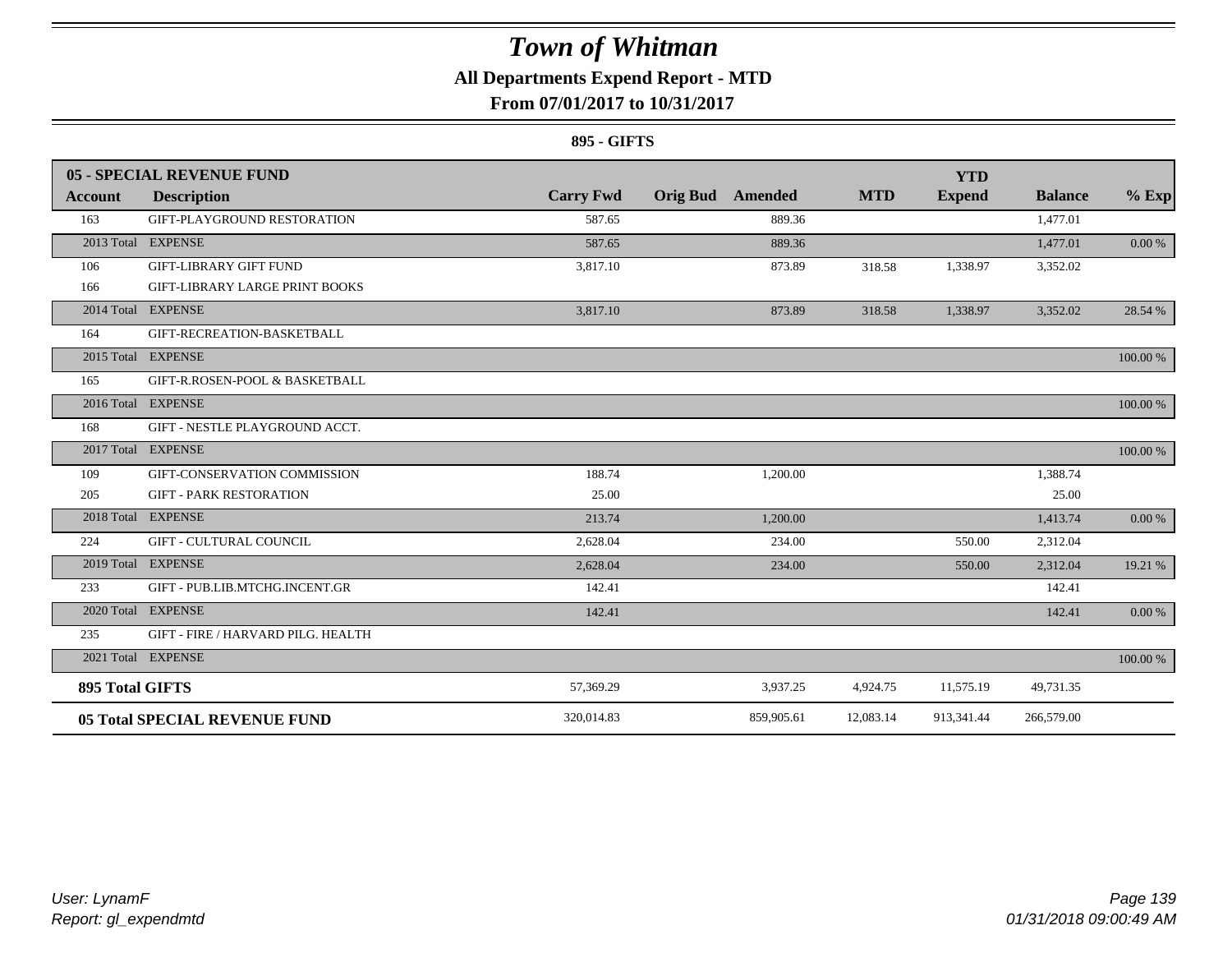### **All Departments Expend Report - MTD**

### **From 07/01/2017 to 10/31/2017**

#### **895 - GIFTS**

|                        | 05 - SPECIAL REVENUE FUND             |                  |                         |            | <b>YTD</b>    |                |           |
|------------------------|---------------------------------------|------------------|-------------------------|------------|---------------|----------------|-----------|
| Account                | <b>Description</b>                    | <b>Carry Fwd</b> | <b>Orig Bud</b> Amended | <b>MTD</b> | <b>Expend</b> | <b>Balance</b> | $%$ Exp   |
| 163                    | GIFT-PLAYGROUND RESTORATION           | 587.65           | 889.36                  |            |               | 1,477.01       |           |
|                        | 2013 Total EXPENSE                    | 587.65           | 889.36                  |            |               | 1,477.01       | $0.00 \%$ |
| 106                    | <b>GIFT-LIBRARY GIFT FUND</b>         | 3,817.10         | 873.89                  | 318.58     | 1,338.97      | 3,352.02       |           |
| 166                    | <b>GIFT-LIBRARY LARGE PRINT BOOKS</b> |                  |                         |            |               |                |           |
|                        | 2014 Total EXPENSE                    | 3,817.10         | 873.89                  | 318.58     | 1,338.97      | 3,352.02       | 28.54 %   |
| 164                    | GIFT-RECREATION-BASKETBALL            |                  |                         |            |               |                |           |
|                        | 2015 Total EXPENSE                    |                  |                         |            |               |                | 100.00 %  |
| 165                    | GIFT-R.ROSEN-POOL & BASKETBALL        |                  |                         |            |               |                |           |
|                        | 2016 Total EXPENSE                    |                  |                         |            |               |                | 100.00 %  |
| 168                    | GIFT - NESTLE PLAYGROUND ACCT.        |                  |                         |            |               |                |           |
|                        | 2017 Total EXPENSE                    |                  |                         |            |               |                | 100.00 %  |
| 109                    | GIFT-CONSERVATION COMMISSION          | 188.74           | 1,200.00                |            |               | 1,388.74       |           |
| 205                    | <b>GIFT - PARK RESTORATION</b>        | 25.00            |                         |            |               | 25.00          |           |
|                        | 2018 Total EXPENSE                    | 213.74           | 1,200.00                |            |               | 1,413.74       | 0.00 %    |
| 224                    | <b>GIFT - CULTURAL COUNCIL</b>        | 2,628.04         | 234.00                  |            | 550.00        | 2,312.04       |           |
|                        | 2019 Total EXPENSE                    | 2,628.04         | 234.00                  |            | 550.00        | 2,312.04       | 19.21 %   |
| 233                    | GIFT - PUB.LIB.MTCHG.INCENT.GR        | 142.41           |                         |            |               | 142.41         |           |
|                        | 2020 Total EXPENSE                    | 142.41           |                         |            |               | 142.41         | 0.00 %    |
| 235                    | GIFT - FIRE / HARVARD PILG. HEALTH    |                  |                         |            |               |                |           |
|                        | 2021 Total EXPENSE                    |                  |                         |            |               |                | 100.00 %  |
| <b>895 Total GIFTS</b> |                                       | 57,369.29        | 3,937.25                | 4,924.75   | 11,575.19     | 49,731.35      |           |
|                        | <b>05 Total SPECIAL REVENUE FUND</b>  | 320.014.83       | 859,905.61              | 12,083.14  | 913,341.44    | 266,579.00     |           |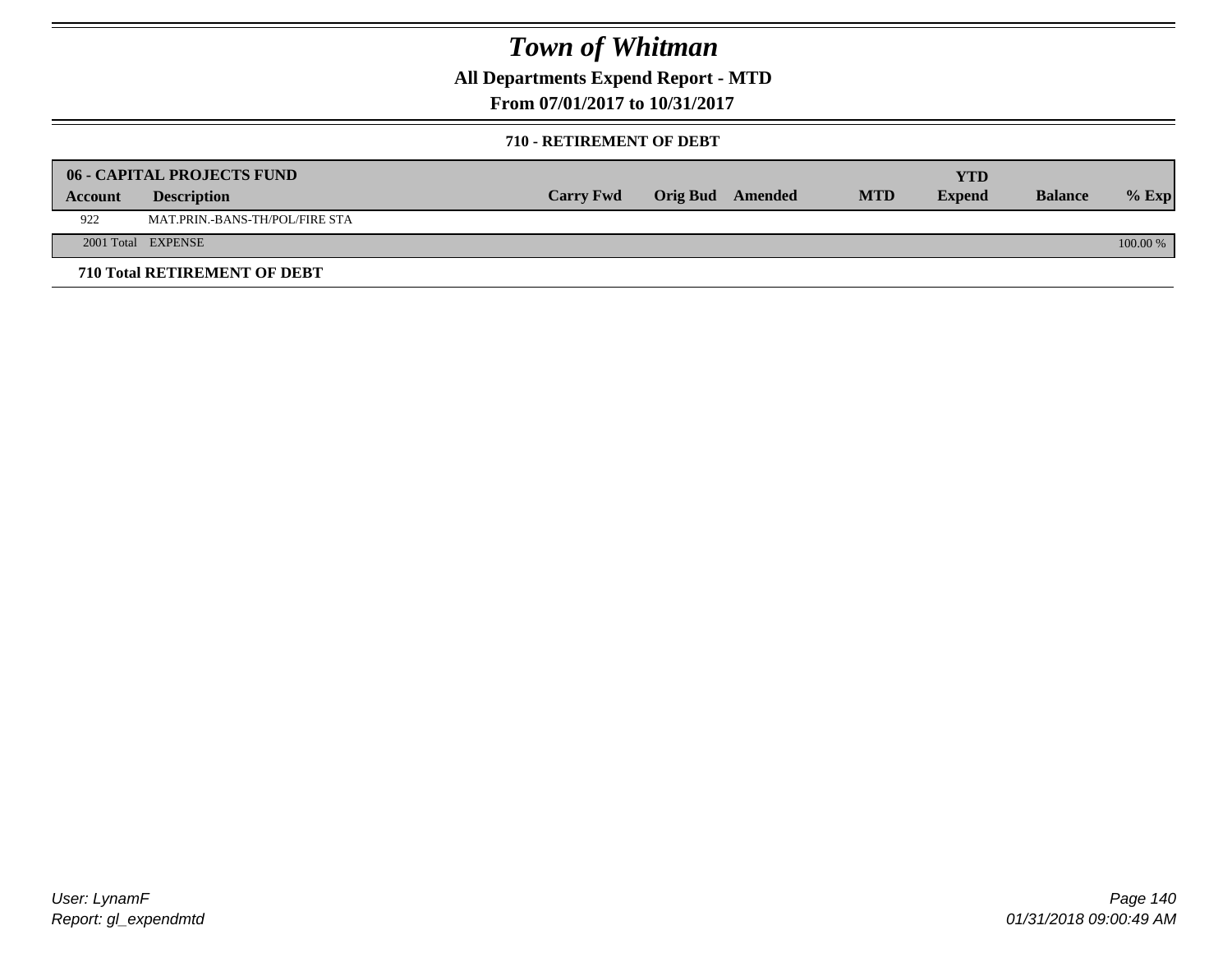**All Departments Expend Report - MTD**

**From 07/01/2017 to 10/31/2017**

#### **710 - RETIREMENT OF DEBT**

|         | <b>06 - CAPITAL PROJECTS FUND</b>     |                  |                  |            | <b>YTD</b>    |                |            |
|---------|---------------------------------------|------------------|------------------|------------|---------------|----------------|------------|
| Account | <b>Description</b>                    | <b>Carry Fwd</b> | Orig Bud Amended | <b>MTD</b> | <b>Expend</b> | <b>Balance</b> | $%$ Exp    |
| 922     | <b>MAT.PRIN.-BANS-TH/POL/FIRE STA</b> |                  |                  |            |               |                |            |
|         | 2001 Total EXPENSE                    |                  |                  |            |               |                | $100.00\%$ |
|         | 710 Total RETIREMENT OF DEBT          |                  |                  |            |               |                |            |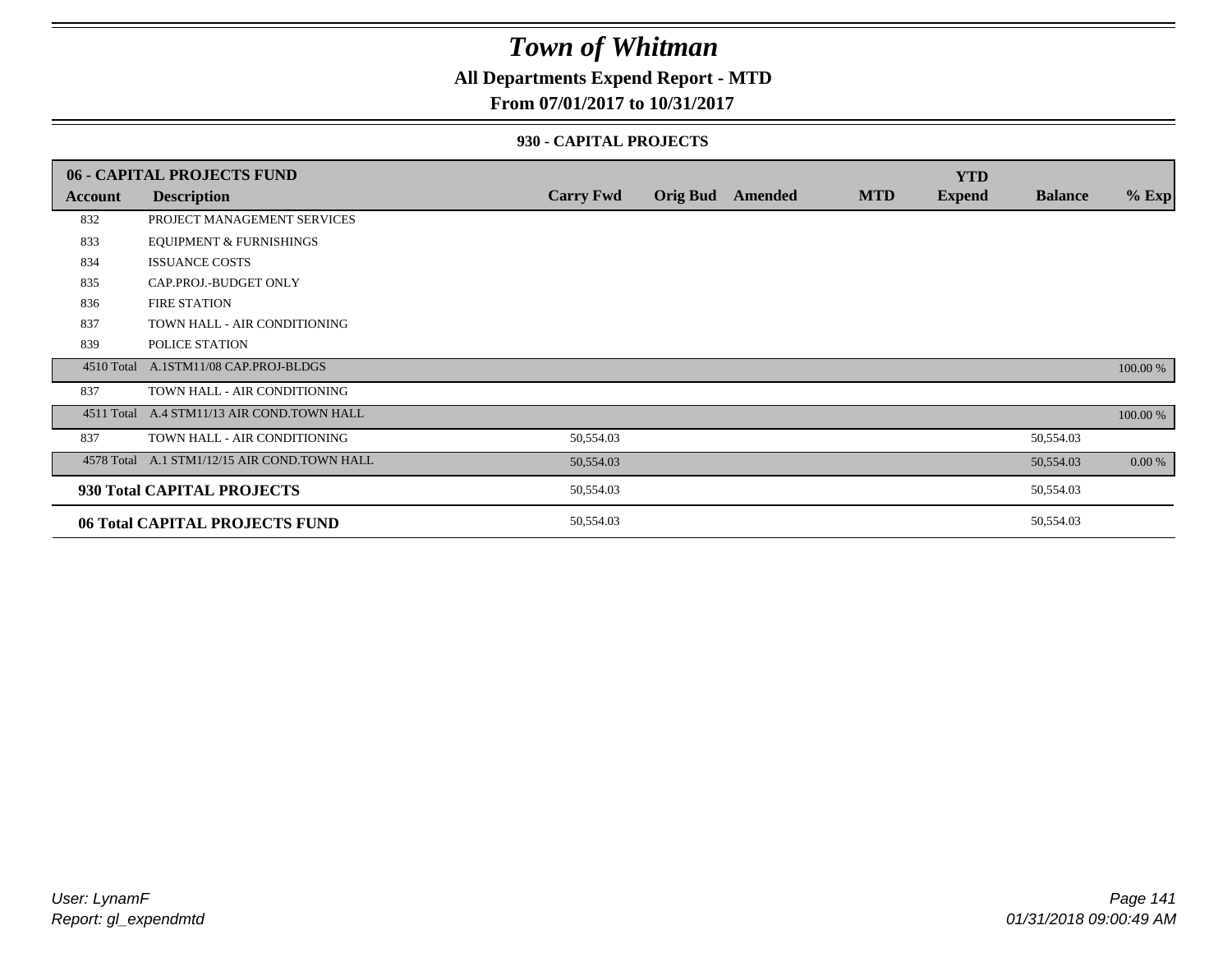### **All Departments Expend Report - MTD**

#### **From 07/01/2017 to 10/31/2017**

#### **930 - CAPITAL PROJECTS**

|            | 06 - CAPITAL PROJECTS FUND                   |                  |                 |         |            | <b>YTD</b>    |                |          |
|------------|----------------------------------------------|------------------|-----------------|---------|------------|---------------|----------------|----------|
| Account    | <b>Description</b>                           | <b>Carry Fwd</b> | <b>Orig Bud</b> | Amended | <b>MTD</b> | <b>Expend</b> | <b>Balance</b> | $%$ Exp  |
| 832        | PROJECT MANAGEMENT SERVICES                  |                  |                 |         |            |               |                |          |
| 833        | <b>EQUIPMENT &amp; FURNISHINGS</b>           |                  |                 |         |            |               |                |          |
| 834        | <b>ISSUANCE COSTS</b>                        |                  |                 |         |            |               |                |          |
| 835        | CAP.PROJ.-BUDGET ONLY                        |                  |                 |         |            |               |                |          |
| 836        | <b>FIRE STATION</b>                          |                  |                 |         |            |               |                |          |
| 837        | TOWN HALL - AIR CONDITIONING                 |                  |                 |         |            |               |                |          |
| 839        | POLICE STATION                               |                  |                 |         |            |               |                |          |
|            | 4510 Total A.1STM11/08 CAP.PROJ-BLDGS        |                  |                 |         |            |               |                | 100.00 % |
| 837        | TOWN HALL - AIR CONDITIONING                 |                  |                 |         |            |               |                |          |
| 4511 Total | A.4 STM11/13 AIR COND.TOWN HALL              |                  |                 |         |            |               |                | 100.00 % |
| 837        | TOWN HALL - AIR CONDITIONING                 | 50,554.03        |                 |         |            |               | 50,554.03      |          |
|            | 4578 Total A.1 STM1/12/15 AIR COND.TOWN HALL | 50,554.03        |                 |         |            |               | 50,554.03      | 0.00 %   |
|            | 930 Total CAPITAL PROJECTS                   | 50,554.03        |                 |         |            |               | 50,554.03      |          |
|            | 06 Total CAPITAL PROJECTS FUND               | 50,554.03        |                 |         |            |               | 50,554.03      |          |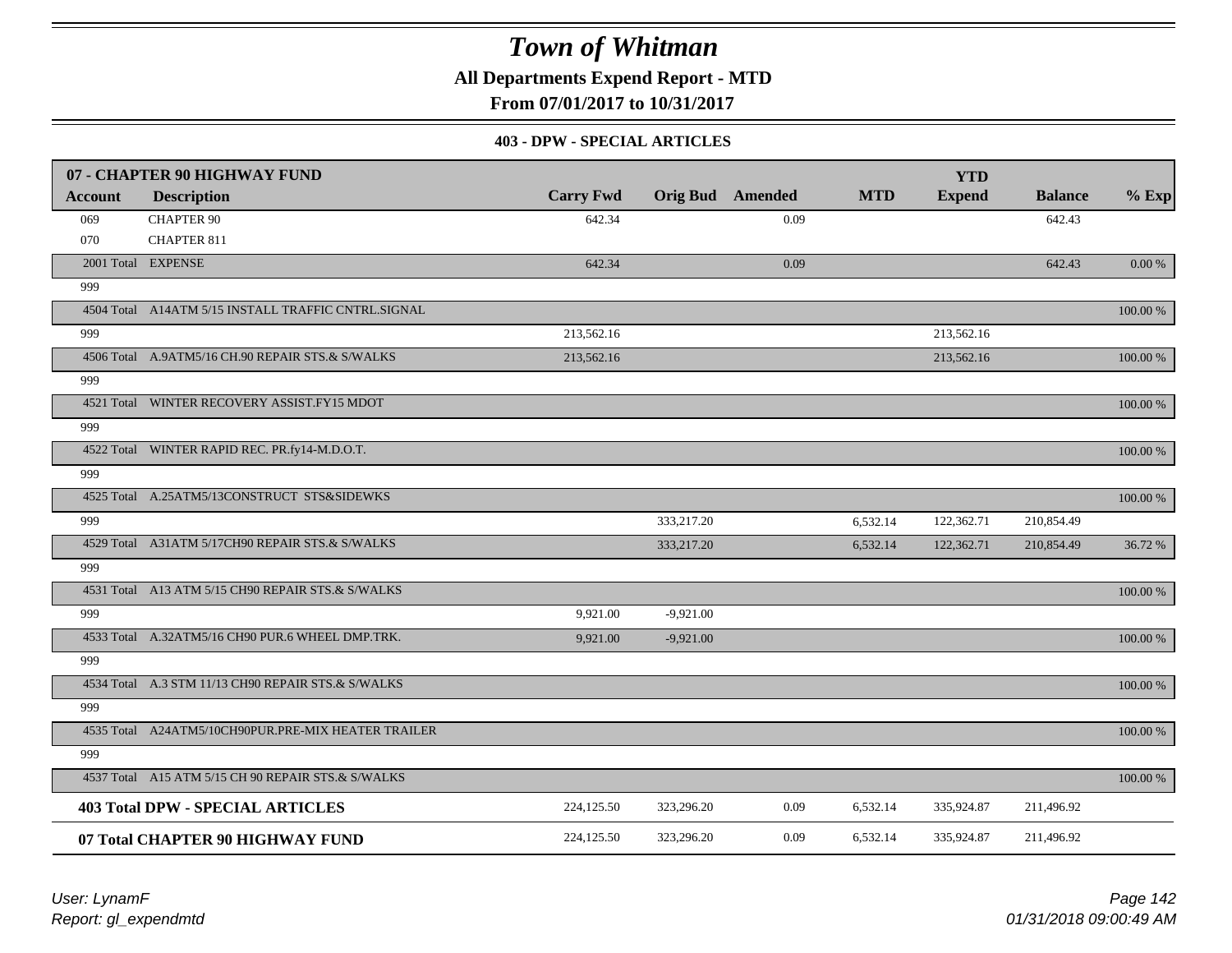**All Departments Expend Report - MTD**

**From 07/01/2017 to 10/31/2017**

#### **403 - DPW - SPECIAL ARTICLES**

|                | 07 - CHAPTER 90 HIGHWAY FUND                        |                  |             |                         |            | <b>YTD</b>    |                |             |
|----------------|-----------------------------------------------------|------------------|-------------|-------------------------|------------|---------------|----------------|-------------|
| <b>Account</b> | <b>Description</b>                                  | <b>Carry Fwd</b> |             | <b>Orig Bud</b> Amended | <b>MTD</b> | <b>Expend</b> | <b>Balance</b> | $%$ Exp     |
| 069            | <b>CHAPTER 90</b>                                   | 642.34           |             | 0.09                    |            |               | 642.43         |             |
| 070            | <b>CHAPTER 811</b>                                  |                  |             |                         |            |               |                |             |
|                | 2001 Total EXPENSE                                  | 642.34           |             | 0.09                    |            |               | 642.43         | $0.00\ \%$  |
| 999            |                                                     |                  |             |                         |            |               |                |             |
|                | 4504 Total A14ATM 5/15 INSTALL TRAFFIC CNTRL.SIGNAL |                  |             |                         |            |               |                | 100.00 %    |
| 999            |                                                     | 213,562.16       |             |                         |            | 213,562.16    |                |             |
|                | 4506 Total A.9ATM5/16 CH.90 REPAIR STS.& S/WALKS    | 213,562.16       |             |                         |            | 213,562.16    |                | $100.00~\%$ |
| 999            |                                                     |                  |             |                         |            |               |                |             |
|                | 4521 Total WINTER RECOVERY ASSIST.FY15 MDOT         |                  |             |                         |            |               |                | 100.00 %    |
| 999            |                                                     |                  |             |                         |            |               |                |             |
|                | 4522 Total WINTER RAPID REC. PR.fy14-M.D.O.T.       |                  |             |                         |            |               |                | 100.00 %    |
| 999            |                                                     |                  |             |                         |            |               |                |             |
|                | 4525 Total A.25ATM5/13CONSTRUCT STS&SIDEWKS         |                  |             |                         |            |               |                | 100.00 %    |
| 999            |                                                     |                  | 333,217.20  |                         | 6,532.14   | 122,362.71    | 210,854.49     |             |
|                | 4529 Total A31ATM 5/17CH90 REPAIR STS.& S/WALKS     |                  | 333,217.20  |                         | 6,532.14   | 122,362.71    | 210,854.49     | 36.72 %     |
| 999            |                                                     |                  |             |                         |            |               |                |             |
|                | 4531 Total A13 ATM 5/15 CH90 REPAIR STS.& S/WALKS   |                  |             |                         |            |               |                | 100.00 %    |
| 999            |                                                     | 9,921.00         | $-9,921.00$ |                         |            |               |                |             |
|                | 4533 Total A.32ATM5/16 CH90 PUR.6 WHEEL DMP.TRK.    | 9.921.00         | $-9,921.00$ |                         |            |               |                | 100.00 %    |
| 999            |                                                     |                  |             |                         |            |               |                |             |
|                | 4534 Total A.3 STM 11/13 CH90 REPAIR STS.& S/WALKS  |                  |             |                         |            |               |                | 100.00 %    |
| 999            |                                                     |                  |             |                         |            |               |                |             |
|                | 4535 Total A24ATM5/10CH90PUR.PRE-MIX HEATER TRAILER |                  |             |                         |            |               |                | 100.00 %    |
| 999            |                                                     |                  |             |                         |            |               |                |             |
|                | 4537 Total A15 ATM 5/15 CH 90 REPAIR STS.& S/WALKS  |                  |             |                         |            |               |                | 100.00 %    |
|                | <b>403 Total DPW - SPECIAL ARTICLES</b>             | 224,125.50       | 323,296.20  | 0.09                    | 6,532.14   | 335,924.87    | 211,496.92     |             |
|                | 07 Total CHAPTER 90 HIGHWAY FUND                    | 224,125.50       | 323,296.20  | 0.09                    | 6,532.14   | 335,924.87    | 211,496.92     |             |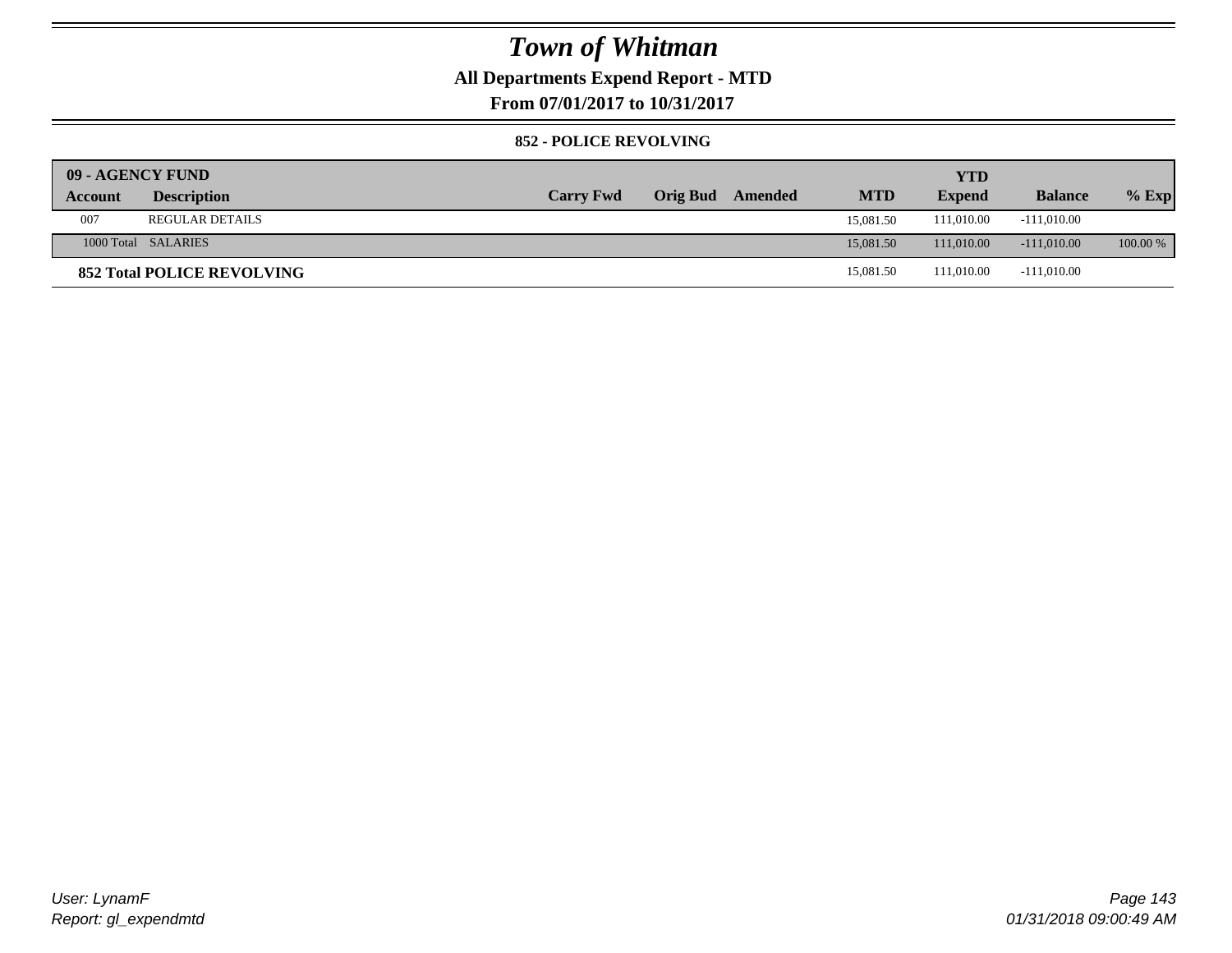### **All Departments Expend Report - MTD**

**From 07/01/2017 to 10/31/2017**

#### **852 - POLICE REVOLVING**

| 09 - AGENCY FUND |                                   |                  |                 |         |            | <b>YTD</b>    |                |            |
|------------------|-----------------------------------|------------------|-----------------|---------|------------|---------------|----------------|------------|
| Account          | <b>Description</b>                | <b>Carry Fwd</b> | <b>Orig Bud</b> | Amended | <b>MTD</b> | <b>Expend</b> | <b>Balance</b> | $%$ Exp    |
| 007              | <b>REGULAR DETAILS</b>            |                  |                 |         | 15,081.50  | 111,010.00    | $-111,010.00$  |            |
|                  | 1000 Total SALARIES               |                  |                 |         | 15,081.50  | 111,010.00    | $-111.010.00$  | $100.00\%$ |
|                  | <b>852 Total POLICE REVOLVING</b> |                  |                 |         | 15,081.50  | 111.010.00    | $-111,010.00$  |            |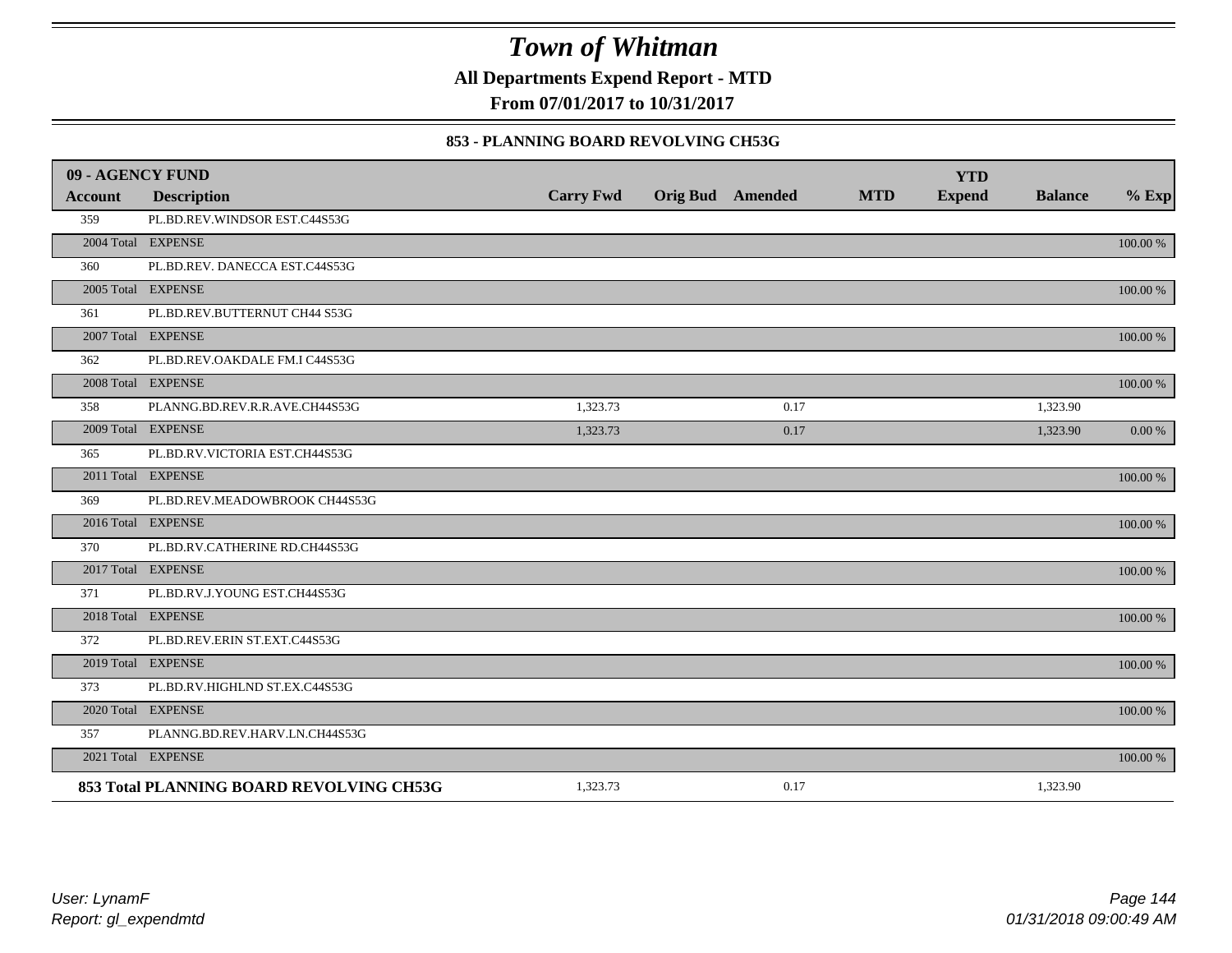**All Departments Expend Report - MTD**

**From 07/01/2017 to 10/31/2017**

#### **853 - PLANNING BOARD REVOLVING CH53G**

| 09 - AGENCY FUND |                                          |                  |                         |            | <b>YTD</b>    |                |             |
|------------------|------------------------------------------|------------------|-------------------------|------------|---------------|----------------|-------------|
| <b>Account</b>   | <b>Description</b>                       | <b>Carry Fwd</b> | <b>Orig Bud</b> Amended | <b>MTD</b> | <b>Expend</b> | <b>Balance</b> | $%$ Exp     |
| 359              | PL.BD.REV.WINDSOR EST.C44S53G            |                  |                         |            |               |                |             |
|                  | 2004 Total EXPENSE                       |                  |                         |            |               |                | 100.00 %    |
| 360              | PL.BD.REV. DANECCA EST.C44S53G           |                  |                         |            |               |                |             |
|                  | 2005 Total EXPENSE                       |                  |                         |            |               |                | 100.00 %    |
| 361              | PL.BD.REV.BUTTERNUT CH44 S53G            |                  |                         |            |               |                |             |
|                  | 2007 Total EXPENSE                       |                  |                         |            |               |                | $100.00~\%$ |
| 362              | PL.BD.REV.OAKDALE FM.I C44S53G           |                  |                         |            |               |                |             |
|                  | 2008 Total EXPENSE                       |                  |                         |            |               |                | 100.00 %    |
| 358              | PLANNG.BD.REV.R.R.AVE.CH44S53G           | 1,323.73         | 0.17                    |            |               | 1,323.90       |             |
|                  | 2009 Total EXPENSE                       | 1,323.73         | 0.17                    |            |               | 1,323.90       | 0.00 %      |
| 365              | PL.BD.RV.VICTORIA EST.CH44S53G           |                  |                         |            |               |                |             |
|                  | 2011 Total EXPENSE                       |                  |                         |            |               |                | $100.00~\%$ |
| 369              | PL.BD.REV.MEADOWBROOK CH44S53G           |                  |                         |            |               |                |             |
|                  | 2016 Total EXPENSE                       |                  |                         |            |               |                | 100.00 %    |
| 370              | PL.BD.RV.CATHERINE RD.CH44S53G           |                  |                         |            |               |                |             |
|                  | 2017 Total EXPENSE                       |                  |                         |            |               |                | 100.00 %    |
| 371              | PL.BD.RV.J.YOUNG EST.CH44S53G            |                  |                         |            |               |                |             |
|                  | 2018 Total EXPENSE                       |                  |                         |            |               |                | 100.00 %    |
| 372              | PL.BD.REV.ERIN ST.EXT.C44S53G            |                  |                         |            |               |                |             |
|                  | 2019 Total EXPENSE                       |                  |                         |            |               |                | 100.00 %    |
| 373              | PL.BD.RV.HIGHLND ST.EX.C44S53G           |                  |                         |            |               |                |             |
|                  | 2020 Total EXPENSE                       |                  |                         |            |               |                | 100.00 %    |
| 357              | PLANNG.BD.REV.HARV.LN.CH44S53G           |                  |                         |            |               |                |             |
|                  | 2021 Total EXPENSE                       |                  |                         |            |               |                | 100.00 %    |
|                  | 853 Total PLANNING BOARD REVOLVING CH53G | 1,323.73         | 0.17                    |            |               | 1,323.90       |             |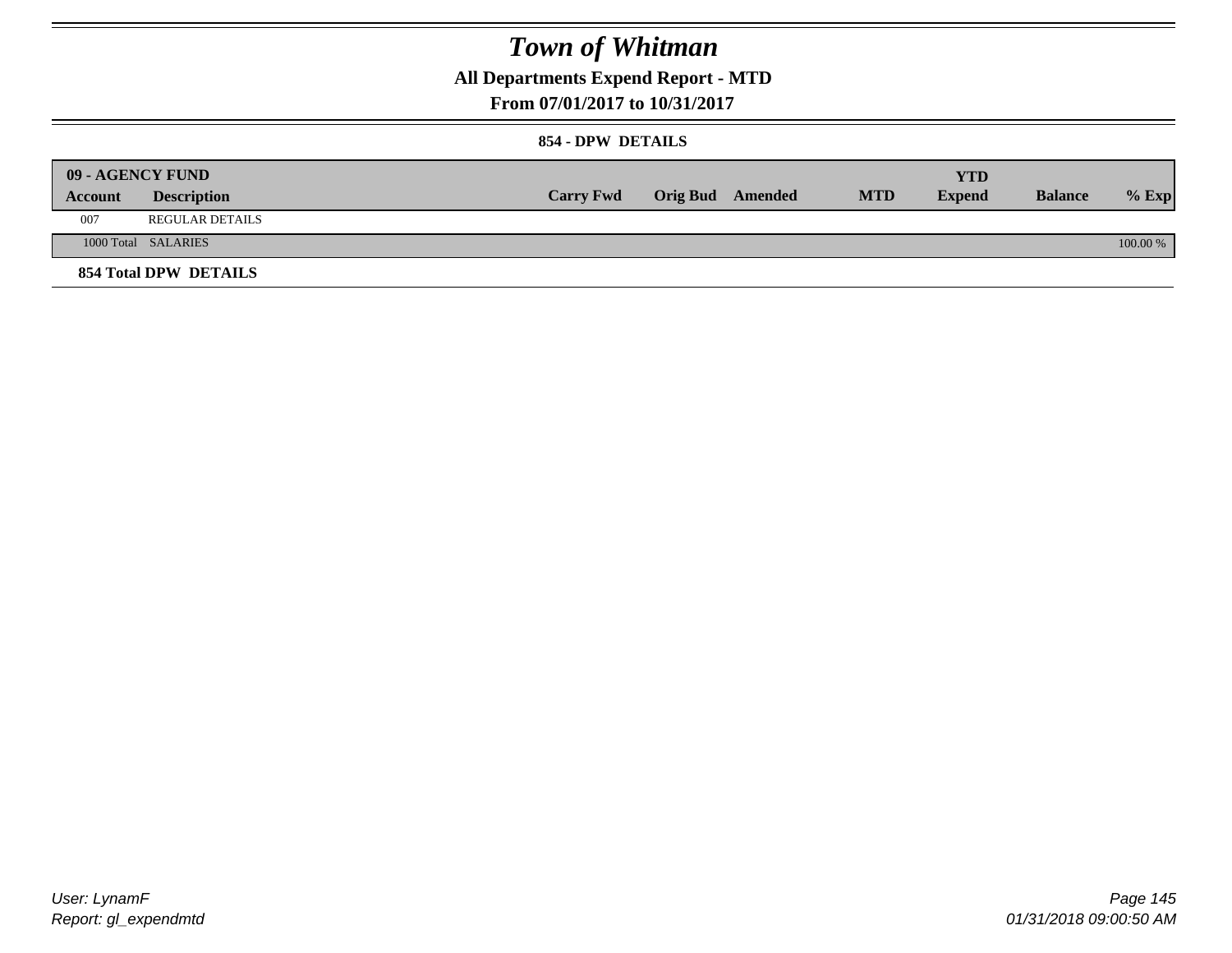## **All Departments Expend Report - MTD**

### **From 07/01/2017 to 10/31/2017**

### **854 - DPW DETAILS**

|         | 09 - AGENCY FUND      |                  |                         |            | YTD           |                |            |
|---------|-----------------------|------------------|-------------------------|------------|---------------|----------------|------------|
| Account | <b>Description</b>    | <b>Carry Fwd</b> | <b>Orig Bud</b> Amended | <b>MTD</b> | <b>Expend</b> | <b>Balance</b> | $%$ Exp    |
| 007     | REGULAR DETAILS       |                  |                         |            |               |                |            |
|         | 1000 Total SALARIES   |                  |                         |            |               |                | $100.00\%$ |
|         | 854 Total DPW DETAILS |                  |                         |            |               |                |            |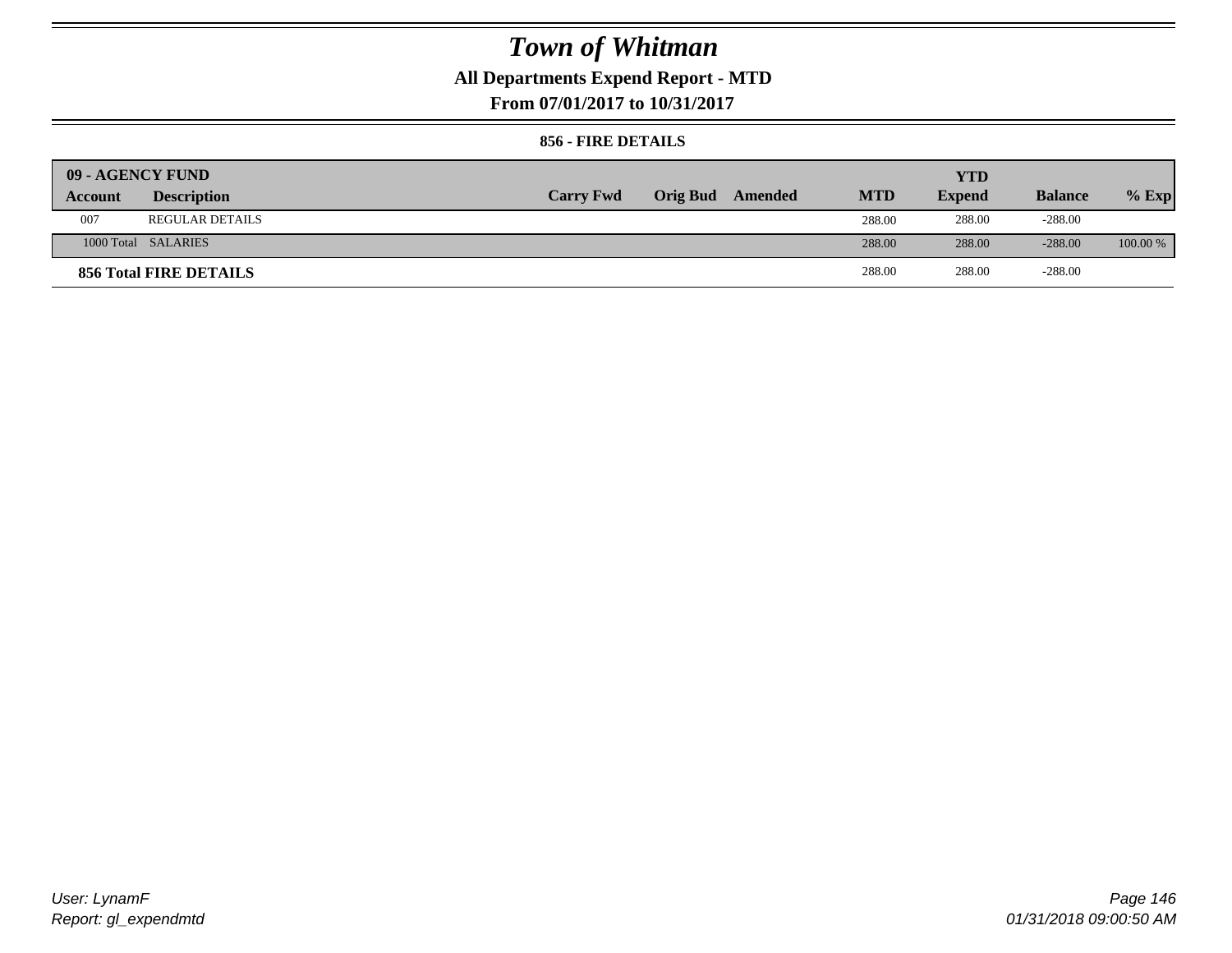## **All Departments Expend Report - MTD**

**From 07/01/2017 to 10/31/2017**

### **856 - FIRE DETAILS**

| 09 - AGENCY FUND |                        |                  |                 |         |            | YTD           |                |            |
|------------------|------------------------|------------------|-----------------|---------|------------|---------------|----------------|------------|
| Account          | <b>Description</b>     | <b>Carry Fwd</b> | <b>Orig Bud</b> | Amended | <b>MTD</b> | <b>Expend</b> | <b>Balance</b> | $%$ Exp    |
| 007              | <b>REGULAR DETAILS</b> |                  |                 |         | 288.00     | 288.00        | $-288.00$      |            |
|                  | 1000 Total SALARIES    |                  |                 |         | 288.00     | 288.00        | $-288.00$      | $100.00\%$ |
|                  | 856 Total FIRE DETAILS |                  |                 |         | 288.00     | 288.00        | $-288.00$      |            |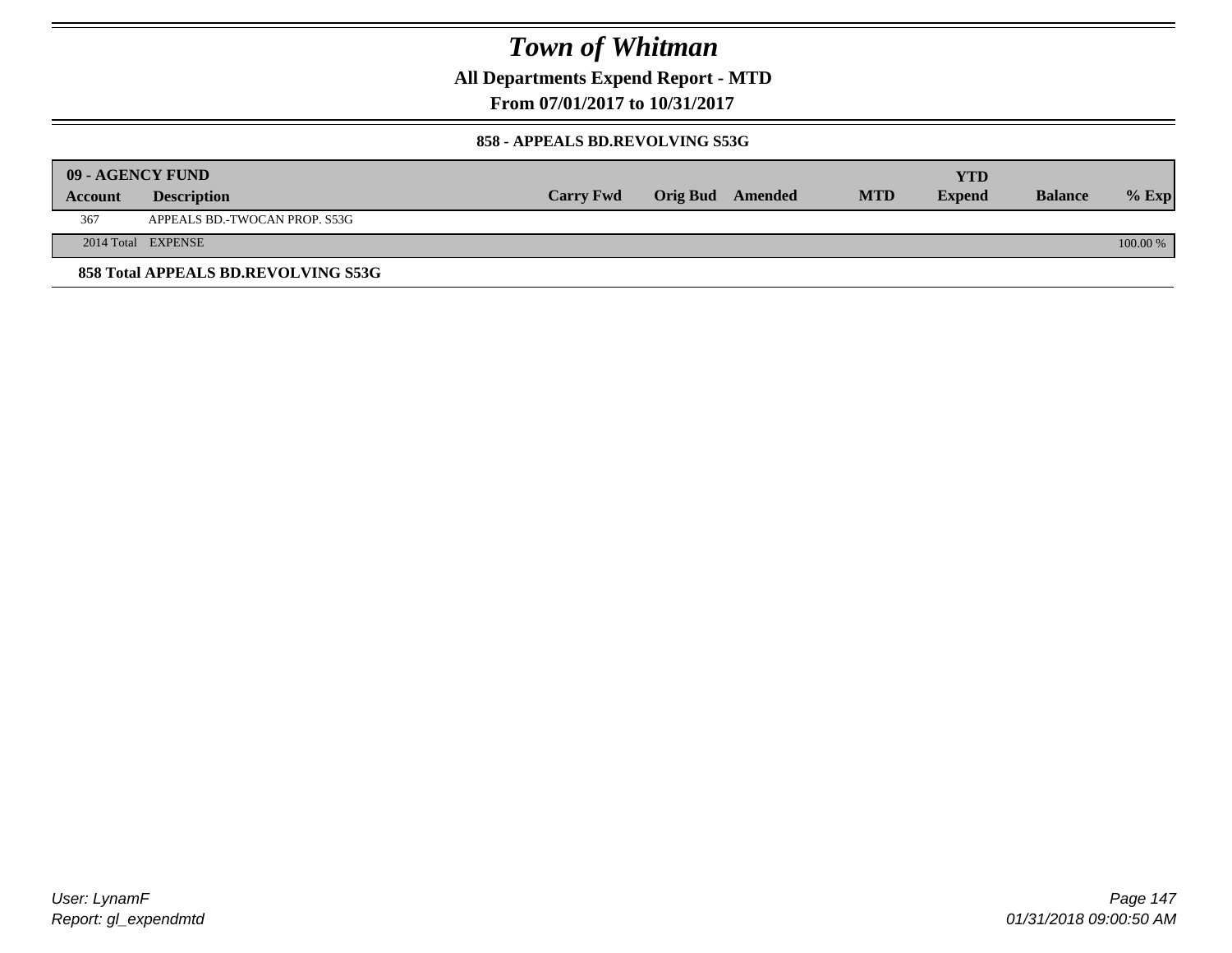**All Departments Expend Report - MTD**

**From 07/01/2017 to 10/31/2017**

### **858 - APPEALS BD.REVOLVING S53G**

|         | 09 - AGENCY FUND                    |                  |                         |            | <b>YTD</b>    |                |            |
|---------|-------------------------------------|------------------|-------------------------|------------|---------------|----------------|------------|
| Account | <b>Description</b>                  | <b>Carry Fwd</b> | <b>Orig Bud</b> Amended | <b>MTD</b> | <b>Expend</b> | <b>Balance</b> | $%$ Exp    |
| 367     | APPEALS BD.-TWOCAN PROP. S53G       |                  |                         |            |               |                |            |
|         | 2014 Total EXPENSE                  |                  |                         |            |               |                | $100.00\%$ |
|         | 858 Total APPEALS BD.REVOLVING S53G |                  |                         |            |               |                |            |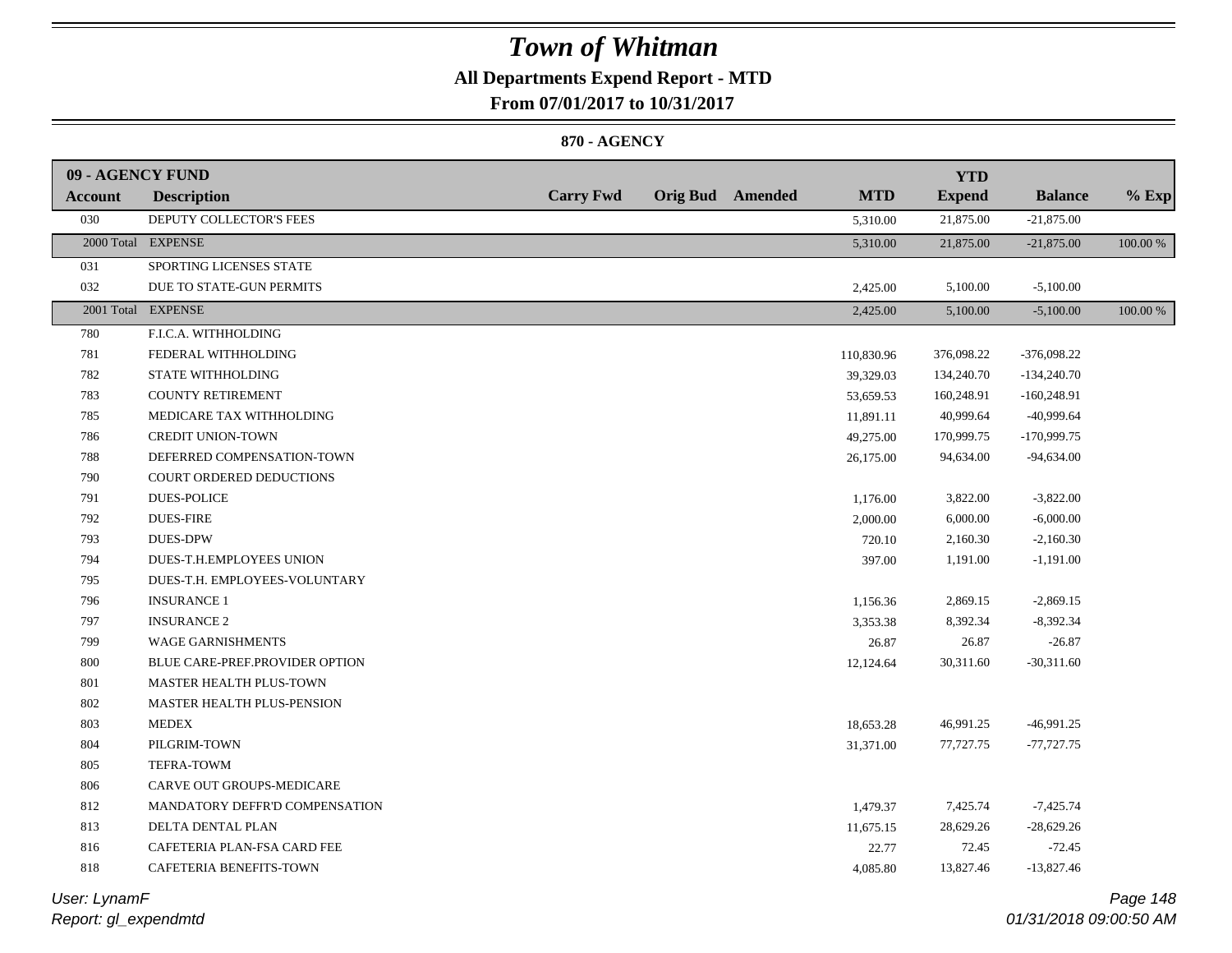## **All Departments Expend Report - MTD**

**From 07/01/2017 to 10/31/2017**

### **870 - AGENCY**

| 09 - AGENCY FUND |                                |                  |                         |            | <b>YTD</b>    |                |          |
|------------------|--------------------------------|------------------|-------------------------|------------|---------------|----------------|----------|
| <b>Account</b>   | <b>Description</b>             | <b>Carry Fwd</b> | <b>Orig Bud</b> Amended | <b>MTD</b> | <b>Expend</b> | <b>Balance</b> | $%$ Exp  |
| 030              | DEPUTY COLLECTOR'S FEES        |                  |                         | 5,310.00   | 21,875.00     | $-21,875.00$   |          |
|                  | 2000 Total EXPENSE             |                  |                         | 5,310.00   | 21,875.00     | $-21,875.00$   | 100.00 % |
| 031              | SPORTING LICENSES STATE        |                  |                         |            |               |                |          |
| 032              | DUE TO STATE-GUN PERMITS       |                  |                         | 2,425.00   | 5,100.00      | $-5,100.00$    |          |
|                  | 2001 Total EXPENSE             |                  |                         | 2,425.00   | 5,100.00      | $-5,100.00$    | 100.00 % |
| 780              | F.I.C.A. WITHHOLDING           |                  |                         |            |               |                |          |
| 781              | FEDERAL WITHHOLDING            |                  |                         | 110,830.96 | 376,098.22    | -376,098.22    |          |
| 782              | STATE WITHHOLDING              |                  |                         | 39,329.03  | 134,240.70    | $-134,240.70$  |          |
| 783              | <b>COUNTY RETIREMENT</b>       |                  |                         | 53,659.53  | 160,248.91    | $-160,248.91$  |          |
| 785              | MEDICARE TAX WITHHOLDING       |                  |                         | 11,891.11  | 40,999.64     | -40,999.64     |          |
| 786              | <b>CREDIT UNION-TOWN</b>       |                  |                         | 49,275.00  | 170,999.75    | $-170,999.75$  |          |
| 788              | DEFERRED COMPENSATION-TOWN     |                  |                         | 26,175.00  | 94,634.00     | $-94,634.00$   |          |
| 790              | COURT ORDERED DEDUCTIONS       |                  |                         |            |               |                |          |
| 791              | <b>DUES-POLICE</b>             |                  |                         | 1,176.00   | 3,822.00      | $-3,822.00$    |          |
| 792              | <b>DUES-FIRE</b>               |                  |                         | 2,000.00   | 6,000.00      | $-6,000.00$    |          |
| 793              | <b>DUES-DPW</b>                |                  |                         | 720.10     | 2,160.30      | $-2,160.30$    |          |
| 794              | DUES-T.H.EMPLOYEES UNION       |                  |                         | 397.00     | 1,191.00      | $-1,191.00$    |          |
| 795              | DUES-T.H. EMPLOYEES-VOLUNTARY  |                  |                         |            |               |                |          |
| 796              | <b>INSURANCE 1</b>             |                  |                         | 1,156.36   | 2,869.15      | $-2,869.15$    |          |
| 797              | <b>INSURANCE 2</b>             |                  |                         | 3,353.38   | 8,392.34      | $-8,392.34$    |          |
| 799              | <b>WAGE GARNISHMENTS</b>       |                  |                         | 26.87      | 26.87         | $-26.87$       |          |
| 800              | BLUE CARE-PREF.PROVIDER OPTION |                  |                         | 12,124.64  | 30,311.60     | $-30,311.60$   |          |
| 801              | MASTER HEALTH PLUS-TOWN        |                  |                         |            |               |                |          |
| 802              | MASTER HEALTH PLUS-PENSION     |                  |                         |            |               |                |          |
| 803              | <b>MEDEX</b>                   |                  |                         | 18,653.28  | 46,991.25     | $-46,991.25$   |          |
| 804              | PILGRIM-TOWN                   |                  |                         | 31,371.00  | 77,727.75     | $-77,727.75$   |          |
| 805              | TEFRA-TOWM                     |                  |                         |            |               |                |          |
| 806              | CARVE OUT GROUPS-MEDICARE      |                  |                         |            |               |                |          |
| 812              | MANDATORY DEFFR'D COMPENSATION |                  |                         | 1,479.37   | 7,425.74      | $-7,425.74$    |          |
| 813              | DELTA DENTAL PLAN              |                  |                         | 11,675.15  | 28,629.26     | $-28,629.26$   |          |
| 816              | CAFETERIA PLAN-FSA CARD FEE    |                  |                         | 22.77      | 72.45         | $-72.45$       |          |
| 818              | CAFETERIA BENEFITS-TOWN        |                  |                         | 4,085.80   | 13,827.46     | $-13,827.46$   |          |
|                  |                                |                  |                         |            |               |                |          |

*Report: gl\_expendmtd User: LynamF*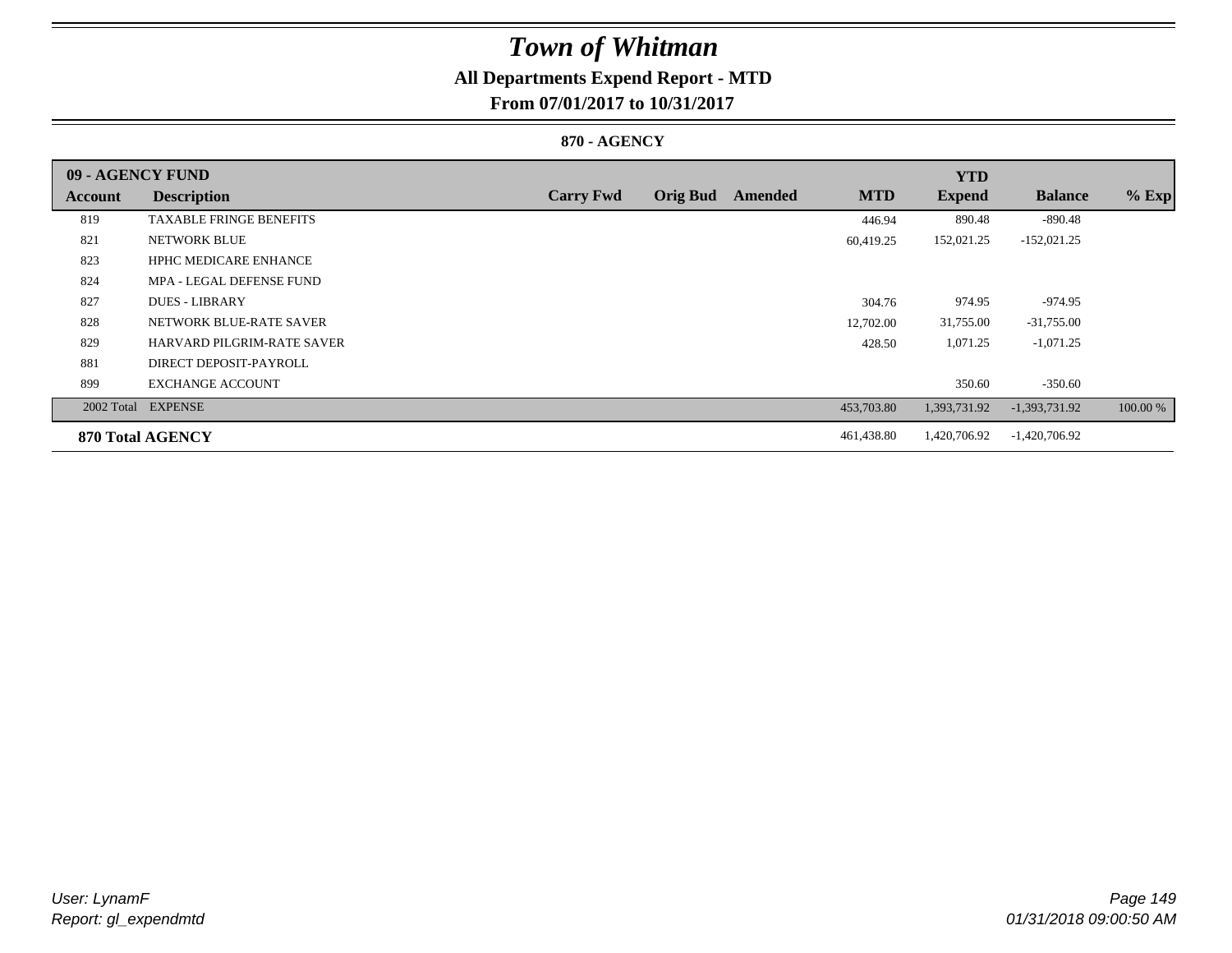## **All Departments Expend Report - MTD**

**From 07/01/2017 to 10/31/2017**

### **870 - AGENCY**

| 09 - AGENCY FUND |                                |                  |                 |         |            | <b>YTD</b>    |                 |          |
|------------------|--------------------------------|------------------|-----------------|---------|------------|---------------|-----------------|----------|
| Account          | <b>Description</b>             | <b>Carry Fwd</b> | <b>Orig Bud</b> | Amended | <b>MTD</b> | <b>Expend</b> | <b>Balance</b>  | $%$ Exp  |
| 819              | <b>TAXABLE FRINGE BENEFITS</b> |                  |                 |         | 446.94     | 890.48        | -890.48         |          |
| 821              | <b>NETWORK BLUE</b>            |                  |                 |         | 60,419.25  | 152,021.25    | $-152,021.25$   |          |
| 823              | <b>HPHC MEDICARE ENHANCE</b>   |                  |                 |         |            |               |                 |          |
| 824              | MPA - LEGAL DEFENSE FUND       |                  |                 |         |            |               |                 |          |
| 827              | <b>DUES - LIBRARY</b>          |                  |                 |         | 304.76     | 974.95        | $-974.95$       |          |
| 828              | NETWORK BLUE-RATE SAVER        |                  |                 |         | 12,702.00  | 31,755.00     | $-31,755.00$    |          |
| 829              | HARVARD PILGRIM-RATE SAVER     |                  |                 |         | 428.50     | 1,071.25      | $-1,071.25$     |          |
| 881              | DIRECT DEPOSIT-PAYROLL         |                  |                 |         |            |               |                 |          |
| 899              | <b>EXCHANGE ACCOUNT</b>        |                  |                 |         |            | 350.60        | $-350.60$       |          |
|                  | 2002 Total EXPENSE             |                  |                 |         | 453,703.80 | 1,393,731.92  | $-1,393,731.92$ | 100.00 % |
|                  | <b>870 Total AGENCY</b>        |                  |                 |         | 461,438.80 | 1,420,706.92  | $-1,420,706.92$ |          |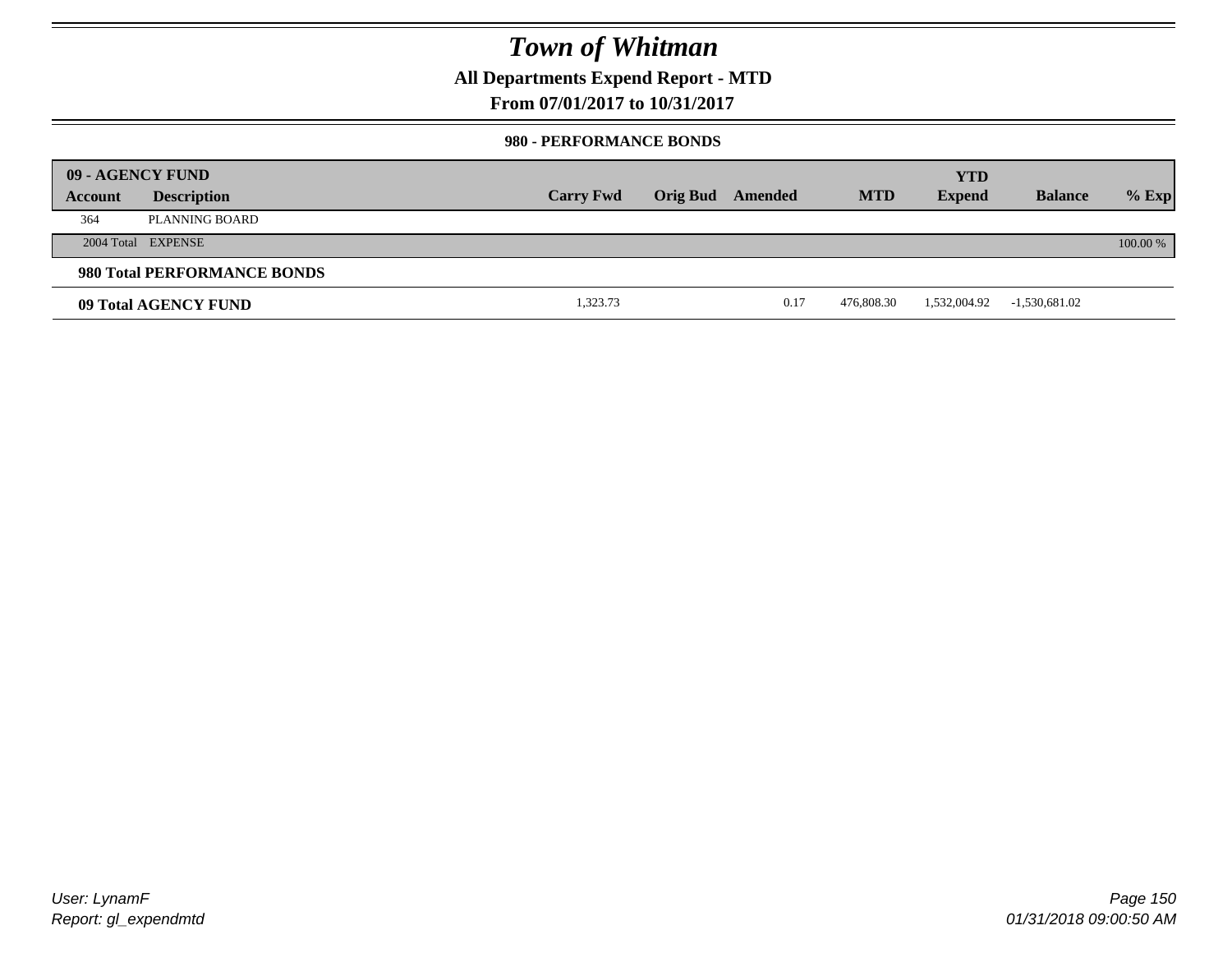### **All Departments Expend Report - MTD**

**From 07/01/2017 to 10/31/2017**

### **980 - PERFORMANCE BONDS**

|         | 09 - AGENCY FUND            |                  |                 |         |            | <b>YTD</b>    |                 |          |
|---------|-----------------------------|------------------|-----------------|---------|------------|---------------|-----------------|----------|
| Account | <b>Description</b>          | <b>Carry Fwd</b> | <b>Orig Bud</b> | Amended | <b>MTD</b> | <b>Expend</b> | <b>Balance</b>  | $%$ Exp  |
| 364     | PLANNING BOARD              |                  |                 |         |            |               |                 |          |
|         | 2004 Total EXPENSE          |                  |                 |         |            |               |                 | 100.00 % |
|         | 980 Total PERFORMANCE BONDS |                  |                 |         |            |               |                 |          |
|         | 09 Total AGENCY FUND        | 1,323.73         |                 | 0.17    | 476,808.30 | 1,532,004.92  | $-1,530,681.02$ |          |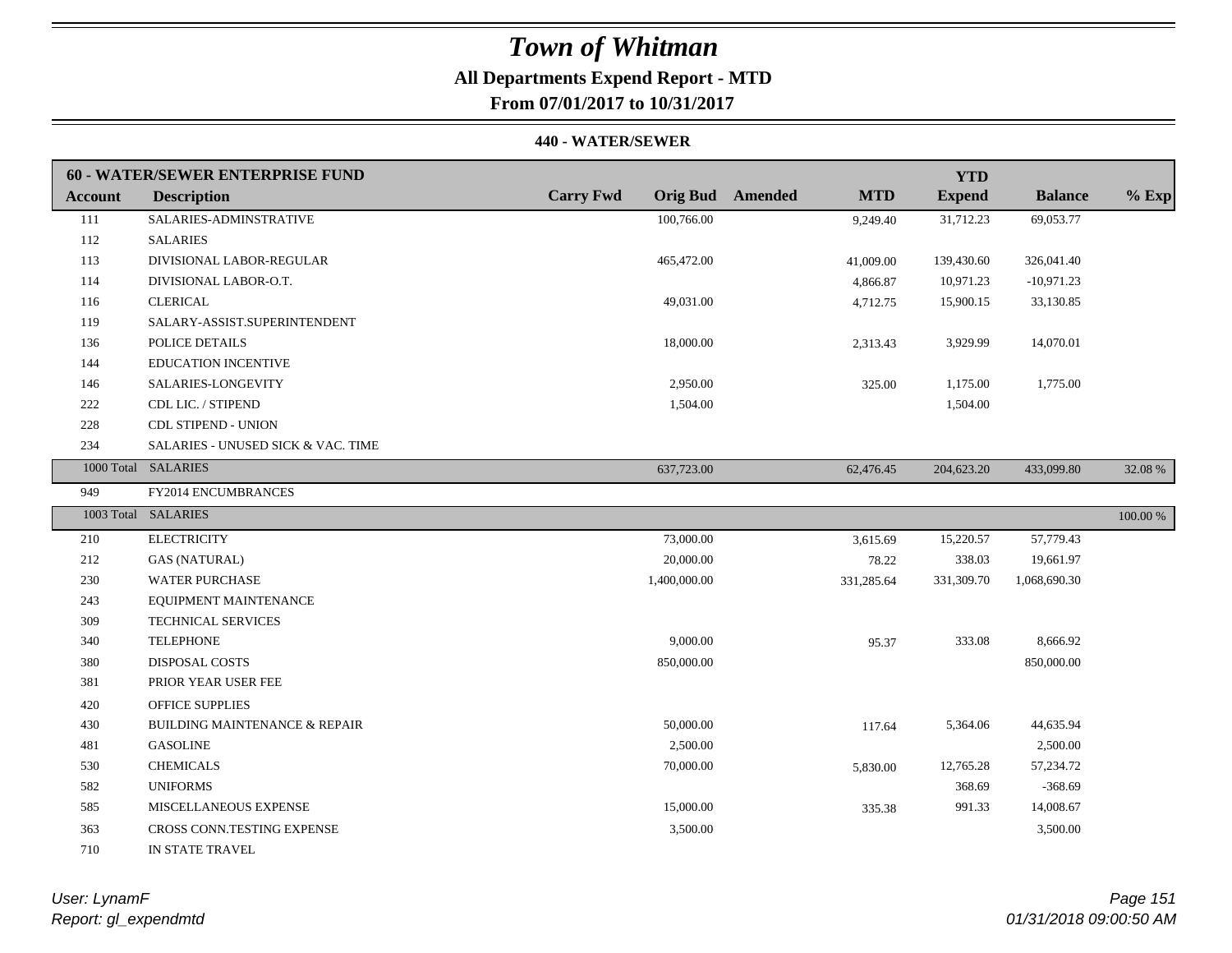### **All Departments Expend Report - MTD**

**From 07/01/2017 to 10/31/2017**

#### **440 - WATER/SEWER**

|                | 60 - WATER/SEWER ENTERPRISE FUND         |                                     |                       | <b>YTD</b>    |                |          |
|----------------|------------------------------------------|-------------------------------------|-----------------------|---------------|----------------|----------|
| <b>Account</b> | <b>Description</b>                       | <b>Carry Fwd</b><br><b>Orig Bud</b> | <b>MTD</b><br>Amended | <b>Expend</b> | <b>Balance</b> | $%$ Exp  |
| 111            | SALARIES-ADMINSTRATIVE                   | 100,766.00                          | 9,249.40              | 31,712.23     | 69,053.77      |          |
| 112            | <b>SALARIES</b>                          |                                     |                       |               |                |          |
| 113            | DIVISIONAL LABOR-REGULAR                 | 465,472.00                          | 41,009.00             | 139,430.60    | 326,041.40     |          |
| 114            | DIVISIONAL LABOR-O.T.                    |                                     | 4,866.87              | 10,971.23     | $-10,971.23$   |          |
| 116            | <b>CLERICAL</b>                          | 49,031.00                           | 4,712.75              | 15,900.15     | 33,130.85      |          |
| 119            | SALARY-ASSIST.SUPERINTENDENT             |                                     |                       |               |                |          |
| 136            | POLICE DETAILS                           | 18,000.00                           | 2,313.43              | 3,929.99      | 14,070.01      |          |
| 144            | <b>EDUCATION INCENTIVE</b>               |                                     |                       |               |                |          |
| 146            | SALARIES-LONGEVITY                       | 2,950.00                            | 325.00                | 1,175.00      | 1,775.00       |          |
| 222            | CDL LIC. / STIPEND                       | 1,504.00                            |                       | 1,504.00      |                |          |
| 228            | CDL STIPEND - UNION                      |                                     |                       |               |                |          |
| 234            | SALARIES - UNUSED SICK & VAC. TIME       |                                     |                       |               |                |          |
|                | 1000 Total SALARIES                      | 637,723.00                          | 62,476.45             | 204,623.20    | 433,099.80     | 32.08 %  |
| 949            | FY2014 ENCUMBRANCES                      |                                     |                       |               |                |          |
|                | 1003 Total SALARIES                      |                                     |                       |               |                | 100.00 % |
| 210            | <b>ELECTRICITY</b>                       | 73,000.00                           | 3,615.69              | 15,220.57     | 57,779.43      |          |
| 212            | <b>GAS (NATURAL)</b>                     | 20,000.00                           | 78.22                 | 338.03        | 19,661.97      |          |
| 230            | <b>WATER PURCHASE</b>                    | 1,400,000.00                        | 331,285.64            | 331,309.70    | 1,068,690.30   |          |
| 243            | EQUIPMENT MAINTENANCE                    |                                     |                       |               |                |          |
| 309            | <b>TECHNICAL SERVICES</b>                |                                     |                       |               |                |          |
| 340            | <b>TELEPHONE</b>                         | 9,000.00                            | 95.37                 | 333.08        | 8,666.92       |          |
| 380            | <b>DISPOSAL COSTS</b>                    | 850,000.00                          |                       |               | 850,000.00     |          |
| 381            | PRIOR YEAR USER FEE                      |                                     |                       |               |                |          |
| 420            | <b>OFFICE SUPPLIES</b>                   |                                     |                       |               |                |          |
| 430            | <b>BUILDING MAINTENANCE &amp; REPAIR</b> | 50,000.00                           | 117.64                | 5,364.06      | 44,635.94      |          |
| 481            | <b>GASOLINE</b>                          | 2,500.00                            |                       |               | 2,500.00       |          |
| 530            | <b>CHEMICALS</b>                         | 70,000.00                           | 5,830.00              | 12,765.28     | 57,234.72      |          |
| 582            | <b>UNIFORMS</b>                          |                                     |                       | 368.69        | $-368.69$      |          |
| 585            | MISCELLANEOUS EXPENSE                    | 15,000.00                           | 335.38                | 991.33        | 14,008.67      |          |
| 363            | CROSS CONN.TESTING EXPENSE               | 3,500.00                            |                       |               | 3,500.00       |          |
| 710            | IN STATE TRAVEL                          |                                     |                       |               |                |          |

*Report: gl\_expendmtd User: LynamF*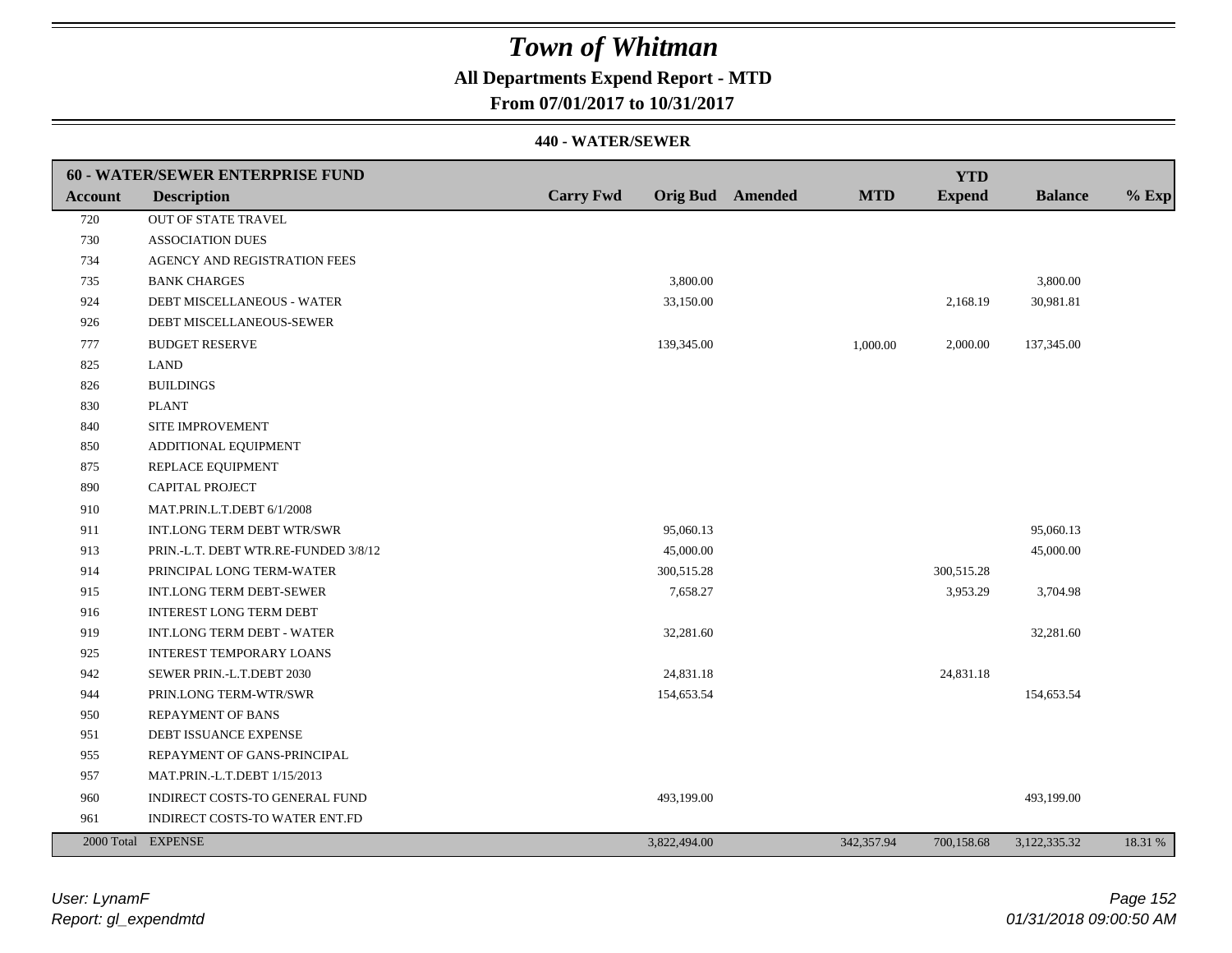## **All Departments Expend Report - MTD**

**From 07/01/2017 to 10/31/2017**

|                | 60 - WATER/SEWER ENTERPRISE FUND     |                  |                         |            | <b>YTD</b>    |                |         |
|----------------|--------------------------------------|------------------|-------------------------|------------|---------------|----------------|---------|
| <b>Account</b> | <b>Description</b>                   | <b>Carry Fwd</b> | <b>Orig Bud</b> Amended | <b>MTD</b> | <b>Expend</b> | <b>Balance</b> | $%$ Exp |
| 720            | OUT OF STATE TRAVEL                  |                  |                         |            |               |                |         |
| 730            | <b>ASSOCIATION DUES</b>              |                  |                         |            |               |                |         |
| 734            | AGENCY AND REGISTRATION FEES         |                  |                         |            |               |                |         |
| 735            | <b>BANK CHARGES</b>                  |                  | 3,800.00                |            |               | 3,800.00       |         |
| 924            | DEBT MISCELLANEOUS - WATER           |                  | 33,150.00               |            | 2,168.19      | 30,981.81      |         |
| 926            | DEBT MISCELLANEOUS-SEWER             |                  |                         |            |               |                |         |
| 777            | <b>BUDGET RESERVE</b>                |                  | 139,345.00              | 1,000.00   | 2,000.00      | 137,345.00     |         |
| 825            | <b>LAND</b>                          |                  |                         |            |               |                |         |
| 826            | <b>BUILDINGS</b>                     |                  |                         |            |               |                |         |
| 830            | <b>PLANT</b>                         |                  |                         |            |               |                |         |
| 840            | SITE IMPROVEMENT                     |                  |                         |            |               |                |         |
| 850            | ADDITIONAL EQUIPMENT                 |                  |                         |            |               |                |         |
| 875            | REPLACE EQUIPMENT                    |                  |                         |            |               |                |         |
| 890            | CAPITAL PROJECT                      |                  |                         |            |               |                |         |
| 910            | MAT.PRIN.L.T.DEBT 6/1/2008           |                  |                         |            |               |                |         |
| 911            | INT.LONG TERM DEBT WTR/SWR           |                  | 95,060.13               |            |               | 95,060.13      |         |
| 913            | PRIN.-L.T. DEBT WTR.RE-FUNDED 3/8/12 |                  | 45,000.00               |            |               | 45,000.00      |         |
| 914            | PRINCIPAL LONG TERM-WATER            |                  | 300,515.28              |            | 300,515.28    |                |         |
| 915            | INT.LONG TERM DEBT-SEWER             |                  | 7,658.27                |            | 3,953.29      | 3,704.98       |         |
| 916            | <b>INTEREST LONG TERM DEBT</b>       |                  |                         |            |               |                |         |
| 919            | <b>INT.LONG TERM DEBT - WATER</b>    |                  | 32,281.60               |            |               | 32,281.60      |         |
| 925            | <b>INTEREST TEMPORARY LOANS</b>      |                  |                         |            |               |                |         |
| 942            | SEWER PRIN.-L.T.DEBT 2030            |                  | 24,831.18               |            | 24,831.18     |                |         |
| 944            | PRIN.LONG TERM-WTR/SWR               |                  | 154,653.54              |            |               | 154,653.54     |         |
| 950            | <b>REPAYMENT OF BANS</b>             |                  |                         |            |               |                |         |
| 951            | DEBT ISSUANCE EXPENSE                |                  |                         |            |               |                |         |
| 955            | REPAYMENT OF GANS-PRINCIPAL          |                  |                         |            |               |                |         |
| 957            | MAT.PRIN.-L.T.DEBT 1/15/2013         |                  |                         |            |               |                |         |
| 960            | INDIRECT COSTS-TO GENERAL FUND       |                  | 493,199.00              |            |               | 493,199.00     |         |
| 961            | INDIRECT COSTS-TO WATER ENT.FD       |                  |                         |            |               |                |         |
|                | 2000 Total EXPENSE                   |                  | 3,822,494.00            | 342,357.94 | 700,158.68    | 3,122,335.32   | 18.31 % |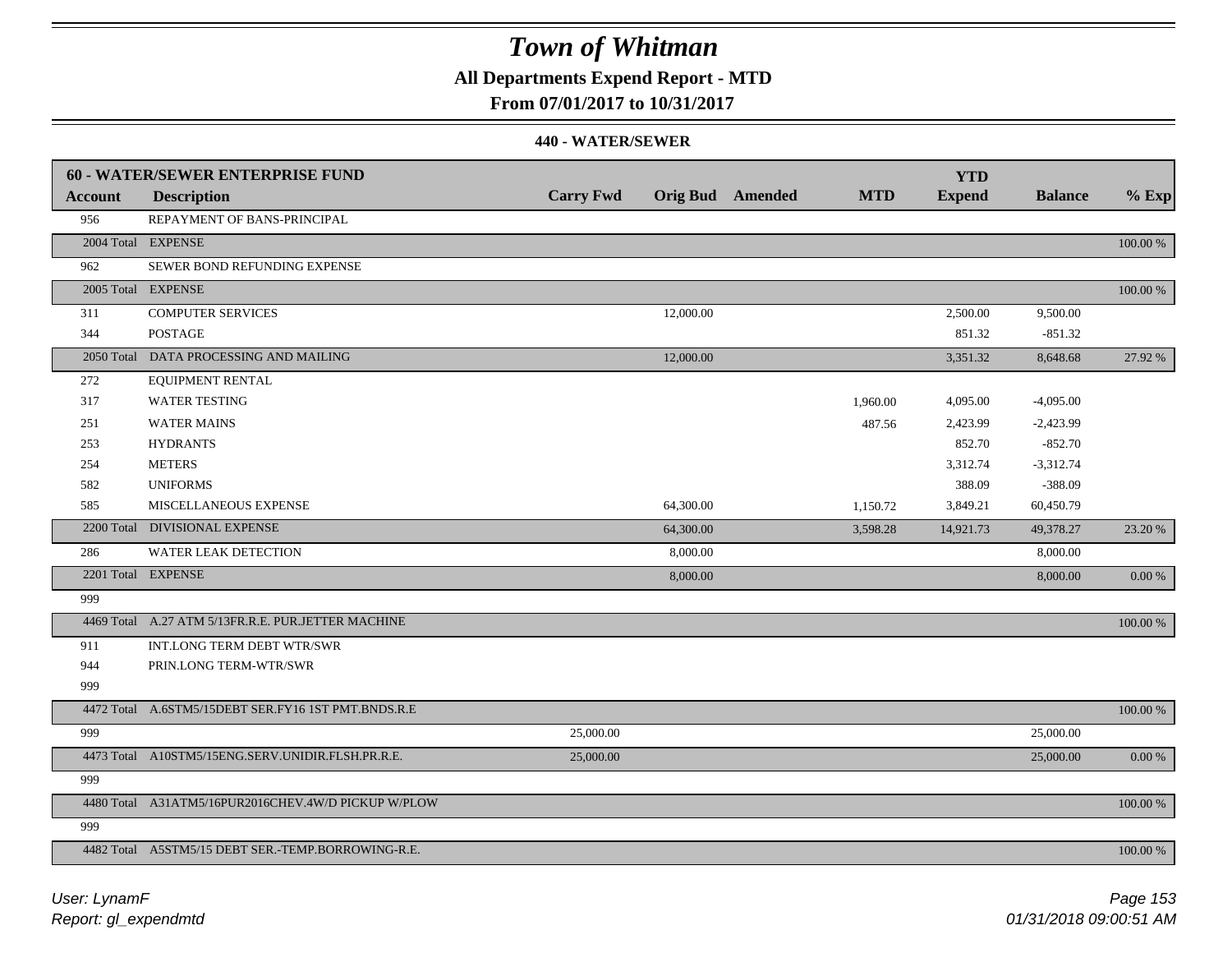## **All Departments Expend Report - MTD**

**From 07/01/2017 to 10/31/2017**

|         | <b>60 - WATER/SEWER ENTERPRISE FUND</b>             |                  |                         |            | <b>YTD</b>    |                |            |
|---------|-----------------------------------------------------|------------------|-------------------------|------------|---------------|----------------|------------|
| Account | <b>Description</b>                                  | <b>Carry Fwd</b> | <b>Orig Bud</b> Amended | <b>MTD</b> | <b>Expend</b> | <b>Balance</b> | $%$ Exp    |
| 956     | REPAYMENT OF BANS-PRINCIPAL                         |                  |                         |            |               |                |            |
|         | 2004 Total EXPENSE                                  |                  |                         |            |               |                | 100.00 %   |
| 962     | SEWER BOND REFUNDING EXPENSE                        |                  |                         |            |               |                |            |
|         | 2005 Total EXPENSE                                  |                  |                         |            |               |                | 100.00 %   |
| 311     | <b>COMPUTER SERVICES</b>                            |                  | 12,000.00               |            | 2,500.00      | 9,500.00       |            |
| 344     | <b>POSTAGE</b>                                      |                  |                         |            | 851.32        | $-851.32$      |            |
|         | 2050 Total DATA PROCESSING AND MAILING              |                  | 12,000.00               |            | 3,351.32      | 8,648.68       | 27.92 %    |
| 272     | <b>EQUIPMENT RENTAL</b>                             |                  |                         |            |               |                |            |
| 317     | <b>WATER TESTING</b>                                |                  |                         | 1,960.00   | 4,095.00      | $-4,095.00$    |            |
| 251     | <b>WATER MAINS</b>                                  |                  |                         | 487.56     | 2,423.99      | $-2,423.99$    |            |
| 253     | <b>HYDRANTS</b>                                     |                  |                         |            | 852.70        | $-852.70$      |            |
| 254     | <b>METERS</b>                                       |                  |                         |            | 3,312.74      | $-3,312.74$    |            |
| 582     | <b>UNIFORMS</b>                                     |                  |                         |            | 388.09        | $-388.09$      |            |
| 585     | MISCELLANEOUS EXPENSE                               |                  | 64,300.00               | 1,150.72   | 3,849.21      | 60,450.79      |            |
|         | 2200 Total DIVISIONAL EXPENSE                       |                  | 64,300.00               | 3,598.28   | 14,921.73     | 49,378.27      | 23.20 %    |
| 286     | <b>WATER LEAK DETECTION</b>                         |                  | 8,000.00                |            |               | 8,000.00       |            |
|         | 2201 Total EXPENSE                                  |                  | 8,000.00                |            |               | 8,000.00       | $0.00\ \%$ |
| 999     |                                                     |                  |                         |            |               |                |            |
|         | 4469 Total A.27 ATM 5/13FR.R.E. PUR.JETTER MACHINE  |                  |                         |            |               |                | 100.00 %   |
| 911     | INT.LONG TERM DEBT WTR/SWR                          |                  |                         |            |               |                |            |
| 944     | PRIN.LONG TERM-WTR/SWR                              |                  |                         |            |               |                |            |
| 999     |                                                     |                  |                         |            |               |                |            |
|         | 4472 Total A.6STM5/15DEBT SER.FY16 1ST PMT.BNDS.R.E |                  |                         |            |               |                | 100.00 %   |
| 999     |                                                     | 25,000.00        |                         |            |               | 25,000.00      |            |
|         | 4473 Total A10STM5/15ENG.SERV.UNIDIR.FLSH.PR.R.E.   | 25,000.00        |                         |            |               | 25,000.00      | 0.00 %     |
| 999     |                                                     |                  |                         |            |               |                |            |
|         | 4480 Total A31ATM5/16PUR2016CHEV.4W/D PICKUP W/PLOW |                  |                         |            |               |                | 100.00 %   |
| 999     |                                                     |                  |                         |            |               |                |            |
|         | 4482 Total A5STM5/15 DEBT SER.-TEMP.BORROWING-R.E.  |                  |                         |            |               |                | 100.00 %   |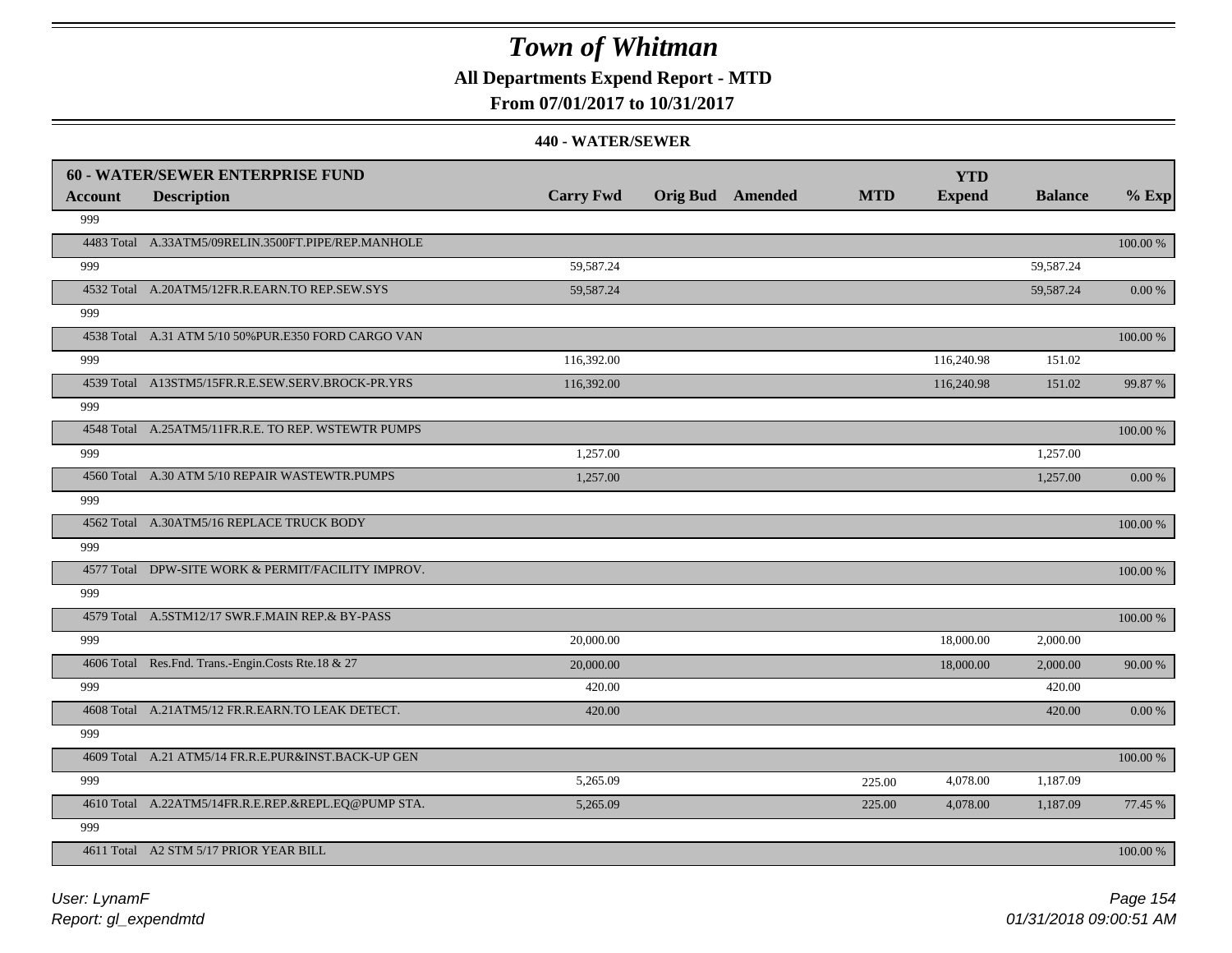## **All Departments Expend Report - MTD**

### **From 07/01/2017 to 10/31/2017**

|         | <b>60 - WATER/SEWER ENTERPRISE FUND</b>              |                  |                         |            | <b>YTD</b>    |                |             |
|---------|------------------------------------------------------|------------------|-------------------------|------------|---------------|----------------|-------------|
| Account | <b>Description</b>                                   | <b>Carry Fwd</b> | <b>Orig Bud</b> Amended | <b>MTD</b> | <b>Expend</b> | <b>Balance</b> | $%$ Exp     |
| 999     |                                                      |                  |                         |            |               |                |             |
|         | 4483 Total A.33ATM5/09RELIN.3500FT.PIPE/REP.MANHOLE  |                  |                         |            |               |                | 100.00 %    |
| 999     |                                                      | 59,587.24        |                         |            |               | 59,587.24      |             |
|         | 4532 Total A.20ATM5/12FR.R.EARN.TO REP.SEW.SYS       | 59,587.24        |                         |            |               | 59,587.24      | 0.00 %      |
| 999     |                                                      |                  |                         |            |               |                |             |
|         | 4538 Total A.31 ATM 5/10 50% PUR.E350 FORD CARGO VAN |                  |                         |            |               |                | 100.00 %    |
| 999     |                                                      | 116,392.00       |                         |            | 116,240.98    | 151.02         |             |
|         | 4539 Total A13STM5/15FR.R.E.SEW.SERV.BROCK-PR.YRS    | 116,392.00       |                         |            | 116,240.98    | 151.02         | 99.87%      |
| 999     |                                                      |                  |                         |            |               |                |             |
|         | 4548 Total A.25ATM5/11FR.R.E. TO REP. WSTEWTR PUMPS  |                  |                         |            |               |                | 100.00 %    |
| 999     |                                                      | 1,257.00         |                         |            |               | 1,257.00       |             |
|         | 4560 Total A.30 ATM 5/10 REPAIR WASTEWTR.PUMPS       | 1,257.00         |                         |            |               | 1,257.00       | 0.00 %      |
| 999     |                                                      |                  |                         |            |               |                |             |
|         | 4562 Total A.30ATM5/16 REPLACE TRUCK BODY            |                  |                         |            |               |                | 100.00 %    |
| 999     |                                                      |                  |                         |            |               |                |             |
|         | 4577 Total DPW-SITE WORK & PERMIT/FACILITY IMPROV.   |                  |                         |            |               |                | 100.00 %    |
| 999     |                                                      |                  |                         |            |               |                |             |
|         | 4579 Total A.5STM12/17 SWR.F.MAIN REP.& BY-PASS      |                  |                         |            |               |                | $100.00~\%$ |
| 999     |                                                      | 20,000.00        |                         |            | 18,000.00     | 2,000.00       |             |
|         | 4606 Total Res.Fnd. Trans.-Engin.Costs Rte.18 & 27   | 20,000.00        |                         |            | 18,000.00     | 2,000.00       | 90.00 %     |
| 999     |                                                      | 420.00           |                         |            |               | 420.00         |             |
|         | 4608 Total A.21ATM5/12 FR.R.EARN.TO LEAK DETECT.     | 420.00           |                         |            |               | 420.00         | 0.00 %      |
| 999     |                                                      |                  |                         |            |               |                |             |
|         | 4609 Total A.21 ATM5/14 FR.R.E.PUR&INST.BACK-UP GEN  |                  |                         |            |               |                | $100.00~\%$ |
| 999     |                                                      | 5,265.09         |                         | 225.00     | 4,078.00      | 1,187.09       |             |
|         | 4610 Total A.22ATM5/14FR.R.E.REP.&REPL.EQ@PUMP STA.  | 5,265.09         |                         | 225.00     | 4,078.00      | 1,187.09       | 77.45 %     |
| 999     |                                                      |                  |                         |            |               |                |             |
|         | 4611 Total A2 STM 5/17 PRIOR YEAR BILL               |                  |                         |            |               |                | 100.00 %    |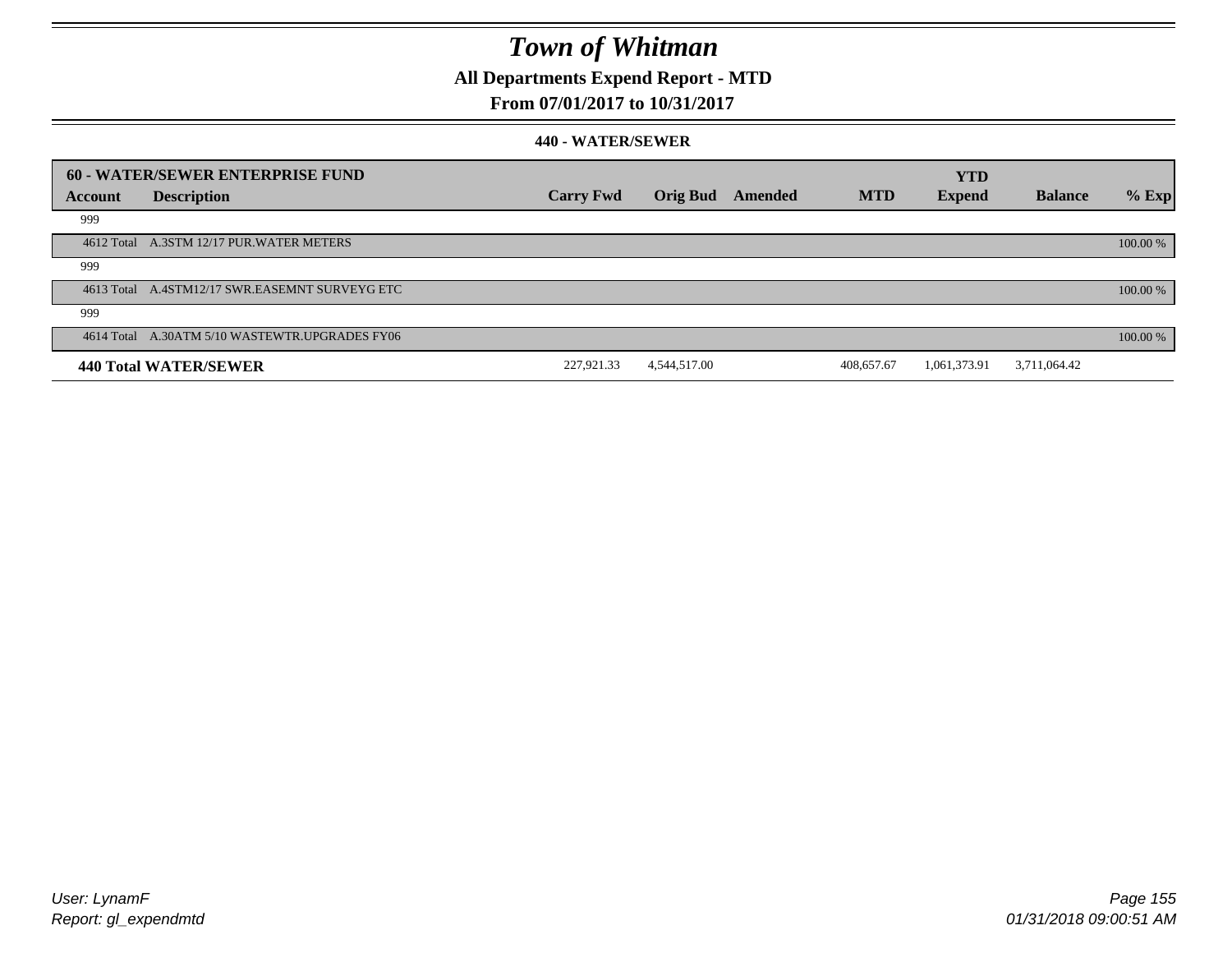### **All Departments Expend Report - MTD**

### **From 07/01/2017 to 10/31/2017**

|         | 60 - WATER/SEWER ENTERPRISE FUND               |                  |                 |         |            | <b>YTD</b>    |                |          |
|---------|------------------------------------------------|------------------|-----------------|---------|------------|---------------|----------------|----------|
| Account | <b>Description</b>                             | <b>Carry Fwd</b> | <b>Orig Bud</b> | Amended | <b>MTD</b> | <b>Expend</b> | <b>Balance</b> | $%$ Exp  |
| 999     |                                                |                  |                 |         |            |               |                |          |
|         | 4612 Total A.3STM 12/17 PUR.WATER METERS       |                  |                 |         |            |               |                | 100.00 % |
| 999     |                                                |                  |                 |         |            |               |                |          |
|         | 4613 Total A.4STM12/17 SWR.EASEMNT SURVEYG ETC |                  |                 |         |            |               |                | 100.00 % |
| 999     |                                                |                  |                 |         |            |               |                |          |
|         | 4614 Total A.30ATM 5/10 WASTEWTR.UPGRADES FY06 |                  |                 |         |            |               |                | 100.00 % |
|         | 440 Total WATER/SEWER                          | 227,921.33       | 4,544,517.00    |         | 408,657.67 | 1,061,373.91  | 3,711,064.42   |          |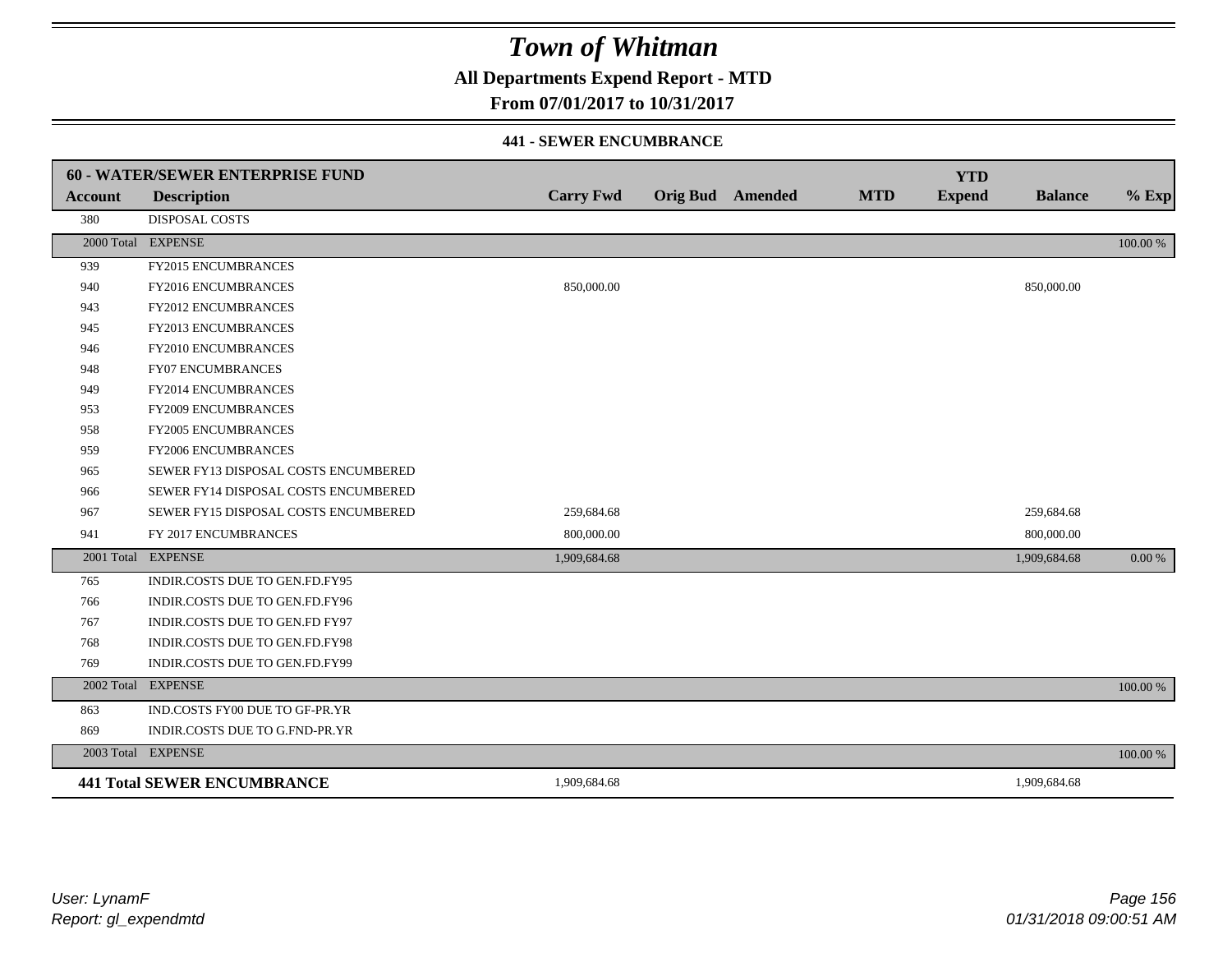**All Departments Expend Report - MTD**

### **From 07/01/2017 to 10/31/2017**

#### **441 - SEWER ENCUMBRANCE**

|                | <b>60 - WATER/SEWER ENTERPRISE FUND</b> |                  |                         |            | <b>YTD</b>    |                |          |
|----------------|-----------------------------------------|------------------|-------------------------|------------|---------------|----------------|----------|
| <b>Account</b> | <b>Description</b>                      | <b>Carry Fwd</b> | <b>Orig Bud</b> Amended | <b>MTD</b> | <b>Expend</b> | <b>Balance</b> | $%$ Exp  |
| 380            | <b>DISPOSAL COSTS</b>                   |                  |                         |            |               |                |          |
|                | 2000 Total EXPENSE                      |                  |                         |            |               |                | 100.00 % |
| 939            | <b>FY2015 ENCUMBRANCES</b>              |                  |                         |            |               |                |          |
| 940            | FY2016 ENCUMBRANCES                     | 850,000.00       |                         |            |               | 850,000.00     |          |
| 943            | <b>FY2012 ENCUMBRANCES</b>              |                  |                         |            |               |                |          |
| 945            | FY2013 ENCUMBRANCES                     |                  |                         |            |               |                |          |
| 946            | <b>FY2010 ENCUMBRANCES</b>              |                  |                         |            |               |                |          |
| 948            | <b>FY07 ENCUMBRANCES</b>                |                  |                         |            |               |                |          |
| 949            | FY2014 ENCUMBRANCES                     |                  |                         |            |               |                |          |
| 953            | <b>FY2009 ENCUMBRANCES</b>              |                  |                         |            |               |                |          |
| 958            | FY2005 ENCUMBRANCES                     |                  |                         |            |               |                |          |
| 959            | <b>FY2006 ENCUMBRANCES</b>              |                  |                         |            |               |                |          |
| 965            | SEWER FY13 DISPOSAL COSTS ENCUMBERED    |                  |                         |            |               |                |          |
| 966            | SEWER FY14 DISPOSAL COSTS ENCUMBERED    |                  |                         |            |               |                |          |
| 967            | SEWER FY15 DISPOSAL COSTS ENCUMBERED    | 259,684.68       |                         |            |               | 259,684.68     |          |
| 941            | FY 2017 ENCUMBRANCES                    | 800,000.00       |                         |            |               | 800,000.00     |          |
|                | 2001 Total EXPENSE                      | 1,909,684.68     |                         |            |               | 1,909,684.68   | 0.00 %   |
| 765            | INDIR.COSTS DUE TO GEN.FD.FY95          |                  |                         |            |               |                |          |
| 766            | INDIR.COSTS DUE TO GEN.FD.FY96          |                  |                         |            |               |                |          |
| 767            | INDIR.COSTS DUE TO GEN.FD FY97          |                  |                         |            |               |                |          |
| 768            | INDIR.COSTS DUE TO GEN.FD.FY98          |                  |                         |            |               |                |          |
| 769            | INDIR.COSTS DUE TO GEN.FD.FY99          |                  |                         |            |               |                |          |
|                | 2002 Total EXPENSE                      |                  |                         |            |               |                | 100.00 % |
| 863            | IND.COSTS FY00 DUE TO GF-PR.YR          |                  |                         |            |               |                |          |
| 869            | INDIR.COSTS DUE TO G.FND-PR.YR          |                  |                         |            |               |                |          |
|                | 2003 Total EXPENSE                      |                  |                         |            |               |                | 100.00 % |
|                | <b>441 Total SEWER ENCUMBRANCE</b>      | 1,909,684.68     |                         |            |               | 1,909,684.68   |          |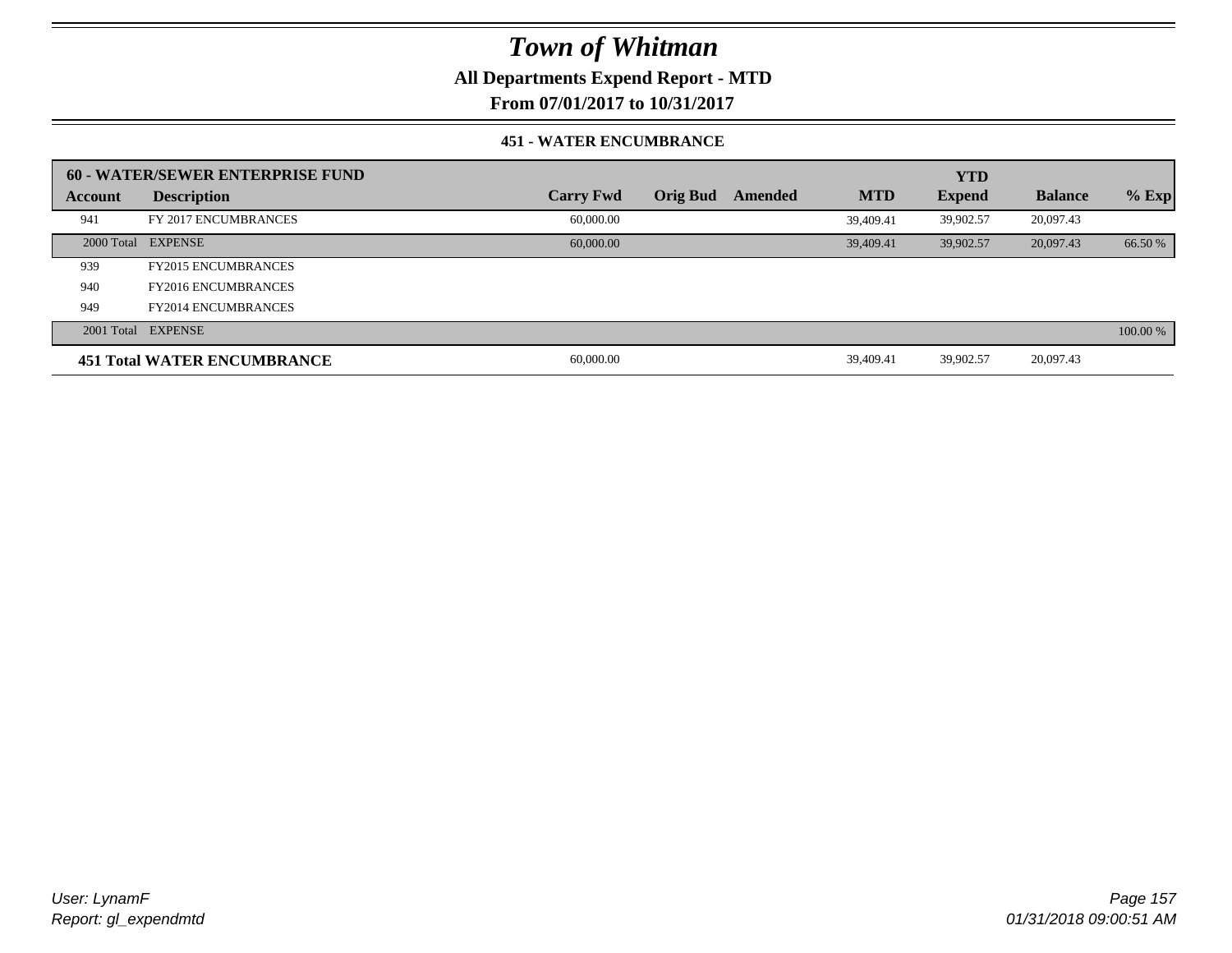**All Departments Expend Report - MTD**

**From 07/01/2017 to 10/31/2017**

#### **451 - WATER ENCUMBRANCE**

|         | 60 - WATER/SEWER ENTERPRISE FUND   |                  |                 |         |            | <b>YTD</b>    |                |          |
|---------|------------------------------------|------------------|-----------------|---------|------------|---------------|----------------|----------|
| Account | <b>Description</b>                 | <b>Carry Fwd</b> | <b>Orig Bud</b> | Amended | <b>MTD</b> | <b>Expend</b> | <b>Balance</b> | $%$ Exp  |
| 941     | FY 2017 ENCUMBRANCES               | 60,000.00        |                 |         | 39,409.41  | 39,902.57     | 20,097.43      |          |
|         | 2000 Total EXPENSE                 | 60,000,00        |                 |         | 39,409.41  | 39,902.57     | 20,097.43      | 66.50 %  |
| 939     | <b>FY2015 ENCUMBRANCES</b>         |                  |                 |         |            |               |                |          |
| 940     | <b>FY2016 ENCUMBRANCES</b>         |                  |                 |         |            |               |                |          |
| 949     | <b>FY2014 ENCUMBRANCES</b>         |                  |                 |         |            |               |                |          |
|         | 2001 Total EXPENSE                 |                  |                 |         |            |               |                | 100.00 % |
|         | <b>451 Total WATER ENCUMBRANCE</b> | 60,000.00        |                 |         | 39,409.41  | 39.902.57     | 20,097.43      |          |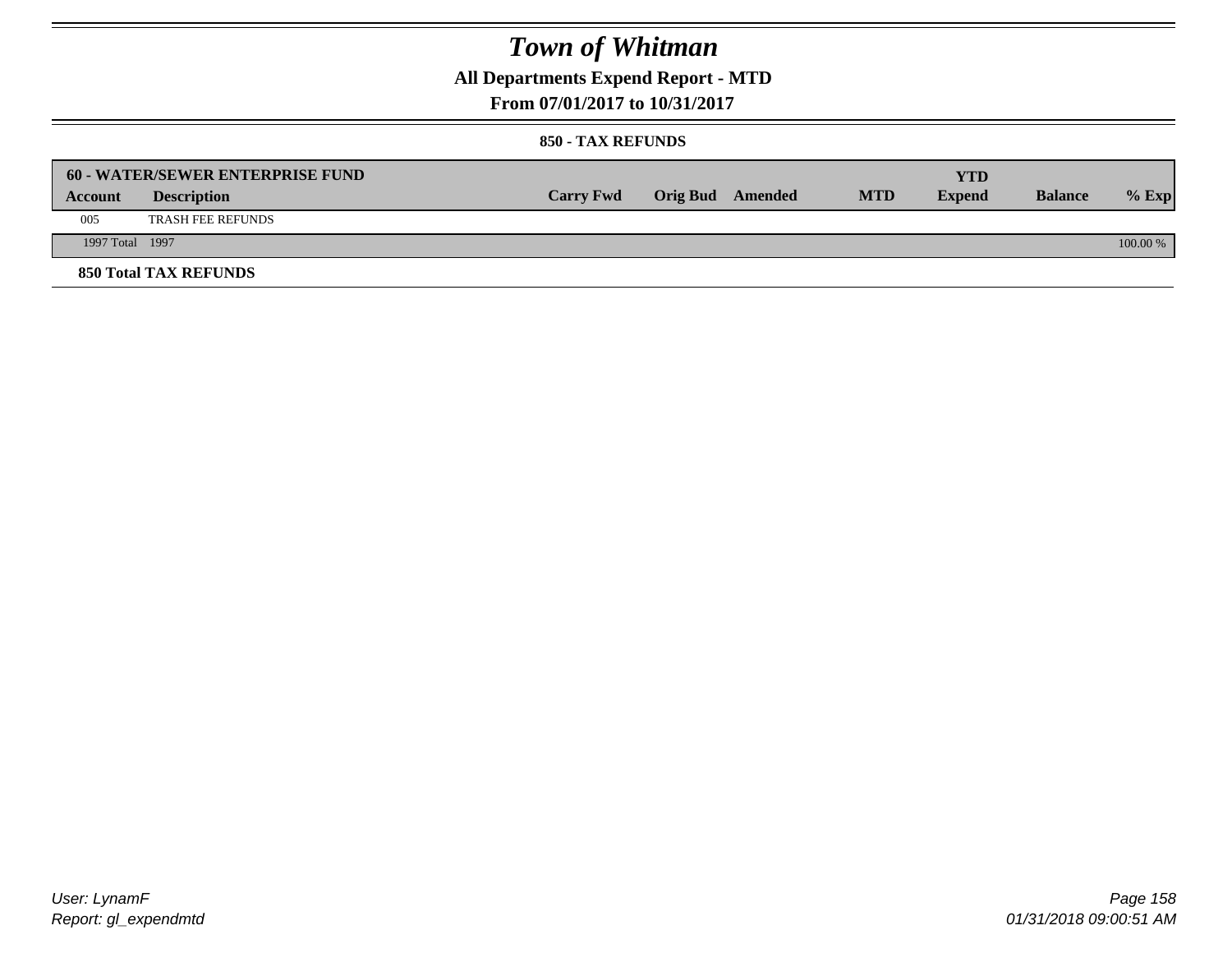## **All Departments Expend Report - MTD**

**From 07/01/2017 to 10/31/2017**

|                 | <b>60 - WATER/SEWER ENTERPRISE FUND</b> |                  |                  |            | <b>YTD</b>    |                |            |
|-----------------|-----------------------------------------|------------------|------------------|------------|---------------|----------------|------------|
| Account         | <b>Description</b>                      | <b>Carry Fwd</b> | Orig Bud Amended | <b>MTD</b> | <b>Expend</b> | <b>Balance</b> | $%$ Exp    |
| 005             | <b>TRASH FEE REFUNDS</b>                |                  |                  |            |               |                |            |
| 1997 Total 1997 |                                         |                  |                  |            |               |                | $100.00\%$ |
|                 | <b>850 Total TAX REFUNDS</b>            |                  |                  |            |               |                |            |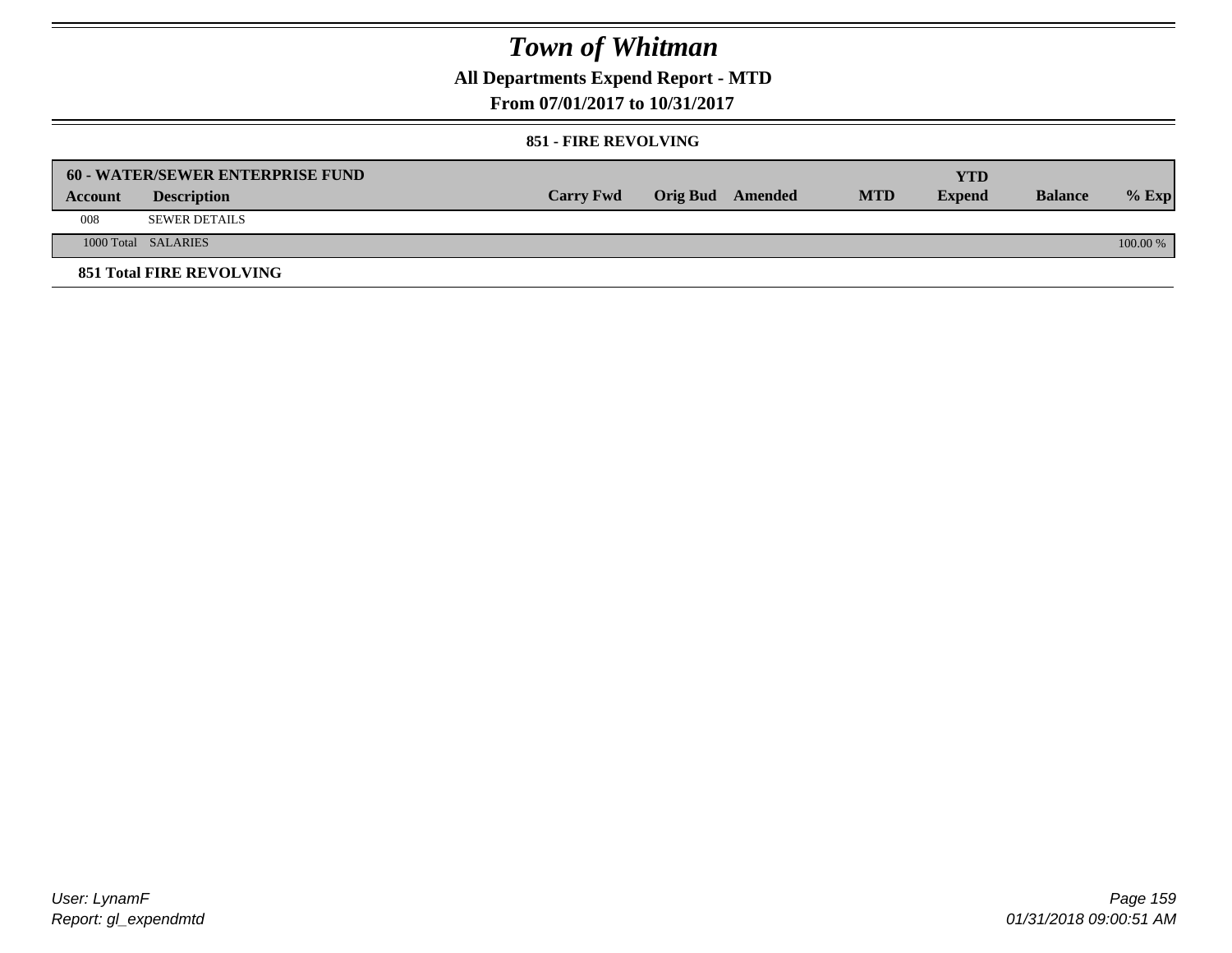## **All Departments Expend Report - MTD**

**From 07/01/2017 to 10/31/2017**

### **851 - FIRE REVOLVING**

|         | 60 - WATER/SEWER ENTERPRISE FUND |                  |                  |            | <b>YTD</b>    |                |            |
|---------|----------------------------------|------------------|------------------|------------|---------------|----------------|------------|
| Account | <b>Description</b>               | <b>Carry Fwd</b> | Orig Bud Amended | <b>MTD</b> | <b>Expend</b> | <b>Balance</b> | $%$ Exp    |
| 008     | <b>SEWER DETAILS</b>             |                  |                  |            |               |                |            |
|         | 1000 Total SALARIES              |                  |                  |            |               |                | $100.00\%$ |
|         | <b>851 Total FIRE REVOLVING</b>  |                  |                  |            |               |                |            |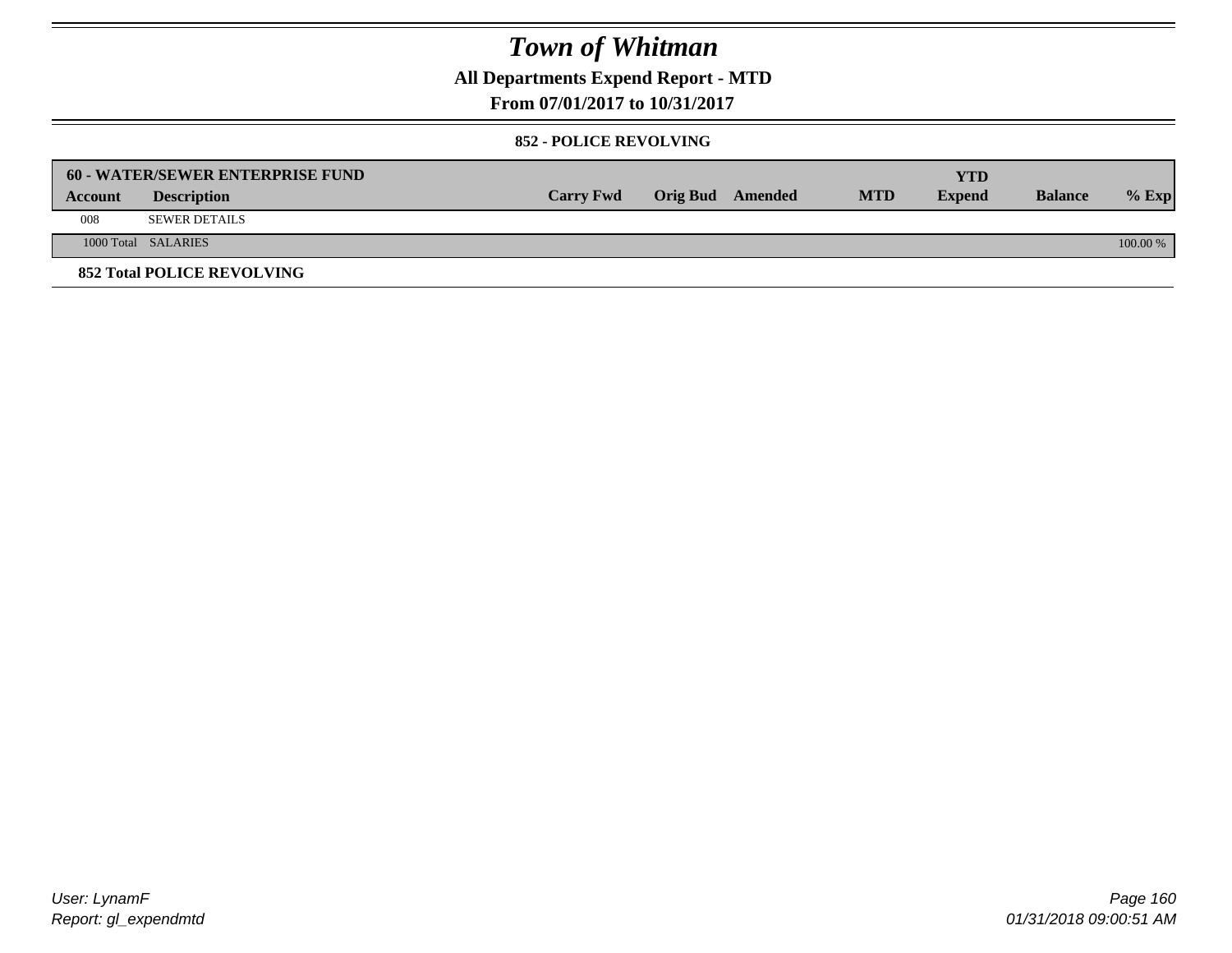**All Departments Expend Report - MTD**

**From 07/01/2017 to 10/31/2017**

### **852 - POLICE REVOLVING**

|         | 60 - WATER/SEWER ENTERPRISE FUND  |                  |                  |            | YTD           |                |          |
|---------|-----------------------------------|------------------|------------------|------------|---------------|----------------|----------|
| Account | <b>Description</b>                | <b>Carry Fwd</b> | Orig Bud Amended | <b>MTD</b> | <b>Expend</b> | <b>Balance</b> | $%$ Exp  |
| 008     | <b>SEWER DETAILS</b>              |                  |                  |            |               |                |          |
|         | 1000 Total SALARIES               |                  |                  |            |               |                | 100.00 % |
|         | <b>852 Total POLICE REVOLVING</b> |                  |                  |            |               |                |          |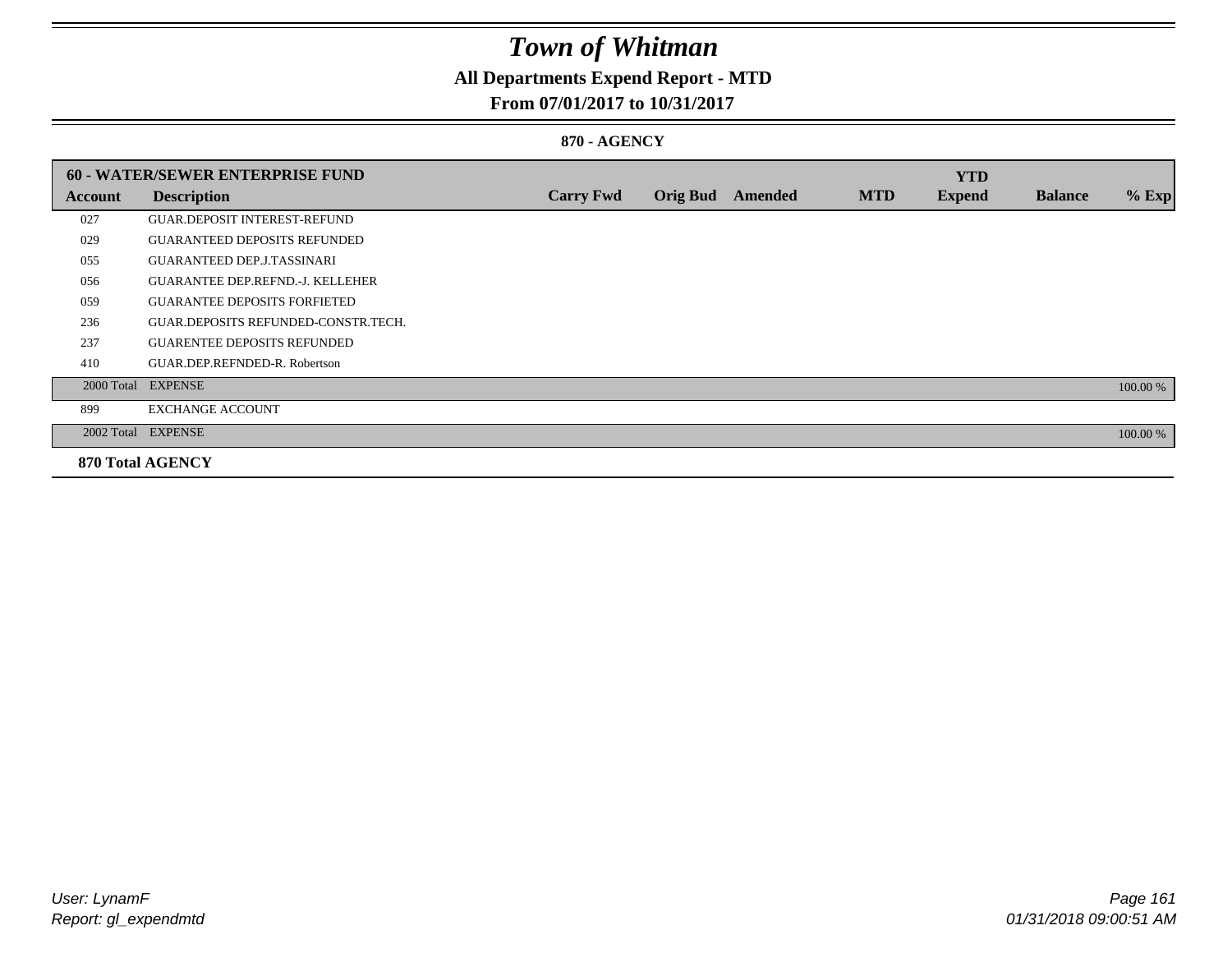## **All Departments Expend Report - MTD**

### **From 07/01/2017 to 10/31/2017**

### **870 - AGENCY**

|         | <b>60 - WATER/SEWER ENTERPRISE FUND</b> |                  |                 |         |            | <b>YTD</b>    |                |          |
|---------|-----------------------------------------|------------------|-----------------|---------|------------|---------------|----------------|----------|
| Account | <b>Description</b>                      | <b>Carry Fwd</b> | <b>Orig Bud</b> | Amended | <b>MTD</b> | <b>Expend</b> | <b>Balance</b> | $%$ Exp  |
| 027     | <b>GUAR.DEPOSIT INTEREST-REFUND</b>     |                  |                 |         |            |               |                |          |
| 029     | <b>GUARANTEED DEPOSITS REFUNDED</b>     |                  |                 |         |            |               |                |          |
| 055     | <b>GUARANTEED DEP.J.TASSINARI</b>       |                  |                 |         |            |               |                |          |
| 056     | <b>GUARANTEE DEP.REFND.-J. KELLEHER</b> |                  |                 |         |            |               |                |          |
| 059     | <b>GUARANTEE DEPOSITS FORFIETED</b>     |                  |                 |         |            |               |                |          |
| 236     | GUAR.DEPOSITS REFUNDED-CONSTR.TECH.     |                  |                 |         |            |               |                |          |
| 237     | <b>GUARENTEE DEPOSITS REFUNDED</b>      |                  |                 |         |            |               |                |          |
| 410     | GUAR.DEP.REFNDED-R. Robertson           |                  |                 |         |            |               |                |          |
|         | 2000 Total EXPENSE                      |                  |                 |         |            |               |                | 100.00 % |
| 899     | <b>EXCHANGE ACCOUNT</b>                 |                  |                 |         |            |               |                |          |
|         | 2002 Total EXPENSE                      |                  |                 |         |            |               |                | 100.00 % |
|         | <b>870 Total AGENCY</b>                 |                  |                 |         |            |               |                |          |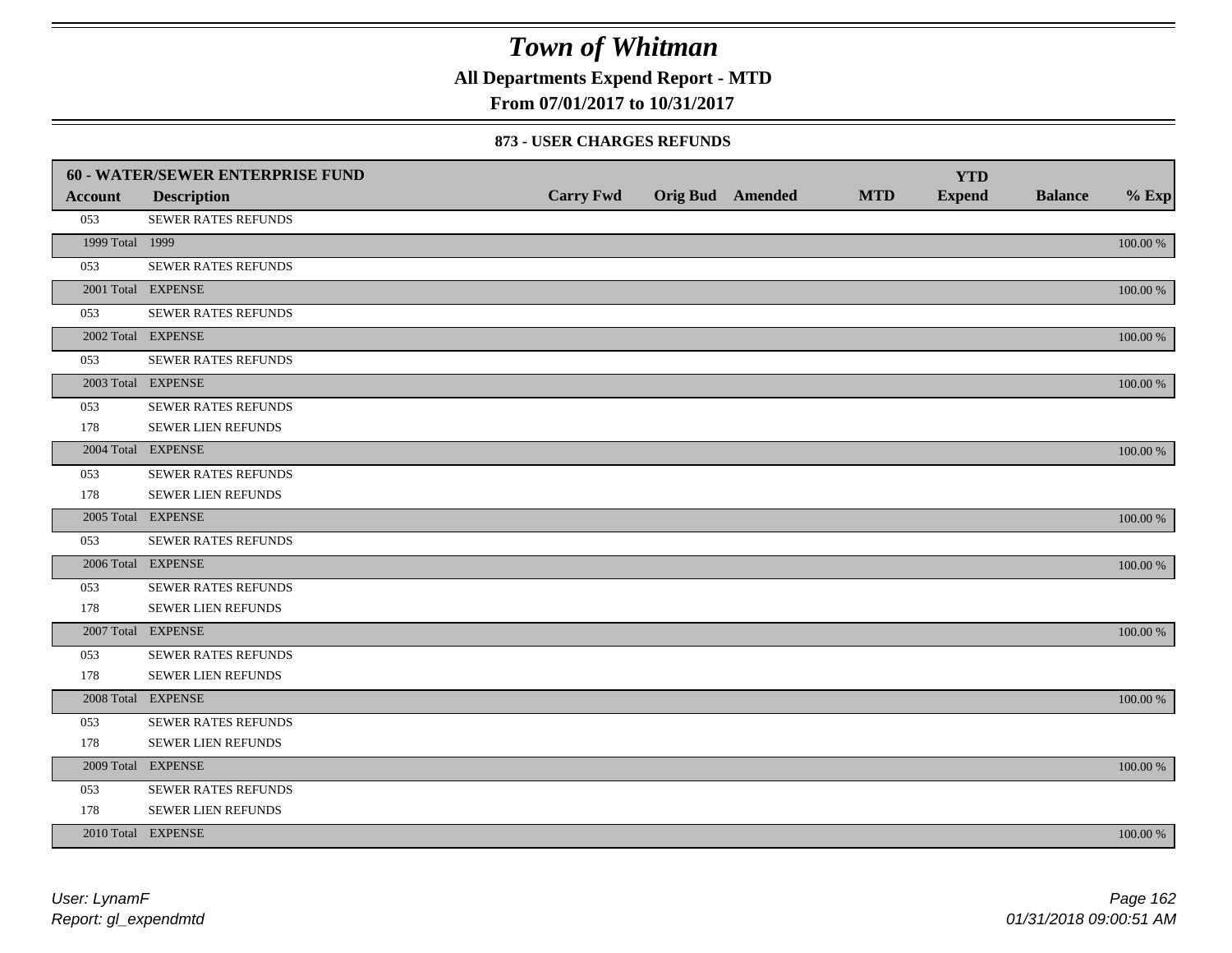**All Departments Expend Report - MTD**

**From 07/01/2017 to 10/31/2017**

#### **873 - USER CHARGES REFUNDS**

|                 | 60 - WATER/SEWER ENTERPRISE FUND |                  |                         |            | <b>YTD</b>    |                |             |
|-----------------|----------------------------------|------------------|-------------------------|------------|---------------|----------------|-------------|
| <b>Account</b>  | <b>Description</b>               | <b>Carry Fwd</b> | <b>Orig Bud</b> Amended | <b>MTD</b> | <b>Expend</b> | <b>Balance</b> | $%$ Exp     |
| 053             | SEWER RATES REFUNDS              |                  |                         |            |               |                |             |
| 1999 Total 1999 |                                  |                  |                         |            |               |                | 100.00 %    |
| 053             | SEWER RATES REFUNDS              |                  |                         |            |               |                |             |
|                 | 2001 Total EXPENSE               |                  |                         |            |               |                | 100.00 %    |
| 053             | SEWER RATES REFUNDS              |                  |                         |            |               |                |             |
|                 | 2002 Total EXPENSE               |                  |                         |            |               |                | 100.00 %    |
| 053             | <b>SEWER RATES REFUNDS</b>       |                  |                         |            |               |                |             |
|                 | 2003 Total EXPENSE               |                  |                         |            |               |                | 100.00 %    |
| 053             | <b>SEWER RATES REFUNDS</b>       |                  |                         |            |               |                |             |
| 178             | SEWER LIEN REFUNDS               |                  |                         |            |               |                |             |
|                 | 2004 Total EXPENSE               |                  |                         |            |               |                | 100.00 %    |
| 053             | SEWER RATES REFUNDS              |                  |                         |            |               |                |             |
| 178             | SEWER LIEN REFUNDS               |                  |                         |            |               |                |             |
|                 | 2005 Total EXPENSE               |                  |                         |            |               |                | 100.00 %    |
| 053             | SEWER RATES REFUNDS              |                  |                         |            |               |                |             |
|                 | 2006 Total EXPENSE               |                  |                         |            |               |                | 100.00 %    |
| 053             | SEWER RATES REFUNDS              |                  |                         |            |               |                |             |
| 178             | <b>SEWER LIEN REFUNDS</b>        |                  |                         |            |               |                |             |
|                 | 2007 Total EXPENSE               |                  |                         |            |               |                | 100.00 %    |
| 053             | <b>SEWER RATES REFUNDS</b>       |                  |                         |            |               |                |             |
| 178             | SEWER LIEN REFUNDS               |                  |                         |            |               |                |             |
|                 | 2008 Total EXPENSE               |                  |                         |            |               |                | 100.00 %    |
| 053             | <b>SEWER RATES REFUNDS</b>       |                  |                         |            |               |                |             |
| 178             | SEWER LIEN REFUNDS               |                  |                         |            |               |                |             |
|                 | 2009 Total EXPENSE               |                  |                         |            |               |                | 100.00 %    |
| 053             | SEWER RATES REFUNDS              |                  |                         |            |               |                |             |
| 178             | SEWER LIEN REFUNDS               |                  |                         |            |               |                |             |
|                 | 2010 Total EXPENSE               |                  |                         |            |               |                | $100.00~\%$ |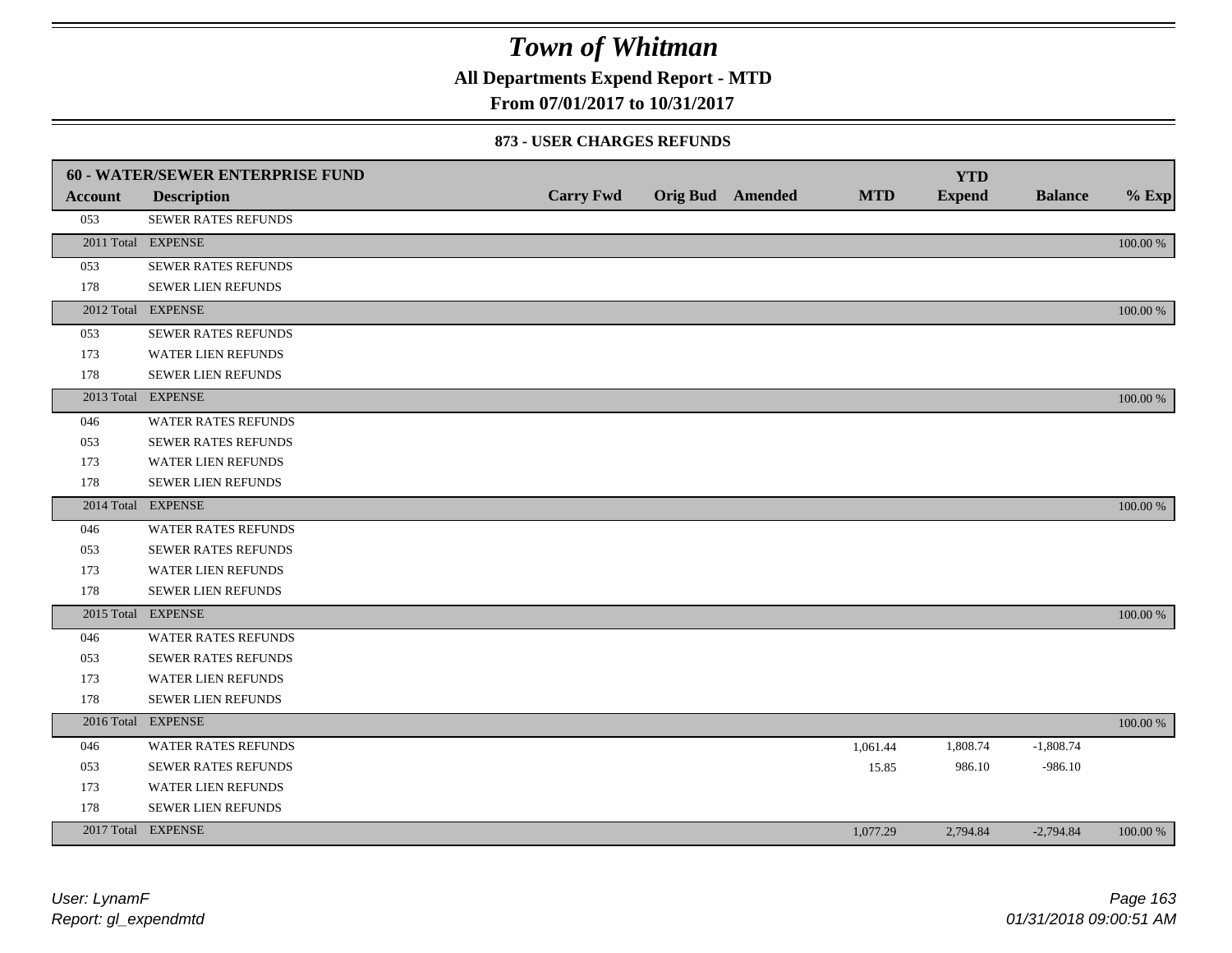**All Departments Expend Report - MTD**

### **From 07/01/2017 to 10/31/2017**

#### **873 - USER CHARGES REFUNDS**

|                | <b>60 - WATER/SEWER ENTERPRISE FUND</b> |                  |                         |            | <b>YTD</b>    |                |          |
|----------------|-----------------------------------------|------------------|-------------------------|------------|---------------|----------------|----------|
| <b>Account</b> | <b>Description</b>                      | <b>Carry Fwd</b> | <b>Orig Bud</b> Amended | <b>MTD</b> | <b>Expend</b> | <b>Balance</b> | $%$ Exp  |
| 053            | SEWER RATES REFUNDS                     |                  |                         |            |               |                |          |
|                | 2011 Total EXPENSE                      |                  |                         |            |               |                | 100.00 % |
| 053            | <b>SEWER RATES REFUNDS</b>              |                  |                         |            |               |                |          |
| 178            | SEWER LIEN REFUNDS                      |                  |                         |            |               |                |          |
|                | 2012 Total EXPENSE                      |                  |                         |            |               |                | 100.00 % |
| 053            | <b>SEWER RATES REFUNDS</b>              |                  |                         |            |               |                |          |
| 173            | WATER LIEN REFUNDS                      |                  |                         |            |               |                |          |
| 178            | <b>SEWER LIEN REFUNDS</b>               |                  |                         |            |               |                |          |
|                | 2013 Total EXPENSE                      |                  |                         |            |               |                | 100.00 % |
| 046            | <b>WATER RATES REFUNDS</b>              |                  |                         |            |               |                |          |
| 053            | <b>SEWER RATES REFUNDS</b>              |                  |                         |            |               |                |          |
| 173            | WATER LIEN REFUNDS                      |                  |                         |            |               |                |          |
| 178            | <b>SEWER LIEN REFUNDS</b>               |                  |                         |            |               |                |          |
|                | 2014 Total EXPENSE                      |                  |                         |            |               |                | 100.00 % |
| 046            | <b>WATER RATES REFUNDS</b>              |                  |                         |            |               |                |          |
| 053            | SEWER RATES REFUNDS                     |                  |                         |            |               |                |          |
| 173            | <b>WATER LIEN REFUNDS</b>               |                  |                         |            |               |                |          |
| 178            | SEWER LIEN REFUNDS                      |                  |                         |            |               |                |          |
|                | 2015 Total EXPENSE                      |                  |                         |            |               |                | 100.00 % |
| 046            | WATER RATES REFUNDS                     |                  |                         |            |               |                |          |
| 053            | SEWER RATES REFUNDS                     |                  |                         |            |               |                |          |
| 173            | WATER LIEN REFUNDS                      |                  |                         |            |               |                |          |
| 178            | <b>SEWER LIEN REFUNDS</b>               |                  |                         |            |               |                |          |
|                | 2016 Total EXPENSE                      |                  |                         |            |               |                | 100.00 % |
| 046            | <b>WATER RATES REFUNDS</b>              |                  |                         | 1,061.44   | 1,808.74      | $-1,808.74$    |          |
| 053            | SEWER RATES REFUNDS                     |                  |                         | 15.85      | 986.10        | $-986.10$      |          |
| 173            | WATER LIEN REFUNDS                      |                  |                         |            |               |                |          |
| 178            | <b>SEWER LIEN REFUNDS</b>               |                  |                         |            |               |                |          |
|                | 2017 Total EXPENSE                      |                  |                         | 1,077.29   | 2,794.84      | $-2,794.84$    | 100.00 % |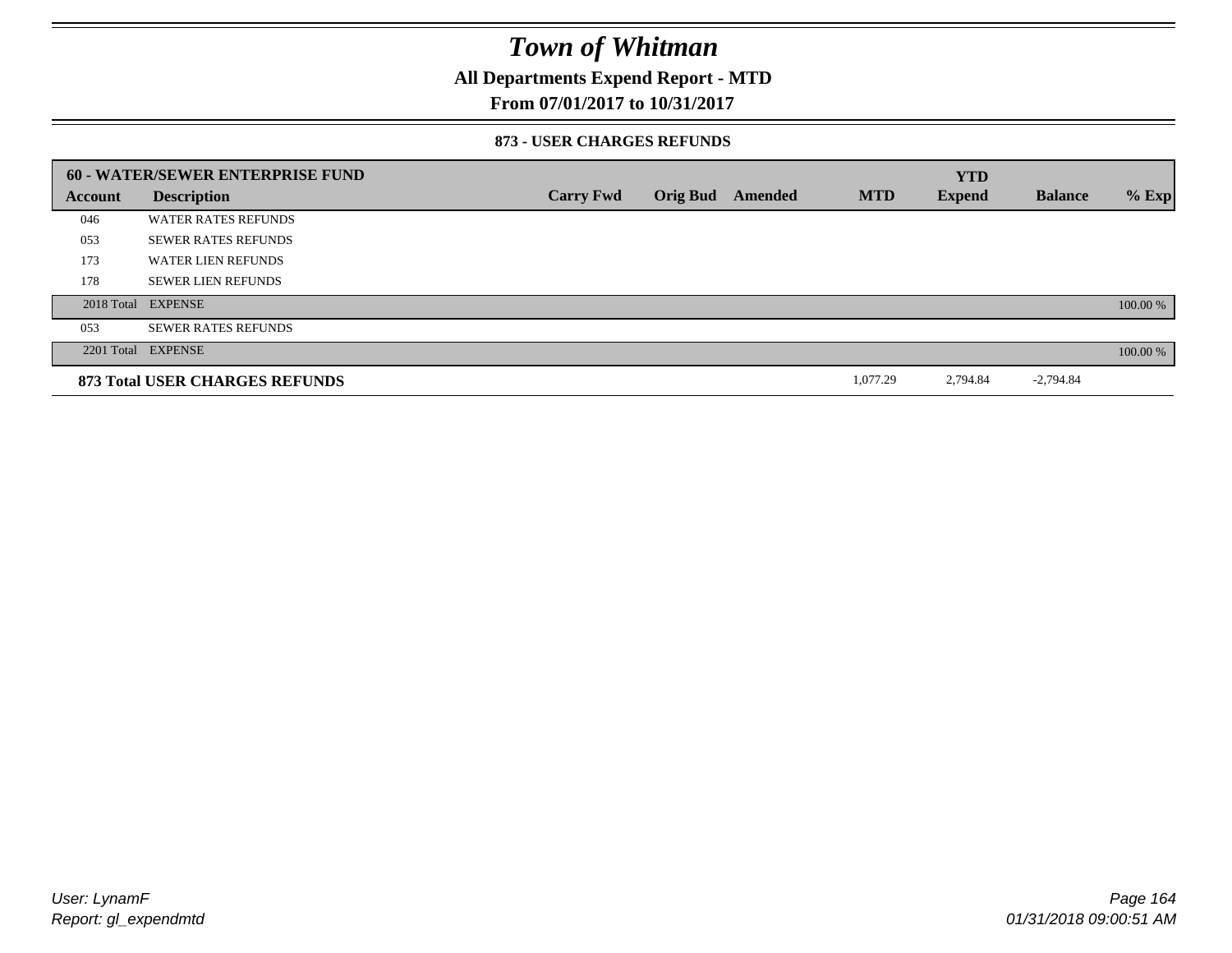### **All Departments Expend Report - MTD**

### **From 07/01/2017 to 10/31/2017**

#### **873 - USER CHARGES REFUNDS**

|         | <b>60 - WATER/SEWER ENTERPRISE FUND</b> |                  |                 |         |            | <b>YTD</b>    |                |          |
|---------|-----------------------------------------|------------------|-----------------|---------|------------|---------------|----------------|----------|
| Account | <b>Description</b>                      | <b>Carry Fwd</b> | <b>Orig Bud</b> | Amended | <b>MTD</b> | <b>Expend</b> | <b>Balance</b> | $%$ Exp  |
| 046     | <b>WATER RATES REFUNDS</b>              |                  |                 |         |            |               |                |          |
| 053     | <b>SEWER RATES REFUNDS</b>              |                  |                 |         |            |               |                |          |
| 173     | <b>WATER LIEN REFUNDS</b>               |                  |                 |         |            |               |                |          |
| 178     | <b>SEWER LIEN REFUNDS</b>               |                  |                 |         |            |               |                |          |
|         | 2018 Total EXPENSE                      |                  |                 |         |            |               |                | 100.00 % |
| 053     | <b>SEWER RATES REFUNDS</b>              |                  |                 |         |            |               |                |          |
|         | 2201 Total EXPENSE                      |                  |                 |         |            |               |                | 100.00 % |
|         | 873 Total USER CHARGES REFUNDS          |                  |                 |         | 1,077.29   | 2,794.84      | $-2,794.84$    |          |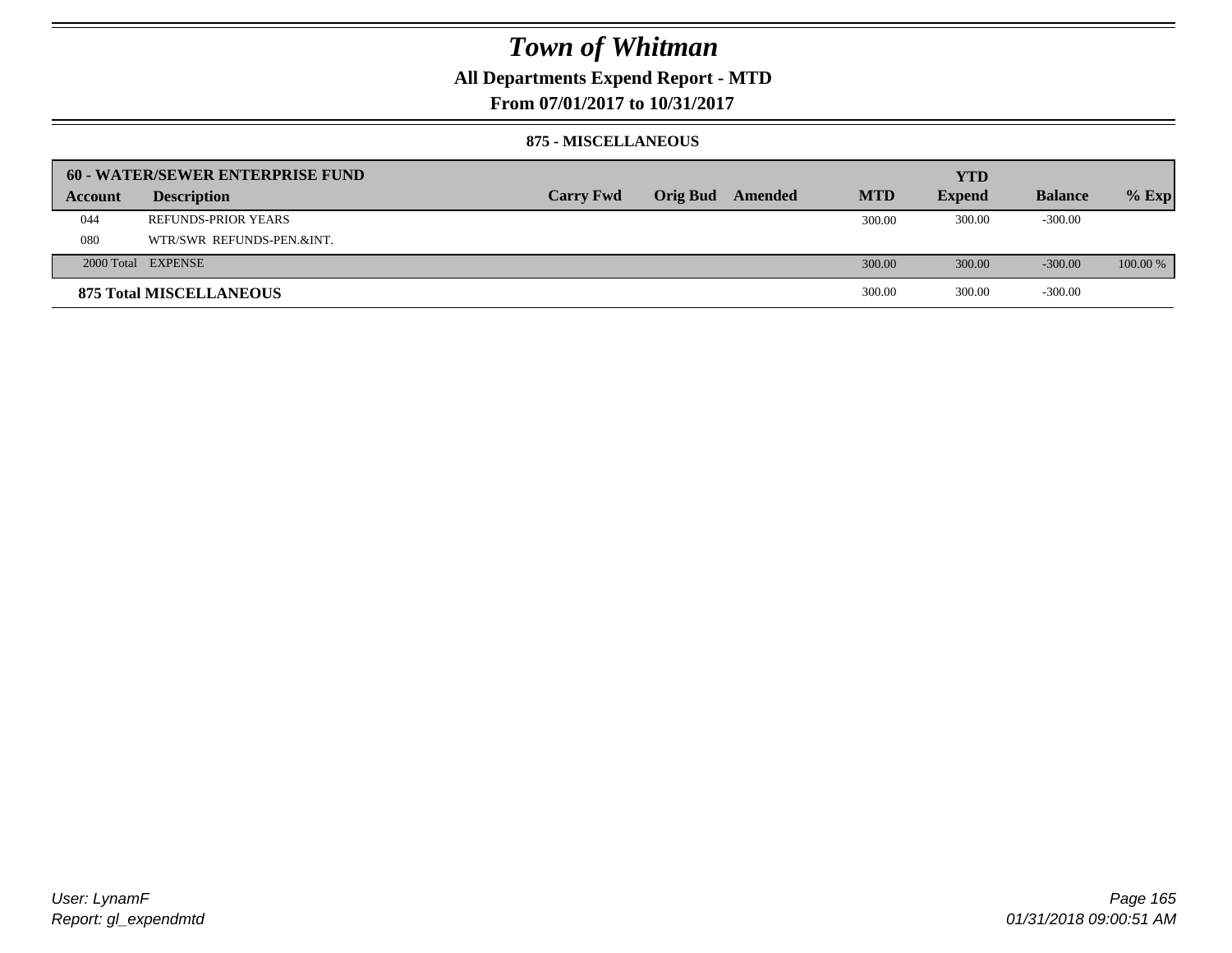### **All Departments Expend Report - MTD**

**From 07/01/2017 to 10/31/2017**

#### **875 - MISCELLANEOUS**

|         | 60 - WATER/SEWER ENTERPRISE FUND |                  |                 |         |            | <b>YTD</b>    |                |          |
|---------|----------------------------------|------------------|-----------------|---------|------------|---------------|----------------|----------|
| Account | <b>Description</b>               | <b>Carry Fwd</b> | <b>Orig Bud</b> | Amended | <b>MTD</b> | <b>Expend</b> | <b>Balance</b> | $%$ Exp  |
| 044     | REFUNDS-PRIOR YEARS              |                  |                 |         | 300.00     | 300.00        | $-300.00$      |          |
| 080     | WTR/SWR REFUNDS-PEN.&INT.        |                  |                 |         |            |               |                |          |
|         | 2000 Total EXPENSE               |                  |                 |         | 300.00     | 300.00        | $-300.00$      | 100.00 % |
|         | <b>875 Total MISCELLANEOUS</b>   |                  |                 |         | 300.00     | 300.00        | $-300.00$      |          |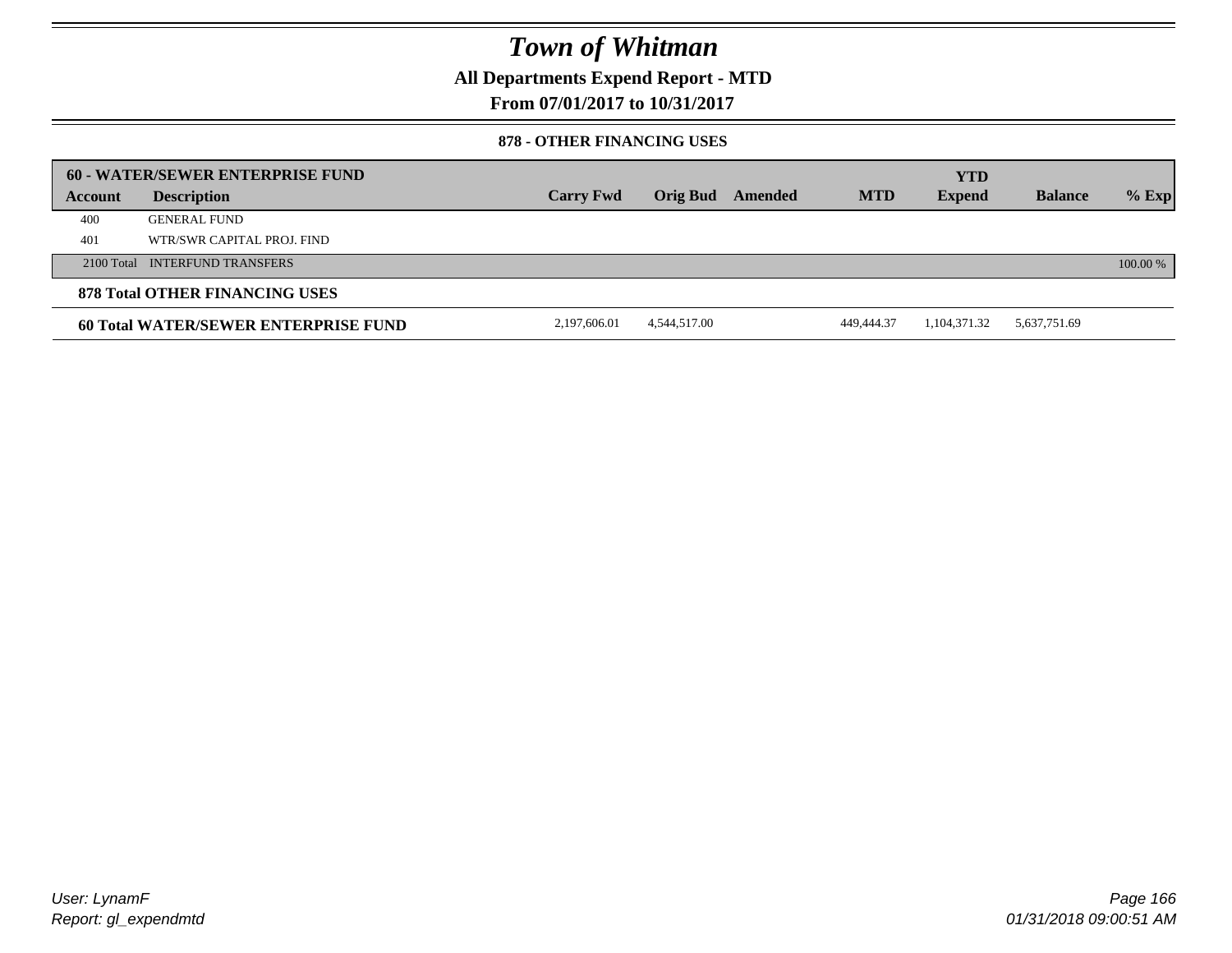**All Departments Expend Report - MTD**

**From 07/01/2017 to 10/31/2017**

### **878 - OTHER FINANCING USES**

|                | 60 - WATER/SEWER ENTERPRISE FUND     |                  |              |         |            | <b>YTD</b>    |                |          |
|----------------|--------------------------------------|------------------|--------------|---------|------------|---------------|----------------|----------|
| <b>Account</b> | <b>Description</b>                   | <b>Carry Fwd</b> | Orig Bud     | Amended | <b>MTD</b> | <b>Expend</b> | <b>Balance</b> | $%$ Exp  |
| 400            | <b>GENERAL FUND</b>                  |                  |              |         |            |               |                |          |
| 401            | WTR/SWR CAPITAL PROJ. FIND           |                  |              |         |            |               |                |          |
|                | 2100 Total INTERFUND TRANSFERS       |                  |              |         |            |               |                | 100.00 % |
|                | 878 Total OTHER FINANCING USES       |                  |              |         |            |               |                |          |
|                | 60 Total WATER/SEWER ENTERPRISE FUND | 2,197,606.01     | 4,544,517.00 |         | 449,444.37 | 1,104,371.32  | 5,637,751.69   |          |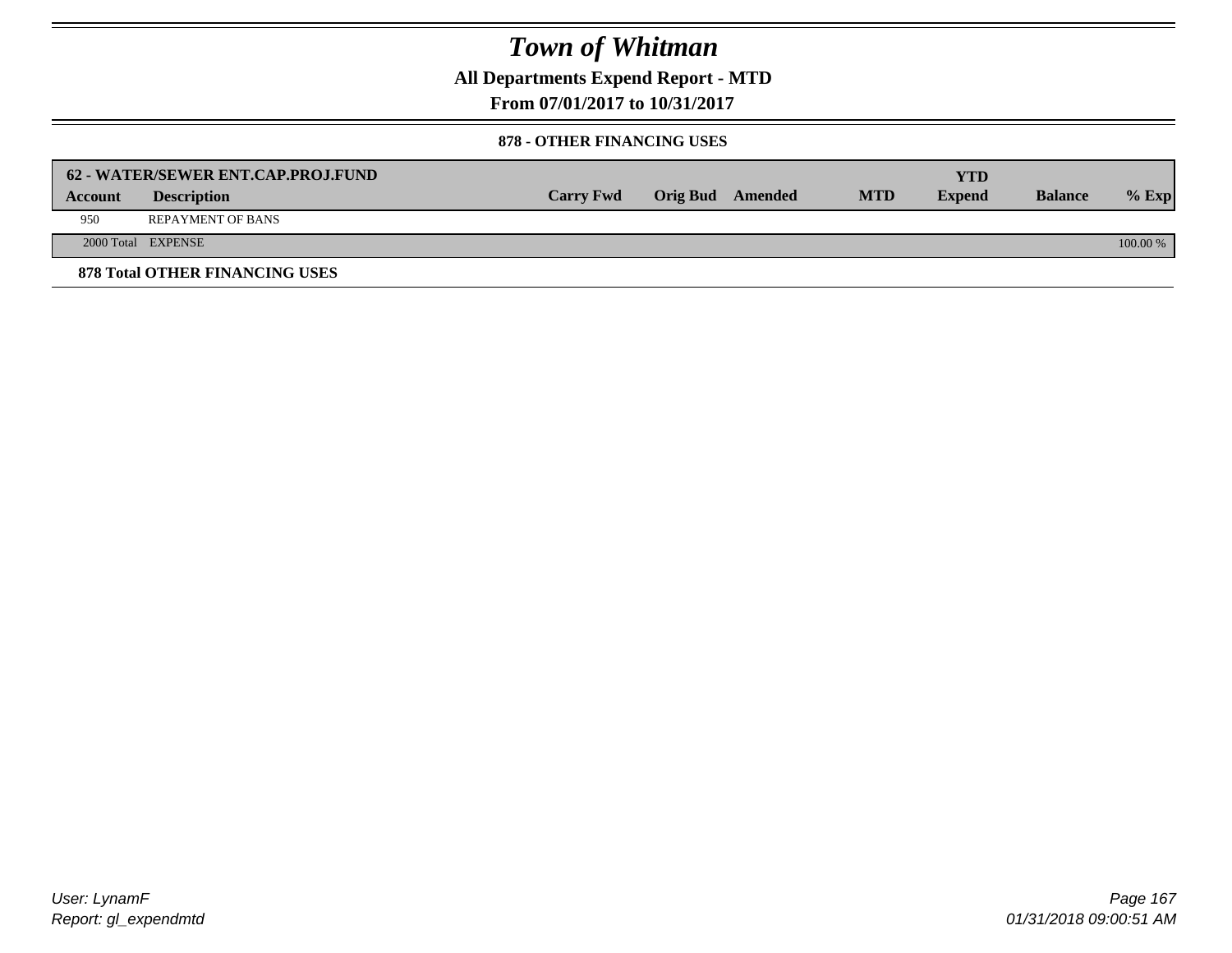**All Departments Expend Report - MTD**

**From 07/01/2017 to 10/31/2017**

### **878 - OTHER FINANCING USES**

|                | 62 - WATER/SEWER ENT.CAP.PROJ.FUND    |                  |                  |            | <b>YTD</b>    |                |            |
|----------------|---------------------------------------|------------------|------------------|------------|---------------|----------------|------------|
| <b>Account</b> | <b>Description</b>                    | <b>Carry Fwd</b> | Orig Bud Amended | <b>MTD</b> | <b>Expend</b> | <b>Balance</b> | $%$ Exp    |
| 950            | <b>REPAYMENT OF BANS</b>              |                  |                  |            |               |                |            |
|                | 2000 Total EXPENSE                    |                  |                  |            |               |                | $100.00\%$ |
|                | <b>878 Total OTHER FINANCING USES</b> |                  |                  |            |               |                |            |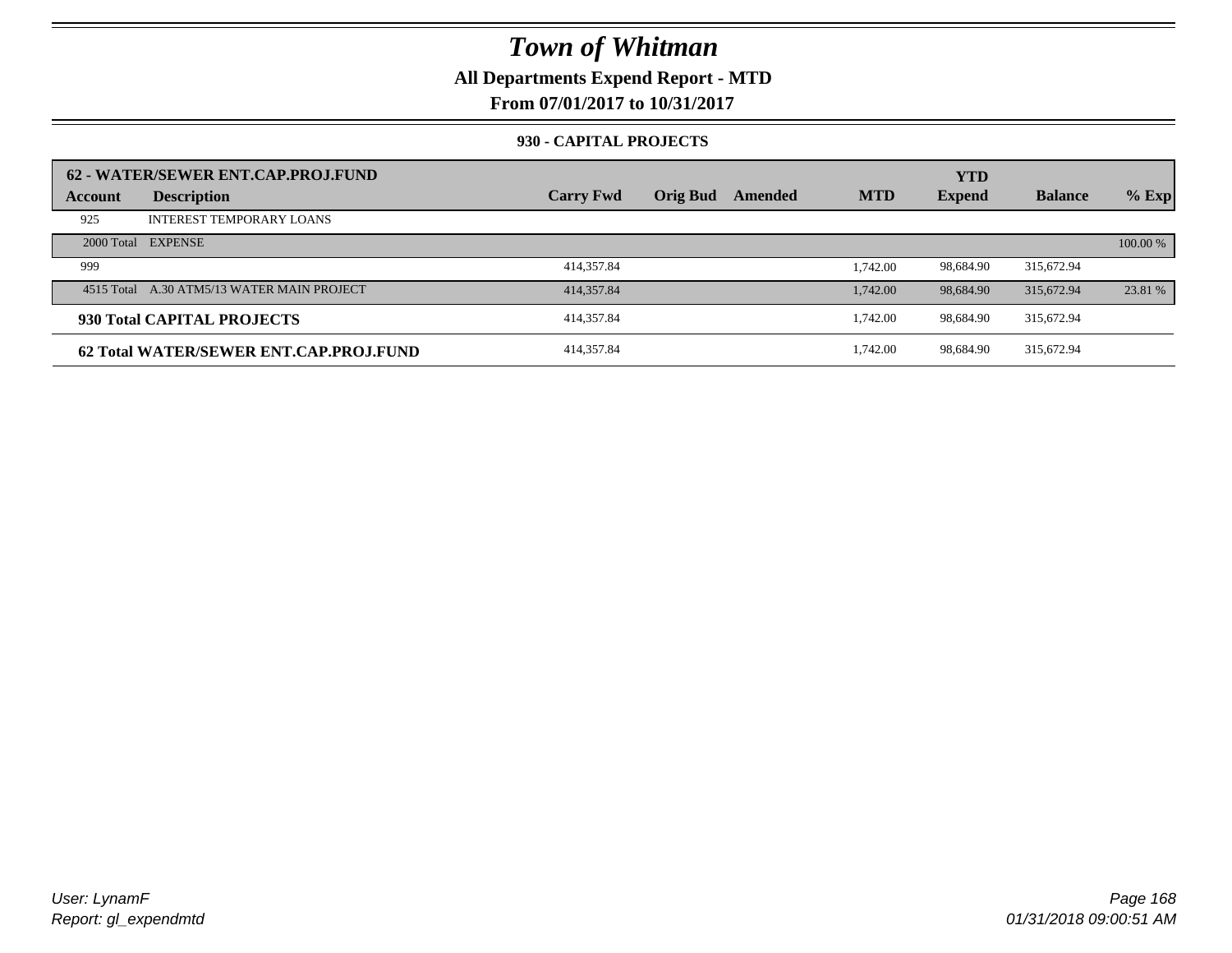### **All Departments Expend Report - MTD**

**From 07/01/2017 to 10/31/2017**

### **930 - CAPITAL PROJECTS**

| Account | 62 - WATER/SEWER ENT.CAP.PROJ.FUND<br><b>Description</b> | <b>Carry Fwd</b> | <b>Orig Bud</b> | Amended | <b>MTD</b> | <b>YTD</b><br><b>Expend</b> | <b>Balance</b> | $%$ Exp  |
|---------|----------------------------------------------------------|------------------|-----------------|---------|------------|-----------------------------|----------------|----------|
| 925     | <b>INTEREST TEMPORARY LOANS</b>                          |                  |                 |         |            |                             |                |          |
|         | 2000 Total EXPENSE                                       |                  |                 |         |            |                             |                | 100.00 % |
| 999     |                                                          | 414,357.84       |                 |         | 1.742.00   | 98.684.90                   | 315.672.94     |          |
|         | 4515 Total A.30 ATM5/13 WATER MAIN PROJECT               | 414,357.84       |                 |         | 1,742.00   | 98,684.90                   | 315,672.94     | 23.81 %  |
|         | 930 Total CAPITAL PROJECTS                               | 414,357.84       |                 |         | 1.742.00   | 98.684.90                   | 315,672.94     |          |
|         | 62 Total WATER/SEWER ENT.CAP.PRO.I.FUND                  | 414,357.84       |                 |         | 1.742.00   | 98.684.90                   | 315,672.94     |          |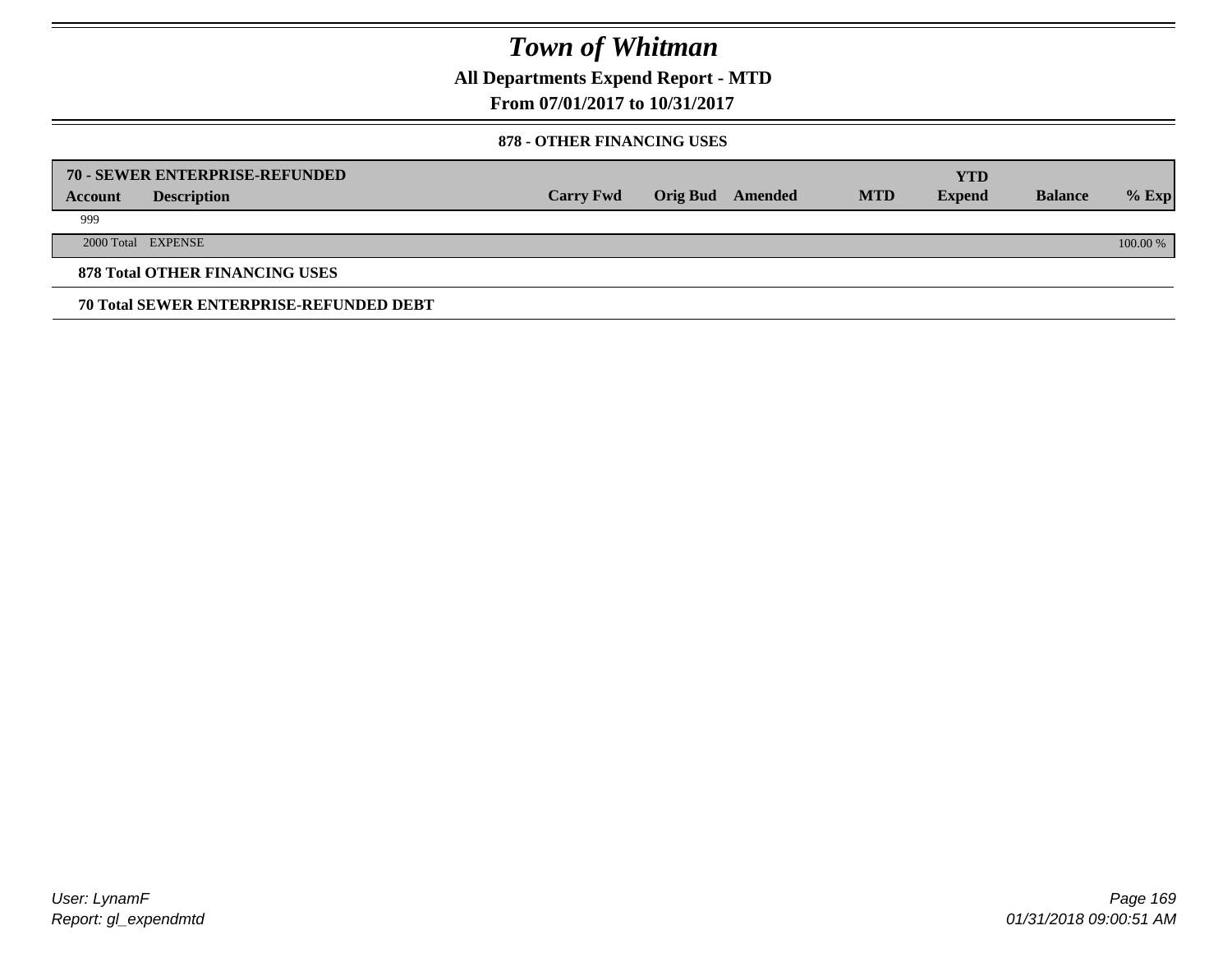**All Departments Expend Report - MTD**

**From 07/01/2017 to 10/31/2017**

### **878 - OTHER FINANCING USES**

|         | 70 - SEWER ENTERPRISE-REFUNDED                 |                  |                 |         |            | <b>YTD</b>    |                |          |
|---------|------------------------------------------------|------------------|-----------------|---------|------------|---------------|----------------|----------|
| Account | <b>Description</b>                             | <b>Carry Fwd</b> | <b>Orig Bud</b> | Amended | <b>MTD</b> | <b>Expend</b> | <b>Balance</b> | $%$ Exp  |
| 999     |                                                |                  |                 |         |            |               |                |          |
|         | 2000 Total EXPENSE                             |                  |                 |         |            |               |                | 100.00 % |
|         | <b>878 Total OTHER FINANCING USES</b>          |                  |                 |         |            |               |                |          |
|         | <b>70 Total SEWER ENTERPRISE-REFUNDED DEBT</b> |                  |                 |         |            |               |                |          |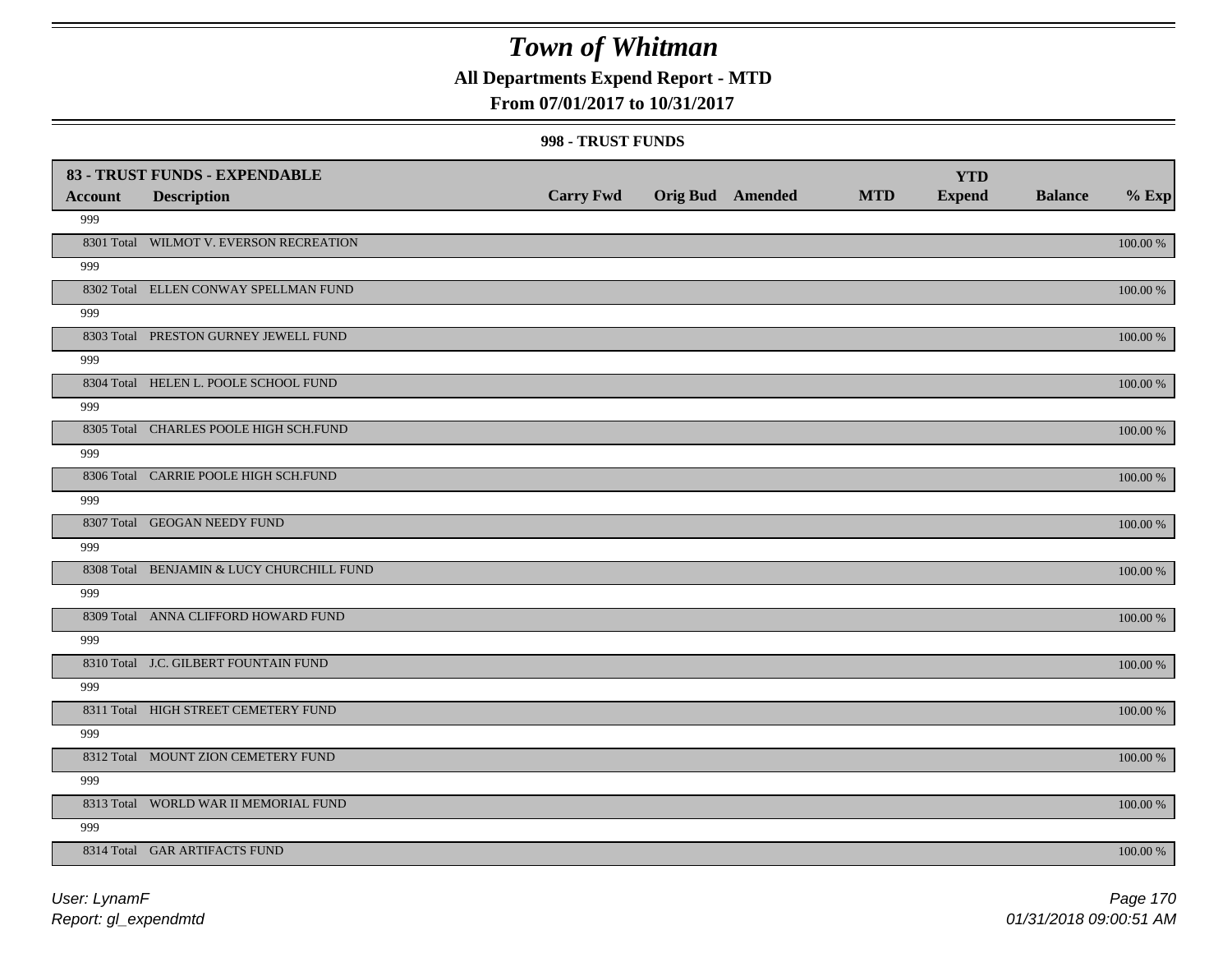### **All Departments Expend Report - MTD**

### **From 07/01/2017 to 10/31/2017**

#### **998 - TRUST FUNDS**

|                | 83 - TRUST FUNDS - EXPENDABLE             |                  |                         |            | <b>YTD</b>    |                |             |
|----------------|-------------------------------------------|------------------|-------------------------|------------|---------------|----------------|-------------|
| <b>Account</b> | <b>Description</b>                        | <b>Carry Fwd</b> | <b>Orig Bud</b> Amended | <b>MTD</b> | <b>Expend</b> | <b>Balance</b> | $%$ Exp     |
| 999            |                                           |                  |                         |            |               |                |             |
|                | 8301 Total WILMOT V. EVERSON RECREATION   |                  |                         |            |               |                | 100.00 %    |
| 999            |                                           |                  |                         |            |               |                |             |
|                | 8302 Total ELLEN CONWAY SPELLMAN FUND     |                  |                         |            |               |                | 100.00 %    |
| 999            |                                           |                  |                         |            |               |                |             |
|                | 8303 Total PRESTON GURNEY JEWELL FUND     |                  |                         |            |               |                | 100.00 %    |
| 999            |                                           |                  |                         |            |               |                |             |
|                | 8304 Total HELEN L. POOLE SCHOOL FUND     |                  |                         |            |               |                | 100.00 %    |
| 999            |                                           |                  |                         |            |               |                |             |
|                | 8305 Total CHARLES POOLE HIGH SCH.FUND    |                  |                         |            |               |                | 100.00 %    |
| 999            |                                           |                  |                         |            |               |                |             |
|                | 8306 Total CARRIE POOLE HIGH SCH.FUND     |                  |                         |            |               |                | 100.00 %    |
| 999            |                                           |                  |                         |            |               |                |             |
|                | 8307 Total GEOGAN NEEDY FUND              |                  |                         |            |               |                | 100.00 %    |
| 999            |                                           |                  |                         |            |               |                |             |
|                | 8308 Total BENJAMIN & LUCY CHURCHILL FUND |                  |                         |            |               |                | 100.00 %    |
| 999            |                                           |                  |                         |            |               |                |             |
|                | 8309 Total ANNA CLIFFORD HOWARD FUND      |                  |                         |            |               |                | $100.00~\%$ |
| 999            |                                           |                  |                         |            |               |                |             |
|                | 8310 Total J.C. GILBERT FOUNTAIN FUND     |                  |                         |            |               |                | $100.00~\%$ |
| 999            |                                           |                  |                         |            |               |                |             |
|                | 8311 Total HIGH STREET CEMETERY FUND      |                  |                         |            |               |                | $100.00~\%$ |
| 999            |                                           |                  |                         |            |               |                |             |
|                | 8312 Total MOUNT ZION CEMETERY FUND       |                  |                         |            |               |                | 100.00 %    |
| 999            |                                           |                  |                         |            |               |                |             |
|                | 8313 Total WORLD WAR II MEMORIAL FUND     |                  |                         |            |               |                | 100.00 %    |
| 999            |                                           |                  |                         |            |               |                |             |
|                | 8314 Total GAR ARTIFACTS FUND             |                  |                         |            |               |                | 100.00 %    |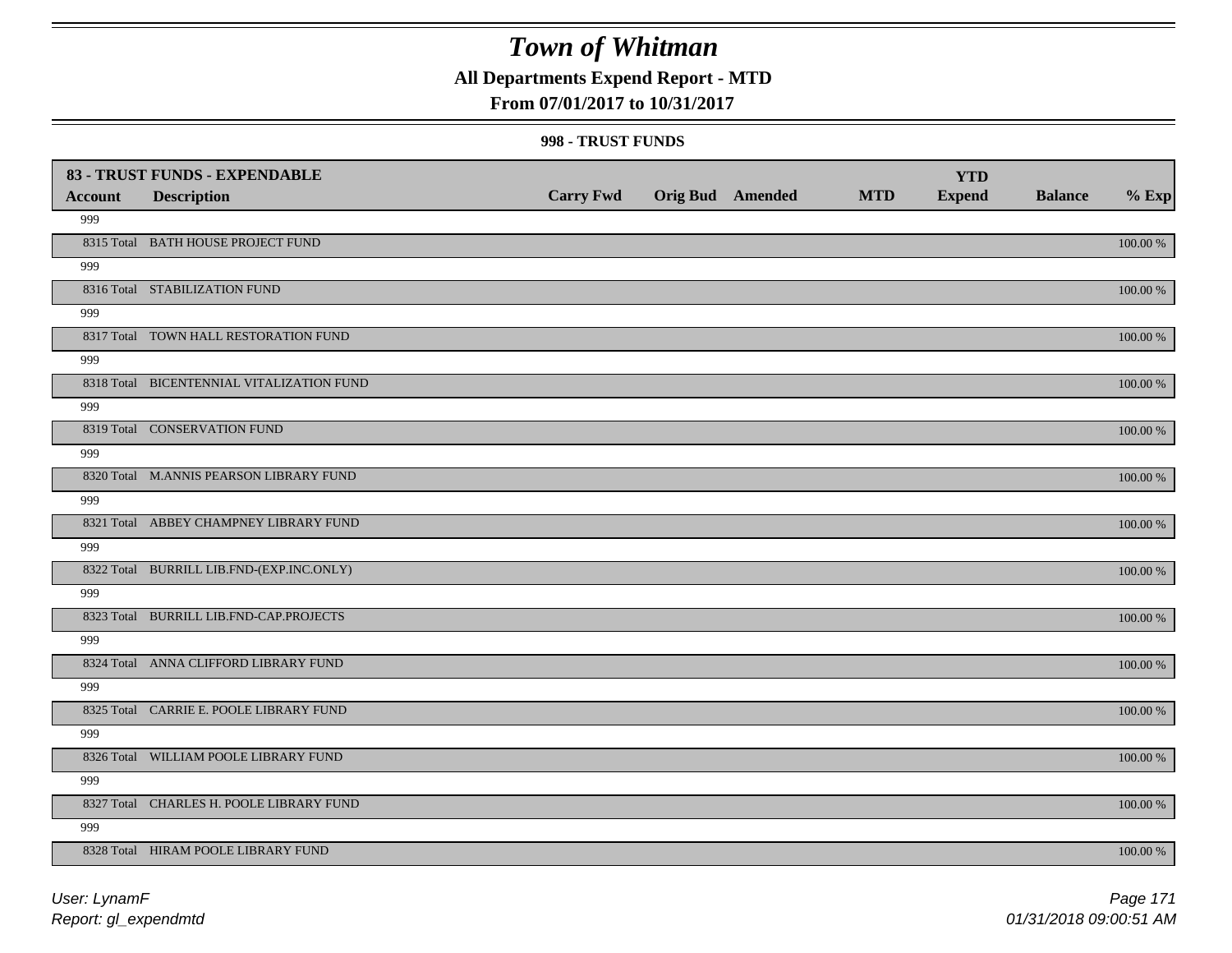### **All Departments Expend Report - MTD**

### **From 07/01/2017 to 10/31/2017**

#### **998 - TRUST FUNDS**

|                | 83 - TRUST FUNDS - EXPENDABLE             | <b>Carry Fwd</b> | <b>Orig Bud</b> Amended | <b>MTD</b> | <b>YTD</b><br><b>Expend</b> | <b>Balance</b> | $%$ Exp     |
|----------------|-------------------------------------------|------------------|-------------------------|------------|-----------------------------|----------------|-------------|
| <b>Account</b> | <b>Description</b>                        |                  |                         |            |                             |                |             |
| 999            |                                           |                  |                         |            |                             |                |             |
|                | 8315 Total BATH HOUSE PROJECT FUND        |                  |                         |            |                             |                | 100.00 %    |
| 999            |                                           |                  |                         |            |                             |                |             |
|                | 8316 Total STABILIZATION FUND             |                  |                         |            |                             |                | 100.00 %    |
| 999            |                                           |                  |                         |            |                             |                |             |
|                | 8317 Total TOWN HALL RESTORATION FUND     |                  |                         |            |                             |                | 100.00 %    |
| 999            |                                           |                  |                         |            |                             |                |             |
|                | 8318 Total BICENTENNIAL VITALIZATION FUND |                  |                         |            |                             |                | 100.00 %    |
| 999            |                                           |                  |                         |            |                             |                |             |
|                | 8319 Total CONSERVATION FUND              |                  |                         |            |                             |                | 100.00 %    |
| 999            |                                           |                  |                         |            |                             |                |             |
|                | 8320 Total M.ANNIS PEARSON LIBRARY FUND   |                  |                         |            |                             |                | 100.00 %    |
| 999            |                                           |                  |                         |            |                             |                |             |
|                | 8321 Total ABBEY CHAMPNEY LIBRARY FUND    |                  |                         |            |                             |                | 100.00 %    |
| 999            |                                           |                  |                         |            |                             |                |             |
|                | 8322 Total BURRILL LIB.FND-(EXP.INC.ONLY) |                  |                         |            |                             |                | 100.00 %    |
| 999            |                                           |                  |                         |            |                             |                |             |
|                | 8323 Total BURRILL LIB.FND-CAP.PROJECTS   |                  |                         |            |                             |                | $100.00~\%$ |
| 999            |                                           |                  |                         |            |                             |                |             |
|                | 8324 Total ANNA CLIFFORD LIBRARY FUND     |                  |                         |            |                             |                | $100.00~\%$ |
| 999            |                                           |                  |                         |            |                             |                |             |
|                | 8325 Total CARRIE E. POOLE LIBRARY FUND   |                  |                         |            |                             |                | $100.00~\%$ |
| 999            |                                           |                  |                         |            |                             |                |             |
|                | 8326 Total WILLIAM POOLE LIBRARY FUND     |                  |                         |            |                             |                | 100.00 %    |
| 999            |                                           |                  |                         |            |                             |                |             |
|                | 8327 Total CHARLES H. POOLE LIBRARY FUND  |                  |                         |            |                             |                | 100.00 %    |
| 999            |                                           |                  |                         |            |                             |                |             |
|                | 8328 Total HIRAM POOLE LIBRARY FUND       |                  |                         |            |                             |                | 100.00 %    |

*Report: gl\_expendmtd User: LynamF*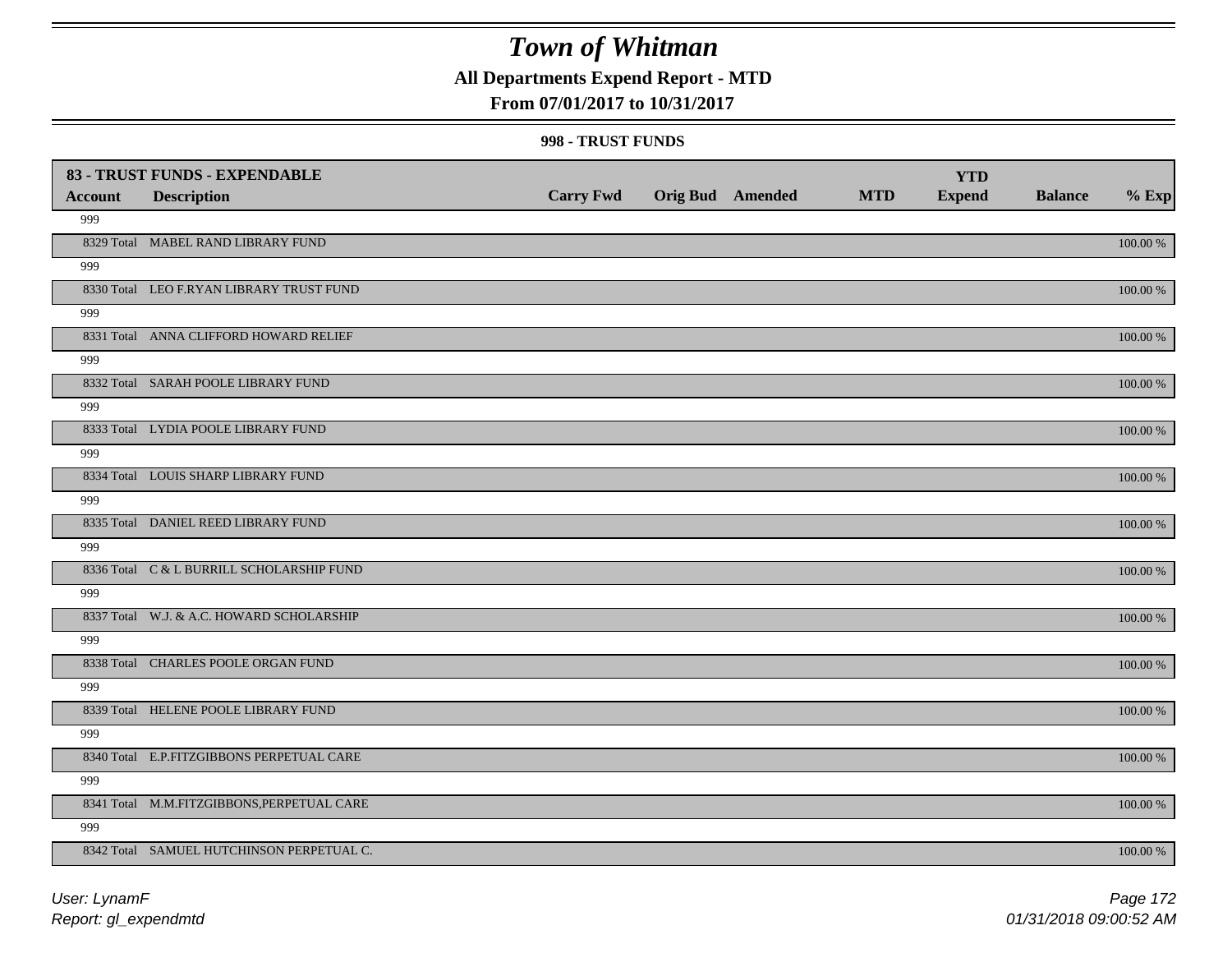### **All Departments Expend Report - MTD**

### **From 07/01/2017 to 10/31/2017**

#### **998 - TRUST FUNDS**

|                | 83 - TRUST FUNDS - EXPENDABLE              |                  |                         |            | <b>YTD</b>    |                |             |
|----------------|--------------------------------------------|------------------|-------------------------|------------|---------------|----------------|-------------|
| <b>Account</b> | <b>Description</b>                         | <b>Carry Fwd</b> | <b>Orig Bud</b> Amended | <b>MTD</b> | <b>Expend</b> | <b>Balance</b> | $%$ Exp     |
| 999            |                                            |                  |                         |            |               |                |             |
|                | 8329 Total MABEL RAND LIBRARY FUND         |                  |                         |            |               |                | 100.00 %    |
| 999            |                                            |                  |                         |            |               |                |             |
|                | 8330 Total LEO F.RYAN LIBRARY TRUST FUND   |                  |                         |            |               |                | $100.00~\%$ |
| 999            |                                            |                  |                         |            |               |                |             |
|                | 8331 Total ANNA CLIFFORD HOWARD RELIEF     |                  |                         |            |               |                | 100.00 %    |
| 999            |                                            |                  |                         |            |               |                |             |
|                | 8332 Total SARAH POOLE LIBRARY FUND        |                  |                         |            |               |                | 100.00 %    |
| 999            |                                            |                  |                         |            |               |                |             |
|                | 8333 Total LYDIA POOLE LIBRARY FUND        |                  |                         |            |               |                | 100.00 %    |
| 999            |                                            |                  |                         |            |               |                |             |
|                | 8334 Total LOUIS SHARP LIBRARY FUND        |                  |                         |            |               |                | 100.00 %    |
| 999            |                                            |                  |                         |            |               |                |             |
|                | 8335 Total DANIEL REED LIBRARY FUND        |                  |                         |            |               |                | 100.00 %    |
| 999            |                                            |                  |                         |            |               |                |             |
|                | 8336 Total C & L BURRILL SCHOLARSHIP FUND  |                  |                         |            |               |                | 100.00 %    |
| 999            |                                            |                  |                         |            |               |                |             |
|                | 8337 Total W.J. & A.C. HOWARD SCHOLARSHIP  |                  |                         |            |               |                | $100.00~\%$ |
| 999            |                                            |                  |                         |            |               |                |             |
|                | 8338 Total CHARLES POOLE ORGAN FUND        |                  |                         |            |               |                | $100.00~\%$ |
| 999            |                                            |                  |                         |            |               |                |             |
|                | 8339 Total HELENE POOLE LIBRARY FUND       |                  |                         |            |               |                | $100.00~\%$ |
| 999            |                                            |                  |                         |            |               |                |             |
|                | 8340 Total E.P.FITZGIBBONS PERPETUAL CARE  |                  |                         |            |               |                | 100.00 %    |
| 999            |                                            |                  |                         |            |               |                |             |
|                | 8341 Total M.M.FITZGIBBONS, PERPETUAL CARE |                  |                         |            |               |                | 100.00 %    |
| 999            |                                            |                  |                         |            |               |                |             |
|                | 8342 Total SAMUEL HUTCHINSON PERPETUAL C.  |                  |                         |            |               |                | 100.00 %    |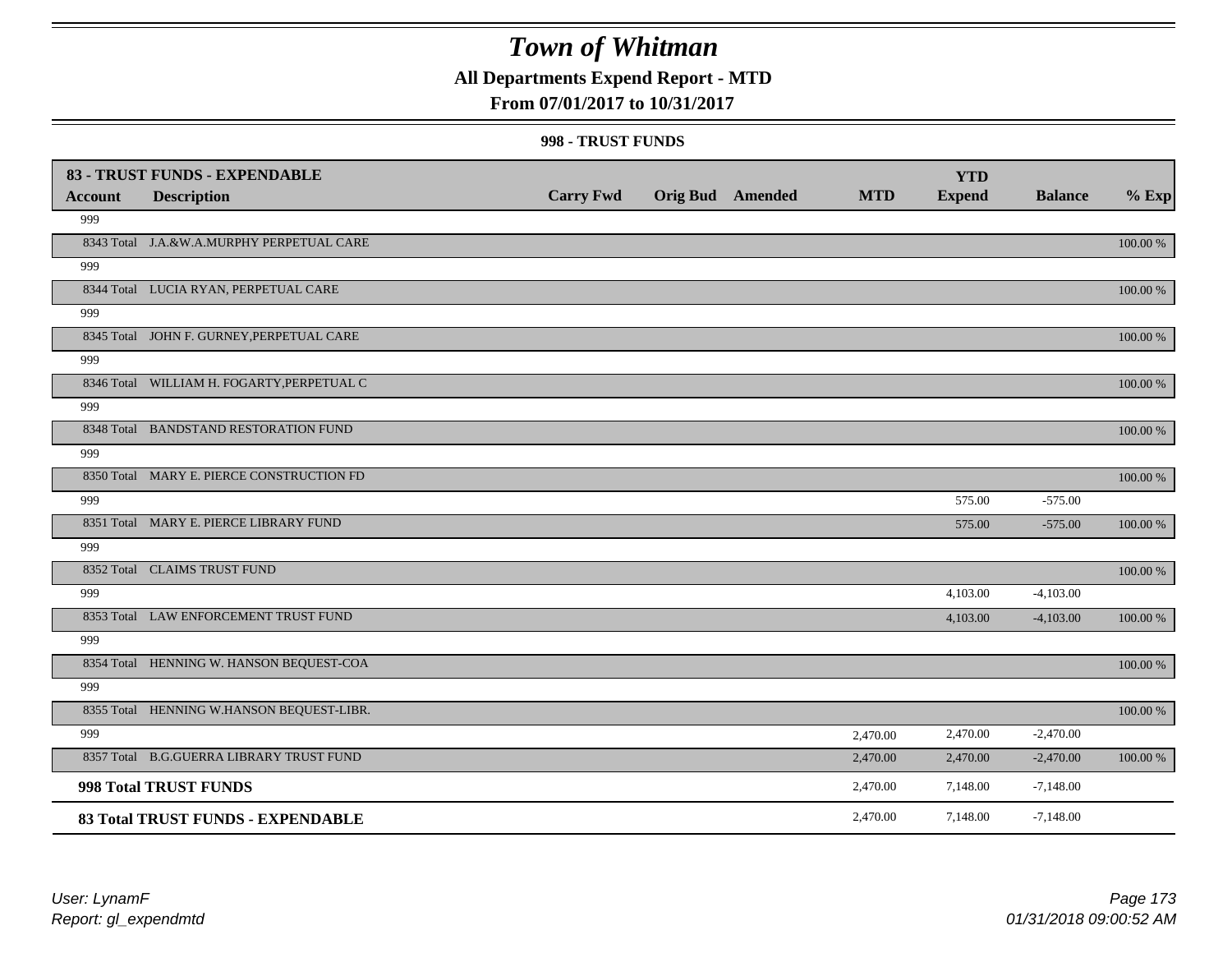## **All Departments Expend Report - MTD**

### **From 07/01/2017 to 10/31/2017**

#### **998 - TRUST FUNDS**

| <b>Account</b> | 83 - TRUST FUNDS - EXPENDABLE<br><b>Description</b> | <b>Carry Fwd</b> | <b>Orig Bud</b> Amended | <b>MTD</b> | <b>YTD</b><br><b>Expend</b> | <b>Balance</b> | $%$ Exp  |
|----------------|-----------------------------------------------------|------------------|-------------------------|------------|-----------------------------|----------------|----------|
| 999            |                                                     |                  |                         |            |                             |                |          |
|                | 8343 Total J.A.&W.A.MURPHY PERPETUAL CARE           |                  |                         |            |                             |                | 100.00 % |
| 999            |                                                     |                  |                         |            |                             |                |          |
|                | 8344 Total LUCIA RYAN, PERPETUAL CARE               |                  |                         |            |                             |                | 100.00 % |
| 999            |                                                     |                  |                         |            |                             |                |          |
|                | 8345 Total JOHN F. GURNEY, PERPETUAL CARE           |                  |                         |            |                             |                | 100.00 % |
| 999            |                                                     |                  |                         |            |                             |                |          |
|                | 8346 Total WILLIAM H. FOGARTY, PERPETUAL C          |                  |                         |            |                             |                | 100.00 % |
| 999            |                                                     |                  |                         |            |                             |                |          |
|                | 8348 Total BANDSTAND RESTORATION FUND               |                  |                         |            |                             |                | 100.00 % |
| 999            |                                                     |                  |                         |            |                             |                |          |
|                | 8350 Total MARY E. PIERCE CONSTRUCTION FD           |                  |                         |            |                             |                | 100.00 % |
| 999            |                                                     |                  |                         |            | 575.00                      | $-575.00$      |          |
|                | 8351 Total MARY E. PIERCE LIBRARY FUND              |                  |                         |            | 575.00                      | $-575.00$      | 100.00 % |
| 999            |                                                     |                  |                         |            |                             |                |          |
|                | 8352 Total CLAIMS TRUST FUND                        |                  |                         |            |                             |                | 100.00 % |
| 999            |                                                     |                  |                         |            | 4,103.00                    | $-4,103.00$    |          |
|                | 8353 Total LAW ENFORCEMENT TRUST FUND               |                  |                         |            | 4,103.00                    | $-4,103.00$    | 100.00 % |
| 999            |                                                     |                  |                         |            |                             |                |          |
|                | 8354 Total HENNING W. HANSON BEQUEST-COA            |                  |                         |            |                             |                | 100.00 % |
| 999            |                                                     |                  |                         |            |                             |                |          |
|                | 8355 Total HENNING W.HANSON BEQUEST-LIBR.           |                  |                         |            |                             |                | 100.00 % |
| 999            |                                                     |                  |                         | 2,470.00   | 2,470.00                    | $-2,470.00$    |          |
|                | 8357 Total B.G.GUERRA LIBRARY TRUST FUND            |                  |                         | 2,470.00   | 2,470.00                    | $-2,470.00$    | 100.00 % |
|                | 998 Total TRUST FUNDS                               |                  |                         | 2,470.00   | 7,148.00                    | $-7,148.00$    |          |
|                | 83 Total TRUST FUNDS - EXPENDABLE                   |                  |                         | 2,470.00   | 7,148.00                    | $-7,148.00$    |          |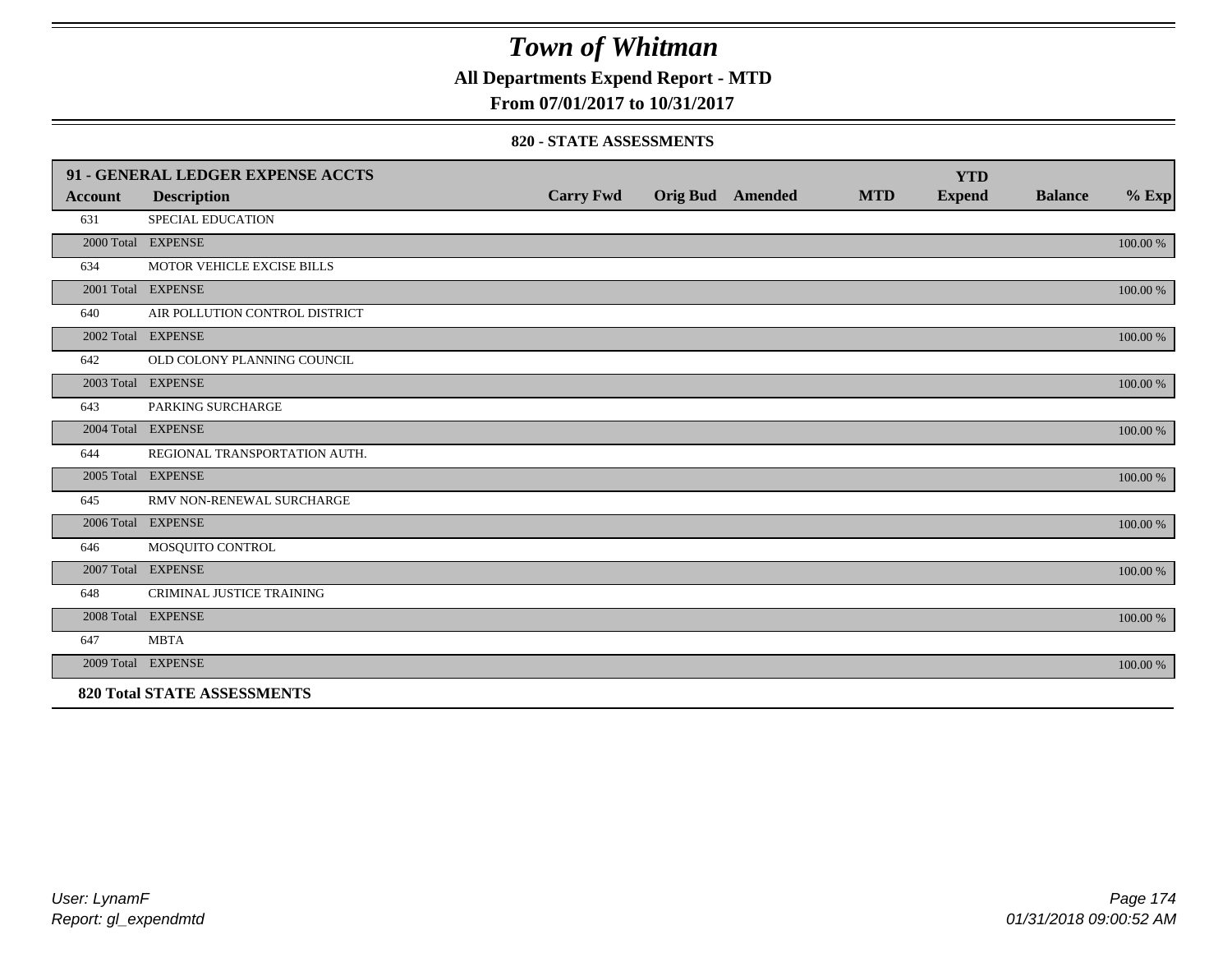**All Departments Expend Report - MTD**

**From 07/01/2017 to 10/31/2017**

#### **820 - STATE ASSESSMENTS**

|                | 91 - GENERAL LEDGER EXPENSE ACCTS  |                  |                         |            | <b>YTD</b>    |                |          |
|----------------|------------------------------------|------------------|-------------------------|------------|---------------|----------------|----------|
| <b>Account</b> | <b>Description</b>                 | <b>Carry Fwd</b> | <b>Orig Bud</b> Amended | <b>MTD</b> | <b>Expend</b> | <b>Balance</b> | $%$ Exp  |
| 631            | <b>SPECIAL EDUCATION</b>           |                  |                         |            |               |                |          |
|                | 2000 Total EXPENSE                 |                  |                         |            |               |                | 100.00 % |
| 634            | MOTOR VEHICLE EXCISE BILLS         |                  |                         |            |               |                |          |
|                | 2001 Total EXPENSE                 |                  |                         |            |               |                | 100.00 % |
| 640            | AIR POLLUTION CONTROL DISTRICT     |                  |                         |            |               |                |          |
|                | 2002 Total EXPENSE                 |                  |                         |            |               |                | 100.00 % |
| 642            | OLD COLONY PLANNING COUNCIL        |                  |                         |            |               |                |          |
|                | 2003 Total EXPENSE                 |                  |                         |            |               |                | 100.00 % |
| 643            | PARKING SURCHARGE                  |                  |                         |            |               |                |          |
|                | 2004 Total EXPENSE                 |                  |                         |            |               |                | 100.00 % |
| 644            | REGIONAL TRANSPORTATION AUTH.      |                  |                         |            |               |                |          |
|                | 2005 Total EXPENSE                 |                  |                         |            |               |                | 100.00 % |
| 645            | RMV NON-RENEWAL SURCHARGE          |                  |                         |            |               |                |          |
|                | 2006 Total EXPENSE                 |                  |                         |            |               |                | 100.00 % |
| 646            | MOSQUITO CONTROL                   |                  |                         |            |               |                |          |
|                | 2007 Total EXPENSE                 |                  |                         |            |               |                | 100.00 % |
| 648            | <b>CRIMINAL JUSTICE TRAINING</b>   |                  |                         |            |               |                |          |
|                | 2008 Total EXPENSE                 |                  |                         |            |               |                | 100.00 % |
| 647            | <b>MBTA</b>                        |                  |                         |            |               |                |          |
|                | 2009 Total EXPENSE                 |                  |                         |            |               |                | 100.00 % |
|                | <b>820 Total STATE ASSESSMENTS</b> |                  |                         |            |               |                |          |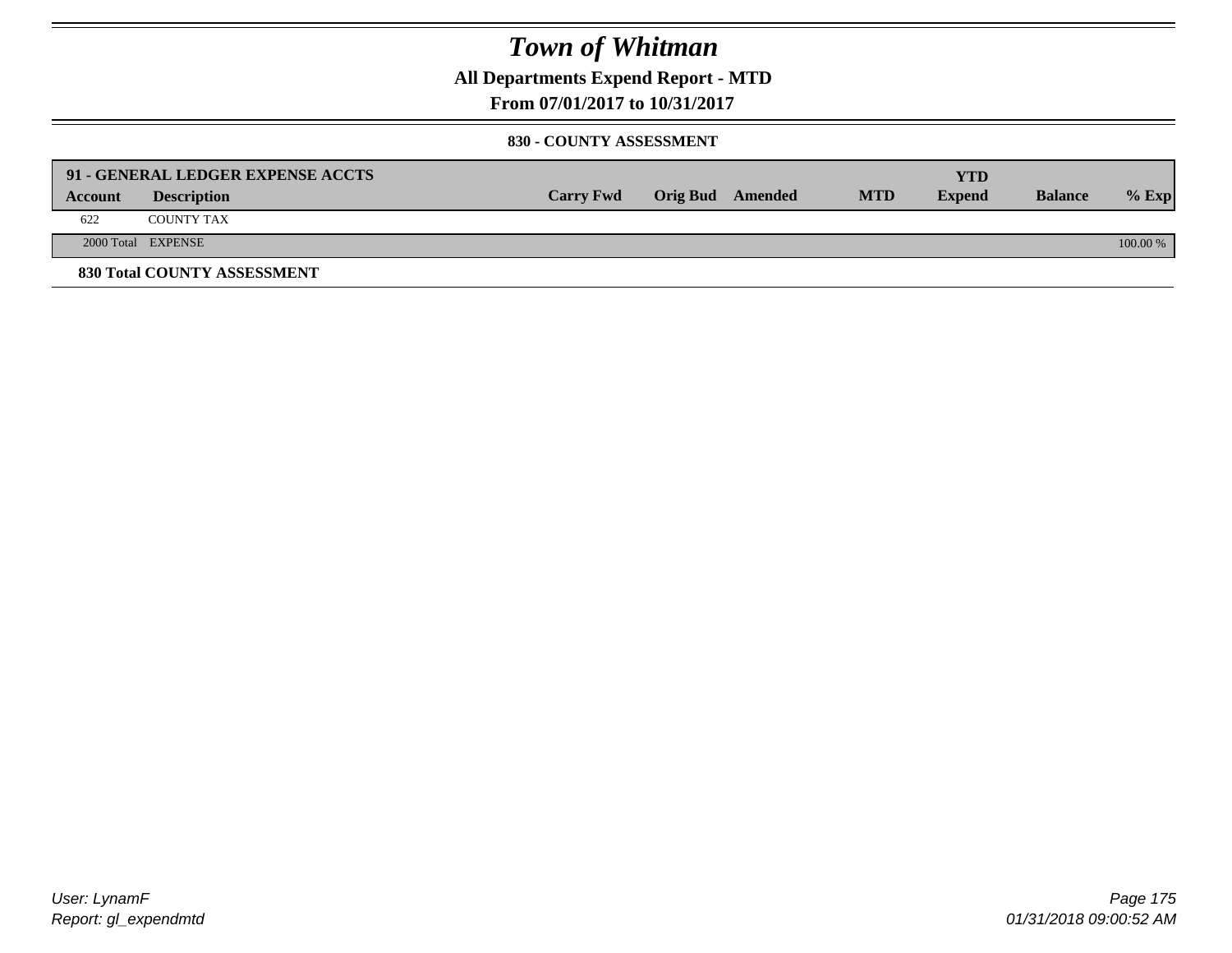**All Departments Expend Report - MTD**

**From 07/01/2017 to 10/31/2017**

#### **830 - COUNTY ASSESSMENT**

|         | 91 - GENERAL LEDGER EXPENSE ACCTS |                  |                  |            | <b>YTD</b>    |                |            |
|---------|-----------------------------------|------------------|------------------|------------|---------------|----------------|------------|
| Account | <b>Description</b>                | <b>Carry Fwd</b> | Orig Bud Amended | <b>MTD</b> | <b>Expend</b> | <b>Balance</b> | $%$ Exp    |
| 622     | <b>COUNTY TAX</b>                 |                  |                  |            |               |                |            |
|         | 2000 Total EXPENSE                |                  |                  |            |               |                | $100.00\%$ |
|         | 830 Total COUNTY ASSESSMENT       |                  |                  |            |               |                |            |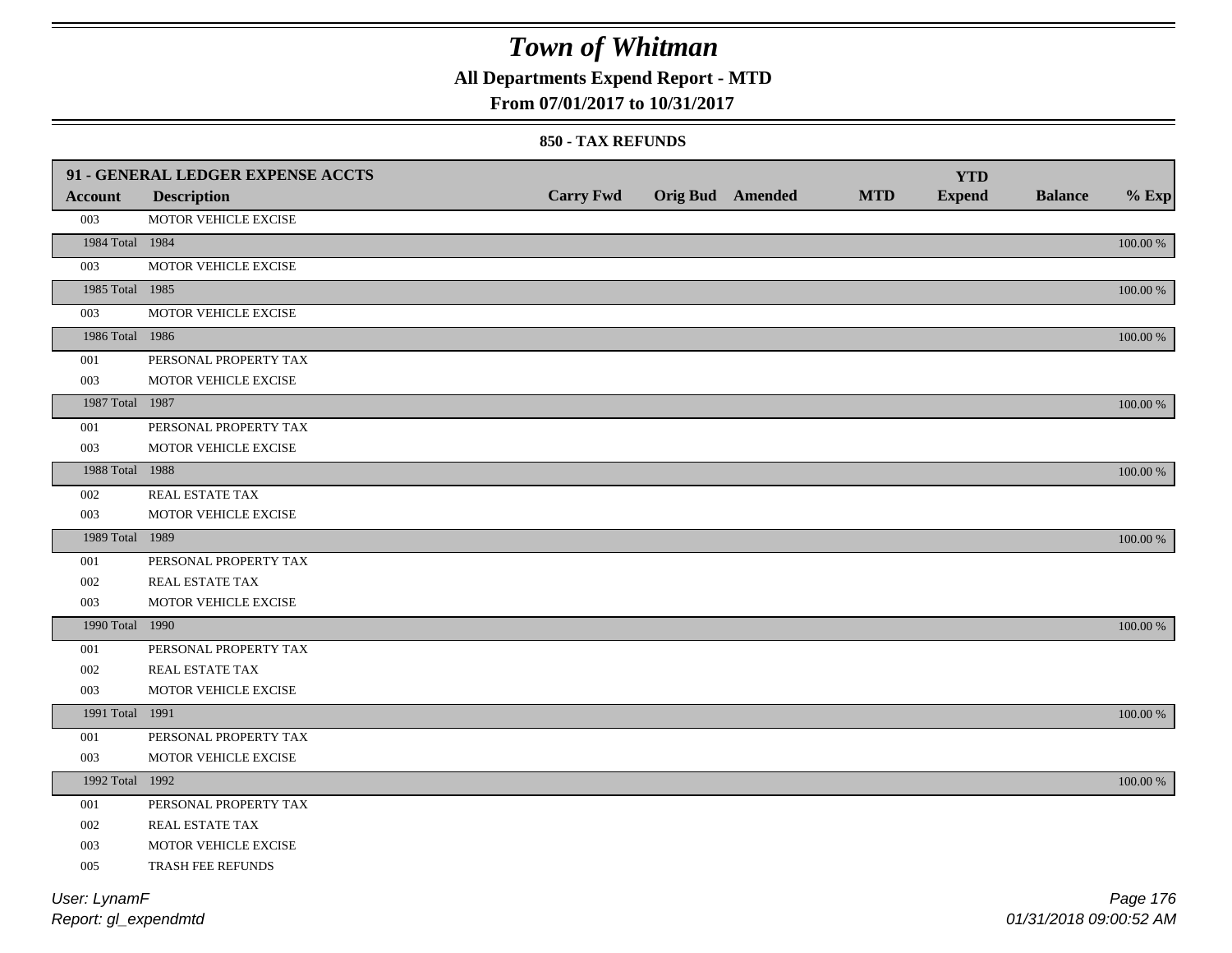## **All Departments Expend Report - MTD**

### **From 07/01/2017 to 10/31/2017**

#### **850 - TAX REFUNDS**

|                 | 91 - GENERAL LEDGER EXPENSE ACCTS |                  |                  |            | <b>YTD</b>    |                |             |
|-----------------|-----------------------------------|------------------|------------------|------------|---------------|----------------|-------------|
| <b>Account</b>  | <b>Description</b>                | <b>Carry Fwd</b> | Orig Bud Amended | <b>MTD</b> | <b>Expend</b> | <b>Balance</b> | $%$ Exp     |
| 003             | MOTOR VEHICLE EXCISE              |                  |                  |            |               |                |             |
| 1984 Total 1984 |                                   |                  |                  |            |               |                | $100.00~\%$ |
| 003             | MOTOR VEHICLE EXCISE              |                  |                  |            |               |                |             |
| 1985 Total 1985 |                                   |                  |                  |            |               |                | 100.00 %    |
| 003             | MOTOR VEHICLE EXCISE              |                  |                  |            |               |                |             |
| 1986 Total 1986 |                                   |                  |                  |            |               |                | 100.00 %    |
| 001             | PERSONAL PROPERTY TAX             |                  |                  |            |               |                |             |
| 003             | MOTOR VEHICLE EXCISE              |                  |                  |            |               |                |             |
| 1987 Total 1987 |                                   |                  |                  |            |               |                | 100.00 %    |
| 001             | PERSONAL PROPERTY TAX             |                  |                  |            |               |                |             |
| 003             | MOTOR VEHICLE EXCISE              |                  |                  |            |               |                |             |
| 1988 Total 1988 |                                   |                  |                  |            |               |                | 100.00 %    |
| 002             | REAL ESTATE TAX                   |                  |                  |            |               |                |             |
| 003             | MOTOR VEHICLE EXCISE              |                  |                  |            |               |                |             |
| 1989 Total 1989 |                                   |                  |                  |            |               |                | 100.00 %    |
| 001             | PERSONAL PROPERTY TAX             |                  |                  |            |               |                |             |
| 002             | <b>REAL ESTATE TAX</b>            |                  |                  |            |               |                |             |
| 003             | MOTOR VEHICLE EXCISE              |                  |                  |            |               |                |             |
| 1990 Total 1990 |                                   |                  |                  |            |               |                | 100.00 %    |
| 001             | PERSONAL PROPERTY TAX             |                  |                  |            |               |                |             |
| 002             | REAL ESTATE TAX                   |                  |                  |            |               |                |             |
| 003             | MOTOR VEHICLE EXCISE              |                  |                  |            |               |                |             |
| 1991 Total 1991 |                                   |                  |                  |            |               |                | $100.00~\%$ |
| 001             | PERSONAL PROPERTY TAX             |                  |                  |            |               |                |             |
| 003             | MOTOR VEHICLE EXCISE              |                  |                  |            |               |                |             |
| 1992 Total 1992 |                                   |                  |                  |            |               |                | $100.00~\%$ |
| 001             | PERSONAL PROPERTY TAX             |                  |                  |            |               |                |             |
| 002             | REAL ESTATE TAX                   |                  |                  |            |               |                |             |
| 003             | MOTOR VEHICLE EXCISE              |                  |                  |            |               |                |             |
| 005             | TRASH FEE REFUNDS                 |                  |                  |            |               |                |             |
| User: LynamF    |                                   |                  |                  |            |               |                | Page 176    |

*Report: gl\_expendmtd*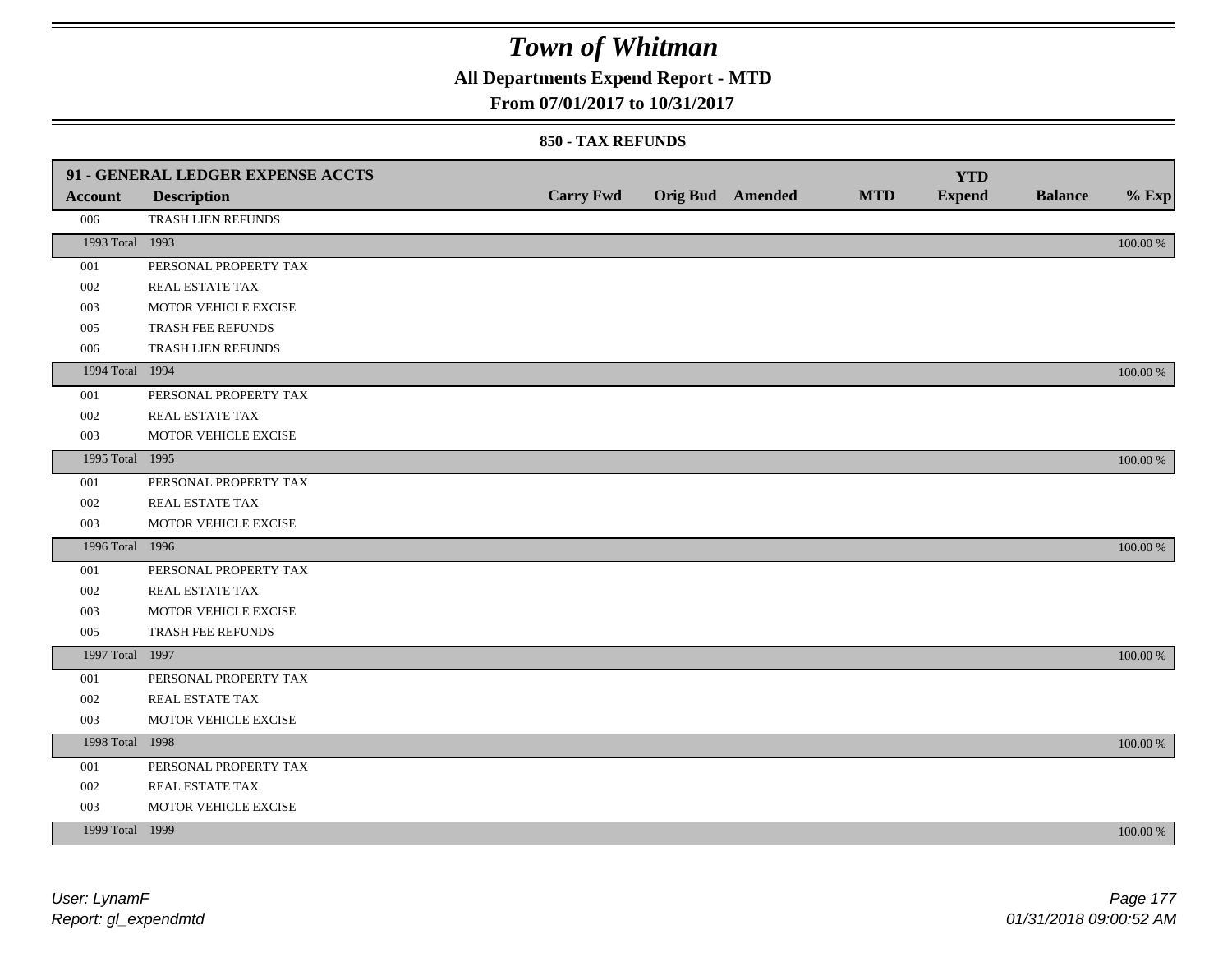## **All Departments Expend Report - MTD**

### **From 07/01/2017 to 10/31/2017**

|                 | 91 - GENERAL LEDGER EXPENSE ACCTS |                  |                  |            | <b>YTD</b>    |                |             |
|-----------------|-----------------------------------|------------------|------------------|------------|---------------|----------------|-------------|
| <b>Account</b>  | <b>Description</b>                | <b>Carry Fwd</b> | Orig Bud Amended | <b>MTD</b> | <b>Expend</b> | <b>Balance</b> | $%$ Exp     |
| 006             | TRASH LIEN REFUNDS                |                  |                  |            |               |                |             |
| 1993 Total 1993 |                                   |                  |                  |            |               |                | $100.00~\%$ |
| 001             | PERSONAL PROPERTY TAX             |                  |                  |            |               |                |             |
| 002             | REAL ESTATE TAX                   |                  |                  |            |               |                |             |
| 003             | MOTOR VEHICLE EXCISE              |                  |                  |            |               |                |             |
| 005             | TRASH FEE REFUNDS                 |                  |                  |            |               |                |             |
| 006             | TRASH LIEN REFUNDS                |                  |                  |            |               |                |             |
| 1994 Total 1994 |                                   |                  |                  |            |               |                | 100.00 %    |
| 001             | PERSONAL PROPERTY TAX             |                  |                  |            |               |                |             |
| 002             | REAL ESTATE TAX                   |                  |                  |            |               |                |             |
| 003             | MOTOR VEHICLE EXCISE              |                  |                  |            |               |                |             |
| 1995 Total 1995 |                                   |                  |                  |            |               |                | 100.00 %    |
| 001             | PERSONAL PROPERTY TAX             |                  |                  |            |               |                |             |
| 002             | REAL ESTATE TAX                   |                  |                  |            |               |                |             |
| 003             | MOTOR VEHICLE EXCISE              |                  |                  |            |               |                |             |
| 1996 Total 1996 |                                   |                  |                  |            |               |                | 100.00 %    |
| 001             | PERSONAL PROPERTY TAX             |                  |                  |            |               |                |             |
| 002             | REAL ESTATE TAX                   |                  |                  |            |               |                |             |
| 003             | MOTOR VEHICLE EXCISE              |                  |                  |            |               |                |             |
| 005             | TRASH FEE REFUNDS                 |                  |                  |            |               |                |             |
| 1997 Total 1997 |                                   |                  |                  |            |               |                | 100.00 %    |
| 001             | PERSONAL PROPERTY TAX             |                  |                  |            |               |                |             |
| 002             | REAL ESTATE TAX                   |                  |                  |            |               |                |             |
| 003             | MOTOR VEHICLE EXCISE              |                  |                  |            |               |                |             |
| 1998 Total 1998 |                                   |                  |                  |            |               |                | 100.00 %    |
| 001             | PERSONAL PROPERTY TAX             |                  |                  |            |               |                |             |
| 002             | REAL ESTATE TAX                   |                  |                  |            |               |                |             |
| 003             | MOTOR VEHICLE EXCISE              |                  |                  |            |               |                |             |
| 1999 Total 1999 |                                   |                  |                  |            |               |                | 100.00 %    |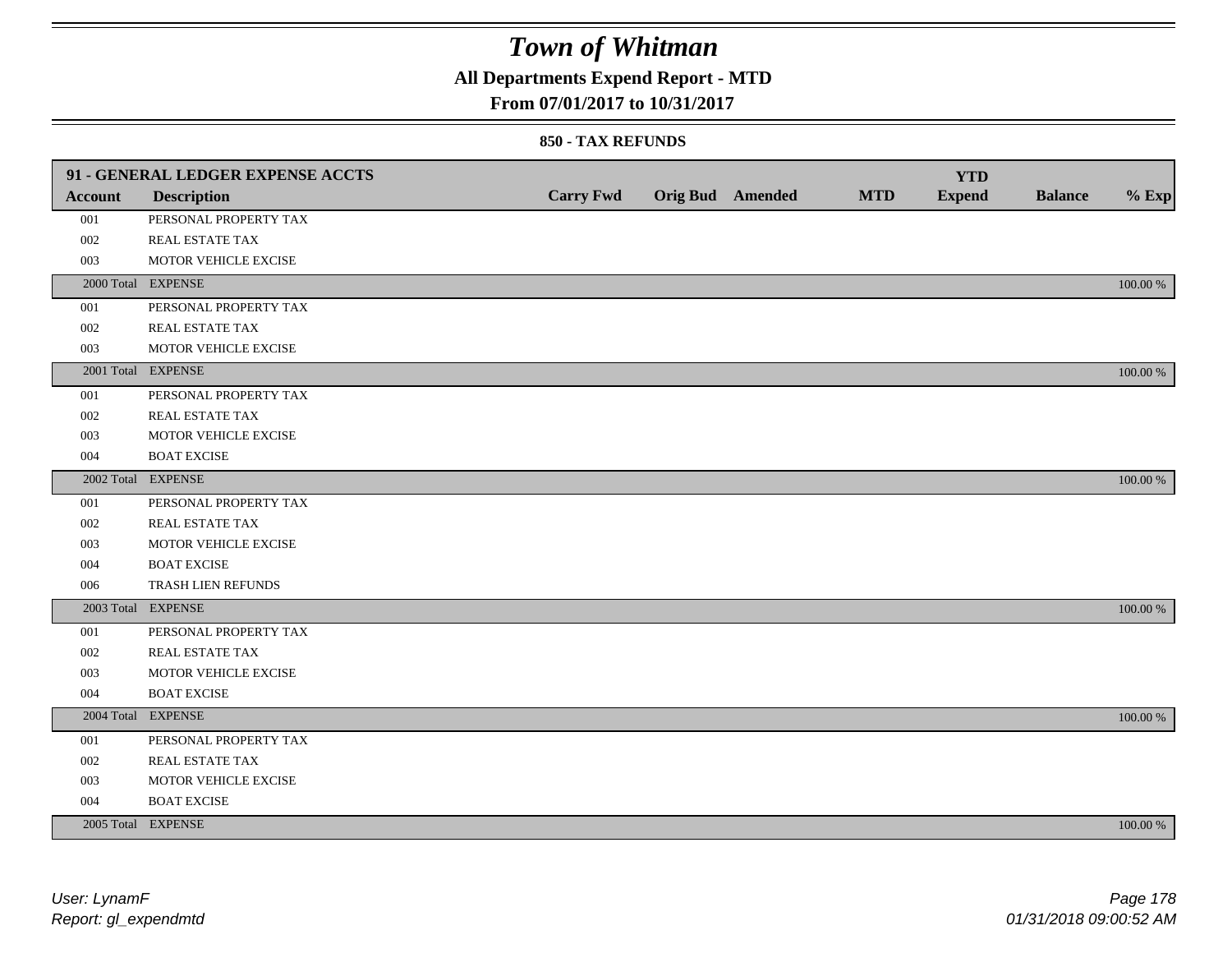## **All Departments Expend Report - MTD**

### **From 07/01/2017 to 10/31/2017**

|                | 91 - GENERAL LEDGER EXPENSE ACCTS |                  |                         |            | <b>YTD</b>    |                |             |
|----------------|-----------------------------------|------------------|-------------------------|------------|---------------|----------------|-------------|
| <b>Account</b> | <b>Description</b>                | <b>Carry Fwd</b> | <b>Orig Bud</b> Amended | <b>MTD</b> | <b>Expend</b> | <b>Balance</b> | $%$ Exp     |
| 001            | PERSONAL PROPERTY TAX             |                  |                         |            |               |                |             |
| 002            | <b>REAL ESTATE TAX</b>            |                  |                         |            |               |                |             |
| 003            | MOTOR VEHICLE EXCISE              |                  |                         |            |               |                |             |
|                | 2000 Total EXPENSE                |                  |                         |            |               |                | 100.00 %    |
| 001            | PERSONAL PROPERTY TAX             |                  |                         |            |               |                |             |
| 002            | REAL ESTATE TAX                   |                  |                         |            |               |                |             |
| 003            | MOTOR VEHICLE EXCISE              |                  |                         |            |               |                |             |
|                | 2001 Total EXPENSE                |                  |                         |            |               |                | 100.00 %    |
| 001            | PERSONAL PROPERTY TAX             |                  |                         |            |               |                |             |
| 002            | REAL ESTATE TAX                   |                  |                         |            |               |                |             |
| 003            | MOTOR VEHICLE EXCISE              |                  |                         |            |               |                |             |
| 004            | <b>BOAT EXCISE</b>                |                  |                         |            |               |                |             |
|                | 2002 Total EXPENSE                |                  |                         |            |               |                | 100.00 %    |
| 001            | PERSONAL PROPERTY TAX             |                  |                         |            |               |                |             |
| 002            | REAL ESTATE TAX                   |                  |                         |            |               |                |             |
| 003            | MOTOR VEHICLE EXCISE              |                  |                         |            |               |                |             |
| 004            | <b>BOAT EXCISE</b>                |                  |                         |            |               |                |             |
| 006            | TRASH LIEN REFUNDS                |                  |                         |            |               |                |             |
|                | 2003 Total EXPENSE                |                  |                         |            |               |                | 100.00 %    |
| 001            | PERSONAL PROPERTY TAX             |                  |                         |            |               |                |             |
| 002            | REAL ESTATE TAX                   |                  |                         |            |               |                |             |
| 003            | MOTOR VEHICLE EXCISE              |                  |                         |            |               |                |             |
| 004            | <b>BOAT EXCISE</b>                |                  |                         |            |               |                |             |
|                | 2004 Total EXPENSE                |                  |                         |            |               |                | 100.00 %    |
| 001            | PERSONAL PROPERTY TAX             |                  |                         |            |               |                |             |
| 002            | REAL ESTATE TAX                   |                  |                         |            |               |                |             |
| 003            | MOTOR VEHICLE EXCISE              |                  |                         |            |               |                |             |
| 004            | <b>BOAT EXCISE</b>                |                  |                         |            |               |                |             |
|                | 2005 Total EXPENSE                |                  |                         |            |               |                | $100.00~\%$ |
|                |                                   |                  |                         |            |               |                |             |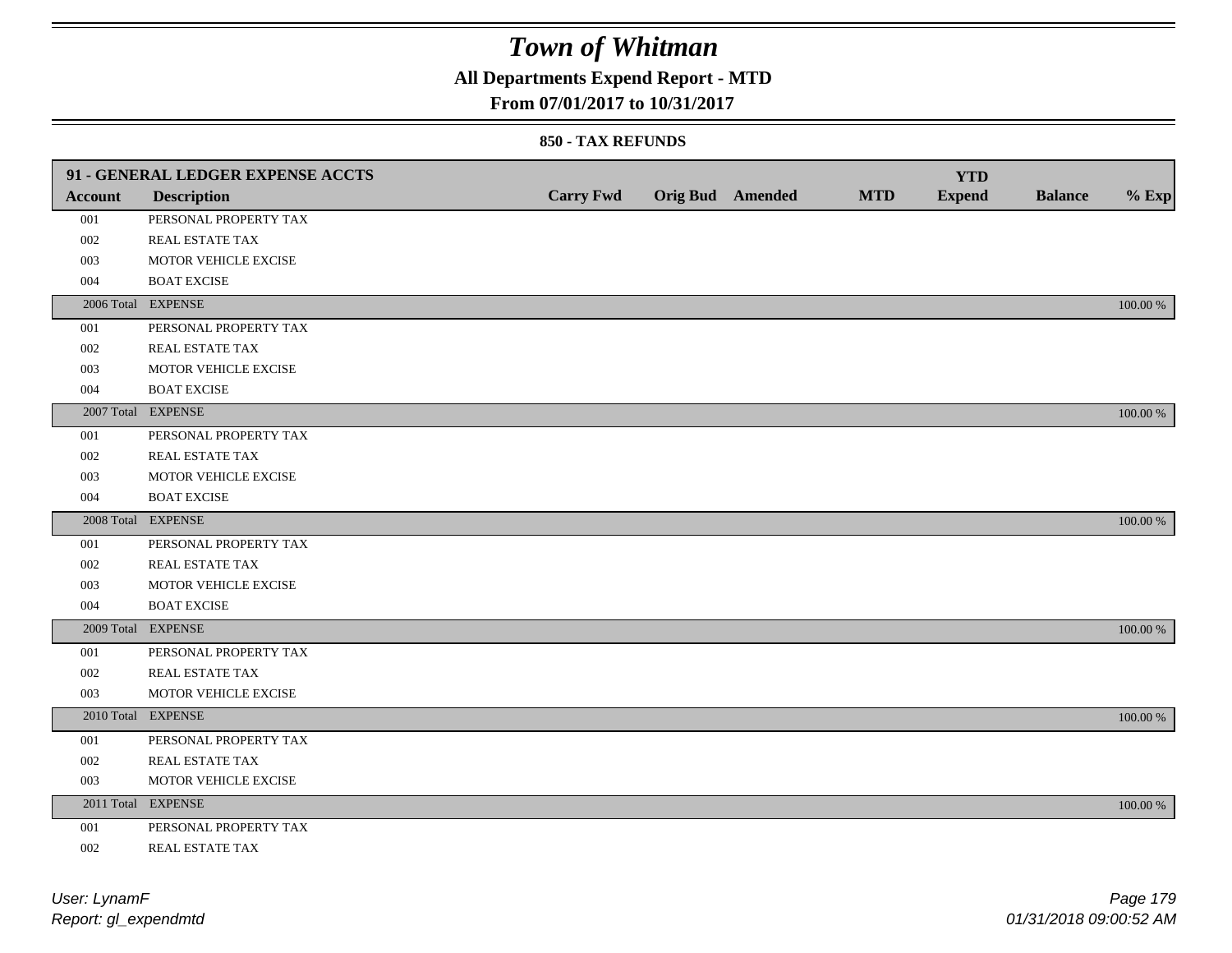## **All Departments Expend Report - MTD**

### **From 07/01/2017 to 10/31/2017**

|                | 91 - GENERAL LEDGER EXPENSE ACCTS |                  |                         |            | <b>YTD</b>    |                |             |
|----------------|-----------------------------------|------------------|-------------------------|------------|---------------|----------------|-------------|
| <b>Account</b> | <b>Description</b>                | <b>Carry Fwd</b> | <b>Orig Bud</b> Amended | <b>MTD</b> | <b>Expend</b> | <b>Balance</b> | $%$ Exp     |
| 001            | PERSONAL PROPERTY TAX             |                  |                         |            |               |                |             |
| 002            | REAL ESTATE TAX                   |                  |                         |            |               |                |             |
| 003            | MOTOR VEHICLE EXCISE              |                  |                         |            |               |                |             |
| 004            | <b>BOAT EXCISE</b>                |                  |                         |            |               |                |             |
|                | 2006 Total EXPENSE                |                  |                         |            |               |                | 100.00 %    |
| 001            | PERSONAL PROPERTY TAX             |                  |                         |            |               |                |             |
| 002            | REAL ESTATE TAX                   |                  |                         |            |               |                |             |
| 003            | MOTOR VEHICLE EXCISE              |                  |                         |            |               |                |             |
| 004            | <b>BOAT EXCISE</b>                |                  |                         |            |               |                |             |
|                | 2007 Total EXPENSE                |                  |                         |            |               |                | $100.00\%$  |
| 001            | PERSONAL PROPERTY TAX             |                  |                         |            |               |                |             |
| 002            | REAL ESTATE TAX                   |                  |                         |            |               |                |             |
| 003            | MOTOR VEHICLE EXCISE              |                  |                         |            |               |                |             |
| 004            | <b>BOAT EXCISE</b>                |                  |                         |            |               |                |             |
|                | 2008 Total EXPENSE                |                  |                         |            |               |                | $100.00~\%$ |
| 001            | PERSONAL PROPERTY TAX             |                  |                         |            |               |                |             |
| 002            | REAL ESTATE TAX                   |                  |                         |            |               |                |             |
| 003            | MOTOR VEHICLE EXCISE              |                  |                         |            |               |                |             |
| 004            | <b>BOAT EXCISE</b>                |                  |                         |            |               |                |             |
|                | 2009 Total EXPENSE                |                  |                         |            |               |                | 100.00 %    |
| 001            | PERSONAL PROPERTY TAX             |                  |                         |            |               |                |             |
| 002            | REAL ESTATE TAX                   |                  |                         |            |               |                |             |
| 003            | MOTOR VEHICLE EXCISE              |                  |                         |            |               |                |             |
|                | 2010 Total EXPENSE                |                  |                         |            |               |                | $100.00~\%$ |
| 001            | PERSONAL PROPERTY TAX             |                  |                         |            |               |                |             |
| 002            | REAL ESTATE TAX                   |                  |                         |            |               |                |             |
| 003            | MOTOR VEHICLE EXCISE              |                  |                         |            |               |                |             |
|                | 2011 Total EXPENSE                |                  |                         |            |               |                | $100.00~\%$ |
| 001            | PERSONAL PROPERTY TAX             |                  |                         |            |               |                |             |
| 002            | REAL ESTATE TAX                   |                  |                         |            |               |                |             |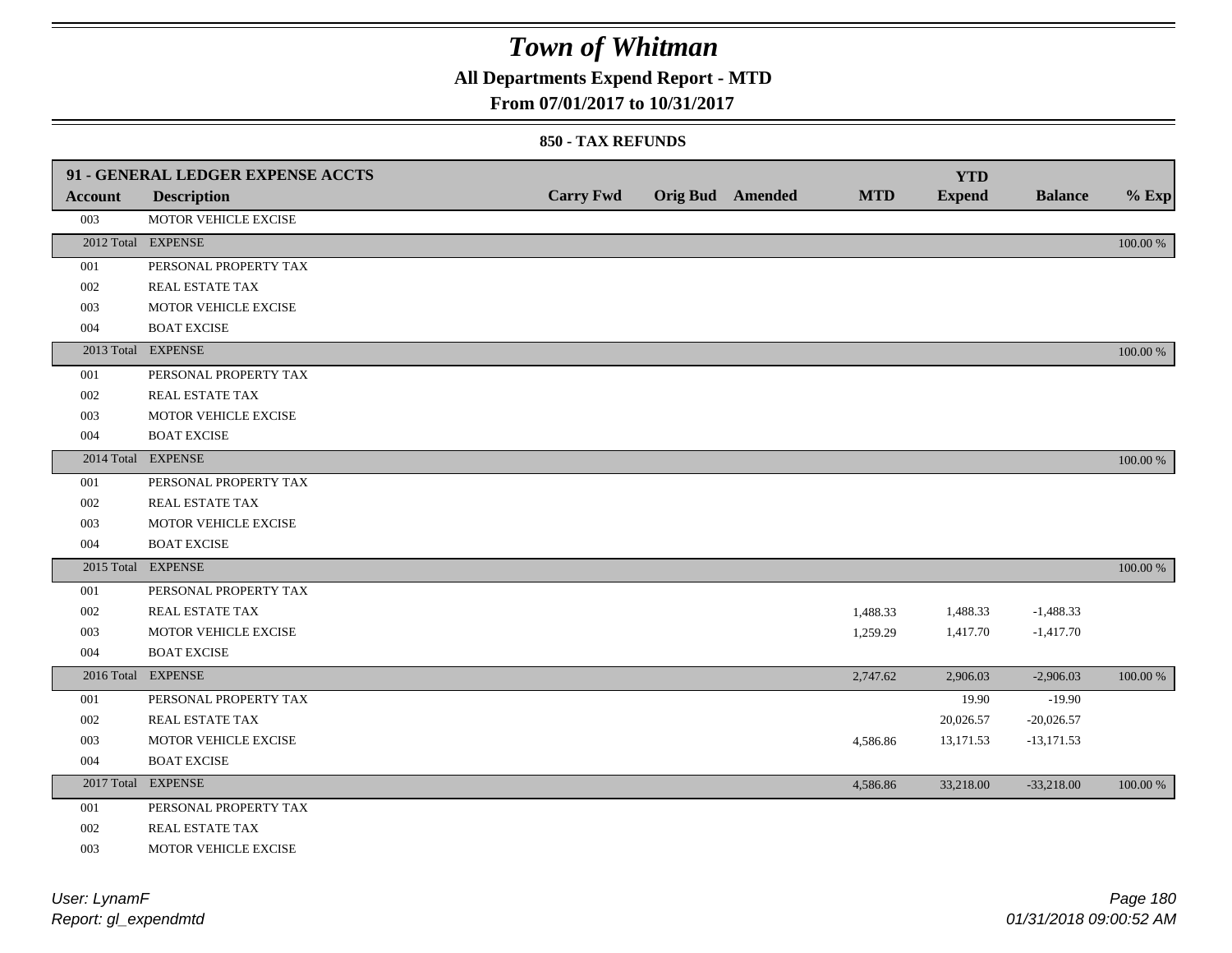## **All Departments Expend Report - MTD**

### **From 07/01/2017 to 10/31/2017**

|            | 91 - GENERAL LEDGER EXPENSE ACCTS |                  |                         |            | <b>YTD</b>    |                |          |
|------------|-----------------------------------|------------------|-------------------------|------------|---------------|----------------|----------|
| Account    | <b>Description</b>                | <b>Carry Fwd</b> | <b>Orig Bud</b> Amended | <b>MTD</b> | <b>Expend</b> | <b>Balance</b> | $%$ Exp  |
| 003        | MOTOR VEHICLE EXCISE              |                  |                         |            |               |                |          |
|            | 2012 Total EXPENSE                |                  |                         |            |               |                | 100.00 % |
| 001        | PERSONAL PROPERTY TAX             |                  |                         |            |               |                |          |
| 002        | REAL ESTATE TAX                   |                  |                         |            |               |                |          |
| 003        | MOTOR VEHICLE EXCISE              |                  |                         |            |               |                |          |
| 004        | <b>BOAT EXCISE</b>                |                  |                         |            |               |                |          |
|            | 2013 Total EXPENSE                |                  |                         |            |               |                | 100.00 % |
| 001        | PERSONAL PROPERTY TAX             |                  |                         |            |               |                |          |
| 002        | REAL ESTATE TAX                   |                  |                         |            |               |                |          |
| 003        | MOTOR VEHICLE EXCISE              |                  |                         |            |               |                |          |
| 004        | <b>BOAT EXCISE</b>                |                  |                         |            |               |                |          |
|            | 2014 Total EXPENSE                |                  |                         |            |               |                | 100.00 % |
| 001        | PERSONAL PROPERTY TAX             |                  |                         |            |               |                |          |
| 002        | REAL ESTATE TAX                   |                  |                         |            |               |                |          |
| 003        | MOTOR VEHICLE EXCISE              |                  |                         |            |               |                |          |
| 004        | <b>BOAT EXCISE</b>                |                  |                         |            |               |                |          |
|            | 2015 Total EXPENSE                |                  |                         |            |               |                | 100.00 % |
| 001        | PERSONAL PROPERTY TAX             |                  |                         |            |               |                |          |
| 002        | REAL ESTATE TAX                   |                  |                         | 1,488.33   | 1,488.33      | $-1,488.33$    |          |
| 003        | MOTOR VEHICLE EXCISE              |                  |                         | 1,259.29   | 1,417.70      | $-1,417.70$    |          |
| 004        | <b>BOAT EXCISE</b>                |                  |                         |            |               |                |          |
| 2016 Total | <b>EXPENSE</b>                    |                  |                         | 2,747.62   | 2,906.03      | $-2,906.03$    | 100.00 % |
| 001        | PERSONAL PROPERTY TAX             |                  |                         |            | 19.90         | $-19.90$       |          |
| 002        | REAL ESTATE TAX                   |                  |                         |            | 20,026.57     | $-20,026.57$   |          |
| 003        | MOTOR VEHICLE EXCISE              |                  |                         | 4,586.86   | 13,171.53     | $-13,171.53$   |          |
| 004        | <b>BOAT EXCISE</b>                |                  |                         |            |               |                |          |
|            | 2017 Total EXPENSE                |                  |                         | 4,586.86   | 33,218.00     | $-33,218.00$   | 100.00 % |
| 001        | PERSONAL PROPERTY TAX             |                  |                         |            |               |                |          |
| 002        | REAL ESTATE TAX                   |                  |                         |            |               |                |          |
| 003        | MOTOR VEHICLE EXCISE              |                  |                         |            |               |                |          |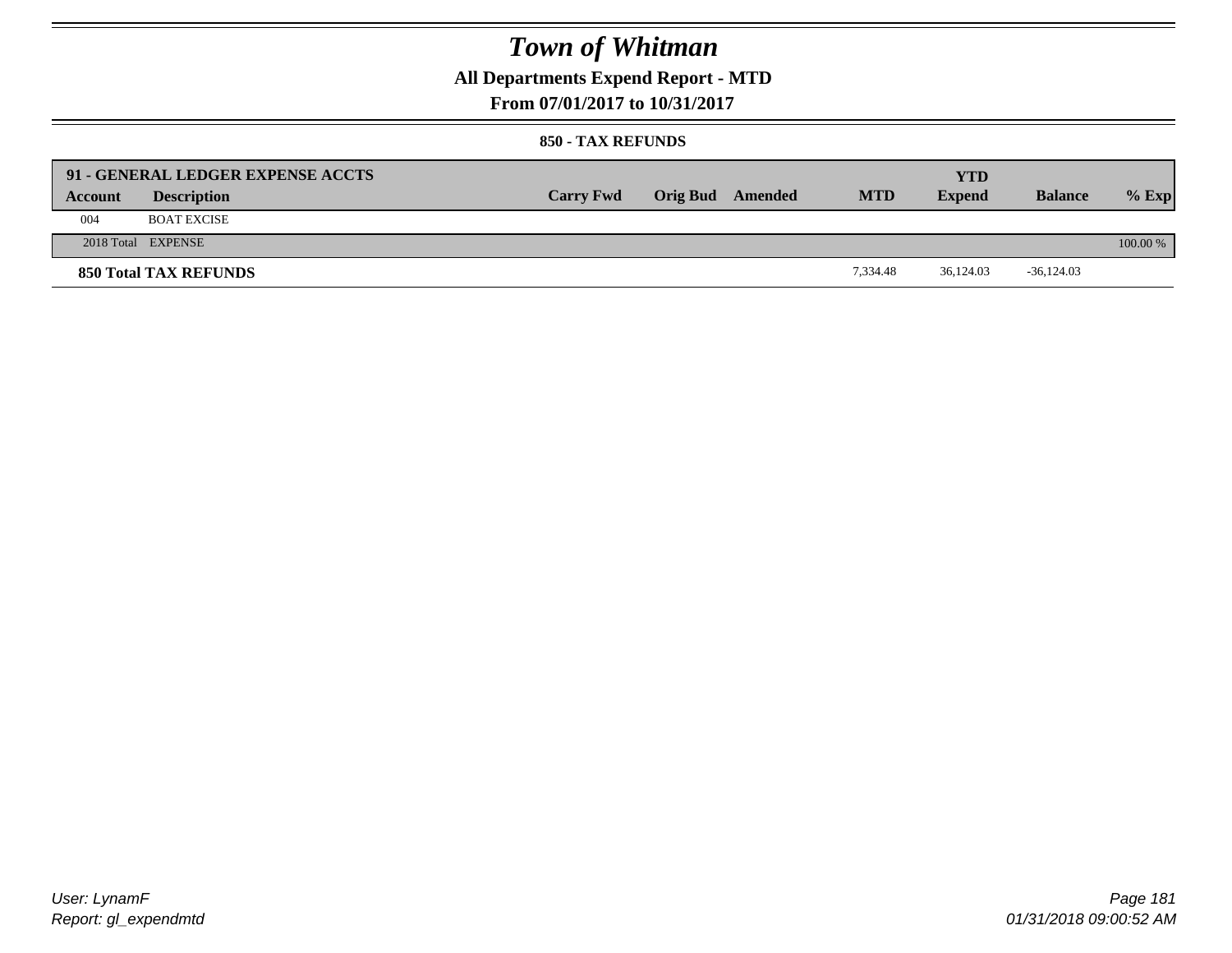## **All Departments Expend Report - MTD**

**From 07/01/2017 to 10/31/2017**

#### **850 - TAX REFUNDS**

| Account | 91 - GENERAL LEDGER EXPENSE ACCTS<br><b>Description</b> | <b>Carry Fwd</b> | Orig Bud Amended | <b>MTD</b> | YTD<br><b>Expend</b> | <b>Balance</b> | $%$ Exp  |
|---------|---------------------------------------------------------|------------------|------------------|------------|----------------------|----------------|----------|
| 004     | <b>BOAT EXCISE</b>                                      |                  |                  |            |                      |                |          |
|         | 2018 Total EXPENSE                                      |                  |                  |            |                      |                | 100.00 % |
|         | <b>850 Total TAX REFUNDS</b>                            |                  |                  | 7.334.48   | 36,124.03            | $-36,124.03$   |          |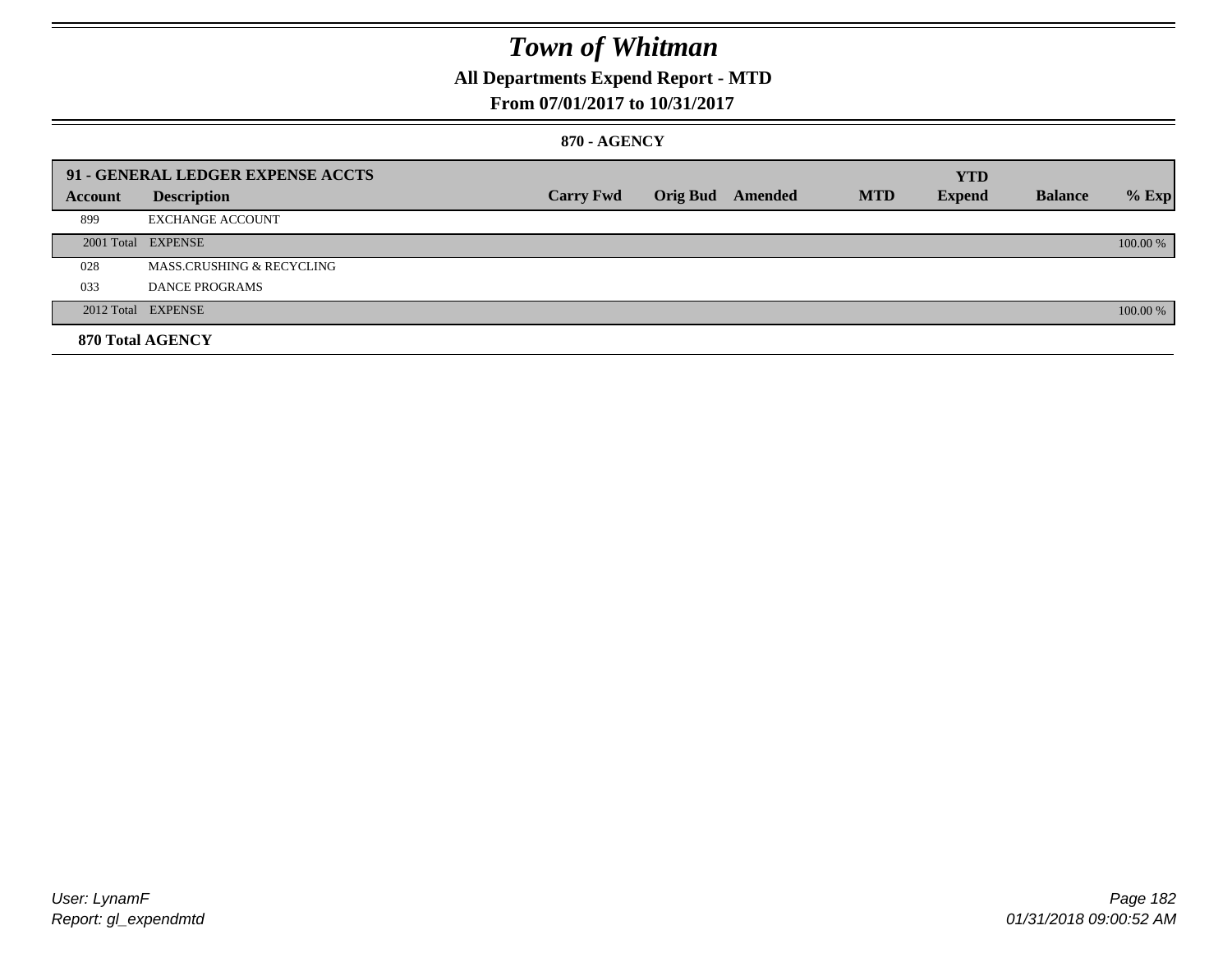## **All Departments Expend Report - MTD**

### **From 07/01/2017 to 10/31/2017**

#### **870 - AGENCY**

|         | 91 - GENERAL LEDGER EXPENSE ACCTS    |                  |                         |            | <b>YTD</b>    |                |          |
|---------|--------------------------------------|------------------|-------------------------|------------|---------------|----------------|----------|
| Account | <b>Description</b>                   | <b>Carry Fwd</b> | <b>Orig Bud</b> Amended | <b>MTD</b> | <b>Expend</b> | <b>Balance</b> | $%$ Exp  |
| 899     | <b>EXCHANGE ACCOUNT</b>              |                  |                         |            |               |                |          |
|         | 2001 Total EXPENSE                   |                  |                         |            |               |                | 100.00 % |
| 028     | <b>MASS.CRUSHING &amp; RECYCLING</b> |                  |                         |            |               |                |          |
| 033     | DANCE PROGRAMS                       |                  |                         |            |               |                |          |
|         | 2012 Total EXPENSE                   |                  |                         |            |               |                | 100.00 % |
|         | 870 Total AGENCY                     |                  |                         |            |               |                |          |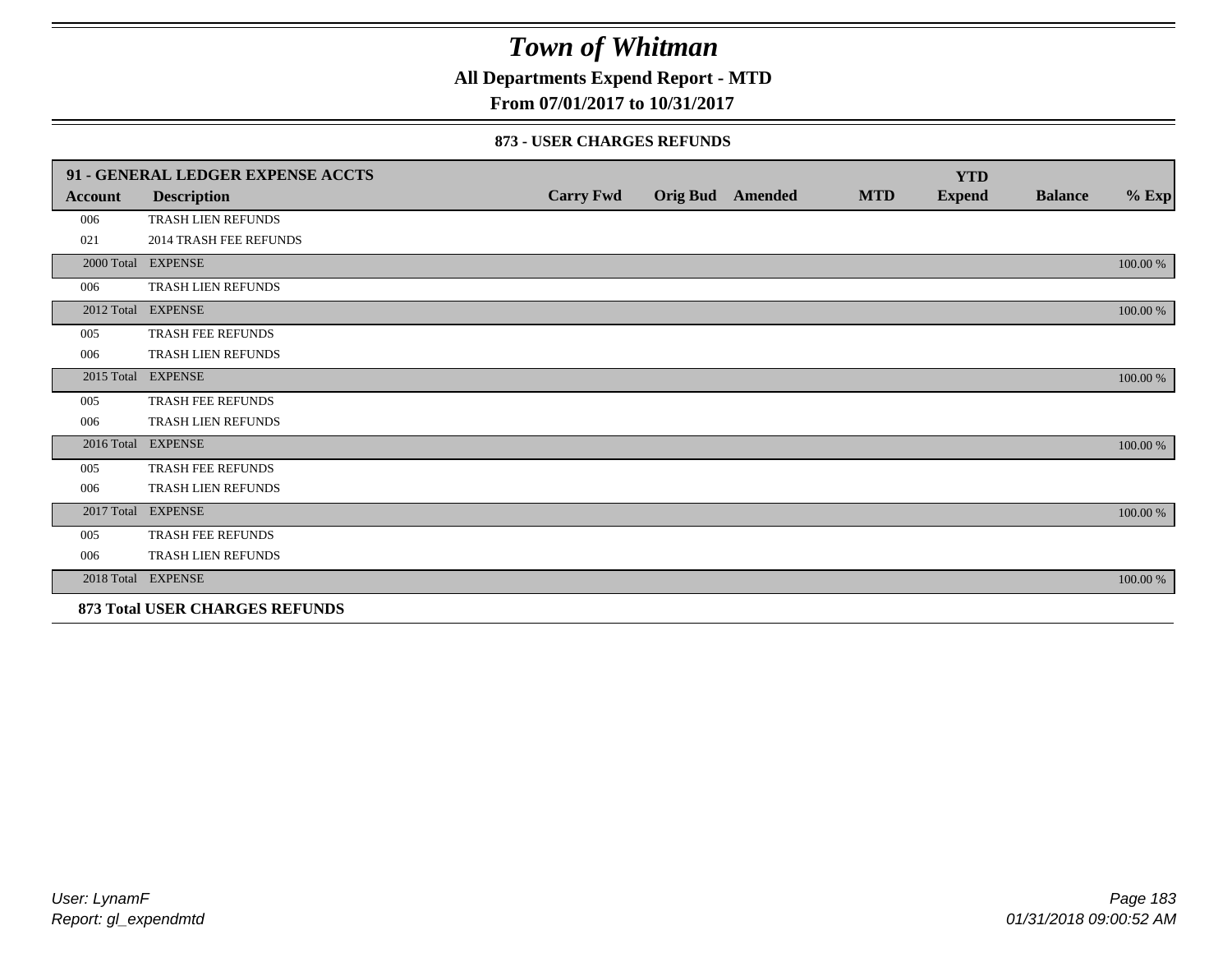**All Departments Expend Report - MTD**

**From 07/01/2017 to 10/31/2017**

#### **873 - USER CHARGES REFUNDS**

|            | 91 - GENERAL LEDGER EXPENSE ACCTS |                  |                         |            | <b>YTD</b>    |                |          |
|------------|-----------------------------------|------------------|-------------------------|------------|---------------|----------------|----------|
| Account    | <b>Description</b>                | <b>Carry Fwd</b> | <b>Orig Bud</b> Amended | <b>MTD</b> | <b>Expend</b> | <b>Balance</b> | $\%$ Exp |
| 006        | <b>TRASH LIEN REFUNDS</b>         |                  |                         |            |               |                |          |
| 021        | <b>2014 TRASH FEE REFUNDS</b>     |                  |                         |            |               |                |          |
|            | 2000 Total EXPENSE                |                  |                         |            |               |                | 100.00 % |
| 006        | TRASH LIEN REFUNDS                |                  |                         |            |               |                |          |
|            | 2012 Total EXPENSE                |                  |                         |            |               |                | 100.00 % |
| 005        | TRASH FEE REFUNDS                 |                  |                         |            |               |                |          |
| 006        | TRASH LIEN REFUNDS                |                  |                         |            |               |                |          |
| 2015 Total | <b>EXPENSE</b>                    |                  |                         |            |               |                | 100.00 % |
| 005        | TRASH FEE REFUNDS                 |                  |                         |            |               |                |          |
| 006        | TRASH LIEN REFUNDS                |                  |                         |            |               |                |          |
|            | 2016 Total EXPENSE                |                  |                         |            |               |                | 100.00 % |
| 005        | <b>TRASH FEE REFUNDS</b>          |                  |                         |            |               |                |          |
| 006        | <b>TRASH LIEN REFUNDS</b>         |                  |                         |            |               |                |          |
| 2017 Total | <b>EXPENSE</b>                    |                  |                         |            |               |                | 100.00 % |
| 005        | TRASH FEE REFUNDS                 |                  |                         |            |               |                |          |
| 006        | TRASH LIEN REFUNDS                |                  |                         |            |               |                |          |
|            | 2018 Total EXPENSE                |                  |                         |            |               |                | 100.00 % |
|            | 873 Total USER CHARGES REFUNDS    |                  |                         |            |               |                |          |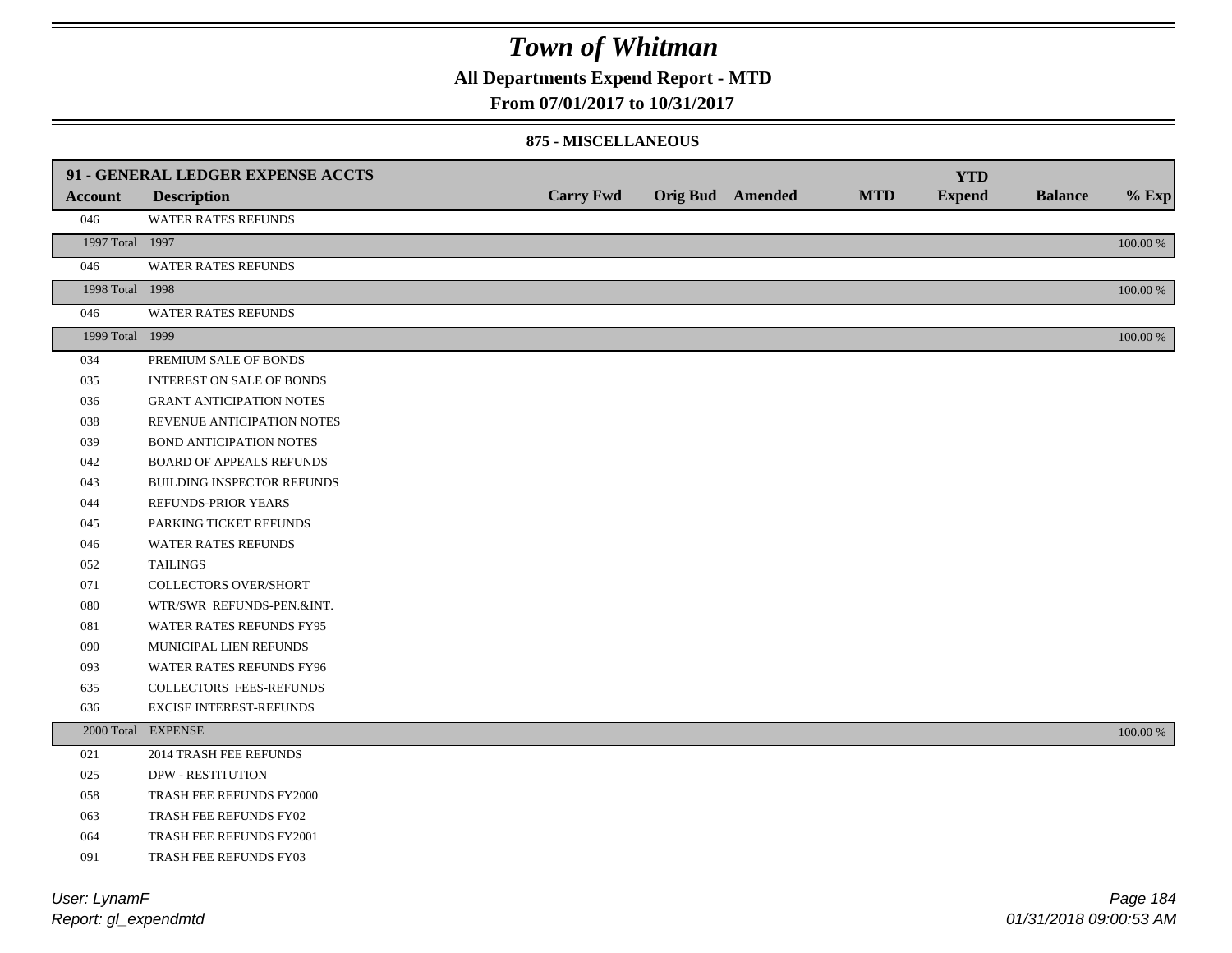**All Departments Expend Report - MTD**

**From 07/01/2017 to 10/31/2017**

#### **875 - MISCELLANEOUS**

|                 | 91 - GENERAL LEDGER EXPENSE ACCTS |                  |                  |            | <b>YTD</b>    |                |          |
|-----------------|-----------------------------------|------------------|------------------|------------|---------------|----------------|----------|
| <b>Account</b>  | <b>Description</b>                | <b>Carry Fwd</b> | Orig Bud Amended | <b>MTD</b> | <b>Expend</b> | <b>Balance</b> | $%$ Exp  |
| 046             | WATER RATES REFUNDS               |                  |                  |            |               |                |          |
| 1997 Total 1997 |                                   |                  |                  |            |               |                | 100.00 % |
| 046             | WATER RATES REFUNDS               |                  |                  |            |               |                |          |
| 1998 Total 1998 |                                   |                  |                  |            |               |                | 100.00 % |
| 046             | WATER RATES REFUNDS               |                  |                  |            |               |                |          |
| 1999 Total 1999 |                                   |                  |                  |            |               |                | 100.00 % |
| 034             | PREMIUM SALE OF BONDS             |                  |                  |            |               |                |          |
| 035             | INTEREST ON SALE OF BONDS         |                  |                  |            |               |                |          |
| 036             | <b>GRANT ANTICIPATION NOTES</b>   |                  |                  |            |               |                |          |
| 038             | REVENUE ANTICIPATION NOTES        |                  |                  |            |               |                |          |
| 039             | <b>BOND ANTICIPATION NOTES</b>    |                  |                  |            |               |                |          |
| 042             | <b>BOARD OF APPEALS REFUNDS</b>   |                  |                  |            |               |                |          |
| 043             | BUILDING INSPECTOR REFUNDS        |                  |                  |            |               |                |          |
| 044             | REFUNDS-PRIOR YEARS               |                  |                  |            |               |                |          |
| 045             | PARKING TICKET REFUNDS            |                  |                  |            |               |                |          |
| 046             | WATER RATES REFUNDS               |                  |                  |            |               |                |          |
| 052             | <b>TAILINGS</b>                   |                  |                  |            |               |                |          |
| 071             | <b>COLLECTORS OVER/SHORT</b>      |                  |                  |            |               |                |          |
| ${\bf 080}$     | WTR/SWR REFUNDS-PEN.&INT.         |                  |                  |            |               |                |          |
| 081             | WATER RATES REFUNDS FY95          |                  |                  |            |               |                |          |
| 090             | MUNICIPAL LIEN REFUNDS            |                  |                  |            |               |                |          |
| 093             | WATER RATES REFUNDS FY96          |                  |                  |            |               |                |          |
| 635             | COLLECTORS FEES-REFUNDS           |                  |                  |            |               |                |          |
| 636             | <b>EXCISE INTEREST-REFUNDS</b>    |                  |                  |            |               |                |          |
|                 | 2000 Total EXPENSE                |                  |                  |            |               |                | 100.00 % |
| 021             | <b>2014 TRASH FEE REFUNDS</b>     |                  |                  |            |               |                |          |
| 025             | <b>DPW - RESTITUTION</b>          |                  |                  |            |               |                |          |
| 058             | TRASH FEE REFUNDS FY2000          |                  |                  |            |               |                |          |
| 063             | TRASH FEE REFUNDS FY02            |                  |                  |            |               |                |          |
| 064             | TRASH FEE REFUNDS FY2001          |                  |                  |            |               |                |          |
| 091             | <b>TRASH FEE REFUNDS FY03</b>     |                  |                  |            |               |                |          |

*Report: gl\_expendmtd User: LynamF*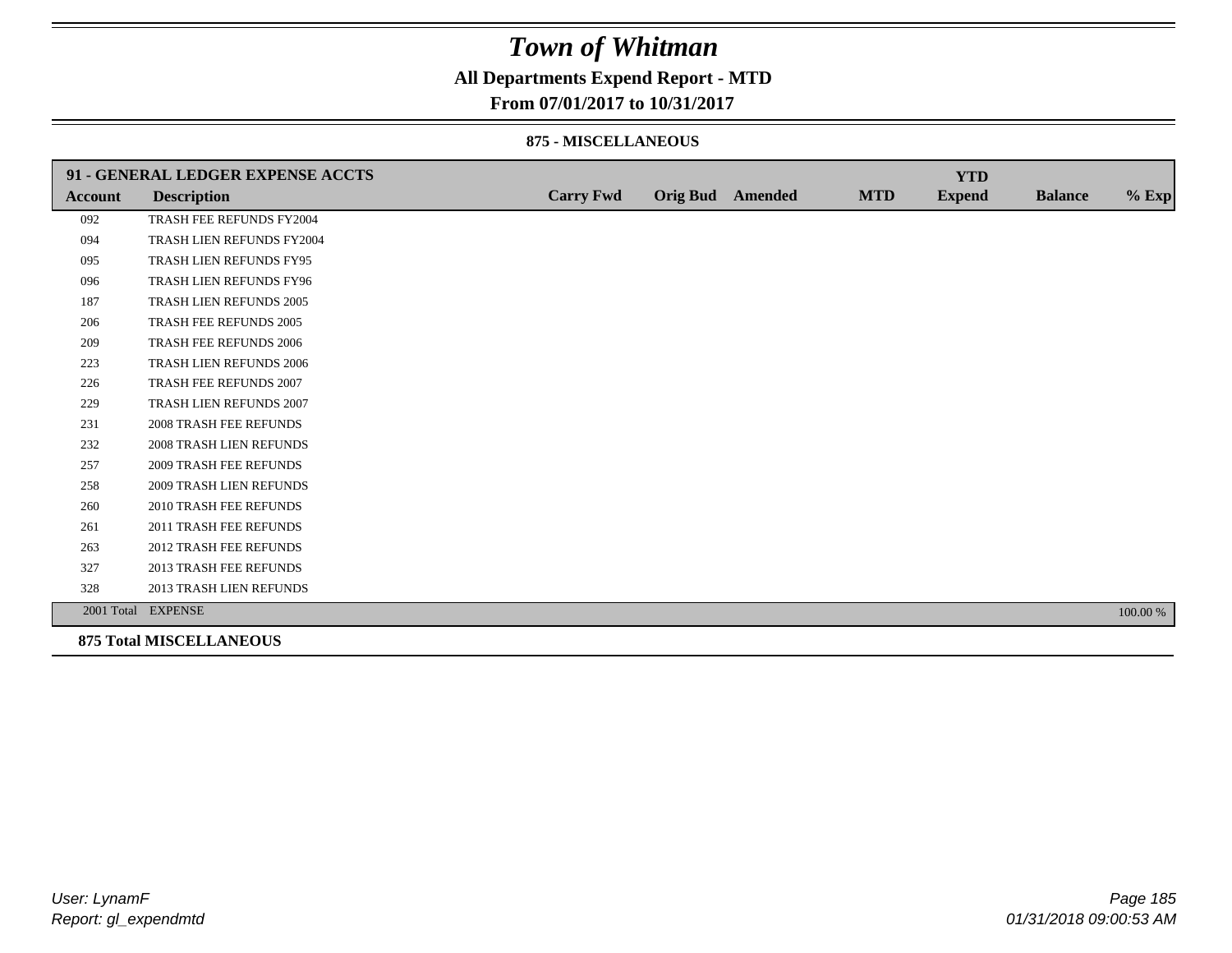### **All Departments Expend Report - MTD**

#### **From 07/01/2017 to 10/31/2017**

#### **875 - MISCELLANEOUS**

|                | 91 - GENERAL LEDGER EXPENSE ACCTS |                  |                  |            | <b>YTD</b>    |                |          |
|----------------|-----------------------------------|------------------|------------------|------------|---------------|----------------|----------|
| <b>Account</b> | <b>Description</b>                | <b>Carry Fwd</b> | Orig Bud Amended | <b>MTD</b> | <b>Expend</b> | <b>Balance</b> | $%$ Exp  |
| 092            | TRASH FEE REFUNDS FY2004          |                  |                  |            |               |                |          |
| 094            | TRASH LIEN REFUNDS FY2004         |                  |                  |            |               |                |          |
| 095            | TRASH LIEN REFUNDS FY95           |                  |                  |            |               |                |          |
| 096            | TRASH LIEN REFUNDS FY96           |                  |                  |            |               |                |          |
| 187            | TRASH LIEN REFUNDS 2005           |                  |                  |            |               |                |          |
| 206            | TRASH FEE REFUNDS 2005            |                  |                  |            |               |                |          |
| 209            | <b>TRASH FEE REFUNDS 2006</b>     |                  |                  |            |               |                |          |
| 223            | <b>TRASH LIEN REFUNDS 2006</b>    |                  |                  |            |               |                |          |
| 226            | TRASH FEE REFUNDS 2007            |                  |                  |            |               |                |          |
| 229            | TRASH LIEN REFUNDS 2007           |                  |                  |            |               |                |          |
| 231            | <b>2008 TRASH FEE REFUNDS</b>     |                  |                  |            |               |                |          |
| 232            | <b>2008 TRASH LIEN REFUNDS</b>    |                  |                  |            |               |                |          |
| 257            | <b>2009 TRASH FEE REFUNDS</b>     |                  |                  |            |               |                |          |
| 258            | 2009 TRASH LIEN REFUNDS           |                  |                  |            |               |                |          |
| 260            | 2010 TRASH FEE REFUNDS            |                  |                  |            |               |                |          |
| 261            | 2011 TRASH FEE REFUNDS            |                  |                  |            |               |                |          |
| 263            | <b>2012 TRASH FEE REFUNDS</b>     |                  |                  |            |               |                |          |
| 327            | <b>2013 TRASH FEE REFUNDS</b>     |                  |                  |            |               |                |          |
| 328            | 2013 TRASH LIEN REFUNDS           |                  |                  |            |               |                |          |
|                | 2001 Total EXPENSE                |                  |                  |            |               |                | 100.00 % |
|                | <b>875 Total MISCELLANEOUS</b>    |                  |                  |            |               |                |          |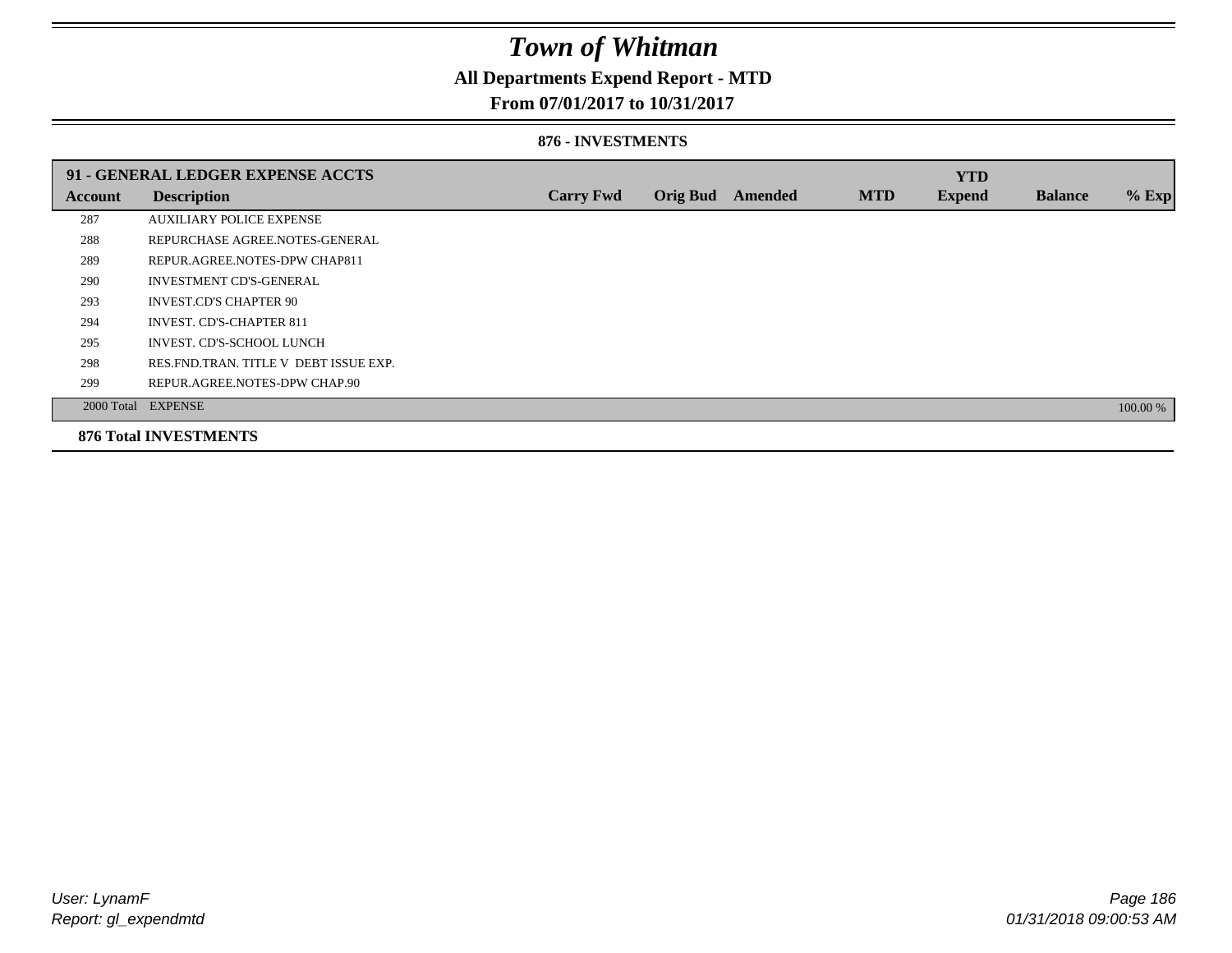### **All Departments Expend Report - MTD**

### **From 07/01/2017 to 10/31/2017**

#### **876 - INVESTMENTS**

|                | 91 - GENERAL LEDGER EXPENSE ACCTS       |                  |                 |         |            | <b>YTD</b>    |                |          |
|----------------|-----------------------------------------|------------------|-----------------|---------|------------|---------------|----------------|----------|
| <b>Account</b> | <b>Description</b>                      | <b>Carry Fwd</b> | <b>Orig Bud</b> | Amended | <b>MTD</b> | <b>Expend</b> | <b>Balance</b> | $%$ Exp  |
| 287            | <b>AUXILIARY POLICE EXPENSE</b>         |                  |                 |         |            |               |                |          |
| 288            | REPURCHASE AGREE NOTES-GENERAL          |                  |                 |         |            |               |                |          |
| 289            | REPUR.AGREE.NOTES-DPW CHAP811           |                  |                 |         |            |               |                |          |
| 290            | <b>INVESTMENT CD'S-GENERAL</b>          |                  |                 |         |            |               |                |          |
| 293            | <b>INVEST.CD'S CHAPTER 90</b>           |                  |                 |         |            |               |                |          |
| 294            | <b>INVEST. CD'S-CHAPTER 811</b>         |                  |                 |         |            |               |                |          |
| 295            | INVEST. CD'S-SCHOOL LUNCH               |                  |                 |         |            |               |                |          |
| 298            | RES. FND. TRAN. TITLE V DEBT ISSUE EXP. |                  |                 |         |            |               |                |          |
| 299            | REPUR.AGREE.NOTES-DPW CHAP.90           |                  |                 |         |            |               |                |          |
|                | 2000 Total EXPENSE                      |                  |                 |         |            |               |                | 100.00 % |
|                | <b>876 Total INVESTMENTS</b>            |                  |                 |         |            |               |                |          |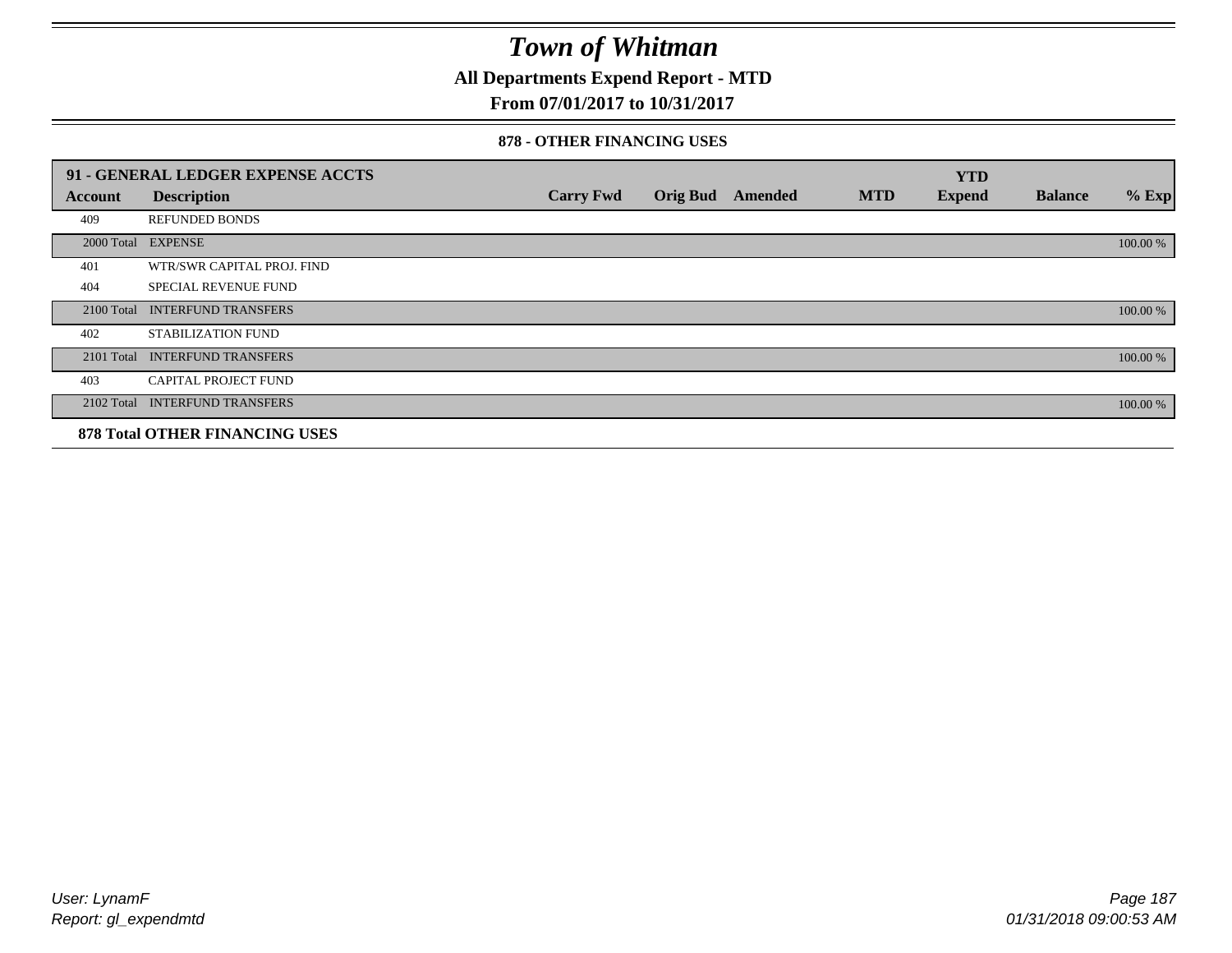**All Departments Expend Report - MTD**

### **From 07/01/2017 to 10/31/2017**

#### **878 - OTHER FINANCING USES**

|            | 91 - GENERAL LEDGER EXPENSE ACCTS     |                  |                         |            | <b>YTD</b>    |                |          |
|------------|---------------------------------------|------------------|-------------------------|------------|---------------|----------------|----------|
| Account    | <b>Description</b>                    | <b>Carry Fwd</b> | <b>Orig Bud</b> Amended | <b>MTD</b> | <b>Expend</b> | <b>Balance</b> | $%$ Exp  |
| 409        | <b>REFUNDED BONDS</b>                 |                  |                         |            |               |                |          |
| 2000 Total | <b>EXPENSE</b>                        |                  |                         |            |               |                | 100.00 % |
| 401        | WTR/SWR CAPITAL PROJ. FIND            |                  |                         |            |               |                |          |
| 404        | <b>SPECIAL REVENUE FUND</b>           |                  |                         |            |               |                |          |
| 2100 Total | <b>INTERFUND TRANSFERS</b>            |                  |                         |            |               |                | 100.00 % |
| 402        | <b>STABILIZATION FUND</b>             |                  |                         |            |               |                |          |
| 2101 Total | <b>INTERFUND TRANSFERS</b>            |                  |                         |            |               |                | 100.00 % |
| 403        | <b>CAPITAL PROJECT FUND</b>           |                  |                         |            |               |                |          |
| 2102 Total | <b>INTERFUND TRANSFERS</b>            |                  |                         |            |               |                | 100.00 % |
|            | <b>878 Total OTHER FINANCING USES</b> |                  |                         |            |               |                |          |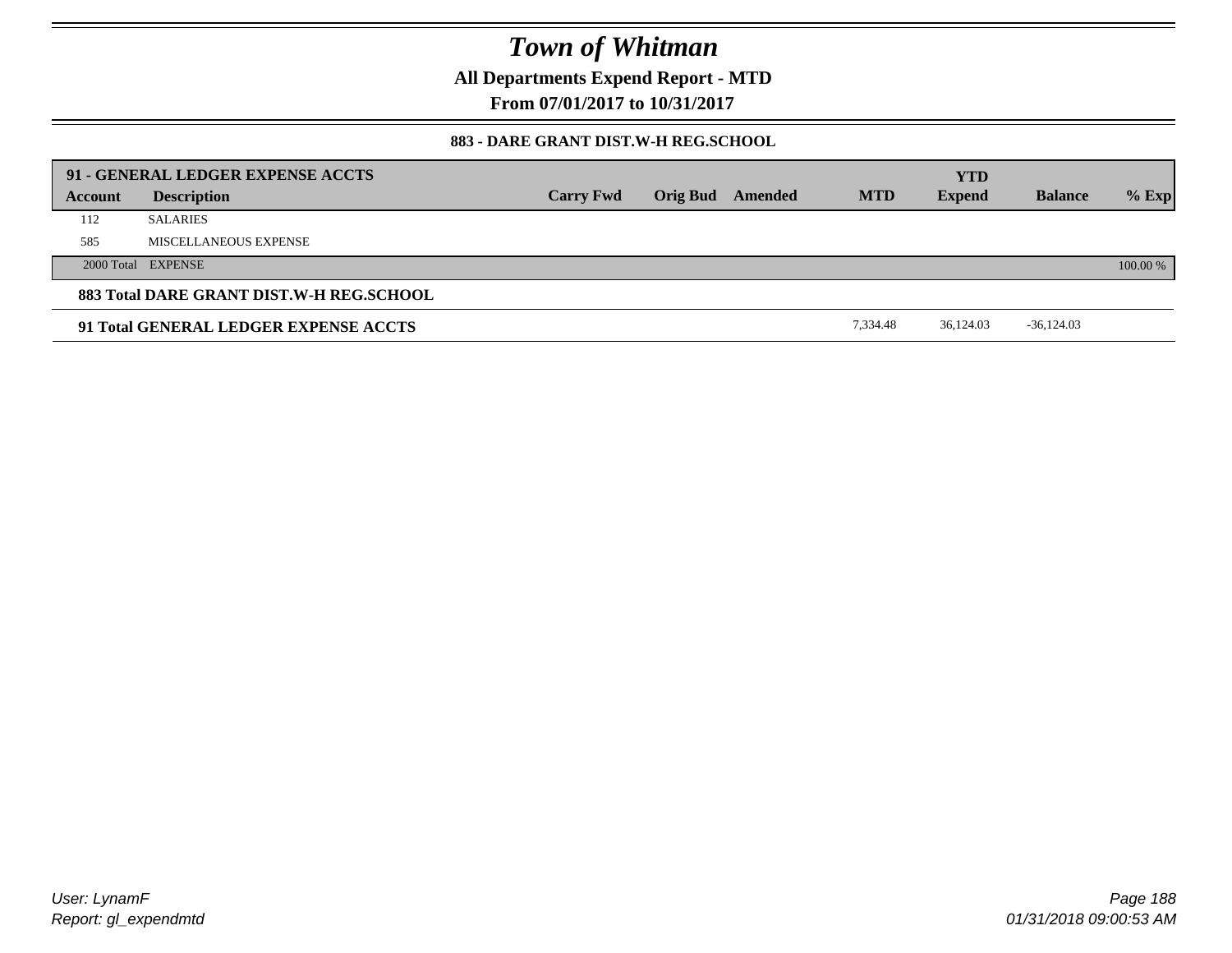**All Departments Expend Report - MTD**

**From 07/01/2017 to 10/31/2017**

### **883 - DARE GRANT DIST.W-H REG.SCHOOL**

|         | 91 - GENERAL LEDGER EXPENSE ACCTS        |                  |                         |            | <b>YTD</b>    |                |          |
|---------|------------------------------------------|------------------|-------------------------|------------|---------------|----------------|----------|
| Account | <b>Description</b>                       | <b>Carry Fwd</b> | <b>Orig Bud</b> Amended | <b>MTD</b> | <b>Expend</b> | <b>Balance</b> | $%$ Exp  |
| 112     | <b>SALARIES</b>                          |                  |                         |            |               |                |          |
| 585     | MISCELLANEOUS EXPENSE                    |                  |                         |            |               |                |          |
|         | 2000 Total EXPENSE                       |                  |                         |            |               |                | 100.00 % |
|         | 883 Total DARE GRANT DIST.W-H REG.SCHOOL |                  |                         |            |               |                |          |
|         | 91 Total GENERAL LEDGER EXPENSE ACCTS    |                  |                         | 7.334.48   | 36.124.03     | $-36,124.03$   |          |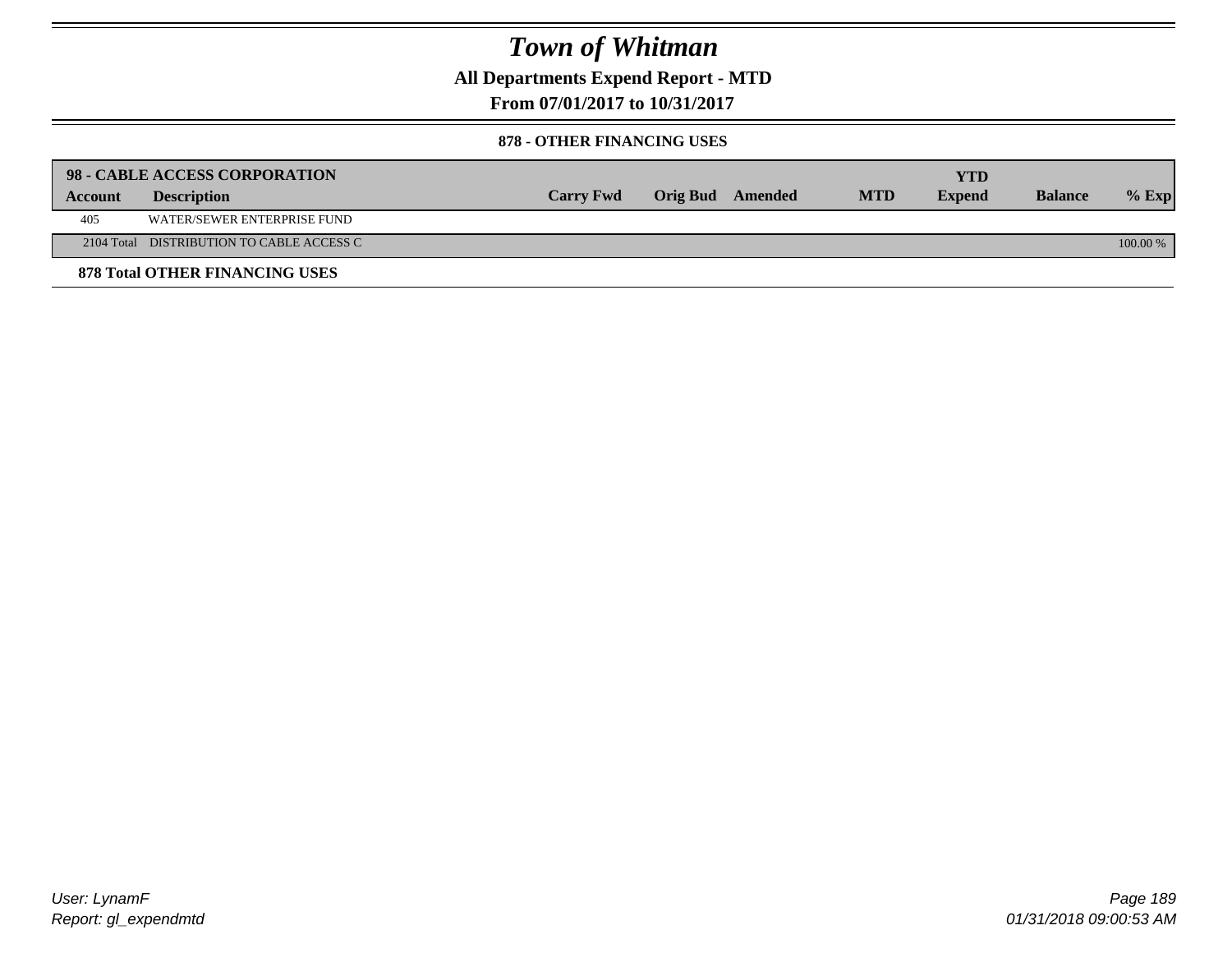**All Departments Expend Report - MTD**

**From 07/01/2017 to 10/31/2017**

#### **878 - OTHER FINANCING USES**

|         | 98 - CABLE ACCESS CORPORATION             |                  |                  |            | YTD           |                |          |
|---------|-------------------------------------------|------------------|------------------|------------|---------------|----------------|----------|
| Account | <b>Description</b>                        | <b>Carry Fwd</b> | Orig Bud Amended | <b>MTD</b> | <b>Expend</b> | <b>Balance</b> | $%$ Exp  |
| 405     | WATER/SEWER ENTERPRISE FUND               |                  |                  |            |               |                |          |
|         | 2104 Total DISTRIBUTION TO CABLE ACCESS C |                  |                  |            |               |                | 100.00 % |
|         | <b>878 Total OTHER FINANCING USES</b>     |                  |                  |            |               |                |          |